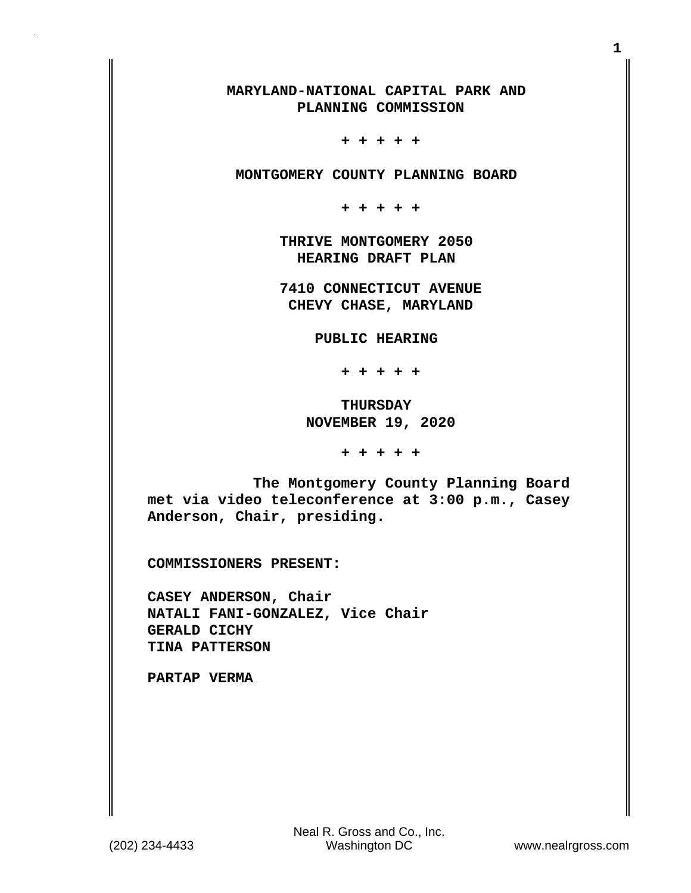## **MARYLAND-NATIONAL CAPITAL PARK AND PLANNING COMMISSION**

 **+ + + + +**

 **MONTGOMERY COUNTY PLANNING BOARD**

 **+ + + + +**

 **THRIVE MONTGOMERY 2050 HEARING DRAFT PLAN**

 **7410 CONNECTICUT AVENUE CHEVY CHASE, MARYLAND**

 **PUBLIC HEARING**

 **+ + + + +**

 **THURSDAY NOVEMBER 19, 2020**

 **+ + + + +**

 **The Montgomery County Planning Board met via video teleconference at 3:00 p.m., Casey Anderson, Chair, presiding.**

**COMMISSIONERS PRESENT:**

**CASEY ANDERSON, Chair NATALI FANI-GONZALEZ, Vice Chair GERALD CICHY TINA PATTERSON**

**PARTAP VERMA**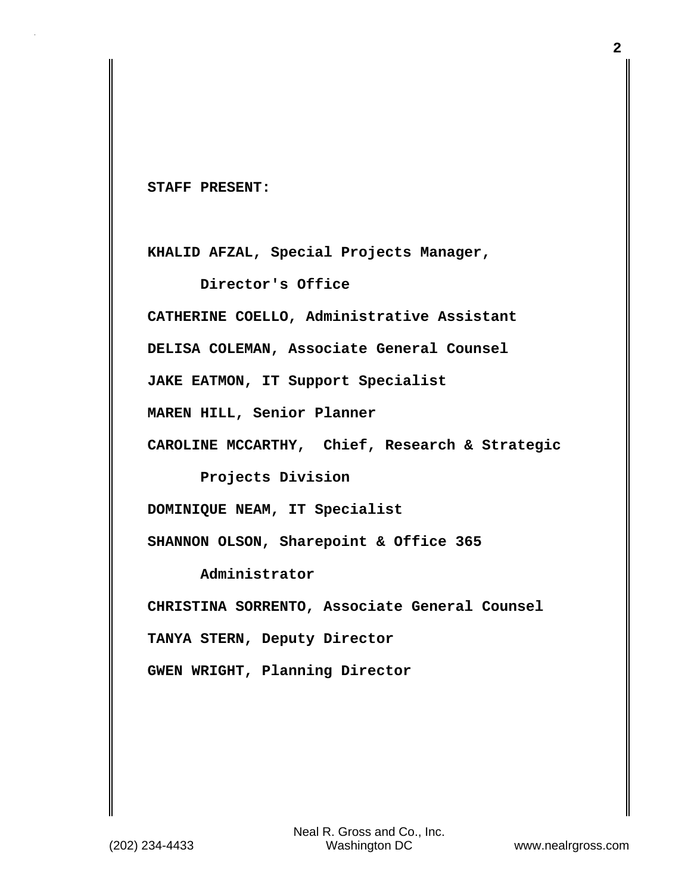**STAFF PRESENT:**

**KHALID AFZAL, Special Projects Manager,**

 **Director's Office CATHERINE COELLO, Administrative Assistant DELISA COLEMAN, Associate General Counsel JAKE EATMON, IT Support Specialist MAREN HILL, Senior Planner CAROLINE MCCARTHY, Chief, Research & Strategic** 

 **Projects Division**

**DOMINIQUE NEAM, IT Specialist**

**SHANNON OLSON, Sharepoint & Office 365**

 **Administrator**

**CHRISTINA SORRENTO, Associate General Counsel**

**TANYA STERN, Deputy Director**

**GWEN WRIGHT, Planning Director**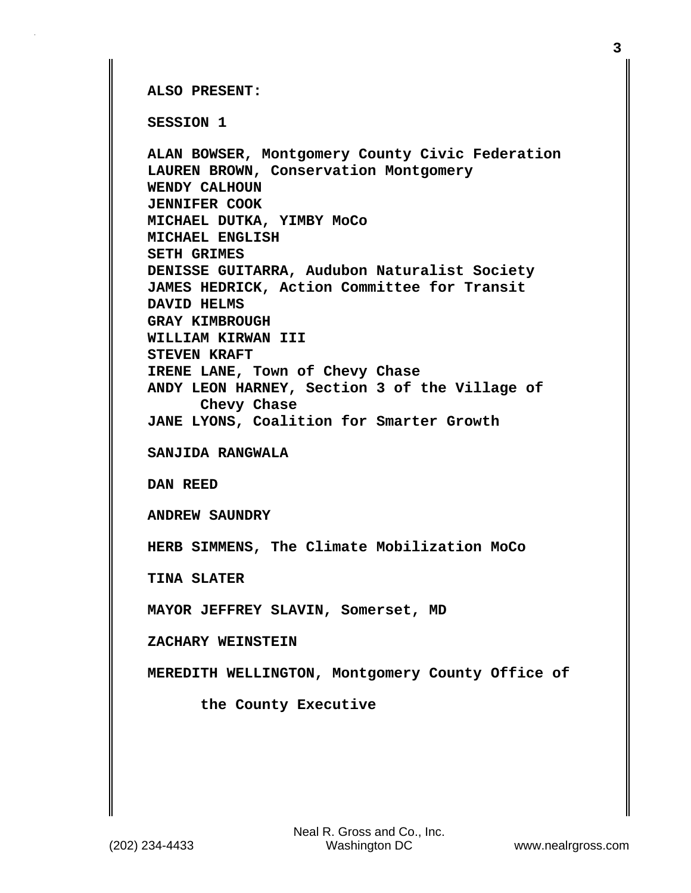**ALSO PRESENT:**

**SESSION 1**

**ALAN BOWSER, Montgomery County Civic Federation LAUREN BROWN, Conservation Montgomery WENDY CALHOUN JENNIFER COOK MICHAEL DUTKA, YIMBY MoCo MICHAEL ENGLISH SETH GRIMES DENISSE GUITARRA, Audubon Naturalist Society JAMES HEDRICK, Action Committee for Transit DAVID HELMS GRAY KIMBROUGH WILLIAM KIRWAN III STEVEN KRAFT IRENE LANE, Town of Chevy Chase ANDY LEON HARNEY, Section 3 of the Village of Chevy Chase JANE LYONS, Coalition for Smarter Growth SANJIDA RANGWALA DAN REED ANDREW SAUNDRY HERB SIMMENS, The Climate Mobilization MoCo TINA SLATER MAYOR JEFFREY SLAVIN, Somerset, MD ZACHARY WEINSTEIN MEREDITH WELLINGTON, Montgomery County Office of the County Executive**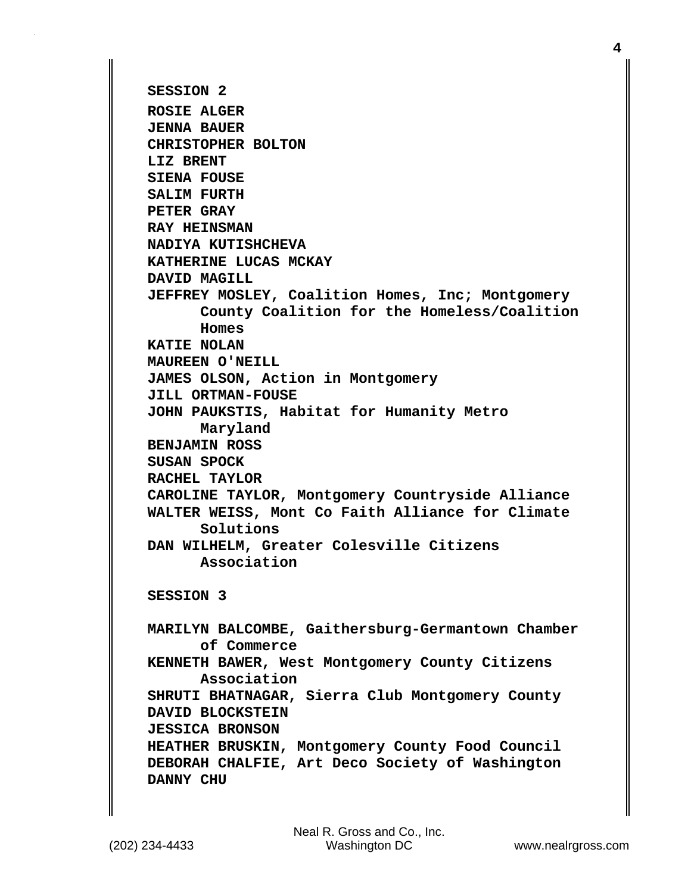```
SESSION 2
ROSIE ALGER
JENNA BAUER
CHRISTOPHER BOLTON
LIZ BRENT
SIENA FOUSE
SALIM FURTH
PETER GRAY
RAY HEINSMAN
NADIYA KUTISHCHEVA
KATHERINE LUCAS MCKAY
DAVID MAGILL
JEFFREY MOSLEY, Coalition Homes, Inc; Montgomery
       County Coalition for the Homeless/Coalition
       Homes
KATIE NOLAN
MAUREEN O'NEILL
JAMES OLSON, Action in Montgomery 
JILL ORTMAN-FOUSE
JOHN PAUKSTIS, Habitat for Humanity Metro
       Maryland
BENJAMIN ROSS
SUSAN SPOCK
RACHEL TAYLOR
CAROLINE TAYLOR, Montgomery Countryside Alliance
WALTER WEISS, Mont Co Faith Alliance for Climate
       Solutions
DAN WILHELM, Greater Colesville Citizens
       Association 
SESSION 3
MARILYN BALCOMBE, Gaithersburg-Germantown Chamber
       of Commerce
KENNETH BAWER, West Montgomery County Citizens 
       Association
SHRUTI BHATNAGAR, Sierra Club Montgomery County
DAVID BLOCKSTEIN
JESSICA BRONSON
HEATHER BRUSKIN, Montgomery County Food Council
DEBORAH CHALFIE, Art Deco Society of Washington
DANNY CHU
```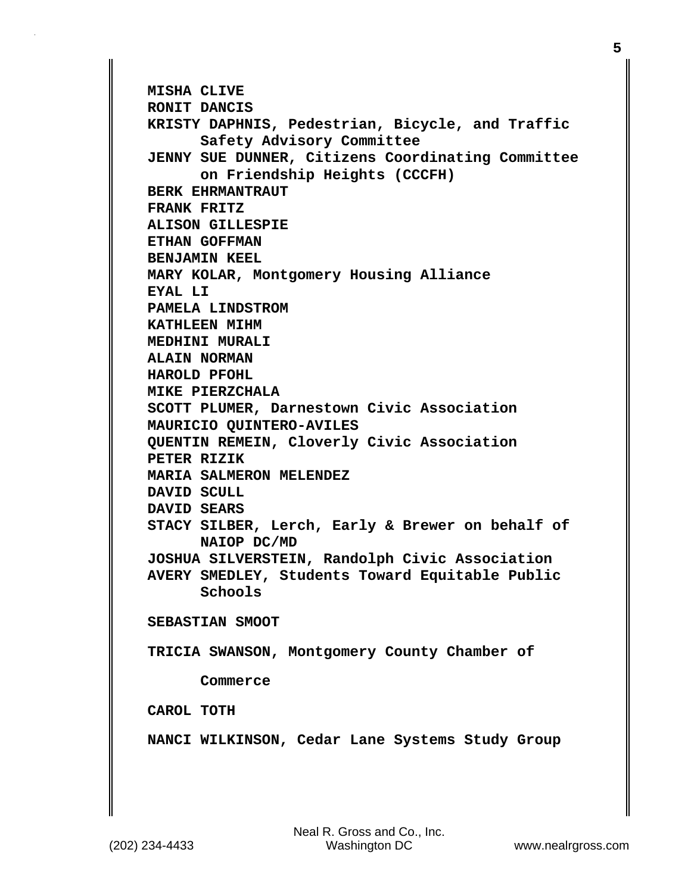```
MISHA CLIVE
RONIT DANCIS
KRISTY DAPHNIS, Pedestrian, Bicycle, and Traffic 
       Safety Advisory Committee
JENNY SUE DUNNER, Citizens Coordinating Committee
       on Friendship Heights (CCCFH)
BERK EHRMANTRAUT
FRANK FRITZ
ALISON GILLESPIE
ETHAN GOFFMAN
BENJAMIN KEEL
MARY KOLAR, Montgomery Housing Alliance
EYAL LI
PAMELA LINDSTROM
KATHLEEN MIHM
MEDHINI MURALI
ALAIN NORMAN
HAROLD PFOHL
MIKE PIERZCHALA
SCOTT PLUMER, Darnestown Civic Association
MAURICIO QUINTERO-AVILES
QUENTIN REMEIN, Cloverly Civic Association
PETER RIZIK
MARIA SALMERON MELENDEZ
DAVID SCULL
DAVID SEARS
STACY SILBER, Lerch, Early & Brewer on behalf of
       NAIOP DC/MD 
JOSHUA SILVERSTEIN, Randolph Civic Association
AVERY SMEDLEY, Students Toward Equitable Public 
       Schools
SEBASTIAN SMOOT
TRICIA SWANSON, Montgomery County Chamber of
       Commerce
CAROL TOTH
NANCI WILKINSON, Cedar Lane Systems Study Group
```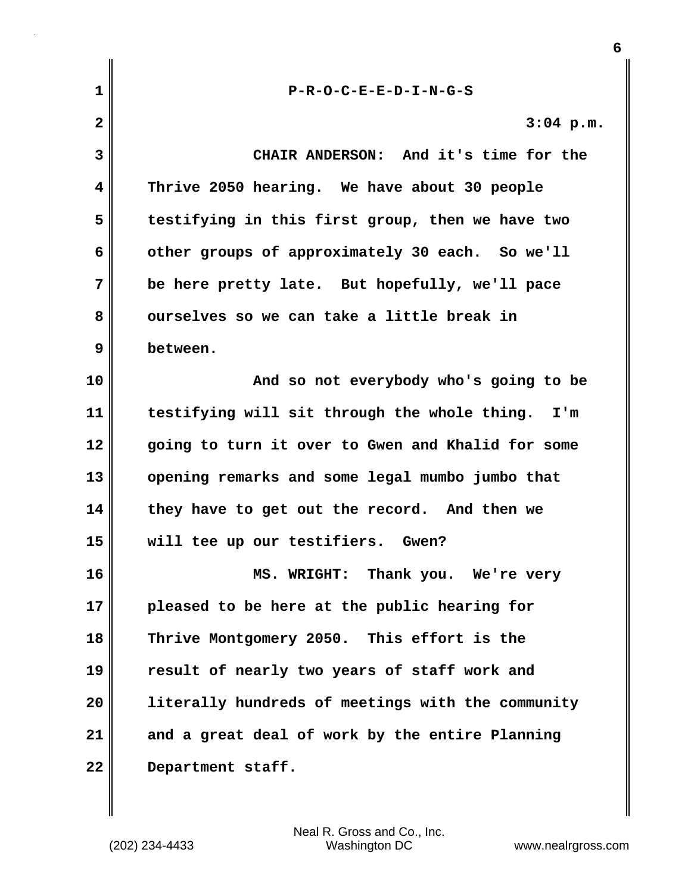| $\mathbf 1$             | $P-R-O-C-E-E-D-I-N-G-S$                           |
|-------------------------|---------------------------------------------------|
| $\overline{\mathbf{2}}$ | $3:04$ p.m.                                       |
| 3                       | CHAIR ANDERSON: And it's time for the             |
| 4                       | Thrive 2050 hearing. We have about 30 people      |
| 5                       | testifying in this first group, then we have two  |
| 6                       | other groups of approximately 30 each. So we'll   |
| 7                       | be here pretty late. But hopefully, we'll pace    |
| 8                       | ourselves so we can take a little break in        |
| 9                       | between.                                          |
| 10                      | And so not everybody who's going to be            |
| 11                      | testifying will sit through the whole thing. I'm  |
| 12                      | going to turn it over to Gwen and Khalid for some |
| 13                      | opening remarks and some legal mumbo jumbo that   |
| 14                      | they have to get out the record. And then we      |
| 15                      | will tee up our testifiers. Gwen?                 |
| 16                      | Thank you. We're very<br><b>MS. WRIGHT:</b>       |
| 17                      | pleased to be here at the public hearing for      |
| 18                      | Thrive Montgomery 2050. This effort is the        |
| 19                      | result of nearly two years of staff work and      |
| 20                      | literally hundreds of meetings with the community |
| 21                      | and a great deal of work by the entire Planning   |
| 22                      | Department staff.                                 |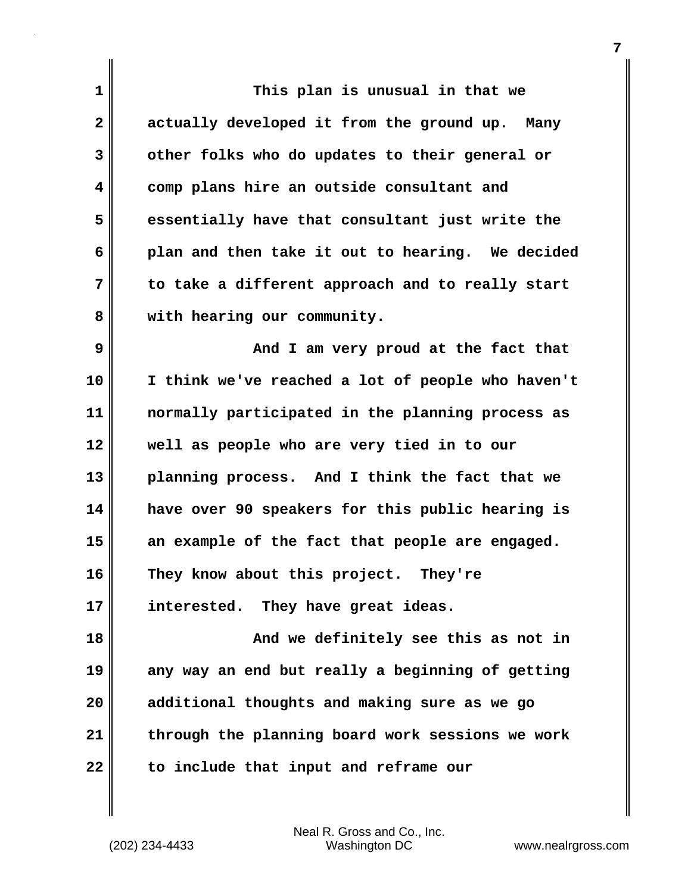| $\mathbf 1$    | This plan is unusual in that we                   |
|----------------|---------------------------------------------------|
| $\overline{2}$ | actually developed it from the ground up. Many    |
| 3              | other folks who do updates to their general or    |
| 4              | comp plans hire an outside consultant and         |
| 5              | essentially have that consultant just write the   |
| 6              | plan and then take it out to hearing. We decided  |
| 7              | to take a different approach and to really start  |
| 8              | with hearing our community.                       |
| 9              | And I am very proud at the fact that              |
| 10             | I think we've reached a lot of people who haven't |
| 11             | normally participated in the planning process as  |
| 12             | well as people who are very tied in to our        |
| 13             | planning process. And I think the fact that we    |
| 14             | have over 90 speakers for this public hearing is  |
| 15             | an example of the fact that people are engaged.   |
| 16             | They know about this project.<br>They're          |
| 17             | interested. They have great ideas.                |
| 18             | And we definitely see this as not in              |
| 19             | any way an end but really a beginning of getting  |
| 20             | additional thoughts and making sure as we go      |
| 21             | through the planning board work sessions we work  |
| 22             | to include that input and reframe our             |

(202) 234-4433 Washington DC www.nealrgross.com Neal R. Gross and Co., Inc.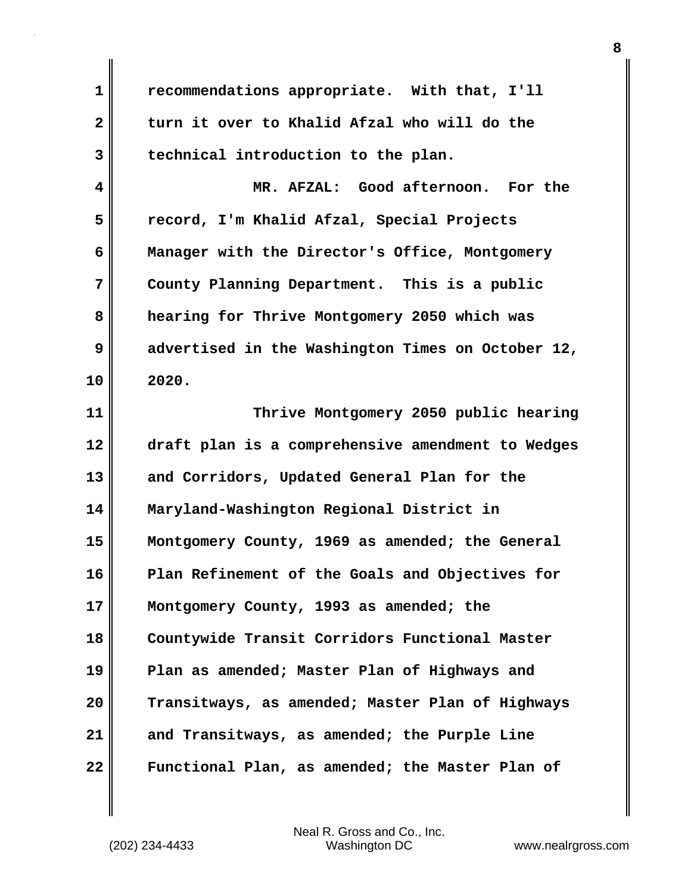**1 recommendations appropriate. With that, I'll 2 turn it over to Khalid Afzal who will do the 3 technical introduction to the plan.**

**4 MR. AFZAL: Good afternoon. For the 5 record, I'm Khalid Afzal, Special Projects 6 Manager with the Director's Office, Montgomery 7 County Planning Department. This is a public 8 hearing for Thrive Montgomery 2050 which was 9 advertised in the Washington Times on October 12, 10 2020.**

**11 Thrive Montgomery 2050 public hearing 12 draft plan is a comprehensive amendment to Wedges 13 and Corridors, Updated General Plan for the 14 Maryland-Washington Regional District in 15 Montgomery County, 1969 as amended; the General 16 Plan Refinement of the Goals and Objectives for 17 Montgomery County, 1993 as amended; the 18 Countywide Transit Corridors Functional Master 19 Plan as amended; Master Plan of Highways and 20 Transitways, as amended; Master Plan of Highways 21 and Transitways, as amended; the Purple Line 22 Functional Plan, as amended; the Master Plan of**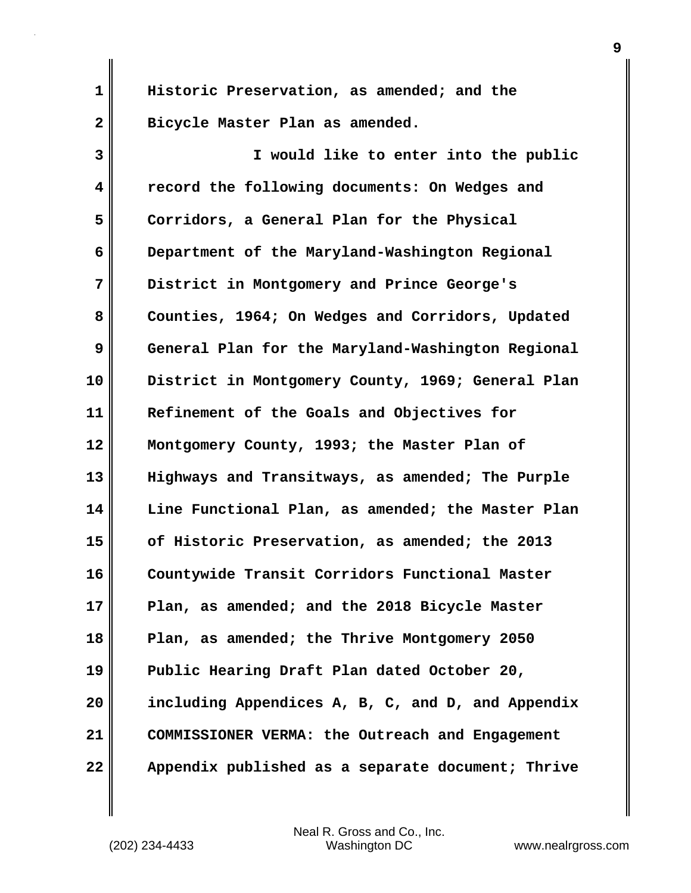**1 Historic Preservation, as amended; and the 2 Bicycle Master Plan as amended.**

**3 I would like to enter into the public 4 record the following documents: On Wedges and 5 Corridors, a General Plan for the Physical 6 Department of the Maryland-Washington Regional 7 District in Montgomery and Prince George's** 8 Counties, 1964; On Wedges and Corridors, Updated **9 General Plan for the Maryland-Washington Regional 10 District in Montgomery County, 1969; General Plan 11 Refinement of the Goals and Objectives for 12 Montgomery County, 1993; the Master Plan of 13 Highways and Transitways, as amended; The Purple 14 Line Functional Plan, as amended; the Master Plan 15 of Historic Preservation, as amended; the 2013 16 Countywide Transit Corridors Functional Master 17 Plan, as amended; and the 2018 Bicycle Master 18 Plan, as amended; the Thrive Montgomery 2050 19 Public Hearing Draft Plan dated October 20, 20 including Appendices A, B, C, and D, and Appendix 21 COMMISSIONER VERMA: the Outreach and Engagement 22 Appendix published as a separate document; Thrive**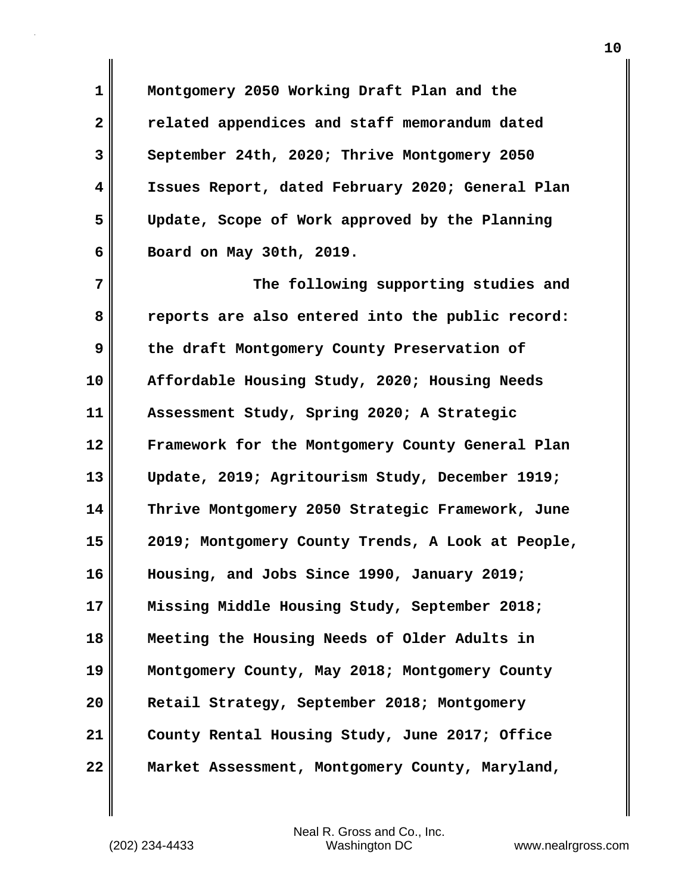**1 Montgomery 2050 Working Draft Plan and the 2 related appendices and staff memorandum dated 3 September 24th, 2020; Thrive Montgomery 2050 4 Issues Report, dated February 2020; General Plan 5 Update, Scope of Work approved by the Planning 6 Board on May 30th, 2019.**

**7 The following supporting studies and 8 reports are also entered into the public record: 9 the draft Montgomery County Preservation of 10 Affordable Housing Study, 2020; Housing Needs 11 Assessment Study, Spring 2020; A Strategic 12 Framework for the Montgomery County General Plan 13 Update, 2019; Agritourism Study, December 1919; 14 Thrive Montgomery 2050 Strategic Framework, June 15 2019; Montgomery County Trends, A Look at People, 16 Housing, and Jobs Since 1990, January 2019; 17 Missing Middle Housing Study, September 2018; 18 Meeting the Housing Needs of Older Adults in 19 Montgomery County, May 2018; Montgomery County 20 Retail Strategy, September 2018; Montgomery 21 County Rental Housing Study, June 2017; Office 22 Market Assessment, Montgomery County, Maryland,**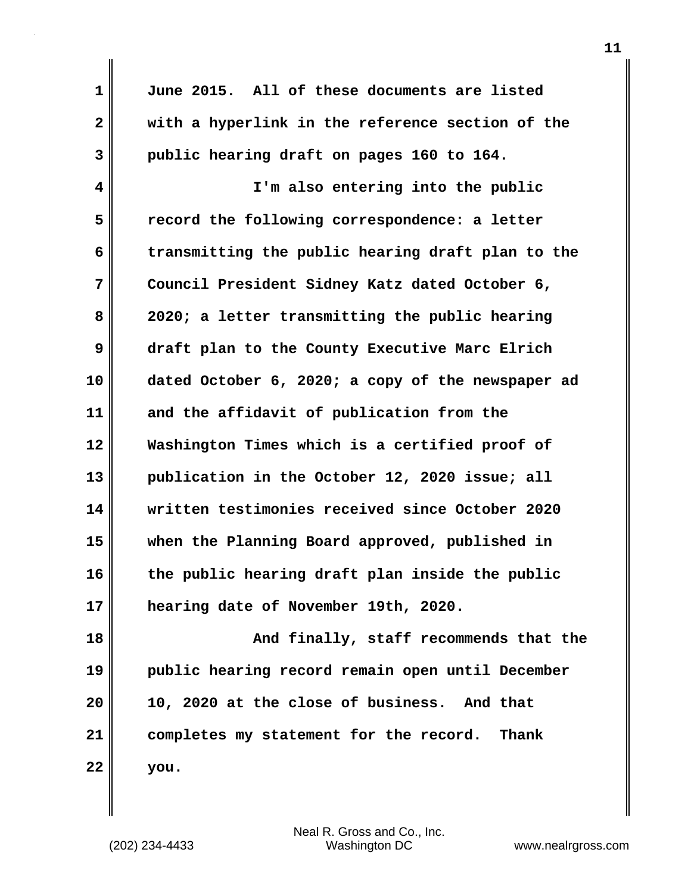| $\mathbf 1$  | June 2015. All of these documents are listed      |
|--------------|---------------------------------------------------|
| $\mathbf{2}$ | with a hyperlink in the reference section of the  |
| 3            | public hearing draft on pages 160 to 164.         |
| 4            | I'm also entering into the public                 |
| 5            | record the following correspondence: a letter     |
| 6            | transmitting the public hearing draft plan to the |
| 7            | Council President Sidney Katz dated October 6,    |
| 8            | 2020; a letter transmitting the public hearing    |
| 9            | draft plan to the County Executive Marc Elrich    |
| 10           | dated October 6, 2020; a copy of the newspaper ad |
| 11           | and the affidavit of publication from the         |
| 12           | Washington Times which is a certified proof of    |
| 13           | publication in the October 12, 2020 issue; all    |
| 14           | written testimonies received since October 2020   |
| 15           | when the Planning Board approved, published in    |
| 16           | the public hearing draft plan inside the public   |
| 17           | hearing date of November 19th, 2020.              |
| 18           | And finally, staff recommends that the            |
| 19           | public hearing record remain open until December  |
| 20           | 10, 2020 at the close of business. And that       |
| 21           | completes my statement for the record. Thank      |
| 22           | you.                                              |

 $\mathbf l$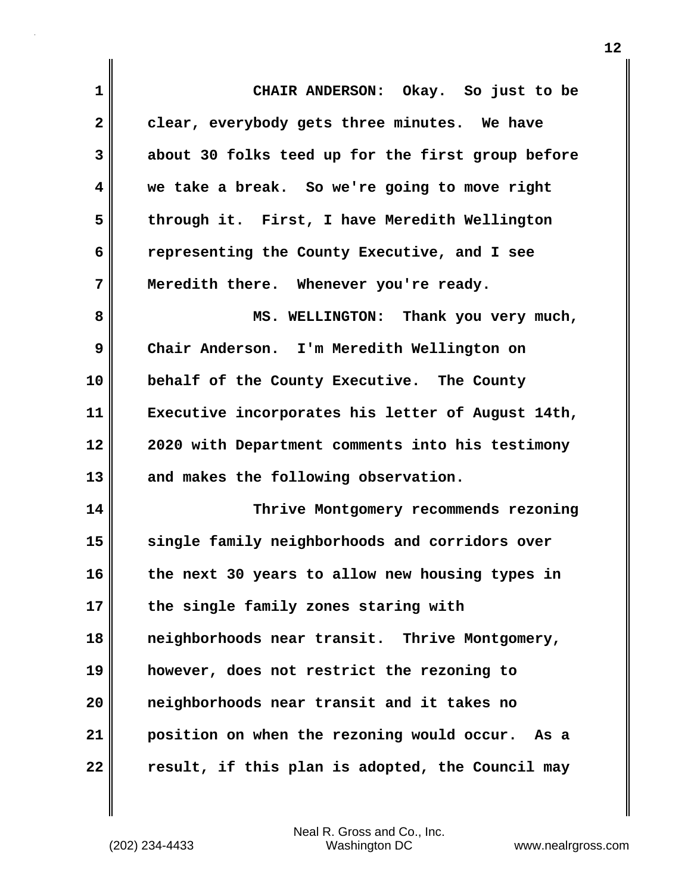| $\mathbf 1$             | CHAIR ANDERSON: Okay. So just to be               |
|-------------------------|---------------------------------------------------|
| $\mathbf{2}$            | clear, everybody gets three minutes. We have      |
| 3                       | about 30 folks teed up for the first group before |
| $\overline{\mathbf{4}}$ | we take a break. So we're going to move right     |
| 5                       | through it. First, I have Meredith Wellington     |
| 6                       | representing the County Executive, and I see      |
| 7                       | Meredith there. Whenever you're ready.            |
| 8                       | MS. WELLINGTON: Thank you very much,              |
| 9                       | Chair Anderson. I'm Meredith Wellington on        |
| 10                      | behalf of the County Executive. The County        |
| 11                      | Executive incorporates his letter of August 14th, |
| 12                      | 2020 with Department comments into his testimony  |
| 13                      | and makes the following observation.              |
| 14                      | Thrive Montgomery recommends rezoning             |
| 15                      | single family neighborhoods and corridors over    |
| 16                      | the next 30 years to allow new housing types in   |
| 17                      | the single family zones staring with              |
| 18                      | neighborhoods near transit. Thrive Montgomery,    |
| 19                      | however, does not restrict the rezoning to        |
| 20                      | neighborhoods near transit and it takes no        |
| 21                      | position on when the rezoning would occur. As a   |
| 22                      | result, if this plan is adopted, the Council may  |

 $\mathbf{I}$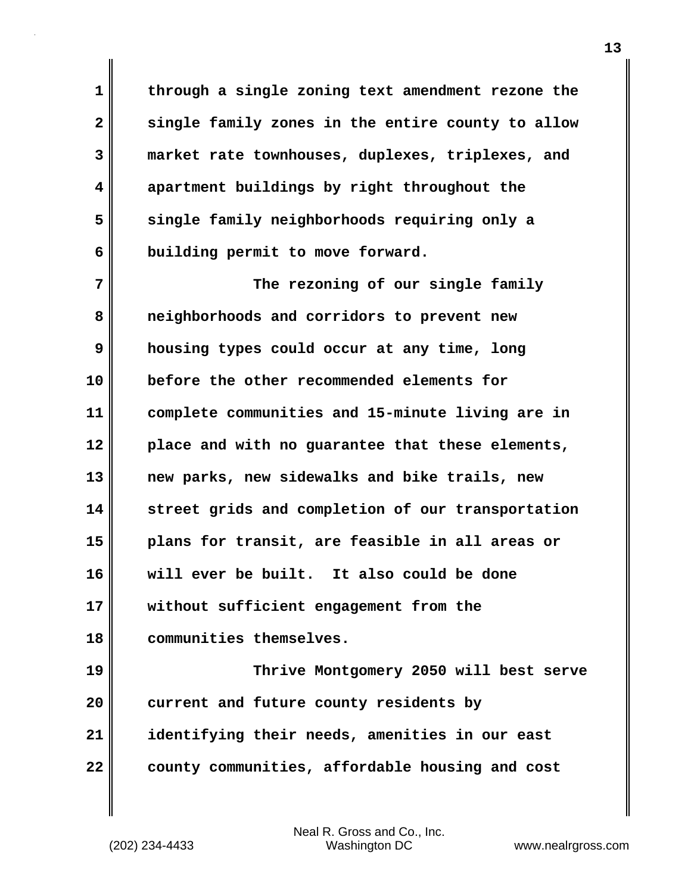**1 through a single zoning text amendment rezone the 2 single family zones in the entire county to allow 3 market rate townhouses, duplexes, triplexes, and 4 apartment buildings by right throughout the 5 single family neighborhoods requiring only a 6 building permit to move forward.**

**7** The rezoning of our single family **8 neighborhoods and corridors to prevent new 9 housing types could occur at any time, long 10 before the other recommended elements for 11 complete communities and 15-minute living are in 12 place and with no guarantee that these elements, 13 new parks, new sidewalks and bike trails, new 14 street grids and completion of our transportation 15 plans for transit, are feasible in all areas or 16 will ever be built. It also could be done 17 without sufficient engagement from the 18 communities themselves. 19 Thrive Montgomery 2050 will best serve 20 current and future county residents by 21 identifying their needs, amenities in our east**

**22 county communities, affordable housing and cost**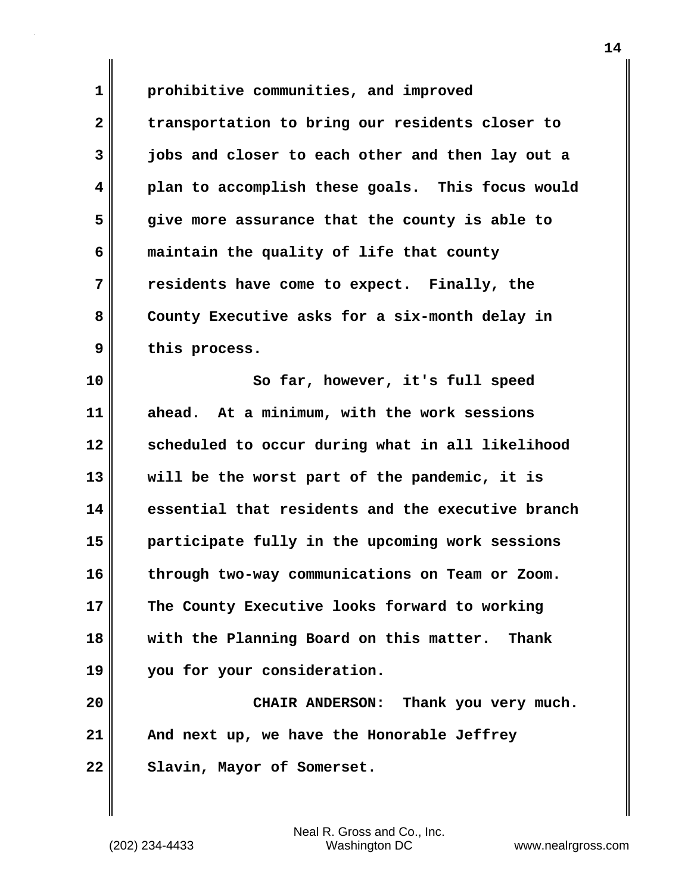**1 prohibitive communities, and improved 2 transportation to bring our residents closer to 3 jobs and closer to each other and then lay out a 4 plan to accomplish these goals. This focus would 5 give more assurance that the county is able to 6 maintain the quality of life that county 7 residents have come to expect. Finally, the 8 County Executive asks for a six-month delay in 9 this process.**

**10 So far, however, it's full speed 11 ahead. At a minimum, with the work sessions 12 scheduled to occur during what in all likelihood 13 will be the worst part of the pandemic, it is 14 essential that residents and the executive branch 15 participate fully in the upcoming work sessions 16 through two-way communications on Team or Zoom. 17 The County Executive looks forward to working 18 with the Planning Board on this matter. Thank 19 you for your consideration.**

**20 CHAIR ANDERSON: Thank you very much. 21 And next up, we have the Honorable Jeffrey** 22 Slavin, Mayor of Somerset.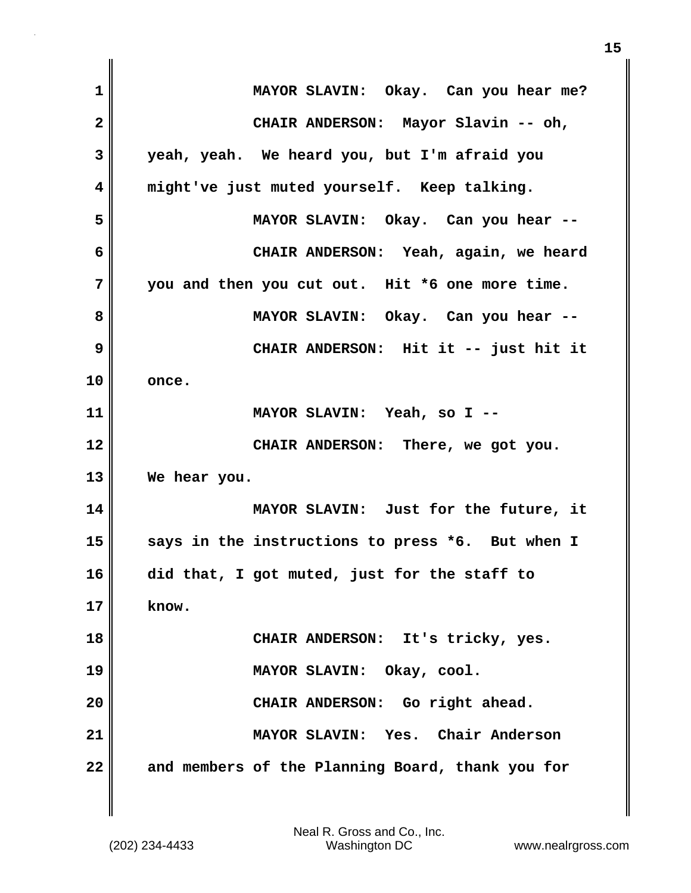| $\mathbf 1$  | MAYOR SLAVIN: Okay. Can you hear me?             |
|--------------|--------------------------------------------------|
| $\mathbf{2}$ | CHAIR ANDERSON: Mayor Slavin -- oh,              |
| 3            | yeah, yeah. We heard you, but I'm afraid you     |
| 4            | might've just muted yourself. Keep talking.      |
| 5            | MAYOR SLAVIN: Okay. Can you hear --              |
| 6            | CHAIR ANDERSON: Yeah, again, we heard            |
| 7            | you and then you cut out. Hit *6 one more time.  |
| 8            | MAYOR SLAVIN: Okay. Can you hear --              |
| 9            | CHAIR ANDERSON: Hit it -- just hit it            |
| 10           | once.                                            |
| 11           | MAYOR SLAVIN: Yeah, so I --                      |
| 12           | CHAIR ANDERSON: There, we got you.               |
| 13           | We hear you.                                     |
| 14           | MAYOR SLAVIN: Just for the future, it            |
| 15           | says in the instructions to press *6. But when I |
| 16           | did that, I got muted, just for the staff to     |
| 17           | know.                                            |
| 18           | CHAIR ANDERSON: It's tricky, yes.                |
| 19           | MAYOR SLAVIN: Okay, cool.                        |
| 20           | CHAIR ANDERSON: Go right ahead.                  |
| 21           | MAYOR SLAVIN: Yes. Chair Anderson                |
| 22           | and members of the Planning Board, thank you for |

 $\mathbf{I}$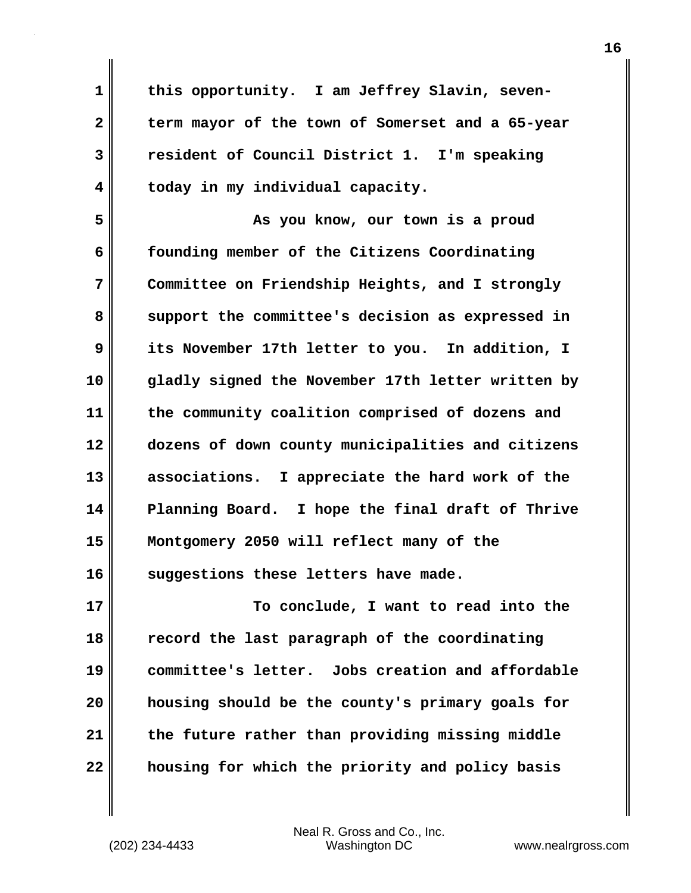**1 this opportunity. I am Jeffrey Slavin, seven-2 term mayor of the town of Somerset and a 65-year 3 resident of Council District 1. I'm speaking 4 today in my individual capacity.**

**5 As you know, our town is a proud 6 founding member of the Citizens Coordinating 7 Committee on Friendship Heights, and I strongly 8 support the committee's decision as expressed in 9 its November 17th letter to you. In addition, I 10 gladly signed the November 17th letter written by 11 the community coalition comprised of dozens and 12 dozens of down county municipalities and citizens 13 associations. I appreciate the hard work of the 14 Planning Board. I hope the final draft of Thrive 15 Montgomery 2050 will reflect many of the 16 suggestions these letters have made.**

**17 To conclude, I want to read into the 18 record the last paragraph of the coordinating 19 committee's letter. Jobs creation and affordable 20 housing should be the county's primary goals for 21 the future rather than providing missing middle 22 housing for which the priority and policy basis**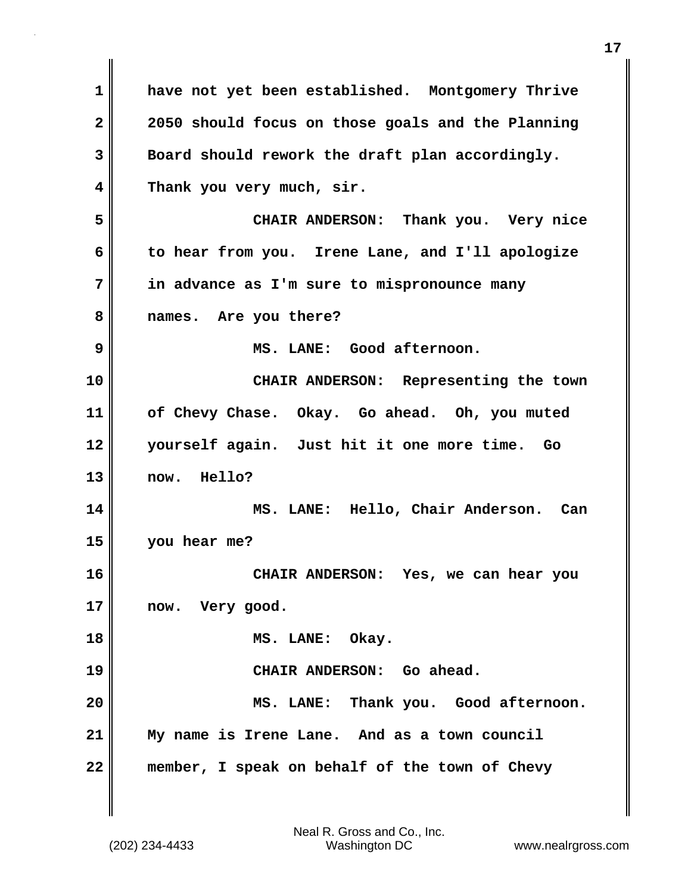**1 have not yet been established. Montgomery Thrive 2 2050 should focus on those goals and the Planning 3 Board should rework the draft plan accordingly. 4 Thank you very much, sir. 5 CHAIR ANDERSON: Thank you. Very nice 6 to hear from you. Irene Lane, and I'll apologize 7 in advance as I'm sure to mispronounce many 8 names. Are you there? 9 MS. LANE: Good afternoon. 10 CHAIR ANDERSON: Representing the town 11 of Chevy Chase. Okay. Go ahead. Oh, you muted 12 yourself again. Just hit it one more time. Go 13 now. Hello? 14 MS. LANE: Hello, Chair Anderson. Can 15 you hear me? 16 CHAIR ANDERSON: Yes, we can hear you 17 now. Very good. 18 MS. LANE: Okay. 19 CHAIR ANDERSON: Go ahead. 20 MS. LANE: Thank you. Good afternoon. 21 My name is Irene Lane. And as a town council 22 member, I speak on behalf of the town of Chevy**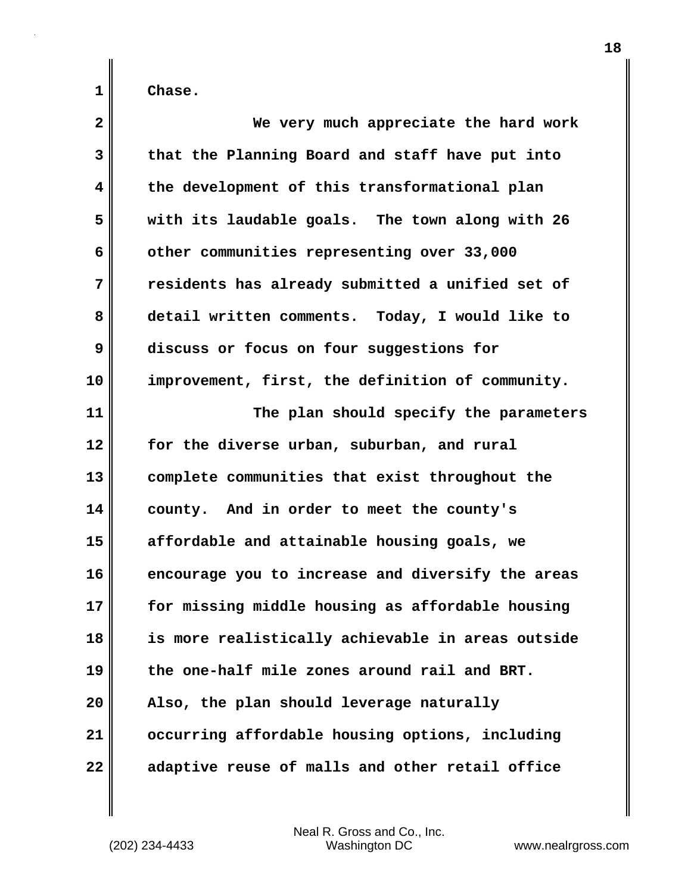| $\overline{\mathbf{2}}$ | We very much appreciate the hard work             |
|-------------------------|---------------------------------------------------|
| 3                       | that the Planning Board and staff have put into   |
| 4                       | the development of this transformational plan     |
| 5                       | with its laudable goals. The town along with 26   |
| 6                       | other communities representing over 33,000        |
| 7                       | residents has already submitted a unified set of  |
| 8                       | detail written comments. Today, I would like to   |
| 9                       | discuss or focus on four suggestions for          |
| 10                      | improvement, first, the definition of community.  |
| 11                      | The plan should specify the parameters            |
| 12                      | for the diverse urban, suburban, and rural        |
| 13                      | complete communities that exist throughout the    |
| 14                      | county. And in order to meet the county's         |
| 15                      | affordable and attainable housing goals, we       |
| 16                      | encourage you to increase and diversify the areas |
| 17                      | for missing middle housing as affordable housing  |
| 18                      | is more realistically achievable in areas outside |
| 19                      | the one-half mile zones around rail and BRT.      |
| 20                      | Also, the plan should leverage naturally          |
| 21                      | occurring affordable housing options, including   |
| 22                      | adaptive reuse of malls and other retail office   |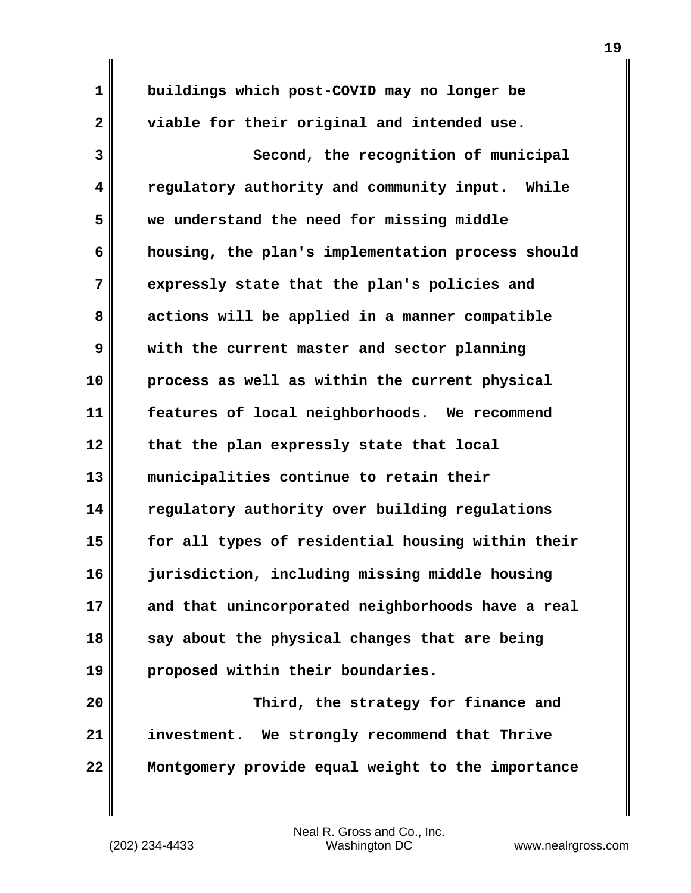**1 buildings which post-COVID may no longer be 2 viable for their original and intended use. 3** Second, the recognition of municipal **4 regulatory authority and community input. While 5 we understand the need for missing middle 6 housing, the plan's implementation process should 7 expressly state that the plan's policies and 8 actions will be applied in a manner compatible 9 with the current master and sector planning 10 process as well as within the current physical 11 features of local neighborhoods. We recommend 12 that the plan expressly state that local 13 municipalities continue to retain their 14 regulatory authority over building regulations 15 for all types of residential housing within their 16 jurisdiction, including missing middle housing 17 and that unincorporated neighborhoods have a real 18 say about the physical changes that are being 19 proposed within their boundaries. 20 Third, the strategy for finance and 21 investment. We strongly recommend that Thrive**

**22 Montgomery provide equal weight to the importance**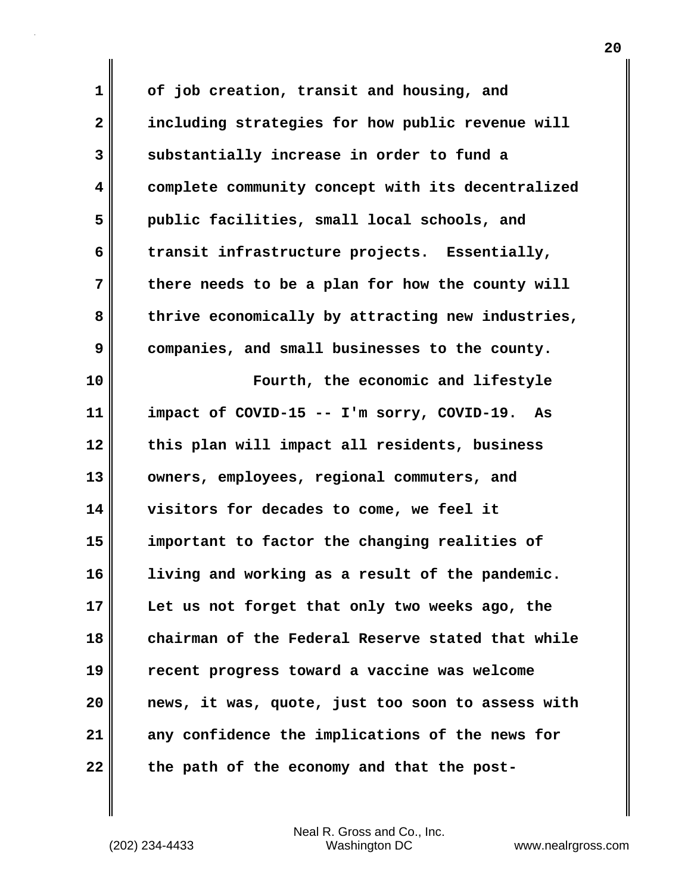**1 of job creation, transit and housing, and 2 including strategies for how public revenue will 3 substantially increase in order to fund a 4 complete community concept with its decentralized 5 public facilities, small local schools, and 6 transit infrastructure projects. Essentially, 7 there needs to be a plan for how the county will 8 thrive economically by attracting new industries, 9 companies, and small businesses to the county. 10 Fourth, the economic and lifestyle 11 impact of COVID-15 -- I'm sorry, COVID-19. As 12 this plan will impact all residents, business 13 owners, employees, regional commuters, and 14 visitors for decades to come, we feel it 15 important to factor the changing realities of 16 living and working as a result of the pandemic. 17 Let us not forget that only two weeks ago, the 18 chairman of the Federal Reserve stated that while 19 recent progress toward a vaccine was welcome 20 news, it was, quote, just too soon to assess with 21 any confidence the implications of the news for 22 the path of the economy and that the post-**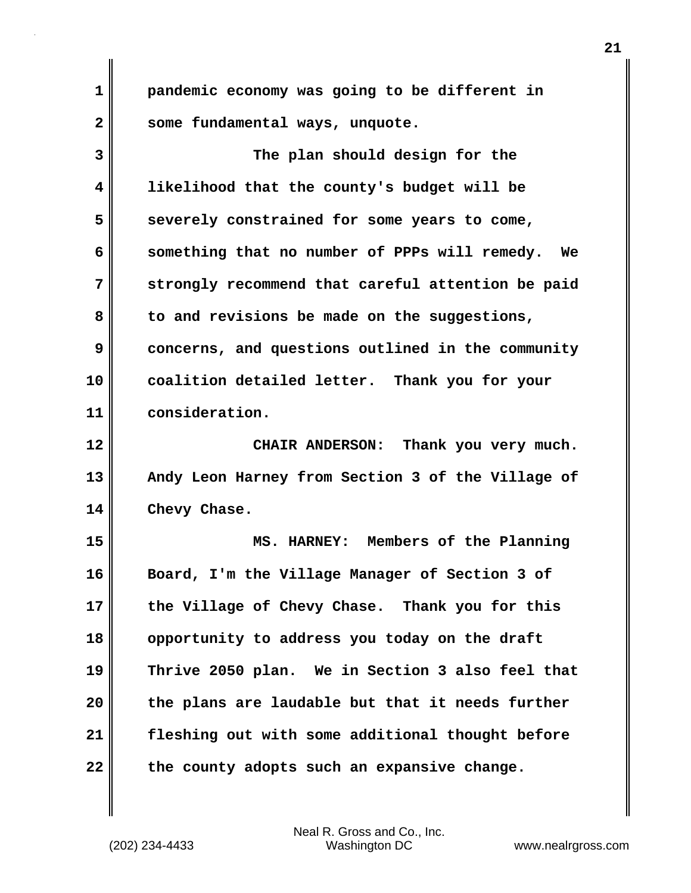**1 pandemic economy was going to be different in 2 some fundamental ways, unquote.**

**3 The plan should design for the 4 likelihood that the county's budget will be 5 severely constrained for some years to come, 6 something that no number of PPPs will remedy. We 7 strongly recommend that careful attention be paid 8 to and revisions be made on the suggestions, 9 concerns, and questions outlined in the community 10 coalition detailed letter. Thank you for your 11 consideration.**

**12 CHAIR ANDERSON: Thank you very much. 13 Andy Leon Harney from Section 3 of the Village of 14 Chevy Chase.**

**15 MS. HARNEY: Members of the Planning 16 Board, I'm the Village Manager of Section 3 of 17 the Village of Chevy Chase. Thank you for this 18 opportunity to address you today on the draft 19 Thrive 2050 plan. We in Section 3 also feel that 20 the plans are laudable but that it needs further 21 fleshing out with some additional thought before 22 the county adopts such an expansive change.**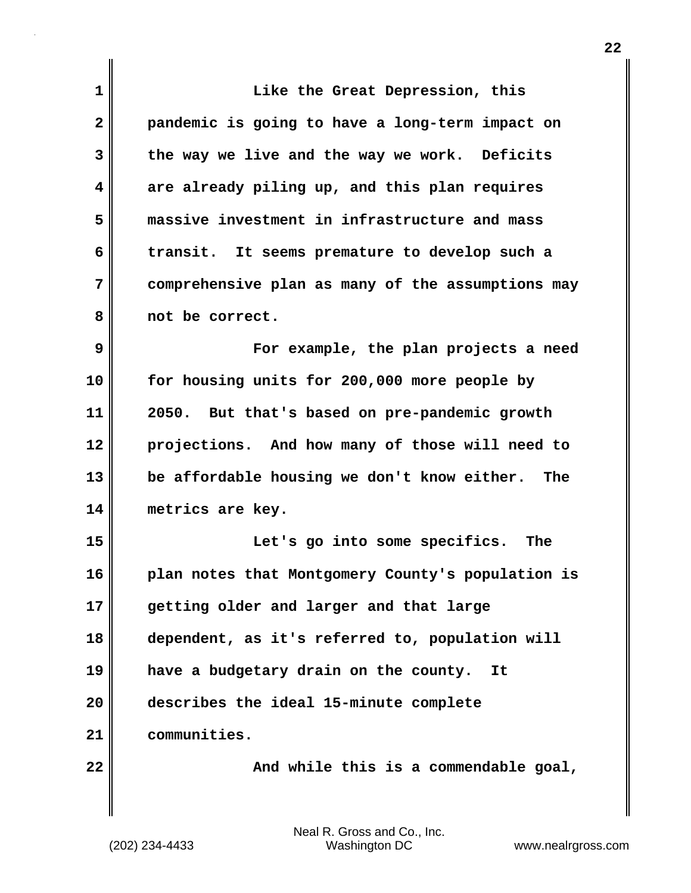| 1            | Like the Great Depression, this                    |
|--------------|----------------------------------------------------|
| $\mathbf{2}$ | pandemic is going to have a long-term impact on    |
| 3            | the way we live and the way we work. Deficits      |
| 4            | are already piling up, and this plan requires      |
| 5            | massive investment in infrastructure and mass      |
| 6            | It seems premature to develop such a<br>transit.   |
| 7            | comprehensive plan as many of the assumptions may  |
| 8            | not be correct.                                    |
| 9            | For example, the plan projects a need              |
| 10           | for housing units for 200,000 more people by       |
| 11           | 2050.<br>But that's based on pre-pandemic growth   |
| 12           | projections. And how many of those will need to    |
| 13           | be affordable housing we don't know either.<br>The |
| 14           | metrics are key.                                   |
| 15           | Let's go into some specifics.<br>The               |
| 16           | plan notes that Montgomery County's population is  |
| 17           | getting older and larger and that large            |
| 18           | dependent, as it's referred to, population will    |
| 19           | have a budgetary drain on the county.<br>It        |
| 20           | describes the ideal 15-minute complete             |
| 21           | communities.                                       |
| 22           | And while this is a commendable goal,              |

 $\mathbf{I}$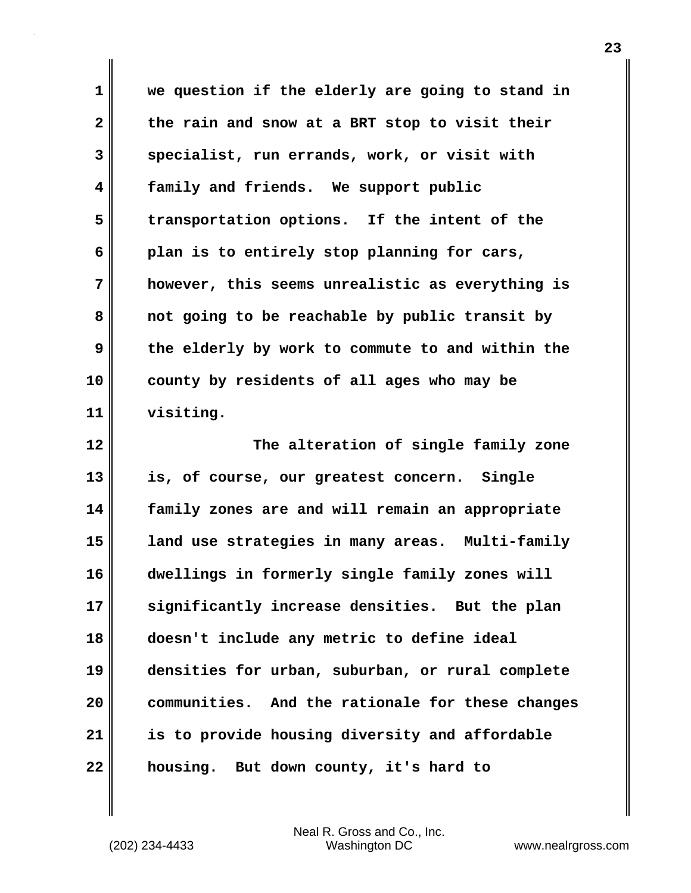**1 we question if the elderly are going to stand in 2 the rain and snow at a BRT stop to visit their 3 specialist, run errands, work, or visit with 4 family and friends. We support public 5 transportation options. If the intent of the 6 plan is to entirely stop planning for cars, 7 however, this seems unrealistic as everything is 8 not going to be reachable by public transit by 9 the elderly by work to commute to and within the 10 county by residents of all ages who may be 11 visiting. 12 The alteration of single family zone 13 is, of course, our greatest concern. Single 14 family zones are and will remain an appropriate 15 land use strategies in many areas. Multi-family**

**16 dwellings in formerly single family zones will 17 significantly increase densities. But the plan 18 doesn't include any metric to define ideal 19 densities for urban, suburban, or rural complete 20 communities. And the rationale for these changes 21 is to provide housing diversity and affordable 22 housing. But down county, it's hard to**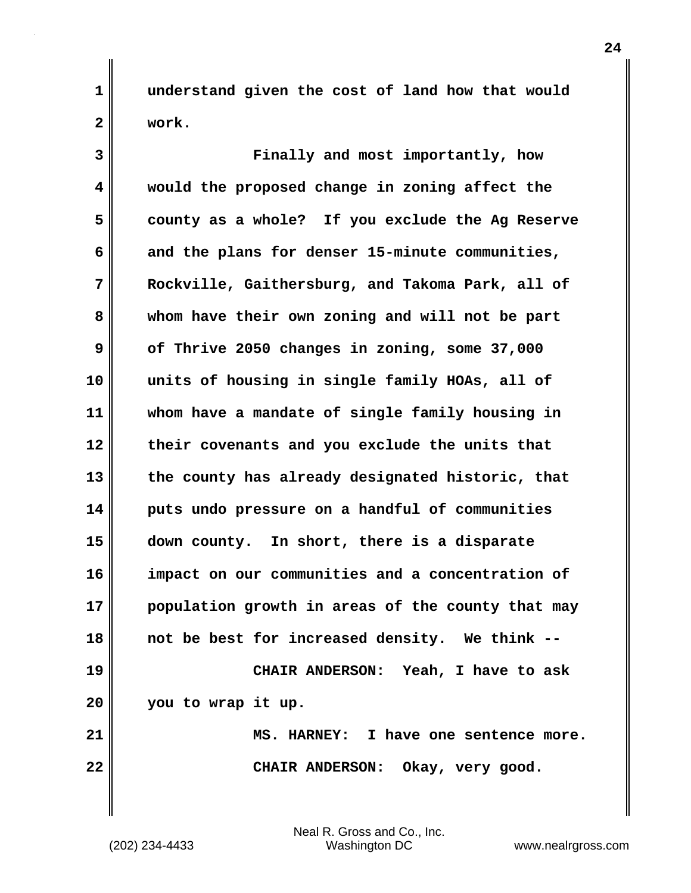**1 understand given the cost of land how that would 2 work.**

**3 Finally and most importantly, how 4 would the proposed change in zoning affect the 5 county as a whole? If you exclude the Ag Reserve 6 and the plans for denser 15-minute communities, 7 Rockville, Gaithersburg, and Takoma Park, all of 8 whom have their own zoning and will not be part 9 of Thrive 2050 changes in zoning, some 37,000 10 units of housing in single family HOAs, all of 11 whom have a mandate of single family housing in 12 their covenants and you exclude the units that 13 the county has already designated historic, that 14 puts undo pressure on a handful of communities 15 down county. In short, there is a disparate 16 impact on our communities and a concentration of 17 population growth in areas of the county that may 18 not be best for increased density. We think -- 19 CHAIR ANDERSON: Yeah, I have to ask 20 you to wrap it up. 21 MS. HARNEY: I have one sentence more.** 22 || CHAIR ANDERSON: Okay, very good.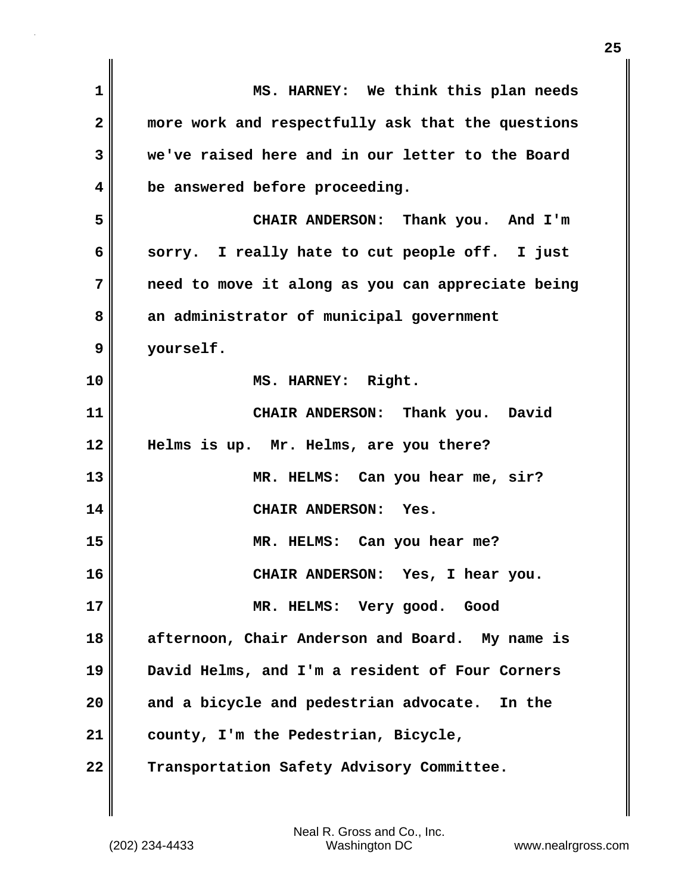**1 MS. HARNEY: We think this plan needs 2 more work and respectfully ask that the questions 3 we've raised here and in our letter to the Board 4 be answered before proceeding. 5 CHAIR ANDERSON: Thank you. And I'm 6 sorry. I really hate to cut people off. I just 7 need to move it along as you can appreciate being** 8 an administrator of municipal government **9 yourself. 10 MS. HARNEY: Right. 11 CHAIR ANDERSON: Thank you. David 12 Helms is up. Mr. Helms, are you there? 13 MR. HELMS: Can you hear me, sir? 14 CHAIR ANDERSON: Yes. 15 MR. HELMS: Can you hear me? 16 CHAIR ANDERSON: Yes, I hear you. 17 MR. HELMS: Very good. Good 18 afternoon, Chair Anderson and Board. My name is 19 David Helms, and I'm a resident of Four Corners 20 and a bicycle and pedestrian advocate. In the 21 county, I'm the Pedestrian, Bicycle, 22 Transportation Safety Advisory Committee.**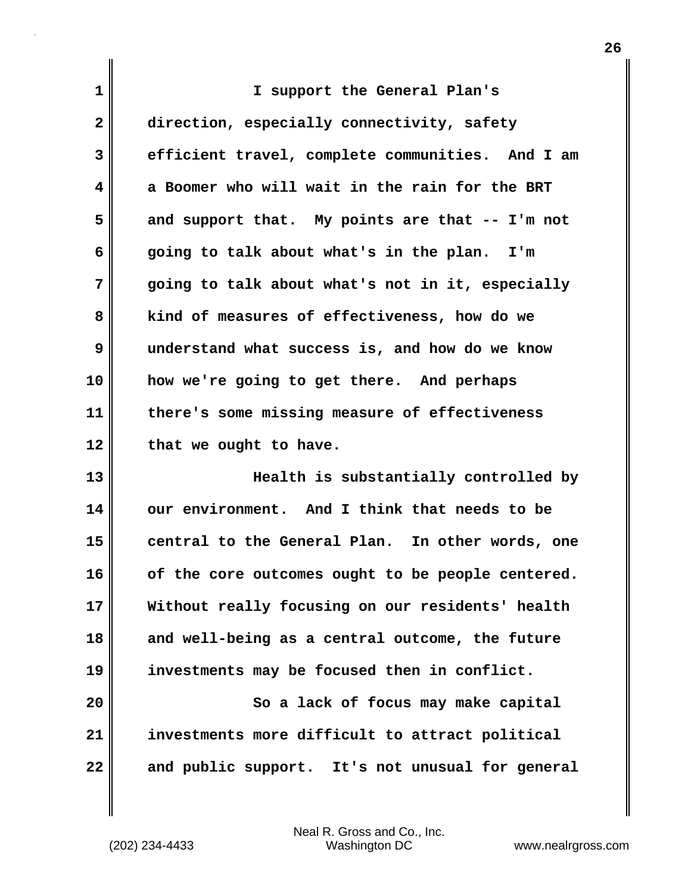| $\mathbf 1$             | I support the General Plan's                                                                 |
|-------------------------|----------------------------------------------------------------------------------------------|
| $\mathbf{2}$            | direction, especially connectivity, safety                                                   |
| 3                       | efficient travel, complete communities. And I am                                             |
| $\overline{\mathbf{4}}$ | a Boomer who will wait in the rain for the BRT                                               |
| 5                       | and support that. My points are that -- I'm not                                              |
| 6                       | going to talk about what's in the plan. I'm                                                  |
| 7                       | going to talk about what's not in it, especially                                             |
| 8                       | kind of measures of effectiveness, how do we                                                 |
| 9                       | understand what success is, and how do we know                                               |
| 10                      | how we're going to get there. And perhaps                                                    |
| 11                      | there's some missing measure of effectiveness                                                |
| 12                      | that we ought to have.                                                                       |
| 13                      | Health is substantially controlled by                                                        |
| 14                      | our environment. And I think that needs to be                                                |
| 15                      | central to the General Plan. In other words, one                                             |
| $\sim$                  | المنطا الطامة ووجاد المتمام وسنطرق<br>.e it.<br>$\mathbf{L}$ and $\mathbf{L}$<br>تمطمون مائر |

**16 of the core outcomes ought to be people centered. 17 Without really focusing on our residents' health 18 and well-being as a central outcome, the future 19 investments may be focused then in conflict.**

20 || So a lack of focus may make capital **21 investments more difficult to attract political 22 and public support. It's not unusual for general**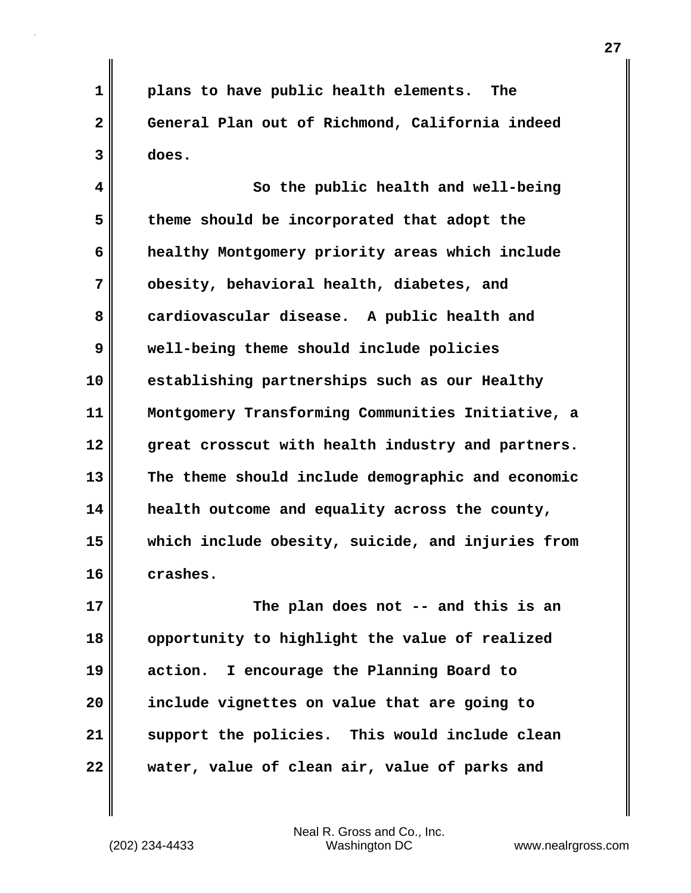**1 plans to have public health elements. The 2 General Plan out of Richmond, California indeed 3 does.**

**4 So the public health and well-being 5 theme should be incorporated that adopt the 6 healthy Montgomery priority areas which include 7 obesity, behavioral health, diabetes, and 8 cardiovascular disease. A public health and 9 well-being theme should include policies 10 establishing partnerships such as our Healthy 11 Montgomery Transforming Communities Initiative, a 12 great crosscut with health industry and partners. 13 The theme should include demographic and economic 14 health outcome and equality across the county, 15 which include obesity, suicide, and injuries from 16 crashes.**

**17 The plan does not -- and this is an 18 opportunity to highlight the value of realized 19 action. I encourage the Planning Board to 20 include vignettes on value that are going to 21 support the policies. This would include clean 22 water, value of clean air, value of parks and**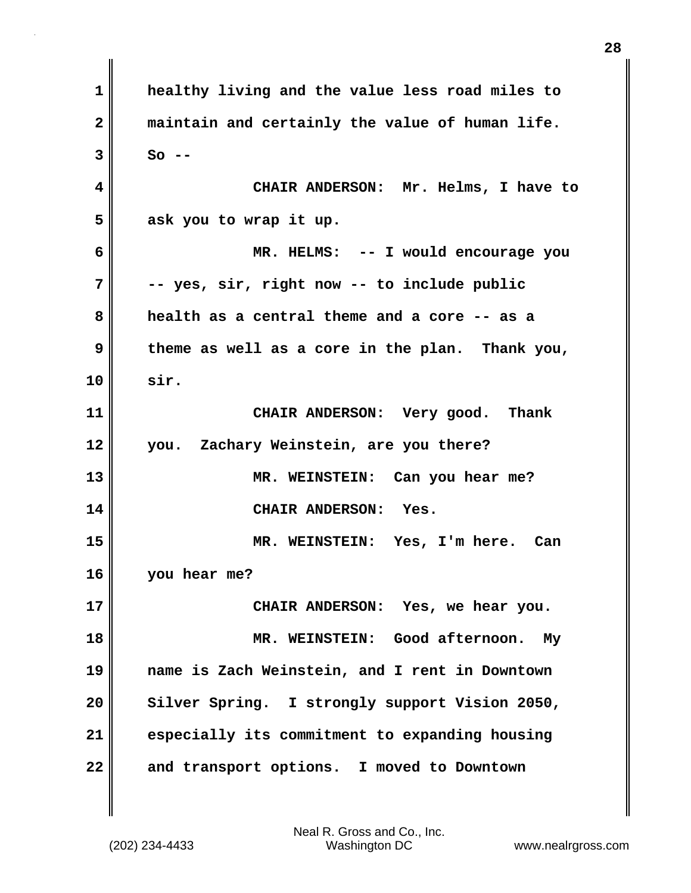**1 healthy living and the value less road miles to 2 maintain and certainly the value of human life. 3 So -- 4 CHAIR ANDERSON: Mr. Helms, I have to 5 ask you to wrap it up. 6 MR. HELMS: -- I would encourage you 7 -- yes, sir, right now -- to include public 8 health as a central theme and a core -- as a 9 theme as well as a core in the plan. Thank you, 10 sir. 11 CHAIR ANDERSON: Very good. Thank 12 you. Zachary Weinstein, are you there? 13 MR. WEINSTEIN: Can you hear me? 14 CHAIR ANDERSON: Yes. 15 MR. WEINSTEIN: Yes, I'm here. Can 16 you hear me? 17 CHAIR ANDERSON: Yes, we hear you. 18 MR. WEINSTEIN: Good afternoon. My 19 name is Zach Weinstein, and I rent in Downtown** 20 Silver Spring. I strongly support Vision 2050, **21 especially its commitment to expanding housing 22 and transport options. I moved to Downtown**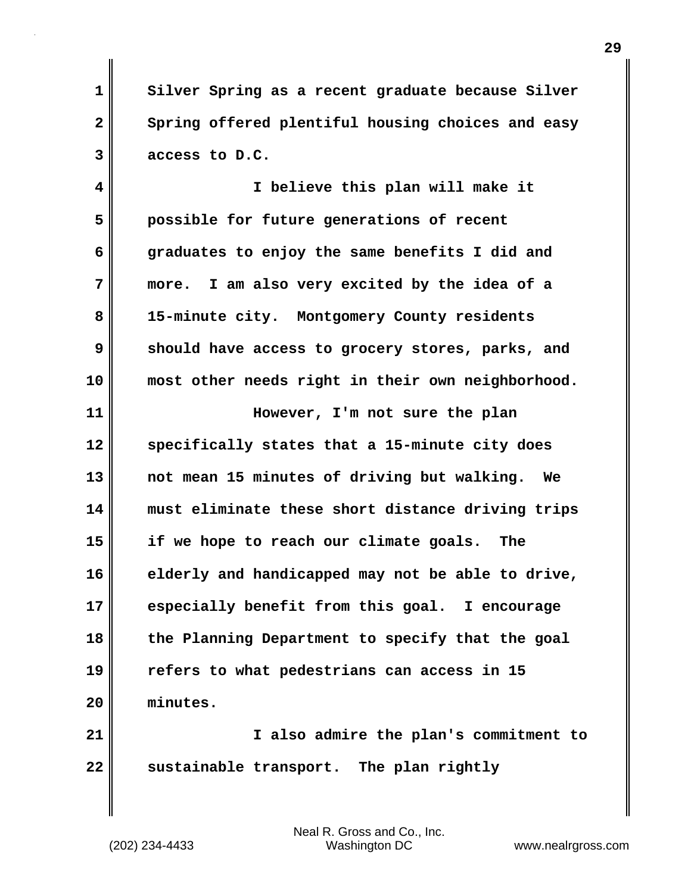**1 Silver Spring as a recent graduate because Silver** 2 Spring offered plentiful housing choices and easy **3 access to D.C.**

**4 I believe this plan will make it 5 possible for future generations of recent 6 graduates to enjoy the same benefits I did and 7 more. I am also very excited by the idea of a 8 15-minute city. Montgomery County residents 9 should have access to grocery stores, parks, and 10 most other needs right in their own neighborhood.**

**11 However, I'm not sure the plan 12 specifically states that a 15-minute city does 13 not mean 15 minutes of driving but walking. We 14 must eliminate these short distance driving trips 15 if we hope to reach our climate goals. The 16 elderly and handicapped may not be able to drive, 17 especially benefit from this goal. I encourage 18 the Planning Department to specify that the goal 19 refers to what pedestrians can access in 15 20 minutes.**

**21 I also admire the plan's commitment to** 22 sustainable transport. The plan rightly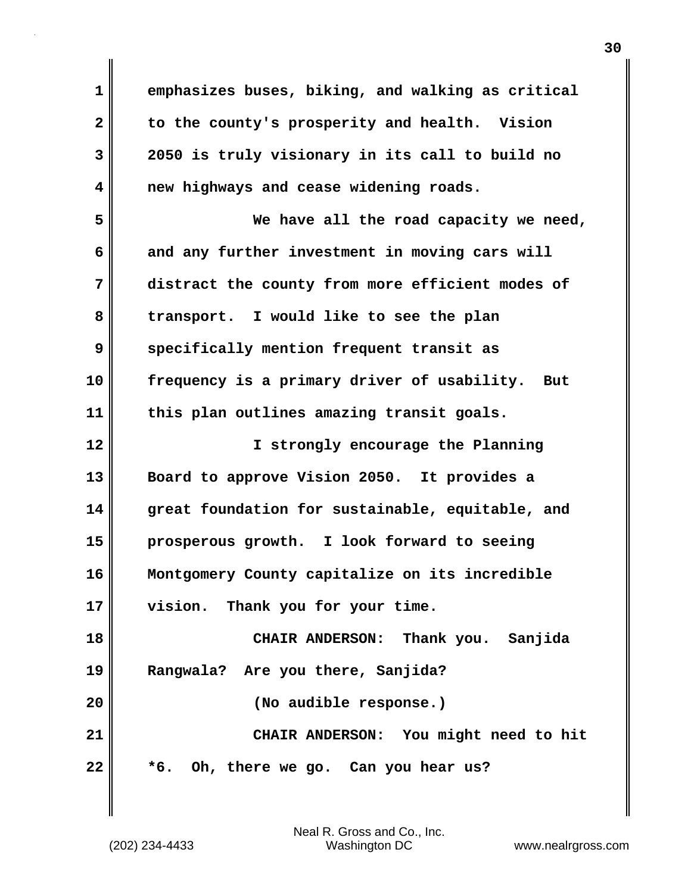**1 emphasizes buses, biking, and walking as critical 2 to the county's prosperity and health. Vision 3 2050 is truly visionary in its call to build no 4 new highways and cease widening roads. 5 We have all the road capacity we need, 6 and any further investment in moving cars will 7 distract the county from more efficient modes of 8 transport. I would like to see the plan 9 specifically mention frequent transit as 10 frequency is a primary driver of usability. But 11 this plan outlines amazing transit goals. 12 I strongly encourage the Planning 13 Board to approve Vision 2050. It provides a 14 great foundation for sustainable, equitable, and 15 prosperous growth. I look forward to seeing 16 Montgomery County capitalize on its incredible 17 vision. Thank you for your time. 18 CHAIR ANDERSON: Thank you. Sanjida 19 Rangwala? Are you there, Sanjida? 20 (No audible response.) 21 CHAIR ANDERSON: You might need to hit 22 \*6. Oh, there we go. Can you hear us?**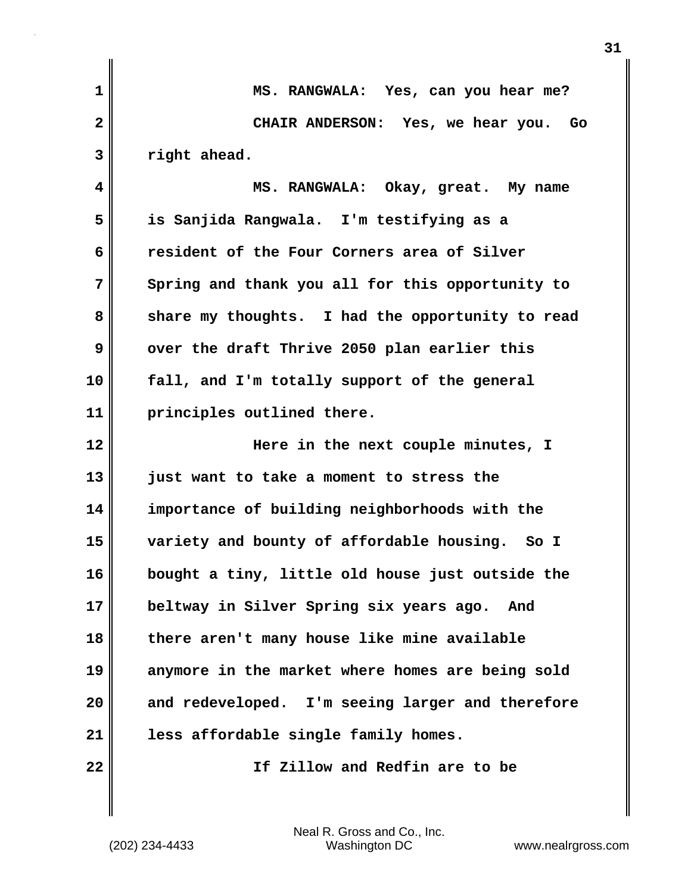| $\mathbf{1}$ | MS. RANGWALA: Yes, can you hear me?              |
|--------------|--------------------------------------------------|
| $\mathbf{2}$ | CHAIR ANDERSON: Yes, we hear you.<br>Go          |
| 3            | right ahead.                                     |
| 4            | MS. RANGWALA: Okay, great. My name               |
| 5            | is Sanjida Rangwala. I'm testifying as a         |
| 6            | resident of the Four Corners area of Silver      |
| 7            | Spring and thank you all for this opportunity to |
| 8            | share my thoughts. I had the opportunity to read |
| 9            | over the draft Thrive 2050 plan earlier this     |
| 10           | fall, and I'm totally support of the general     |
| 11           | principles outlined there.                       |
| 12           | Here in the next couple minutes, I               |
| 13           | just want to take a moment to stress the         |
| 14           | importance of building neighborhoods with the    |
| 15           | variety and bounty of affordable housing. So I   |
| 16           | bought a tiny, little old house just outside the |
| 17           | beltway in Silver Spring six years ago.<br>And   |
| 18           | there aren't many house like mine available      |
| 19           | anymore in the market where homes are being sold |
| 20           | and redeveloped. I'm seeing larger and therefore |
| 21           | less affordable single family homes.             |
| 22           | If Zillow and Redfin are to be                   |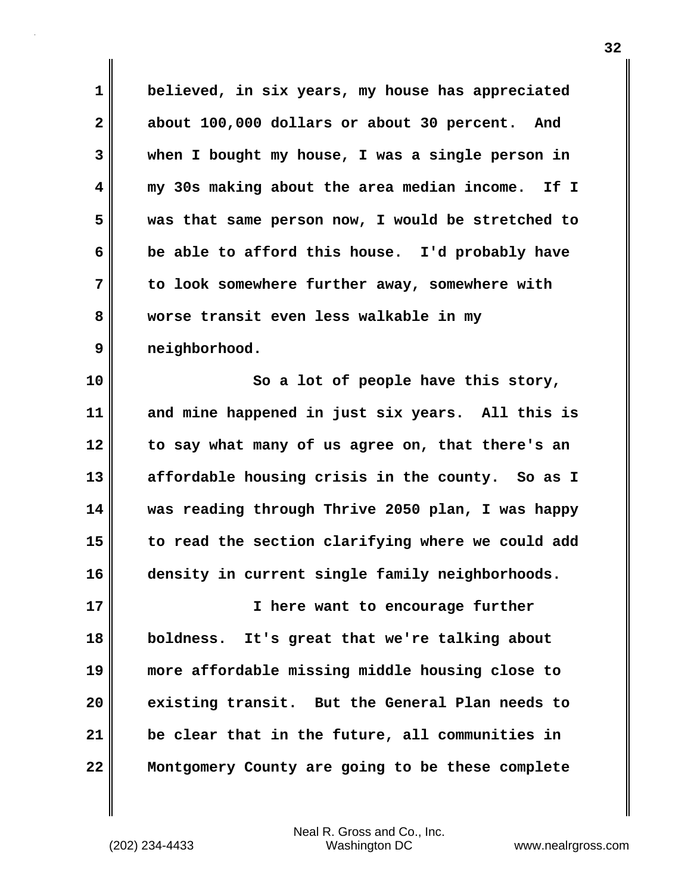**1 believed, in six years, my house has appreciated 2 about 100,000 dollars or about 30 percent. And 3 when I bought my house, I was a single person in 4 my 30s making about the area median income. If I 5 was that same person now, I would be stretched to 6 be able to afford this house. I'd probably have 7 to look somewhere further away, somewhere with 8 worse transit even less walkable in my 9 neighborhood.**

**10 So a lot of people have this story, 11 and mine happened in just six years. All this is 12 to say what many of us agree on, that there's an 13 affordable housing crisis in the county. So as I 14 was reading through Thrive 2050 plan, I was happy 15 to read the section clarifying where we could add 16 density in current single family neighborhoods.**

**17 I here want to encourage further 18 boldness. It's great that we're talking about 19 more affordable missing middle housing close to 20 existing transit. But the General Plan needs to 21 be clear that in the future, all communities in 22 Montgomery County are going to be these complete**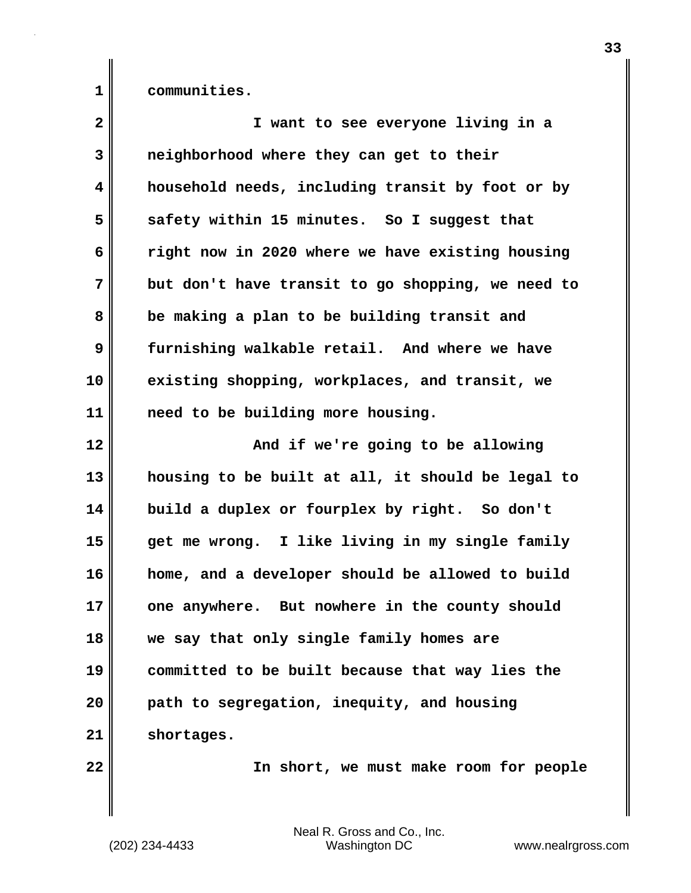**1 communities.**

| $\overline{\mathbf{2}}$ | I want to see everyone living in a                |
|-------------------------|---------------------------------------------------|
| 3                       | neighborhood where they can get to their          |
| $\overline{\mathbf{4}}$ | household needs, including transit by foot or by  |
| 5                       | safety within 15 minutes. So I suggest that       |
| 6                       | right now in 2020 where we have existing housing  |
| 7                       | but don't have transit to go shopping, we need to |
| 8                       | be making a plan to be building transit and       |
| 9                       | furnishing walkable retail. And where we have     |
| 10                      | existing shopping, workplaces, and transit, we    |
| 11                      | need to be building more housing.                 |
| 12                      | And if we're going to be allowing                 |
| 13                      | housing to be built at all, it should be legal to |
| 14                      | build a duplex or fourplex by right. So don't     |
| 15                      | get me wrong. I like living in my single family   |
| 16                      | home, and a developer should be allowed to build  |
| 17                      | one anywhere. But nowhere in the county should    |
| 18                      | we say that only single family homes are          |
| 19                      | committed to be built because that way lies the   |
| 20                      | path to segregation, inequity, and housing        |
| 21                      | shortages.                                        |
| 22                      | In short, we must make room for people            |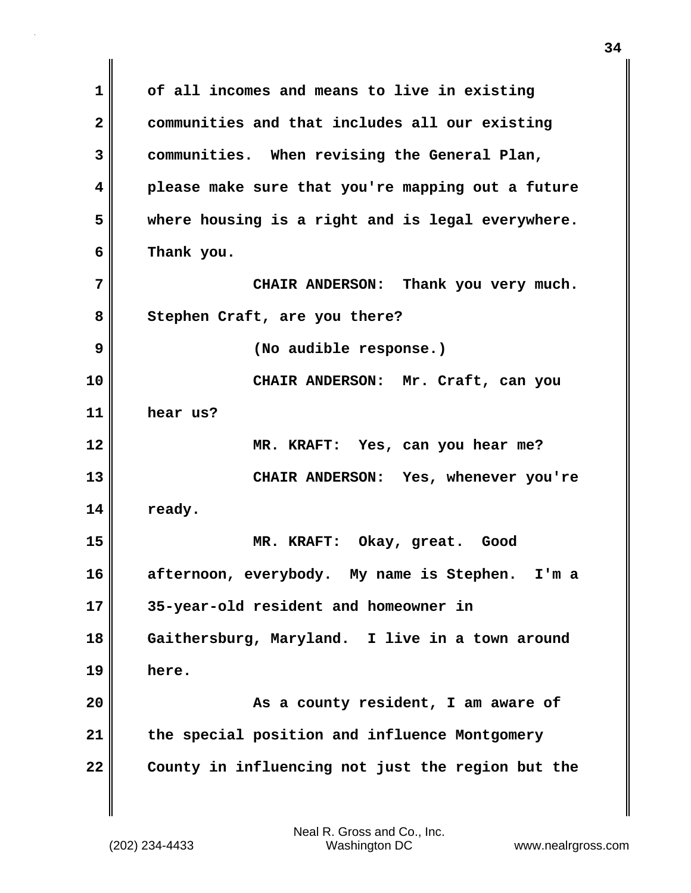**1 of all incomes and means to live in existing 2 communities and that includes all our existing 3 communities. When revising the General Plan, 4 please make sure that you're mapping out a future 5 where housing is a right and is legal everywhere. 6 Thank you. 7 CHAIR ANDERSON: Thank you very much. 8 Stephen Craft, are you there? 9 (No audible response.) 10 CHAIR ANDERSON: Mr. Craft, can you 11 hear us? 12 MR. KRAFT: Yes, can you hear me? 13 CHAIR ANDERSON: Yes, whenever you're 14 ready. 15 MR. KRAFT: Okay, great. Good 16 afternoon, everybody. My name is Stephen. I'm a 17 35-year-old resident and homeowner in 18 Gaithersburg, Maryland. I live in a town around 19 here. 20 As a county resident, I am aware of 21 the special position and influence Montgomery 22 County in influencing not just the region but the**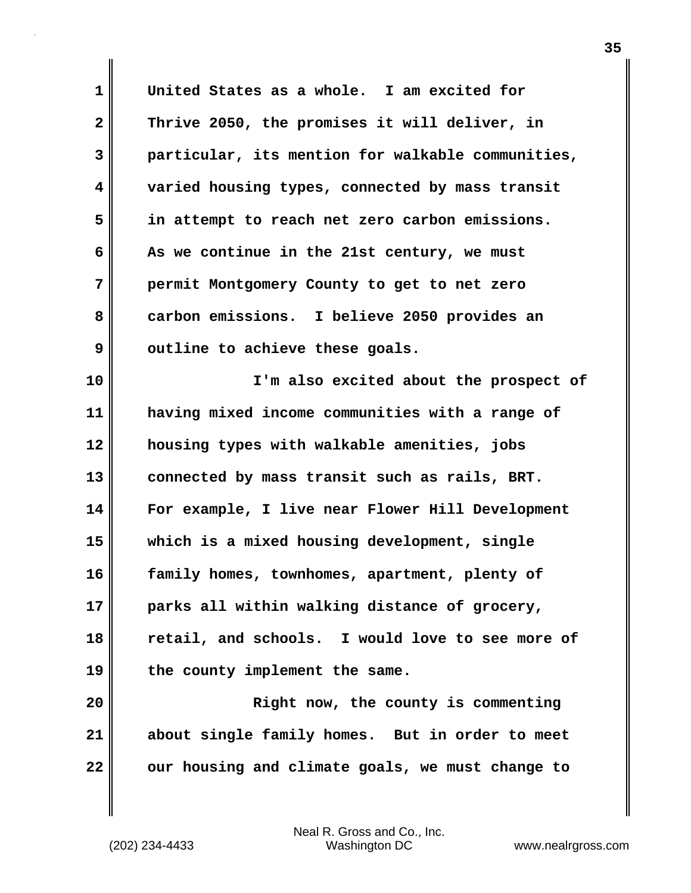**1 United States as a whole. I am excited for 2 Thrive 2050, the promises it will deliver, in 3 particular, its mention for walkable communities, 4 varied housing types, connected by mass transit 5 in attempt to reach net zero carbon emissions. 6 As we continue in the 21st century, we must 7 permit Montgomery County to get to net zero 8 carbon emissions. I believe 2050 provides an 9** outline to achieve these goals. **10 I'm also excited about the prospect of 11 having mixed income communities with a range of 12 housing types with walkable amenities, jobs 13 connected by mass transit such as rails, BRT. 14 For example, I live near Flower Hill Development 15 which is a mixed housing development, single 16 family homes, townhomes, apartment, plenty of 17 parks all within walking distance of grocery, 18 retail, and schools. I would love to see more of 19 the county implement the same. 20 Right now, the county is commenting 21 about single family homes. But in order to meet 22 our housing and climate goals, we must change to**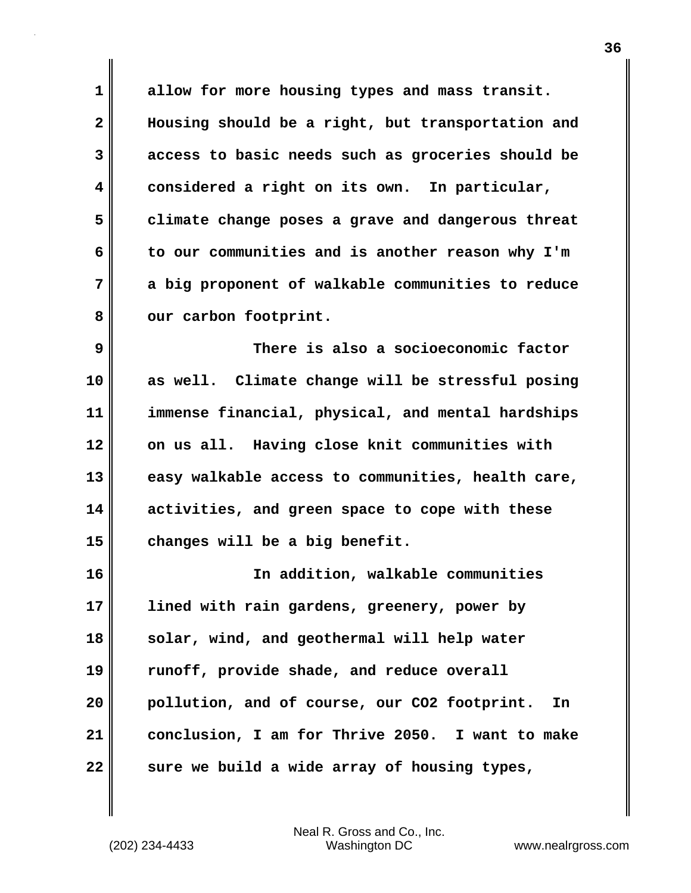**1 allow for more housing types and mass transit. 2 Housing should be a right, but transportation and 3 access to basic needs such as groceries should be 4 considered a right on its own. In particular, 5 climate change poses a grave and dangerous threat 6 to our communities and is another reason why I'm 7 a big proponent of walkable communities to reduce** 8 our carbon footprint.

**9 There is also a socioeconomic factor 10 as well. Climate change will be stressful posing 11 immense financial, physical, and mental hardships 12 on us all. Having close knit communities with 13 easy walkable access to communities, health care, 14 activities, and green space to cope with these 15 changes will be a big benefit.**

**16 In addition, walkable communities 17 lined with rain gardens, greenery, power by 18 solar, wind, and geothermal will help water 19 runoff, provide shade, and reduce overall 20 pollution, and of course, our CO2 footprint. In 21 conclusion, I am for Thrive 2050. I want to make 22** sure we build a wide array of housing types,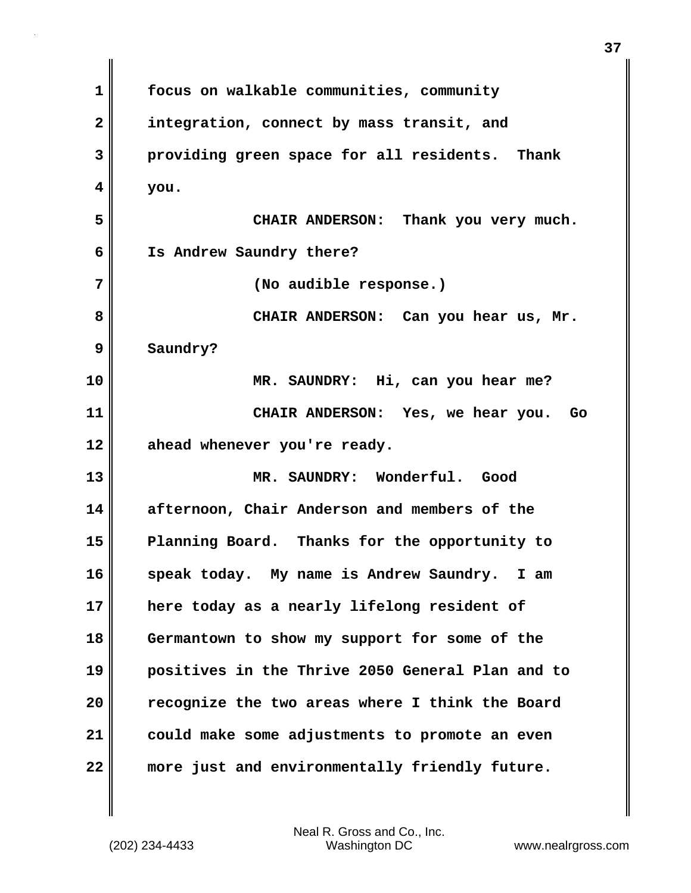**1 focus on walkable communities, community 2 integration, connect by mass transit, and 3 providing green space for all residents. Thank 4 you. 5 CHAIR ANDERSON: Thank you very much. 6 Is Andrew Saundry there? 7 (No audible response.) 8 CHAIR ANDERSON: Can you hear us, Mr. 9 Saundry? 10 MR. SAUNDRY: Hi, can you hear me? 11 CHAIR ANDERSON: Yes, we hear you. Go 12 ahead whenever you're ready. 13 MR. SAUNDRY: Wonderful. Good 14 afternoon, Chair Anderson and members of the 15 Planning Board. Thanks for the opportunity to 16 speak today. My name is Andrew Saundry. I am 17 here today as a nearly lifelong resident of 18 Germantown to show my support for some of the 19 positives in the Thrive 2050 General Plan and to 20 recognize the two areas where I think the Board 21 could make some adjustments to promote an even 22 more just and environmentally friendly future.**

**37**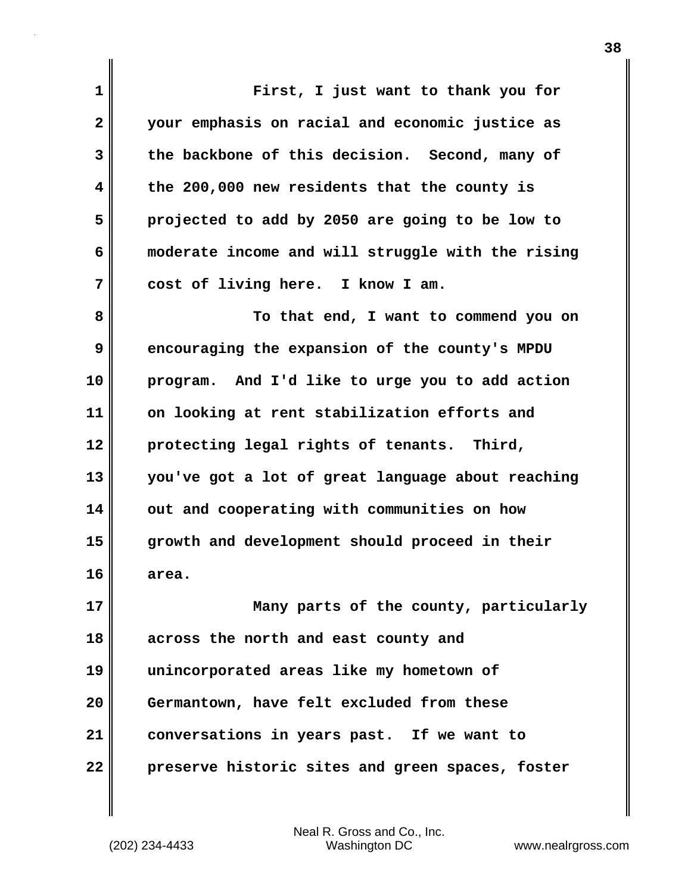**1 First, I just want to thank you for 2 your emphasis on racial and economic justice as 3 the backbone of this decision. Second, many of 4 the 200,000 new residents that the county is 5 projected to add by 2050 are going to be low to 6 moderate income and will struggle with the rising 7 cost of living here. I know I am. 8 To that end, I want to commend you on 9** encouraging the expansion of the county's MPDU **10 program. And I'd like to urge you to add action 11 on looking at rent stabilization efforts and 12 protecting legal rights of tenants. Third, 13 you've got a lot of great language about reaching 14 out and cooperating with communities on how 15 growth and development should proceed in their 16 area. 17 Many parts of the county, particularly 18 across the north and east county and 19 unincorporated areas like my hometown of 20 Germantown, have felt excluded from these 21 conversations in years past. If we want to 22 preserve historic sites and green spaces, foster**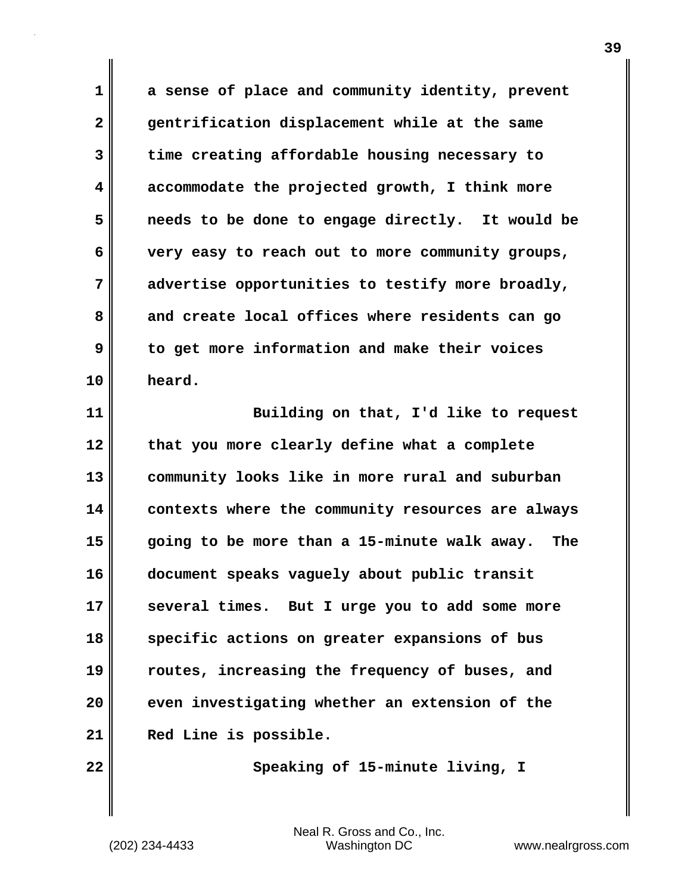**1 a sense of place and community identity, prevent 2 gentrification displacement while at the same 3 time creating affordable housing necessary to 4 accommodate the projected growth, I think more 5 needs to be done to engage directly. It would be 6 very easy to reach out to more community groups, 7 advertise opportunities to testify more broadly, 8 and create local offices where residents can go 9 to get more information and make their voices 10 heard.**

**11 Building on that, I'd like to request 12 that you more clearly define what a complete 13 community looks like in more rural and suburban 14 contexts where the community resources are always 15 going to be more than a 15-minute walk away. The 16 document speaks vaguely about public transit 17 several times. But I urge you to add some more 18 specific actions on greater expansions of bus 19 routes, increasing the frequency of buses, and 20 even investigating whether an extension of the 21 Red Line is possible.**

22 **Conserve Speaking of 15-minute living, I**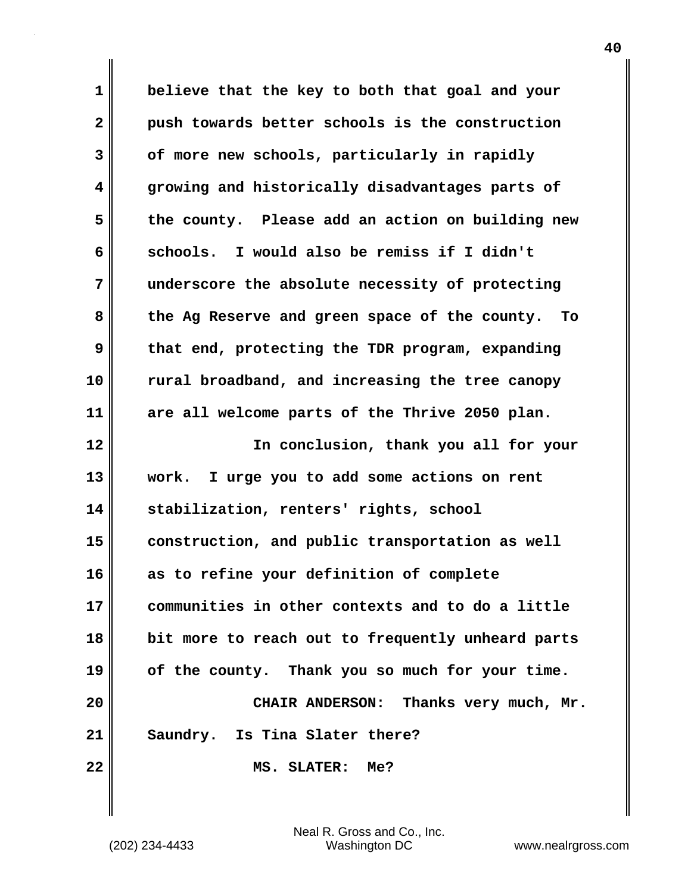**1 believe that the key to both that goal and your 2 push towards better schools is the construction 3 of more new schools, particularly in rapidly 4 growing and historically disadvantages parts of 5 the county. Please add an action on building new 6 schools. I would also be remiss if I didn't 7 underscore the absolute necessity of protecting 8 the Ag Reserve and green space of the county. To 9 that end, protecting the TDR program, expanding 10 rural broadband, and increasing the tree canopy 11 are all welcome parts of the Thrive 2050 plan. 12 In conclusion, thank you all for your 13 work. I urge you to add some actions on rent 14 stabilization, renters' rights, school 15 construction, and public transportation as well 16 as to refine your definition of complete 17 communities in other contexts and to do a little 18 bit more to reach out to frequently unheard parts 19 of the county. Thank you so much for your time. 20 CHAIR ANDERSON: Thanks very much, Mr. 21 Saundry. Is Tina Slater there? 22 MS. SLATER: Me?**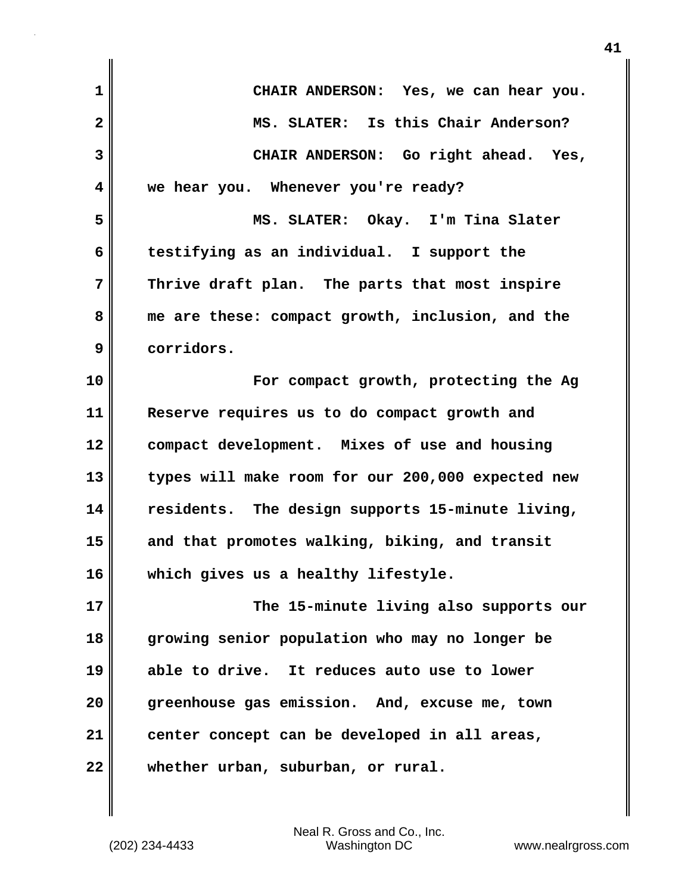**1 CHAIR ANDERSON: Yes, we can hear you. 2 MS. SLATER: Is this Chair Anderson? 3 CHAIR ANDERSON: Go right ahead. Yes, 4 we hear you. Whenever you're ready? 5 MS. SLATER: Okay. I'm Tina Slater 6 testifying as an individual. I support the 7 Thrive draft plan. The parts that most inspire 8 me are these: compact growth, inclusion, and the 9 corridors. 10 For compact growth, protecting the Ag 11 Reserve requires us to do compact growth and 12 compact development. Mixes of use and housing 13 types will make room for our 200,000 expected new 14 residents. The design supports 15-minute living, 15 and that promotes walking, biking, and transit 16 which gives us a healthy lifestyle. 17 The 15-minute living also supports our 18 growing senior population who may no longer be 19 able to drive. It reduces auto use to lower 20 greenhouse gas emission. And, excuse me, town 21 center concept can be developed in all areas, 22 whether urban, suburban, or rural.**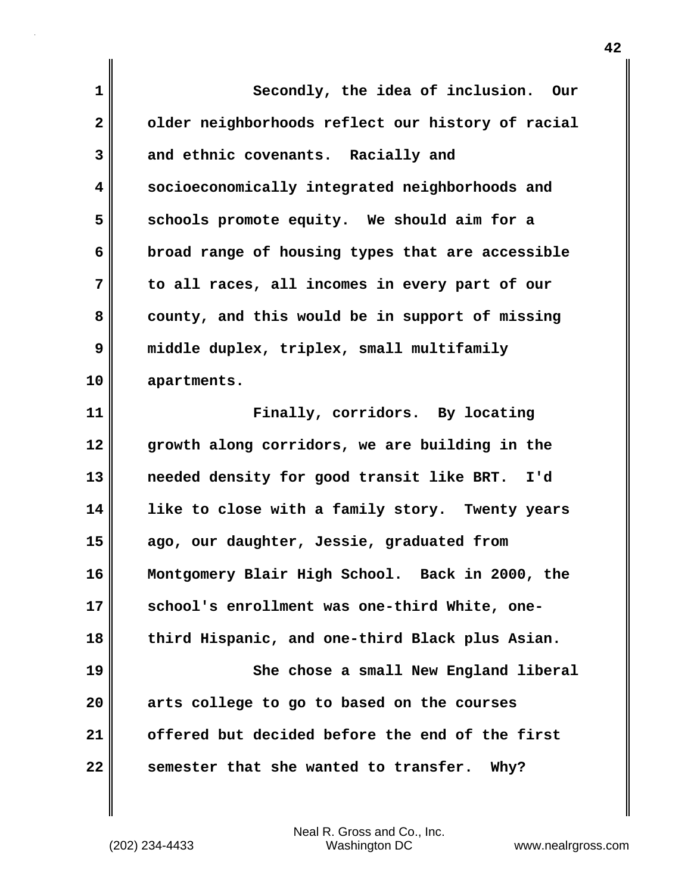| 1            | Secondly, the idea of inclusion. Our                 |
|--------------|------------------------------------------------------|
| $\mathbf{2}$ | older neighborhoods reflect our history of racial    |
| 3            | and ethnic covenants. Racially and                   |
| 4            | socioeconomically integrated neighborhoods and       |
| 5            | schools promote equity. We should aim for a          |
| 6            | broad range of housing types that are accessible     |
| 7            | to all races, all incomes in every part of our       |
| 8            | county, and this would be in support of missing      |
| 9            | middle duplex, triplex, small multifamily            |
| 10           | apartments.                                          |
| 11           | Finally, corridors. By locating                      |
| 12           | growth along corridors, we are building in the       |
| 13           | needed density for good transit like BRT. I'd        |
| 14           | like to close with a family story. Twenty years      |
| 15           | ago, our daughter, Jessie, graduated from            |
| 16           | Montgomery Blair High School. Back in 2000, the      |
| 17           | school's enrollment was one-third White, one-        |
| 18           | third Hispanic, and one-third Black plus Asian.      |
| 19           | She chose a small New England liberal                |
| 20           | arts college to go to based on the courses           |
| 21           | offered but decided before the end of the first      |
| 22           | semester that she wanted to transfer.<br><b>Why?</b> |

(202) 234-4433 Washington DC www.nealrgross.com Neal R. Gross and Co., Inc.

 $\mathbf l$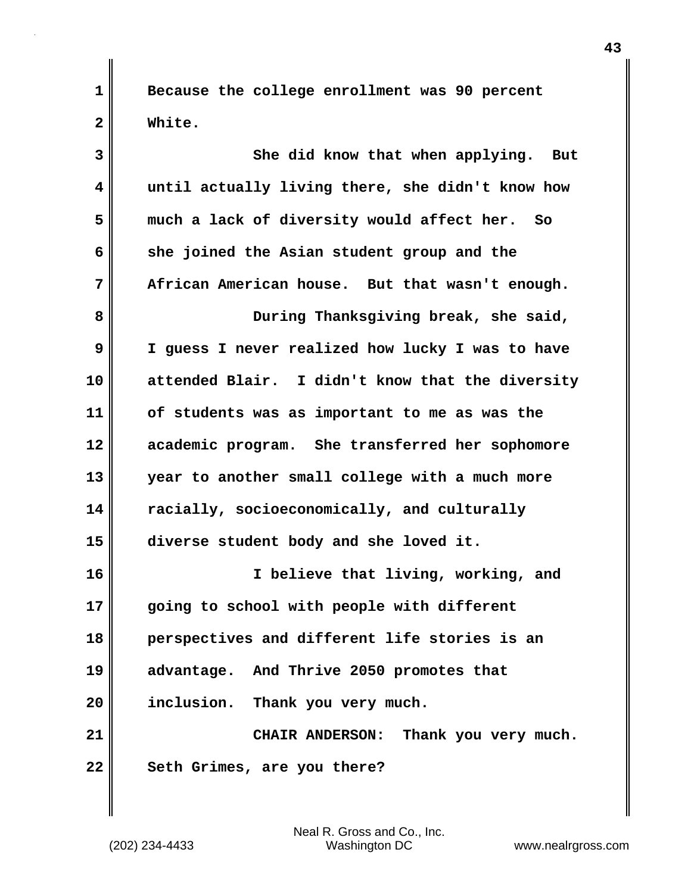**1 Because the college enrollment was 90 percent 2 White.**

| 3                       | She did know that when applying.<br>But          |
|-------------------------|--------------------------------------------------|
| $\overline{\mathbf{4}}$ | until actually living there, she didn't know how |
| 5                       | much a lack of diversity would affect her. So    |
| 6                       | she joined the Asian student group and the       |
| 7                       | African American house. But that wasn't enough.  |
| 8                       | During Thanksgiving break, she said,             |
| 9                       | I guess I never realized how lucky I was to have |
| 10                      | attended Blair. I didn't know that the diversity |
| 11                      | of students was as important to me as was the    |
| 12                      | academic program. She transferred her sophomore  |
| 13                      | year to another small college with a much more   |
| 14                      | racially, socioeconomically, and culturally      |
| 15                      | diverse student body and she loved it.           |
| 16                      | I believe that living, working, and              |
| 17                      | going to school with people with different       |
| 18                      | perspectives and different life stories is an    |
| 19                      | advantage. And Thrive 2050 promotes that         |
| 20                      | inclusion. Thank you very much.                  |
| 21                      | CHAIR ANDERSON: Thank you very much.             |
| 22                      | Seth Grimes, are you there?                      |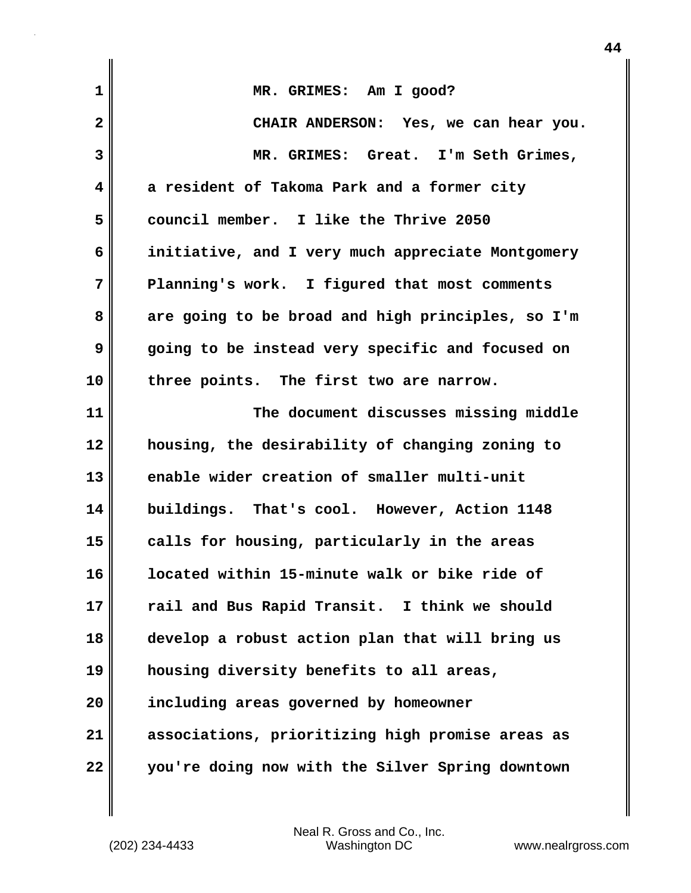| 1  | MR. GRIMES: Am I good?                            |
|----|---------------------------------------------------|
| 2  | CHAIR ANDERSON: Yes, we can hear you.             |
| 3  | MR. GRIMES: Great. I'm Seth Grimes,               |
| 4  | a resident of Takoma Park and a former city       |
| 5  | council member. I like the Thrive 2050            |
| 6  | initiative, and I very much appreciate Montgomery |
| 7  | Planning's work. I figured that most comments     |
| 8  | are going to be broad and high principles, so I'm |
| 9  | going to be instead very specific and focused on  |
| 10 | three points. The first two are narrow.           |
| 11 | The document discusses missing middle             |
| 12 | housing, the desirability of changing zoning to   |
| 13 | enable wider creation of smaller multi-unit       |
| 14 | buildings. That's cool. However, Action 1148      |
| 15 | calls for housing, particularly in the areas      |
| 16 | located within 15-minute walk or bike ride of     |
| 17 | rail and Bus Rapid Transit. I think we should     |
| 18 | develop a robust action plan that will bring us   |
| 19 | housing diversity benefits to all areas,          |
| 20 | including areas governed by homeowner             |
| 21 | associations, prioritizing high promise areas as  |
| 22 | you're doing now with the Silver Spring downtown  |

 $\mathbf{I}$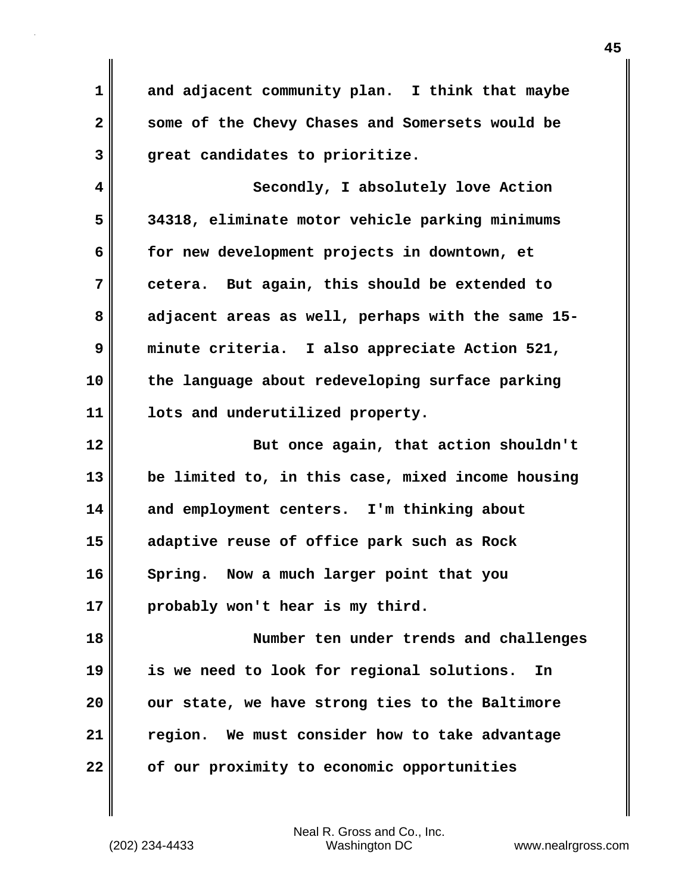**1 and adjacent community plan. I think that maybe 2 some of the Chevy Chases and Somersets would be 3 great candidates to prioritize.**

**4 Secondly, I absolutely love Action 5 34318, eliminate motor vehicle parking minimums 6 for new development projects in downtown, et 7 cetera. But again, this should be extended to 8 adjacent areas as well, perhaps with the same 15- 9 minute criteria. I also appreciate Action 521, 10 the language about redeveloping surface parking 11 lots and underutilized property.**

**12 But once again, that action shouldn't 13 be limited to, in this case, mixed income housing 14 and employment centers. I'm thinking about 15 adaptive reuse of office park such as Rock 16 Spring. Now a much larger point that you 17 probably won't hear is my third.**

**18 Number ten under trends and challenges 19 is we need to look for regional solutions. In 20 our state, we have strong ties to the Baltimore 21 region. We must consider how to take advantage 22 of our proximity to economic opportunities**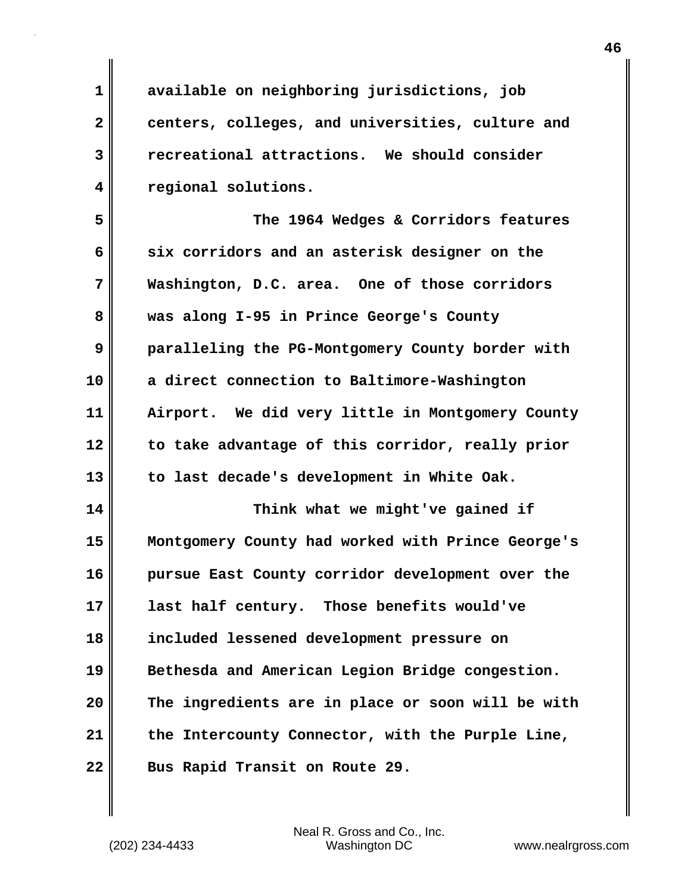**1 available on neighboring jurisdictions, job 2 centers, colleges, and universities, culture and 3 recreational attractions. We should consider 4 regional solutions.**

**5 The 1964 Wedges & Corridors features 6 six corridors and an asterisk designer on the 7 Washington, D.C. area. One of those corridors 8 was along I-95 in Prince George's County 9 paralleling the PG-Montgomery County border with 10 a direct connection to Baltimore-Washington 11 Airport. We did very little in Montgomery County 12 to take advantage of this corridor, really prior 13 to last decade's development in White Oak.**

**14 Think what we might've gained if 15 Montgomery County had worked with Prince George's 16 pursue East County corridor development over the 17 last half century. Those benefits would've 18 included lessened development pressure on 19 Bethesda and American Legion Bridge congestion. 20 The ingredients are in place or soon will be with 21 the Intercounty Connector, with the Purple Line, 22 Bus Rapid Transit on Route 29.**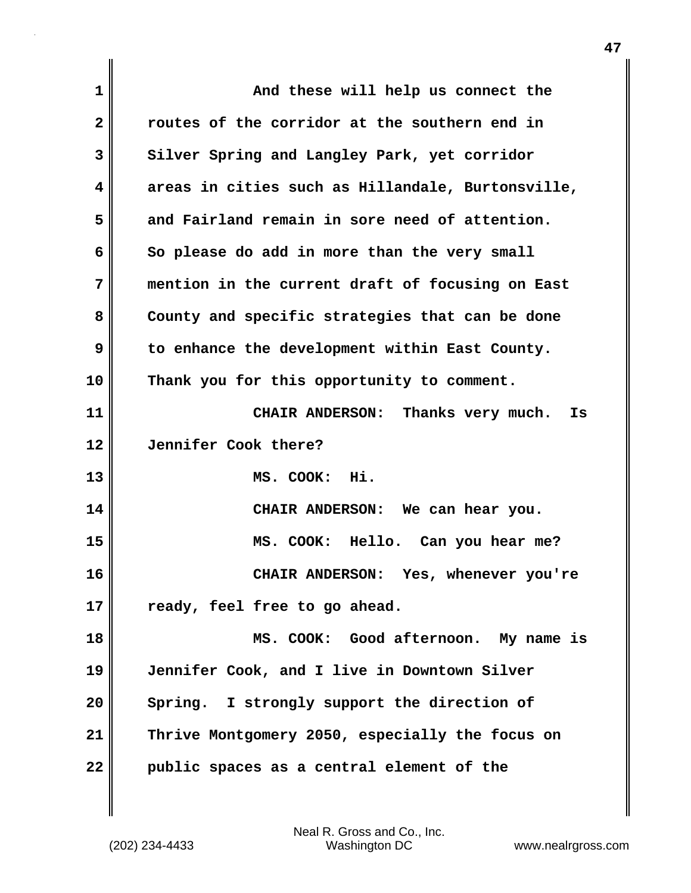| $\mathbf 1$  | And these will help us connect the                |
|--------------|---------------------------------------------------|
| $\mathbf{2}$ | routes of the corridor at the southern end in     |
| 3            | Silver Spring and Langley Park, yet corridor      |
| 4            | areas in cities such as Hillandale, Burtonsville, |
| 5            | and Fairland remain in sore need of attention.    |
| 6            | So please do add in more than the very small      |
| 7            | mention in the current draft of focusing on East  |
| 8            | County and specific strategies that can be done   |
| 9            | to enhance the development within East County.    |
| 10           | Thank you for this opportunity to comment.        |
| 11           | CHAIR ANDERSON: Thanks very much.<br>Is           |
| 12           | Jennifer Cook there?                              |
| 13           | MS. COOK: Hi.                                     |
| 14           | CHAIR ANDERSON: We can hear you.                  |
| 15           | MS. COOK: Hello. Can you hear me?                 |
| 16           | CHAIR ANDERSON: Yes, whenever you're              |
| 17           | ready, feel free to go ahead.                     |
| 18           | MS. COOK: Good afternoon. My name is              |
| 19           | Jennifer Cook, and I live in Downtown Silver      |
| 20           | Spring. I strongly support the direction of       |
| 21           | Thrive Montgomery 2050, especially the focus on   |
|              |                                                   |

(202) 234-4433 Washington DC www.nealrgross.com Neal R. Gross and Co., Inc.

 $\mathbf{I}$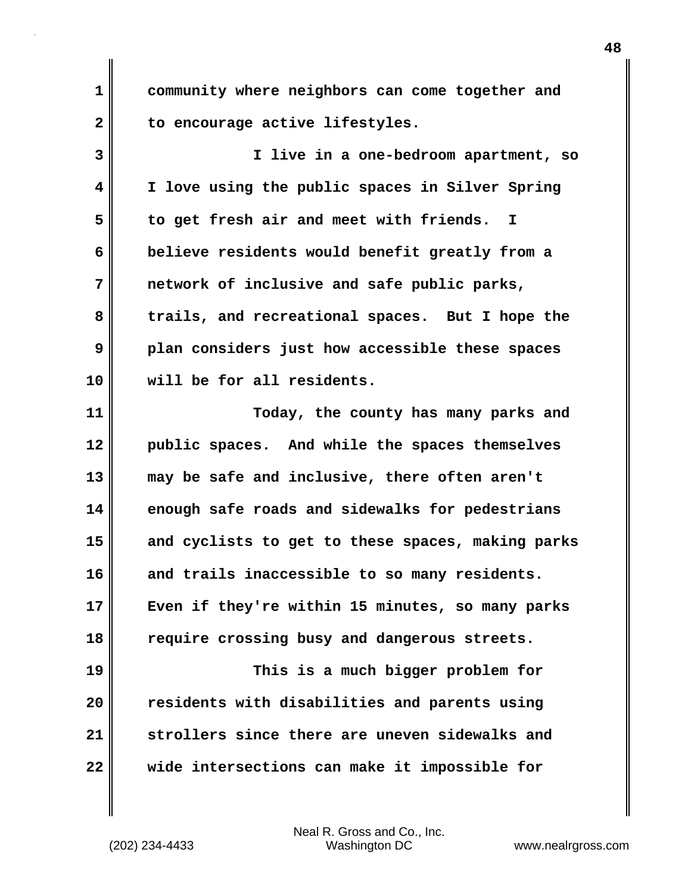**1 community where neighbors can come together and 2 to encourage active lifestyles.**

**3 I live in a one-bedroom apartment, so 4 I love using the public spaces in Silver Spring 5 to get fresh air and meet with friends. I 6 believe residents would benefit greatly from a 7 network of inclusive and safe public parks, 8 trails, and recreational spaces. But I hope the 9 plan considers just how accessible these spaces 10 will be for all residents.**

**11 Today, the county has many parks and 12 public spaces. And while the spaces themselves 13 may be safe and inclusive, there often aren't 14 enough safe roads and sidewalks for pedestrians 15 and cyclists to get to these spaces, making parks 16 and trails inaccessible to so many residents. 17 Even if they're within 15 minutes, so many parks 18 require crossing busy and dangerous streets. 19 This is a much bigger problem for 20 residents with disabilities and parents using 21 strollers since there are uneven sidewalks and 22 wide intersections can make it impossible for**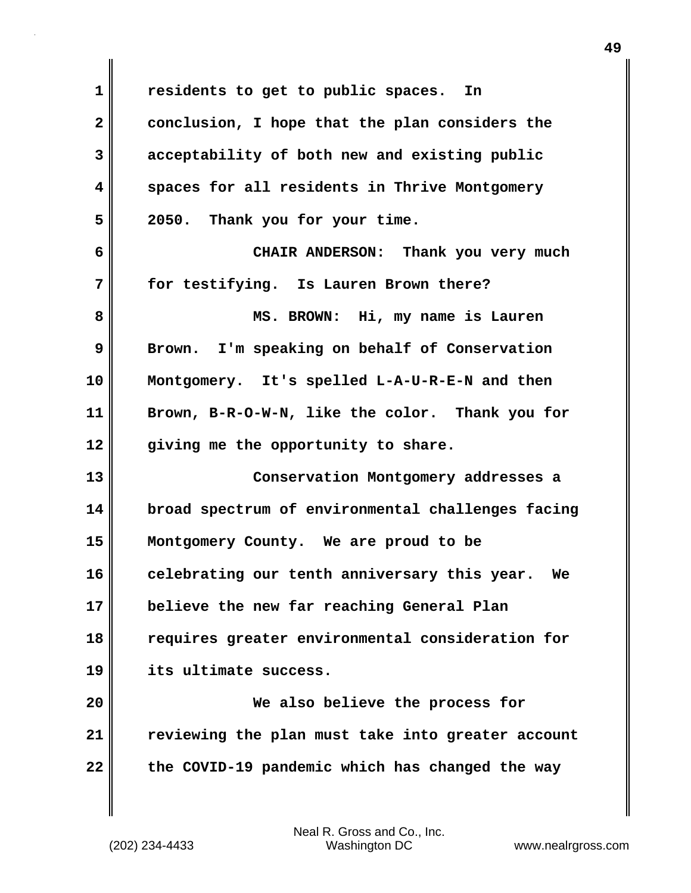**1 residents to get to public spaces. In 2 conclusion, I hope that the plan considers the 3 acceptability of both new and existing public 4 spaces for all residents in Thrive Montgomery 5 2050. Thank you for your time. 6 CHAIR ANDERSON: Thank you very much 7 for testifying. Is Lauren Brown there? 8 MS. BROWN: Hi, my name is Lauren 9 Brown. I'm speaking on behalf of Conservation 10 Montgomery. It's spelled L-A-U-R-E-N and then 11 Brown, B-R-O-W-N, like the color. Thank you for 12 giving me the opportunity to share. 13 Conservation Montgomery addresses a 14 broad spectrum of environmental challenges facing 15 Montgomery County. We are proud to be 16 celebrating our tenth anniversary this year. We 17 believe the new far reaching General Plan 18 requires greater environmental consideration for 19 its ultimate success. 20 We also believe the process for 21 reviewing the plan must take into greater account 22 the COVID-19 pandemic which has changed the way**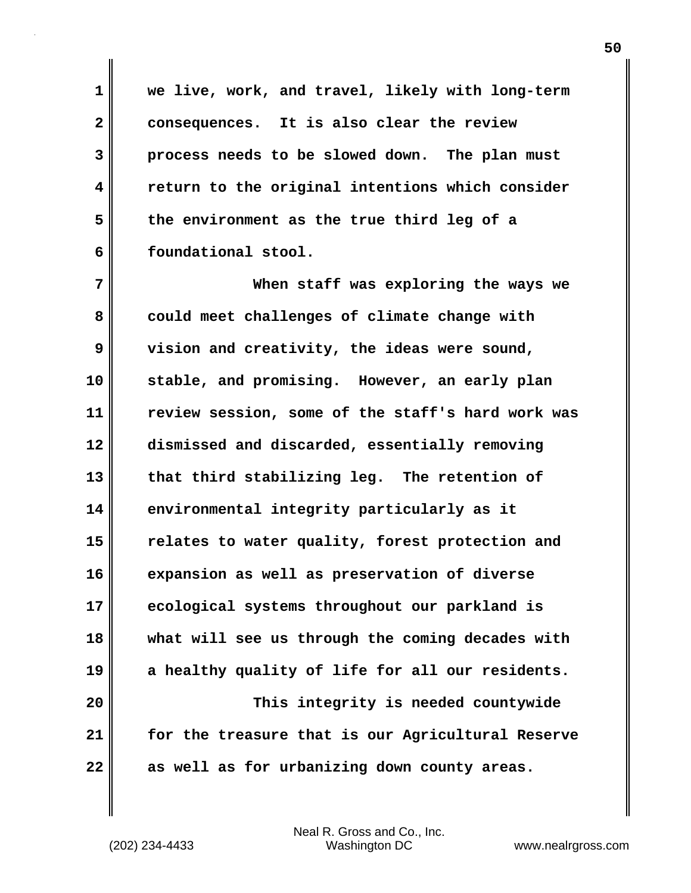**1 we live, work, and travel, likely with long-term 2 consequences. It is also clear the review 3 process needs to be slowed down. The plan must 4 return to the original intentions which consider 5 the environment as the true third leg of a 6 foundational stool.**

**7 When staff was exploring the ways we** 8 could meet challenges of climate change with **9 vision and creativity, the ideas were sound, 10 stable, and promising. However, an early plan 11 review session, some of the staff's hard work was 12 dismissed and discarded, essentially removing 13 that third stabilizing leg. The retention of 14 environmental integrity particularly as it 15 relates to water quality, forest protection and 16 expansion as well as preservation of diverse 17 ecological systems throughout our parkland is 18 what will see us through the coming decades with 19 a healthy quality of life for all our residents. 20 This integrity is needed countywide 21 for the treasure that is our Agricultural Reserve**

**22 as well as for urbanizing down county areas.**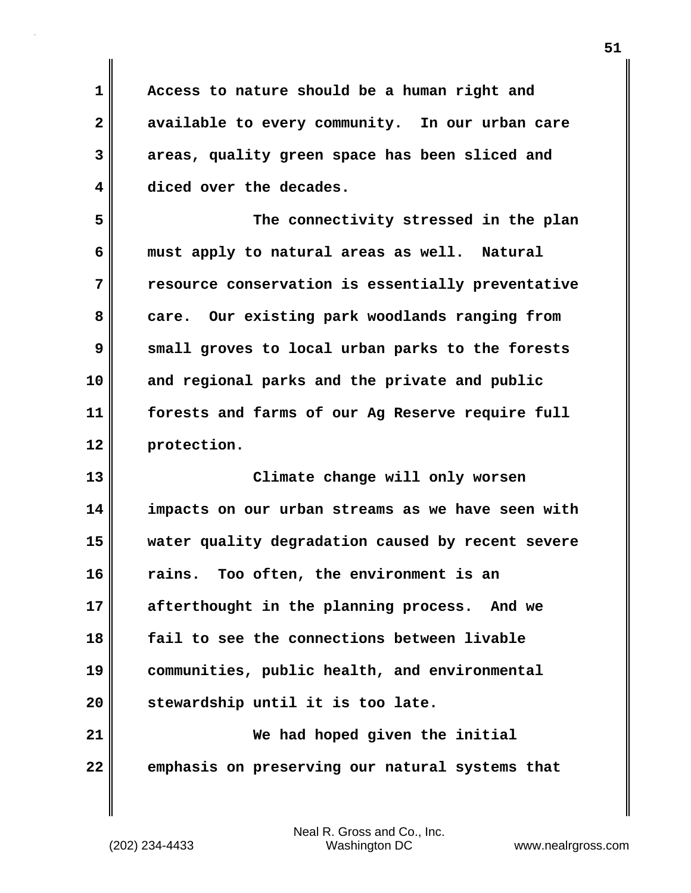**1 Access to nature should be a human right and 2 available to every community. In our urban care 3 areas, quality green space has been sliced and 4 diced over the decades.**

**5 The connectivity stressed in the plan 6 must apply to natural areas as well. Natural 7 resource conservation is essentially preventative** 8 care. Our existing park woodlands ranging from **9 small groves to local urban parks to the forests 10 and regional parks and the private and public 11 forests and farms of our Ag Reserve require full 12 protection.**

**13 Climate change will only worsen 14 impacts on our urban streams as we have seen with 15 water quality degradation caused by recent severe 16 rains. Too often, the environment is an 17 afterthought in the planning process. And we 18 fail to see the connections between livable 19 communities, public health, and environmental 20 stewardship until it is too late. 21 We had hoped given the initial**

**22 emphasis on preserving our natural systems that**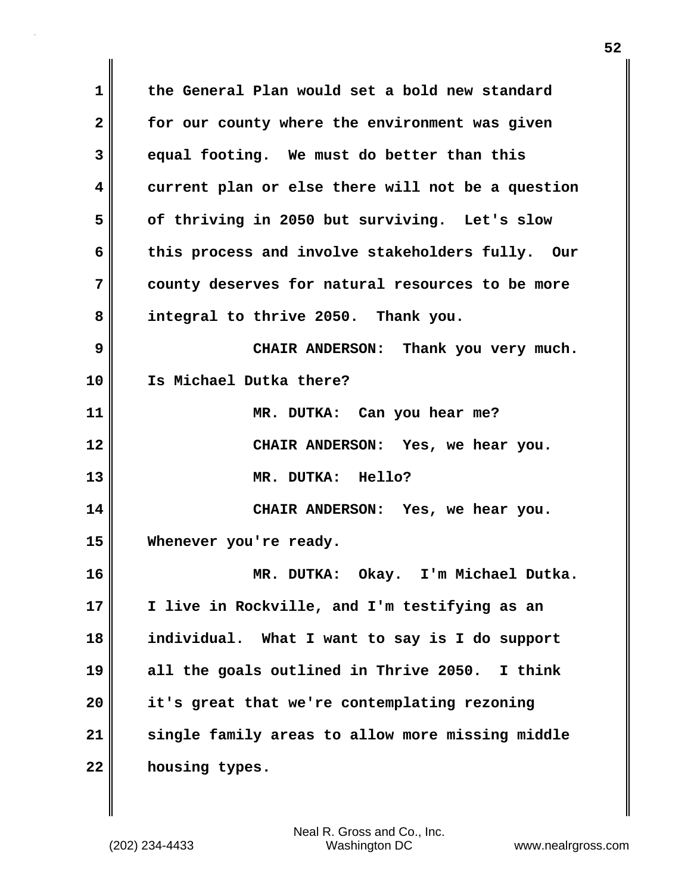**1 the General Plan would set a bold new standard 2 for our county where the environment was given 3 equal footing. We must do better than this 4 current plan or else there will not be a question 5 of thriving in 2050 but surviving. Let's slow 6 this process and involve stakeholders fully. Our 7 county deserves for natural resources to be more 8 integral to thrive 2050. Thank you. 9 CHAIR ANDERSON: Thank you very much. 10 Is Michael Dutka there? 11 MR. DUTKA: Can you hear me? 12 CHAIR ANDERSON: Yes, we hear you. 13 MR. DUTKA: Hello? 14 CHAIR ANDERSON: Yes, we hear you. 15 Whenever you're ready. 16 MR. DUTKA: Okay. I'm Michael Dutka. 17 I live in Rockville, and I'm testifying as an 18 individual. What I want to say is I do support 19 all the goals outlined in Thrive 2050. I think 20 it's great that we're contemplating rezoning 21 single family areas to allow more missing middle 22 housing types.**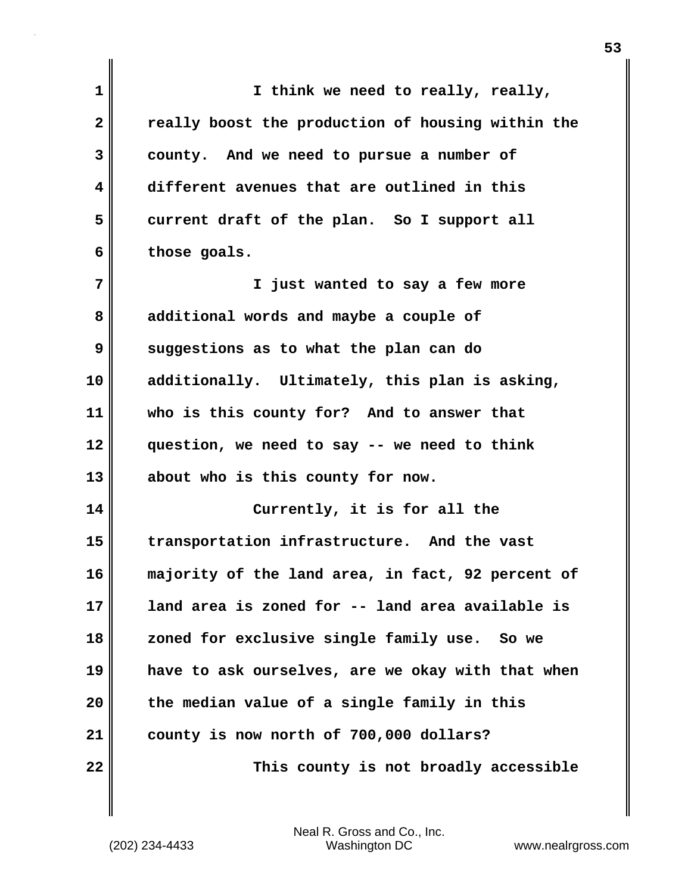| 1            | I think we need to really, really,                |
|--------------|---------------------------------------------------|
| $\mathbf{2}$ | really boost the production of housing within the |
| 3            | county. And we need to pursue a number of         |
| 4            | different avenues that are outlined in this       |
| 5            | current draft of the plan. So I support all       |
| 6            | those goals.                                      |
| 7            | I just wanted to say a few more                   |
| 8            | additional words and maybe a couple of            |
| 9            | suggestions as to what the plan can do            |
| 10           | additionally. Ultimately, this plan is asking,    |
| 11           | who is this county for? And to answer that        |
| 12           | question, we need to say -- we need to think      |
| 13           | about who is this county for now.                 |
| 14           | Currently, it is for all the                      |
| 15           | transportation infrastructure. And the vast       |
| 16           | majority of the land area, in fact, 92 percent of |
| 17           | land area is zoned for -- land area available is  |
| 18           | zoned for exclusive single family use. So we      |
| 19           | have to ask ourselves, are we okay with that when |
| 20           | the median value of a single family in this       |
| 21           | county is now north of 700,000 dollars?           |
| 22           | This county is not broadly accessible             |

(202) 234-4433 Washington DC www.nealrgross.com Neal R. Gross and Co., Inc.

 $\mathbf{I}$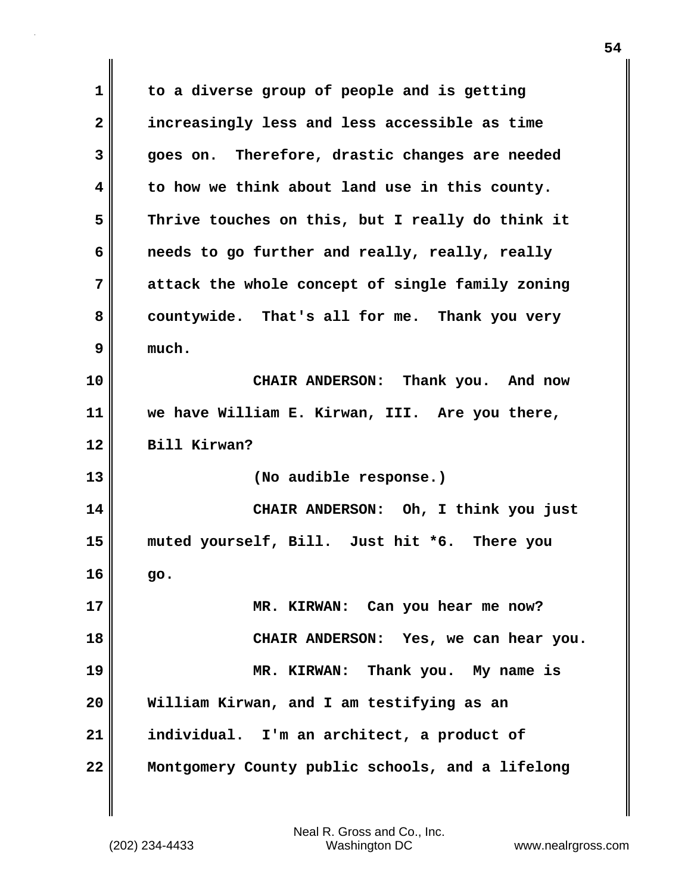**1 to a diverse group of people and is getting 2 increasingly less and less accessible as time 3 goes on. Therefore, drastic changes are needed 4 to how we think about land use in this county. 5 Thrive touches on this, but I really do think it 6 needs to go further and really, really, really 7 attack the whole concept of single family zoning 8 countywide. That's all for me. Thank you very 9 much. 10 CHAIR ANDERSON: Thank you. And now 11 we have William E. Kirwan, III. Are you there, 12 Bill Kirwan? 13 (No audible response.) 14 CHAIR ANDERSON: Oh, I think you just 15 muted yourself, Bill. Just hit \*6. There you 16 go. 17 MR. KIRWAN: Can you hear me now? 18 CHAIR ANDERSON: Yes, we can hear you. 19 MR. KIRWAN: Thank you. My name is 20 William Kirwan, and I am testifying as an 21 individual. I'm an architect, a product of 22 Montgomery County public schools, and a lifelong**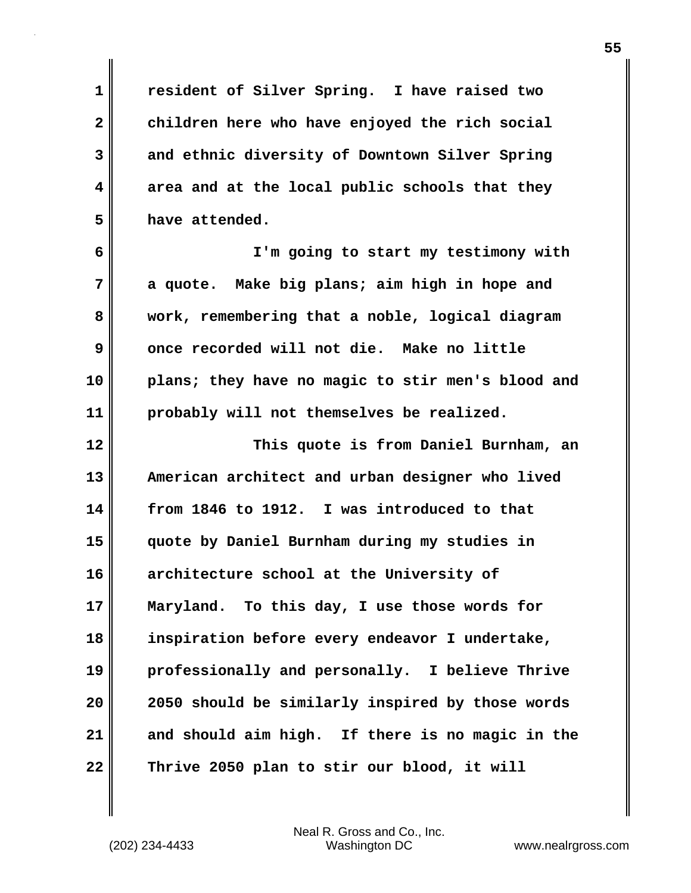**1 resident of Silver Spring. I have raised two 2 children here who have enjoyed the rich social 3 and ethnic diversity of Downtown Silver Spring 4 area and at the local public schools that they 5 have attended.**

**6 I'm going to start my testimony with 7 a quote. Make big plans; aim high in hope and 8 work, remembering that a noble, logical diagram 9 once recorded will not die. Make no little 10 plans; they have no magic to stir men's blood and 11 probably will not themselves be realized.**

**12 This quote is from Daniel Burnham, an 13 American architect and urban designer who lived 14 from 1846 to 1912. I was introduced to that 15 quote by Daniel Burnham during my studies in 16 architecture school at the University of 17 Maryland. To this day, I use those words for 18 inspiration before every endeavor I undertake, 19 professionally and personally. I believe Thrive 20 2050 should be similarly inspired by those words 21 and should aim high. If there is no magic in the 22 Thrive 2050 plan to stir our blood, it will**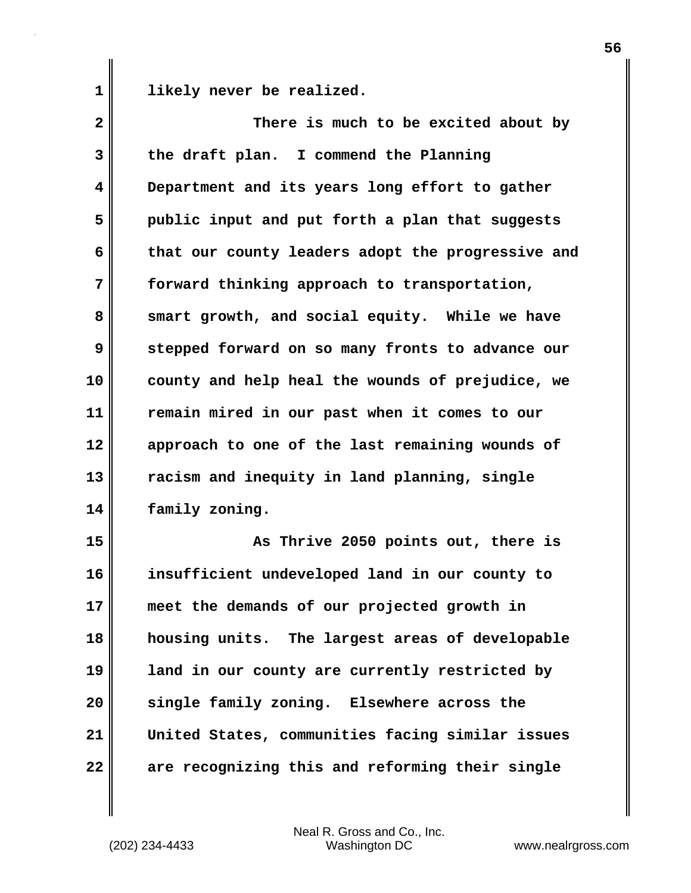1 **likely** never be realized.

| $\mathbf{2}$ | There is much to be excited about by              |
|--------------|---------------------------------------------------|
| 3            | the draft plan. I commend the Planning            |
| 4            | Department and its years long effort to gather    |
| 5            | public input and put forth a plan that suggests   |
| 6            | that our county leaders adopt the progressive and |
| 7            | forward thinking approach to transportation,      |
| 8            | smart growth, and social equity. While we have    |
| 9            | stepped forward on so many fronts to advance our  |
| 10           | county and help heal the wounds of prejudice, we  |
| 11           | remain mired in our past when it comes to our     |
| 12           | approach to one of the last remaining wounds of   |
| 13           | racism and inequity in land planning, single      |
| 14           | family zoning.                                    |
| 15           | As Thrive 2050 points out, there is               |
| 16           | insufficient undeveloped land in our county to    |
| 17           | meet the demands of our projected growth in       |
| 18           | housing units. The largest areas of developable   |
| 19           | land in our county are currently restricted by    |
| 20           | single family zoning. Elsewhere across the        |
| 21           | United States, communities facing similar issues  |
| 22           | are recognizing this and reforming their single   |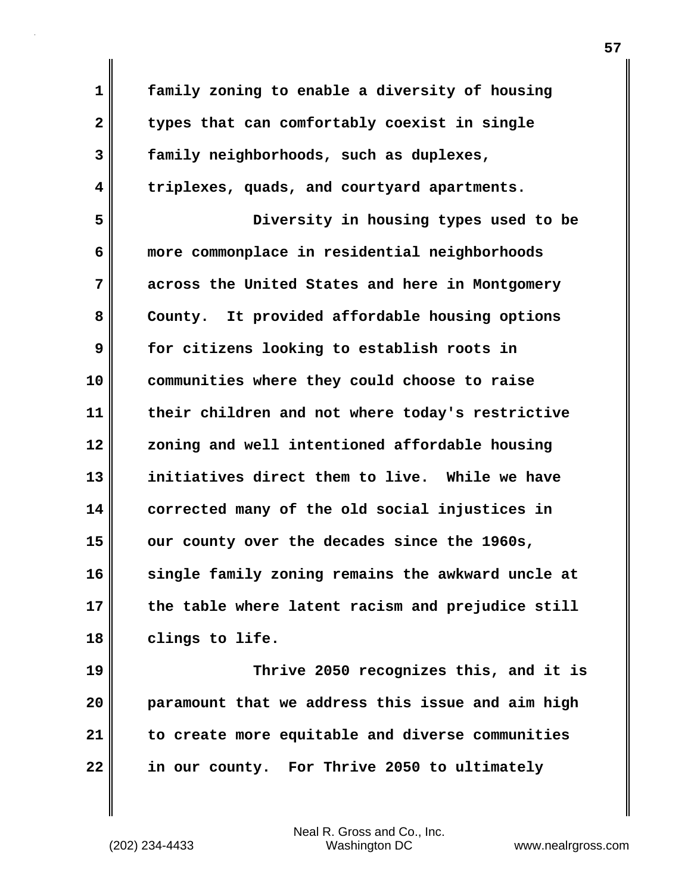**1 family zoning to enable a diversity of housing 2 types that can comfortably coexist in single 3 family neighborhoods, such as duplexes, 4 triplexes, quads, and courtyard apartments. 5 Diversity in housing types used to be 6 more commonplace in residential neighborhoods 7 across the United States and here in Montgomery** 8 County. It provided affordable housing options **9 for citizens looking to establish roots in 10 communities where they could choose to raise 11 their children and not where today's restrictive 12 zoning and well intentioned affordable housing 13 initiatives direct them to live. While we have 14 corrected many of the old social injustices in 15 our county over the decades since the 1960s, 16 single family zoning remains the awkward uncle at 17 the table where latent racism and prejudice still 18 clings to life. 19 Thrive 2050 recognizes this, and it is 20 paramount that we address this issue and aim high**

**21 to create more equitable and diverse communities 22 in our county. For Thrive 2050 to ultimately**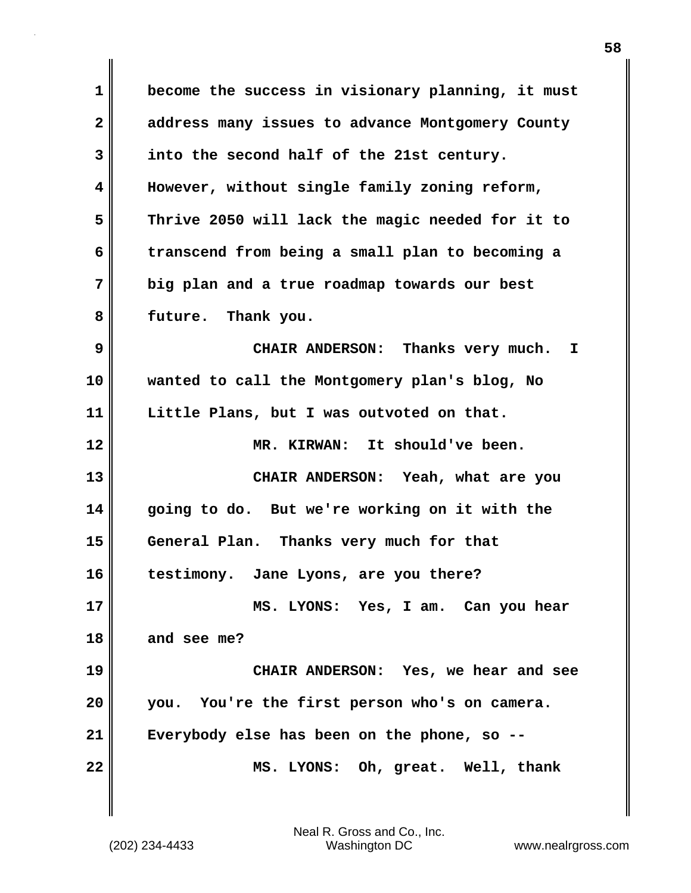**1 become the success in visionary planning, it must 2 address many issues to advance Montgomery County 3 into the second half of the 21st century. 4 However, without single family zoning reform, 5 Thrive 2050 will lack the magic needed for it to 6 transcend from being a small plan to becoming a 7 big plan and a true roadmap towards our best 8 future. Thank you. 9 CHAIR ANDERSON: Thanks very much. I 10 wanted to call the Montgomery plan's blog, No 11 Little Plans, but I was outvoted on that. 12 MR. KIRWAN: It should've been. 13 CHAIR ANDERSON: Yeah, what are you 14 going to do. But we're working on it with the 15 General Plan. Thanks very much for that 16 testimony. Jane Lyons, are you there? 17 MS. LYONS: Yes, I am. Can you hear 18 and see me? 19 CHAIR ANDERSON: Yes, we hear and see 20 you. You're the first person who's on camera. 21 Everybody else has been on the phone, so -- 22 MS. LYONS: Oh, great. Well, thank**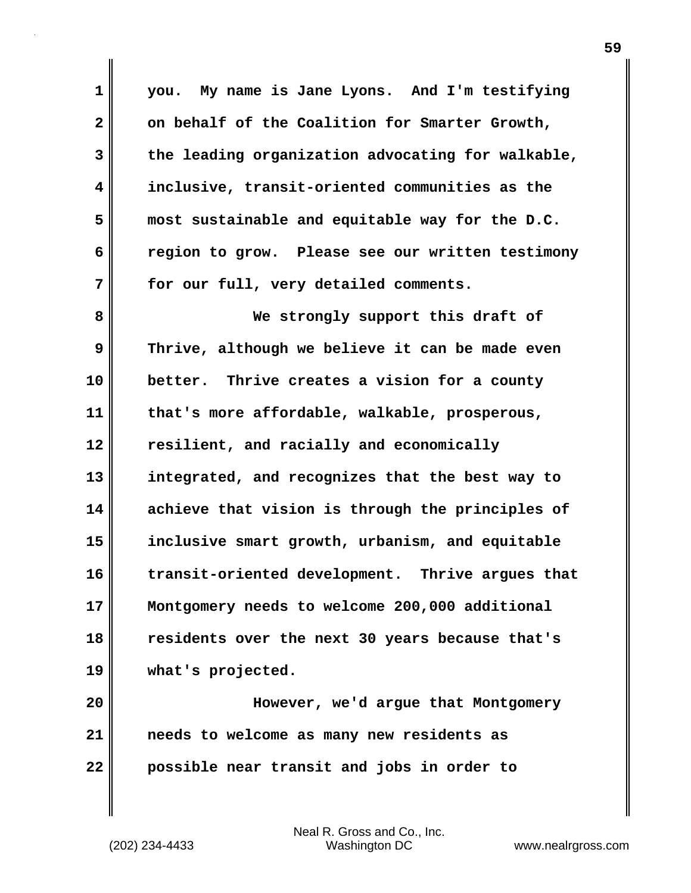| $\mathbf 1$    | you. My name is Jane Lyons. And I'm testifying    |
|----------------|---------------------------------------------------|
| $\overline{2}$ | on behalf of the Coalition for Smarter Growth,    |
| 3              | the leading organization advocating for walkable, |
| 4              | inclusive, transit-oriented communities as the    |
| 5              | most sustainable and equitable way for the D.C.   |
| 6              | region to grow. Please see our written testimony  |
| 7              | for our full, very detailed comments.             |
| 8              | We strongly support this draft of                 |
| 9              | Thrive, although we believe it can be made even   |
| 10             | better. Thrive creates a vision for a county      |
| 11             | that's more affordable, walkable, prosperous,     |
| 12             | resilient, and racially and economically          |
| 13             | integrated, and recognizes that the best way to   |
| 14             | achieve that vision is through the principles of  |
| 15             | inclusive smart growth, urbanism, and equitable   |
| 16             | transit-oriented development. Thrive argues that  |
| 17             | Montgomery needs to welcome 200,000 additional    |
| 18             | residents over the next 30 years because that's   |
| 19             | what's projected.                                 |
| 20             | However, we'd argue that Montgomery               |
| 21             | needs to welcome as many new residents as         |
| 22             | possible near transit and jobs in order to        |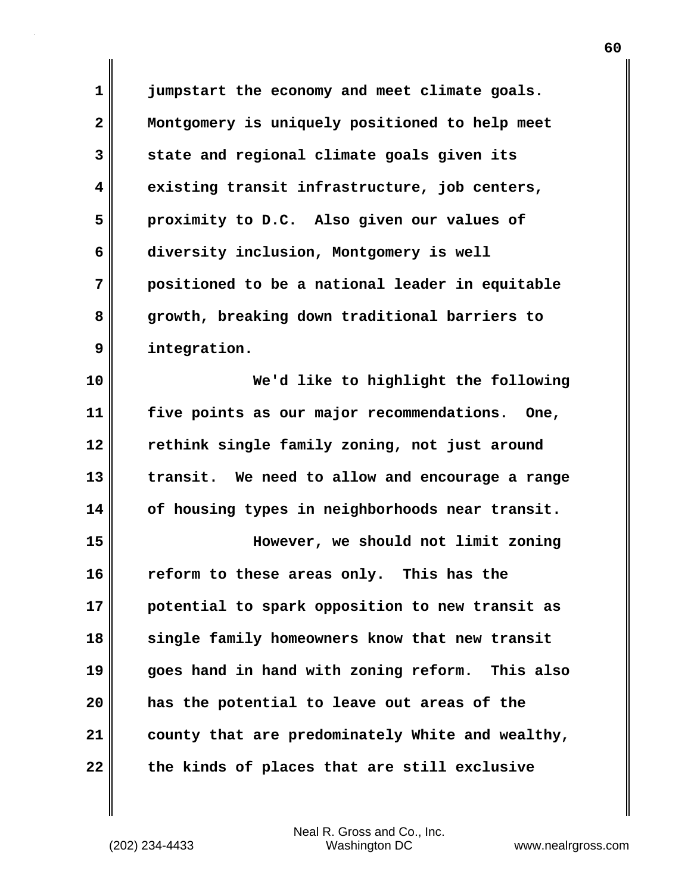**1 jumpstart the economy and meet climate goals. 2 Montgomery is uniquely positioned to help meet 3 state and regional climate goals given its 4 existing transit infrastructure, job centers, 5 proximity to D.C. Also given our values of 6 diversity inclusion, Montgomery is well 7 positioned to be a national leader in equitable 8 growth, breaking down traditional barriers to 9 integration.**

**10 We'd like to highlight the following 11 five points as our major recommendations. One, 12 rethink single family zoning, not just around 13 transit. We need to allow and encourage a range 14 of housing types in neighborhoods near transit.**

**15 However, we should not limit zoning 16 reform to these areas only. This has the 17 potential to spark opposition to new transit as 18 single family homeowners know that new transit 19 goes hand in hand with zoning reform. This also 20 has the potential to leave out areas of the 21 county that are predominately White and wealthy, 22 the kinds of places that are still exclusive**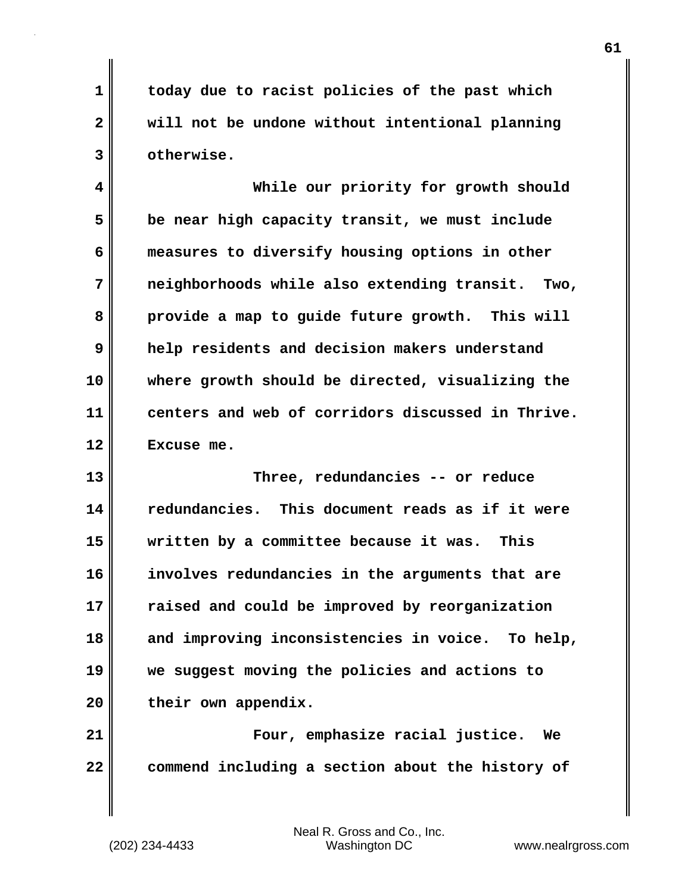**1 today due to racist policies of the past which 2 will not be undone without intentional planning 3 otherwise.**

**4 While our priority for growth should 5 be near high capacity transit, we must include 6 measures to diversify housing options in other 7 neighborhoods while also extending transit. Two, 8 provide a map to guide future growth. This will 9 help residents and decision makers understand 10 where growth should be directed, visualizing the 11 centers and web of corridors discussed in Thrive. 12 Excuse me.**

**13 Three, redundancies -- or reduce 14 redundancies. This document reads as if it were 15 written by a committee because it was. This 16 involves redundancies in the arguments that are 17 raised and could be improved by reorganization 18 and improving inconsistencies in voice. To help, 19 we suggest moving the policies and actions to** 20 their own appendix.

**21 Four, emphasize racial justice. We 22 commend including a section about the history of**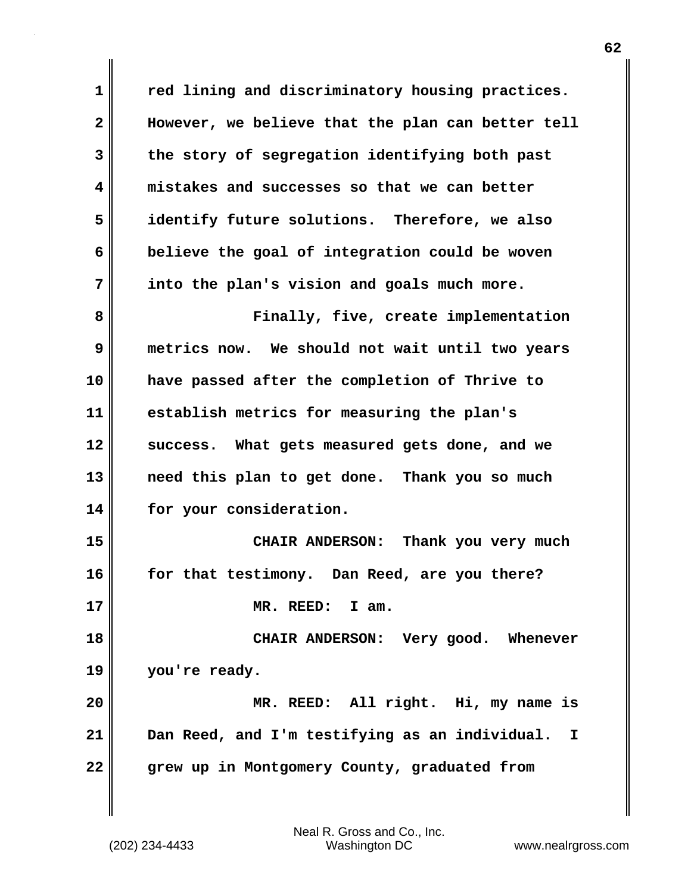**1 red lining and discriminatory housing practices. 2 However, we believe that the plan can better tell 3 the story of segregation identifying both past 4 mistakes and successes so that we can better 5 identify future solutions. Therefore, we also 6 believe the goal of integration could be woven 7 into the plan's vision and goals much more. 8 Finally, five, create implementation 9 metrics now. We should not wait until two years 10 have passed after the completion of Thrive to 11 establish metrics for measuring the plan's 12 success. What gets measured gets done, and we 13 need this plan to get done. Thank you so much 14 for your consideration. 15 CHAIR ANDERSON: Thank you very much 16 for that testimony. Dan Reed, are you there? 17 MR. REED: I am. 18 CHAIR ANDERSON: Very good. Whenever 19 you're ready. 20 MR. REED: All right. Hi, my name is 21 Dan Reed, and I'm testifying as an individual. I 22 grew up in Montgomery County, graduated from**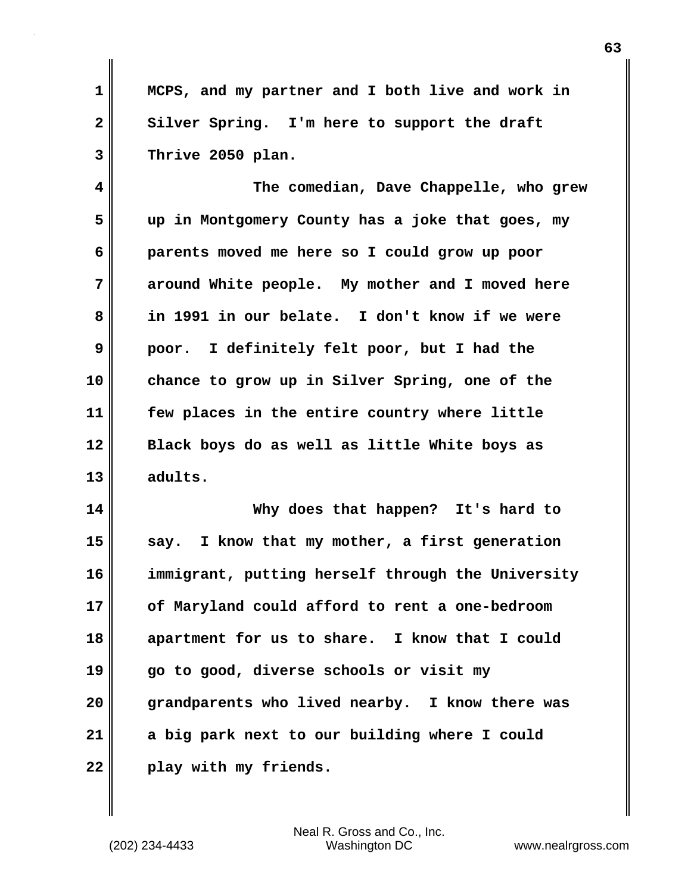**1 MCPS, and my partner and I both live and work in** 2 Silver Spring. I'm here to support the draft **3 Thrive 2050 plan.**

**4 The comedian, Dave Chappelle, who grew 5 up in Montgomery County has a joke that goes, my 6 parents moved me here so I could grow up poor 7 around White people. My mother and I moved here 8 in 1991 in our belate. I don't know if we were 9 poor. I definitely felt poor, but I had the 10 chance to grow up in Silver Spring, one of the 11 few places in the entire country where little 12 Black boys do as well as little White boys as 13 adults.**

**14 Why does that happen? It's hard to 15 say. I know that my mother, a first generation 16 immigrant, putting herself through the University 17 of Maryland could afford to rent a one-bedroom 18 apartment for us to share. I know that I could 19 go to good, diverse schools or visit my 20 grandparents who lived nearby. I know there was 21 a big park next to our building where I could 22 play with my friends.**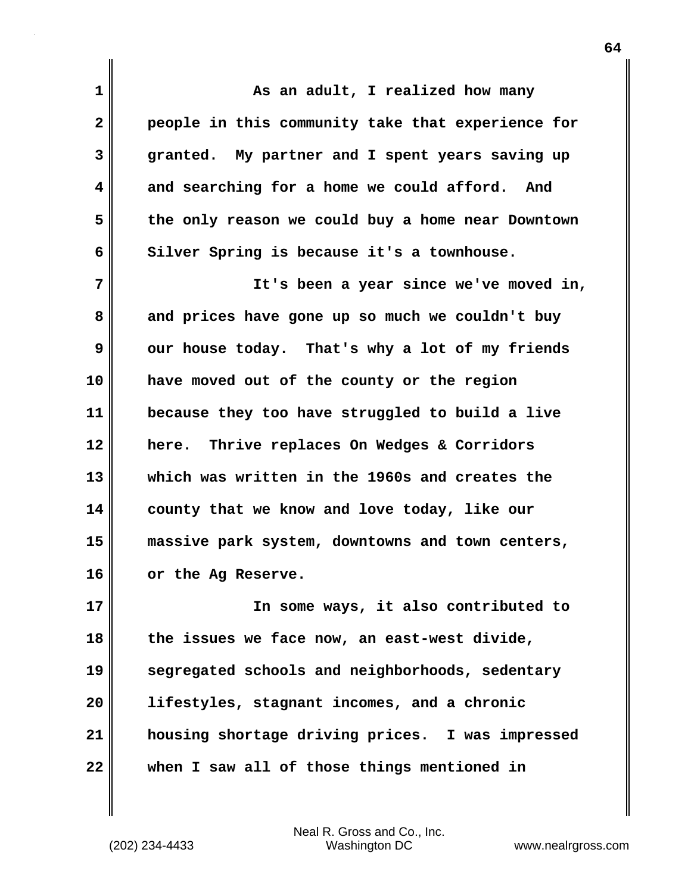**1 As an adult, I realized how many 2 people in this community take that experience for 3 granted. My partner and I spent years saving up 4 and searching for a home we could afford. And 5 the only reason we could buy a home near Downtown** 6 Silver Spring is because it's a townhouse. **7 It's been a year since we've moved in, 8 and prices have gone up so much we couldn't buy 9** our house today. That's why a lot of my friends **10 have moved out of the county or the region 11 because they too have struggled to build a live 12 here. Thrive replaces On Wedges & Corridors 13 which was written in the 1960s and creates the 14 county that we know and love today, like our 15 massive park system, downtowns and town centers, 16 or the Ag Reserve. 17 In some ways, it also contributed to 18 the issues we face now, an east-west divide, 19 segregated schools and neighborhoods, sedentary 20 lifestyles, stagnant incomes, and a chronic 21 housing shortage driving prices. I was impressed 22 when I saw all of those things mentioned in**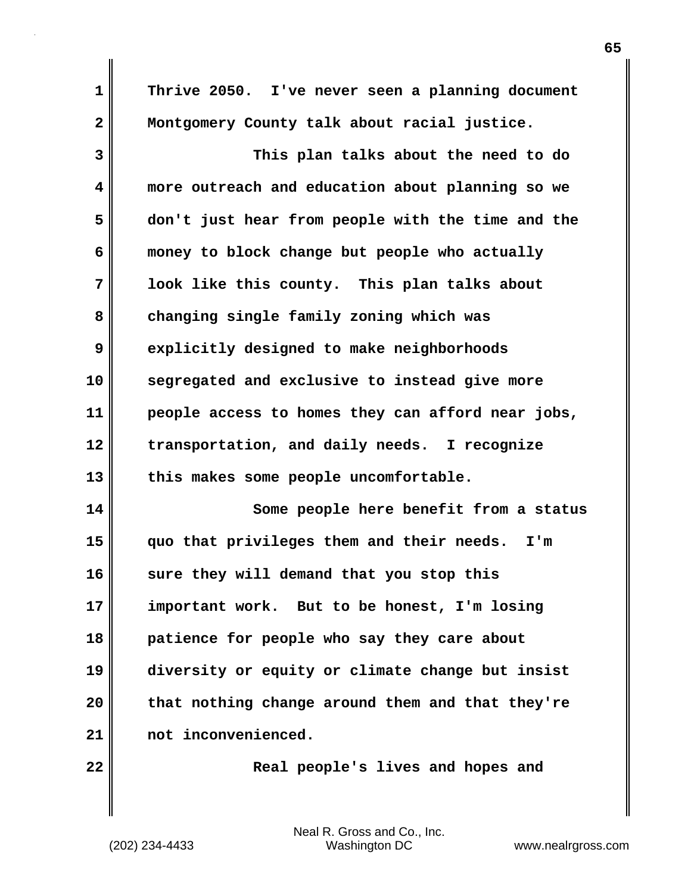| $\mathbf 1$             | Thrive 2050. I've never seen a planning document  |
|-------------------------|---------------------------------------------------|
| $\overline{\mathbf{2}}$ | Montgomery County talk about racial justice.      |
| 3                       | This plan talks about the need to do              |
| 4                       | more outreach and education about planning so we  |
| 5                       | don't just hear from people with the time and the |
| 6                       | money to block change but people who actually     |
| 7                       | look like this county. This plan talks about      |
| 8                       | changing single family zoning which was           |
| 9                       | explicitly designed to make neighborhoods         |
| 10                      | segregated and exclusive to instead give more     |
| 11                      | people access to homes they can afford near jobs, |
| 12                      | transportation, and daily needs. I recognize      |
| 13                      | this makes some people uncomfortable.             |
| 14                      | Some people here benefit from a status            |
| 15                      | quo that privileges them and their needs.<br>I'm  |
| 16                      | sure they will demand that you stop this          |
| 17                      | important work. But to be honest, I'm losing      |
| 18                      | patience for people who say they care about       |
| 19                      | diversity or equity or climate change but insist  |
| 20                      | that nothing change around them and that they're  |
| 21                      | not inconvenienced.                               |
| 22                      | Real people's lives and hopes and                 |

(202) 234-4433 Washington DC www.nealrgross.com Neal R. Gross and Co., Inc.

 $\mathbf l$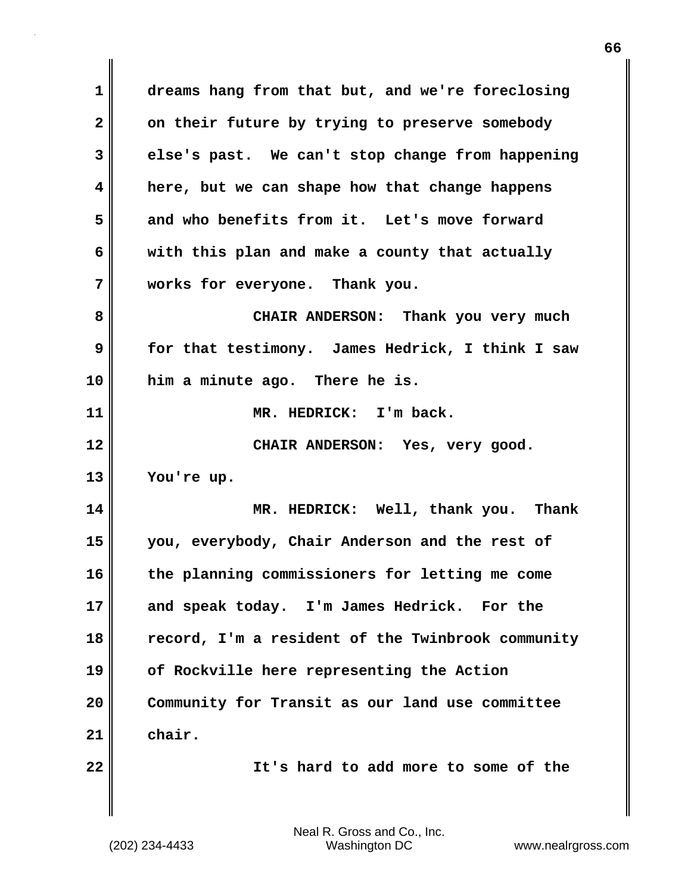**1 dreams hang from that but, and we're foreclosing 2 on their future by trying to preserve somebody 3 else's past. We can't stop change from happening 4 here, but we can shape how that change happens 5 and who benefits from it. Let's move forward 6 with this plan and make a county that actually 7 works for everyone. Thank you. 8 CHAIR ANDERSON: Thank you very much 9 for that testimony. James Hedrick, I think I saw 10 him a minute ago. There he is. 11 MR. HEDRICK: I'm back. 12 CHAIR ANDERSON: Yes, very good. 13 You're up. 14 MR. HEDRICK: Well, thank you. Thank 15 you, everybody, Chair Anderson and the rest of 16 the planning commissioners for letting me come 17 and speak today. I'm James Hedrick. For the 18 record, I'm a resident of the Twinbrook community 19 of Rockville here representing the Action 20 Community for Transit as our land use committee 21 chair. 22 It's hard to add more to some of the**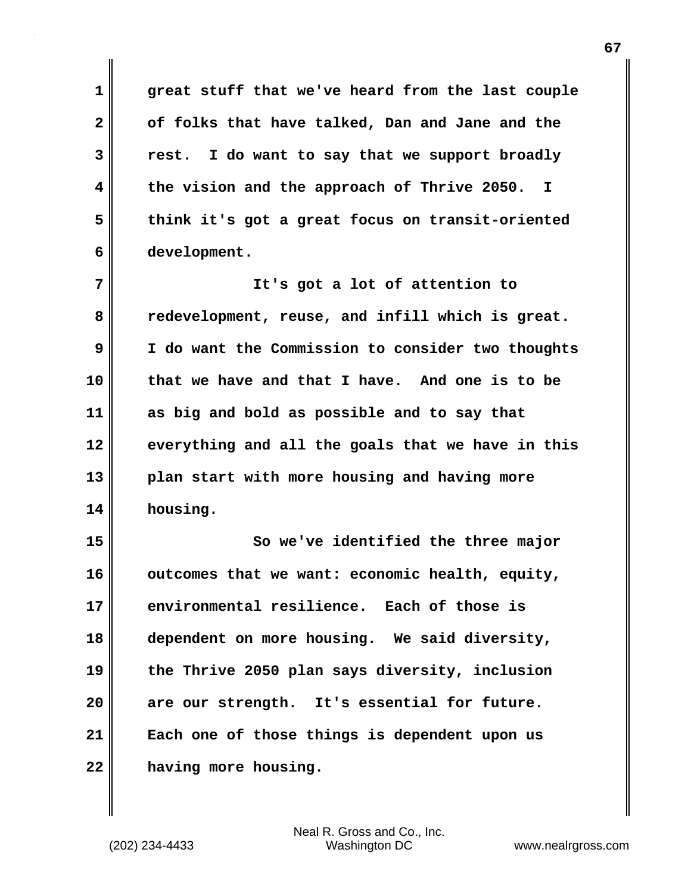**1 great stuff that we've heard from the last couple 2 of folks that have talked, Dan and Jane and the 3 rest. I do want to say that we support broadly 4 the vision and the approach of Thrive 2050. I 5 think it's got a great focus on transit-oriented 6 development.**

**7 It's got a lot of attention to 8 redevelopment, reuse, and infill which is great. 9 I do want the Commission to consider two thoughts 10 that we have and that I have. And one is to be 11 as big and bold as possible and to say that 12 everything and all the goals that we have in this 13 plan start with more housing and having more 14 housing.**

**15 So we've identified the three major** 16 outcomes that we want: economic health, equity, **17 environmental resilience. Each of those is 18 dependent on more housing. We said diversity, 19 the Thrive 2050 plan says diversity, inclusion 20 are our strength. It's essential for future. 21 Each one of those things is dependent upon us 22 having more housing.**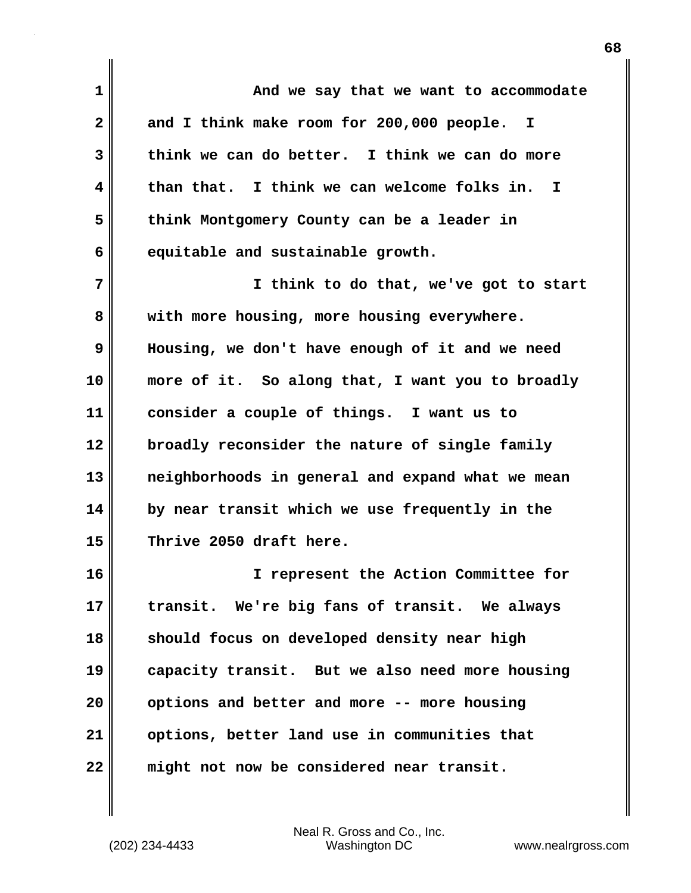| $\mathbf{1}$ | And we say that we want to accommodate           |
|--------------|--------------------------------------------------|
| $\mathbf{2}$ | and I think make room for 200,000 people. I      |
| 3            | think we can do better. I think we can do more   |
| 4            | than that. I think we can welcome folks in. I    |
| 5            | think Montgomery County can be a leader in       |
| 6            | equitable and sustainable growth.                |
| 7            | I think to do that, we've got to start           |
| 8            | with more housing, more housing everywhere.      |
| 9            | Housing, we don't have enough of it and we need  |
| 10           | more of it. So along that, I want you to broadly |
| 11           | consider a couple of things. I want us to        |
| 12           | broadly reconsider the nature of single family   |
| 13           | neighborhoods in general and expand what we mean |
| 14           | by near transit which we use frequently in the   |
| 15           | Thrive 2050 draft here.                          |
| 16           | I represent the Action Committee for             |
| 17           | transit. We're big fans of transit. We always    |
| 18           | should focus on developed density near high      |
| 19           | capacity transit. But we also need more housing  |
| 20           | options and better and more -- more housing      |
| 21           | options, better land use in communities that     |
| 22           | might not now be considered near transit.        |

(202) 234-4433 Washington DC www.nealrgross.com Neal R. Gross and Co., Inc.

 $\mathbf{l}$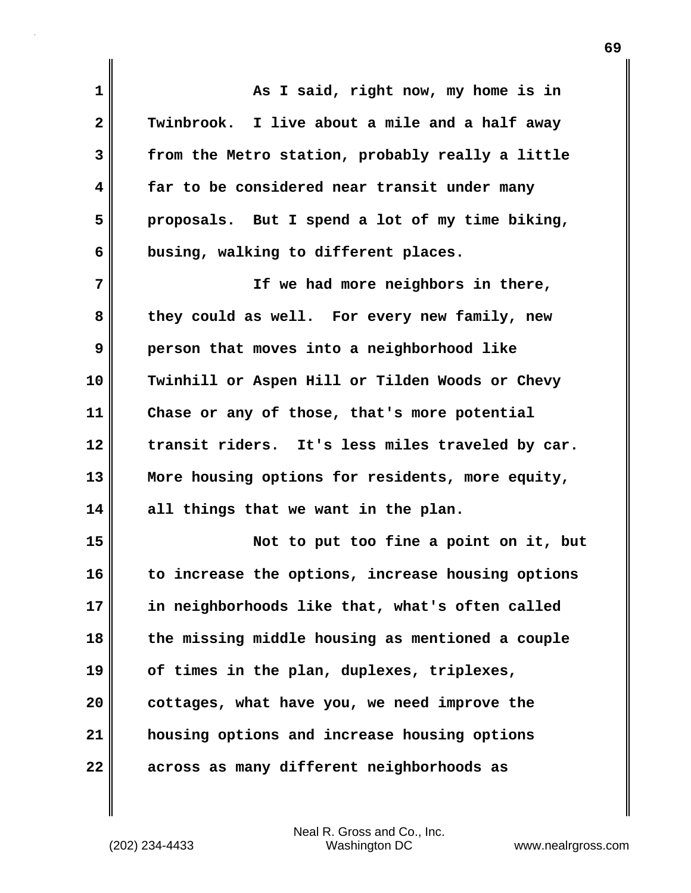| 1              | As I said, right now, my home is in               |
|----------------|---------------------------------------------------|
| $\overline{2}$ | Twinbrook. I live about a mile and a half away    |
| 3              | from the Metro station, probably really a little  |
| 4              | far to be considered near transit under many      |
| 5              | proposals. But I spend a lot of my time biking,   |
| 6              | busing, walking to different places.              |
| 7              | If we had more neighbors in there,                |
| 8              | they could as well. For every new family, new     |
| 9              | person that moves into a neighborhood like        |
| 10             | Twinhill or Aspen Hill or Tilden Woods or Chevy   |
| 11             | Chase or any of those, that's more potential      |
| 12             | transit riders. It's less miles traveled by car.  |
| 13             | More housing options for residents, more equity,  |
| 14             | all things that we want in the plan.              |
| 15             | Not to put too fine a point on it, but            |
| 16             | to increase the options, increase housing options |
| 17             | in neighborhoods like that, what's often called   |
| 18             | the missing middle housing as mentioned a couple  |
| 19             | of times in the plan, duplexes, triplexes,        |
| 20             | cottages, what have you, we need improve the      |
| 21             | housing options and increase housing options      |
| 22             | across as many different neighborhoods as         |

 $\mathbf{I}$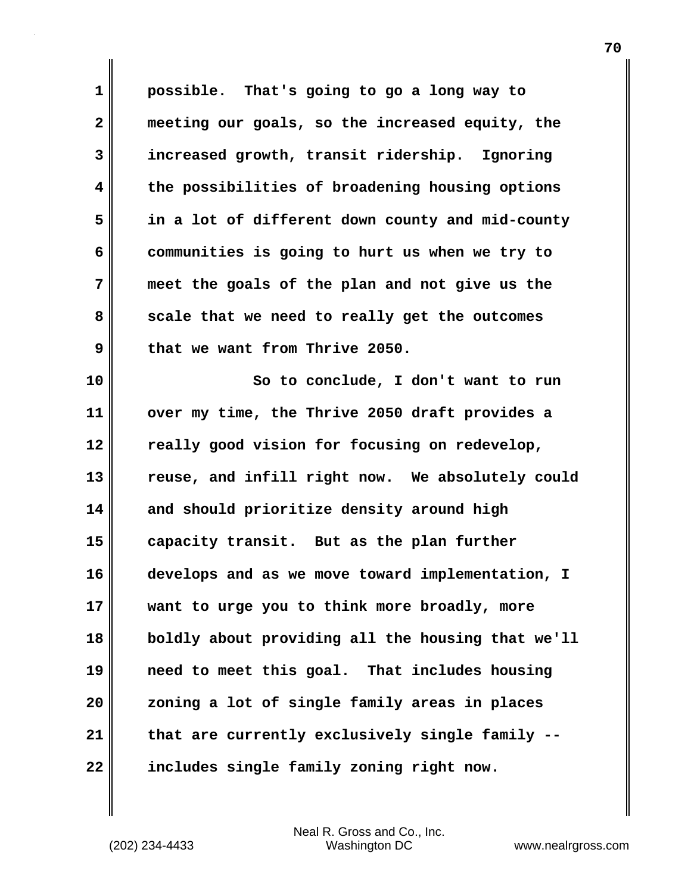**1 possible. That's going to go a long way to 2 meeting our goals, so the increased equity, the 3 increased growth, transit ridership. Ignoring 4 the possibilities of broadening housing options 5 in a lot of different down county and mid-county 6 communities is going to hurt us when we try to 7 meet the goals of the plan and not give us the 8 scale that we need to really get the outcomes 9 that we want from Thrive 2050. 10 So to conclude, I don't want to run 11 over my time, the Thrive 2050 draft provides a 12 really good vision for focusing on redevelop, 13 reuse, and infill right now. We absolutely could 14 and should prioritize density around high 15 capacity transit. But as the plan further 16 develops and as we move toward implementation, I 17 want to urge you to think more broadly, more 18 boldly about providing all the housing that we'll 19 need to meet this goal. That includes housing 20 zoning a lot of single family areas in places 21 that are currently exclusively single family -- 22 includes single family zoning right now.**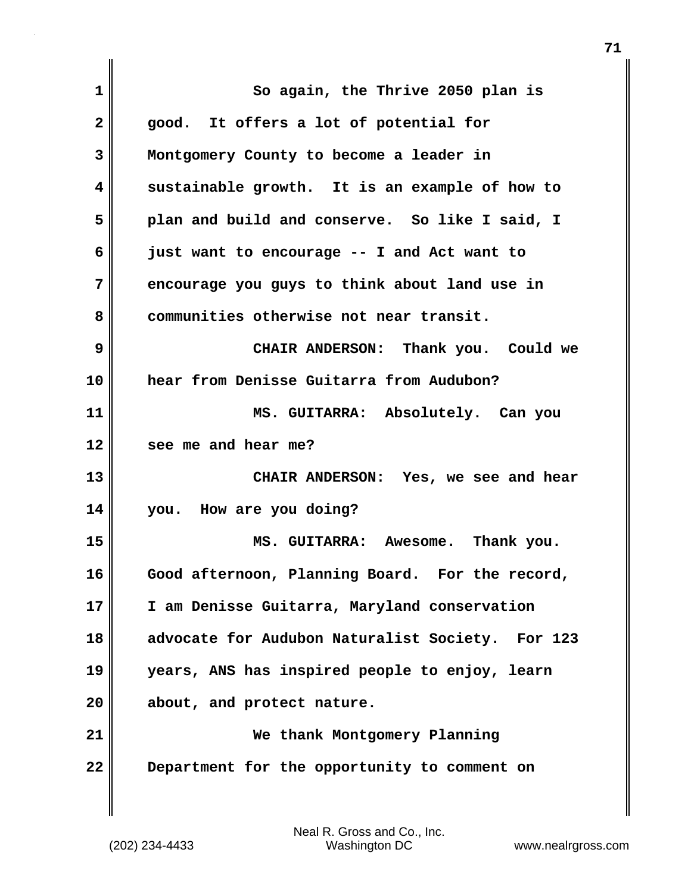| $\mathbf 1$  | So again, the Thrive 2050 plan is                          |
|--------------|------------------------------------------------------------|
| $\mathbf{2}$ | good. It offers a lot of potential for                     |
| 3            | Montgomery County to become a leader in                    |
| 4            | sustainable growth. It is an example of how to             |
| 5            | plan and build and conserve. So like I said, I             |
| 6            | just want to encourage -- I and Act want to                |
| 7            | encourage you guys to think about land use in              |
| 8            | communities otherwise not near transit.                    |
| 9            | CHAIR ANDERSON: Thank you. Could we                        |
| 10           | hear from Denisse Guitarra from Audubon?                   |
| 11           | MS. GUITARRA: Absolutely. Can you                          |
| 12           | see me and hear me?                                        |
| 13           | CHAIR ANDERSON: Yes, we see and hear                       |
| 14           | you. How are you doing?                                    |
| 15           | MS. GUITARRA: Awesome. Thank you.                          |
| 16           | Good afternoon, Planning Board. For the record,            |
| 17           | I am Denisse Guitarra, Maryland conservation               |
| 18           | advocate for Audubon Naturalist Society.<br><b>For 123</b> |
| 19           | years, ANS has inspired people to enjoy, learn             |
| 20           | about, and protect nature.                                 |
| 21           | We thank Montgomery Planning                               |
| 22           | Department for the opportunity to comment on               |
|              |                                                            |

 $\mathbf{I}$ 

(202) 234-4433 Washington DC www.nealrgross.com Neal R. Gross and Co., Inc.

**71**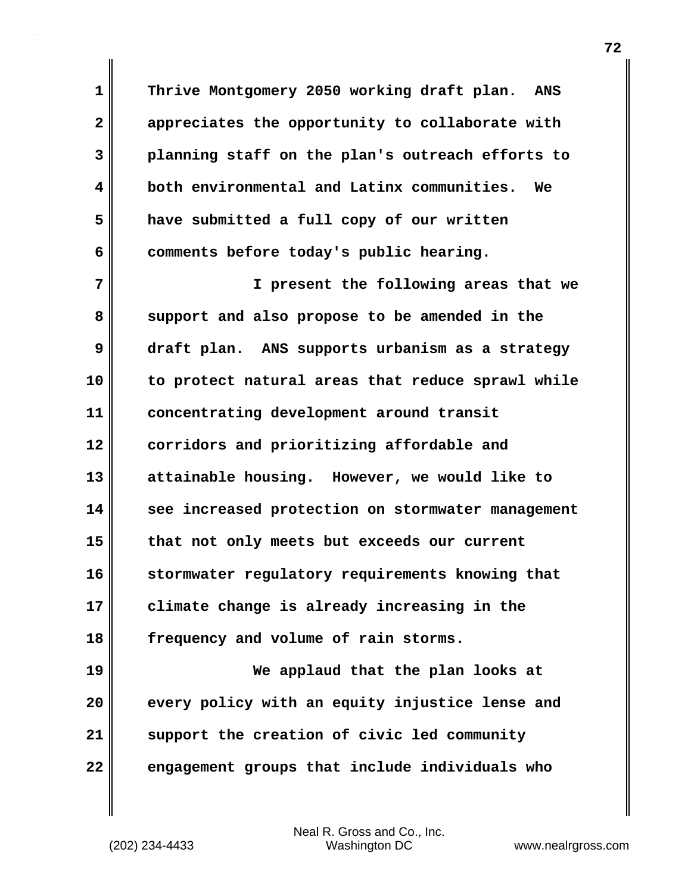**1 Thrive Montgomery 2050 working draft plan. ANS 2 appreciates the opportunity to collaborate with 3 planning staff on the plan's outreach efforts to 4 both environmental and Latinx communities. We 5 have submitted a full copy of our written** 6 comments before today's public hearing.

**7 I present the following areas that we 8 support and also propose to be amended in the 9 draft plan. ANS supports urbanism as a strategy 10 to protect natural areas that reduce sprawl while 11 concentrating development around transit 12 corridors and prioritizing affordable and 13 attainable housing. However, we would like to 14 see increased protection on stormwater management 15 that not only meets but exceeds our current 16 stormwater regulatory requirements knowing that 17 climate change is already increasing in the 18 frequency and volume of rain storms. 19 We applaud that the plan looks at 20 every policy with an equity injustice lense and**

**22 engagement groups that include individuals who**

**21 support the creation of civic led community**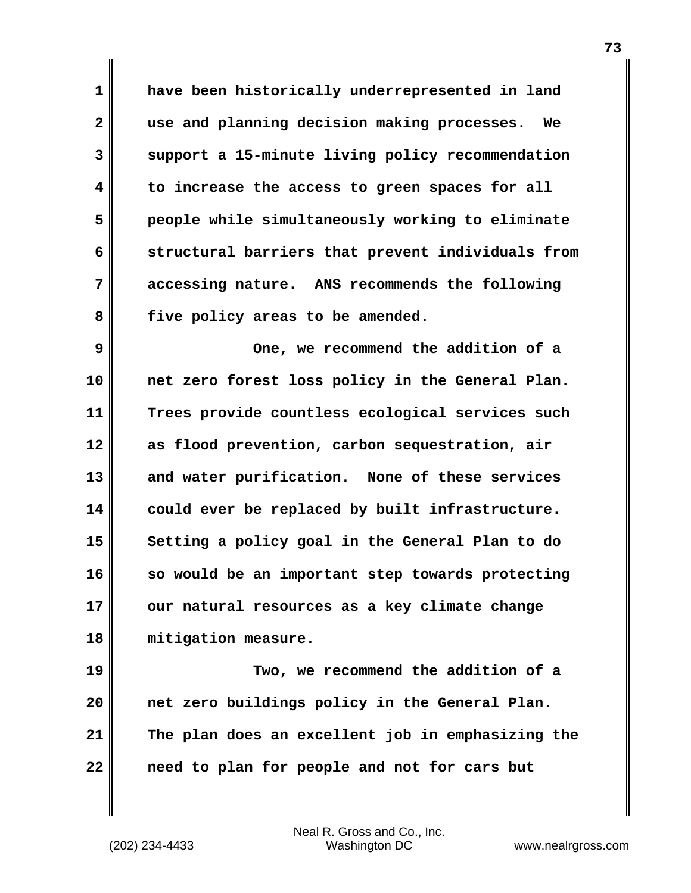**1 have been historically underrepresented in land 2 use and planning decision making processes. We 3 support a 15-minute living policy recommendation 4 to increase the access to green spaces for all 5 people while simultaneously working to eliminate 6 structural barriers that prevent individuals from 7 accessing nature. ANS recommends the following 8 five policy areas to be amended.**

**9 One, we recommend the addition of a 10 net zero forest loss policy in the General Plan. 11 Trees provide countless ecological services such 12 as flood prevention, carbon sequestration, air 13 and water purification. None of these services 14 could ever be replaced by built infrastructure. 15 Setting a policy goal in the General Plan to do 16 so would be an important step towards protecting 17 our natural resources as a key climate change 18 mitigation measure.**

**19 Two, we recommend the addition of a 20 net zero buildings policy in the General Plan. 21 The plan does an excellent job in emphasizing the 22 need to plan for people and not for cars but**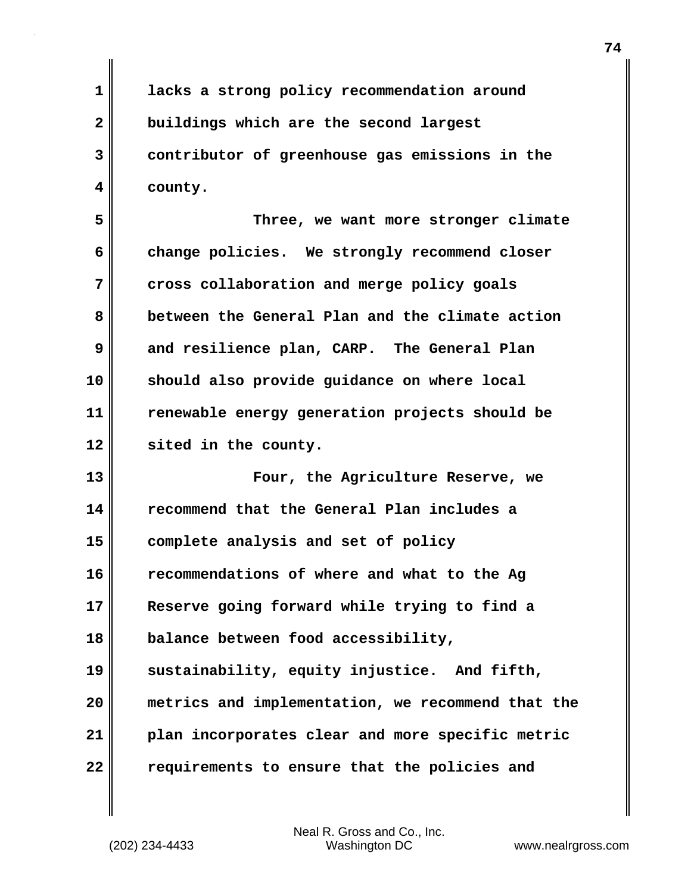**1 lacks a strong policy recommendation around 2 buildings which are the second largest 3 contributor of greenhouse gas emissions in the 4 county.**

**5 Three, we want more stronger climate 6 change policies. We strongly recommend closer 7 cross collaboration and merge policy goals 8 between the General Plan and the climate action 9 and resilience plan, CARP. The General Plan 10 should also provide guidance on where local 11 renewable energy generation projects should be 12 sited in the county.**

**13 Four, the Agriculture Reserve, we 14 recommend that the General Plan includes a 15 complete analysis and set of policy 16 recommendations of where and what to the Ag 17 Reserve going forward while trying to find a 18 balance between food accessibility, 19 sustainability, equity injustice. And fifth, 20 metrics and implementation, we recommend that the 21 plan incorporates clear and more specific metric 22 requirements to ensure that the policies and**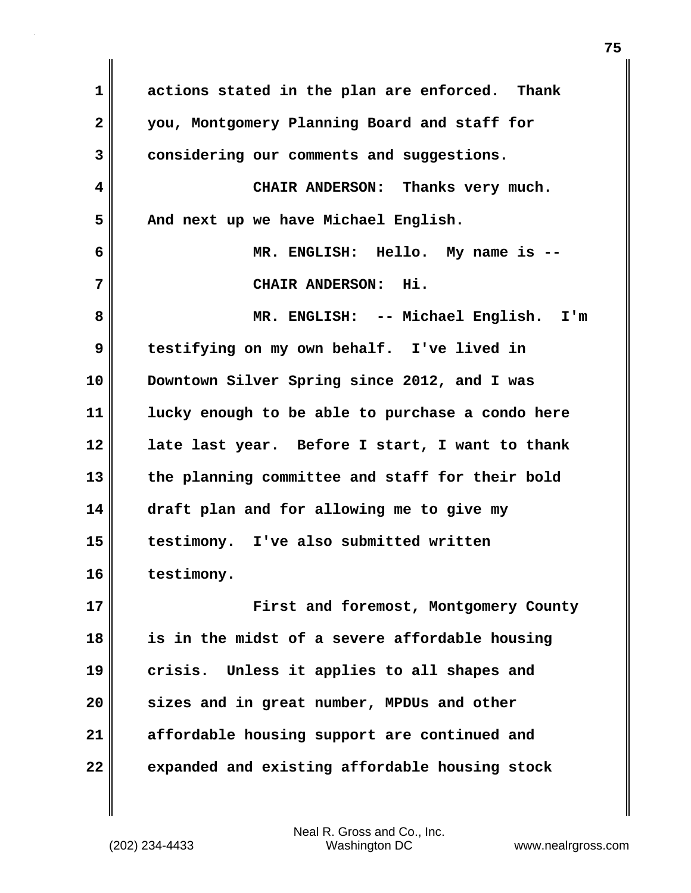**1 actions stated in the plan are enforced. Thank 2 you, Montgomery Planning Board and staff for 3 considering our comments and suggestions. 4 CHAIR ANDERSON: Thanks very much. 5 And next up we have Michael English. 6 MR. ENGLISH: Hello. My name is -- 7 CHAIR ANDERSON: Hi. 8 MR. ENGLISH: -- Michael English. I'm 9 testifying on my own behalf. I've lived in 10 Downtown Silver Spring since 2012, and I was 11 lucky enough to be able to purchase a condo here 12 late last year. Before I start, I want to thank 13 the planning committee and staff for their bold 14 draft plan and for allowing me to give my 15 testimony. I've also submitted written 16 testimony. 17 First and foremost, Montgomery County 18 is in the midst of a severe affordable housing 19 crisis. Unless it applies to all shapes and 20 sizes and in great number, MPDUs and other 21 affordable housing support are continued and 22 expanded and existing affordable housing stock**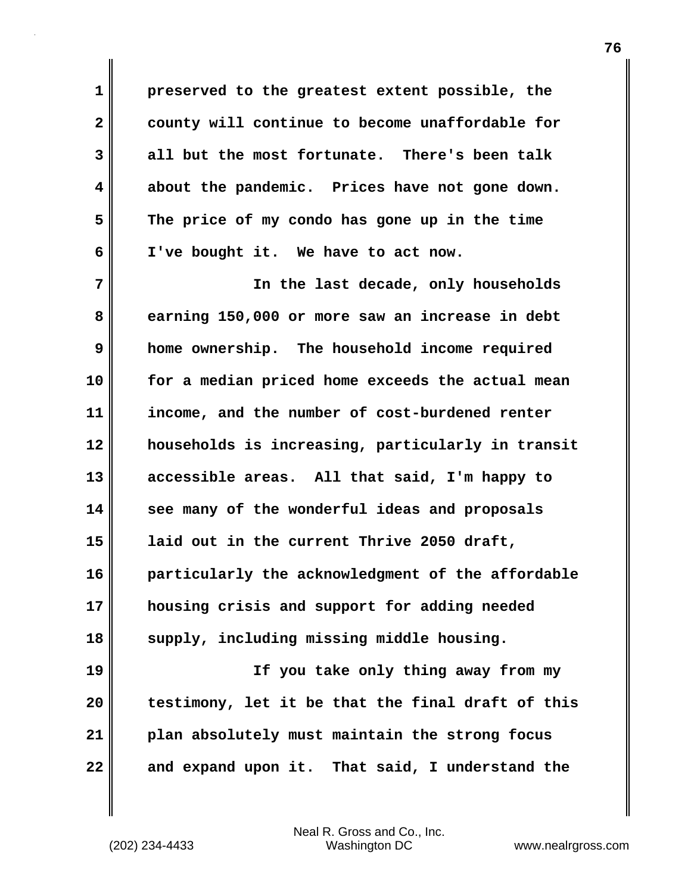**1 preserved to the greatest extent possible, the 2 county will continue to become unaffordable for 3 all but the most fortunate. There's been talk 4 about the pandemic. Prices have not gone down. 5 The price of my condo has gone up in the time 6 I've bought it. We have to act now.**

**7 In the last decade, only households 8 earning 150,000 or more saw an increase in debt 9 home ownership. The household income required 10 for a median priced home exceeds the actual mean 11 income, and the number of cost-burdened renter 12 households is increasing, particularly in transit 13 accessible areas. All that said, I'm happy to 14 see many of the wonderful ideas and proposals 15 laid out in the current Thrive 2050 draft, 16 particularly the acknowledgment of the affordable 17 housing crisis and support for adding needed 18 supply, including missing middle housing. 19 If you take only thing away from my 20 testimony, let it be that the final draft of this**

**21 plan absolutely must maintain the strong focus**

**22 and expand upon it. That said, I understand the**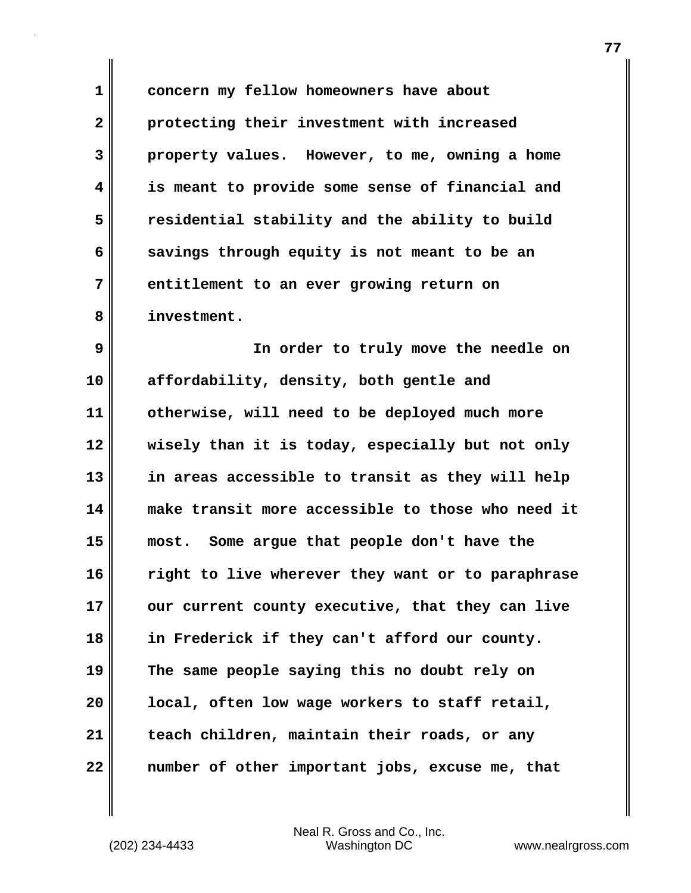**1 concern my fellow homeowners have about 2 protecting their investment with increased 3 property values. However, to me, owning a home 4 is meant to provide some sense of financial and 5 residential stability and the ability to build 6 savings through equity is not meant to be an 7 entitlement to an ever growing return on 8 investment.**

**9 In order to truly move the needle on 10 affordability, density, both gentle and 11 otherwise, will need to be deployed much more 12 wisely than it is today, especially but not only 13 in areas accessible to transit as they will help 14 make transit more accessible to those who need it 15 most. Some argue that people don't have the 16 right to live wherever they want or to paraphrase** 17 || our current county executive, that they can live **18 in Frederick if they can't afford our county. 19 The same people saying this no doubt rely on 20 local, often low wage workers to staff retail, 21 teach children, maintain their roads, or any 22 number of other important jobs, excuse me, that**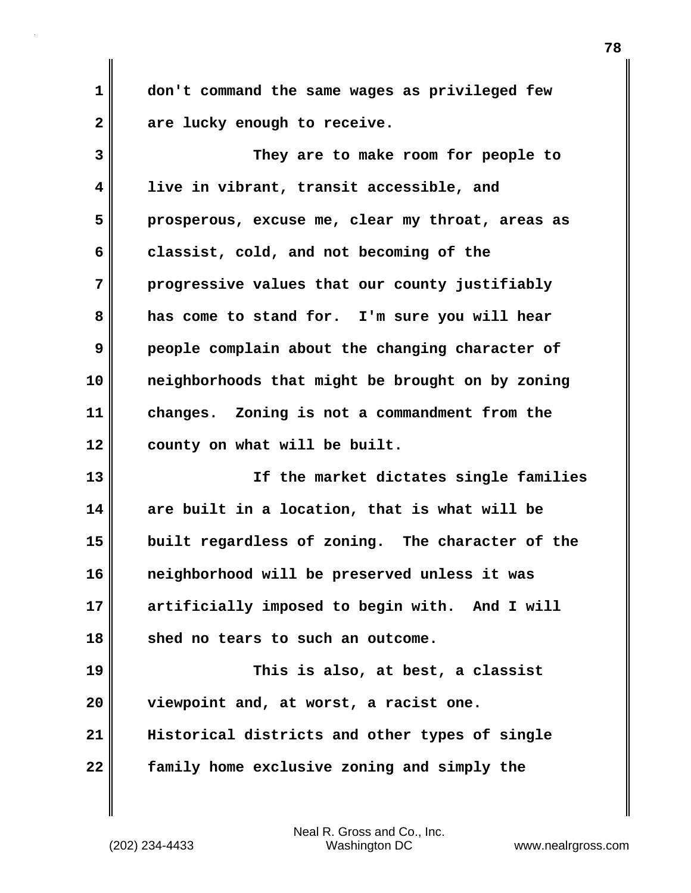**1 don't command the same wages as privileged few 2 are lucky enough to receive.**

**3 They are to make room for people to 4 live in vibrant, transit accessible, and 5 prosperous, excuse me, clear my throat, areas as 6 classist, cold, and not becoming of the 7 progressive values that our county justifiably 8 has come to stand for. I'm sure you will hear 9 people complain about the changing character of 10 neighborhoods that might be brought on by zoning 11 changes. Zoning is not a commandment from the 12 county on what will be built.**

**13 If the market dictates single families 14 are built in a location, that is what will be 15 built regardless of zoning. The character of the 16 neighborhood will be preserved unless it was 17 artificially imposed to begin with. And I will 18 shed no tears to such an outcome.**

**19 This is also, at best, a classist 20 viewpoint and, at worst, a racist one. 21 Historical districts and other types of single 22 family home exclusive zoning and simply the**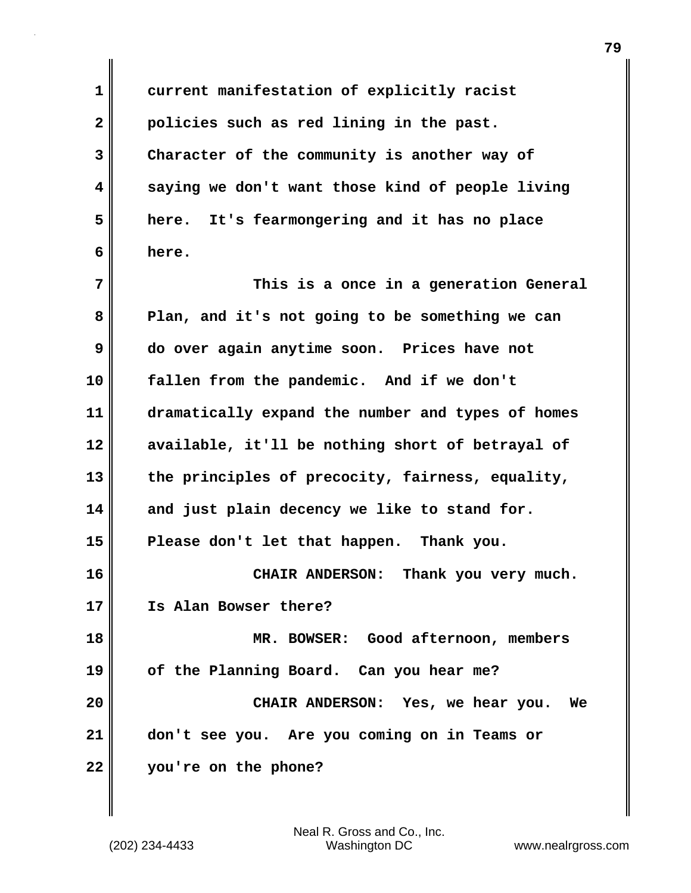**1 current manifestation of explicitly racist 2 policies such as red lining in the past. 3 Character of the community is another way of 4 saying we don't want those kind of people living 5 here. It's fearmongering and it has no place 6 here.**

**7 This is a once in a generation General 8 Plan, and it's not going to be something we can 9 do over again anytime soon. Prices have not 10 fallen from the pandemic. And if we don't 11 dramatically expand the number and types of homes 12 available, it'll be nothing short of betrayal of 13 the principles of precocity, fairness, equality, 14 and just plain decency we like to stand for. 15 Please don't let that happen. Thank you. 16 CHAIR ANDERSON: Thank you very much. 17 Is Alan Bowser there? 18 MR. BOWSER: Good afternoon, members 19 of the Planning Board. Can you hear me? 20 CHAIR ANDERSON: Yes, we hear you. We 21 don't see you. Are you coming on in Teams or**

**22 you're on the phone?**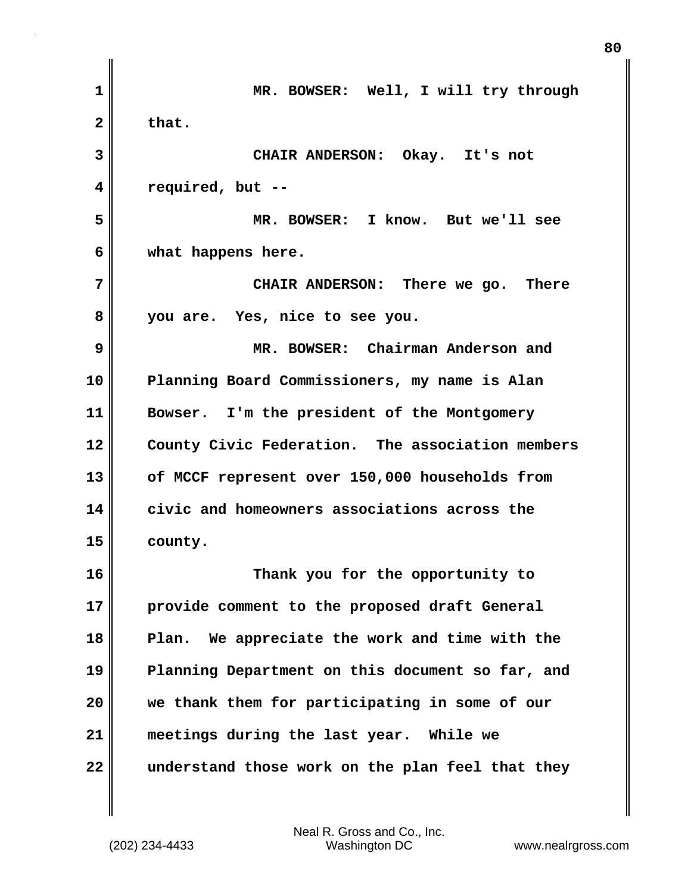| 1            | MR. BOWSER: Well, I will try through              |
|--------------|---------------------------------------------------|
| $\mathbf{2}$ | that.                                             |
| 3            | CHAIR ANDERSON: Okay. It's not                    |
| 4            | required, but --                                  |
| 5            | MR. BOWSER: I know. But we'll see                 |
| 6            | what happens here.                                |
| 7            | CHAIR ANDERSON: There we go. There                |
| 8            | you are. Yes, nice to see you.                    |
| 9            | MR. BOWSER: Chairman Anderson and                 |
| 10           | Planning Board Commissioners, my name is Alan     |
| 11           | Bowser. I'm the president of the Montgomery       |
| 12           | County Civic Federation. The association members  |
| 13           | of MCCF represent over 150,000 households from    |
| 14           | civic and homeowners associations across the      |
| 15           | county.                                           |
| 16           | Thank you for the opportunity to                  |
| 17           | provide comment to the proposed draft General     |
| 18           | We appreciate the work and time with the<br>Plan. |
| 19           | Planning Department on this document so far, and  |
| 20           | we thank them for participating in some of our    |
| 21           | meetings during the last year. While we           |
| 22           | understand those work on the plan feel that they  |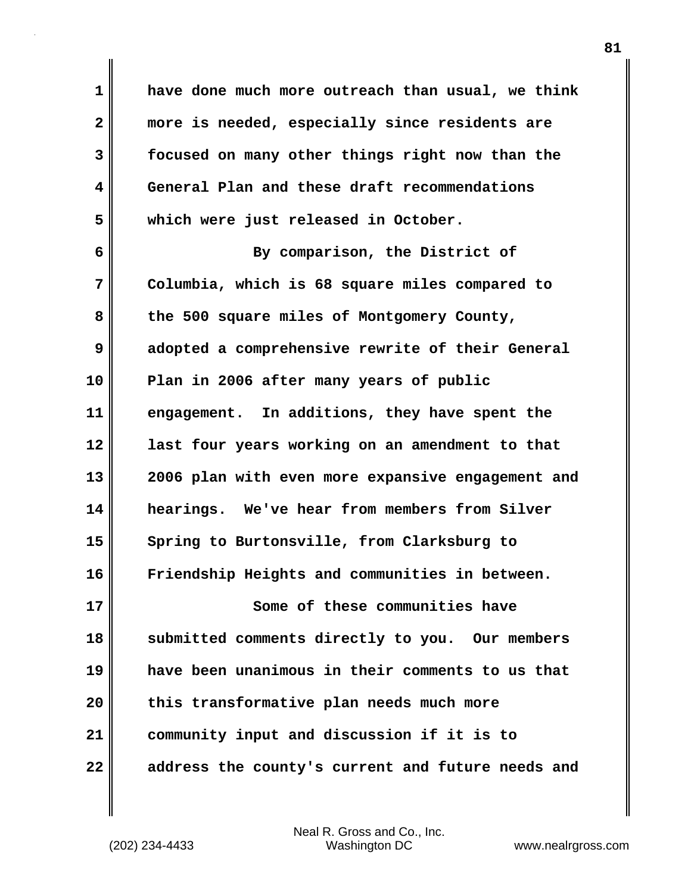**1 have done much more outreach than usual, we think 2 more is needed, especially since residents are 3 focused on many other things right now than the 4 General Plan and these draft recommendations 5 which were just released in October.**

**6 By comparison, the District of 7 Columbia, which is 68 square miles compared to 8 the 500 square miles of Montgomery County, 9 adopted a comprehensive rewrite of their General 10 Plan in 2006 after many years of public 11 engagement. In additions, they have spent the 12 last four years working on an amendment to that 13 2006 plan with even more expansive engagement and 14 hearings. We've hear from members from Silver 15 Spring to Burtonsville, from Clarksburg to 16 Friendship Heights and communities in between. 17 Some of these communities have 18 submitted comments directly to you. Our members 19 have been unanimous in their comments to us that 20 this transformative plan needs much more 21 community input and discussion if it is to 22 address the county's current and future needs and**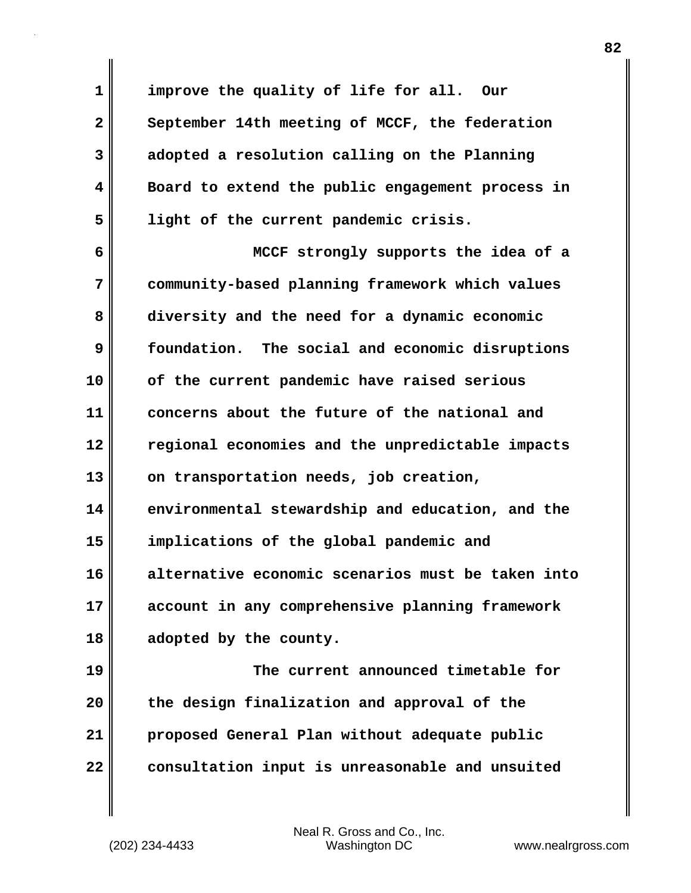**1 improve the quality of life for all. Our** 2 September 14th meeting of MCCF, the federation **3 adopted a resolution calling on the Planning 4 Board to extend the public engagement process in 5 light of the current pandemic crisis.**

**6 MCCF strongly supports the idea of a 7 community-based planning framework which values 8 diversity and the need for a dynamic economic 9 foundation. The social and economic disruptions 10 of the current pandemic have raised serious 11 concerns about the future of the national and 12 regional economies and the unpredictable impacts 13 on transportation needs, job creation, 14 environmental stewardship and education, and the 15 implications of the global pandemic and 16 alternative economic scenarios must be taken into 17 account in any comprehensive planning framework 18 adopted by the county.**

**19 The current announced timetable for 20 the design finalization and approval of the 21 proposed General Plan without adequate public 22 consultation input is unreasonable and unsuited**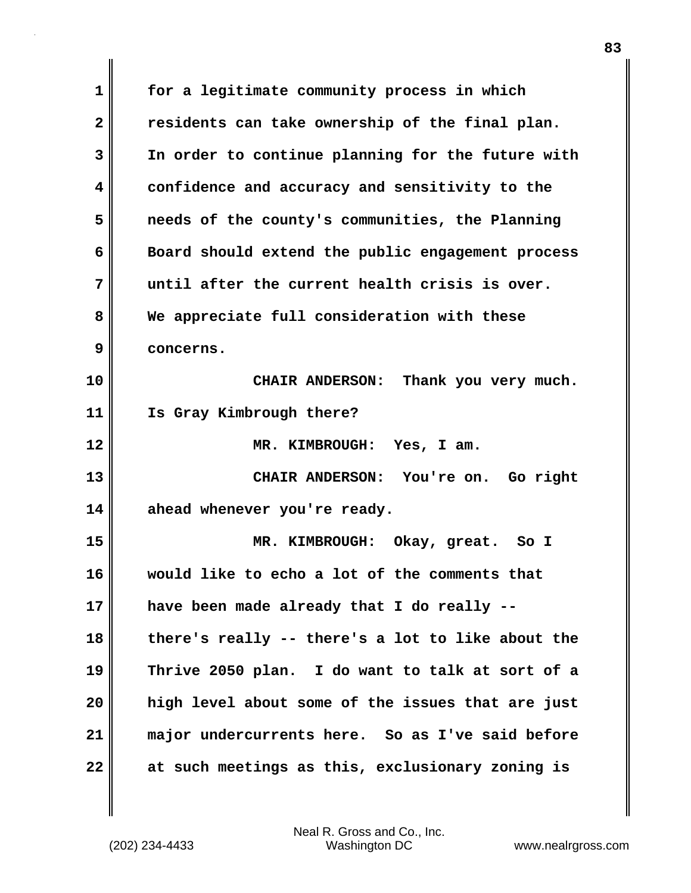**1 for a legitimate community process in which 2 residents can take ownership of the final plan. 3 In order to continue planning for the future with 4 confidence and accuracy and sensitivity to the 5 needs of the county's communities, the Planning 6 Board should extend the public engagement process 7 until after the current health crisis is over. 8 We appreciate full consideration with these 9 concerns. 10 CHAIR ANDERSON: Thank you very much. 11 Is Gray Kimbrough there? 12 MR. KIMBROUGH: Yes, I am. 13 CHAIR ANDERSON: You're on. Go right 14 ahead whenever you're ready. 15 MR. KIMBROUGH: Okay, great. So I 16 would like to echo a lot of the comments that 17 have been made already that I do really -- 18 there's really -- there's a lot to like about the 19 Thrive 2050 plan. I do want to talk at sort of a 20 high level about some of the issues that are just 21 major undercurrents here. So as I've said before 22 at such meetings as this, exclusionary zoning is**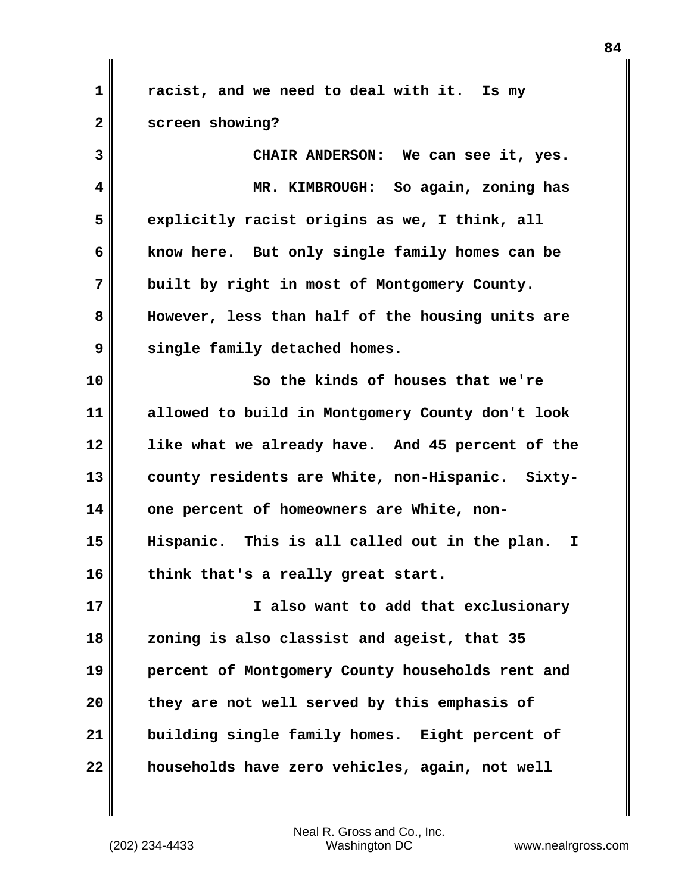**1 racist, and we need to deal with it. Is my 2 screen showing? 3 CHAIR ANDERSON: We can see it, yes. 4 MR. KIMBROUGH: So again, zoning has 5 explicitly racist origins as we, I think, all 6 know here. But only single family homes can be 7 built by right in most of Montgomery County. 8 However, less than half of the housing units are 9 single family detached homes.**

**10 So the kinds of houses that we're 11 allowed to build in Montgomery County don't look 12 like what we already have. And 45 percent of the 13 county residents are White, non-Hispanic. Sixty-14 one percent of homeowners are White, non-15 Hispanic. This is all called out in the plan. I 16 think that's a really great start.**

**17 I also want to add that exclusionary 18 zoning is also classist and ageist, that 35 19 percent of Montgomery County households rent and 20 they are not well served by this emphasis of 21 building single family homes. Eight percent of 22 households have zero vehicles, again, not well**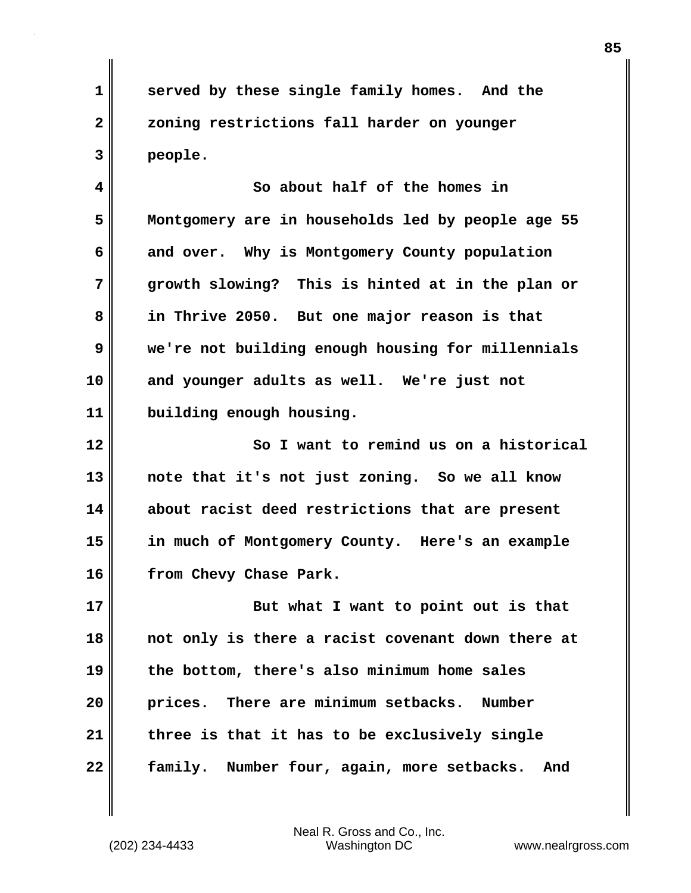**1 served by these single family homes. And the 2 zoning restrictions fall harder on younger 3 people.**

**4 So about half of the homes in 5 Montgomery are in households led by people age 55 6 and over. Why is Montgomery County population 7 growth slowing? This is hinted at in the plan or 8 in Thrive 2050. But one major reason is that 9 we're not building enough housing for millennials 10 and younger adults as well. We're just not 11 building enough housing.**

**12 So I want to remind us on a historical 13 note that it's not just zoning. So we all know 14 about racist deed restrictions that are present 15 in much of Montgomery County. Here's an example 16 from Chevy Chase Park.**

**17 But what I want to point out is that 18 not only is there a racist covenant down there at 19 the bottom, there's also minimum home sales 20 prices. There are minimum setbacks. Number 21 three is that it has to be exclusively single 22 family. Number four, again, more setbacks. And**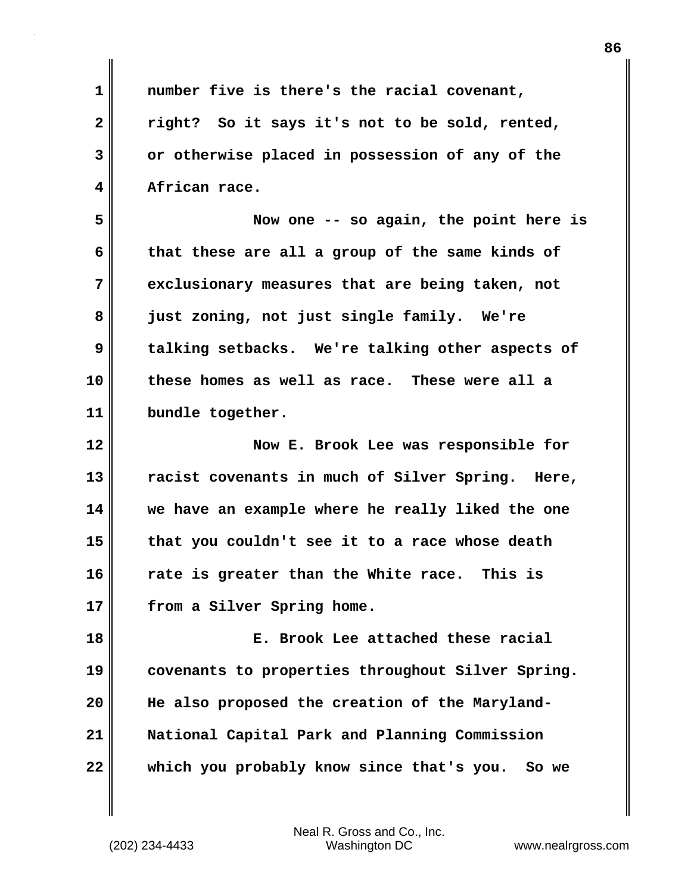| $\mathbf{1}$            | number five is there's the racial covenant,        |
|-------------------------|----------------------------------------------------|
| $\overline{\mathbf{2}}$ | right? So it says it's not to be sold, rented,     |
| 3                       | or otherwise placed in possession of any of the    |
| 4                       | African race.                                      |
| 5                       | Now one -- so again, the point here is             |
| 6                       | that these are all a group of the same kinds of    |
| 7                       | exclusionary measures that are being taken, not    |
| 8                       | just zoning, not just single family. We're         |
| 9                       | talking setbacks. We're talking other aspects of   |
| 10                      | these homes as well as race. These were all a      |
| 11                      | bundle together.                                   |
| 12                      | Now E. Brook Lee was responsible for               |
| 13                      | racist covenants in much of Silver Spring. Here,   |
| 14                      | we have an example where he really liked the one   |
| 15                      | that you couldn't see it to a race whose death     |
| 16                      | rate is greater than the White race.<br>This is    |
| 17                      | from a Silver Spring home.                         |
| 18                      | E. Brook Lee attached these racial                 |
| 19                      | covenants to properties throughout Silver Spring.  |
| 20                      | He also proposed the creation of the Maryland-     |
| 21                      | National Capital Park and Planning Commission      |
| 22                      | which you probably know since that's you.<br>So we |
|                         |                                                    |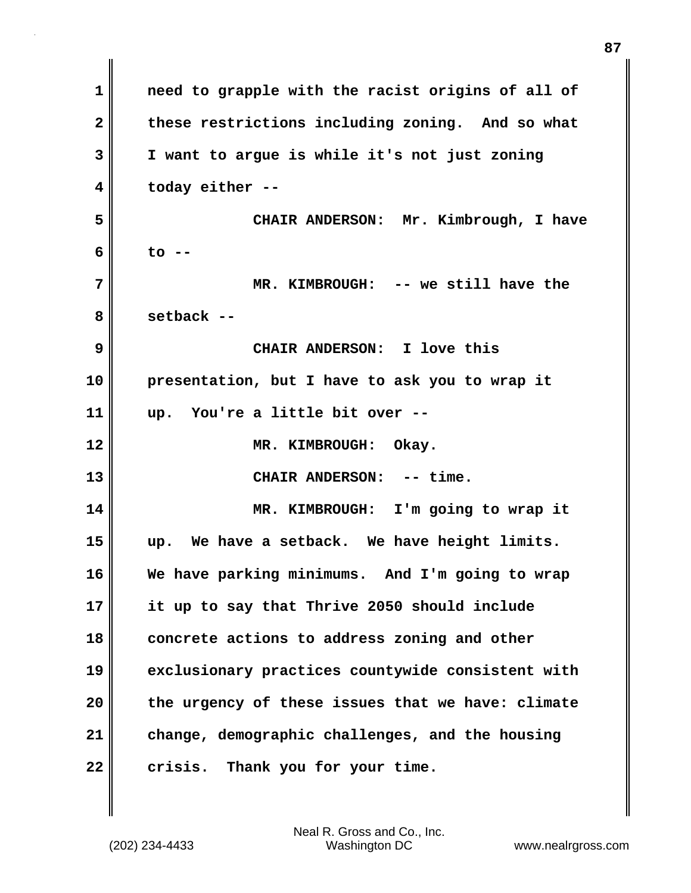| 1            | need to grapple with the racist origins of all of |
|--------------|---------------------------------------------------|
| $\mathbf{2}$ | these restrictions including zoning. And so what  |
| 3            | I want to argue is while it's not just zoning     |
| 4            | today either --                                   |
| 5            | CHAIR ANDERSON: Mr. Kimbrough, I have             |
| 6            | $\overline{c}$ --                                 |
| 7            | MR. KIMBROUGH: -- we still have the               |
| 8            | setback --                                        |
| 9            | CHAIR ANDERSON: I love this                       |
| 10           | presentation, but I have to ask you to wrap it    |
| 11           | You're a little bit over --<br>up.                |
| 12           | MR. KIMBROUGH: Okay.                              |
| 13           | CHAIR ANDERSON: -- time.                          |
| 14           | MR. KIMBROUGH: I'm going to wrap it               |
| 15           | We have a setback. We have height limits.<br>up.  |
| 16           | We have parking minimums. And I'm going to wrap   |
| 17           | it up to say that Thrive 2050 should include      |
| 18           | concrete actions to address zoning and other      |
| 19           | exclusionary practices countywide consistent with |
| 20           | the urgency of these issues that we have: climate |
| 21           | change, demographic challenges, and the housing   |
| 22           | crisis. Thank you for your time.                  |

 $\mathbf{I}$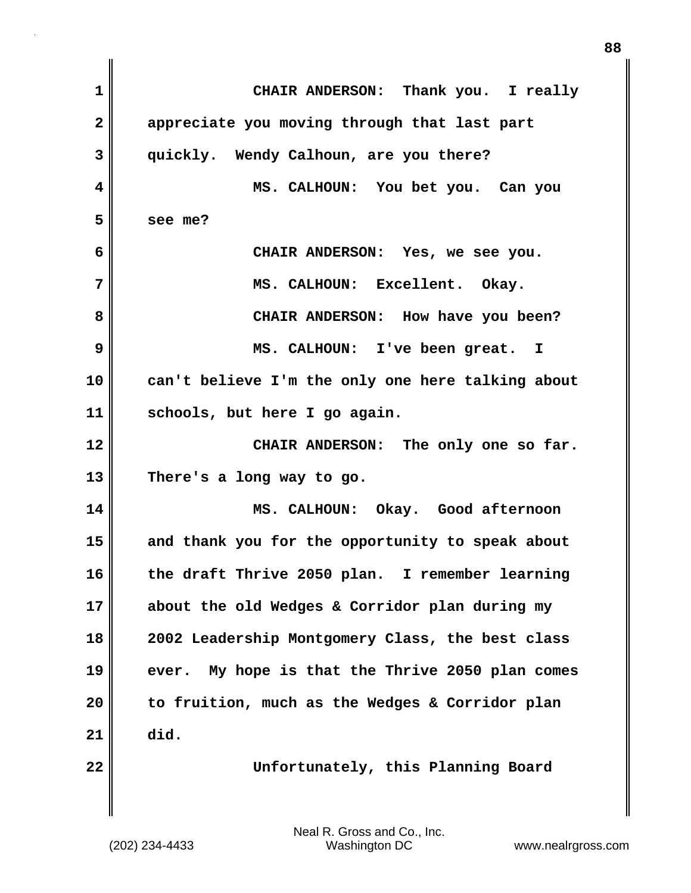**1 CHAIR ANDERSON: Thank you. I really 2 appreciate you moving through that last part 3 quickly. Wendy Calhoun, are you there? 4 MS. CALHOUN: You bet you. Can you 5 see me? 6 CHAIR ANDERSON: Yes, we see you. 7 MS. CALHOUN: Excellent. Okay. 8 CHAIR ANDERSON: How have you been? 9 MS. CALHOUN: I've been great. I 10 can't believe I'm the only one here talking about 11 schools, but here I go again. 12 CHAIR ANDERSON: The only one so far. 13 There's a long way to go. 14 MS. CALHOUN: Okay. Good afternoon 15 and thank you for the opportunity to speak about 16 the draft Thrive 2050 plan. I remember learning 17 about the old Wedges & Corridor plan during my 18 2002 Leadership Montgomery Class, the best class 19 ever. My hope is that the Thrive 2050 plan comes 20 to fruition, much as the Wedges & Corridor plan 21 did. 22 Unfortunately, this Planning Board**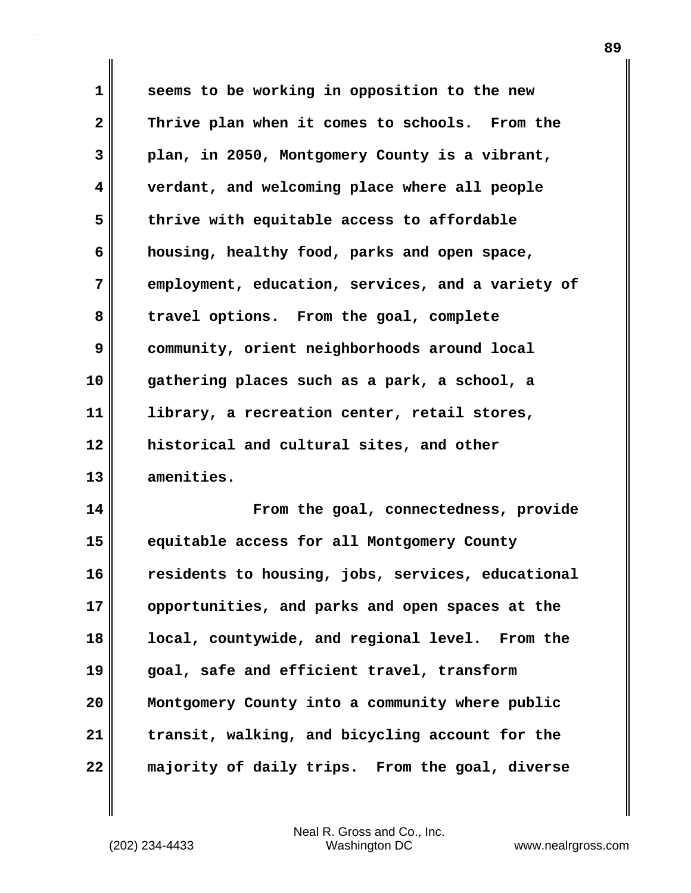**1 seems to be working in opposition to the new 2 Thrive plan when it comes to schools. From the 3 plan, in 2050, Montgomery County is a vibrant, 4 verdant, and welcoming place where all people 5 thrive with equitable access to affordable 6 housing, healthy food, parks and open space, 7 employment, education, services, and a variety of 8 travel options. From the goal, complete 9 community, orient neighborhoods around local 10 gathering places such as a park, a school, a 11 library, a recreation center, retail stores, 12 historical and cultural sites, and other 13 amenities.**

**14 From the goal, connectedness, provide 15 equitable access for all Montgomery County 16 residents to housing, jobs, services, educational 17 opportunities, and parks and open spaces at the 18 local, countywide, and regional level. From the 19 goal, safe and efficient travel, transform 20 Montgomery County into a community where public 21 transit, walking, and bicycling account for the 22 majority of daily trips. From the goal, diverse**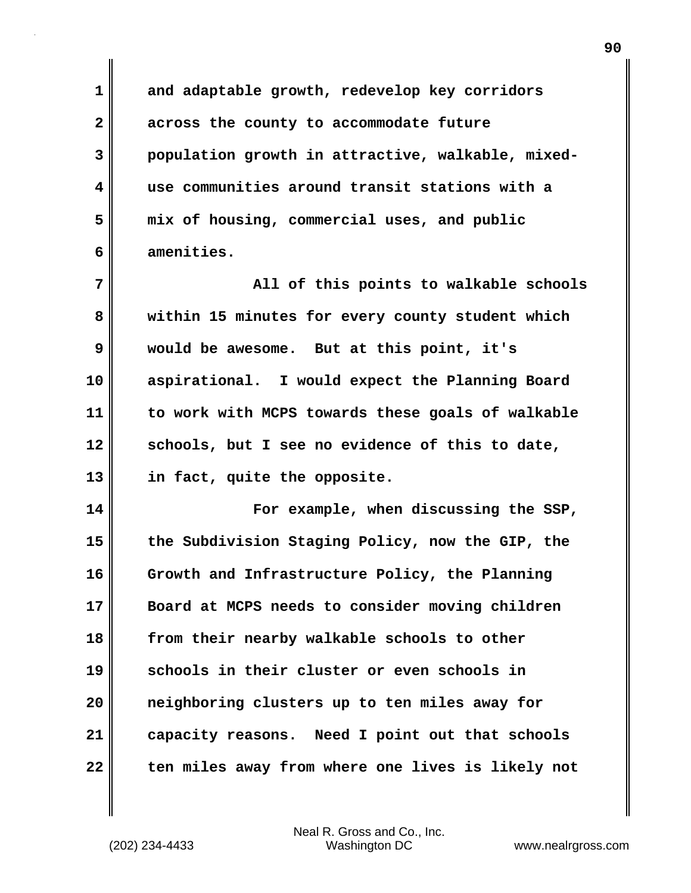**1 and adaptable growth, redevelop key corridors 2 across the county to accommodate future 3 population growth in attractive, walkable, mixed-4 use communities around transit stations with a 5 mix of housing, commercial uses, and public 6 amenities. 7 All of this points to walkable schools 8 within 15 minutes for every county student which 9 would be awesome. But at this point, it's 10 aspirational. I would expect the Planning Board 11 to work with MCPS towards these goals of walkable 12 schools, but I see no evidence of this to date, 13 in fact, quite the opposite. 14 For example, when discussing the SSP, 15 the Subdivision Staging Policy, now the GIP, the 16 Growth and Infrastructure Policy, the Planning 17 Board at MCPS needs to consider moving children 18 from their nearby walkable schools to other 19 schools in their cluster or even schools in 20 neighboring clusters up to ten miles away for 21 capacity reasons. Need I point out that schools 22 ten miles away from where one lives is likely not**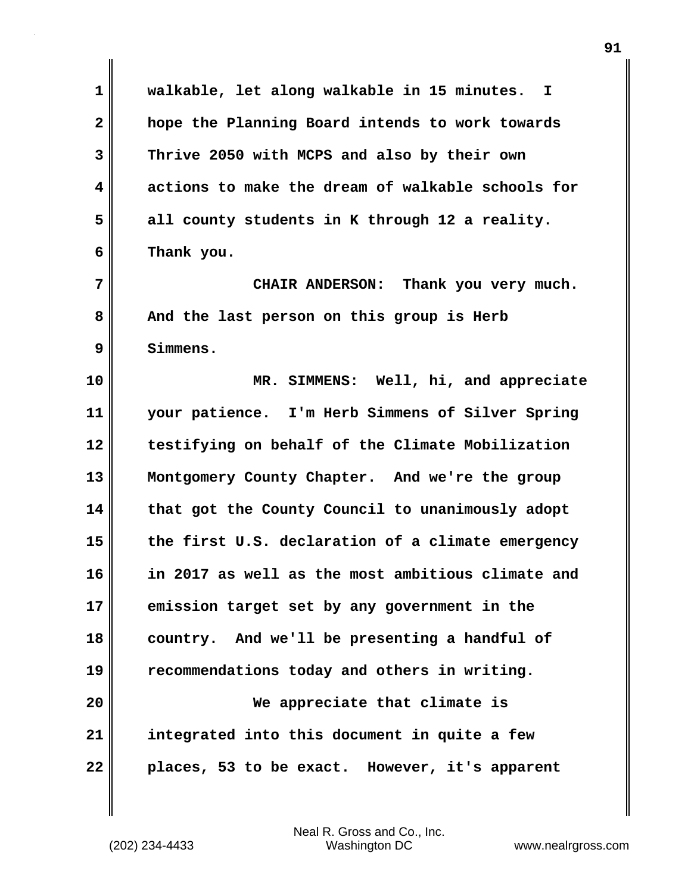**1 walkable, let along walkable in 15 minutes. I 2 hope the Planning Board intends to work towards 3 Thrive 2050 with MCPS and also by their own 4 actions to make the dream of walkable schools for 5 all county students in K through 12 a reality. 6 Thank you. 7** CHAIR ANDERSON: Thank you very much. 8 And the last person on this group is Herb **9 Simmens. 10 MR. SIMMENS: Well, hi, and appreciate 11 your patience. I'm Herb Simmens of Silver Spring 12 testifying on behalf of the Climate Mobilization 13 Montgomery County Chapter. And we're the group 14 that got the County Council to unanimously adopt 15 the first U.S. declaration of a climate emergency 16 in 2017 as well as the most ambitious climate and 17 emission target set by any government in the 18 country. And we'll be presenting a handful of 19 recommendations today and others in writing. 20 We appreciate that climate is 21 integrated into this document in quite a few 22 places, 53 to be exact. However, it's apparent**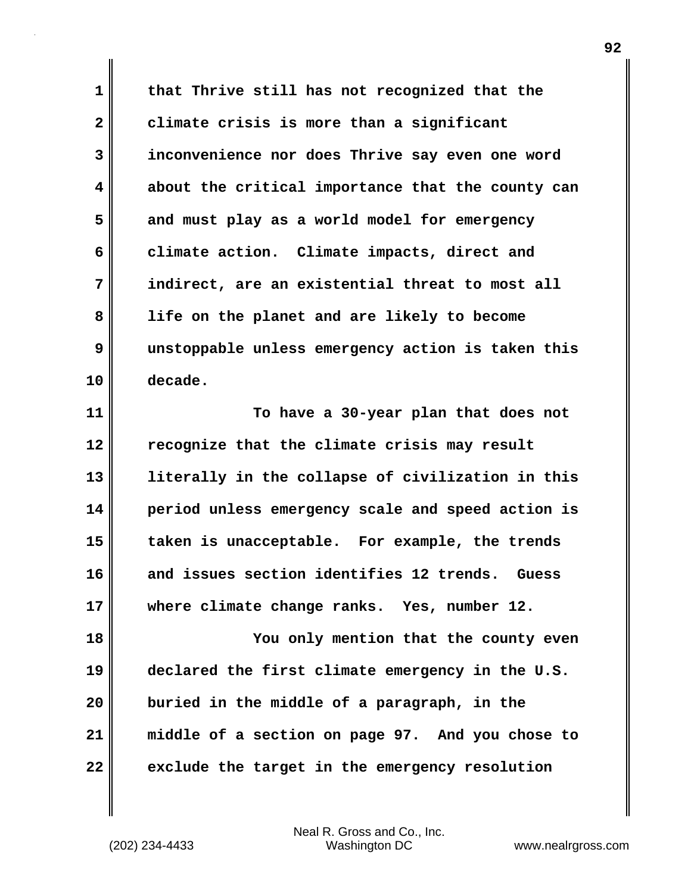**1 that Thrive still has not recognized that the 2 climate crisis is more than a significant 3 inconvenience nor does Thrive say even one word 4 about the critical importance that the county can 5 and must play as a world model for emergency 6 climate action. Climate impacts, direct and 7 indirect, are an existential threat to most all 8 life on the planet and are likely to become 9 unstoppable unless emergency action is taken this 10 decade.**

**11 To have a 30-year plan that does not 12 recognize that the climate crisis may result 13 literally in the collapse of civilization in this 14 period unless emergency scale and speed action is 15 taken is unacceptable. For example, the trends 16 and issues section identifies 12 trends. Guess 17 where climate change ranks. Yes, number 12.**

**18 You only mention that the county even 19 declared the first climate emergency in the U.S. 20 buried in the middle of a paragraph, in the 21 middle of a section on page 97. And you chose to 22 exclude the target in the emergency resolution**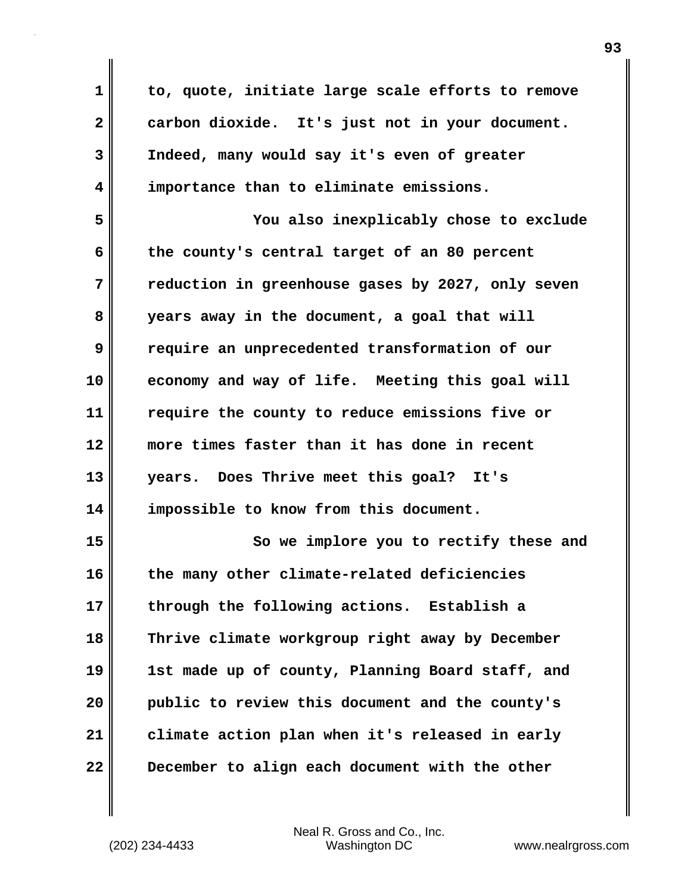**1 to, quote, initiate large scale efforts to remove 2 carbon dioxide. It's just not in your document. 3 Indeed, many would say it's even of greater 4 importance than to eliminate emissions. 5 You also inexplicably chose to exclude 6 the county's central target of an 80 percent 7 reduction in greenhouse gases by 2027, only seven 8 years away in the document, a goal that will 9 require an unprecedented transformation of our 10 economy and way of life. Meeting this goal will 11 require the county to reduce emissions five or 12 more times faster than it has done in recent 13 years. Does Thrive meet this goal? It's 14 impossible to know from this document. 15 So we implore you to rectify these and 16 the many other climate-related deficiencies 17 through the following actions. Establish a 18 Thrive climate workgroup right away by December 19 1st made up of county, Planning Board staff, and 20 public to review this document and the county's 21 climate action plan when it's released in early 22 December to align each document with the other**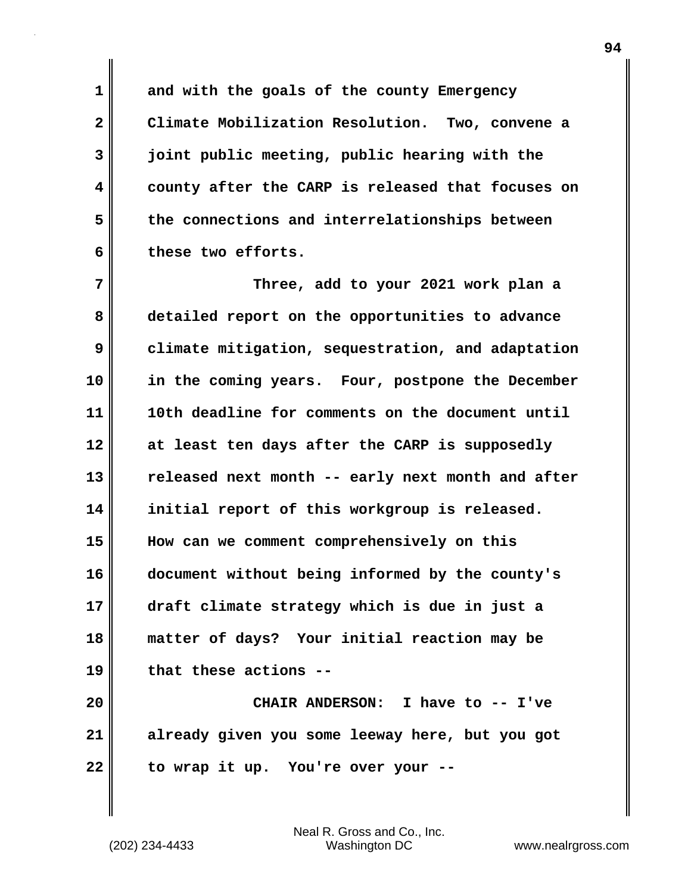**1 and with the goals of the county Emergency 2 Climate Mobilization Resolution. Two, convene a 3 joint public meeting, public hearing with the 4 county after the CARP is released that focuses on 5 the connections and interrelationships between 6 these two efforts.**

**7 Three, add to your 2021 work plan a 8 detailed report on the opportunities to advance 9 climate mitigation, sequestration, and adaptation 10 in the coming years. Four, postpone the December 11 10th deadline for comments on the document until 12 at least ten days after the CARP is supposedly 13 released next month -- early next month and after 14 initial report of this workgroup is released. 15 How can we comment comprehensively on this 16 document without being informed by the county's 17 draft climate strategy which is due in just a 18 matter of days? Your initial reaction may be 19 that these actions --**

**20 CHAIR ANDERSON: I have to -- I've 21 already given you some leeway here, but you got 22 to wrap it up. You're over your --**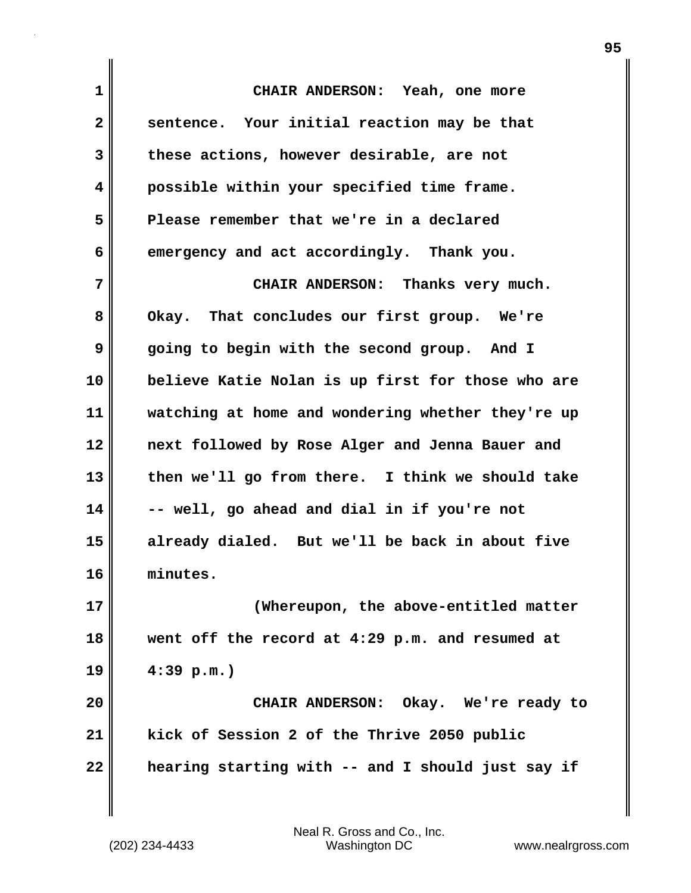**1 CHAIR ANDERSON: Yeah, one more 2 sentence. Your initial reaction may be that 3 these actions, however desirable, are not 4 possible within your specified time frame. 5 Please remember that we're in a declared 6 emergency and act accordingly. Thank you. 7 CHAIR ANDERSON: Thanks very much. 8 Okay. That concludes our first group. We're 9 going to begin with the second group. And I 10 believe Katie Nolan is up first for those who are 11 watching at home and wondering whether they're up 12 next followed by Rose Alger and Jenna Bauer and 13 then we'll go from there. I think we should take 14 -- well, go ahead and dial in if you're not 15 already dialed. But we'll be back in about five 16 minutes. 17 (Whereupon, the above-entitled matter 18 went off the record at 4:29 p.m. and resumed at 19 4:39 p.m.) 20 CHAIR ANDERSON: Okay. We're ready to 21 kick of Session 2 of the Thrive 2050 public 22 hearing starting with -- and I should just say if**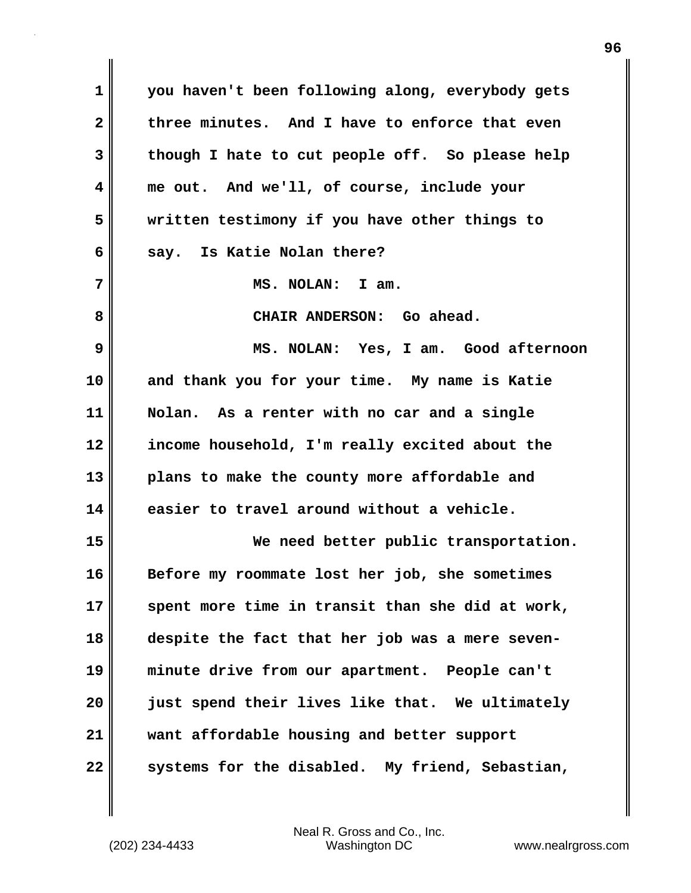**1 you haven't been following along, everybody gets 2 three minutes. And I have to enforce that even 3 though I hate to cut people off. So please help 4 me out. And we'll, of course, include your 5 written testimony if you have other things to 6 say. Is Katie Nolan there? 7 MS. NOLAN: I am.** 8 CHAIR ANDERSON: Go ahead. **9 MS. NOLAN: Yes, I am. Good afternoon 10 and thank you for your time. My name is Katie 11 Nolan. As a renter with no car and a single 12 income household, I'm really excited about the 13 plans to make the county more affordable and 14 easier to travel around without a vehicle. 15 We need better public transportation. 16 Before my roommate lost her job, she sometimes 17 spent more time in transit than she did at work, 18 despite the fact that her job was a mere seven-19 minute drive from our apartment. People can't 20 just spend their lives like that. We ultimately 21 want affordable housing and better support 22 systems for the disabled. My friend, Sebastian,**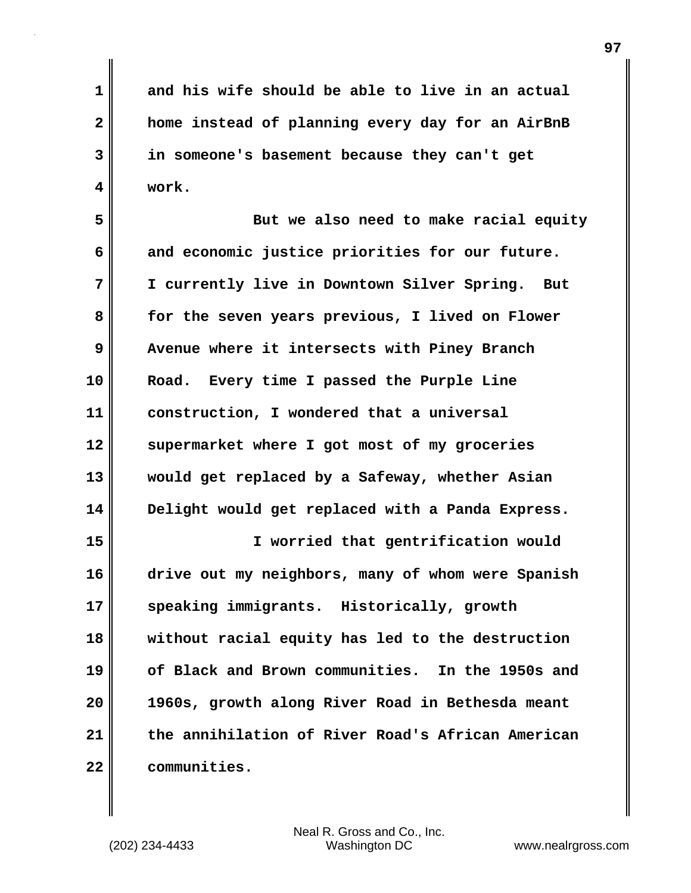**1 and his wife should be able to live in an actual 2 home instead of planning every day for an AirBnB 3 in someone's basement because they can't get 4 work.**

**5 But we also need to make racial equity 6 and economic justice priorities for our future. 7 I currently live in Downtown Silver Spring. But 8 for the seven years previous, I lived on Flower 9 Avenue where it intersects with Piney Branch 10 Road. Every time I passed the Purple Line 11 construction, I wondered that a universal 12 supermarket where I got most of my groceries 13 would get replaced by a Safeway, whether Asian 14 Delight would get replaced with a Panda Express.**

**15 I worried that gentrification would 16 drive out my neighbors, many of whom were Spanish 17 speaking immigrants. Historically, growth 18 without racial equity has led to the destruction 19 of Black and Brown communities. In the 1950s and 20 1960s, growth along River Road in Bethesda meant 21 the annihilation of River Road's African American 22 communities.**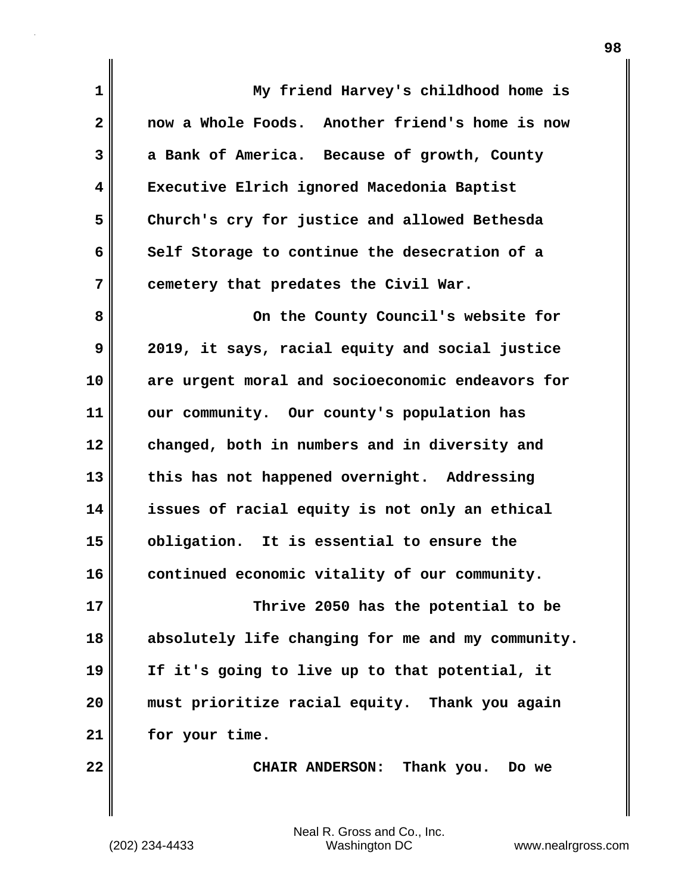| $\mathbf 1$  | My friend Harvey's childhood home is              |
|--------------|---------------------------------------------------|
| $\mathbf{2}$ | now a Whole Foods. Another friend's home is now   |
| 3            | a Bank of America. Because of growth, County      |
| 4            | Executive Elrich ignored Macedonia Baptist        |
| 5            | Church's cry for justice and allowed Bethesda     |
| 6            | Self Storage to continue the desecration of a     |
| 7            | cemetery that predates the Civil War.             |
| 8            | On the County Council's website for               |
| 9            | 2019, it says, racial equity and social justice   |
| 10           | are urgent moral and socioeconomic endeavors for  |
| 11           | our community. Our county's population has        |
| 12           | changed, both in numbers and in diversity and     |
| 13           | this has not happened overnight. Addressing       |
| 14           | issues of racial equity is not only an ethical    |
| 15           | obligation. It is essential to ensure the         |
| 16           | continued economic vitality of our community.     |
| 17           | Thrive 2050 has the potential to be               |
| 18           | absolutely life changing for me and my community. |
| 19           | If it's going to live up to that potential, it    |
| 20           | must prioritize racial equity. Thank you again    |
| 21           | for your time.                                    |
| 22           | CHAIR ANDERSON: Thank you. Do we                  |
|              |                                                   |

 $\mathbf{I}$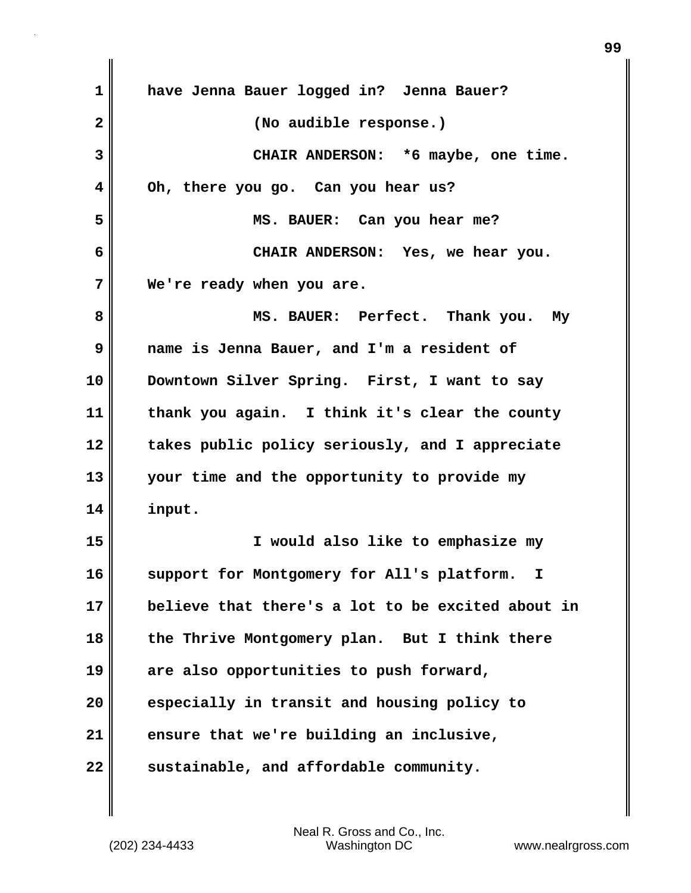| $\mathbf 1$  | have Jenna Bauer logged in? Jenna Bauer?          |
|--------------|---------------------------------------------------|
| $\mathbf{2}$ | (No audible response.)                            |
| 3            | CHAIR ANDERSON: *6 maybe, one time.               |
| 4            | Oh, there you go. Can you hear us?                |
| 5            | MS. BAUER: Can you hear me?                       |
| 6            | CHAIR ANDERSON: Yes, we hear you.                 |
| 7            | We're ready when you are.                         |
| 8            | MS. BAUER: Perfect. Thank you. My                 |
| 9            | name is Jenna Bauer, and I'm a resident of        |
| 10           | Downtown Silver Spring. First, I want to say      |
| 11           | thank you again. I think it's clear the county    |
| 12           | takes public policy seriously, and I appreciate   |
| 13           | your time and the opportunity to provide my       |
| 14           | input.                                            |
| 15           | I would also like to emphasize my                 |
| 16           | support for Montgomery for All's platform.<br>I,  |
| 17           | believe that there's a lot to be excited about in |
| 18           | the Thrive Montgomery plan. But I think there     |
| 19           | are also opportunities to push forward,           |
| 20           | especially in transit and housing policy to       |
| 21           | ensure that we're building an inclusive,          |
| 22           | sustainable, and affordable community.            |

 $\mathbf{I}$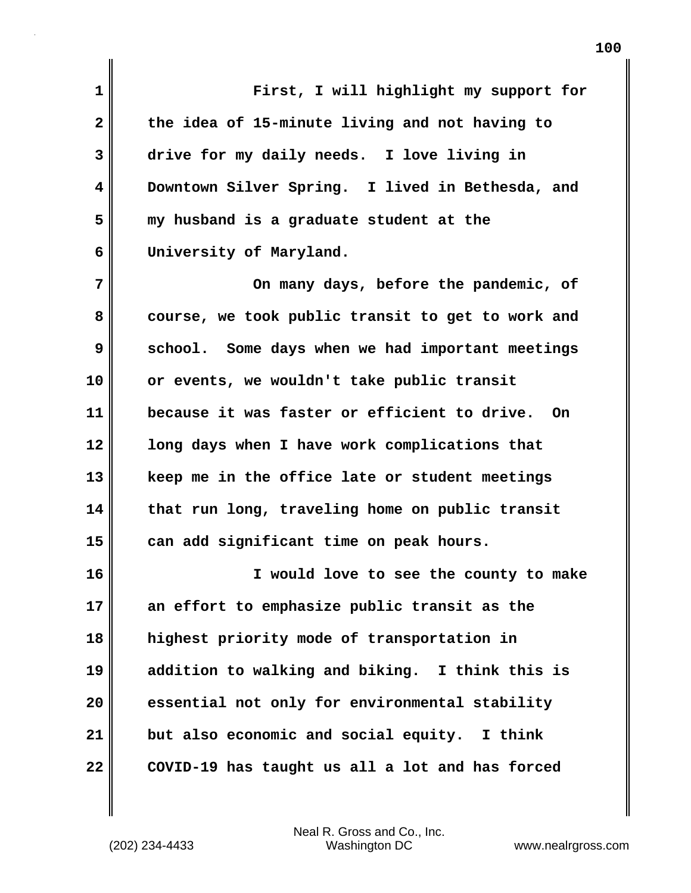**1 First, I will highlight my support for 2 the idea of 15-minute living and not having to 3 drive for my daily needs. I love living in 4 Downtown Silver Spring. I lived in Bethesda, and 5 my husband is a graduate student at the 6 University of Maryland.**

**7 On many days, before the pandemic, of 8 course, we took public transit to get to work and 9** School. Some days when we had important meetings **10 or events, we wouldn't take public transit 11 because it was faster or efficient to drive. On 12 long days when I have work complications that 13 keep me in the office late or student meetings 14 that run long, traveling home on public transit 15 can add significant time on peak hours.**

**16 I would love to see the county to make 17 an effort to emphasize public transit as the 18 highest priority mode of transportation in 19 addition to walking and biking. I think this is 20 essential not only for environmental stability 21 but also economic and social equity. I think 22 COVID-19 has taught us all a lot and has forced**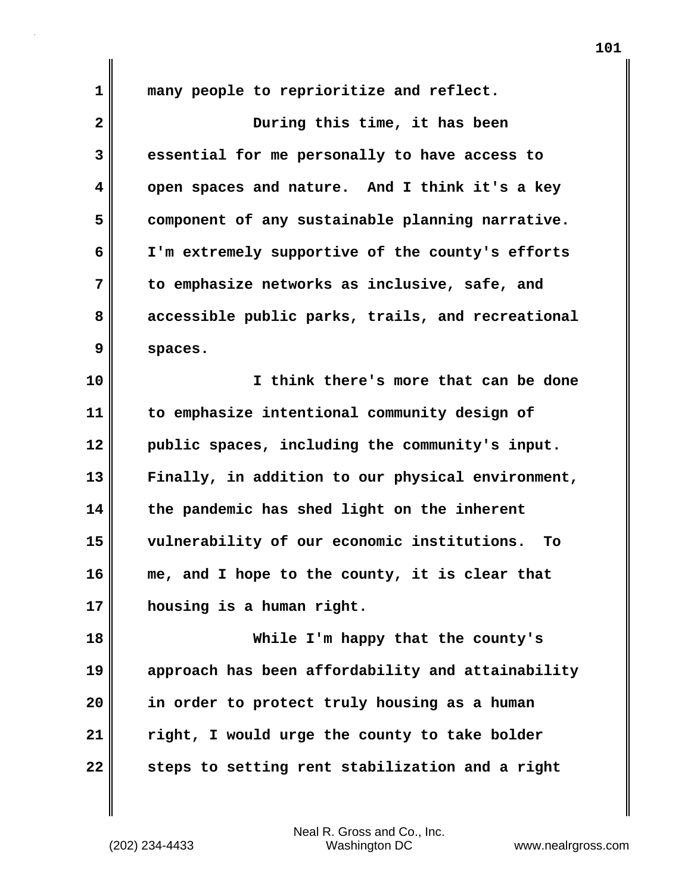**1 many people to reprioritize and reflect.**

| $\overline{\mathbf{2}}$ | During this time, it has been                     |
|-------------------------|---------------------------------------------------|
| 3                       | essential for me personally to have access to     |
| $\overline{\mathbf{4}}$ | open spaces and nature. And I think it's a key    |
| 5                       | component of any sustainable planning narrative.  |
| 6                       | I'm extremely supportive of the county's efforts  |
| 7                       | to emphasize networks as inclusive, safe, and     |
| 8                       | accessible public parks, trails, and recreational |
| 9                       | spaces.                                           |
| 10                      | I think there's more that can be done             |
| 11                      | to emphasize intentional community design of      |
| 12                      | public spaces, including the community's input.   |
| 13                      | Finally, in addition to our physical environment, |
| 14                      | the pandemic has shed light on the inherent       |
| 15                      | vulnerability of our economic institutions.<br>To |
| 16                      | me, and I hope to the county, it is clear that    |
| 17                      | housing is a human right.                         |
| 18                      | While I'm happy that the county's                 |
| 19                      | approach has been affordability and attainability |
| 20                      | in order to protect truly housing as a human      |
| 21                      | right, I would urge the county to take bolder     |
| 22                      | steps to setting rent stabilization and a right   |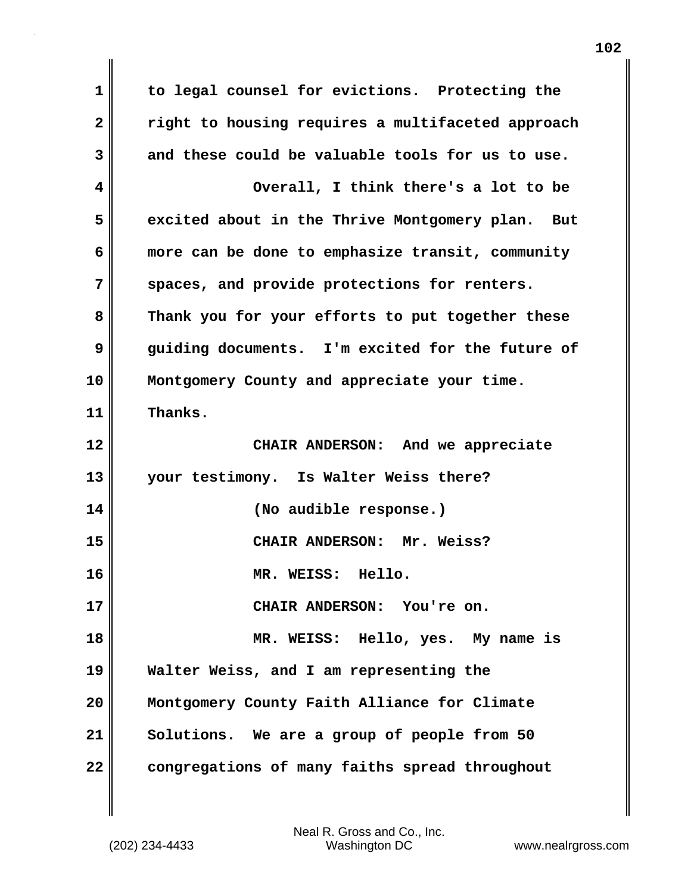**1 to legal counsel for evictions. Protecting the 2 right to housing requires a multifaceted approach 3 and these could be valuable tools for us to use. 4 Overall, I think there's a lot to be 5 excited about in the Thrive Montgomery plan. But 6 more can be done to emphasize transit, community 7 spaces, and provide protections for renters. 8 Thank you for your efforts to put together these 9 guiding documents. I'm excited for the future of 10 Montgomery County and appreciate your time. 11 Thanks. 12 CHAIR ANDERSON: And we appreciate 13 your testimony. Is Walter Weiss there? 14 (No audible response.) 15 CHAIR ANDERSON: Mr. Weiss? 16 MR. WEISS: Hello. 17 CHAIR ANDERSON: You're on. 18 MR. WEISS: Hello, yes. My name is 19 Walter Weiss, and I am representing the 20 Montgomery County Faith Alliance for Climate 21 Solutions. We are a group of people from 50 22 congregations of many faiths spread throughout**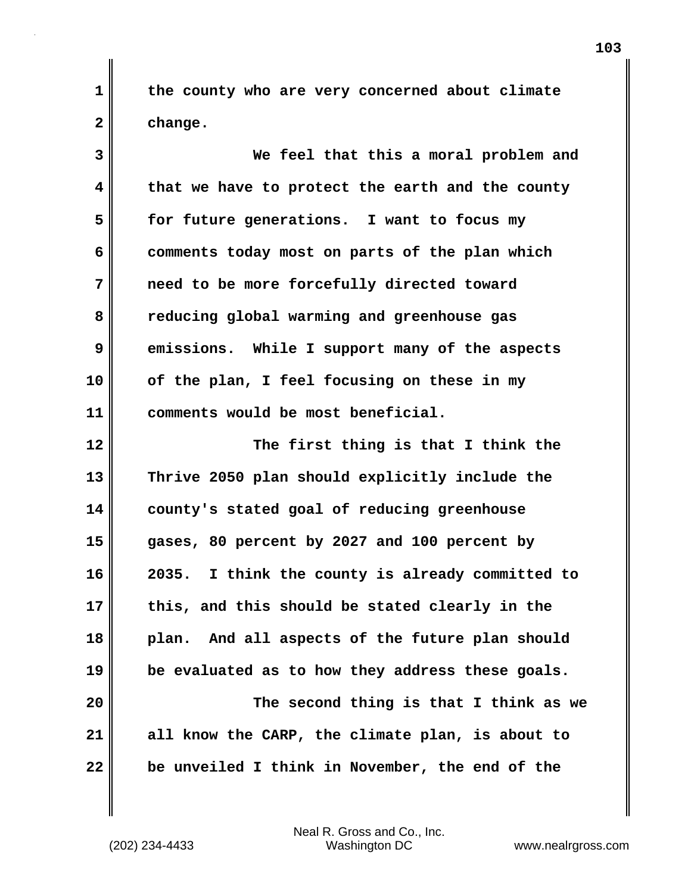**1 the county who are very concerned about climate 2 change.**

**3 We feel that this a moral problem and 4 that we have to protect the earth and the county 5 for future generations. I want to focus my 6 comments today most on parts of the plan which 7 need to be more forcefully directed toward 8 reducing global warming and greenhouse gas 9 emissions. While I support many of the aspects 10 of the plan, I feel focusing on these in my 11 comments would be most beneficial. 12 The first thing is that I think the 13 Thrive 2050 plan should explicitly include the 14 county's stated goal of reducing greenhouse 15 gases, 80 percent by 2027 and 100 percent by 16 2035. I think the county is already committed to 17 this, and this should be stated clearly in the 18 plan. And all aspects of the future plan should 19 be evaluated as to how they address these goals. 20 The second thing is that I think as we 21 all know the CARP, the climate plan, is about to 22 be unveiled I think in November, the end of the**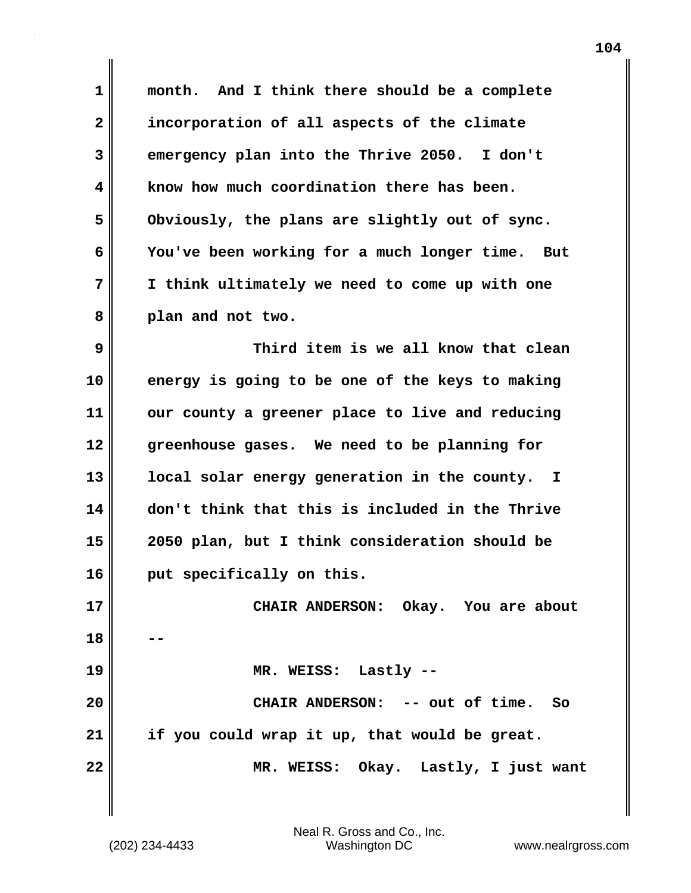**1 month. And I think there should be a complete 2 incorporation of all aspects of the climate 3 emergency plan into the Thrive 2050. I don't 4 know how much coordination there has been. 5 Obviously, the plans are slightly out of sync. 6 You've been working for a much longer time. But 7 I think ultimately we need to come up with one 8 plan and not two. 9 Third item is we all know that clean 10 energy is going to be one of the keys to making 11 our county a greener place to live and reducing 12 greenhouse gases. We need to be planning for 13 local solar energy generation in the county. I 14 don't think that this is included in the Thrive 15 2050 plan, but I think consideration should be 16 put specifically on this. 17 CHAIR ANDERSON: Okay. You are about 18 -- 19 MR. WEISS: Lastly -- 20 CHAIR ANDERSON: -- out of time. So 21 if you could wrap it up, that would be great. 22 MR. WEISS: Okay. Lastly, I just want**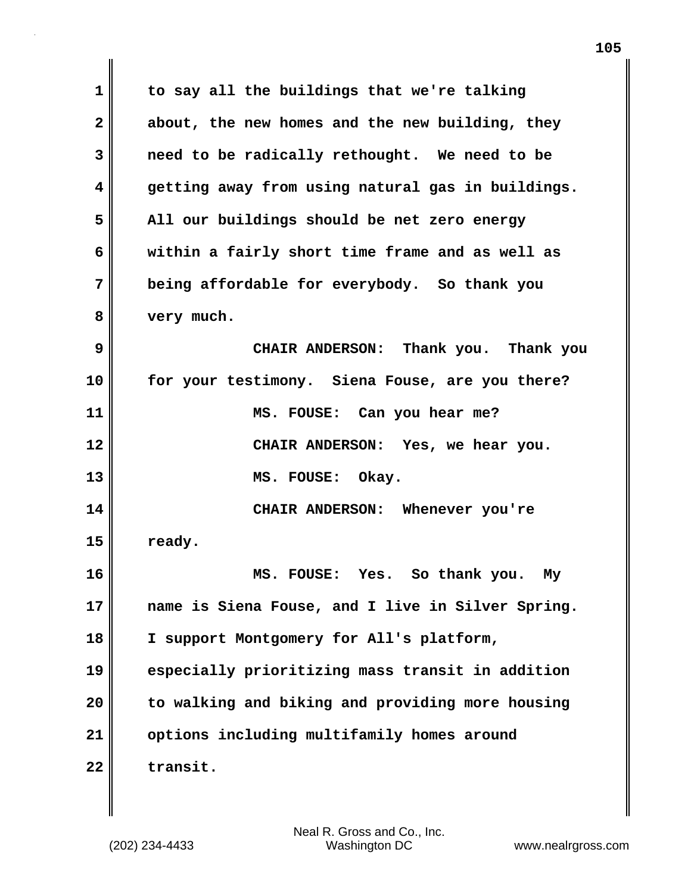| $\mathbf 1$ | to say all the buildings that we're talking       |
|-------------|---------------------------------------------------|
| 2           | about, the new homes and the new building, they   |
| 3           | need to be radically rethought. We need to be     |
| 4           | getting away from using natural gas in buildings. |
| 5           | All our buildings should be net zero energy       |
| 6           | within a fairly short time frame and as well as   |
| 7           | being affordable for everybody. So thank you      |
| 8           | very much.                                        |
| 9           | CHAIR ANDERSON: Thank you. Thank you              |
| 10          | for your testimony. Siena Fouse, are you there?   |
| 11          | MS. FOUSE: Can you hear me?                       |
| 12          | CHAIR ANDERSON: Yes, we hear you.                 |
| 13          | MS. FOUSE: Okay.                                  |
| 14          | CHAIR ANDERSON: Whenever you're                   |
| 15          | ready.                                            |
| 16          | MS.<br>Yes. So thank you.<br><b>FOUSE:</b><br>My  |
| 17          | name is Siena Fouse, and I live in Silver Spring. |
| 18          | I support Montgomery for All's platform,          |
| 19          | especially prioritizing mass transit in addition  |
| 20          | to walking and biking and providing more housing  |
| 21          | options including multifamily homes around        |
| 22          | transit.                                          |

 $\mathbf{I}$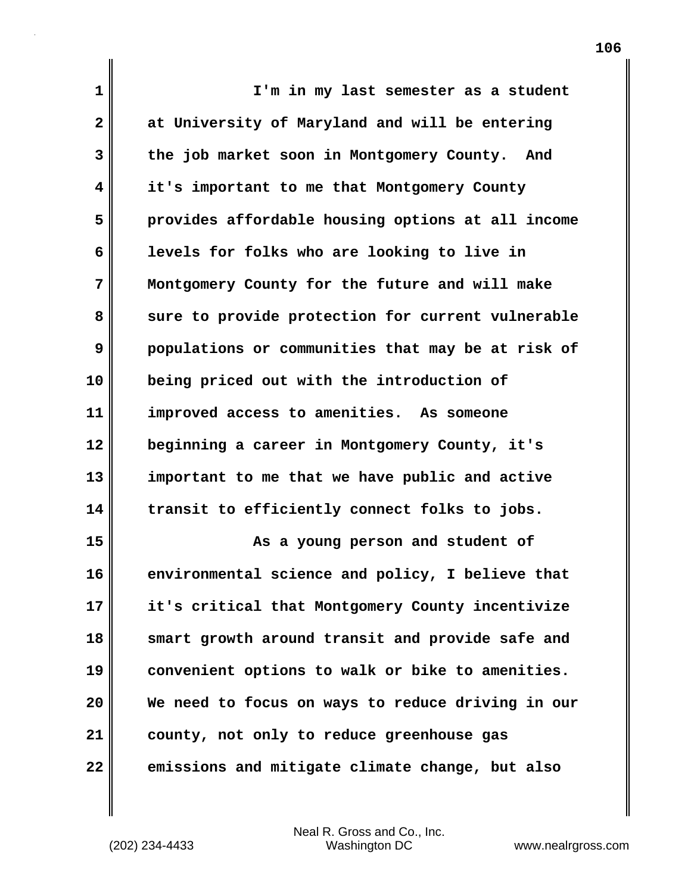| $\mathbf 1$  | I'm in my last semester as a student              |
|--------------|---------------------------------------------------|
| $\mathbf{2}$ | at University of Maryland and will be entering    |
| 3            | the job market soon in Montgomery County. And     |
| 4            | it's important to me that Montgomery County       |
| 5            | provides affordable housing options at all income |
| 6            | levels for folks who are looking to live in       |
| 7            | Montgomery County for the future and will make    |
| 8            | sure to provide protection for current vulnerable |
| 9            | populations or communities that may be at risk of |
| 10           | being priced out with the introduction of         |
| 11           | improved access to amenities. As someone          |
| 12           | beginning a career in Montgomery County, it's     |
| 13           | important to me that we have public and active    |
| 14           | transit to efficiently connect folks to jobs.     |
| 15           | As a young person and student of                  |
| 16           | environmental science and policy, I believe that  |
| 17           | it's critical that Montgomery County incentivize  |
| 18           | smart growth around transit and provide safe and  |
| 19           | convenient options to walk or bike to amenities.  |
| 20           | We need to focus on ways to reduce driving in our |
| 21           | county, not only to reduce greenhouse gas         |
| 22           | emissions and mitigate climate change, but also   |

(202) 234-4433 Washington DC www.nealrgross.com Neal R. Gross and Co., Inc.

 $\mathbf l$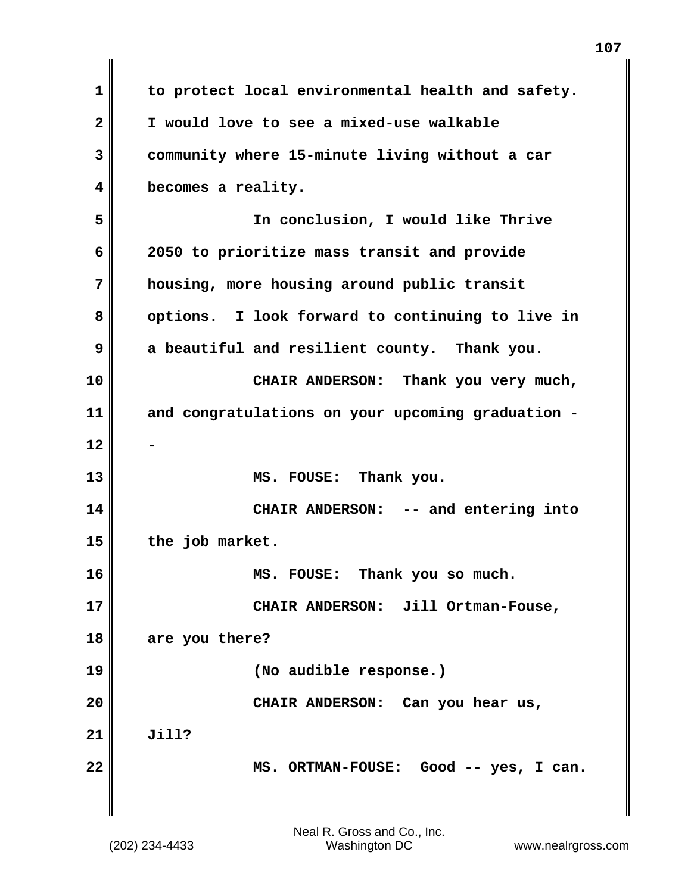| 1                       | to protect local environmental health and safety. |
|-------------------------|---------------------------------------------------|
| $\overline{\mathbf{2}}$ | I would love to see a mixed-use walkable          |
| 3                       | community where 15-minute living without a car    |
| 4                       | becomes a reality.                                |
| 5                       | In conclusion, I would like Thrive                |
| 6                       | 2050 to prioritize mass transit and provide       |
| 7                       | housing, more housing around public transit       |
| 8                       | options. I look forward to continuing to live in  |
| 9                       | a beautiful and resilient county. Thank you.      |
| 10                      | CHAIR ANDERSON: Thank you very much,              |
| 11                      | and congratulations on your upcoming graduation - |
| 12                      |                                                   |
| 13                      | MS. FOUSE: Thank you.                             |
| 14                      | CHAIR ANDERSON: -- and entering into              |
| 15                      | the job market.                                   |
| 16                      | MS. FOUSE: Thank you so much.                     |
| 17                      | CHAIR ANDERSON: Jill Ortman-Fouse,                |
| 18                      | are you there?                                    |
| 19                      | (No audible response.)                            |
| 20                      | CHAIR ANDERSON: Can you hear us,                  |
| 21                      | Jill?                                             |
| 22                      | MS. ORTMAN-FOUSE: Good -- yes, I can.             |
|                         |                                                   |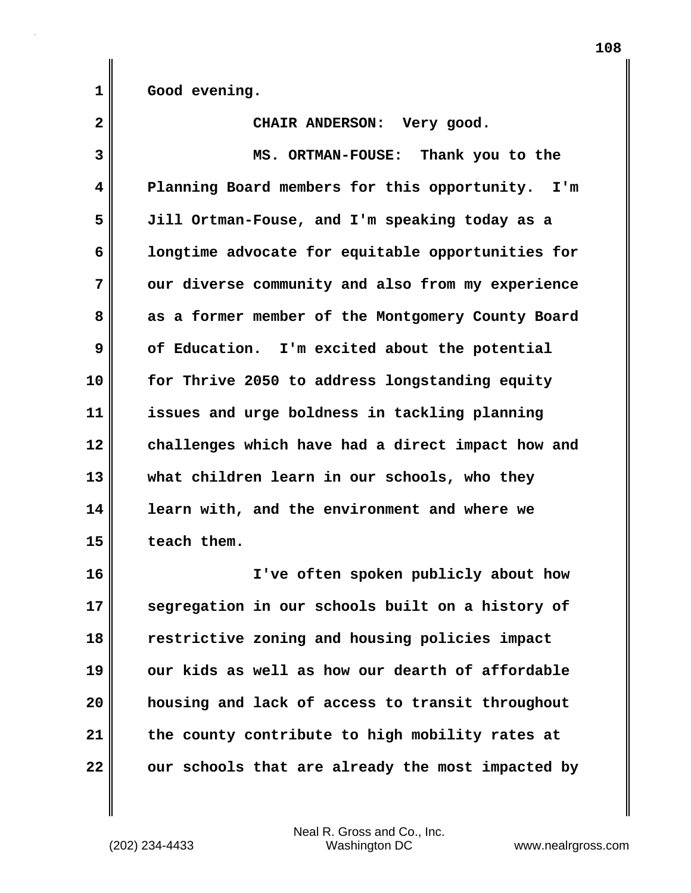**1 Good evening.**

2 CHAIR ANDERSON: Very good. **3 MS. ORTMAN-FOUSE: Thank you to the 4 Planning Board members for this opportunity. I'm 5 Jill Ortman-Fouse, and I'm speaking today as a 6 longtime advocate for equitable opportunities for 7 our diverse community and also from my experience 8 as a former member of the Montgomery County Board 9 of Education. I'm excited about the potential 10 for Thrive 2050 to address longstanding equity 11 issues and urge boldness in tackling planning 12 challenges which have had a direct impact how and 13 what children learn in our schools, who they 14 learn with, and the environment and where we 15 teach them. 16 I've often spoken publicly about how 17 segregation in our schools built on a history of**

**18 restrictive zoning and housing policies impact 19 our kids as well as how our dearth of affordable 20 housing and lack of access to transit throughout 21 the county contribute to high mobility rates at** 22 **our schools that are already the most impacted by**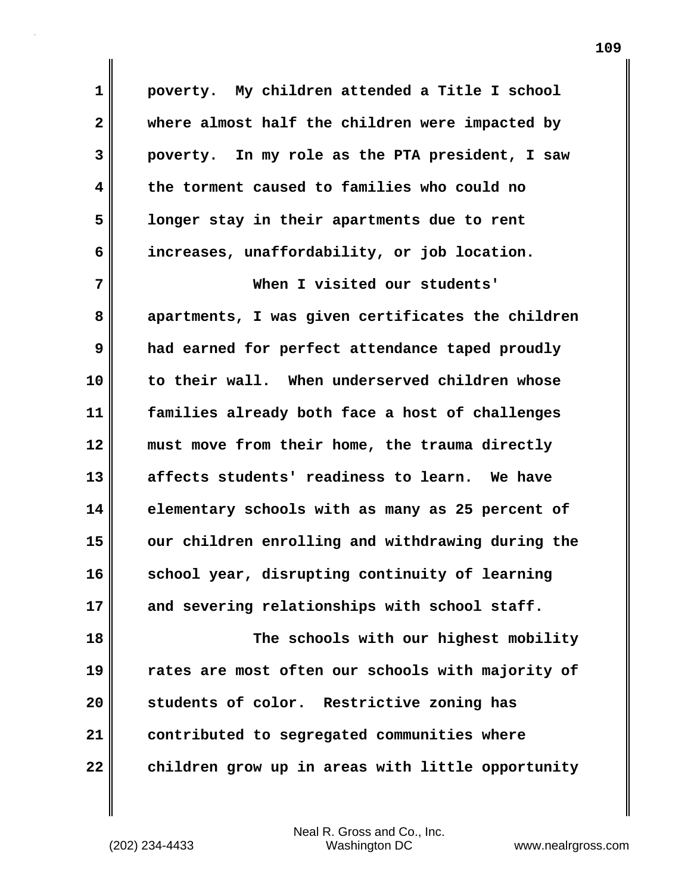**1 poverty. My children attended a Title I school 2 where almost half the children were impacted by 3 poverty. In my role as the PTA president, I saw 4 the torment caused to families who could no 5 longer stay in their apartments due to rent 6 increases, unaffordability, or job location. 7 When I visited our students' 8 apartments, I was given certificates the children 9 had earned for perfect attendance taped proudly 10 to their wall. When underserved children whose 11 families already both face a host of challenges 12 must move from their home, the trauma directly 13 affects students' readiness to learn. We have 14 elementary schools with as many as 25 percent of 15 our children enrolling and withdrawing during the 16 school year, disrupting continuity of learning 17 and severing relationships with school staff. 18 The schools with our highest mobility 19 rates are most often our schools with majority of 20 students of color. Restrictive zoning has 21 contributed to segregated communities where 22 children grow up in areas with little opportunity**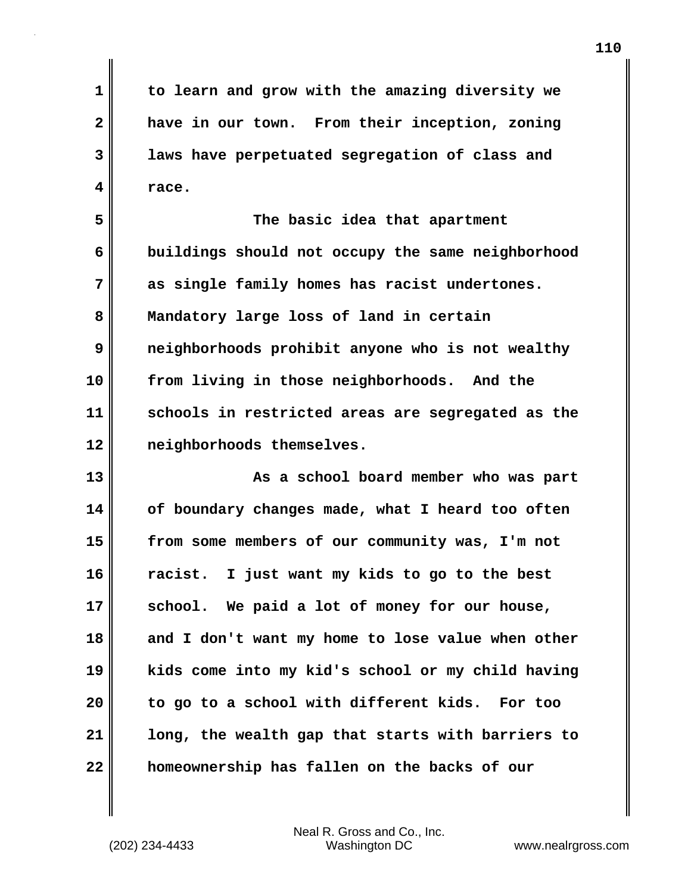**1 to learn and grow with the amazing diversity we 2 have in our town. From their inception, zoning 3 laws have perpetuated segregation of class and 4 race.**

**5 The basic idea that apartment 6 buildings should not occupy the same neighborhood 7 as single family homes has racist undertones. 8 Mandatory large loss of land in certain 9 neighborhoods prohibit anyone who is not wealthy 10 from living in those neighborhoods. And the 11 schools in restricted areas are segregated as the 12 neighborhoods themselves.**

**13 As a school board member who was part 14 of boundary changes made, what I heard too often 15 from some members of our community was, I'm not 16 racist. I just want my kids to go to the best 17 school. We paid a lot of money for our house, 18 and I don't want my home to lose value when other 19 kids come into my kid's school or my child having 20 to go to a school with different kids. For too 21 long, the wealth gap that starts with barriers to 22 homeownership has fallen on the backs of our**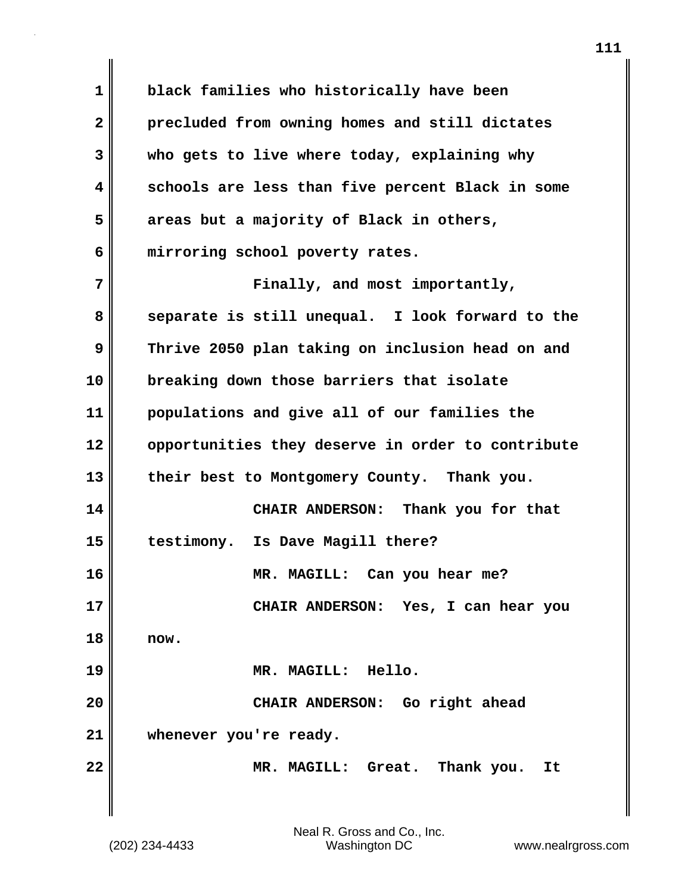**1 black families who historically have been 2 precluded from owning homes and still dictates 3 who gets to live where today, explaining why 4 schools are less than five percent Black in some 5 areas but a majority of Black in others, 6 mirroring school poverty rates. 7 Finally, and most importantly, 8 separate is still unequal. I look forward to the 9 Thrive 2050 plan taking on inclusion head on and 10 breaking down those barriers that isolate 11 populations and give all of our families the 12 opportunities they deserve in order to contribute 13 their best to Montgomery County. Thank you. 14 CHAIR ANDERSON: Thank you for that 15 testimony. Is Dave Magill there? 16 MR. MAGILL: Can you hear me? 17 CHAIR ANDERSON: Yes, I can hear you 18 now. 19 MR. MAGILL: Hello. 20 CHAIR ANDERSON: Go right ahead 21 whenever you're ready. 22 MR. MAGILL: Great. Thank you. It**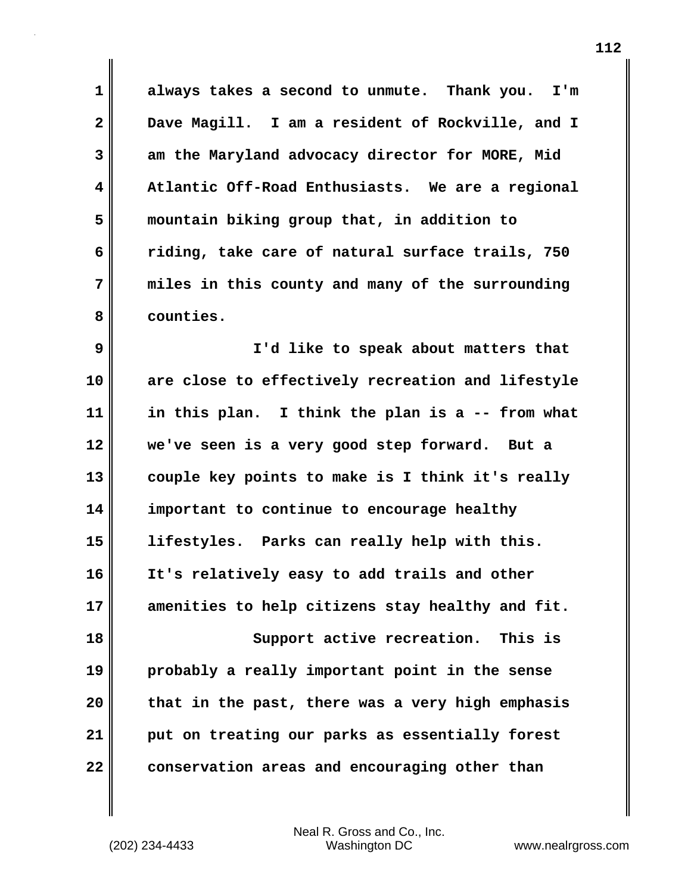**1 always takes a second to unmute. Thank you. I'm 2 Dave Magill. I am a resident of Rockville, and I 3 am the Maryland advocacy director for MORE, Mid 4 Atlantic Off-Road Enthusiasts. We are a regional 5 mountain biking group that, in addition to 6 riding, take care of natural surface trails, 750 7 miles in this county and many of the surrounding 8 counties.**

**9 I'd like to speak about matters that 10 are close to effectively recreation and lifestyle 11 in this plan. I think the plan is a -- from what 12 we've seen is a very good step forward. But a 13 couple key points to make is I think it's really 14 important to continue to encourage healthy 15 lifestyles. Parks can really help with this. 16 It's relatively easy to add trails and other 17 amenities to help citizens stay healthy and fit. 18 Support active recreation. This is 19 probably a really important point in the sense 20 that in the past, there was a very high emphasis 21 put on treating our parks as essentially forest 22 conservation areas and encouraging other than**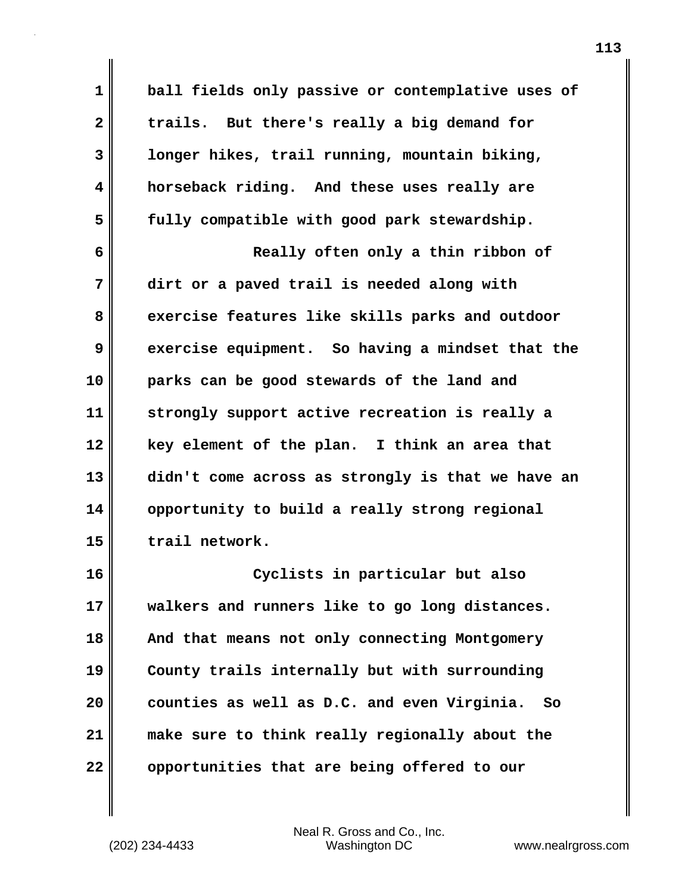**1 ball fields only passive or contemplative uses of 2 trails. But there's really a big demand for 3 longer hikes, trail running, mountain biking, 4 horseback riding. And these uses really are 5 fully compatible with good park stewardship. 6 Really often only a thin ribbon of 7 dirt or a paved trail is needed along with 8 exercise features like skills parks and outdoor 9 exercise equipment. So having a mindset that the 10 parks can be good stewards of the land and 11 strongly support active recreation is really a 12 key element of the plan. I think an area that 13 didn't come across as strongly is that we have an 14 opportunity to build a really strong regional 15 trail network. 16 Cyclists in particular but also 17 walkers and runners like to go long distances. 18 And that means not only connecting Montgomery 19 County trails internally but with surrounding 20 counties as well as D.C. and even Virginia. So 21 make sure to think really regionally about the 22 opportunities that are being offered to our**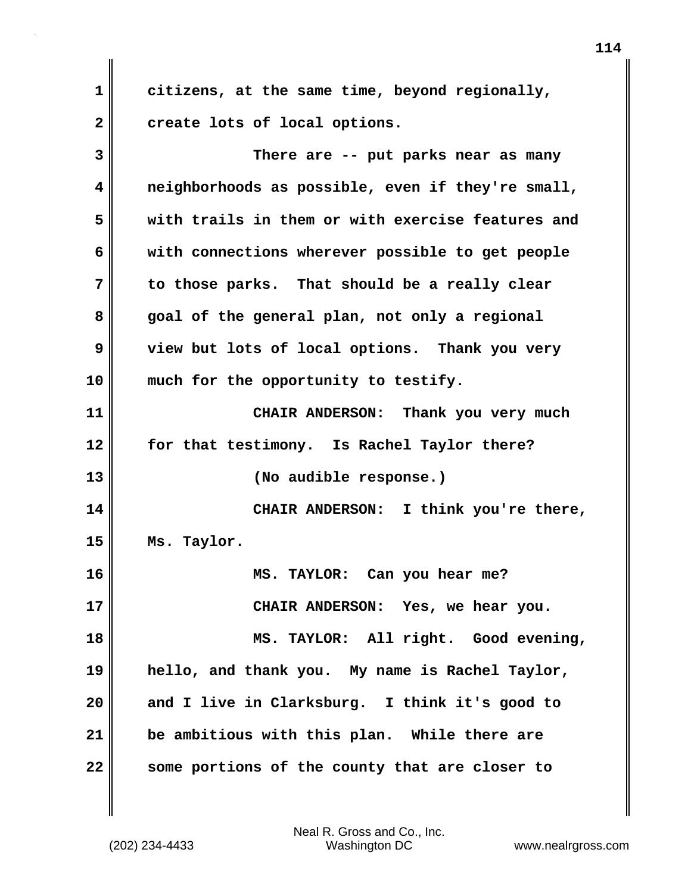**1 citizens, at the same time, beyond regionally, 2 create lots of local options.**

**3 There are -- put parks near as many 4 neighborhoods as possible, even if they're small, 5 with trails in them or with exercise features and 6 with connections wherever possible to get people 7 to those parks. That should be a really clear 8 goal of the general plan, not only a regional 9 view but lots of local options. Thank you very 10 much for the opportunity to testify. 11 CHAIR ANDERSON: Thank you very much 12 for that testimony. Is Rachel Taylor there? 13 (No audible response.) 14 CHAIR ANDERSON: I think you're there, 15 Ms. Taylor. 16 MS. TAYLOR: Can you hear me? 17 CHAIR ANDERSON: Yes, we hear you. 18 MS. TAYLOR: All right. Good evening, 19 hello, and thank you. My name is Rachel Taylor, 20 and I live in Clarksburg. I think it's good to 21 be ambitious with this plan. While there are 22 some portions of the county that are closer to**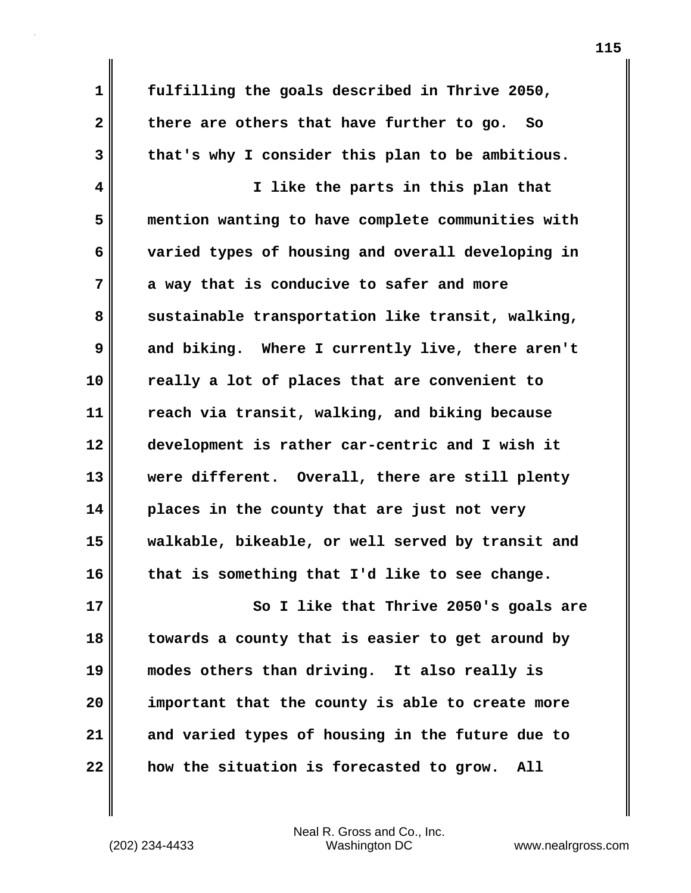**1 fulfilling the goals described in Thrive 2050, 2 there are others that have further to go. So 3 that's why I consider this plan to be ambitious.**

**4 I like the parts in this plan that 5 mention wanting to have complete communities with 6 varied types of housing and overall developing in 7 a way that is conducive to safer and more** 8 sustainable transportation like transit, walking, **9 and biking. Where I currently live, there aren't 10 really a lot of places that are convenient to 11 reach via transit, walking, and biking because 12 development is rather car-centric and I wish it 13 were different. Overall, there are still plenty 14 places in the county that are just not very 15 walkable, bikeable, or well served by transit and 16 that is something that I'd like to see change.**

**17 So I like that Thrive 2050's goals are 18 towards a county that is easier to get around by 19 modes others than driving. It also really is 20 important that the county is able to create more 21 and varied types of housing in the future due to 22 how the situation is forecasted to grow. All**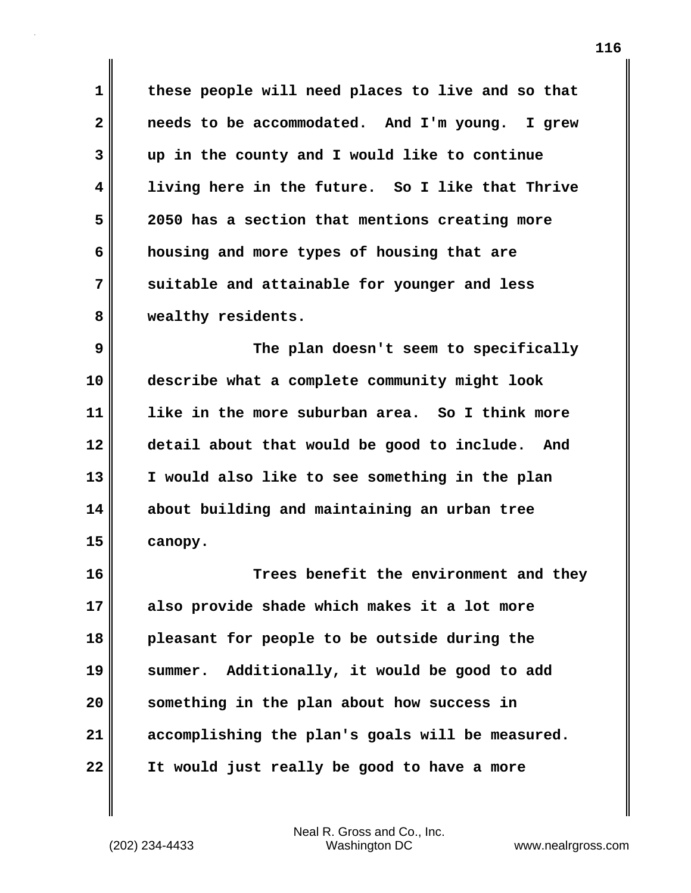**1 these people will need places to live and so that 2 needs to be accommodated. And I'm young. I grew 3 up in the county and I would like to continue 4 living here in the future. So I like that Thrive 5 2050 has a section that mentions creating more 6 housing and more types of housing that are 7 suitable and attainable for younger and less 8 wealthy residents.**

**9 The plan doesn't seem to specifically 10 describe what a complete community might look 11 like in the more suburban area. So I think more 12 detail about that would be good to include. And 13 I would also like to see something in the plan 14 about building and maintaining an urban tree 15 canopy.**

**16 Trees benefit the environment and they 17 also provide shade which makes it a lot more 18 pleasant for people to be outside during the 19 summer. Additionally, it would be good to add 20 something in the plan about how success in 21 accomplishing the plan's goals will be measured. 22 It would just really be good to have a more**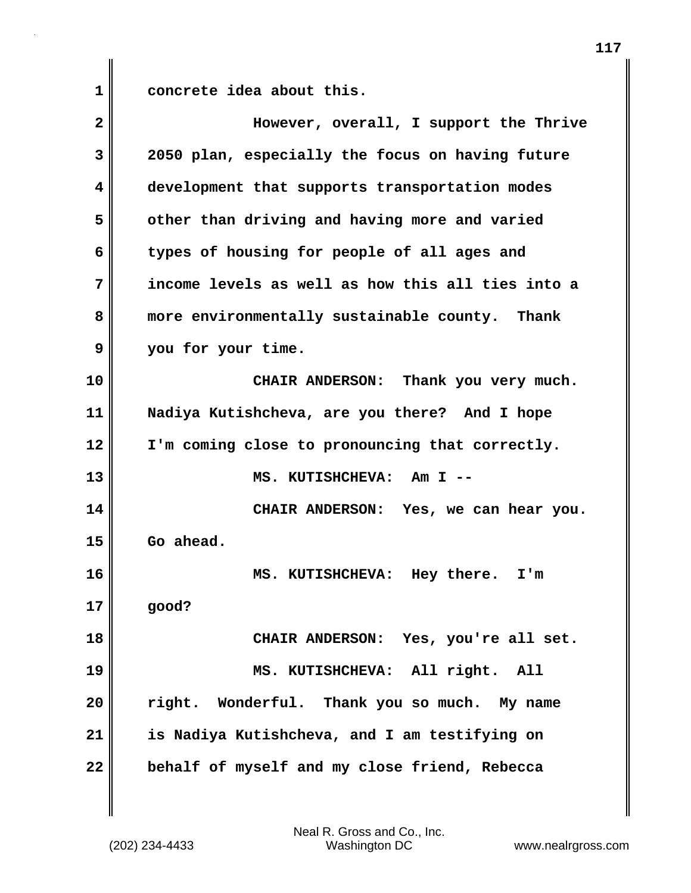**1 concrete idea about this.**

| 2  | However, overall, I support the Thrive            |
|----|---------------------------------------------------|
| 3  | 2050 plan, especially the focus on having future  |
| 4  | development that supports transportation modes    |
| 5  | other than driving and having more and varied     |
| 6  | types of housing for people of all ages and       |
| 7  | income levels as well as how this all ties into a |
| 8  | more environmentally sustainable county. Thank    |
| 9  | you for your time.                                |
| 10 | CHAIR ANDERSON: Thank you very much.              |
| 11 | Nadiya Kutishcheva, are you there? And I hope     |
| 12 | I'm coming close to pronouncing that correctly.   |
| 13 | MS. KUTISHCHEVA: Am I --                          |
| 14 | CHAIR ANDERSON: Yes, we can hear you.             |
| 15 | Go ahead.                                         |
| 16 | MS. KUTISHCHEVA: Hey there. I'm                   |
| 17 | good?                                             |
| 18 | CHAIR ANDERSON: Yes, you're all set.              |
| 19 | MS. KUTISHCHEVA: All right. All                   |
| 20 | right. Wonderful. Thank you so much. My name      |
| 21 | is Nadiya Kutishcheva, and I am testifying on     |
| 22 | behalf of myself and my close friend, Rebecca     |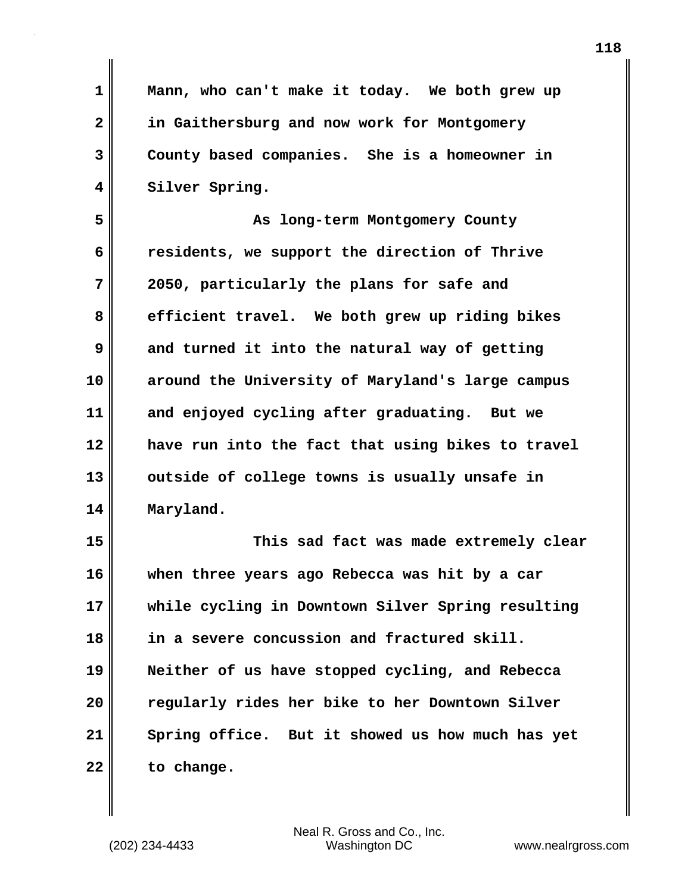**1 Mann, who can't make it today. We both grew up 2 in Gaithersburg and now work for Montgomery 3 County based companies. She is a homeowner in 4 Silver Spring. 5 As long-term Montgomery County 6 residents, we support the direction of Thrive 7 2050, particularly the plans for safe and 8 efficient travel. We both grew up riding bikes 9 and turned it into the natural way of getting 10 around the University of Maryland's large campus 11 and enjoyed cycling after graduating. But we 12 have run into the fact that using bikes to travel 13 outside of college towns is usually unsafe in 14 Maryland. 15 This sad fact was made extremely clear 16 when three years ago Rebecca was hit by a car**

**17 while cycling in Downtown Silver Spring resulting 18 in a severe concussion and fractured skill. 19 Neither of us have stopped cycling, and Rebecca 20 regularly rides her bike to her Downtown Silver 21 Spring office. But it showed us how much has yet 22 to change.**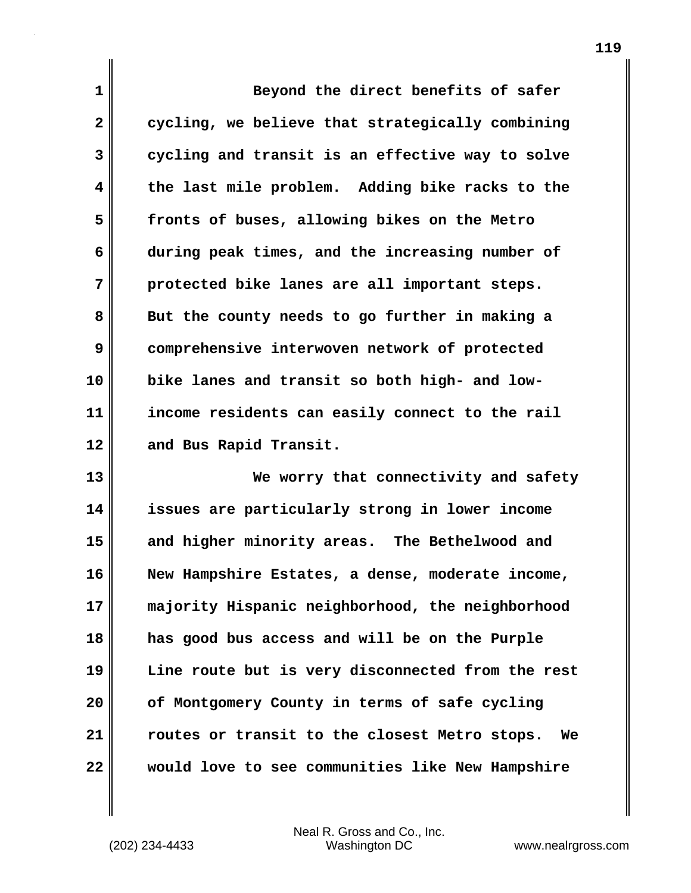**1** Beyond the direct benefits of safer **2** cycling, we believe that strategically combining **3 cycling and transit is an effective way to solve 4 the last mile problem. Adding bike racks to the 5 fronts of buses, allowing bikes on the Metro 6 during peak times, and the increasing number of 7 protected bike lanes are all important steps. 8 But the county needs to go further in making a 9 comprehensive interwoven network of protected 10 bike lanes and transit so both high- and low-11 income residents can easily connect to the rail 12 and Bus Rapid Transit.**

**13 We worry that connectivity and safety 14 issues are particularly strong in lower income 15 and higher minority areas. The Bethelwood and 16 New Hampshire Estates, a dense, moderate income, 17 majority Hispanic neighborhood, the neighborhood 18 has good bus access and will be on the Purple 19 Line route but is very disconnected from the rest 20 of Montgomery County in terms of safe cycling 21 routes or transit to the closest Metro stops. We 22 would love to see communities like New Hampshire**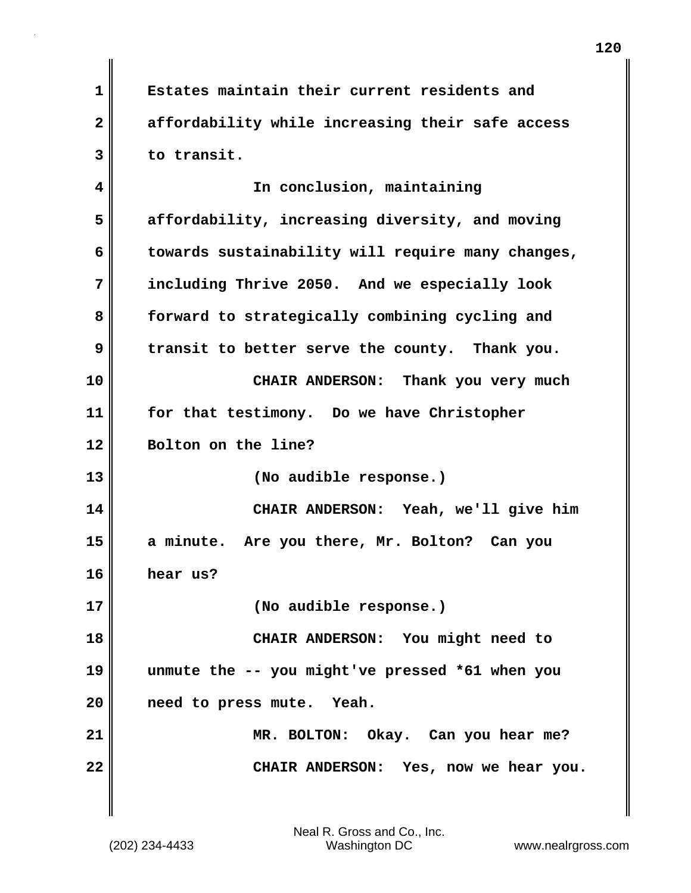**1 Estates maintain their current residents and 2 affordability while increasing their safe access 3 to transit.**

**4 In conclusion, maintaining 5 affordability, increasing diversity, and moving 6 towards sustainability will require many changes, 7 including Thrive 2050. And we especially look 8 forward to strategically combining cycling and 9 transit to better serve the county. Thank you. 10 CHAIR ANDERSON: Thank you very much 11 for that testimony. Do we have Christopher 12 Bolton on the line? 13 (No audible response.) 14 CHAIR ANDERSON: Yeah, we'll give him 15 a minute. Are you there, Mr. Bolton? Can you 16 hear us? 17 (No audible response.) 18 CHAIR ANDERSON: You might need to 19 unmute the -- you might've pressed \*61 when you 20 need to press mute. Yeah. 21 MR. BOLTON: Okay. Can you hear me? 22 CHAIR ANDERSON: Yes, now we hear you.**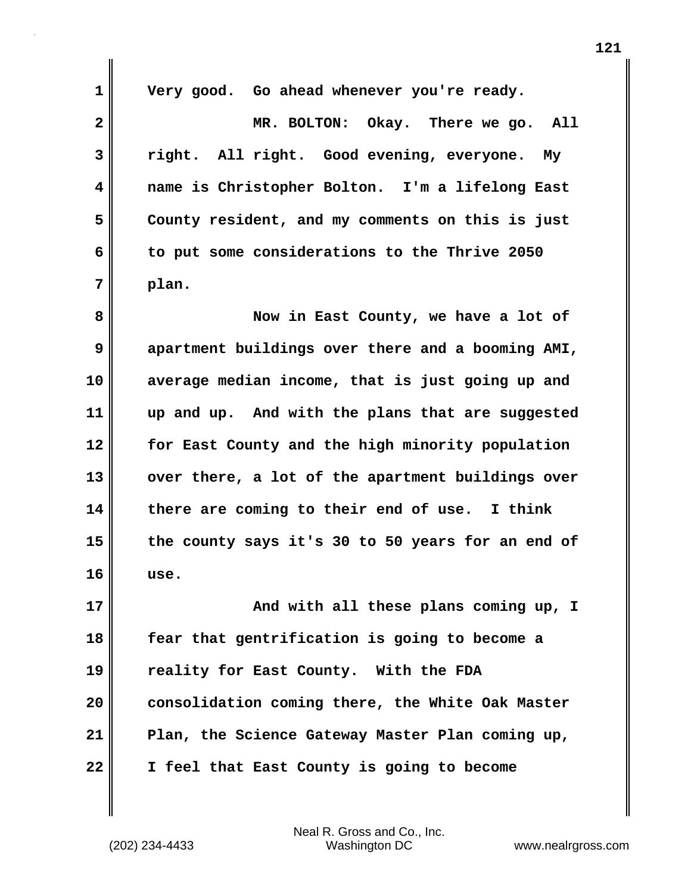| 1                       | Very good. Go ahead whenever you're ready.        |
|-------------------------|---------------------------------------------------|
| $\mathbf{2}$            | MR. BOLTON: Okay. There we go.<br>All             |
| 3                       | right. All right. Good evening, everyone.<br>My   |
| $\overline{\mathbf{4}}$ | name is Christopher Bolton. I'm a lifelong East   |
| 5                       | County resident, and my comments on this is just  |
| 6                       | to put some considerations to the Thrive 2050     |
| 7                       | plan.                                             |
| 8                       | Now in East County, we have a lot of              |
| 9                       | apartment buildings over there and a booming AMI, |
| 10                      | average median income, that is just going up and  |
| 11                      | up and up. And with the plans that are suggested  |
| 12                      | for East County and the high minority population  |
| 13                      | over there, a lot of the apartment buildings over |
| 14                      | there are coming to their end of use. I think     |
| 15                      | the county says it's 30 to 50 years for an end of |
| 16                      | use.                                              |
| 17                      | And with all these plans coming up, I             |
| 18                      | fear that gentrification is going to become a     |
| 19                      | reality for East County. With the FDA             |
| 20                      | consolidation coming there, the White Oak Master  |
| 21                      | Plan, the Science Gateway Master Plan coming up,  |
| 22                      | I feel that East County is going to become        |

(202) 234-4433 Washington DC www.nealrgross.com Neal R. Gross and Co., Inc.

 $\mathbf{I}$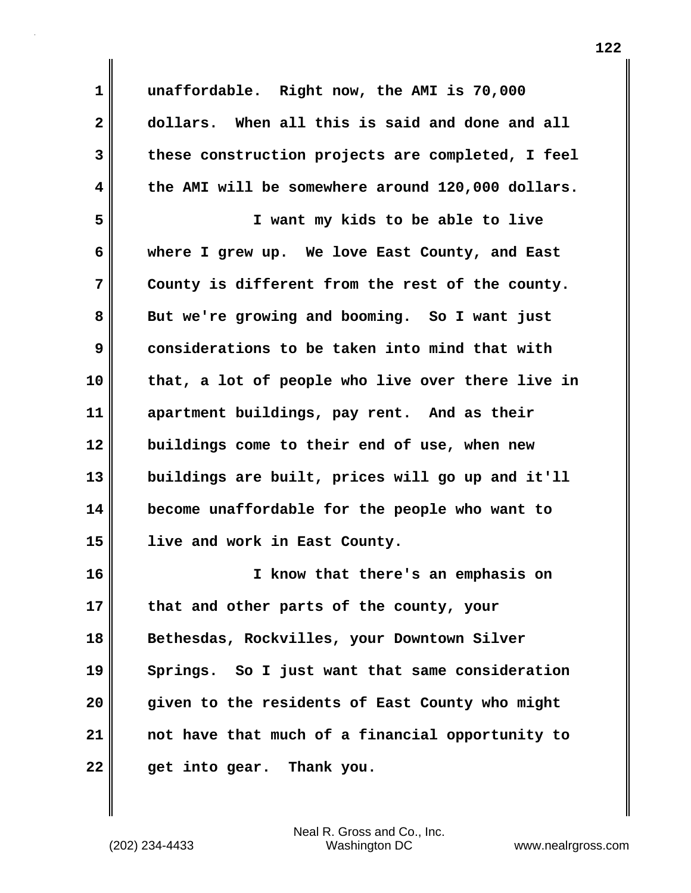| $\mathbf 1$  | unaffordable. Right now, the AMI is 70,000        |
|--------------|---------------------------------------------------|
| $\mathbf{2}$ | dollars. When all this is said and done and all   |
| 3            | these construction projects are completed, I feel |
| 4            | the AMI will be somewhere around 120,000 dollars. |
| 5            | I want my kids to be able to live                 |
| 6            | where I grew up. We love East County, and East    |
| 7            | County is different from the rest of the county.  |
| 8            | But we're growing and booming. So I want just     |
| 9            | considerations to be taken into mind that with    |
| 10           | that, a lot of people who live over there live in |
| 11           | apartment buildings, pay rent. And as their       |
| 12           | buildings come to their end of use, when new      |
| 13           | buildings are built, prices will go up and it'll  |
| 14           | become unaffordable for the people who want to    |
| 15           | live and work in East County.                     |
| 16           | I know that there's an emphasis on                |
| 17           | that and other parts of the county, your          |
| 18           | Bethesdas, Rockvilles, your Downtown Silver       |
| 19           | Springs. So I just want that same consideration   |
| 20           | given to the residents of East County who might   |
| 21           | not have that much of a financial opportunity to  |
| 22           | get into gear. Thank you.                         |

 $\mathbf{I}$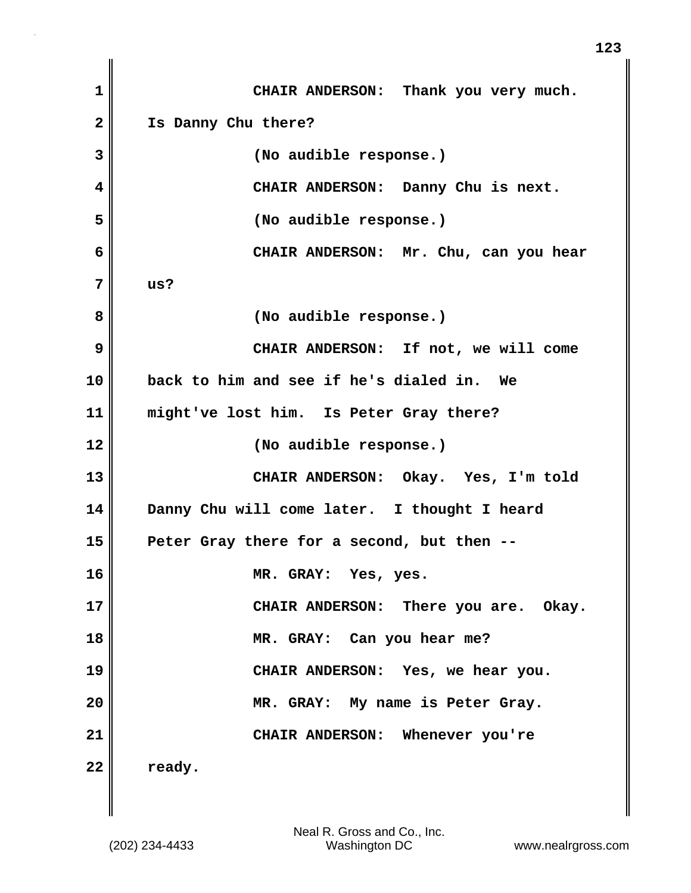| $\mathbf 1$  | CHAIR ANDERSON: Thank you very much.         |
|--------------|----------------------------------------------|
| $\mathbf{2}$ | Is Danny Chu there?                          |
| 3            | (No audible response.)                       |
| 4            | CHAIR ANDERSON: Danny Chu is next.           |
| 5            | (No audible response.)                       |
| 6            | CHAIR ANDERSON: Mr. Chu, can you hear        |
| 7            | us?                                          |
| 8            | (No audible response.)                       |
| 9            | CHAIR ANDERSON: If not, we will come         |
| 10           | back to him and see if he's dialed in. We    |
| 11           | might've lost him. Is Peter Gray there?      |
| 12           | (No audible response.)                       |
| 13           | CHAIR ANDERSON: Okay. Yes, I'm told          |
| 14           | Danny Chu will come later. I thought I heard |
| 15           | Peter Gray there for a second, but then --   |
| 16           | MR. GRAY: Yes, yes.                          |
| 17           | CHAIR ANDERSON: There you are. Okay.         |
| 18           | MR. GRAY: Can you hear me?                   |
| 19           | CHAIR ANDERSON: Yes, we hear you.            |
| 20           | MR. GRAY: My name is Peter Gray.             |
| 21           | CHAIR ANDERSON: Whenever you're              |
| 22           | ready.                                       |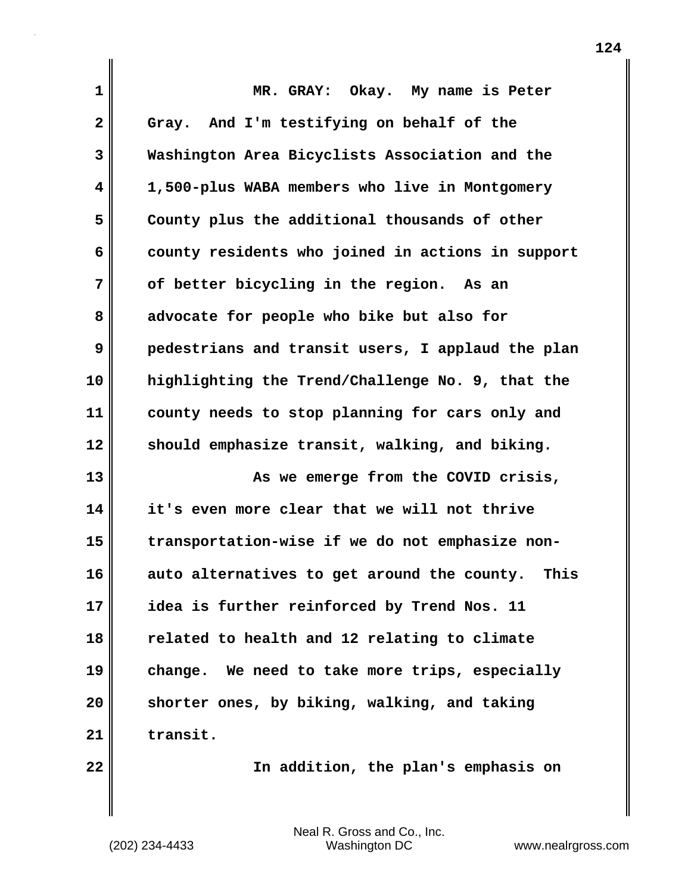| 1            | MR. GRAY: Okay. My name is Peter                    |
|--------------|-----------------------------------------------------|
| $\mathbf{2}$ | Gray. And I'm testifying on behalf of the           |
| 3            | Washington Area Bicyclists Association and the      |
| 4            | 1,500-plus WABA members who live in Montgomery      |
| 5            | County plus the additional thousands of other       |
| 6            | county residents who joined in actions in support   |
| 7            | of better bicycling in the region. As an            |
| 8            | advocate for people who bike but also for           |
| 9            | pedestrians and transit users, I applaud the plan   |
| 10           | highlighting the Trend/Challenge No. 9, that the    |
| 11           | county needs to stop planning for cars only and     |
| 12           | should emphasize transit, walking, and biking.      |
| 13           | As we emerge from the COVID crisis,                 |
| 14           | it's even more clear that we will not thrive        |
| 15           | transportation-wise if we do not emphasize non-     |
| 16           | auto alternatives to get around the county.<br>This |
| 17           | idea is further reinforced by Trend Nos. 11         |
| 18           | related to health and 12 relating to climate        |
| 19           | change. We need to take more trips, especially      |
| 20           | shorter ones, by biking, walking, and taking        |
| 21           | transit.                                            |
| 22           | In addition, the plan's emphasis on                 |

 $\mathbf{I}$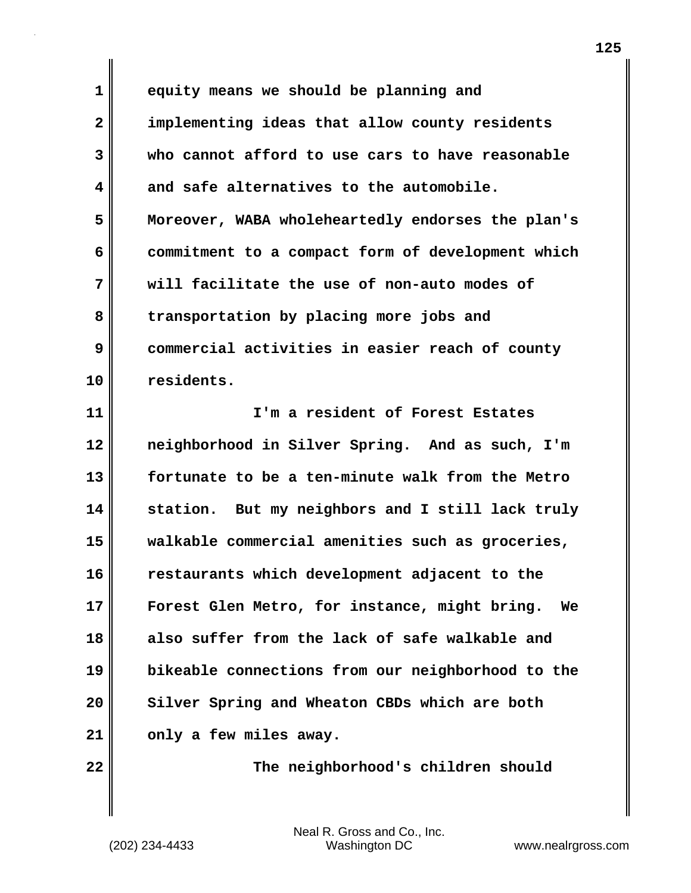**1 equity means we should be planning and 2 implementing ideas that allow county residents 3 who cannot afford to use cars to have reasonable 4 and safe alternatives to the automobile. 5 Moreover, WABA wholeheartedly endorses the plan's 6 commitment to a compact form of development which 7 will facilitate the use of non-auto modes of 8 transportation by placing more jobs and 9 commercial activities in easier reach of county 10 residents.**

**11 I'm a resident of Forest Estates 12 neighborhood in Silver Spring. And as such, I'm 13 fortunate to be a ten-minute walk from the Metro 14 station. But my neighbors and I still lack truly 15 walkable commercial amenities such as groceries, 16 restaurants which development adjacent to the 17 Forest Glen Metro, for instance, might bring. We 18 also suffer from the lack of safe walkable and 19 bikeable connections from our neighborhood to the 20 Silver Spring and Wheaton CBDs which are both 21 only a few miles away.**

**22 The neighborhood's children should**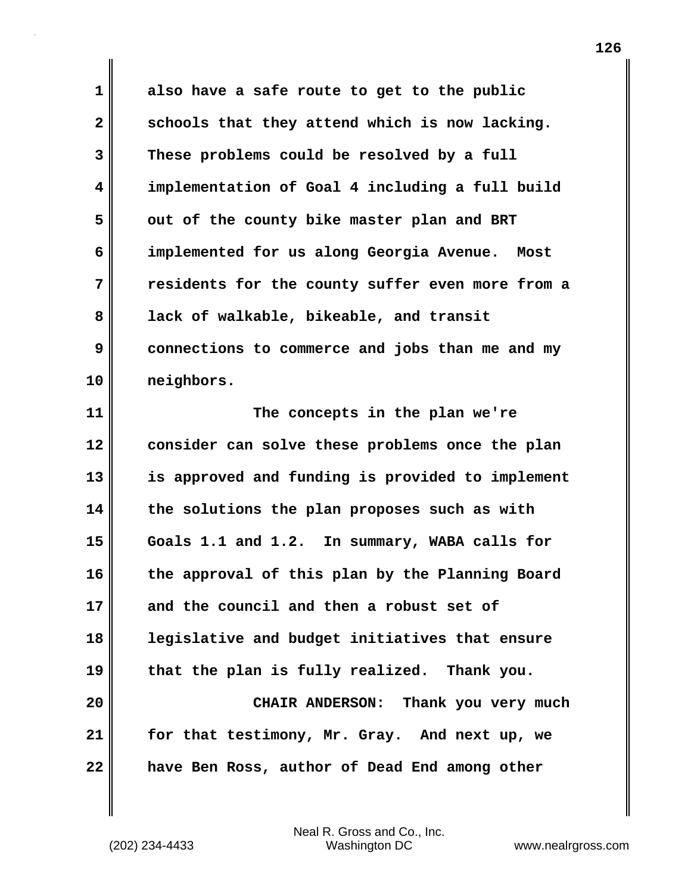**1 also have a safe route to get to the public 2 schools that they attend which is now lacking. 3 These problems could be resolved by a full 4 implementation of Goal 4 including a full build** 5 out of the county bike master plan and BRT **6 implemented for us along Georgia Avenue. Most 7 residents for the county suffer even more from a 8 lack of walkable, bikeable, and transit 9 connections to commerce and jobs than me and my 10 neighbors.**

**11 The concepts in the plan we're 12 consider can solve these problems once the plan 13 is approved and funding is provided to implement 14 the solutions the plan proposes such as with 15 Goals 1.1 and 1.2. In summary, WABA calls for 16 the approval of this plan by the Planning Board 17 and the council and then a robust set of 18 legislative and budget initiatives that ensure 19 that the plan is fully realized. Thank you. 20 CHAIR ANDERSON: Thank you very much 21 for that testimony, Mr. Gray. And next up, we 22 have Ben Ross, author of Dead End among other**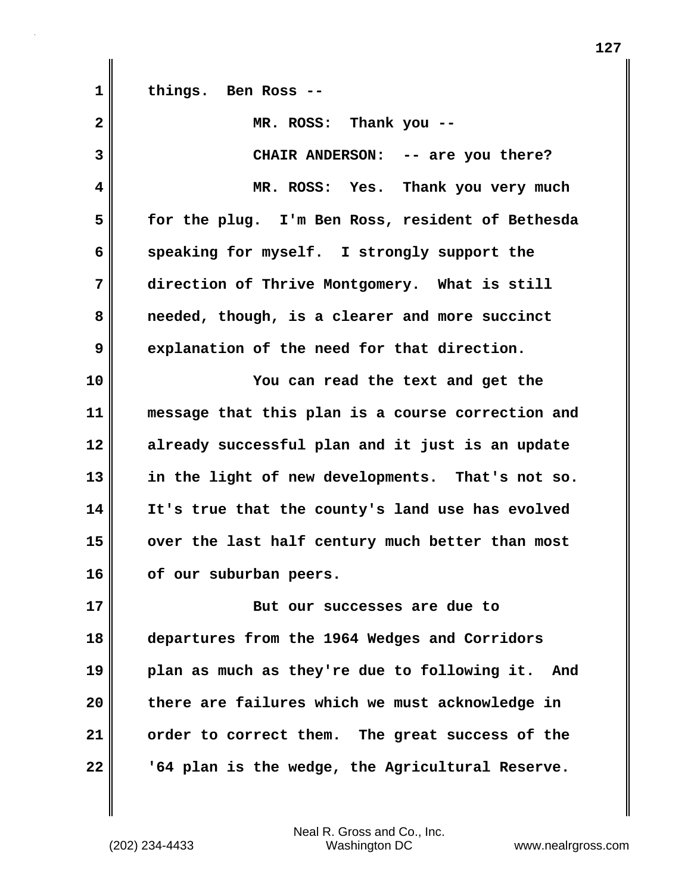**1 things. Ben Ross --**

| $\overline{\mathbf{2}}$ | MR. ROSS: Thank you --                            |
|-------------------------|---------------------------------------------------|
| 3                       | CHAIR ANDERSON: -- are you there?                 |
| 4                       | MR. ROSS: Yes. Thank you very much                |
| 5                       | for the plug. I'm Ben Ross, resident of Bethesda  |
| 6                       | speaking for myself. I strongly support the       |
| 7                       | direction of Thrive Montgomery. What is still     |
| 8                       | needed, though, is a clearer and more succinct    |
| 9                       | explanation of the need for that direction.       |
| 10                      | You can read the text and get the                 |
| 11                      | message that this plan is a course correction and |
| 12                      | already successful plan and it just is an update  |
| 13                      | in the light of new developments. That's not so.  |
| 14                      | It's true that the county's land use has evolved  |
| 15                      | over the last half century much better than most  |
| 16                      | of our suburban peers.                            |
| 17                      | But our successes are due to                      |
| 18                      | departures from the 1964 Wedges and Corridors     |
| 19                      | plan as much as they're due to following it. And  |
| 20                      | there are failures which we must acknowledge in   |
| 21                      | order to correct them. The great success of the   |
| 22                      | '64 plan is the wedge, the Agricultural Reserve.  |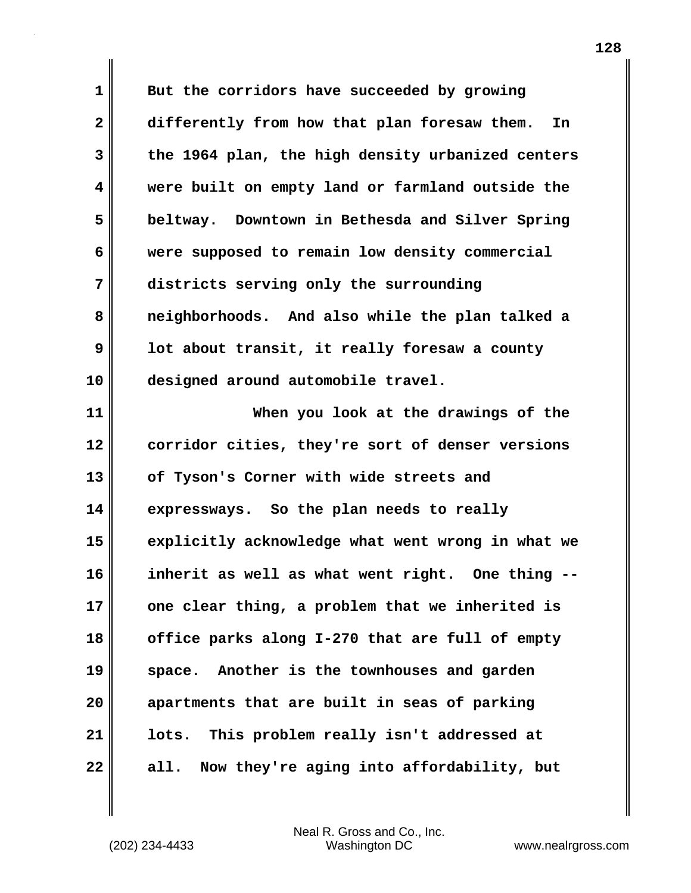**1 But the corridors have succeeded by growing 2 differently from how that plan foresaw them. In 3 the 1964 plan, the high density urbanized centers 4 were built on empty land or farmland outside the 5 beltway. Downtown in Bethesda and Silver Spring 6 were supposed to remain low density commercial 7 districts serving only the surrounding 8 neighborhoods. And also while the plan talked a 9 lot about transit, it really foresaw a county 10 designed around automobile travel. 11 When you look at the drawings of the 12 corridor cities, they're sort of denser versions 13 of Tyson's Corner with wide streets and 14 expressways. So the plan needs to really 15 explicitly acknowledge what went wrong in what we 16 inherit as well as what went right. One thing -- 17 one clear thing, a problem that we inherited is 18 office parks along I-270 that are full of empty 19 space. Another is the townhouses and garden 20 apartments that are built in seas of parking 21 lots. This problem really isn't addressed at 22 all. Now they're aging into affordability, but**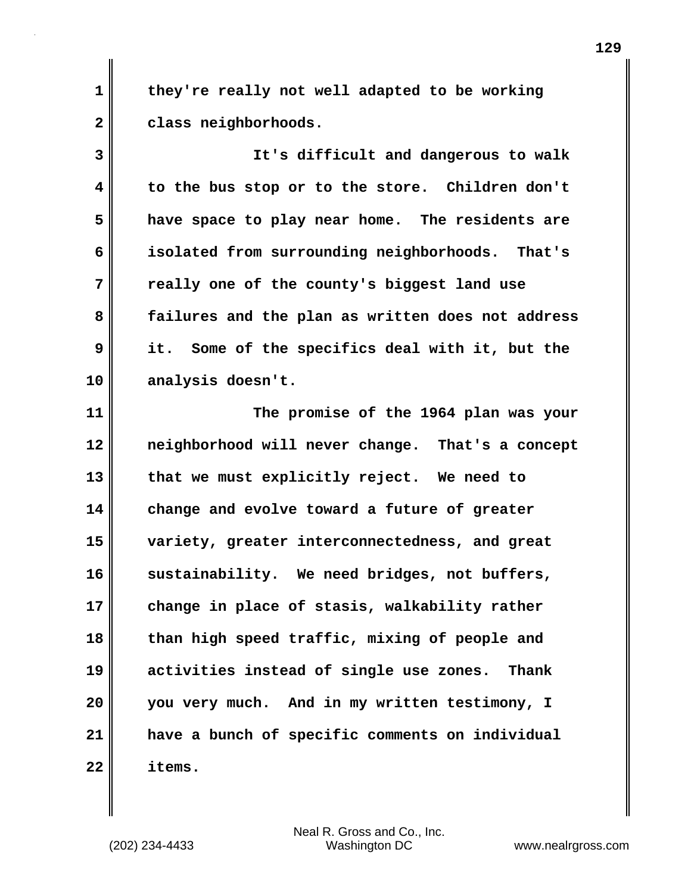**1 they're really not well adapted to be working 2 class neighborhoods.**

**3 It's difficult and dangerous to walk 4 to the bus stop or to the store. Children don't 5 have space to play near home. The residents are 6 isolated from surrounding neighborhoods. That's 7 really one of the county's biggest land use 8 failures and the plan as written does not address 9 it. Some of the specifics deal with it, but the 10 analysis doesn't.**

**11 The promise of the 1964 plan was your 12 neighborhood will never change. That's a concept 13 that we must explicitly reject. We need to 14 change and evolve toward a future of greater 15 variety, greater interconnectedness, and great 16 sustainability. We need bridges, not buffers, 17 change in place of stasis, walkability rather 18 than high speed traffic, mixing of people and 19 activities instead of single use zones. Thank 20 you very much. And in my written testimony, I 21 have a bunch of specific comments on individual 22 items.**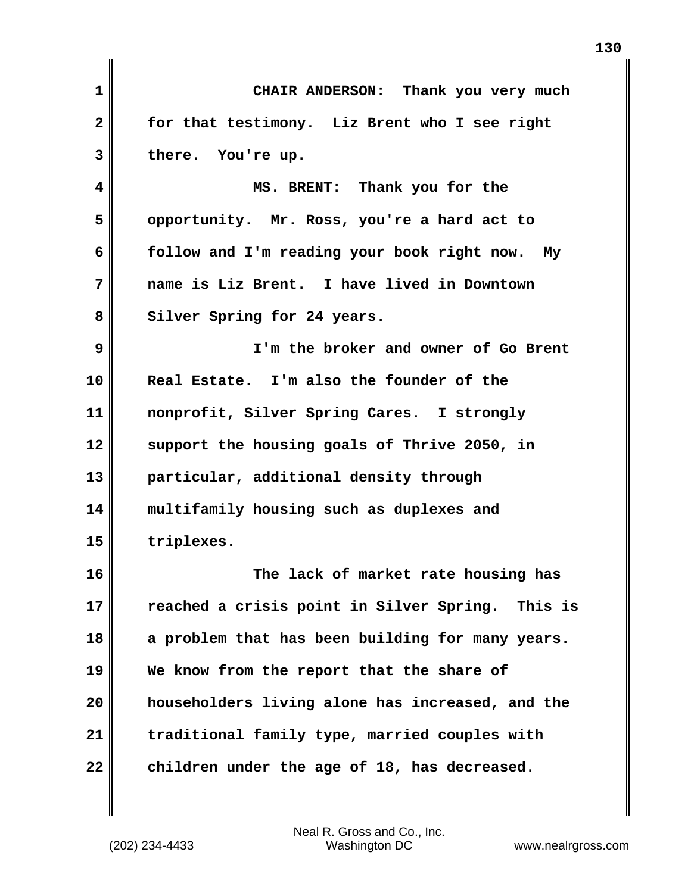| 1            | CHAIR ANDERSON: Thank you very much              |
|--------------|--------------------------------------------------|
| $\mathbf{2}$ | for that testimony. Liz Brent who I see right    |
| 3            | there. You're up.                                |
| 4            | MS. BRENT: Thank you for the                     |
| 5            | opportunity. Mr. Ross, you're a hard act to      |
| 6            | follow and I'm reading your book right now. My   |
| 7            | name is Liz Brent. I have lived in Downtown      |
| 8            | Silver Spring for 24 years.                      |
| 9            | I'm the broker and owner of Go Brent             |
| 10           | Real Estate. I'm also the founder of the         |
| 11           | nonprofit, Silver Spring Cares. I strongly       |
| 12           | support the housing goals of Thrive 2050, in     |
| 13           | particular, additional density through           |
| 14           | multifamily housing such as duplexes and         |
| 15           | triplexes.                                       |
| 16           | The lack of market rate housing has              |
| 17           | reached a crisis point in Silver Spring. This is |
| 18           | a problem that has been building for many years. |
| 19           | We know from the report that the share of        |
| 20           | householders living alone has increased, and the |
| 21           | traditional family type, married couples with    |
| 22           | children under the age of 18, has decreased.     |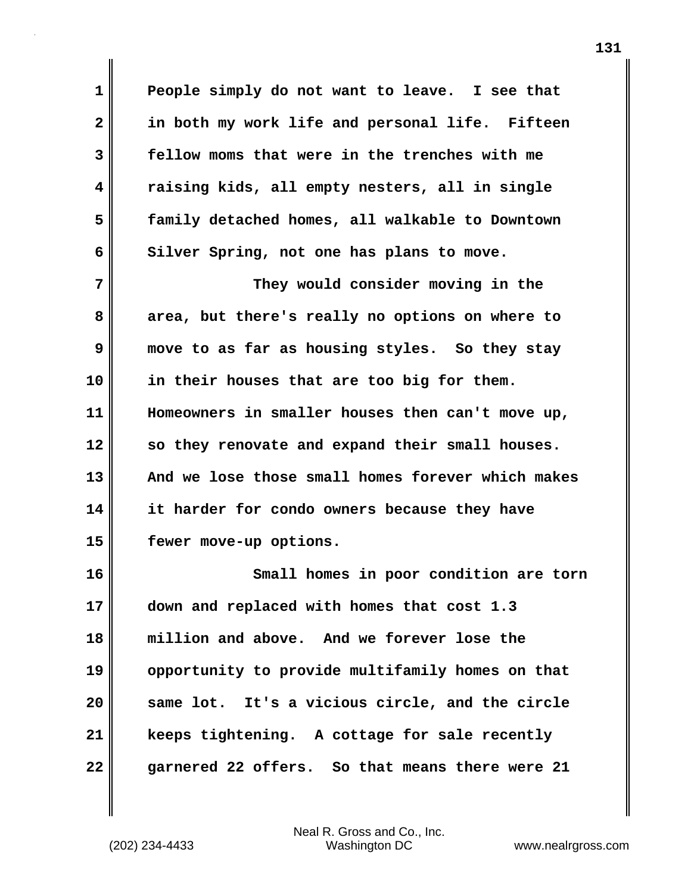**1 People simply do not want to leave. I see that 2 in both my work life and personal life. Fifteen 3 fellow moms that were in the trenches with me 4 raising kids, all empty nesters, all in single 5 family detached homes, all walkable to Downtown** 6 Silver Spring, not one has plans to move.

**7** They would consider moving in the **8 area, but there's really no options on where to 9 move to as far as housing styles. So they stay 10 in their houses that are too big for them. 11 Homeowners in smaller houses then can't move up, 12 so they renovate and expand their small houses. 13 And we lose those small homes forever which makes 14 it harder for condo owners because they have 15 fewer move-up options.**

**16 Small homes in poor condition are torn 17 down and replaced with homes that cost 1.3 18 million and above. And we forever lose the 19 opportunity to provide multifamily homes on that 20 same lot. It's a vicious circle, and the circle 21 keeps tightening. A cottage for sale recently 22 garnered 22 offers. So that means there were 21**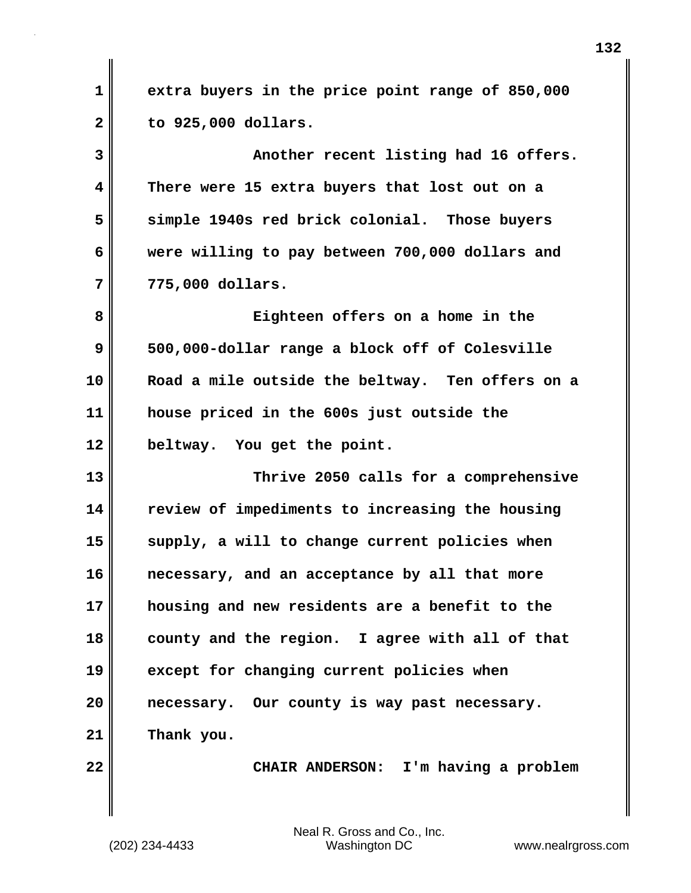**1 extra buyers in the price point range of 850,000 2 to 925,000 dollars.**

**3 Another recent listing had 16 offers. 4 There were 15 extra buyers that lost out on a 5 simple 1940s red brick colonial. Those buyers 6 were willing to pay between 700,000 dollars and 7 775,000 dollars.**

**8 Eighteen offers on a home in the 9 500,000-dollar range a block off of Colesville 10 Road a mile outside the beltway. Ten offers on a 11 house priced in the 600s just outside the 12 beltway. You get the point.**

**13 Thrive 2050 calls for a comprehensive 14 review of impediments to increasing the housing 15 supply, a will to change current policies when 16 necessary, and an acceptance by all that more 17 housing and new residents are a benefit to the 18 county and the region. I agree with all of that 19 except for changing current policies when 20 necessary. Our county is way past necessary. 21 Thank you.**

**22 CHAIR ANDERSON: I'm having a problem**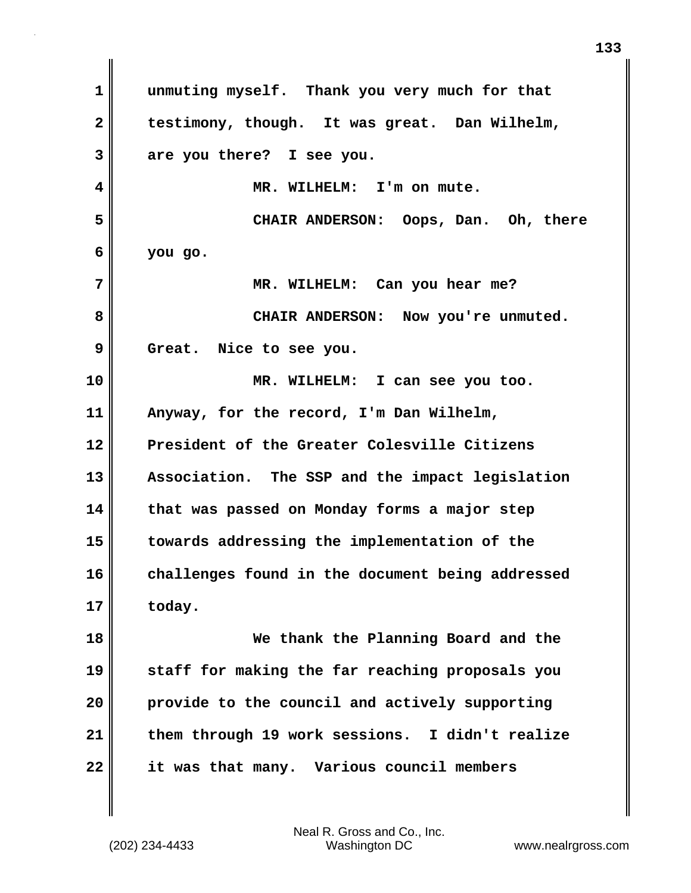**1 unmuting myself. Thank you very much for that 2 testimony, though. It was great. Dan Wilhelm, 3 are you there? I see you. 4 MR. WILHELM: I'm on mute. 5 CHAIR ANDERSON: Oops, Dan. Oh, there 6 you go. 7 MR. WILHELM: Can you hear me? 8 CHAIR ANDERSON: Now you're unmuted. 9 Great. Nice to see you. 10 MR. WILHELM: I can see you too. 11 Anyway, for the record, I'm Dan Wilhelm, 12 President of the Greater Colesville Citizens 13 Association. The SSP and the impact legislation 14 that was passed on Monday forms a major step 15 towards addressing the implementation of the 16 challenges found in the document being addressed 17 today. 18 We thank the Planning Board and the 19 staff for making the far reaching proposals you 20 provide to the council and actively supporting 21 them through 19 work sessions. I didn't realize 22 it was that many. Various council members**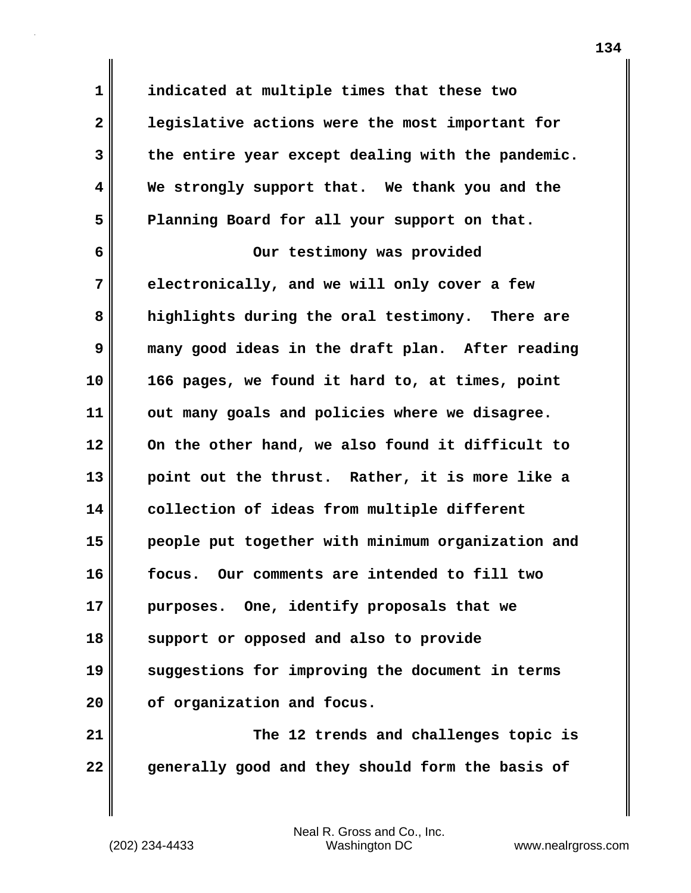**1 indicated at multiple times that these two 2 legislative actions were the most important for 3 the entire year except dealing with the pandemic. 4 We strongly support that. We thank you and the 5 Planning Board for all your support on that. 6 Our testimony was provided 7 electronically, and we will only cover a few 8 highlights during the oral testimony. There are 9 many good ideas in the draft plan. After reading 10 166 pages, we found it hard to, at times, point 11 out many goals and policies where we disagree. 12 On the other hand, we also found it difficult to 13 point out the thrust. Rather, it is more like a 14 collection of ideas from multiple different 15 people put together with minimum organization and 16 focus. Our comments are intended to fill two 17 purposes. One, identify proposals that we 18 support or opposed and also to provide 19 suggestions for improving the document in terms 20 of organization and focus. 21 The 12 trends and challenges topic is**

**22 generally good and they should form the basis of**

Neal R. Gross and Co., Inc.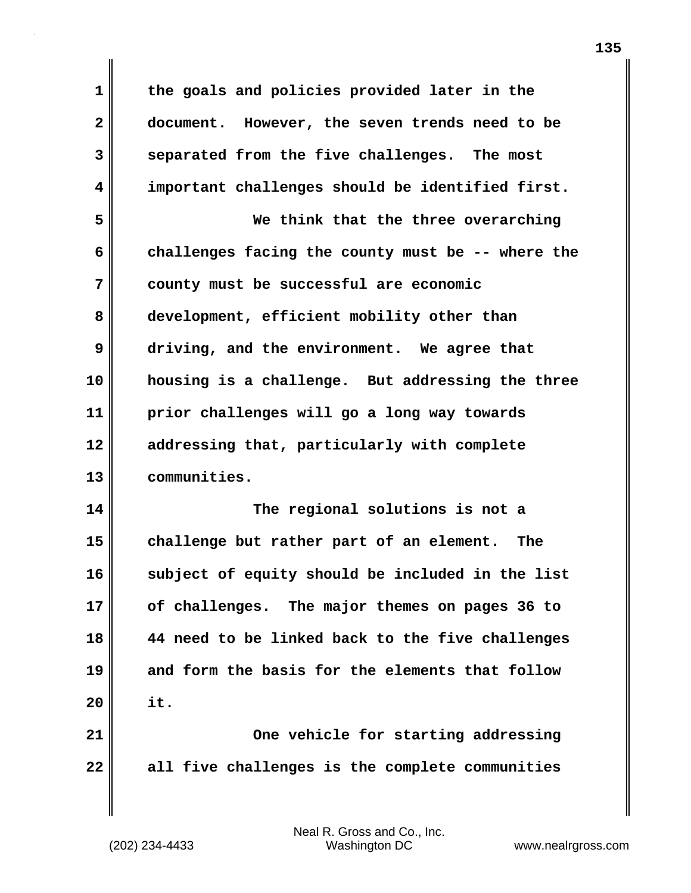**1 the goals and policies provided later in the 2 document. However, the seven trends need to be 3 separated from the five challenges. The most 4 important challenges should be identified first. 5 We think that the three overarching 6 challenges facing the county must be -- where the 7 county must be successful are economic 8 development, efficient mobility other than 9 driving, and the environment. We agree that 10 housing is a challenge. But addressing the three 11 prior challenges will go a long way towards 12 addressing that, particularly with complete 13 communities. 14 The regional solutions is not a 15 challenge but rather part of an element. The 16 subject of equity should be included in the list 17 of challenges. The major themes on pages 36 to 18 44 need to be linked back to the five challenges 19 and form the basis for the elements that follow 20 it. 21 One vehicle for starting addressing 22 all five challenges is the complete communities**

(202) 234-4433 Washington DC www.nealrgross.com Neal R. Gross and Co., Inc.

**135**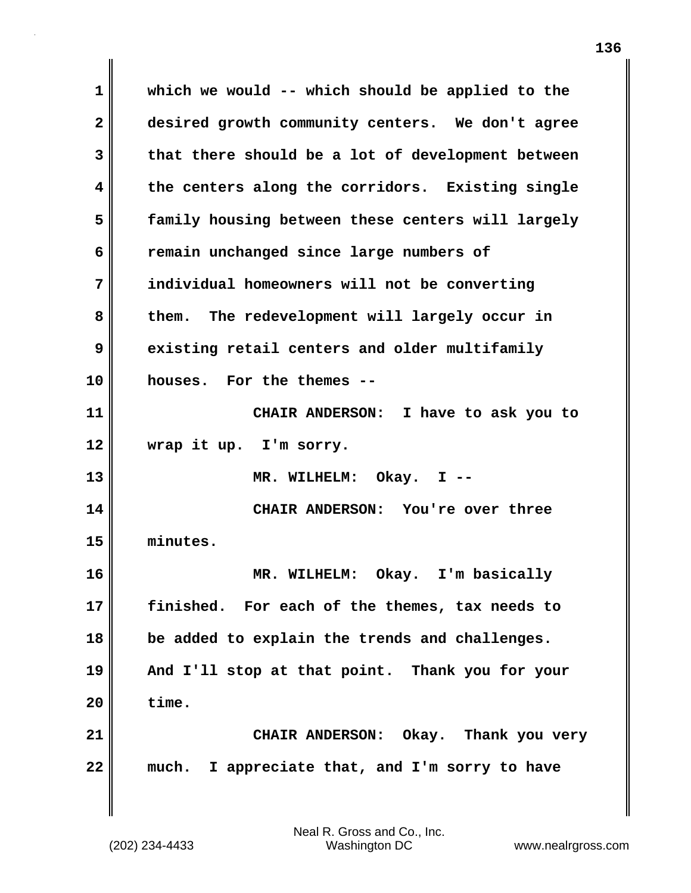**1 which we would -- which should be applied to the 2 desired growth community centers. We don't agree 3 that there should be a lot of development between 4 the centers along the corridors. Existing single 5 family housing between these centers will largely 6 remain unchanged since large numbers of 7 individual homeowners will not be converting 8 them. The redevelopment will largely occur in 9 existing retail centers and older multifamily 10 houses. For the themes -- 11 CHAIR ANDERSON: I have to ask you to 12 wrap it up. I'm sorry. 13 MR. WILHELM: Okay. I -- 14 CHAIR ANDERSON: You're over three 15 minutes. 16 MR. WILHELM: Okay. I'm basically 17 finished. For each of the themes, tax needs to 18 be added to explain the trends and challenges. 19 And I'll stop at that point. Thank you for your 20 time. 21 CHAIR ANDERSON: Okay. Thank you very 22 much. I appreciate that, and I'm sorry to have**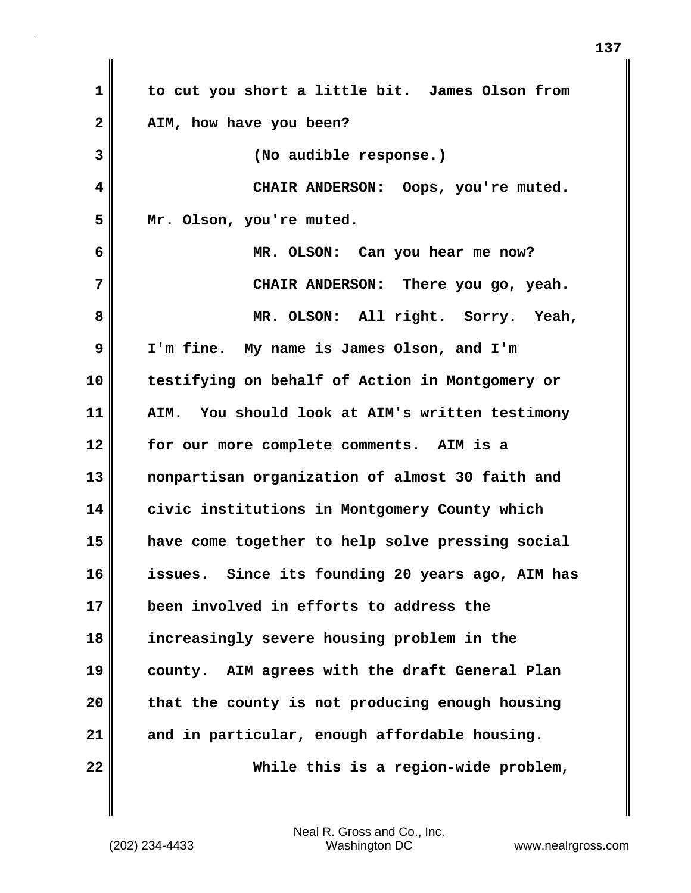| $\mathbf{1}$   | to cut you short a little bit. James Olson from  |
|----------------|--------------------------------------------------|
| $\overline{2}$ | AIM, how have you been?                          |
| 3              | (No audible response.)                           |
| 4              | CHAIR ANDERSON: Oops, you're muted.              |
| 5              | Mr. Olson, you're muted.                         |
| 6              | MR. OLSON: Can you hear me now?                  |
| 7              | CHAIR ANDERSON: There you go, yeah.              |
| 8              | MR. OLSON: All right. Sorry. Yeah,               |
| 9              | I'm fine. My name is James Olson, and I'm        |
| 10             | testifying on behalf of Action in Montgomery or  |
| 11             | AIM. You should look at AIM's written testimony  |
| 12             | for our more complete comments. AIM is a         |
| 13             | nonpartisan organization of almost 30 faith and  |
| 14             | civic institutions in Montgomery County which    |
| 15             | have come together to help solve pressing social |
| 16             | issues. Since its founding 20 years ago, AIM has |
| 17             | been involved in efforts to address the          |
| 18             | increasingly severe housing problem in the       |
| 19             | county. AIM agrees with the draft General Plan   |
| 20             | that the county is not producing enough housing  |
| 21             | and in particular, enough affordable housing.    |
| 22             | While this is a region-wide problem,             |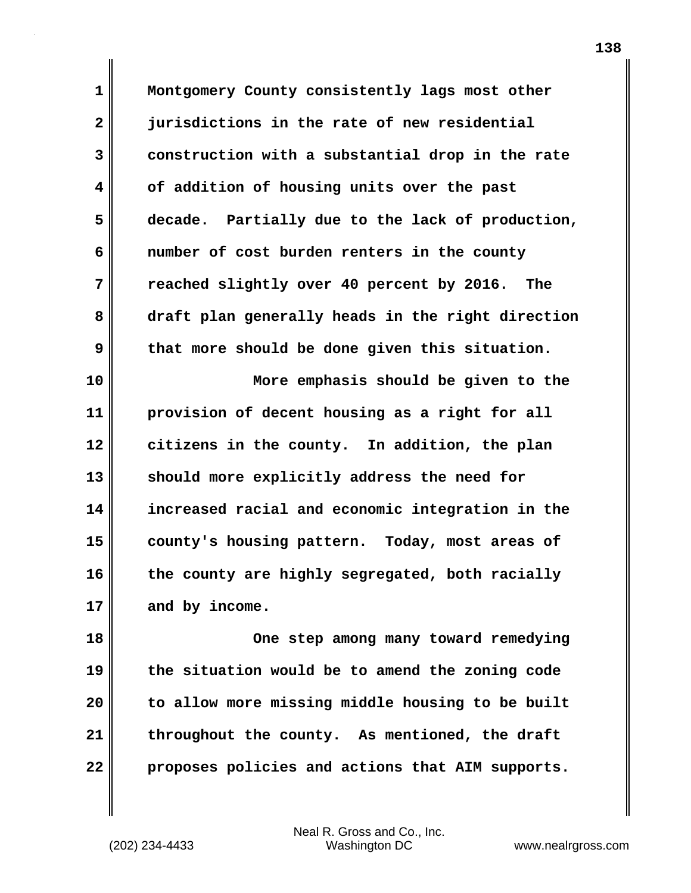**1 Montgomery County consistently lags most other 2 jurisdictions in the rate of new residential 3 construction with a substantial drop in the rate 4 of addition of housing units over the past 5 decade. Partially due to the lack of production, 6 number of cost burden renters in the county 7 reached slightly over 40 percent by 2016. The 8 draft plan generally heads in the right direction 9 that more should be done given this situation. 10 More emphasis should be given to the**

**11 provision of decent housing as a right for all 12 citizens in the county. In addition, the plan 13 should more explicitly address the need for 14 increased racial and economic integration in the 15 county's housing pattern. Today, most areas of 16 the county are highly segregated, both racially 17 and by income.**

**18 One step among many toward remedying 19 the situation would be to amend the zoning code 20 to allow more missing middle housing to be built 21 throughout the county. As mentioned, the draft 22 proposes policies and actions that AIM supports.**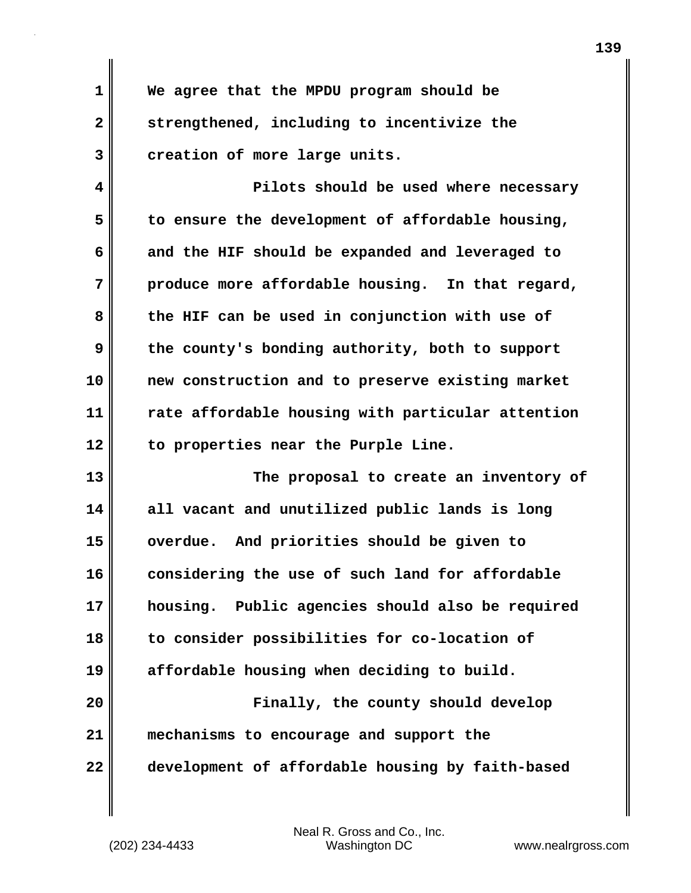**1 We agree that the MPDU program should be 2 strengthened, including to incentivize the 3 creation of more large units.**

**4 Pilots should be used where necessary 5 to ensure the development of affordable housing, 6 and the HIF should be expanded and leveraged to 7 produce more affordable housing. In that regard, 8 the HIF can be used in conjunction with use of 9 the county's bonding authority, both to support 10 new construction and to preserve existing market 11 rate affordable housing with particular attention 12 to properties near the Purple Line.**

**13 The proposal to create an inventory of 14 all vacant and unutilized public lands is long 15 overdue. And priorities should be given to 16 considering the use of such land for affordable 17 housing. Public agencies should also be required 18 to consider possibilities for co-location of 19 affordable housing when deciding to build.**

**20 Finally, the county should develop 21 mechanisms to encourage and support the 22 development of affordable housing by faith-based**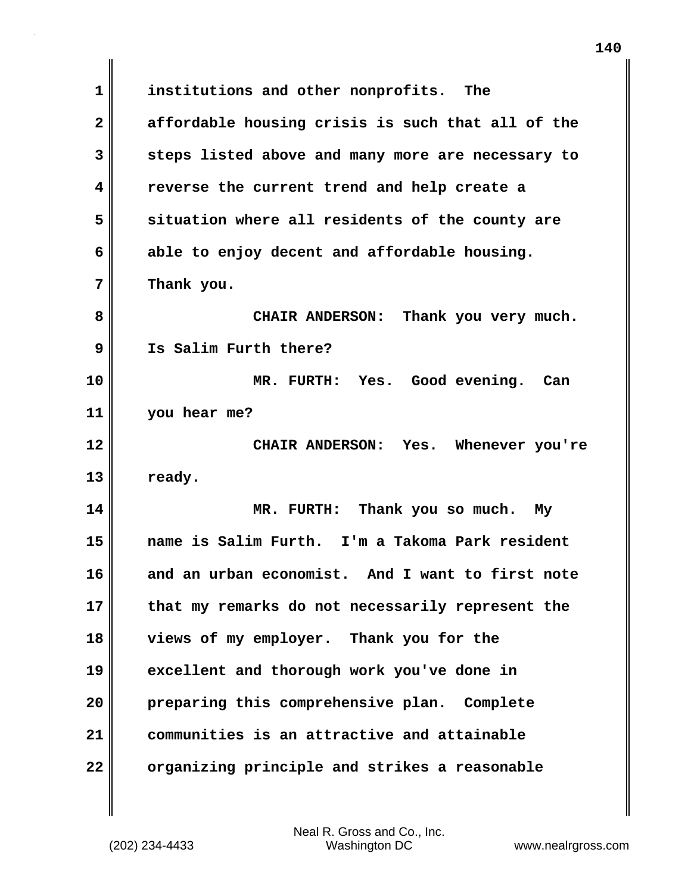**1 institutions and other nonprofits. The 2 affordable housing crisis is such that all of the 3 steps listed above and many more are necessary to 4 reverse the current trend and help create a 5 situation where all residents of the county are 6 able to enjoy decent and affordable housing. 7 Thank you. 8 CHAIR ANDERSON: Thank you very much. 9 Is Salim Furth there? 10 MR. FURTH: Yes. Good evening. Can 11 you hear me? 12 CHAIR ANDERSON: Yes. Whenever you're 13 ready. 14 MR. FURTH: Thank you so much. My 15 name is Salim Furth. I'm a Takoma Park resident 16 and an urban economist. And I want to first note 17 that my remarks do not necessarily represent the 18 views of my employer. Thank you for the 19 excellent and thorough work you've done in 20 preparing this comprehensive plan. Complete 21 communities is an attractive and attainable 22 organizing principle and strikes a reasonable**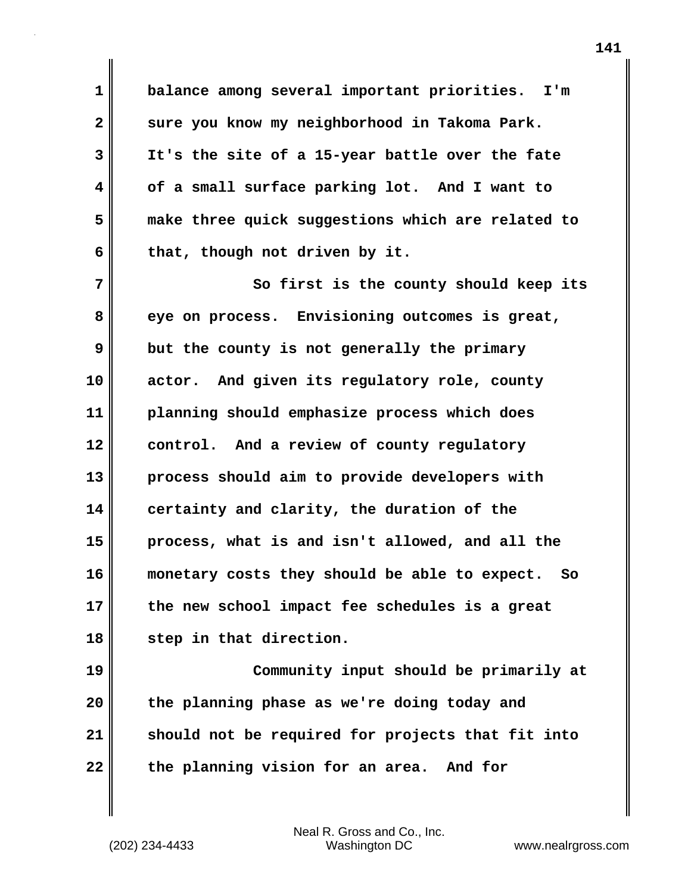**1 balance among several important priorities. I'm 2 sure you know my neighborhood in Takoma Park. 3 It's the site of a 15-year battle over the fate 4 of a small surface parking lot. And I want to 5 make three quick suggestions which are related to 6 that, though not driven by it.**

**7** So first is the county should keep its **8 eye on process. Envisioning outcomes is great, 9 but the county is not generally the primary 10 actor. And given its regulatory role, county 11 planning should emphasize process which does 12 control. And a review of county regulatory 13 process should aim to provide developers with 14 certainty and clarity, the duration of the 15 process, what is and isn't allowed, and all the 16 monetary costs they should be able to expect. So 17 the new school impact fee schedules is a great 18 step in that direction.**

**19 Community input should be primarily at 20 the planning phase as we're doing today and 21 should not be required for projects that fit into 22 the planning vision for an area. And for**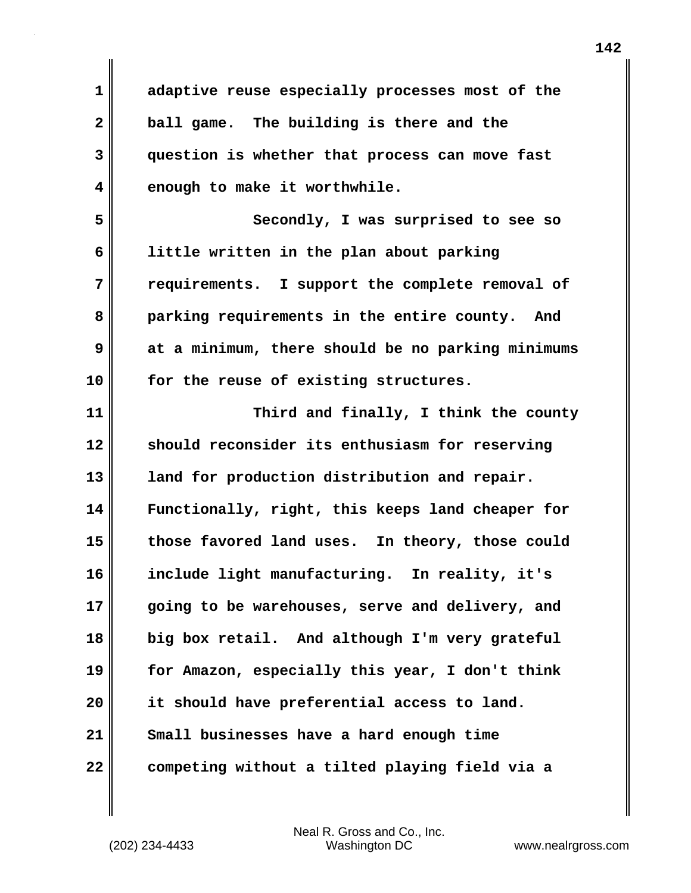**1 adaptive reuse especially processes most of the 2 ball game. The building is there and the 3 question is whether that process can move fast 4 enough to make it worthwhile. 5 Secondly, I was surprised to see so 6 little written in the plan about parking 7 requirements. I support the complete removal of 8 parking requirements in the entire county. And 9 at a minimum, there should be no parking minimums 10 for the reuse of existing structures. 11 Third and finally, I think the county 12 should reconsider its enthusiasm for reserving 13 land for production distribution and repair. 14 Functionally, right, this keeps land cheaper for 15 those favored land uses. In theory, those could 16 include light manufacturing. In reality, it's 17 going to be warehouses, serve and delivery, and 18 big box retail. And although I'm very grateful 19 for Amazon, especially this year, I don't think 20 it should have preferential access to land. 21 Small businesses have a hard enough time 22 competing without a tilted playing field via a**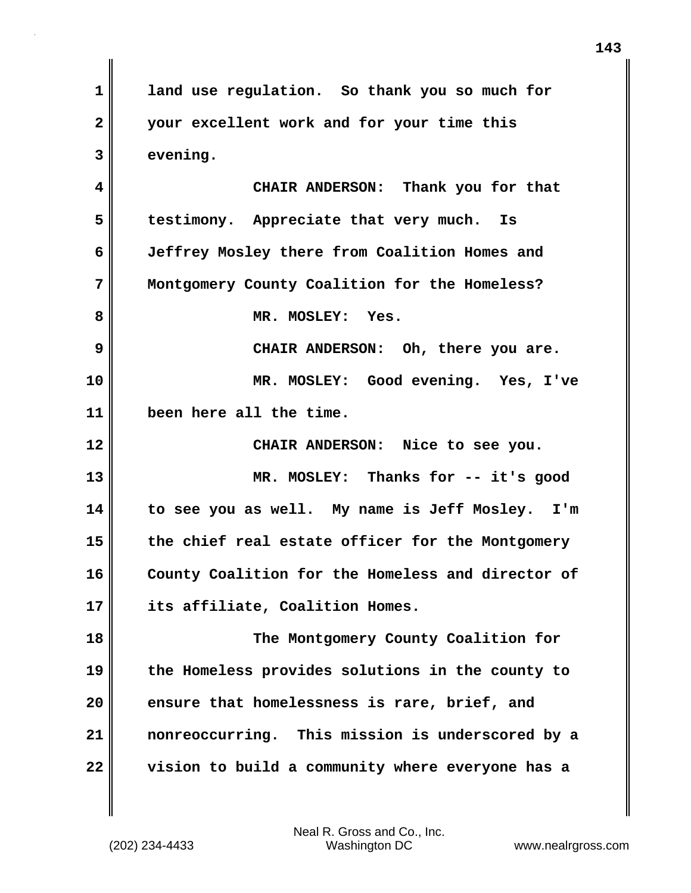**1 land use regulation. So thank you so much for 2 your excellent work and for your time this 3 evening. 4 CHAIR ANDERSON: Thank you for that 5 testimony. Appreciate that very much. Is 6 Jeffrey Mosley there from Coalition Homes and 7 Montgomery County Coalition for the Homeless?** 8 MR. MOSLEY: Yes. **9 CHAIR ANDERSON: Oh, there you are. 10 MR. MOSLEY: Good evening. Yes, I've 11 been here all the time. 12 CHAIR ANDERSON: Nice to see you. 13 MR. MOSLEY: Thanks for -- it's good 14 to see you as well. My name is Jeff Mosley. I'm 15 the chief real estate officer for the Montgomery 16 County Coalition for the Homeless and director of 17 its affiliate, Coalition Homes. 18 The Montgomery County Coalition for 19 the Homeless provides solutions in the county to 20 ensure that homelessness is rare, brief, and 21 nonreoccurring. This mission is underscored by a 22 vision to build a community where everyone has a**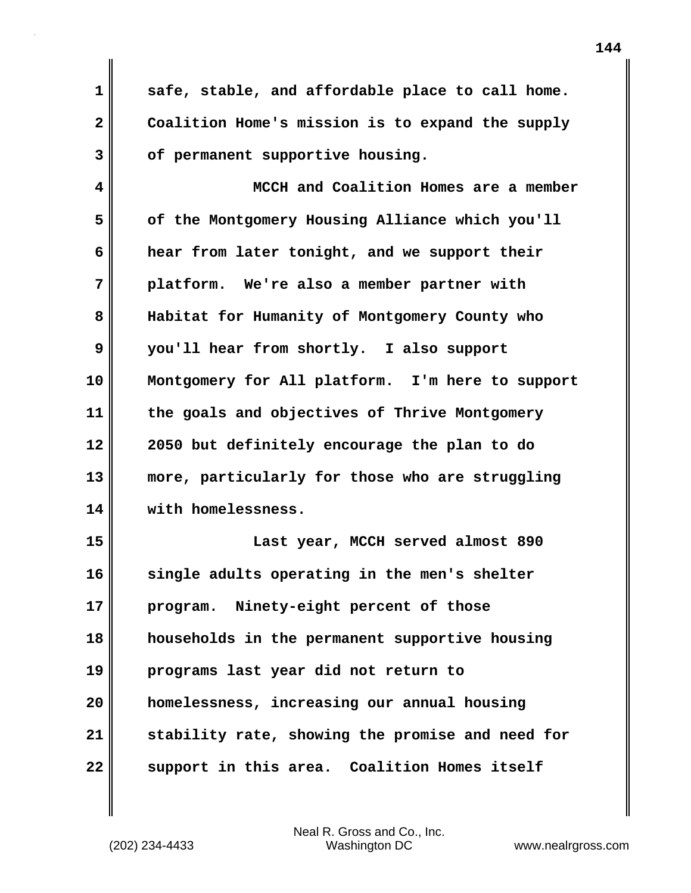**1 safe, stable, and affordable place to call home. 2 Coalition Home's mission is to expand the supply 3 of permanent supportive housing.**

**4 MCCH and Coalition Homes are a member 5 of the Montgomery Housing Alliance which you'll 6 hear from later tonight, and we support their 7 platform. We're also a member partner with 8 Habitat for Humanity of Montgomery County who 9 you'll hear from shortly. I also support 10 Montgomery for All platform. I'm here to support 11 the goals and objectives of Thrive Montgomery 12 2050 but definitely encourage the plan to do 13 more, particularly for those who are struggling 14 with homelessness. 15 Last year, MCCH served almost 890**

**16 single adults operating in the men's shelter 17 program. Ninety-eight percent of those 18 households in the permanent supportive housing 19 programs last year did not return to 20 homelessness, increasing our annual housing 21 stability rate, showing the promise and need for 22 support in this area. Coalition Homes itself**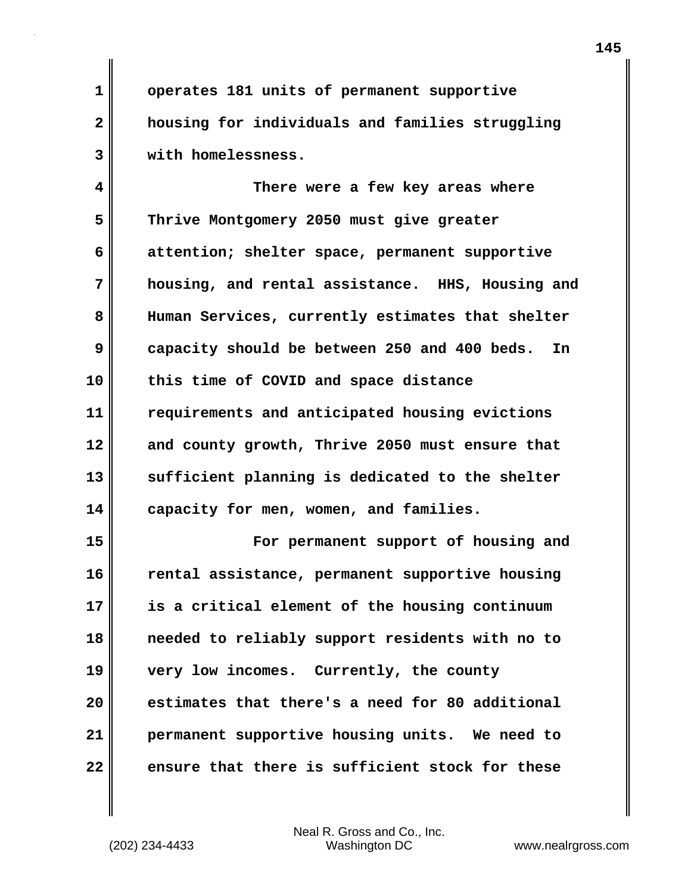**1 operates 181 units of permanent supportive 2 housing for individuals and families struggling 3 with homelessness.**

**4 There were a few key areas where 5 Thrive Montgomery 2050 must give greater 6 attention; shelter space, permanent supportive 7 housing, and rental assistance. HHS, Housing and 8 Human Services, currently estimates that shelter 9 capacity should be between 250 and 400 beds. In 10 this time of COVID and space distance 11 requirements and anticipated housing evictions 12 and county growth, Thrive 2050 must ensure that 13 sufficient planning is dedicated to the shelter 14 capacity for men, women, and families.**

**15 For permanent support of housing and 16 rental assistance, permanent supportive housing 17 is a critical element of the housing continuum 18 needed to reliably support residents with no to 19 very low incomes. Currently, the county 20 estimates that there's a need for 80 additional 21 permanent supportive housing units. We need to 22 ensure that there is sufficient stock for these**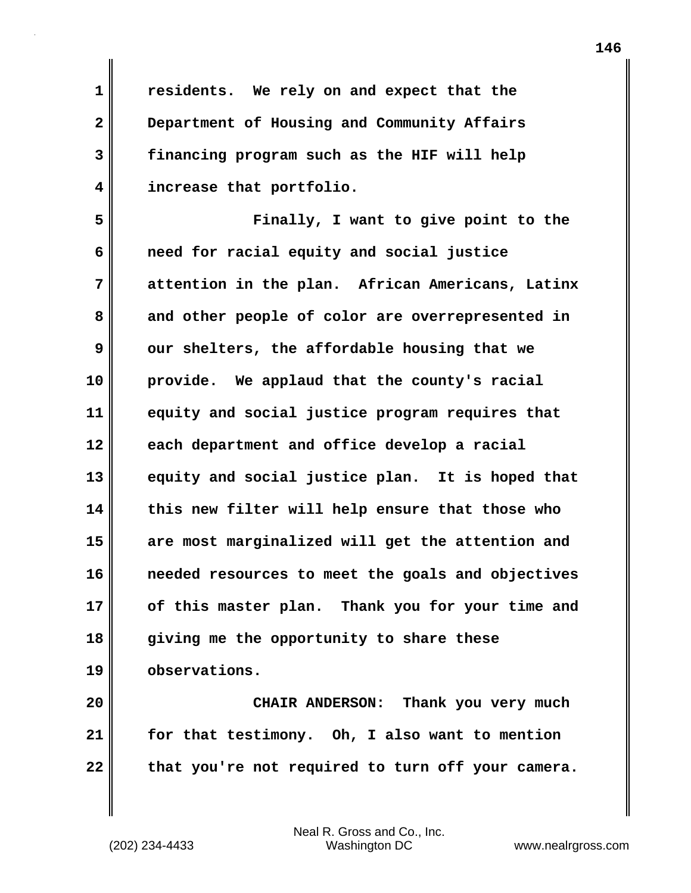**1 residents. We rely on and expect that the 2 Department of Housing and Community Affairs 3 financing program such as the HIF will help 4 increase that portfolio.**

**5 Finally, I want to give point to the 6 need for racial equity and social justice 7 attention in the plan. African Americans, Latinx 8 and other people of color are overrepresented in 9** our shelters, the affordable housing that we **10 provide. We applaud that the county's racial 11 equity and social justice program requires that 12 each department and office develop a racial 13 equity and social justice plan. It is hoped that 14 this new filter will help ensure that those who 15 are most marginalized will get the attention and 16 needed resources to meet the goals and objectives 17 of this master plan. Thank you for your time and 18 giving me the opportunity to share these 19 observations.**

**20 CHAIR ANDERSON: Thank you very much 21 for that testimony. Oh, I also want to mention 22 that you're not required to turn off your camera.**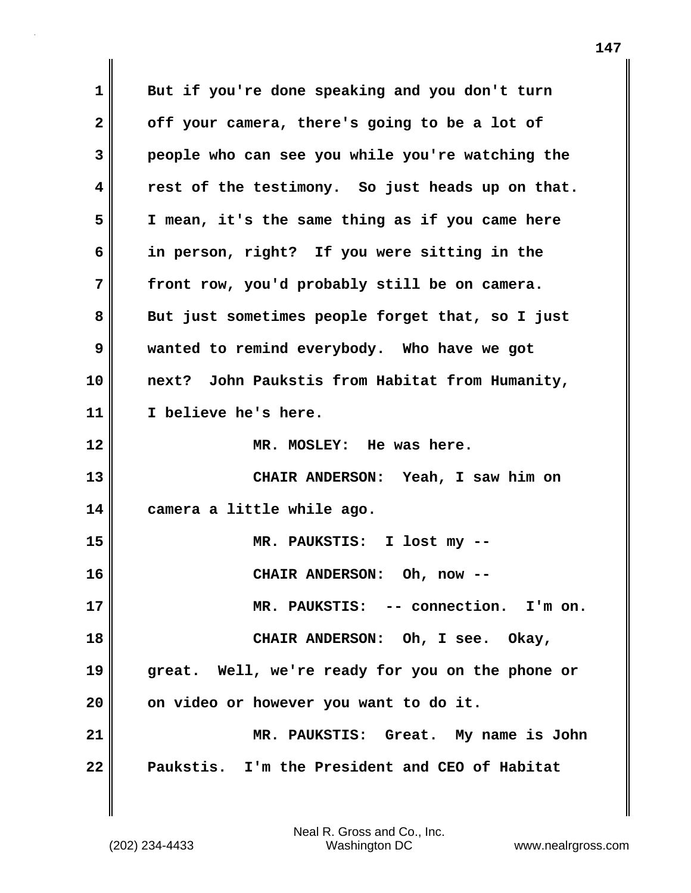**1 But if you're done speaking and you don't turn 2 off your camera, there's going to be a lot of 3 people who can see you while you're watching the 4 rest of the testimony. So just heads up on that. 5 I mean, it's the same thing as if you came here 6 in person, right? If you were sitting in the 7 front row, you'd probably still be on camera. 8 But just sometimes people forget that, so I just 9 wanted to remind everybody. Who have we got 10 next? John Paukstis from Habitat from Humanity, 11 I believe he's here. 12 MR. MOSLEY: He was here. 13 CHAIR ANDERSON: Yeah, I saw him on 14 camera a little while ago. 15 MR. PAUKSTIS: I lost my -- 16 CHAIR ANDERSON: Oh, now -- 17 MR. PAUKSTIS: -- connection. I'm on. 18 CHAIR ANDERSON: Oh, I see. Okay, 19 great. Well, we're ready for you on the phone or 20 on video or however you want to do it. 21 MR. PAUKSTIS: Great. My name is John 22 Paukstis. I'm the President and CEO of Habitat**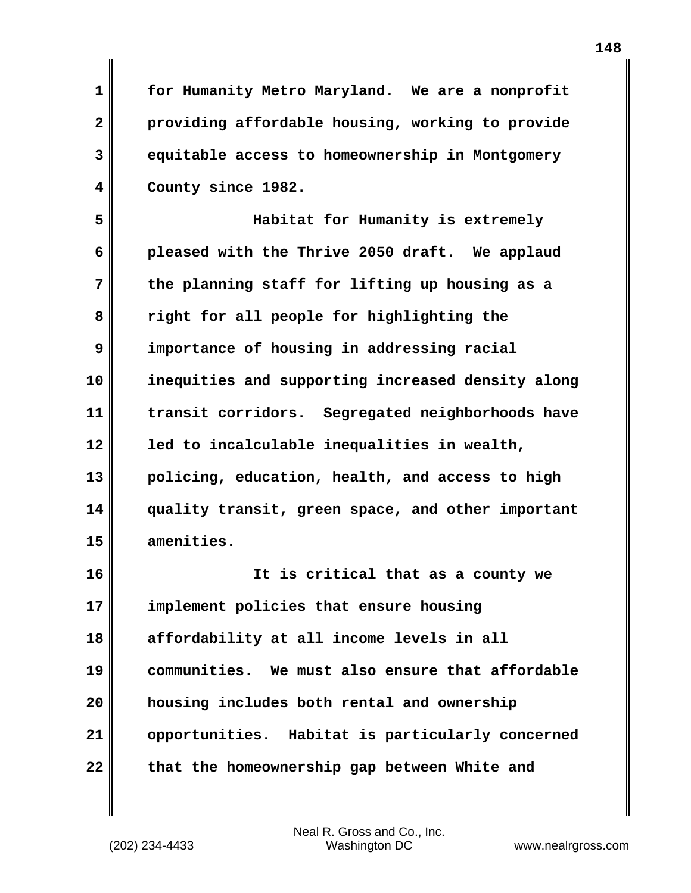**1 for Humanity Metro Maryland. We are a nonprofit 2 providing affordable housing, working to provide 3 equitable access to homeownership in Montgomery 4 County since 1982.**

**5 Habitat for Humanity is extremely 6 pleased with the Thrive 2050 draft. We applaud 7 the planning staff for lifting up housing as a 8 right for all people for highlighting the 9 importance of housing in addressing racial 10 inequities and supporting increased density along 11 transit corridors. Segregated neighborhoods have 12 led to incalculable inequalities in wealth, 13 policing, education, health, and access to high 14 quality transit, green space, and other important 15 amenities.**

**16 It is critical that as a county we 17 implement policies that ensure housing 18 affordability at all income levels in all 19 communities. We must also ensure that affordable 20 housing includes both rental and ownership 21 opportunities. Habitat is particularly concerned 22 that the homeownership gap between White and**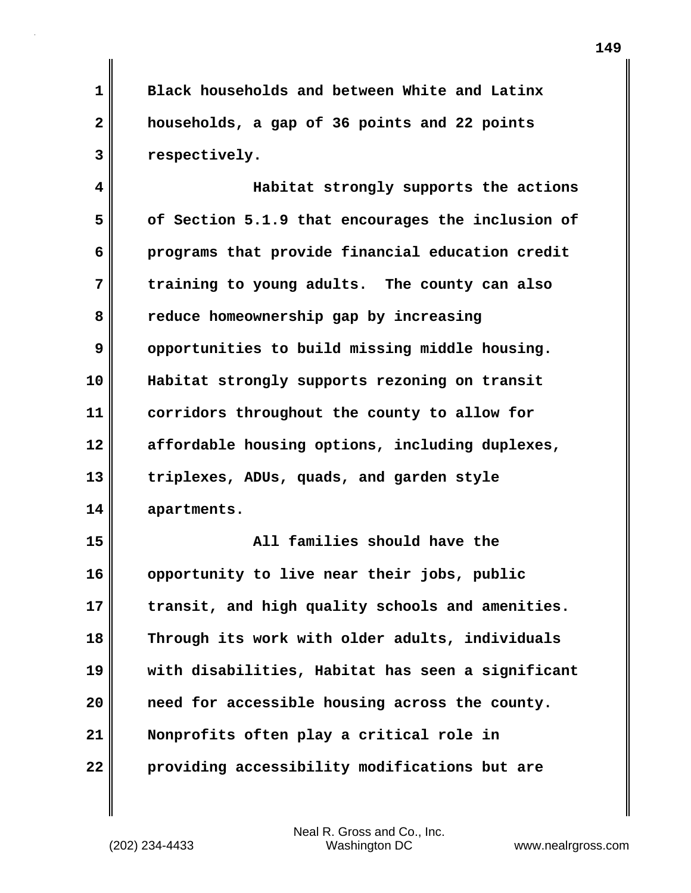**1 Black households and between White and Latinx 2 households, a gap of 36 points and 22 points 3 respectively.**

**4 Habitat strongly supports the actions 5 of Section 5.1.9 that encourages the inclusion of 6 programs that provide financial education credit 7 training to young adults. The county can also 8 reduce homeownership gap by increasing 9** opportunities to build missing middle housing. **10 Habitat strongly supports rezoning on transit 11 corridors throughout the county to allow for 12 affordable housing options, including duplexes, 13 triplexes, ADUs, quads, and garden style 14 apartments.**

**15 All families should have the 16 opportunity to live near their jobs, public 17 transit, and high quality schools and amenities. 18 Through its work with older adults, individuals 19 with disabilities, Habitat has seen a significant 20 need for accessible housing across the county. 21 Nonprofits often play a critical role in 22 providing accessibility modifications but are**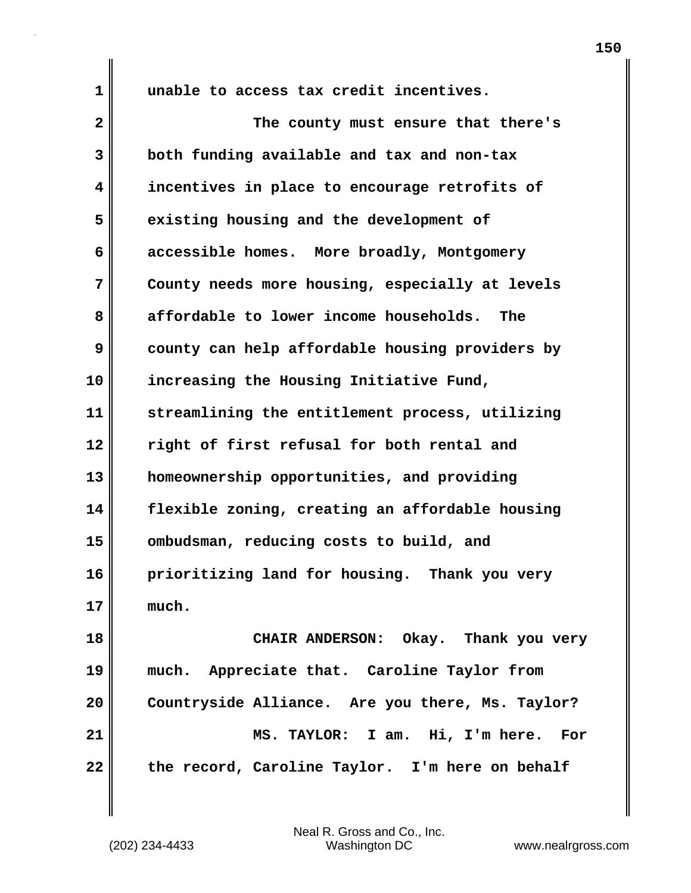**1 unable to access tax credit incentives.**

**2 The county must ensure that there's 3 both funding available and tax and non-tax 4 incentives in place to encourage retrofits of 5 existing housing and the development of 6 accessible homes. More broadly, Montgomery 7 County needs more housing, especially at levels 8 affordable to lower income households. The 9** county can help affordable housing providers by **10 increasing the Housing Initiative Fund, 11 streamlining the entitlement process, utilizing 12 right of first refusal for both rental and 13 homeownership opportunities, and providing 14 flexible zoning, creating an affordable housing 15 ombudsman, reducing costs to build, and 16 prioritizing land for housing. Thank you very 17 much. 18 CHAIR ANDERSON: Okay. Thank you very 19 much. Appreciate that. Caroline Taylor from 20 Countryside Alliance. Are you there, Ms. Taylor? 21 MS. TAYLOR: I am. Hi, I'm here. For 22 the record, Caroline Taylor. I'm here on behalf**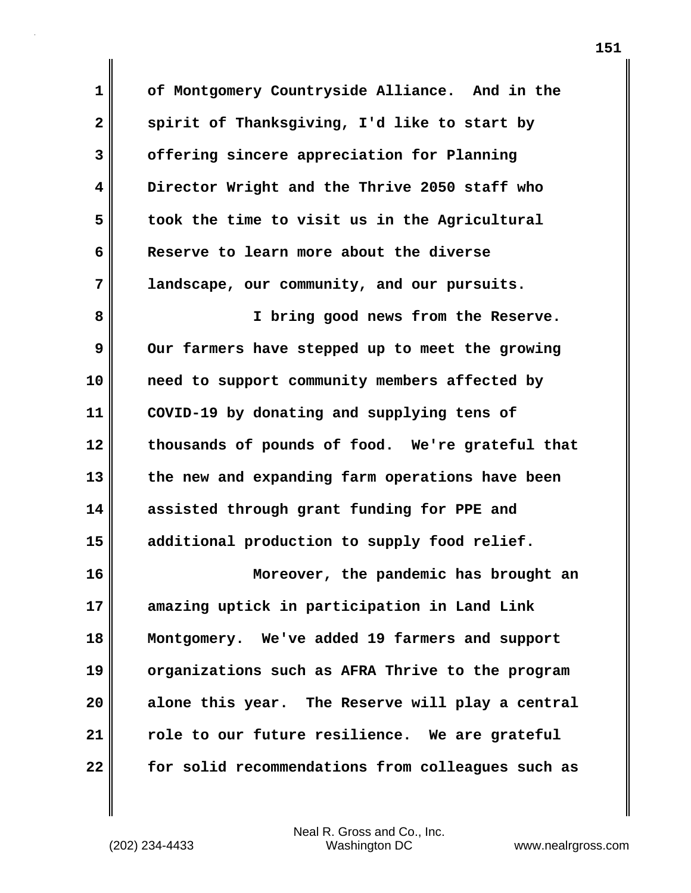**1 of Montgomery Countryside Alliance. And in the** 2 spirit of Thanksgiving, I'd like to start by **3 offering sincere appreciation for Planning 4 Director Wright and the Thrive 2050 staff who 5 took the time to visit us in the Agricultural 6 Reserve to learn more about the diverse 7 landscape, our community, and our pursuits.**

**8 I bring good news from the Reserve. 9** Our farmers have stepped up to meet the growing **10 need to support community members affected by 11 COVID-19 by donating and supplying tens of 12 thousands of pounds of food. We're grateful that 13 the new and expanding farm operations have been 14 assisted through grant funding for PPE and 15 additional production to supply food relief.**

**16 Moreover, the pandemic has brought an 17 amazing uptick in participation in Land Link 18 Montgomery. We've added 19 farmers and support 19 organizations such as AFRA Thrive to the program 20 alone this year. The Reserve will play a central 21 role to our future resilience. We are grateful 22 for solid recommendations from colleagues such as**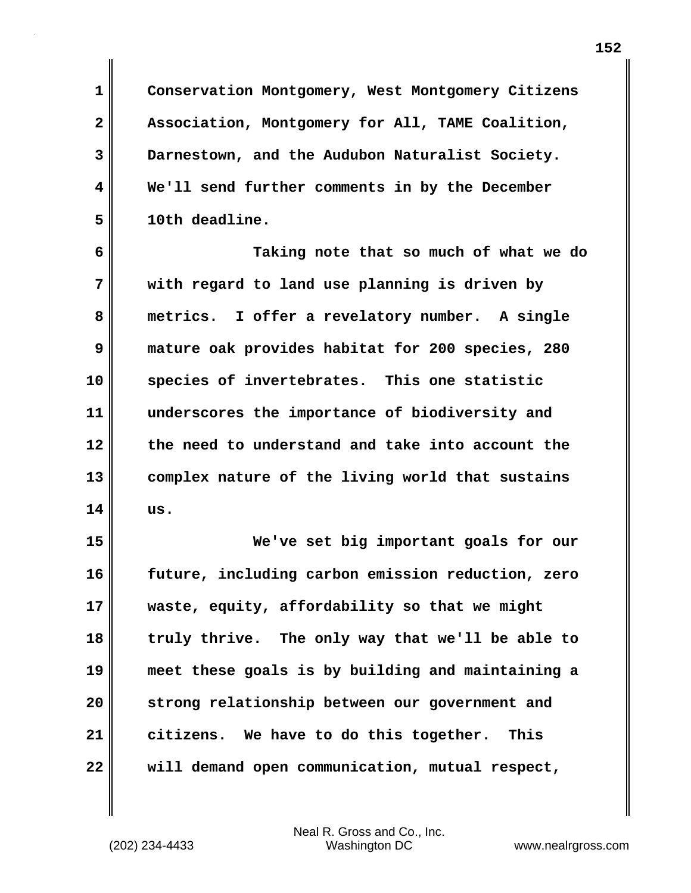**1 Conservation Montgomery, West Montgomery Citizens 2 Association, Montgomery for All, TAME Coalition, 3 Darnestown, and the Audubon Naturalist Society. 4 We'll send further comments in by the December 5 10th deadline.**

**6 Taking note that so much of what we do 7 with regard to land use planning is driven by 8 metrics. I offer a revelatory number. A single 9 mature oak provides habitat for 200 species, 280 10 species of invertebrates. This one statistic 11 underscores the importance of biodiversity and 12 the need to understand and take into account the 13 complex nature of the living world that sustains 14 us.**

**15 We've set big important goals for our 16 future, including carbon emission reduction, zero 17 waste, equity, affordability so that we might 18 truly thrive. The only way that we'll be able to 19 meet these goals is by building and maintaining a 20 strong relationship between our government and 21 citizens. We have to do this together. This 22 will demand open communication, mutual respect,**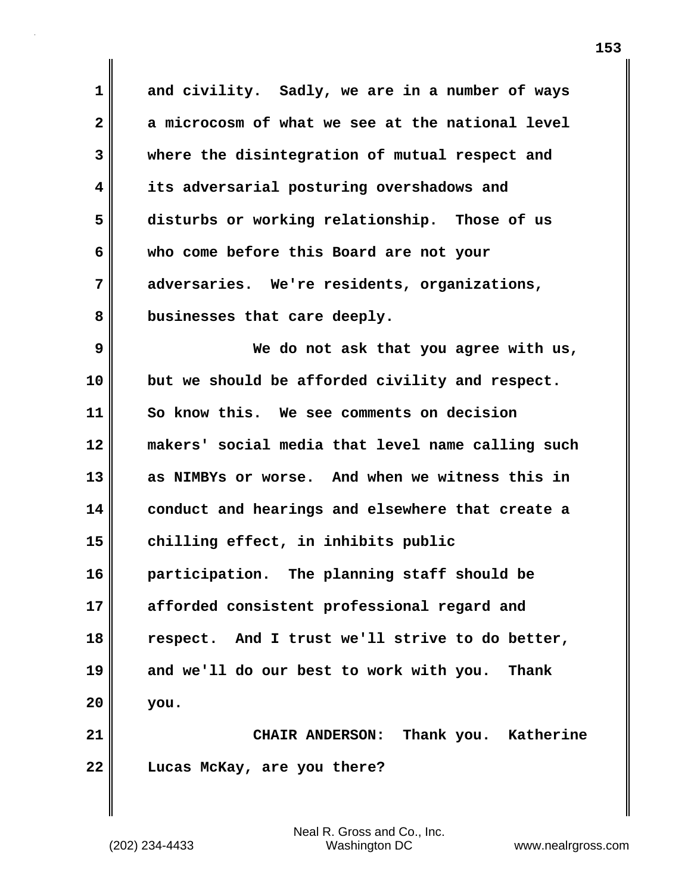**1 and civility. Sadly, we are in a number of ways 2 a microcosm of what we see at the national level 3 where the disintegration of mutual respect and 4 its adversarial posturing overshadows and 5 disturbs or working relationship. Those of us 6 who come before this Board are not your 7 adversaries. We're residents, organizations, 8 businesses that care deeply. 9 We do not ask that you agree with us, 10 but we should be afforded civility and respect. 11 So know this. We see comments on decision 12 makers' social media that level name calling such 13 as NIMBYs or worse. And when we witness this in 14 conduct and hearings and elsewhere that create a 15 chilling effect, in inhibits public 16 participation. The planning staff should be 17 afforded consistent professional regard and 18 respect. And I trust we'll strive to do better, 19 and we'll do our best to work with you. Thank 20 you. 21 CHAIR ANDERSON: Thank you. Katherine 22 Lucas McKay, are you there?**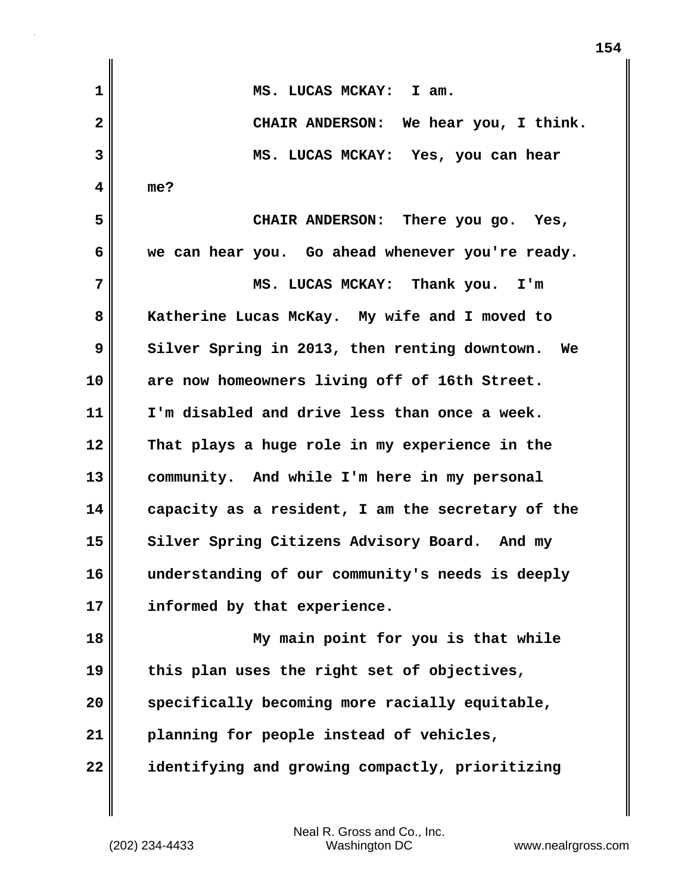**1 MS. LUCAS MCKAY: I am. 2 CHAIR ANDERSON: We hear you, I think. 3 MS. LUCAS MCKAY: Yes, you can hear 4 me? 5 CHAIR ANDERSON: There you go. Yes, 6 we can hear you. Go ahead whenever you're ready. 7 MS. LUCAS MCKAY: Thank you. I'm 8 Katherine Lucas McKay. My wife and I moved to 9 Silver Spring in 2013, then renting downtown.** We **10 are now homeowners living off of 16th Street. 11 I'm disabled and drive less than once a week. 12 That plays a huge role in my experience in the 13 community. And while I'm here in my personal 14 capacity as a resident, I am the secretary of the** 15 Silver Spring Citizens Advisory Board. And my **16 understanding of our community's needs is deeply 17 informed by that experience. 18 My main point for you is that while 19 this plan uses the right set of objectives, 20 specifically becoming more racially equitable, 21 planning for people instead of vehicles, 22 identifying and growing compactly, prioritizing**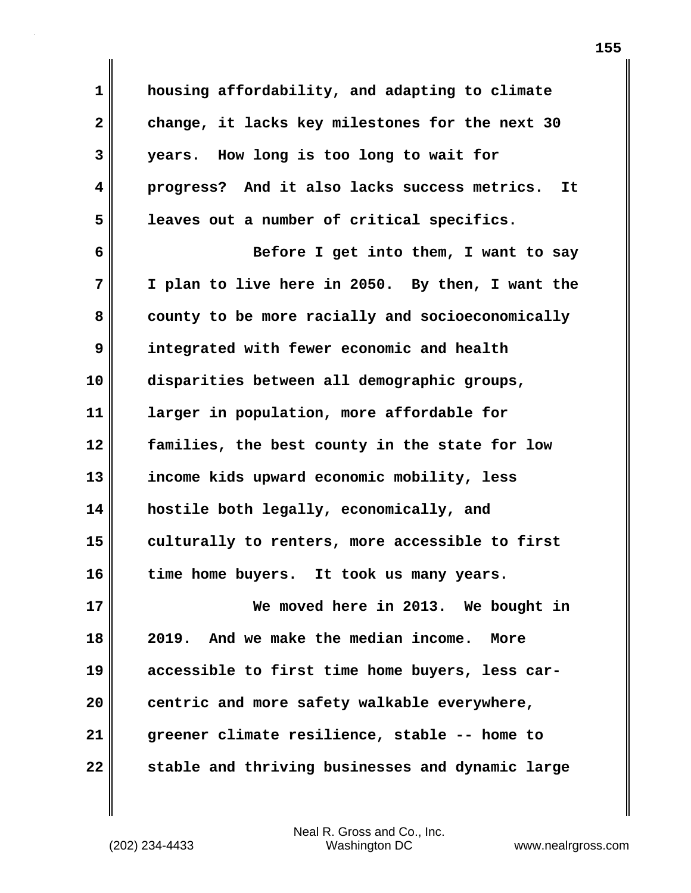**1 housing affordability, and adapting to climate 2 change, it lacks key milestones for the next 30 3 years. How long is too long to wait for 4 progress? And it also lacks success metrics. It 5 leaves out a number of critical specifics. 6 Before I get into them, I want to say 7 I plan to live here in 2050. By then, I want the 8 county to be more racially and socioeconomically 9 integrated with fewer economic and health 10 disparities between all demographic groups, 11 larger in population, more affordable for 12 families, the best county in the state for low 13 income kids upward economic mobility, less 14 hostile both legally, economically, and 15 culturally to renters, more accessible to first 16 time home buyers. It took us many years. 17 We moved here in 2013. We bought in 18 2019. And we make the median income. More 19 accessible to first time home buyers, less car-20 centric and more safety walkable everywhere, 21 greener climate resilience, stable -- home to 22 stable and thriving businesses and dynamic large**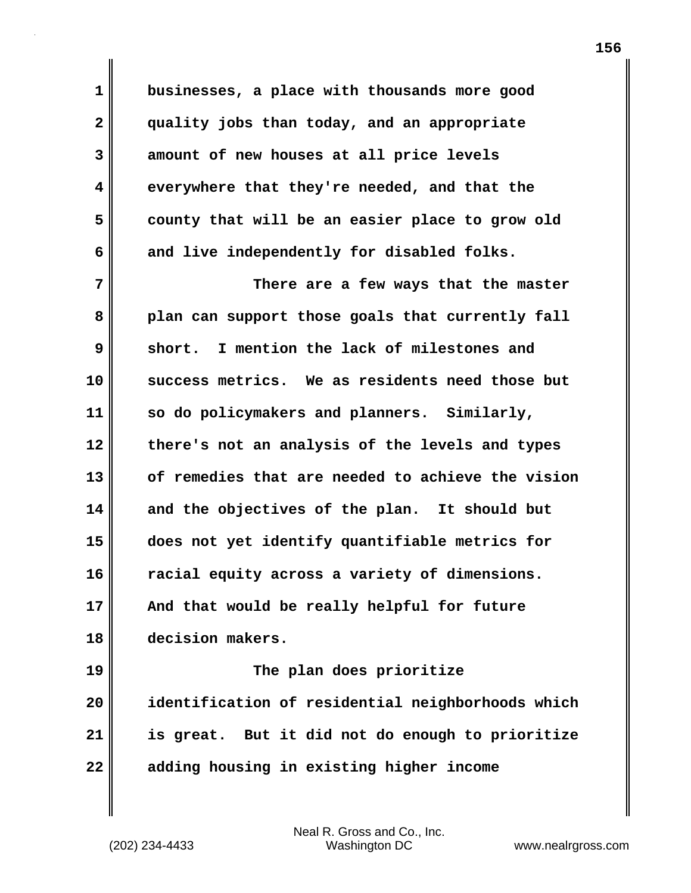**1 businesses, a place with thousands more good 2 quality jobs than today, and an appropriate 3 amount of new houses at all price levels 4 everywhere that they're needed, and that the 5 county that will be an easier place to grow old** 6 and live independently for disabled folks. **7** There are a few ways that the master **8 plan can support those goals that currently fall 9 short. I mention the lack of milestones and 10 success metrics. We as residents need those but 11 so do policymakers and planners. Similarly, 12 there's not an analysis of the levels and types 13 of remedies that are needed to achieve the vision 14 and the objectives of the plan. It should but 15 does not yet identify quantifiable metrics for 16 racial equity across a variety of dimensions. 17 And that would be really helpful for future 18 decision makers. 19 The plan does prioritize**

**20 identification of residential neighborhoods which 21 is great. But it did not do enough to prioritize 22 adding housing in existing higher income**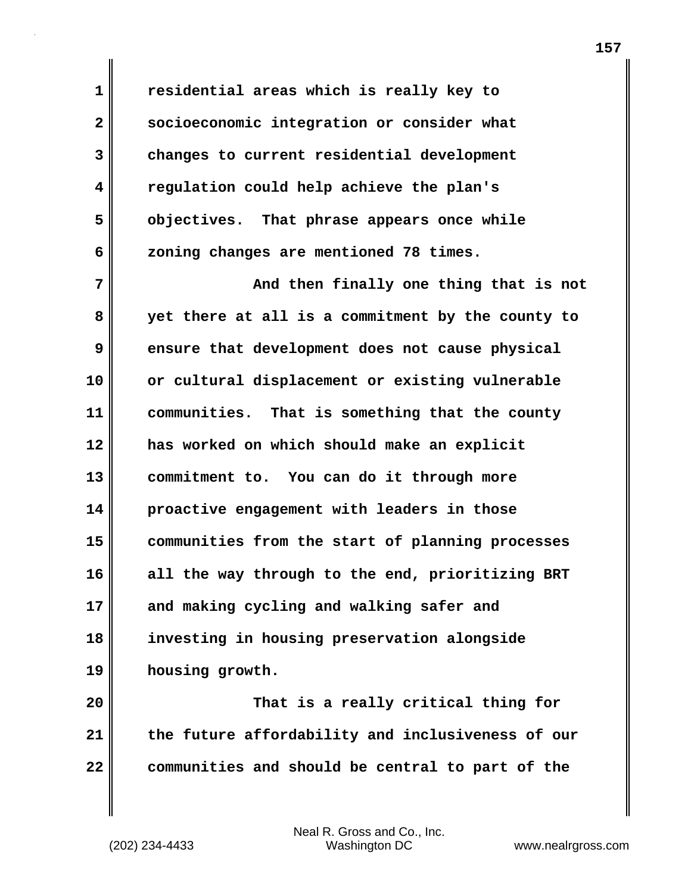**1 residential areas which is really key to 2 socioeconomic integration or consider what 3 changes to current residential development 4 regulation could help achieve the plan's 5 objectives. That phrase appears once while 6 zoning changes are mentioned 78 times.**

**7 And then finally one thing that is not 8 yet there at all is a commitment by the county to 9 ensure that development does not cause physical 10 or cultural displacement or existing vulnerable 11 communities. That is something that the county 12 has worked on which should make an explicit 13 commitment to. You can do it through more 14 proactive engagement with leaders in those 15 communities from the start of planning processes 16 all the way through to the end, prioritizing BRT 17 and making cycling and walking safer and 18 investing in housing preservation alongside 19 housing growth.**

**20 That is a really critical thing for 21 the future affordability and inclusiveness of our 22 communities and should be central to part of the**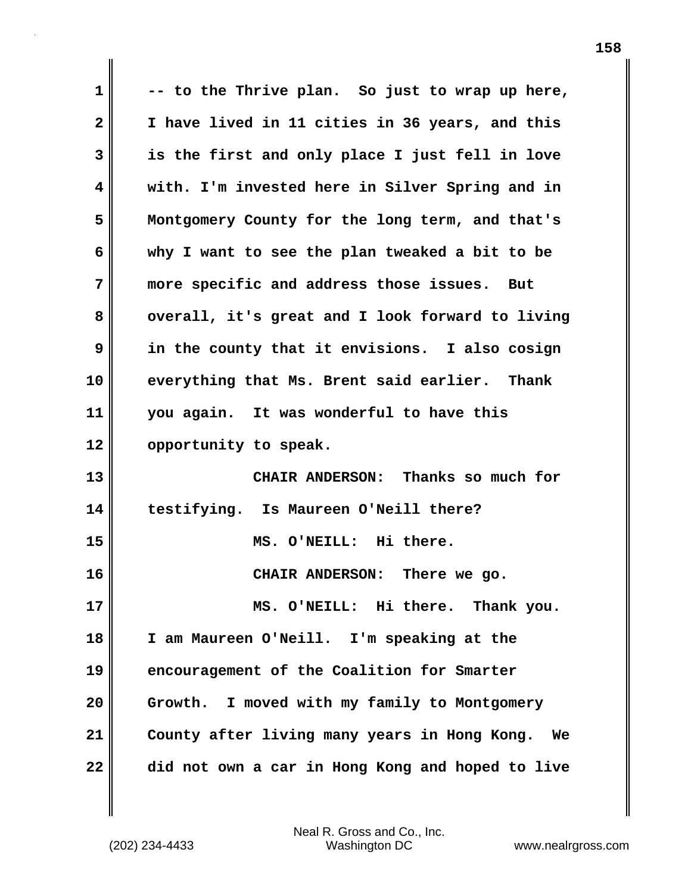**1 -- to the Thrive plan. So just to wrap up here, 2 I have lived in 11 cities in 36 years, and this 3 is the first and only place I just fell in love 4 with. I'm invested here in Silver Spring and in 5 Montgomery County for the long term, and that's 6 why I want to see the plan tweaked a bit to be 7 more specific and address those issues. But** 8 overall, it's great and I look forward to living **9 in the county that it envisions. I also cosign 10 everything that Ms. Brent said earlier. Thank 11 you again. It was wonderful to have this 12 opportunity to speak. 13 CHAIR ANDERSON: Thanks so much for 14 testifying. Is Maureen O'Neill there? 15 MS. O'NEILL: Hi there. 16 CHAIR ANDERSON: There we go. 17 MS. O'NEILL: Hi there. Thank you. 18 I am Maureen O'Neill. I'm speaking at the 19 encouragement of the Coalition for Smarter 20 Growth. I moved with my family to Montgomery 21 County after living many years in Hong Kong. We 22 did not own a car in Hong Kong and hoped to live**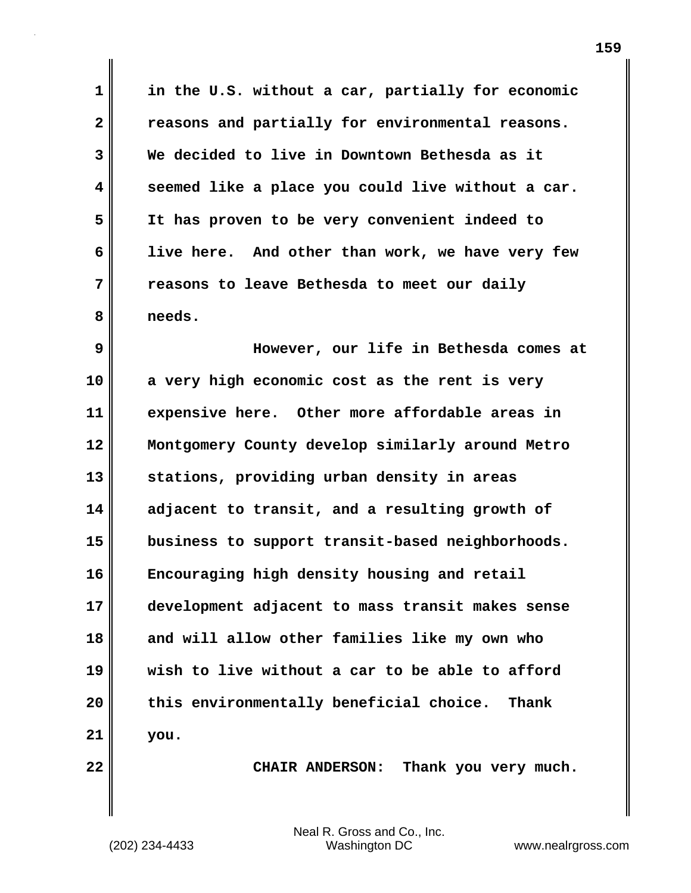**1 in the U.S. without a car, partially for economic 2 reasons and partially for environmental reasons. 3 We decided to live in Downtown Bethesda as it 4 seemed like a place you could live without a car. 5 It has proven to be very convenient indeed to 6 live here. And other than work, we have very few 7 reasons to leave Bethesda to meet our daily 8 needs.**

**9 However, our life in Bethesda comes at 10 a very high economic cost as the rent is very 11 expensive here. Other more affordable areas in 12 Montgomery County develop similarly around Metro 13 stations, providing urban density in areas 14 adjacent to transit, and a resulting growth of 15 business to support transit-based neighborhoods. 16 Encouraging high density housing and retail 17 development adjacent to mass transit makes sense 18 and will allow other families like my own who 19 wish to live without a car to be able to afford 20 this environmentally beneficial choice. Thank 21 you.**

**22 CHAIR ANDERSON: Thank you very much.**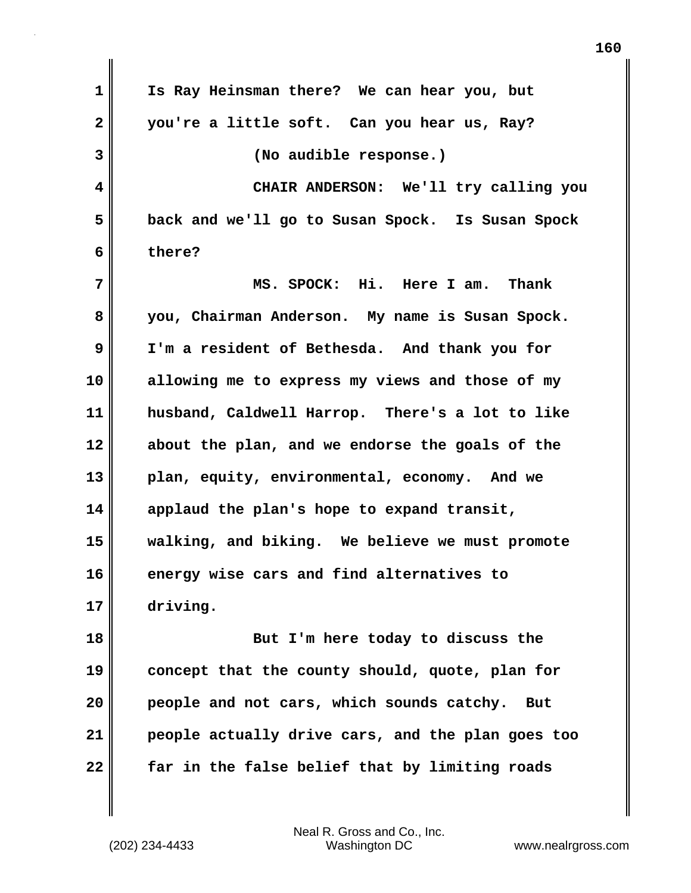| $\mathbf{1}$ | Is Ray Heinsman there? We can hear you, but       |
|--------------|---------------------------------------------------|
| $\mathbf{2}$ | you're a little soft. Can you hear us, Ray?       |
| 3            | (No audible response.)                            |
| 4            | CHAIR ANDERSON: We'll try calling you             |
| 5            | back and we'll go to Susan Spock. Is Susan Spock  |
| 6            | there?                                            |
| 7            | MS. SPOCK: Hi. Here I am. Thank                   |
| 8            | you, Chairman Anderson. My name is Susan Spock.   |
| 9            | I'm a resident of Bethesda. And thank you for     |
| 10           | allowing me to express my views and those of my   |
| 11           | husband, Caldwell Harrop. There's a lot to like   |
| 12           | about the plan, and we endorse the goals of the   |
| 13           | plan, equity, environmental, economy. And we      |
| 14           | applaud the plan's hope to expand transit,        |
| 15           | walking, and biking. We believe we must promote   |
| 16           | energy wise cars and find alternatives to         |
| 17           | driving.                                          |
| 18           | But I'm here today to discuss the                 |
| 19           | concept that the county should, quote, plan for   |
| 20           | people and not cars, which sounds catchy.<br>But  |
| 21           | people actually drive cars, and the plan goes too |
| 22           | far in the false belief that by limiting roads    |

(202) 234-4433 Washington DC www.nealrgross.com Neal R. Gross and Co., Inc.

 $\mathbf{I}$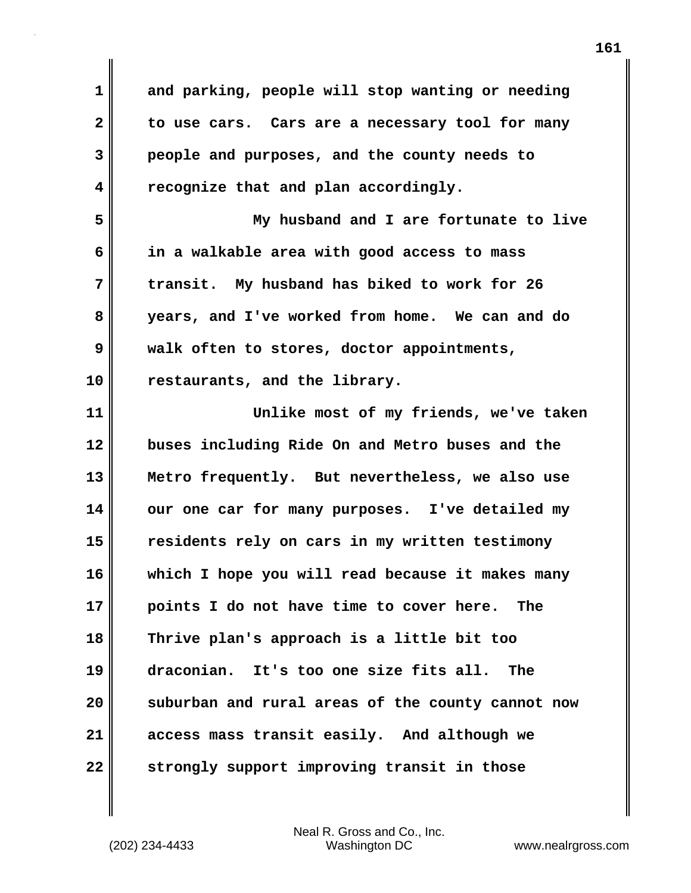**1 and parking, people will stop wanting or needing 2 to use cars. Cars are a necessary tool for many 3 people and purposes, and the county needs to 4 recognize that and plan accordingly.**

**5 My husband and I are fortunate to live 6 in a walkable area with good access to mass 7 transit. My husband has biked to work for 26 8 years, and I've worked from home. We can and do 9 walk often to stores, doctor appointments, 10 restaurants, and the library.**

**11 Unlike most of my friends, we've taken 12 buses including Ride On and Metro buses and the 13 Metro frequently. But nevertheless, we also use 14 our one car for many purposes. I've detailed my 15 residents rely on cars in my written testimony 16 which I hope you will read because it makes many 17 points I do not have time to cover here. The 18 Thrive plan's approach is a little bit too 19 draconian. It's too one size fits all. The 20 suburban and rural areas of the county cannot now 21 access mass transit easily. And although we 22 strongly support improving transit in those**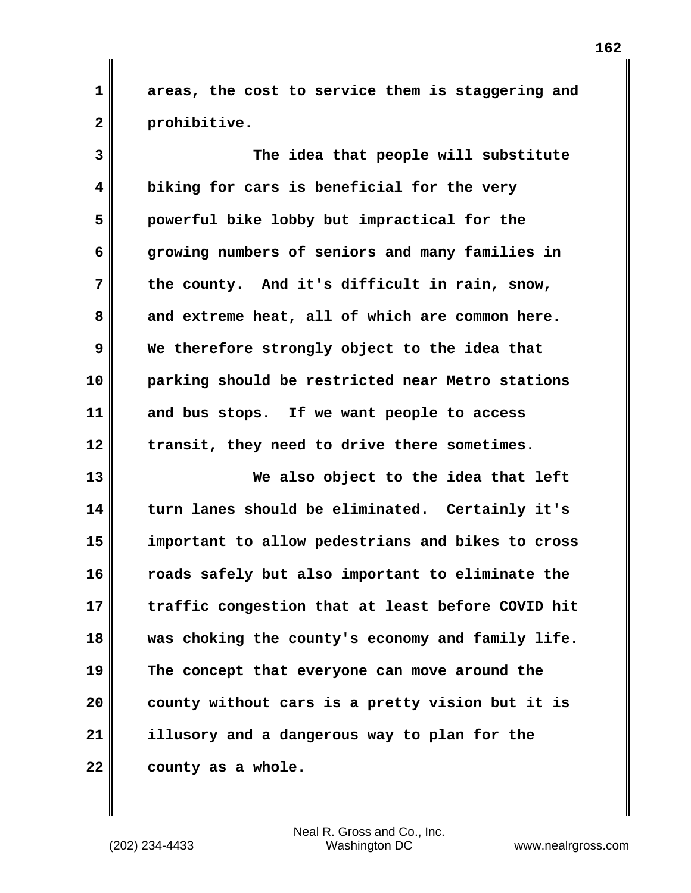**1 areas, the cost to service them is staggering and 2 prohibitive.**

**3 The idea that people will substitute 4 biking for cars is beneficial for the very 5 powerful bike lobby but impractical for the 6 growing numbers of seniors and many families in 7 the county. And it's difficult in rain, snow,** 8 and extreme heat, all of which are common here. **9 We therefore strongly object to the idea that 10 parking should be restricted near Metro stations 11 and bus stops. If we want people to access 12 transit, they need to drive there sometimes. 13 We also object to the idea that left 14 turn lanes should be eliminated. Certainly it's 15 important to allow pedestrians and bikes to cross 16 roads safely but also important to eliminate the 17 traffic congestion that at least before COVID hit 18 was choking the county's economy and family life. 19 The concept that everyone can move around the 20 county without cars is a pretty vision but it is 21 illusory and a dangerous way to plan for the 22 county as a whole.**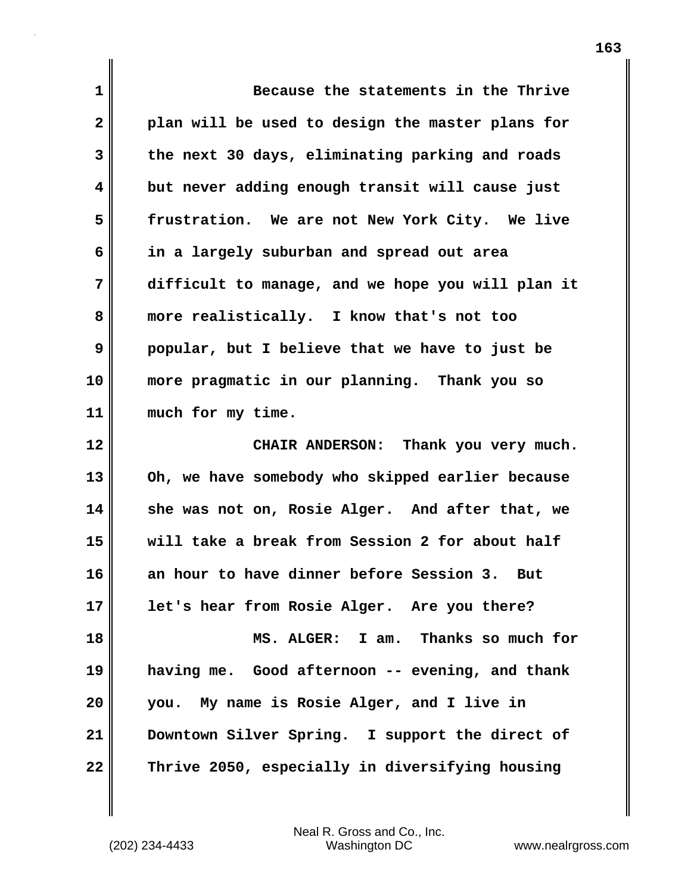| $\mathbf 1$  | Because the statements in the Thrive              |
|--------------|---------------------------------------------------|
| $\mathbf{2}$ | plan will be used to design the master plans for  |
| 3            | the next 30 days, eliminating parking and roads   |
| 4            | but never adding enough transit will cause just   |
| 5            | frustration. We are not New York City. We live    |
| 6            | in a largely suburban and spread out area         |
| 7            | difficult to manage, and we hope you will plan it |
| 8            | more realistically. I know that's not too         |
| 9            | popular, but I believe that we have to just be    |
| 10           | more pragmatic in our planning. Thank you so      |
| 11           | much for my time.                                 |
| 12           | CHAIR ANDERSON: Thank you very much.              |
| 13           | Oh, we have somebody who skipped earlier because  |
| 14           | she was not on, Rosie Alger. And after that, we   |
| 15           | will take a break from Session 2 for about half   |
| 16           | an hour to have dinner before Session 3. But      |
| 17           | let's hear from Rosie Alger. Are you there?       |
| 18           | MS. ALGER: I am. Thanks so much for               |
| 19           | having me. Good afternoon -- evening, and thank   |
| 20           | you. My name is Rosie Alger, and I live in        |
| 21           | Downtown Silver Spring. I support the direct of   |
| 22           | Thrive 2050, especially in diversifying housing   |

 $\mathbf{I}$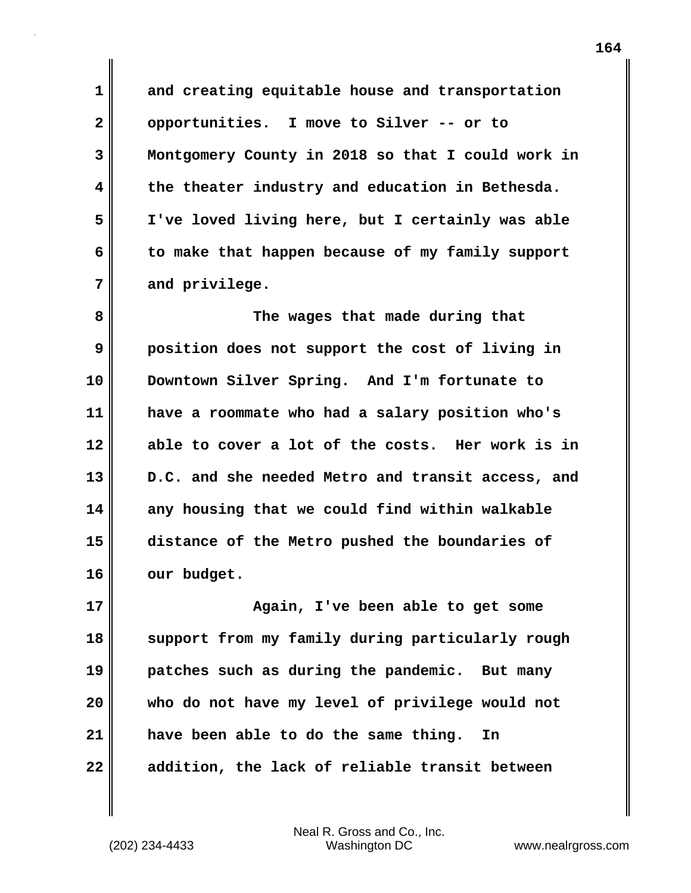**1 and creating equitable house and transportation 2 opportunities. I move to Silver -- or to 3 Montgomery County in 2018 so that I could work in 4 the theater industry and education in Bethesda. 5 I've loved living here, but I certainly was able 6 to make that happen because of my family support 7 and privilege.**

**8 The wages that made during that 9 position does not support the cost of living in 10 Downtown Silver Spring. And I'm fortunate to 11 have a roommate who had a salary position who's 12 able to cover a lot of the costs. Her work is in 13 D.C. and she needed Metro and transit access, and 14 any housing that we could find within walkable 15 distance of the Metro pushed the boundaries of 16 our budget.**

**17 Again, I've been able to get some 18 support from my family during particularly rough 19 patches such as during the pandemic. But many 20 who do not have my level of privilege would not 21 have been able to do the same thing. In 22 addition, the lack of reliable transit between**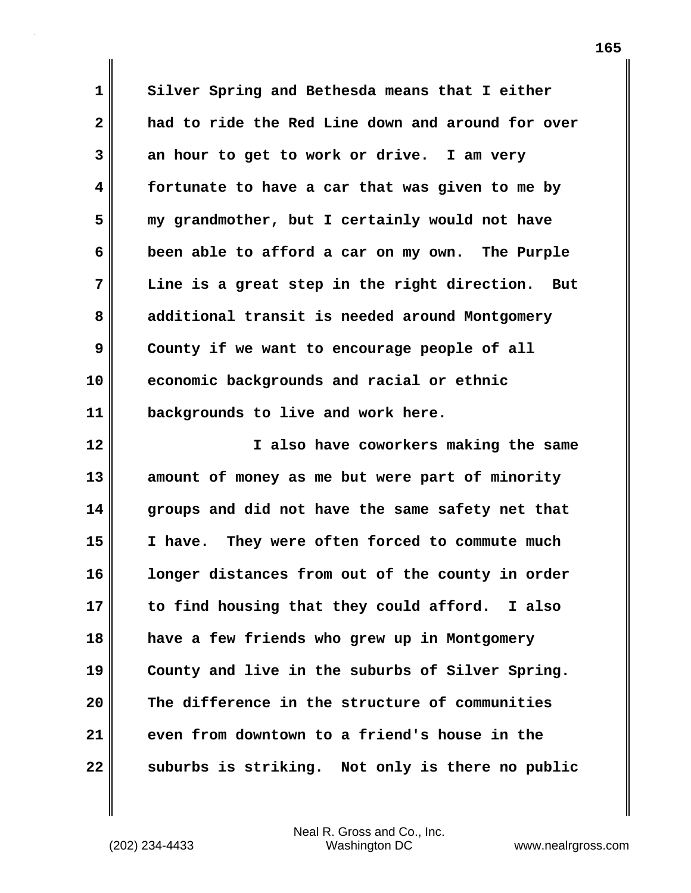**1 Silver Spring and Bethesda means that I either 2 had to ride the Red Line down and around for over 3 an hour to get to work or drive. I am very 4 fortunate to have a car that was given to me by 5 my grandmother, but I certainly would not have 6 been able to afford a car on my own. The Purple 7 Line is a great step in the right direction. But 8 additional transit is needed around Montgomery 9 County if we want to encourage people of all 10 economic backgrounds and racial or ethnic 11 backgrounds to live and work here.**

**12 I also have coworkers making the same 13 amount of money as me but were part of minority 14 groups and did not have the same safety net that 15 I have. They were often forced to commute much 16 longer distances from out of the county in order 17 to find housing that they could afford. I also 18 have a few friends who grew up in Montgomery 19 County and live in the suburbs of Silver Spring. 20 The difference in the structure of communities 21 even from downtown to a friend's house in the 22 suburbs is striking. Not only is there no public**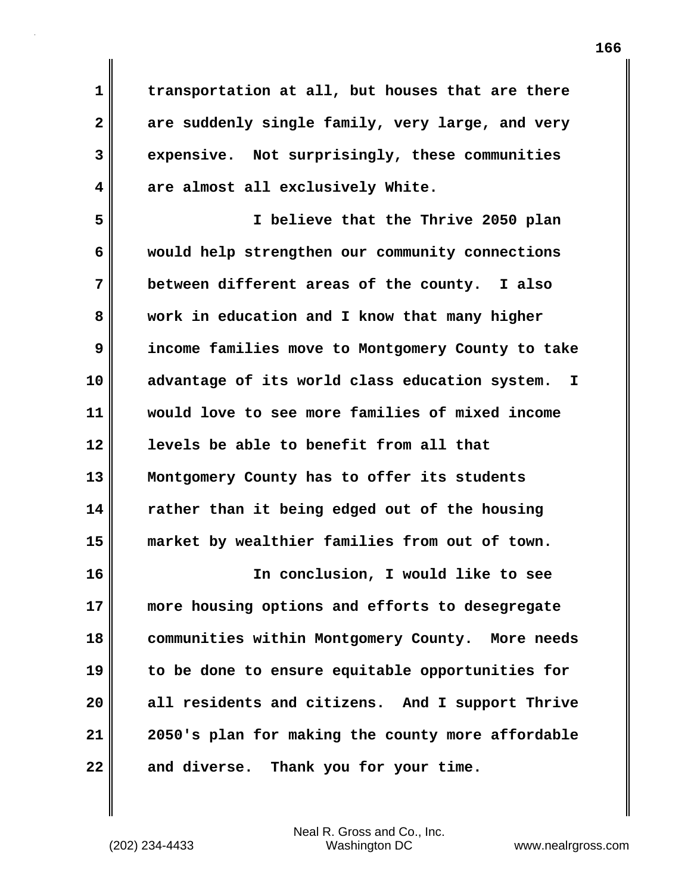**1 transportation at all, but houses that are there 2 are suddenly single family, very large, and very 3 expensive. Not surprisingly, these communities 4 are almost all exclusively White.**

**5 I believe that the Thrive 2050 plan 6 would help strengthen our community connections 7 between different areas of the county. I also 8 work in education and I know that many higher 9 income families move to Montgomery County to take 10 advantage of its world class education system. I 11 would love to see more families of mixed income 12 levels be able to benefit from all that 13 Montgomery County has to offer its students 14 rather than it being edged out of the housing 15 market by wealthier families from out of town.**

**16 In conclusion, I would like to see 17 more housing options and efforts to desegregate 18 communities within Montgomery County. More needs 19 to be done to ensure equitable opportunities for 20 all residents and citizens. And I support Thrive 21 2050's plan for making the county more affordable 22 and diverse. Thank you for your time.**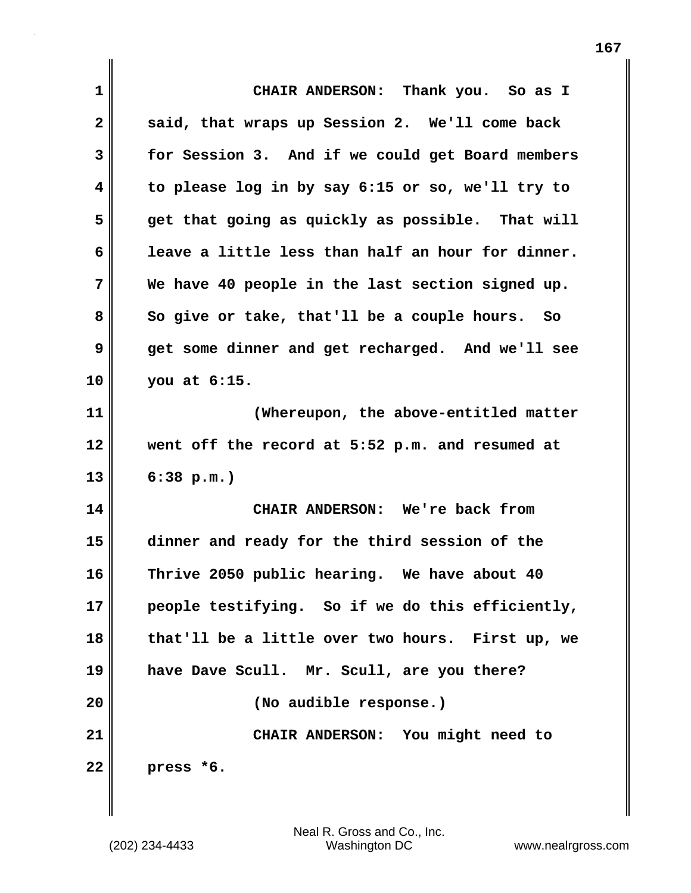| 1  | CHAIR ANDERSON: Thank you. So as I                |
|----|---------------------------------------------------|
| 2  | said, that wraps up Session 2. We'll come back    |
| 3  | for Session 3. And if we could get Board members  |
| 4  | to please log in by say 6:15 or so, we'll try to  |
| 5  | get that going as quickly as possible. That will  |
| 6  | leave a little less than half an hour for dinner. |
| 7  | We have 40 people in the last section signed up.  |
| 8  | So give or take, that'll be a couple hours. So    |
| 9  | get some dinner and get recharged. And we'll see  |
| 10 | you at 6:15.                                      |
| 11 | (Whereupon, the above-entitled matter             |
| 12 | went off the record at 5:52 p.m. and resumed at   |
| 13 | 6:38 p.m.                                         |
| 14 | CHAIR ANDERSON: We're back from                   |
| 15 | dinner and ready for the third session of the     |
| 16 | Thrive 2050 public hearing. We have about 40      |
| 17 | people testifying. So if we do this efficiently,  |
| 18 | that'll be a little over two hours. First up, we  |
| 19 | have Dave Scull. Mr. Scull, are you there?        |
| 20 | (No audible response.)                            |
| 21 | CHAIR ANDERSON: You might need to                 |
| 22 | press *6.                                         |

 $\mathbf{I}$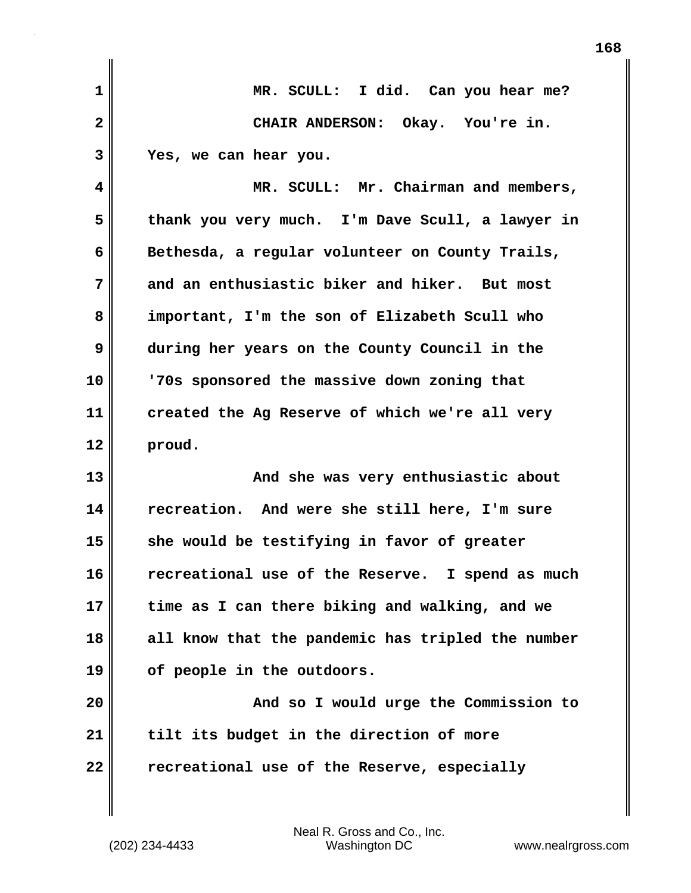| $\mathbf{1}$ | MR. SCULL: I did. Can you hear me?                |
|--------------|---------------------------------------------------|
| $\mathbf{2}$ | CHAIR ANDERSON: Okay. You're in.                  |
| 3            | Yes, we can hear you.                             |
| 4            | MR. SCULL: Mr. Chairman and members,              |
| 5            | thank you very much. I'm Dave Scull, a lawyer in  |
| 6            | Bethesda, a regular volunteer on County Trails,   |
| 7            | and an enthusiastic biker and hiker. But most     |
| 8            | important, I'm the son of Elizabeth Scull who     |
| 9            | during her years on the County Council in the     |
| 10           | '70s sponsored the massive down zoning that       |
| 11           | created the Ag Reserve of which we're all very    |
| 12           | proud.                                            |
| 13           | And she was very enthusiastic about               |
| 14           | recreation. And were she still here, I'm sure     |
| 15           | she would be testifying in favor of greater       |
| 16           | recreational use of the Reserve. I spend as much  |
| 17           | time as I can there biking and walking, and we    |
| 18           | all know that the pandemic has tripled the number |
| 19           | of people in the outdoors.                        |
| 20           | And so I would urge the Commission to             |
| 21           | tilt its budget in the direction of more          |
| 22           | recreational use of the Reserve, especially       |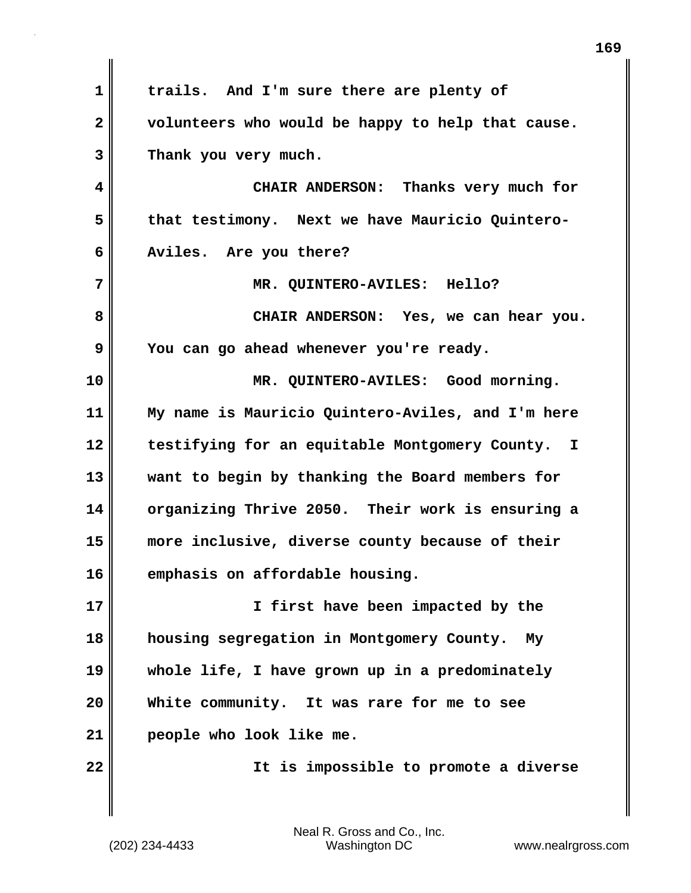**1 trails. And I'm sure there are plenty of 2 volunteers who would be happy to help that cause. 3 Thank you very much. 4 CHAIR ANDERSON: Thanks very much for 5 that testimony. Next we have Mauricio Quintero-6 Aviles. Are you there? 7 MR. QUINTERO-AVILES: Hello? 8 CHAIR ANDERSON: Yes, we can hear you. 9 You can go ahead whenever you're ready. 10 MR. QUINTERO-AVILES: Good morning. 11 My name is Mauricio Quintero-Aviles, and I'm here 12 testifying for an equitable Montgomery County. I 13 want to begin by thanking the Board members for 14 organizing Thrive 2050. Their work is ensuring a 15 more inclusive, diverse county because of their 16 emphasis on affordable housing. 17 I first have been impacted by the 18 housing segregation in Montgomery County. My 19 whole life, I have grown up in a predominately 20 White community. It was rare for me to see 21 people who look like me. 22 It is impossible to promote a diverse**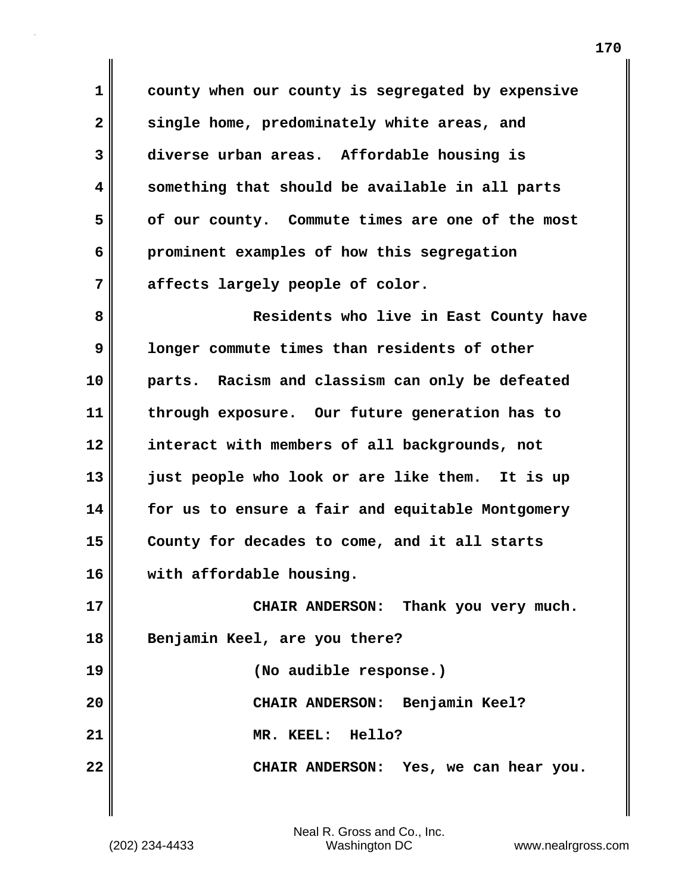**1 county when our county is segregated by expensive 2 single home, predominately white areas, and 3 diverse urban areas. Affordable housing is 4 something that should be available in all parts 5 of our county. Commute times are one of the most 6 prominent examples of how this segregation 7 affects largely people of color.**

**8 Residents who live in East County have 9 longer commute times than residents of other 10 parts. Racism and classism can only be defeated 11 through exposure. Our future generation has to 12 interact with members of all backgrounds, not 13 just people who look or are like them. It is up 14 for us to ensure a fair and equitable Montgomery 15 County for decades to come, and it all starts 16 with affordable housing. 17 CHAIR ANDERSON: Thank you very much.** 

**18 Benjamin Keel, are you there? 19 (No audible response.) 20 CHAIR ANDERSON: Benjamin Keel?**

**21 MR. KEEL: Hello? 22 CHAIR ANDERSON: Yes, we can hear you.**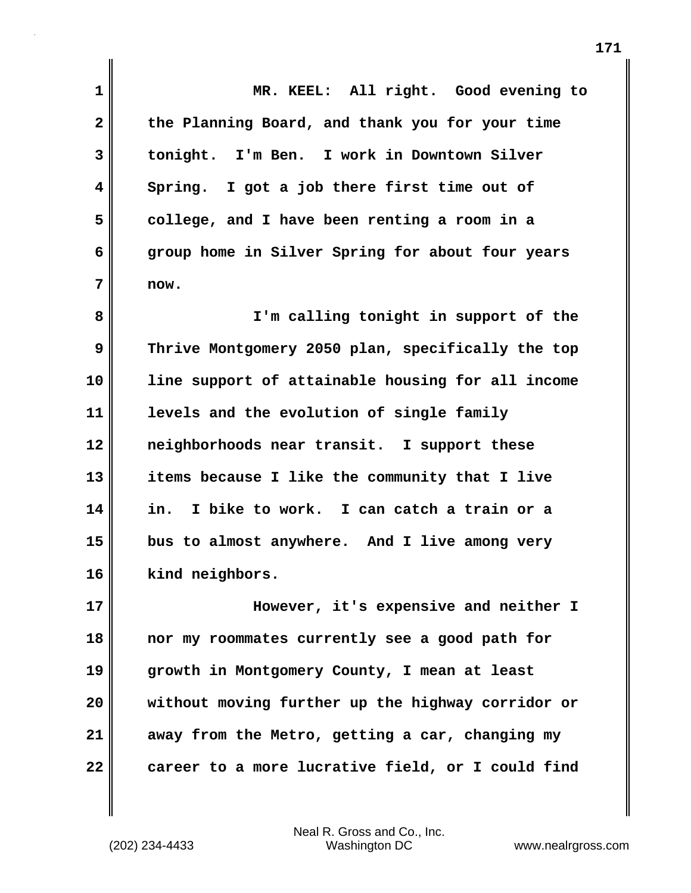**1 MR. KEEL: All right. Good evening to 2 the Planning Board, and thank you for your time 3 tonight. I'm Ben. I work in Downtown Silver 4 Spring. I got a job there first time out of 5 college, and I have been renting a room in a 6 group home in Silver Spring for about four years 7 now. 8 I'm calling tonight in support of the 9 Thrive Montgomery 2050 plan, specifically the top 10 line support of attainable housing for all income 11 levels and the evolution of single family 12 neighborhoods near transit. I support these 13 items because I like the community that I live 14 in. I bike to work. I can catch a train or a 15 bus to almost anywhere. And I live among very 16 kind neighbors. 17 However, it's expensive and neither I 18 nor my roommates currently see a good path for 19 growth in Montgomery County, I mean at least 20 without moving further up the highway corridor or 21 away from the Metro, getting a car, changing my 22 career to a more lucrative field, or I could find**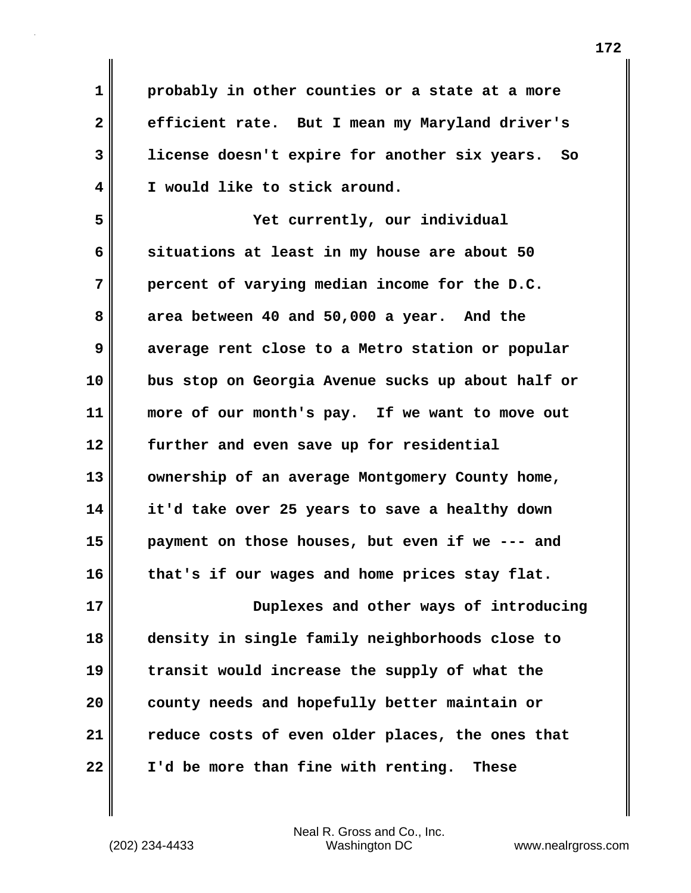**1 probably in other counties or a state at a more 2 efficient rate. But I mean my Maryland driver's 3 license doesn't expire for another six years. So 4 I would like to stick around.**

**5 Yet currently, our individual 6 situations at least in my house are about 50 7 percent of varying median income for the D.C. 8 area between 40 and 50,000 a year. And the 9 average rent close to a Metro station or popular 10 bus stop on Georgia Avenue sucks up about half or 11 more of our month's pay. If we want to move out 12 further and even save up for residential** 13 **ownership of an average Montgomery County home, 14 it'd take over 25 years to save a healthy down 15 payment on those houses, but even if we --- and 16 that's if our wages and home prices stay flat. 17 Duplexes and other ways of introducing 18 density in single family neighborhoods close to 19 transit would increase the supply of what the 20 county needs and hopefully better maintain or**

**21 reduce costs of even older places, the ones that 22 I'd be more than fine with renting. These**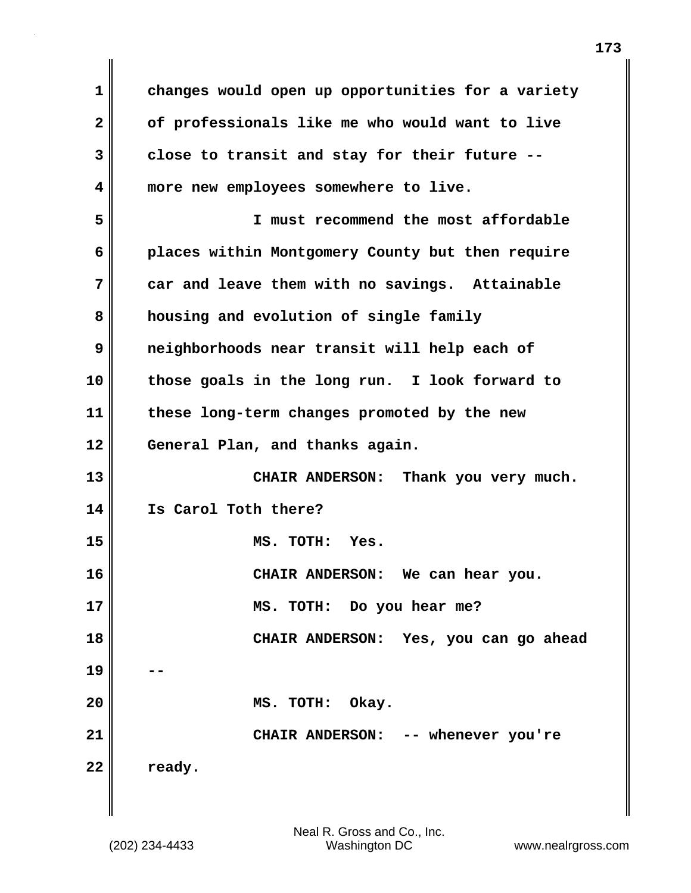**1 changes would open up opportunities for a variety 2 of professionals like me who would want to live 3 close to transit and stay for their future -- 4 more new employees somewhere to live. 5 I must recommend the most affordable 6 places within Montgomery County but then require 7 car and leave them with no savings. Attainable 8 housing and evolution of single family 9 neighborhoods near transit will help each of 10 those goals in the long run. I look forward to 11 these long-term changes promoted by the new 12 General Plan, and thanks again. 13 CHAIR ANDERSON: Thank you very much. 14 Is Carol Toth there? 15 MS. TOTH: Yes. 16 CHAIR ANDERSON: We can hear you. 17 MS. TOTH: Do you hear me? 18 CHAIR ANDERSON: Yes, you can go ahead 19 -- 20 MS. TOTH: Okay. 21 CHAIR ANDERSON: -- whenever you're** 22 ready.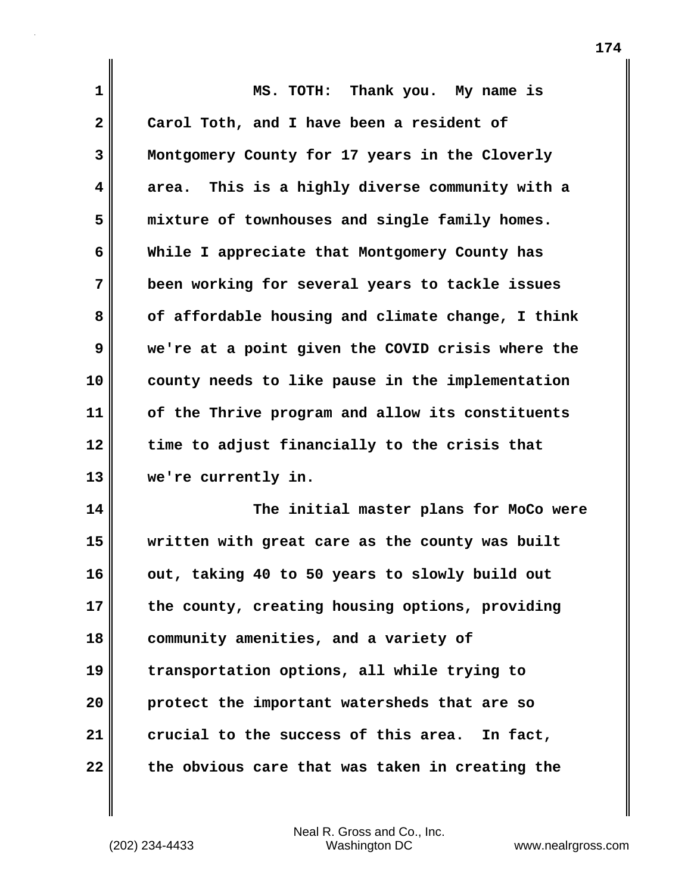| $\mathbf 1$             | MS. TOTH: Thank you. My name is                   |
|-------------------------|---------------------------------------------------|
| $\overline{\mathbf{2}}$ | Carol Toth, and I have been a resident of         |
| 3                       | Montgomery County for 17 years in the Cloverly    |
| 4                       | area. This is a highly diverse community with a   |
| 5                       | mixture of townhouses and single family homes.    |
| 6                       | While I appreciate that Montgomery County has     |
| 7                       | been working for several years to tackle issues   |
| 8                       | of affordable housing and climate change, I think |
| 9                       | we're at a point given the COVID crisis where the |
| 10                      | county needs to like pause in the implementation  |
| 11                      | of the Thrive program and allow its constituents  |
| 12                      | time to adjust financially to the crisis that     |
| 13                      | we're currently in.                               |
| 14                      | The initial master plans for MoCo were            |
| 15                      | written with great care as the county was built   |
| 16                      | out, taking 40 to 50 years to slowly build out    |
| 17                      | the county, creating housing options, providing   |
| 18                      | community amenities, and a variety of             |
| 19                      | transportation options, all while trying to       |
|                         |                                                   |

**20 protect the important watersheds that are so 21 crucial to the success of this area. In fact, 22 the obvious care that was taken in creating the**

 $\mathbf{I}$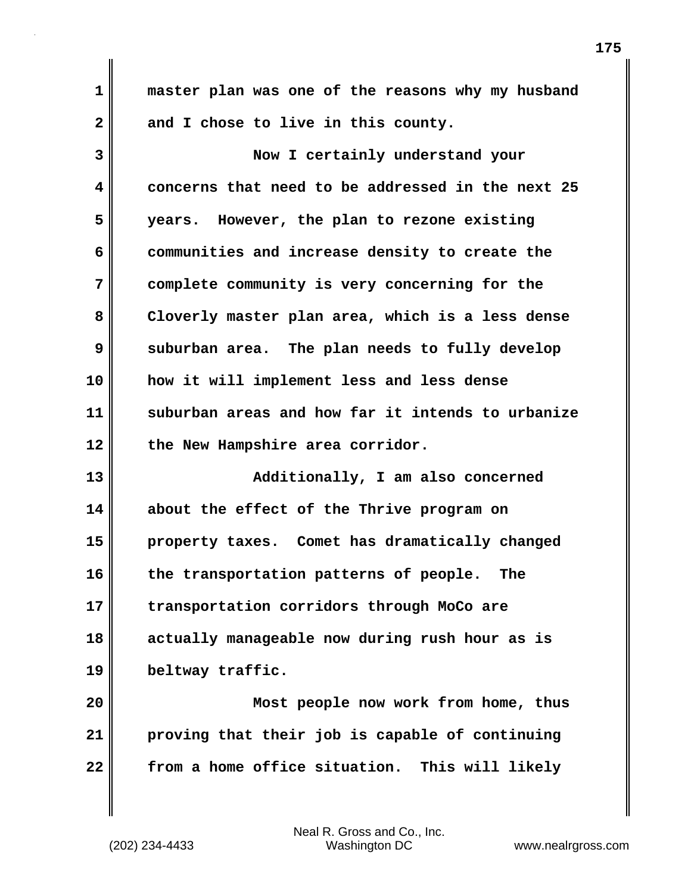**1 master plan was one of the reasons why my husband 2 and I chose to live in this county. 3 Now I certainly understand your 4 concerns that need to be addressed in the next 25 5 years. However, the plan to rezone existing**

**6 communities and increase density to create the 7 complete community is very concerning for the 8 Cloverly master plan area, which is a less dense 9** suburban area. The plan needs to fully develop **10 how it will implement less and less dense 11 suburban areas and how far it intends to urbanize 12 the New Hampshire area corridor.**

**13 Additionally, I am also concerned 14 about the effect of the Thrive program on 15 property taxes. Comet has dramatically changed 16 the transportation patterns of people. The 17 transportation corridors through MoCo are 18 actually manageable now during rush hour as is 19 beltway traffic.**

**20 Most people now work from home, thus 21 proving that their job is capable of continuing 22 from a home office situation. This will likely**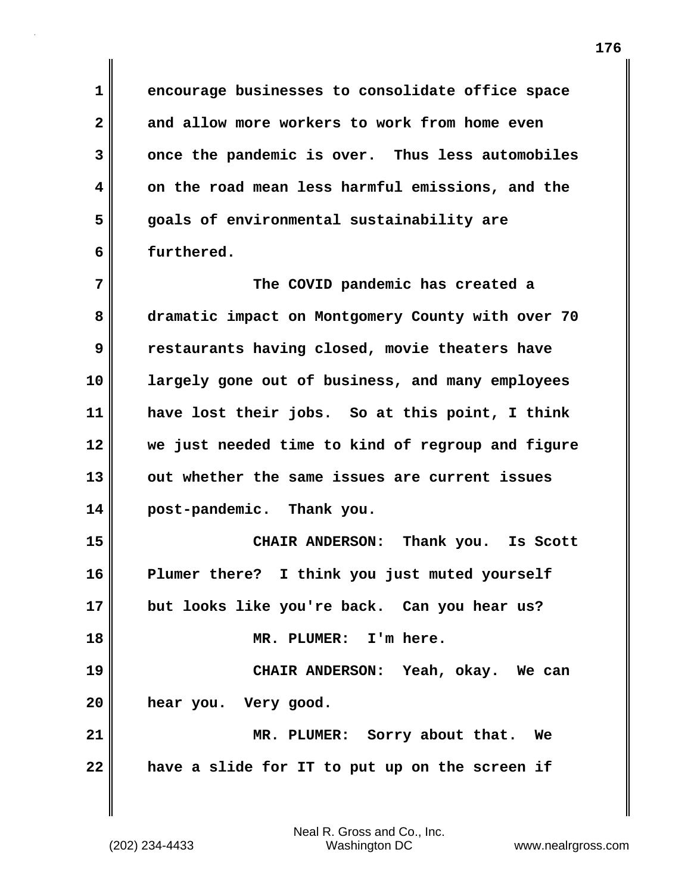**1 encourage businesses to consolidate office space 2 and allow more workers to work from home even 3 once the pandemic is over. Thus less automobiles 4 on the road mean less harmful emissions, and the 5 goals of environmental sustainability are 6 furthered.**

**7 The COVID pandemic has created a 8 dramatic impact on Montgomery County with over 70 9 restaurants having closed, movie theaters have 10 largely gone out of business, and many employees 11 have lost their jobs. So at this point, I think 12 we just needed time to kind of regroup and figure 13 out whether the same issues are current issues 14 post-pandemic. Thank you. 15 CHAIR ANDERSON: Thank you. Is Scott**

**16 Plumer there? I think you just muted yourself 17 but looks like you're back. Can you hear us? 18 MR. PLUMER: I'm here. 19 CHAIR ANDERSON: Yeah, okay. We can 20 hear you. Very good. 21 MR. PLUMER: Sorry about that. We**

**22 have a slide for IT to put up on the screen if**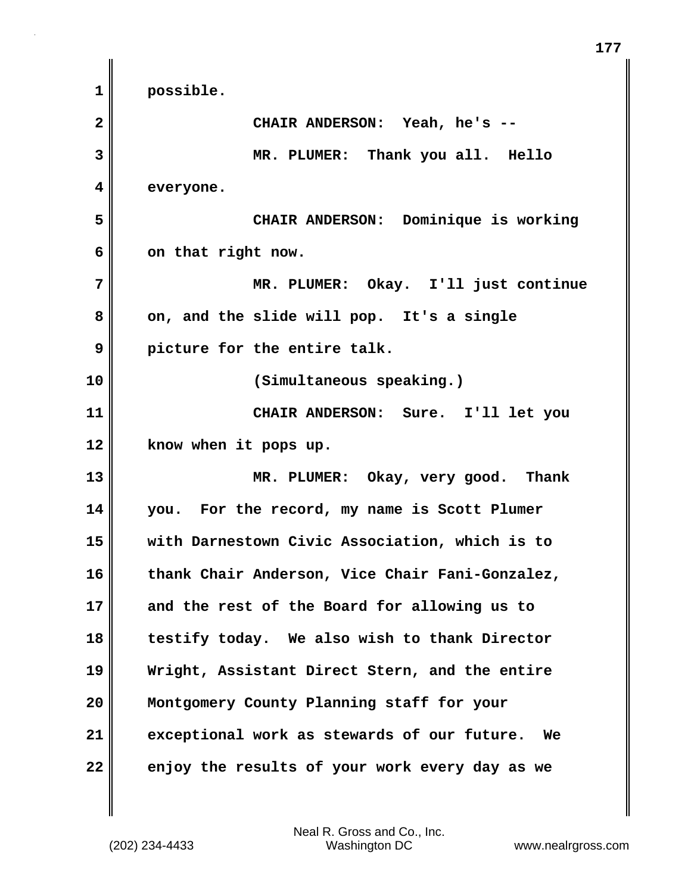**1 possible. 2 CHAIR ANDERSON: Yeah, he's -- 3 MR. PLUMER: Thank you all. Hello 4 everyone. 5 CHAIR ANDERSON: Dominique is working 6 on that right now. 7 MR. PLUMER: Okay. I'll just continue 8 on, and the slide will pop. It's a single 9 picture for the entire talk. 10 (Simultaneous speaking.) 11 CHAIR ANDERSON: Sure. I'll let you 12 know when it pops up. 13 MR. PLUMER: Okay, very good. Thank 14 you. For the record, my name is Scott Plumer 15 with Darnestown Civic Association, which is to 16 thank Chair Anderson, Vice Chair Fani-Gonzalez, 17 and the rest of the Board for allowing us to 18 testify today. We also wish to thank Director 19 Wright, Assistant Direct Stern, and the entire 20 Montgomery County Planning staff for your 21 exceptional work as stewards of our future. We 22 enjoy the results of your work every day as we**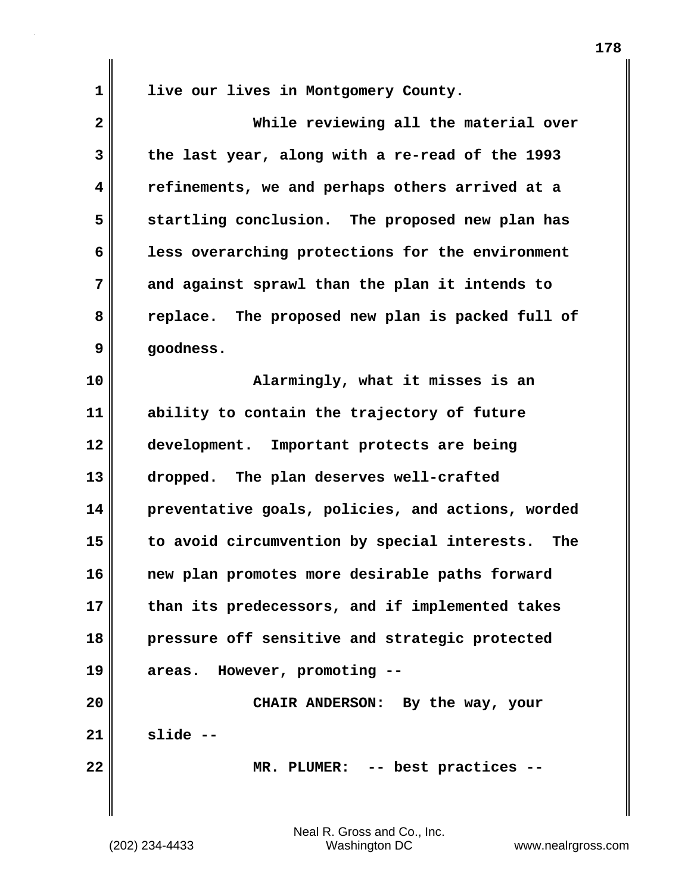**1 live our lives in Montgomery County.**

| $\overline{\mathbf{2}}$ | While reviewing all the material over               |
|-------------------------|-----------------------------------------------------|
| 3                       | the last year, along with a re-read of the 1993     |
| 4                       | refinements, we and perhaps others arrived at a     |
| 5                       | startling conclusion. The proposed new plan has     |
| 6                       | less overarching protections for the environment    |
| 7                       | and against sprawl than the plan it intends to      |
| 8                       | replace. The proposed new plan is packed full of    |
| 9                       | goodness.                                           |
| 10                      | Alarmingly, what it misses is an                    |
| 11                      | ability to contain the trajectory of future         |
| 12                      | development. Important protects are being           |
| 13                      | dropped. The plan deserves well-crafted             |
| 14                      | preventative goals, policies, and actions, worded   |
| 15                      | to avoid circumvention by special interests.<br>The |
| 16                      | new plan promotes more desirable paths forward      |
| 17                      | than its predecessors, and if implemented takes     |
| 18                      | pressure off sensitive and strategic protected      |
| 19                      | areas. However, promoting --                        |
| 20                      | CHAIR ANDERSON: By the way, your                    |
| 21                      | slide --                                            |
| 22                      | MR. PLUMER: -- best practices --                    |
|                         |                                                     |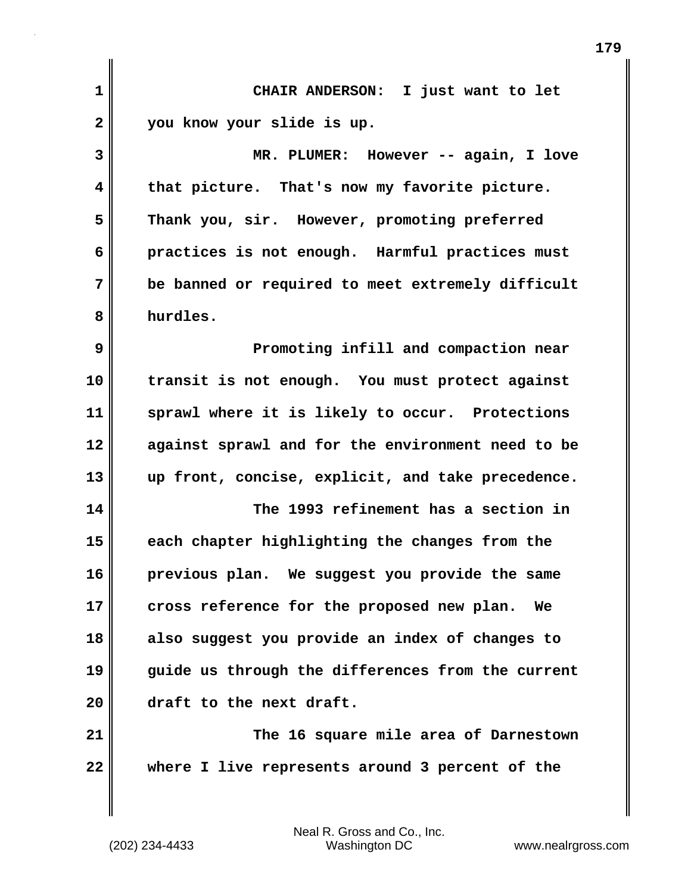| 1            | CHAIR ANDERSON: I just want to let                |
|--------------|---------------------------------------------------|
| $\mathbf{2}$ | you know your slide is up.                        |
| 3            | MR. PLUMER: However -- again, I love              |
| 4            | that picture. That's now my favorite picture.     |
| 5            | Thank you, sir. However, promoting preferred      |
| 6            | practices is not enough. Harmful practices must   |
| 7            | be banned or required to meet extremely difficult |
| 8            | hurdles.                                          |
| 9            | Promoting infill and compaction near              |
| 10           | transit is not enough. You must protect against   |
| 11           | sprawl where it is likely to occur. Protections   |
| 12           | against sprawl and for the environment need to be |
| 13           | up front, concise, explicit, and take precedence. |
| 14           | The 1993 refinement has a section in              |
| 15           | each chapter highlighting the changes from the    |
| 16           | previous plan. We suggest you provide the same    |
| 17           | cross reference for the proposed new plan.<br>We  |
| 18           | also suggest you provide an index of changes to   |
| 19           | guide us through the differences from the current |
| 20           | draft to the next draft.                          |
| 21           | The 16 square mile area of Darnestown             |
| 22           | where I live represents around 3 percent of the   |
|              |                                                   |

**179**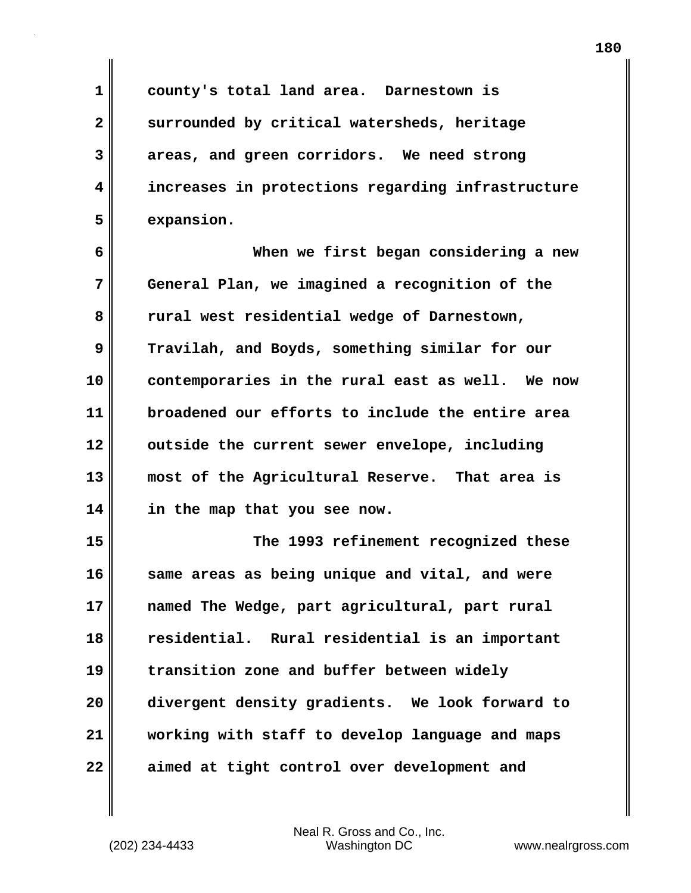**1 county's total land area. Darnestown is 2 surrounded by critical watersheds, heritage 3 areas, and green corridors. We need strong 4 increases in protections regarding infrastructure**

**6 When we first began considering a new 7 General Plan, we imagined a recognition of the 8 rural west residential wedge of Darnestown, 9 Travilah, and Boyds, something similar for our 10 contemporaries in the rural east as well. We now 11 broadened our efforts to include the entire area 12 outside the current sewer envelope, including 13 most of the Agricultural Reserve. That area is 14 in the map that you see now.**

**15 The 1993 refinement recognized these 16 same areas as being unique and vital, and were 17 named The Wedge, part agricultural, part rural 18 residential. Rural residential is an important 19 transition zone and buffer between widely 20 divergent density gradients. We look forward to 21 working with staff to develop language and maps 22 aimed at tight control over development and**

**5 expansion.**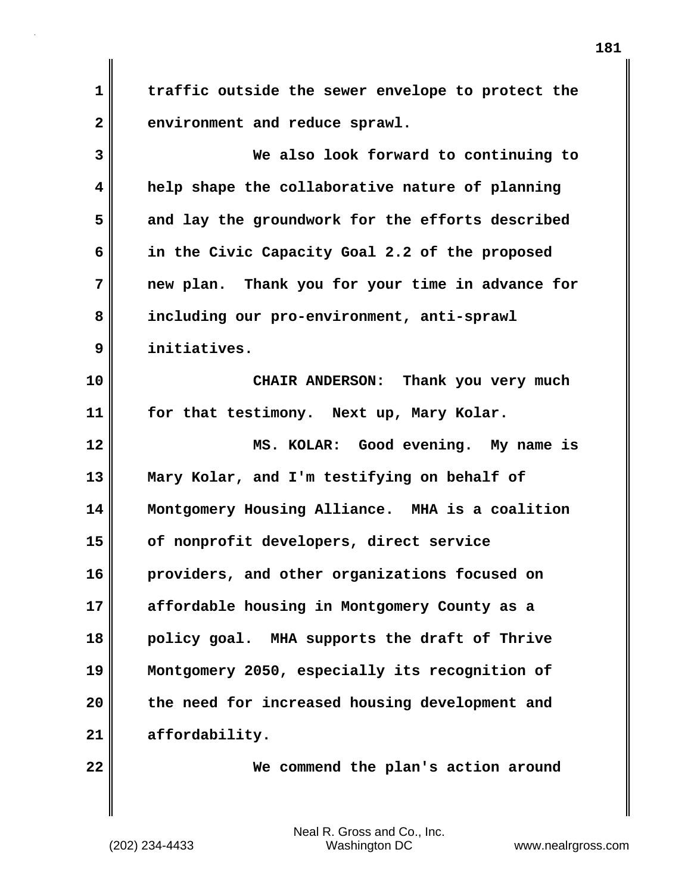**1 traffic outside the sewer envelope to protect the** 2 environment and reduce sprawl.

| 3  | We also look forward to continuing to            |
|----|--------------------------------------------------|
| 4  | help shape the collaborative nature of planning  |
| 5  | and lay the groundwork for the efforts described |
| 6  | in the Civic Capacity Goal 2.2 of the proposed   |
| 7  | new plan. Thank you for your time in advance for |
| 8  | including our pro-environment, anti-sprawl       |
| 9  | initiatives.                                     |
| 10 | CHAIR ANDERSON: Thank you very much              |
| 11 | for that testimony. Next up, Mary Kolar.         |
| 12 | MS. KOLAR: Good evening. My name is              |
| 13 | Mary Kolar, and I'm testifying on behalf of      |
| 14 | Montgomery Housing Alliance. MHA is a coalition  |
| 15 | of nonprofit developers, direct service          |
| 16 | providers, and other organizations focused on    |
| 17 | affordable housing in Montgomery County as a     |
| 18 | policy goal. MHA supports the draft of Thrive    |
| 19 | Montgomery 2050, especially its recognition of   |
| 20 | the need for increased housing development and   |
| 21 | affordability.                                   |
|    |                                                  |

**22 We commend the plan's action around**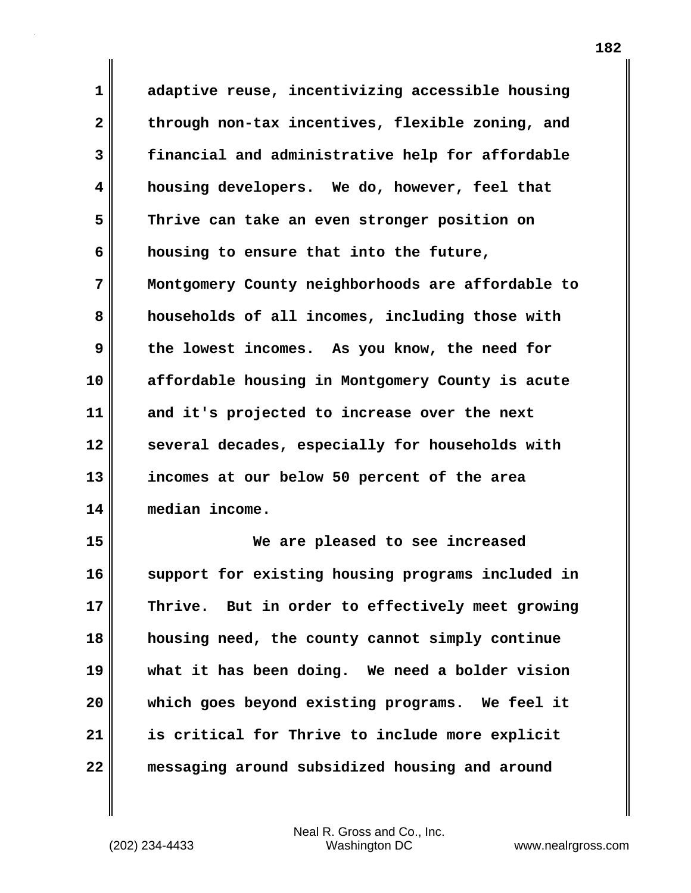**1 adaptive reuse, incentivizing accessible housing 2 through non-tax incentives, flexible zoning, and 3 financial and administrative help for affordable 4 housing developers. We do, however, feel that 5 Thrive can take an even stronger position on 6 housing to ensure that into the future, 7 Montgomery County neighborhoods are affordable to 8 households of all incomes, including those with 9 the lowest incomes. As you know, the need for 10 affordable housing in Montgomery County is acute 11 and it's projected to increase over the next 12 several decades, especially for households with 13 incomes at our below 50 percent of the area 14 median income.**

**15 We are pleased to see increased 16 support for existing housing programs included in 17 Thrive. But in order to effectively meet growing 18 housing need, the county cannot simply continue 19 what it has been doing. We need a bolder vision 20 which goes beyond existing programs. We feel it 21 is critical for Thrive to include more explicit 22 messaging around subsidized housing and around**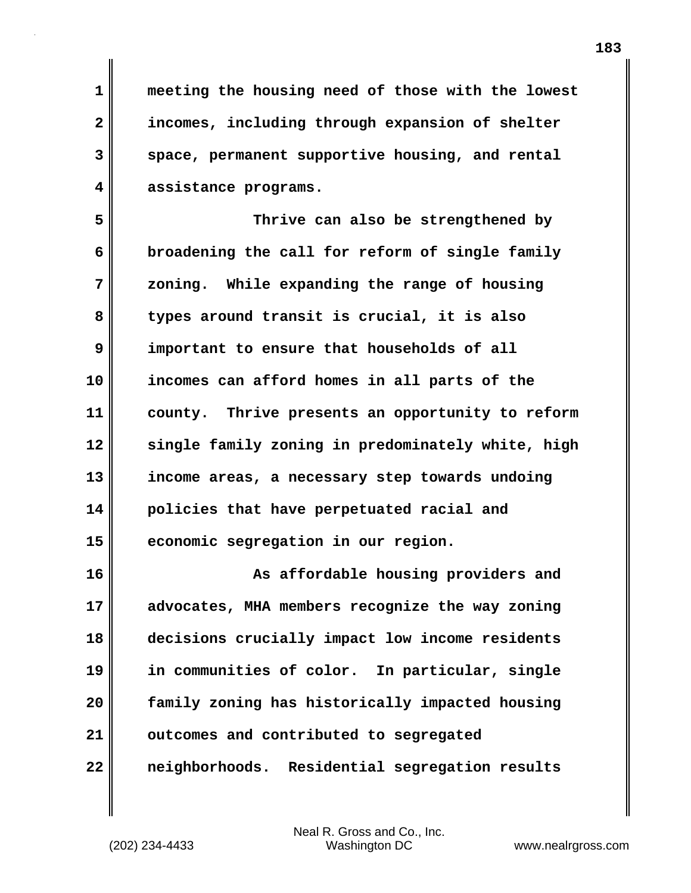**1 meeting the housing need of those with the lowest 2 incomes, including through expansion of shelter 3 space, permanent supportive housing, and rental 4 assistance programs.**

**5 Thrive can also be strengthened by 6 broadening the call for reform of single family 7 zoning. While expanding the range of housing 8 types around transit is crucial, it is also 9 important to ensure that households of all 10 incomes can afford homes in all parts of the 11 county. Thrive presents an opportunity to reform 12 single family zoning in predominately white, high 13 income areas, a necessary step towards undoing 14 policies that have perpetuated racial and 15 economic segregation in our region.**

**16 As affordable housing providers and 17 advocates, MHA members recognize the way zoning 18 decisions crucially impact low income residents 19 in communities of color. In particular, single 20 family zoning has historically impacted housing 21 outcomes and contributed to segregated 22 neighborhoods. Residential segregation results**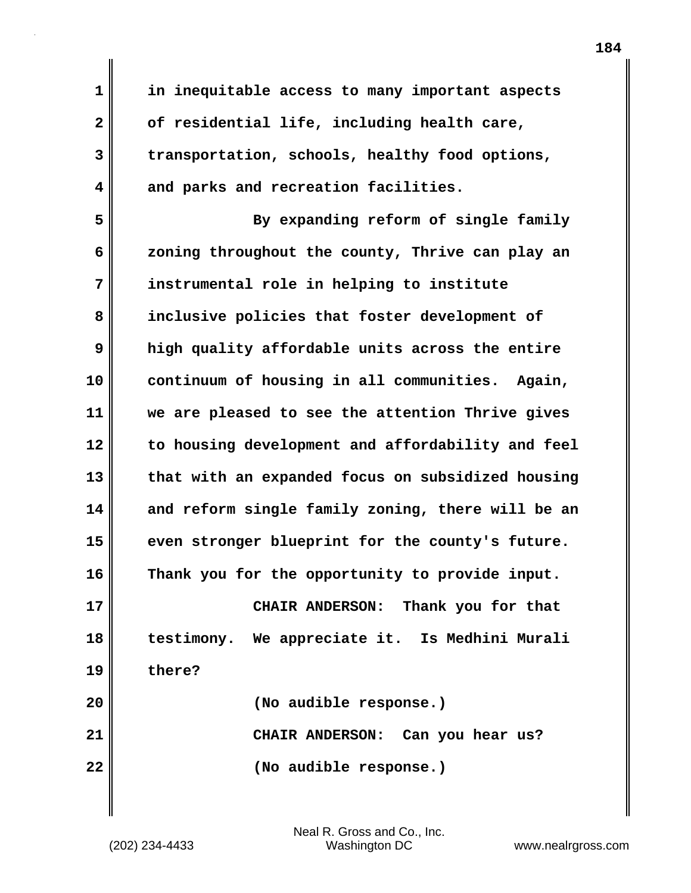**1 in inequitable access to many important aspects 2 of residential life, including health care, 3 transportation, schools, healthy food options, 4 and parks and recreation facilities.**

**5 By expanding reform of single family 6 zoning throughout the county, Thrive can play an 7 instrumental role in helping to institute 8 inclusive policies that foster development of 9 high quality affordable units across the entire 10 continuum of housing in all communities. Again, 11 we are pleased to see the attention Thrive gives 12 to housing development and affordability and feel 13 that with an expanded focus on subsidized housing 14 and reform single family zoning, there will be an 15 even stronger blueprint for the county's future. 16 Thank you for the opportunity to provide input. 17 CHAIR ANDERSON: Thank you for that 18 testimony. We appreciate it. Is Medhini Murali 19 there? 20 (No audible response.) 21 CHAIR ANDERSON: Can you hear us?**

**22 (No audible response.)**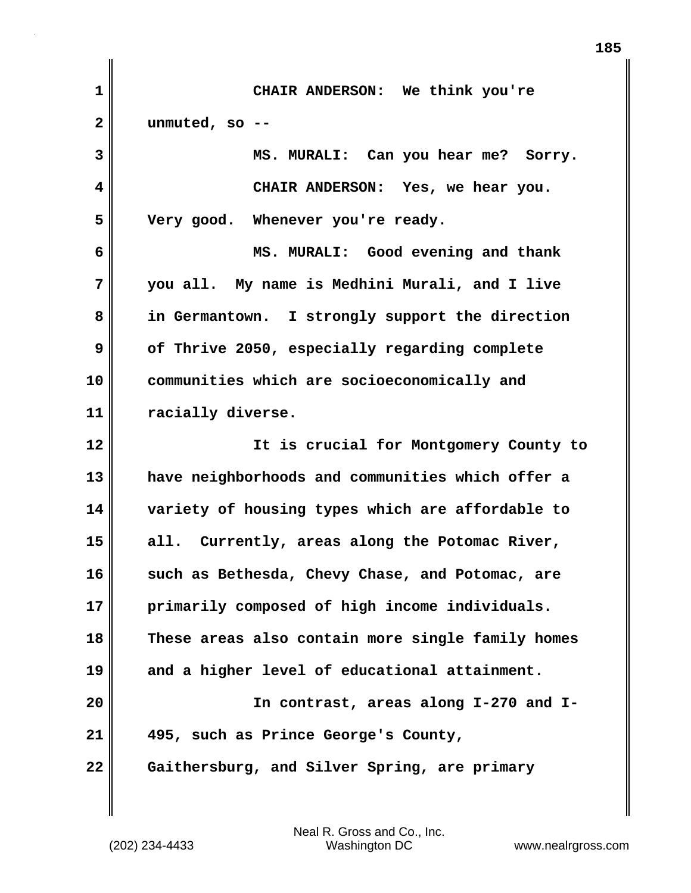| 1  | CHAIR ANDERSON: We think you're                   |
|----|---------------------------------------------------|
| 2  | unmuted, so $-$ -                                 |
| 3  | MS. MURALI: Can you hear me? Sorry.               |
| 4  | CHAIR ANDERSON: Yes, we hear you.                 |
| 5  | Very good. Whenever you're ready.                 |
| 6  | MS. MURALI: Good evening and thank                |
| 7  | you all. My name is Medhini Murali, and I live    |
| 8  | in Germantown. I strongly support the direction   |
| 9  | of Thrive 2050, especially regarding complete     |
| 10 | communities which are socioeconomically and       |
| 11 | racially diverse.                                 |
| 12 | It is crucial for Montgomery County to            |
| 13 | have neighborhoods and communities which offer a  |
| 14 | variety of housing types which are affordable to  |
| 15 | all. Currently, areas along the Potomac River,    |
| 16 | such as Bethesda, Chevy Chase, and Potomac, are   |
| 17 | primarily composed of high income individuals.    |
| 18 | These areas also contain more single family homes |
| 19 | and a higher level of educational attainment.     |
| 20 | In contrast, areas along I-270 and I-             |
| 21 | 495, such as Prince George's County,              |
| 22 | Gaithersburg, and Silver Spring, are primary      |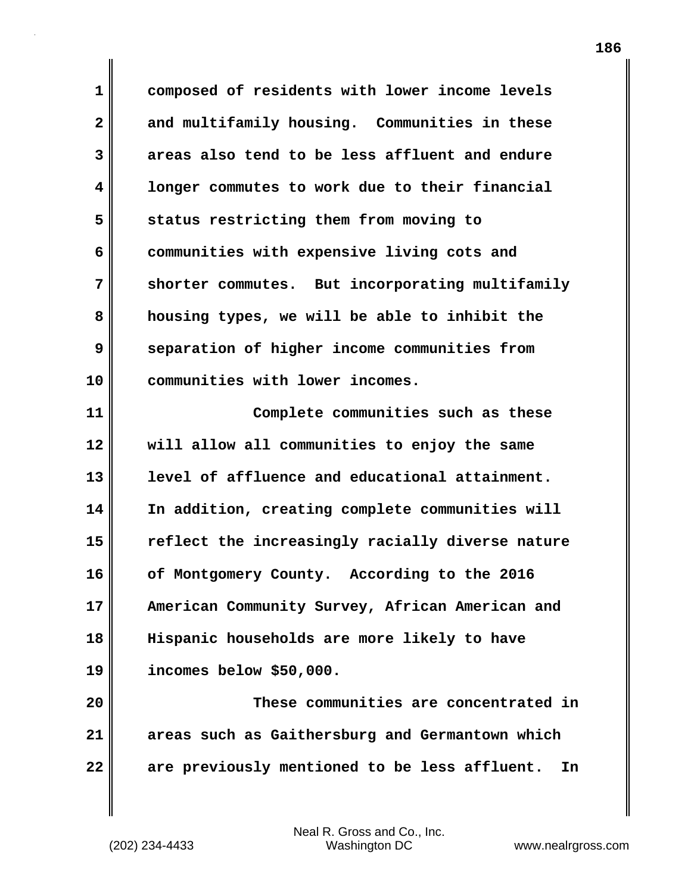**1 composed of residents with lower income levels 2 and multifamily housing. Communities in these 3 areas also tend to be less affluent and endure 4 longer commutes to work due to their financial 5 status restricting them from moving to 6 communities with expensive living cots and 7 shorter commutes. But incorporating multifamily 8 housing types, we will be able to inhibit the 9 separation of higher income communities from 10 communities with lower incomes. 11 Complete communities such as these 12 will allow all communities to enjoy the same 13 level of affluence and educational attainment. 14 In addition, creating complete communities will 15 reflect the increasingly racially diverse nature 16 of Montgomery County. According to the 2016**

**17 American Community Survey, African American and 18 Hispanic households are more likely to have 19 incomes below \$50,000.**

**20 These communities are concentrated in 21 areas such as Gaithersburg and Germantown which 22 are previously mentioned to be less affluent. In**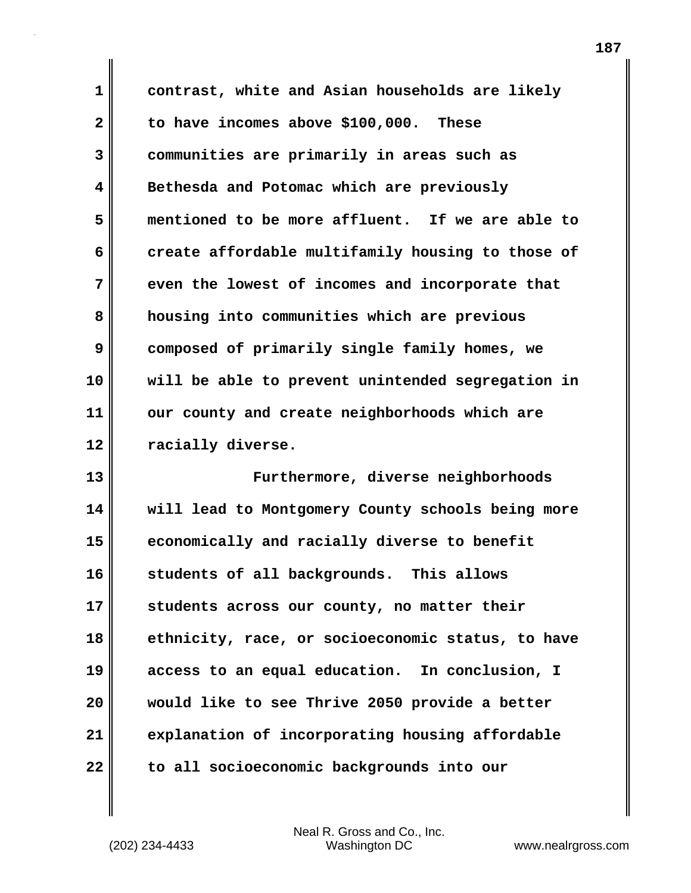**1 contrast, white and Asian households are likely 2 to have incomes above \$100,000. These 3 communities are primarily in areas such as 4 Bethesda and Potomac which are previously 5 mentioned to be more affluent. If we are able to 6 create affordable multifamily housing to those of 7 even the lowest of incomes and incorporate that 8 housing into communities which are previous 9 composed of primarily single family homes, we 10 will be able to prevent unintended segregation in 11 our county and create neighborhoods which are 12 racially diverse.**

**13 Furthermore, diverse neighborhoods 14 will lead to Montgomery County schools being more 15 economically and racially diverse to benefit 16 students of all backgrounds. This allows 17 students across our county, no matter their 18 ethnicity, race, or socioeconomic status, to have 19 access to an equal education. In conclusion, I 20 would like to see Thrive 2050 provide a better 21 explanation of incorporating housing affordable 22 to all socioeconomic backgrounds into our**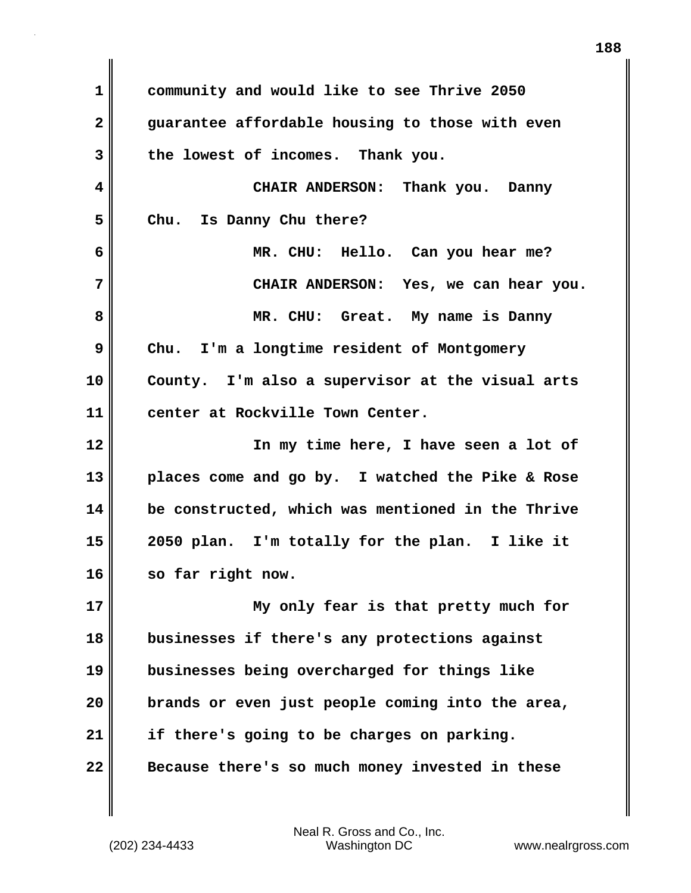**1 community and would like to see Thrive 2050 2 guarantee affordable housing to those with even 3 the lowest of incomes. Thank you. 4 CHAIR ANDERSON: Thank you. Danny 5 Chu. Is Danny Chu there? 6 MR. CHU: Hello. Can you hear me? 7 CHAIR ANDERSON: Yes, we can hear you. 8 MR. CHU: Great. My name is Danny 9 Chu. I'm a longtime resident of Montgomery 10 County. I'm also a supervisor at the visual arts 11 center at Rockville Town Center. 12 In my time here, I have seen a lot of 13 places come and go by. I watched the Pike & Rose 14 be constructed, which was mentioned in the Thrive 15 2050 plan. I'm totally for the plan. I like it 16 so far right now. 17 My only fear is that pretty much for 18 businesses if there's any protections against 19 businesses being overcharged for things like 20 brands or even just people coming into the area, 21 if there's going to be charges on parking. 22 Because there's so much money invested in these**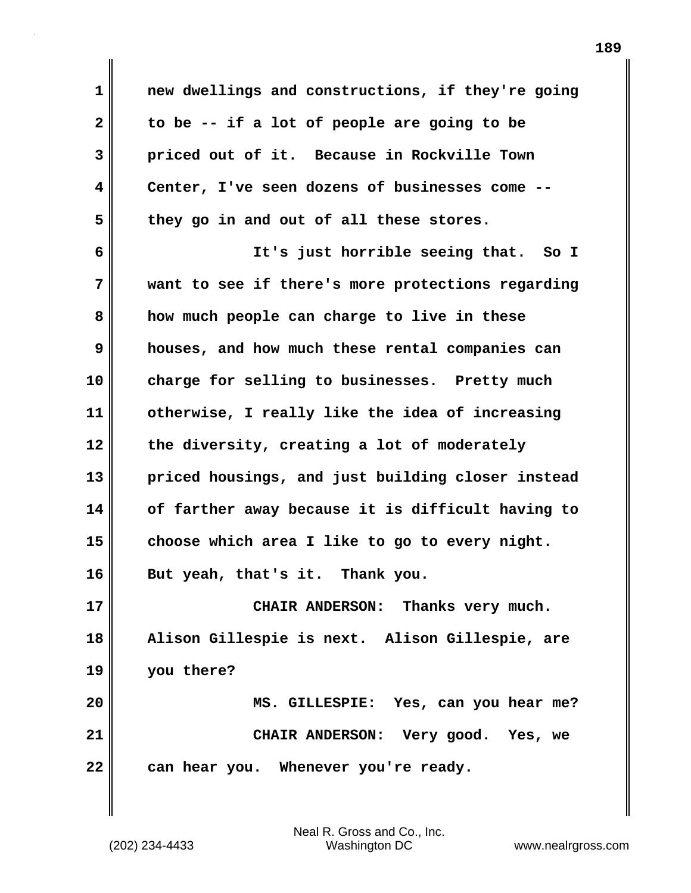| $\mathbf 1$  | new dwellings and constructions, if they're going |
|--------------|---------------------------------------------------|
| $\mathbf{2}$ | to be -- if a lot of people are going to be       |
| 3            | priced out of it. Because in Rockville Town       |
| 4            | Center, I've seen dozens of businesses come       |
| 5            | they go in and out of all these stores.           |
| 6            | It's just horrible seeing that. So I              |
| 7            | want to see if there's more protections regarding |
| 8            | how much people can charge to live in these       |
| 9            | houses, and how much these rental companies can   |
| 10           | charge for selling to businesses. Pretty much     |
| 11           | otherwise, I really like the idea of increasing   |
| 12           | the diversity, creating a lot of moderately       |
| 13           | priced housings, and just building closer instead |
| 14           | of farther away because it is difficult having to |
| 15           | choose which area I like to go to every night.    |
| 16           | But yeah, that's it. Thank you.                   |
| 17           | CHAIR ANDERSON: Thanks very much.                 |
| 18           | Alison Gillespie is next. Alison Gillespie, are   |
| 19           | you there?                                        |
| 20           | MS. GILLESPIE: Yes, can you hear me?              |
| 21           | CHAIR ANDERSON: Very good. Yes, we                |
| 22           | can hear you. Whenever you're ready.              |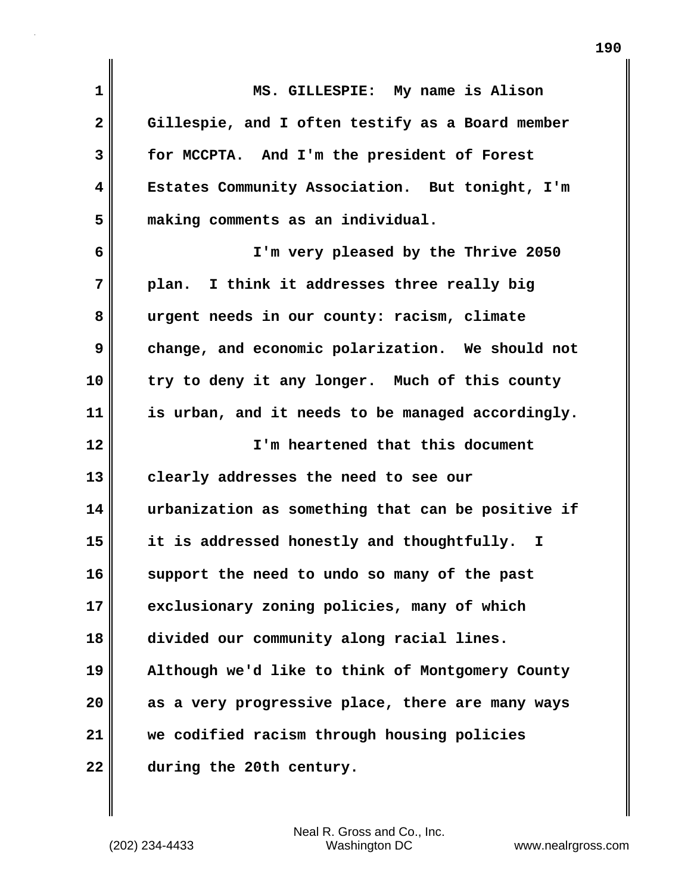| 1              | MS. GILLESPIE: My name is Alison                  |
|----------------|---------------------------------------------------|
| $\overline{2}$ | Gillespie, and I often testify as a Board member  |
| 3              | for MCCPTA. And I'm the president of Forest       |
| 4              | Estates Community Association. But tonight, I'm   |
| 5              | making comments as an individual.                 |
| 6              | I'm very pleased by the Thrive 2050               |
| 7              | plan. I think it addresses three really big       |
| 8              | urgent needs in our county: racism, climate       |
| 9              | change, and economic polarization. We should not  |
| 10             | try to deny it any longer. Much of this county    |
| 11             | is urban, and it needs to be managed accordingly. |
| 12             | I'm heartened that this document                  |
| 13             | clearly addresses the need to see our             |
| 14             | urbanization as something that can be positive if |
| 15             | it is addressed honestly and thoughtfully. I      |
| 16             | support the need to undo so many of the past      |
| 17             | exclusionary zoning policies, many of which       |
| 18             | divided our community along racial lines.         |
| 19             | Although we'd like to think of Montgomery County  |
| 20             | as a very progressive place, there are many ways  |
| 21             | we codified racism through housing policies       |
| 22             | during the 20th century.                          |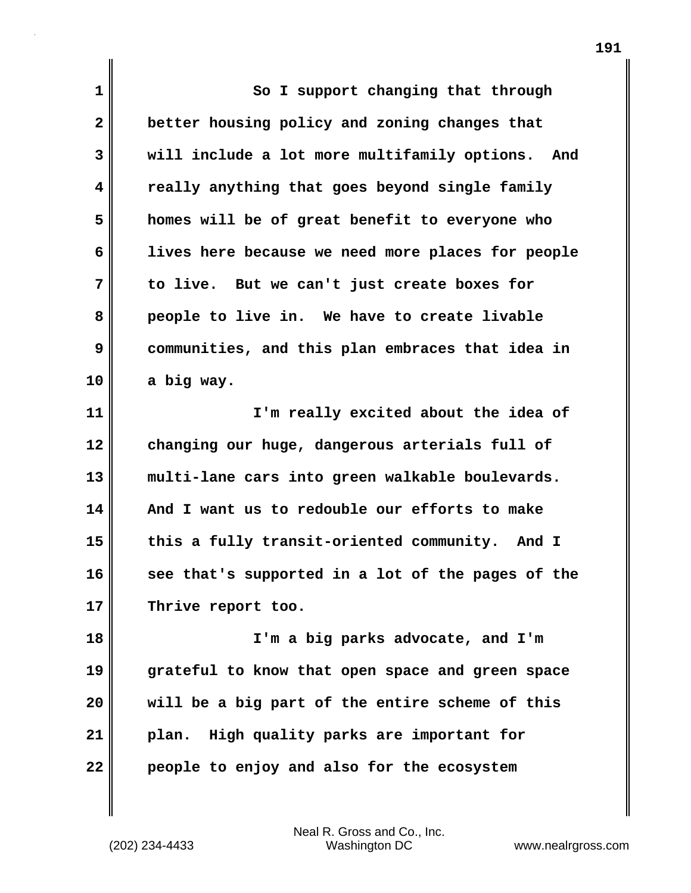| 1            | So I support changing that through                  |
|--------------|-----------------------------------------------------|
| $\mathbf{2}$ | better housing policy and zoning changes that       |
| 3            | will include a lot more multifamily options.<br>And |
| 4            | really anything that goes beyond single family      |
| 5            | homes will be of great benefit to everyone who      |
| 6            | lives here because we need more places for people   |
| 7            | to live. But we can't just create boxes for         |
| 8            | people to live in. We have to create livable        |
| 9            | communities, and this plan embraces that idea in    |
| 10           | a big way.                                          |
| 11           | I'm really excited about the idea of                |
| 12           | changing our huge, dangerous arterials full of      |
| 13           | multi-lane cars into green walkable boulevards.     |
| 14           | And I want us to redouble our efforts to make       |
| 15           | this a fully transit-oriented community. And I      |
| 16           | see that's supported in a lot of the pages of the   |
| 17           | Thrive report too.                                  |
| 18           | I'm a big parks advocate, and I'm                   |
| 19           | grateful to know that open space and green space    |
| 20           | will be a big part of the entire scheme of this     |
| 21           | plan. High quality parks are important for          |
| 22           | people to enjoy and also for the ecosystem          |
|              |                                                     |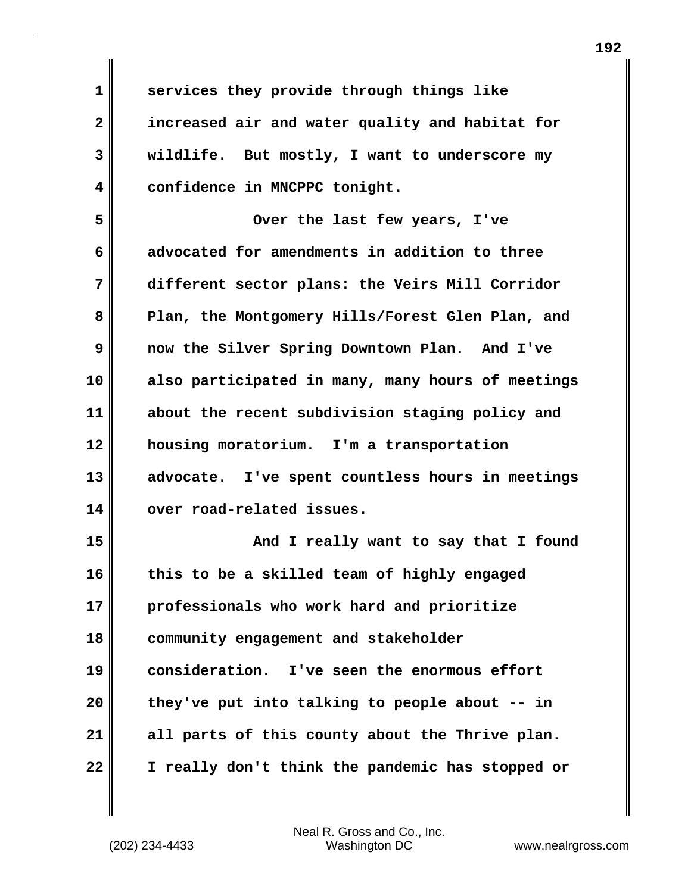**1 services they provide through things like 2 increased air and water quality and habitat for 3 wildlife. But mostly, I want to underscore my 4 confidence in MNCPPC tonight.**

**5 Over the last few years, I've 6 advocated for amendments in addition to three 7 different sector plans: the Veirs Mill Corridor 8 Plan, the Montgomery Hills/Forest Glen Plan, and 9 now the Silver Spring Downtown Plan. And I've 10 also participated in many, many hours of meetings 11 about the recent subdivision staging policy and 12 housing moratorium. I'm a transportation 13 advocate. I've spent countless hours in meetings 14 over road-related issues. 15 And I really want to say that I found 16 this to be a skilled team of highly engaged**

**17 professionals who work hard and prioritize 18 community engagement and stakeholder 19 consideration. I've seen the enormous effort 20 they've put into talking to people about -- in 21 all parts of this county about the Thrive plan. 22 I really don't think the pandemic has stopped or**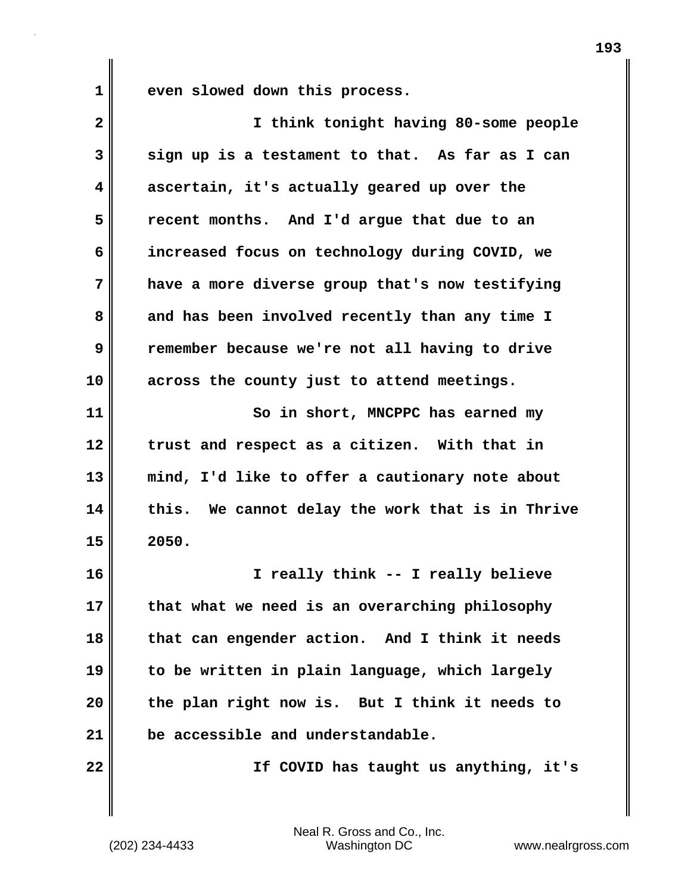**1 even slowed down this process.**

| $\mathbf{2}$            | I think tonight having 80-some people            |
|-------------------------|--------------------------------------------------|
| 3                       | sign up is a testament to that. As far as I can  |
| $\overline{\mathbf{4}}$ | ascertain, it's actually geared up over the      |
| 5                       | recent months. And I'd argue that due to an      |
| 6                       | increased focus on technology during COVID, we   |
| 7                       | have a more diverse group that's now testifying  |
| 8                       | and has been involved recently than any time I   |
| 9                       | remember because we're not all having to drive   |
| 10                      | across the county just to attend meetings.       |
| 11                      | So in short, MNCPPC has earned my                |
| 12                      | trust and respect as a citizen. With that in     |
| 13                      | mind, I'd like to offer a cautionary note about  |
| 14                      | this. We cannot delay the work that is in Thrive |
| 15                      | 2050.                                            |
| 16                      | I really think -- I really believe               |
| 17                      | that what we need is an overarching philosophy   |
| 18                      | that can engender action. And I think it needs   |
| 19                      | to be written in plain language, which largely   |
| 20                      | the plan right now is. But I think it needs to   |
| 21                      | be accessible and understandable.                |
| 22                      | If COVID has taught us anything, it's            |

(202) 234-4433 Washington DC www.nealrgross.com Neal R. Gross and Co., Inc.

**193**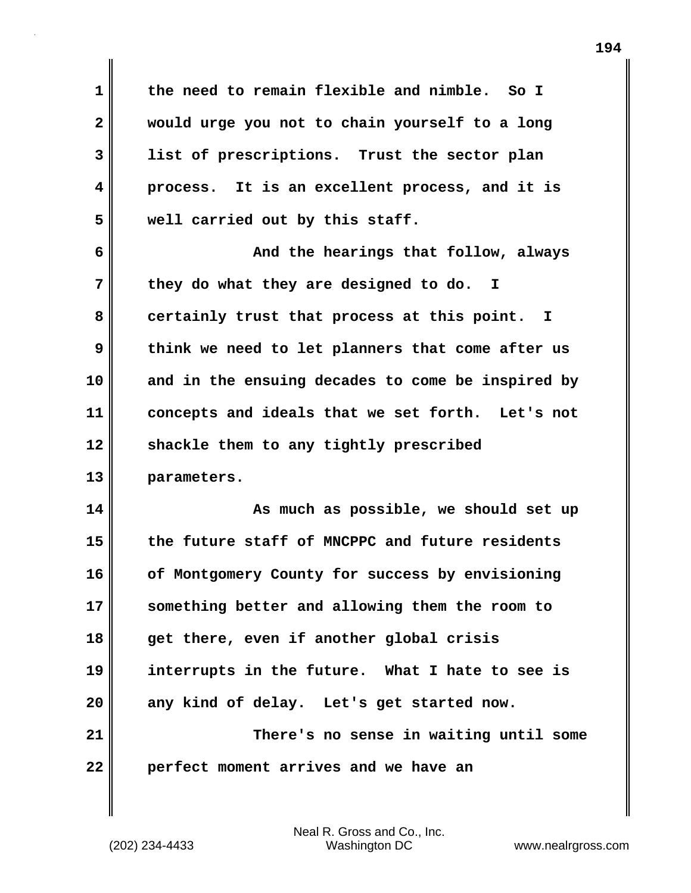**1 the need to remain flexible and nimble. So I 2 would urge you not to chain yourself to a long 3 list of prescriptions. Trust the sector plan 4 process. It is an excellent process, and it is 5 well carried out by this staff.**

**6 And the hearings that follow, always 7 they do what they are designed to do. I** 8 certainly trust that process at this point. I **9 think we need to let planners that come after us 10 and in the ensuing decades to come be inspired by 11 concepts and ideals that we set forth. Let's not 12 shackle them to any tightly prescribed 13 parameters.**

**14 As much as possible, we should set up 15 the future staff of MNCPPC and future residents 16 of Montgomery County for success by envisioning 17 something better and allowing them the room to 18 get there, even if another global crisis 19 interrupts in the future. What I hate to see is 20 any kind of delay. Let's get started now. 21 There's no sense in waiting until some 22 perfect moment arrives and we have an**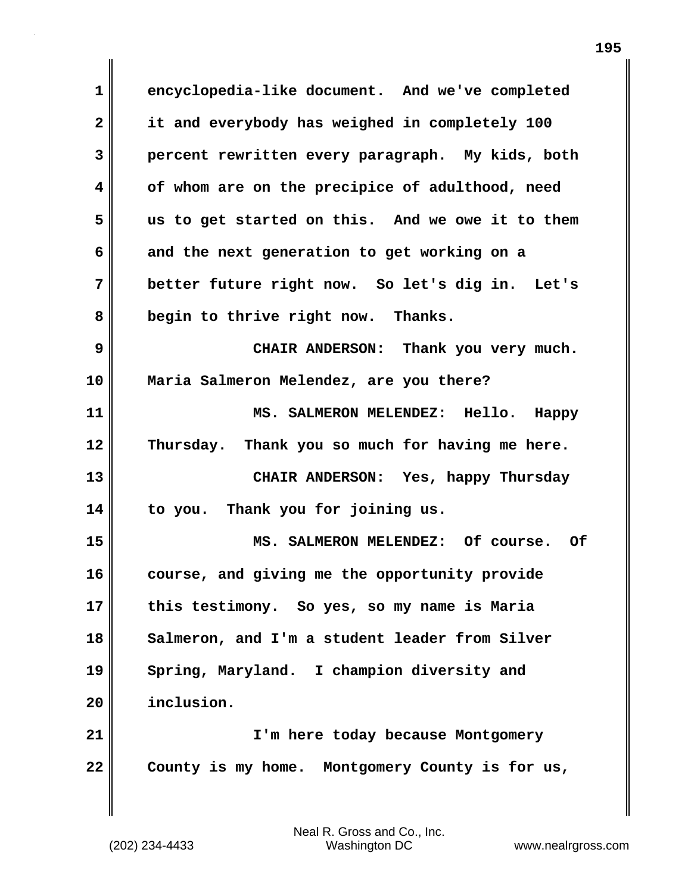**1 encyclopedia-like document. And we've completed 2 it and everybody has weighed in completely 100 3 percent rewritten every paragraph. My kids, both 4 of whom are on the precipice of adulthood, need 5 us to get started on this. And we owe it to them 6 and the next generation to get working on a 7 better future right now. So let's dig in. Let's 8 begin to thrive right now. Thanks. 9 CHAIR ANDERSON: Thank you very much. 10 Maria Salmeron Melendez, are you there? 11 MS. SALMERON MELENDEZ: Hello. Happy 12 Thursday. Thank you so much for having me here. 13 CHAIR ANDERSON: Yes, happy Thursday 14 to you. Thank you for joining us. 15 MS. SALMERON MELENDEZ: Of course. Of 16 course, and giving me the opportunity provide 17 this testimony. So yes, so my name is Maria** 18 || Salmeron, and I'm a student leader from Silver **19 Spring, Maryland. I champion diversity and 20 inclusion. 21 I'm here today because Montgomery 22 County is my home. Montgomery County is for us,**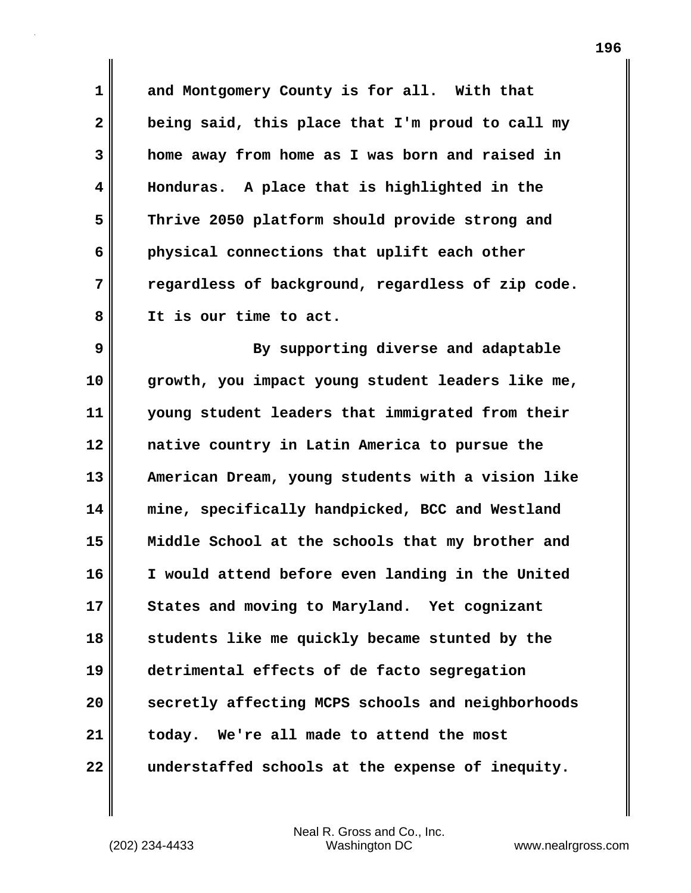**1 and Montgomery County is for all. With that 2 being said, this place that I'm proud to call my 3 home away from home as I was born and raised in 4 Honduras. A place that is highlighted in the 5 Thrive 2050 platform should provide strong and 6 physical connections that uplift each other 7 regardless of background, regardless of zip code. 8 It is our time to act.**

**9** By supporting diverse and adaptable **10 growth, you impact young student leaders like me, 11 young student leaders that immigrated from their 12 native country in Latin America to pursue the 13 American Dream, young students with a vision like 14 mine, specifically handpicked, BCC and Westland 15 Middle School at the schools that my brother and 16 I would attend before even landing in the United 17 States and moving to Maryland. Yet cognizant 18 students like me quickly became stunted by the 19 detrimental effects of de facto segregation 20 secretly affecting MCPS schools and neighborhoods 21 today. We're all made to attend the most 22 understaffed schools at the expense of inequity.**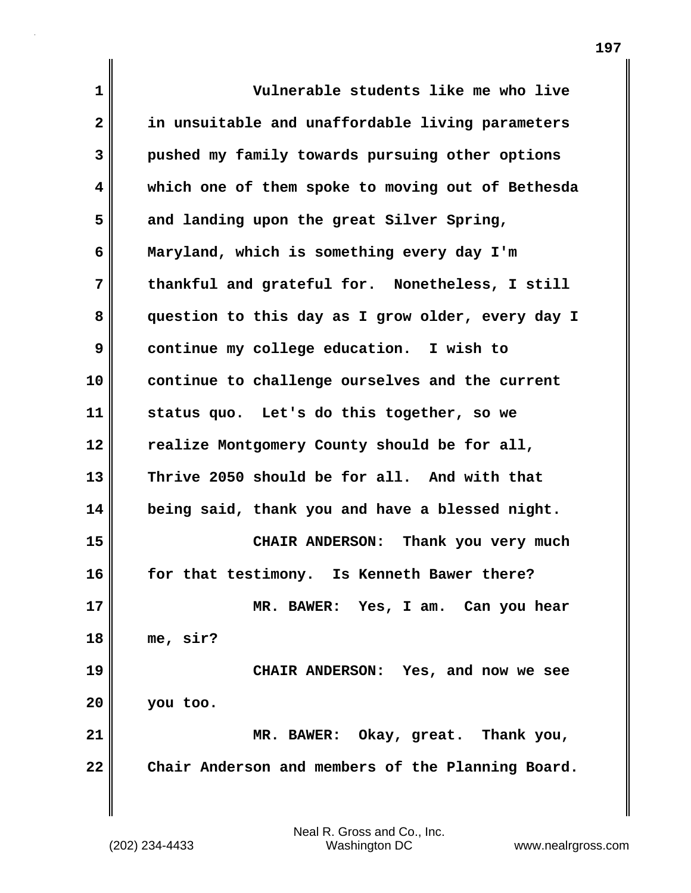| $\mathbf 1$             | Vulnerable students like me who live              |
|-------------------------|---------------------------------------------------|
| $\mathbf{2}$            | in unsuitable and unaffordable living parameters  |
| $\overline{\mathbf{3}}$ | pushed my family towards pursuing other options   |
| 4                       | which one of them spoke to moving out of Bethesda |
| 5                       | and landing upon the great Silver Spring,         |
| 6                       | Maryland, which is something every day I'm        |
| 7                       | thankful and grateful for. Nonetheless, I still   |
| 8                       | question to this day as I grow older, every day I |
| 9                       | continue my college education. I wish to          |
| 10                      | continue to challenge ourselves and the current   |
| 11                      | status quo. Let's do this together, so we         |
| 12                      | realize Montgomery County should be for all,      |
| 13                      | Thrive 2050 should be for all. And with that      |
|                         |                                                   |
| 14                      | being said, thank you and have a blessed night.   |
| 15                      | <b>CHAIR ANDERSON:</b><br>Thank you very much     |
| 16                      | for that testimony. Is Kenneth Bawer there?       |
| 17                      | MR. BAWER: Yes, I am. Can you hear                |
| 18                      | me, sir?                                          |
| 19                      | CHAIR ANDERSON: Yes, and now we see               |
| 20                      | you too.                                          |
| 21                      | MR. BAWER: Okay, great. Thank you,                |
| 22                      | Chair Anderson and members of the Planning Board. |
|                         |                                                   |
|                         |                                                   |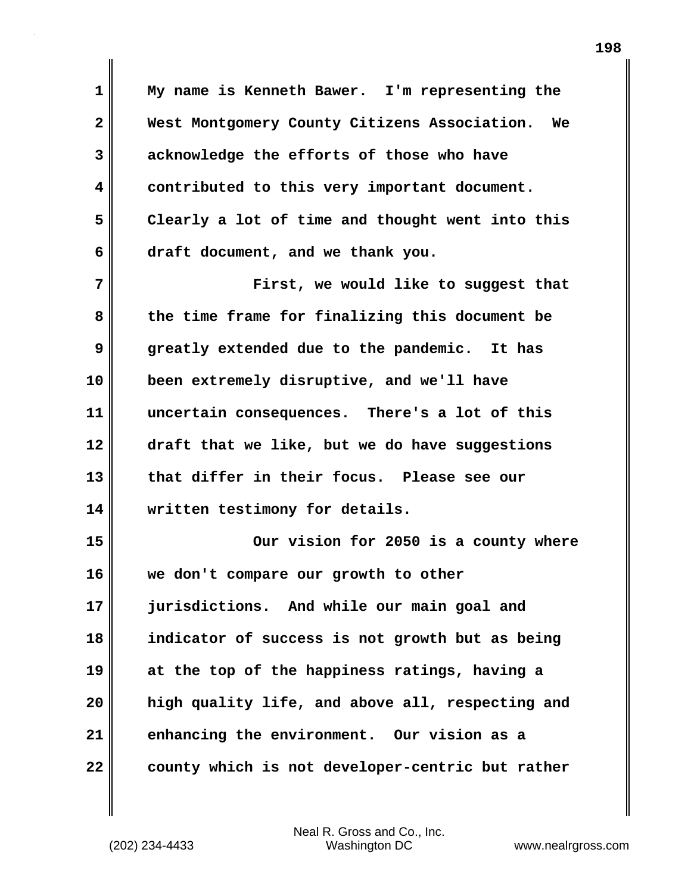**1 My name is Kenneth Bawer. I'm representing the 2 West Montgomery County Citizens Association. We 3 acknowledge the efforts of those who have 4 contributed to this very important document. 5 Clearly a lot of time and thought went into this 6 draft document, and we thank you. 7 First, we would like to suggest that 8 the time frame for finalizing this document be 9 greatly extended due to the pandemic. It has 10 been extremely disruptive, and we'll have 11 uncertain consequences. There's a lot of this 12 draft that we like, but we do have suggestions 13 that differ in their focus. Please see our 14 written testimony for details. 15 Our vision for 2050 is a county where 16 we don't compare our growth to other 17 jurisdictions. And while our main goal and 18 indicator of success is not growth but as being 19 at the top of the happiness ratings, having a 20 high quality life, and above all, respecting and 21 enhancing the environment. Our vision as a 22** county which is not developer-centric but rather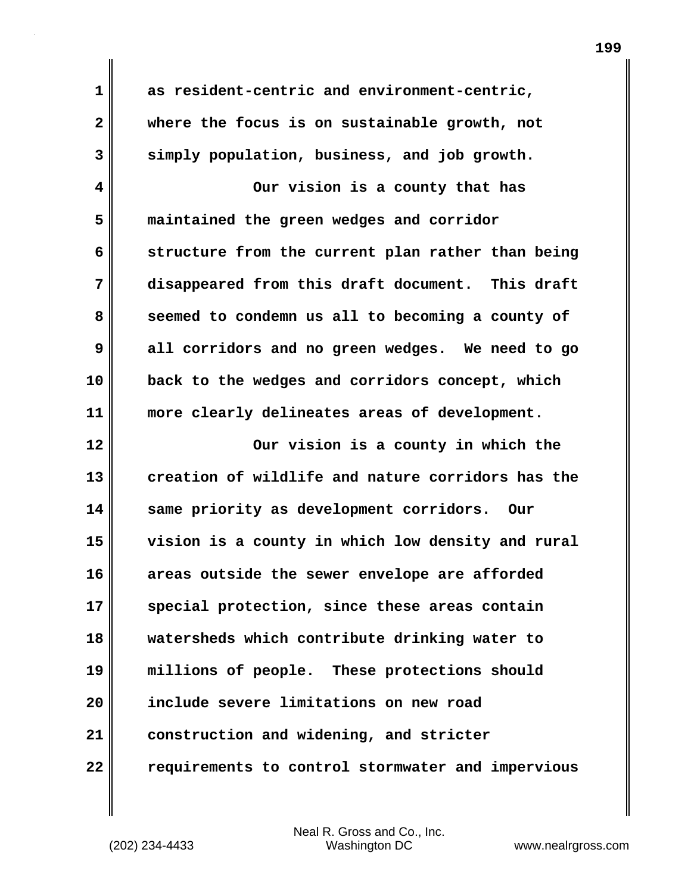**1 as resident-centric and environment-centric, 2 where the focus is on sustainable growth, not 3 simply population, business, and job growth. 4 Our vision is a county that has 5 maintained the green wedges and corridor 6 structure from the current plan rather than being 7 disappeared from this draft document. This draft 8 seemed to condemn us all to becoming a county of 9 all corridors and no green wedges. We need to go 10 back to the wedges and corridors concept, which 11 more clearly delineates areas of development.**

**12 Our vision is a county in which the 13 creation of wildlife and nature corridors has the 14 same priority as development corridors. Our 15 vision is a county in which low density and rural 16 areas outside the sewer envelope are afforded 17 special protection, since these areas contain 18 watersheds which contribute drinking water to 19 millions of people. These protections should 20 include severe limitations on new road 21 construction and widening, and stricter 22 requirements to control stormwater and impervious**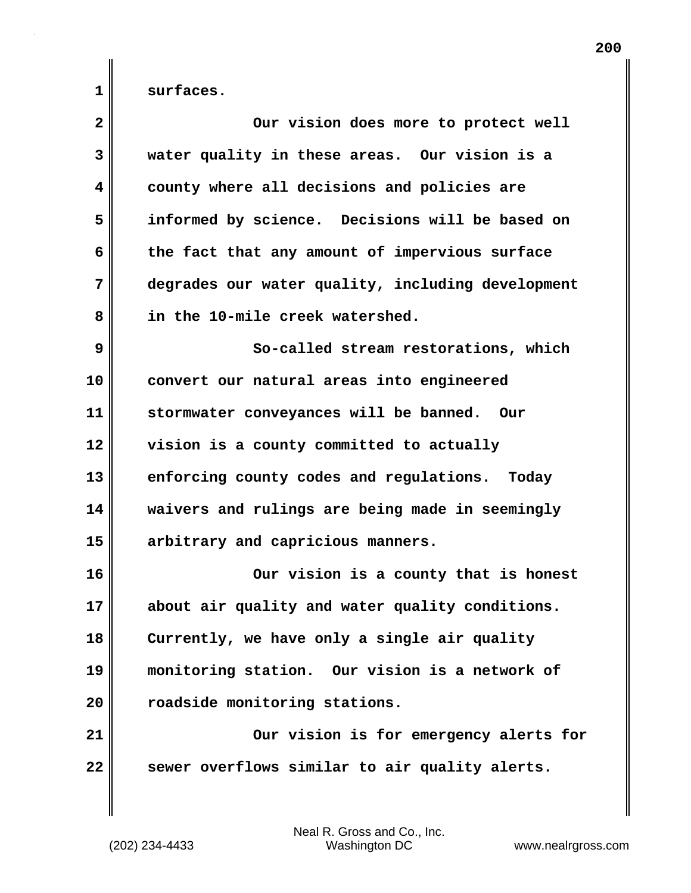1 surfaces.

| $\mathbf{2}$ | Our vision does more to protect well              |
|--------------|---------------------------------------------------|
| 3            | water quality in these areas. Our vision is a     |
| 4            | county where all decisions and policies are       |
| 5            | informed by science. Decisions will be based on   |
| 6            | the fact that any amount of impervious surface    |
| 7            | degrades our water quality, including development |
| 8            | in the 10-mile creek watershed.                   |
| 9            | So-called stream restorations, which              |
| 10           | convert our natural areas into engineered         |
| 11           | stormwater conveyances will be banned. Our        |
| 12           | vision is a county committed to actually          |
| 13           | enforcing county codes and regulations. Today     |
| 14           | waivers and rulings are being made in seemingly   |
| 15           | arbitrary and capricious manners.                 |
| 16           | Our vision is a county that is honest             |
| 17           | about air quality and water quality conditions.   |
| 18           | Currently, we have only a single air quality      |
| 19           | monitoring station. Our vision is a network of    |
| 20           | roadside monitoring stations.                     |
| 21           | Our vision is for emergency alerts for            |
| 22           | sewer overflows similar to air quality alerts.    |
|              |                                                   |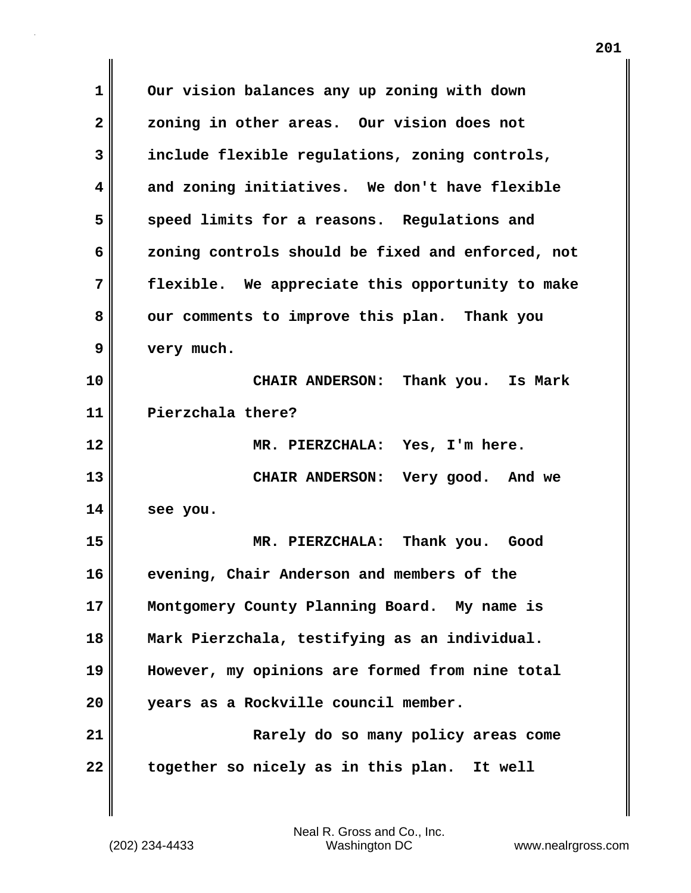**1 Our vision balances any up zoning with down 2 zoning in other areas. Our vision does not 3 include flexible regulations, zoning controls, 4 and zoning initiatives. We don't have flexible 5 speed limits for a reasons. Regulations and 6 zoning controls should be fixed and enforced, not 7 flexible. We appreciate this opportunity to make 8 our comments to improve this plan. Thank you 9 very much. 10 CHAIR ANDERSON: Thank you. Is Mark 11 Pierzchala there? 12 MR. PIERZCHALA: Yes, I'm here. 13 CHAIR ANDERSON: Very good. And we 14 see you. 15 MR. PIERZCHALA: Thank you. Good 16 evening, Chair Anderson and members of the 17 Montgomery County Planning Board. My name is 18 Mark Pierzchala, testifying as an individual. 19 However, my opinions are formed from nine total 20 years as a Rockville council member. 21 Rarely do so many policy areas come 22 together so nicely as in this plan. It well**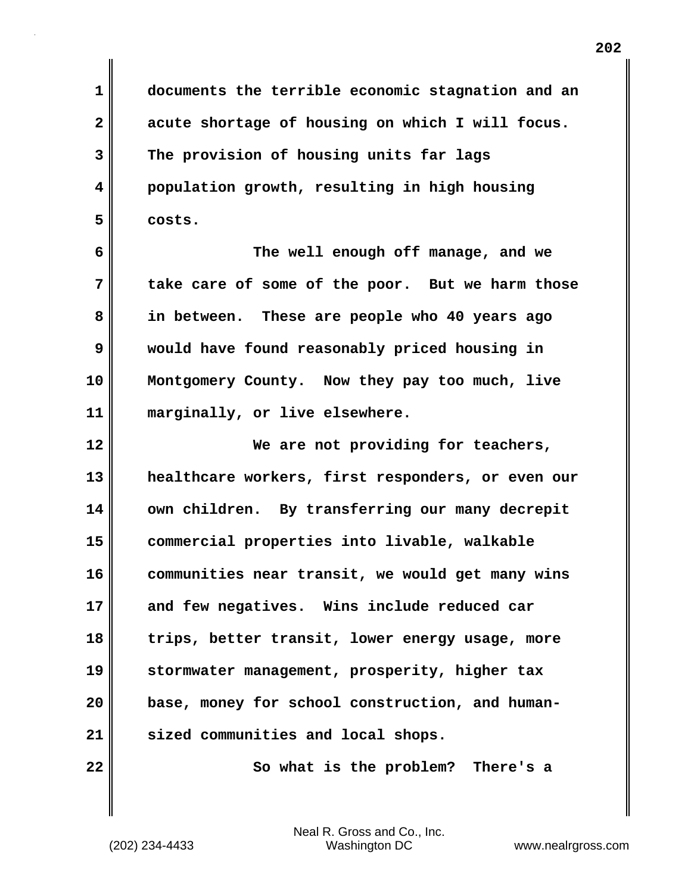**1 documents the terrible economic stagnation and an 2 acute shortage of housing on which I will focus. 3 The provision of housing units far lags 4 population growth, resulting in high housing 5 costs.**

**6 The well enough off manage, and we 7 take care of some of the poor. But we harm those 8 in between. These are people who 40 years ago 9 would have found reasonably priced housing in 10 Montgomery County. Now they pay too much, live 11 marginally, or live elsewhere.**

**12 We are not providing for teachers, 13 healthcare workers, first responders, or even our 14 own children. By transferring our many decrepit 15 commercial properties into livable, walkable 16 communities near transit, we would get many wins 17 and few negatives. Wins include reduced car 18 trips, better transit, lower energy usage, more 19 stormwater management, prosperity, higher tax 20 base, money for school construction, and human-21 sized communities and local shops.** 

**22 So what is the problem? There's a**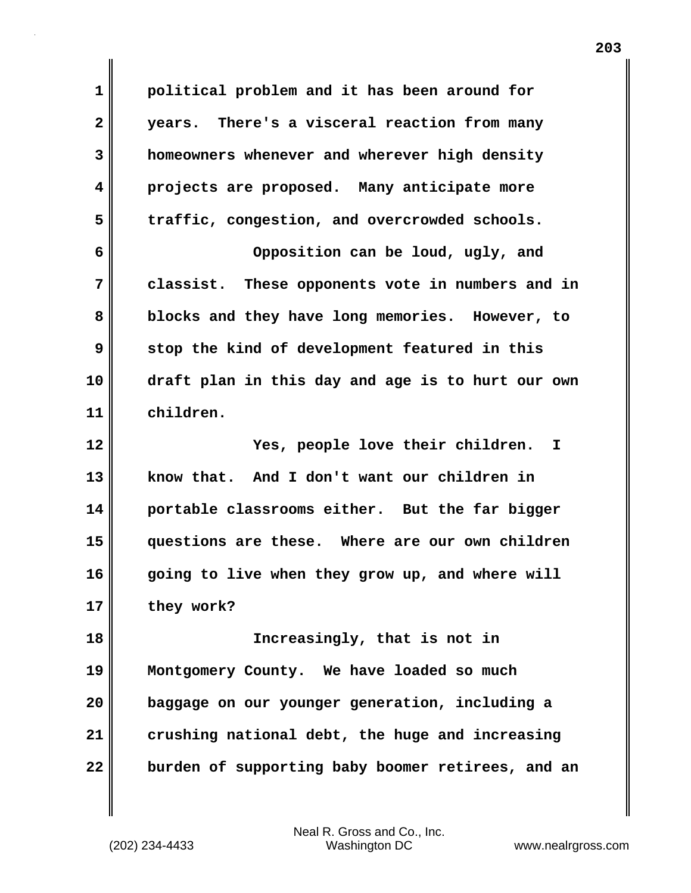**1 political problem and it has been around for 2 years. There's a visceral reaction from many 3 homeowners whenever and wherever high density 4 projects are proposed. Many anticipate more 5 traffic, congestion, and overcrowded schools. 6 Opposition can be loud, ugly, and 7 classist. These opponents vote in numbers and in 8 blocks and they have long memories. However, to 9 stop the kind of development featured in this 10 draft plan in this day and age is to hurt our own 11 children. 12 Yes, people love their children. I 13 know that. And I don't want our children in 14 portable classrooms either. But the far bigger 15 questions are these. Where are our own children 16 going to live when they grow up, and where will 17 they work? 18 Increasingly, that is not in 19 Montgomery County. We have loaded so much 20 baggage on our younger generation, including a 21 crushing national debt, the huge and increasing 22 burden of supporting baby boomer retirees, and an**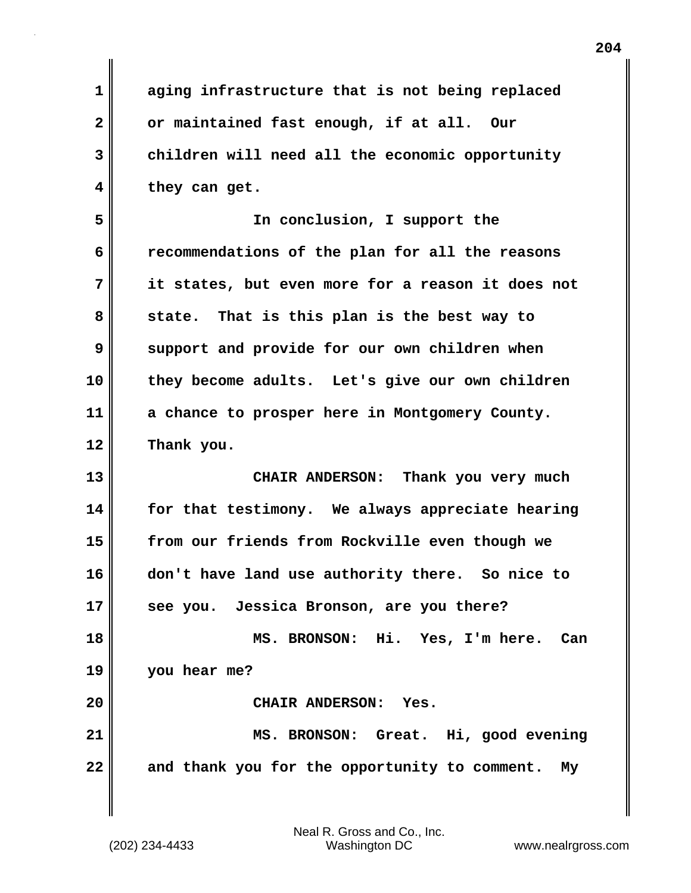| 1                       | aging infrastructure that is not being replaced     |
|-------------------------|-----------------------------------------------------|
| $\overline{\mathbf{2}}$ | or maintained fast enough, if at all. Our           |
| 3                       | children will need all the economic opportunity     |
| 4                       | they can get.                                       |
| 5                       | In conclusion, I support the                        |
| 6                       | recommendations of the plan for all the reasons     |
| 7                       | it states, but even more for a reason it does not   |
| 8                       | state. That is this plan is the best way to         |
| 9                       | support and provide for our own children when       |
| 10                      | they become adults. Let's give our own children     |
| 11                      | a chance to prosper here in Montgomery County.      |
| 12                      | Thank you.                                          |
| 13                      | CHAIR ANDERSON: Thank you very much                 |
| 14                      | for that testimony. We always appreciate hearing    |
| 15                      | from our friends from Rockville even though we      |
| 16                      | don't have land use authority there. So nice to     |
| 17                      | see you. Jessica Bronson, are you there?            |
| 18                      | MS. BRONSON: Hi. Yes, I'm here. Can                 |
| 19                      | you hear me?                                        |
| 20                      | CHAIR ANDERSON: Yes.                                |
| 21                      | MS. BRONSON: Great. Hi, good evening                |
| 22                      | and thank you for the opportunity to comment.<br>My |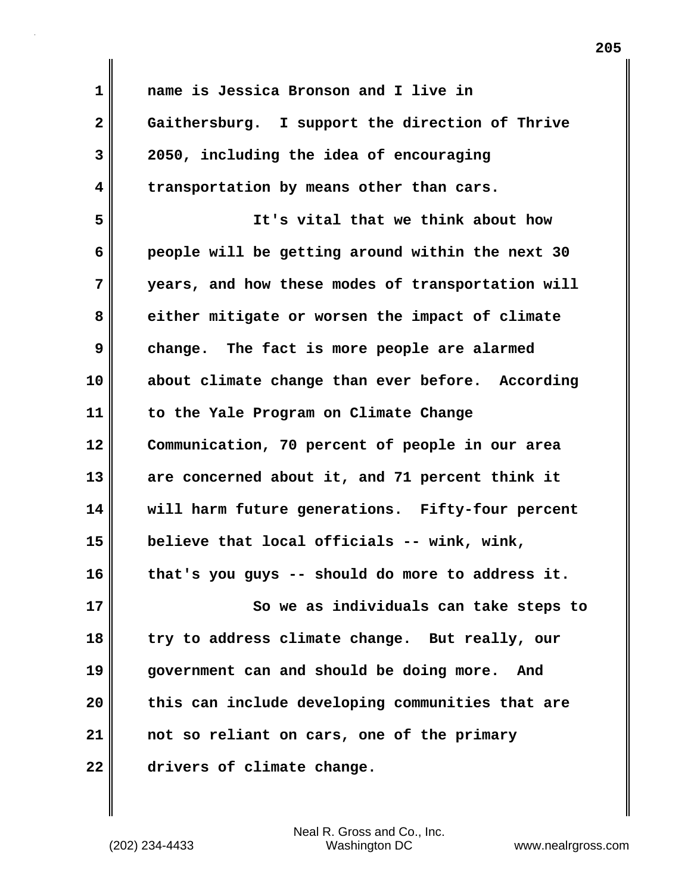| 1            | name is Jessica Bronson and I live in             |
|--------------|---------------------------------------------------|
| $\mathbf{2}$ | Gaithersburg. I support the direction of Thrive   |
| 3            | 2050, including the idea of encouraging           |
| 4            | transportation by means other than cars.          |
| 5            | It's vital that we think about how                |
| 6            | people will be getting around within the next 30  |
| 7            | years, and how these modes of transportation will |
| 8            | either mitigate or worsen the impact of climate   |
| 9            | change. The fact is more people are alarmed       |
| 10           | about climate change than ever before. According  |
| 11           | to the Yale Program on Climate Change             |
| 12           | Communication, 70 percent of people in our area   |
| 13           | are concerned about it, and 71 percent think it   |
| 14           | will harm future generations. Fifty-four percent  |
| 15           | believe that local officials -- wink, wink,       |
| 16           | that's you guys -- should do more to address it.  |
| 17           | So we as individuals can take steps to            |
| 18           | try to address climate change. But really, our    |
| 19           | government can and should be doing more.<br>And   |
| 20           | this can include developing communities that are  |
| 21           | not so reliant on cars, one of the primary        |
| 22           | drivers of climate change.                        |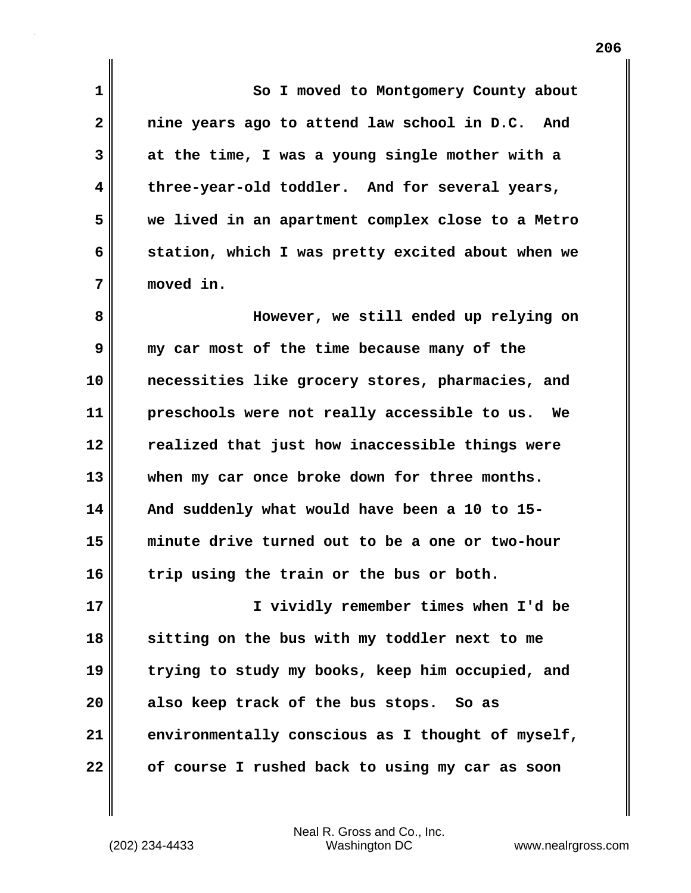**1 So I moved to Montgomery County about 2 nine years ago to attend law school in D.C. And 3 at the time, I was a young single mother with a 4 three-year-old toddler. And for several years, 5 we lived in an apartment complex close to a Metro 6 station, which I was pretty excited about when we 7 moved in. 8 However, we still ended up relying on 9 my car most of the time because many of the 10 necessities like grocery stores, pharmacies, and 11 preschools were not really accessible to us. We 12 realized that just how inaccessible things were 13 when my car once broke down for three months. 14 And suddenly what would have been a 10 to 15- 15 minute drive turned out to be a one or two-hour 16 trip using the train or the bus or both. 17 I vividly remember times when I'd be**

**18 sitting on the bus with my toddler next to me 19 trying to study my books, keep him occupied, and 20 also keep track of the bus stops. So as 21 environmentally conscious as I thought of myself, 22 of course I rushed back to using my car as soon**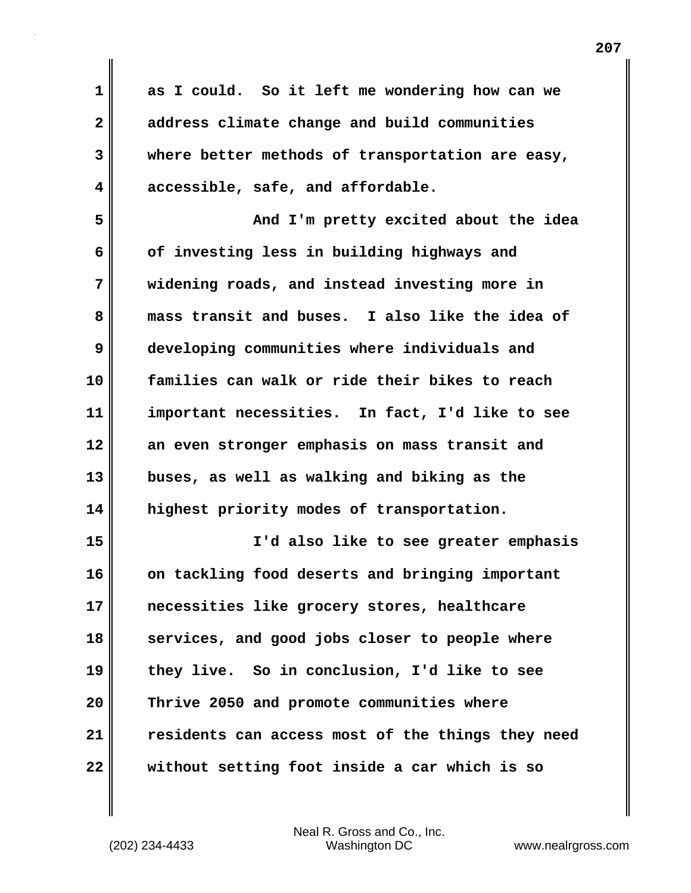| $\mathbf 1$  | as I could. So it left me wondering how can we    |
|--------------|---------------------------------------------------|
| $\mathbf{2}$ | address climate change and build communities      |
| 3            | where better methods of transportation are easy,  |
| 4            | accessible, safe, and affordable.                 |
| 5            | And I'm pretty excited about the idea             |
| 6            | of investing less in building highways and        |
| 7            | widening roads, and instead investing more in     |
| 8            | mass transit and buses. I also like the idea of   |
| 9            | developing communities where individuals and      |
| 10           | families can walk or ride their bikes to reach    |
| 11           | important necessities. In fact, I'd like to see   |
| 12           | an even stronger emphasis on mass transit and     |
| 13           | buses, as well as walking and biking as the       |
| 14           | highest priority modes of transportation.         |
| 15           | I'd also like to see greater emphasis             |
| 16           | on tackling food deserts and bringing important   |
| 17           | necessities like grocery stores, healthcare       |
| 18           | services, and good jobs closer to people where    |
| 19           | they live. So in conclusion, I'd like to see      |
| 20           | Thrive 2050 and promote communities where         |
| 21           | residents can access most of the things they need |
| 22           | without setting foot inside a car which is so     |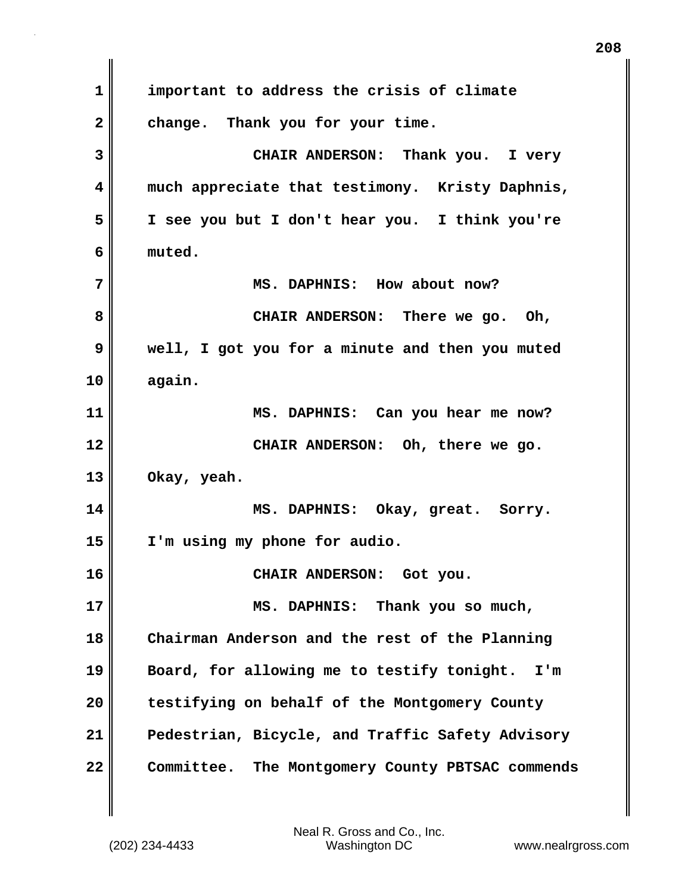**1 important to address the crisis of climate 2 change. Thank you for your time. 3 CHAIR ANDERSON: Thank you. I very 4 much appreciate that testimony. Kristy Daphnis, 5 I see you but I don't hear you. I think you're 6 muted. 7** MS. DAPHNIS: How about now? **8 CHAIR ANDERSON: There we go. Oh, 9 well, I got you for a minute and then you muted 10 again. 11 MS. DAPHNIS: Can you hear me now? 12 CHAIR ANDERSON: Oh, there we go. 13 Okay, yeah. 14 MS. DAPHNIS: Okay, great. Sorry. 15 I'm using my phone for audio. 16 CHAIR ANDERSON: Got you. 17 MS. DAPHNIS: Thank you so much, 18 Chairman Anderson and the rest of the Planning 19 Board, for allowing me to testify tonight. I'm 20 testifying on behalf of the Montgomery County 21 Pedestrian, Bicycle, and Traffic Safety Advisory 22 Committee. The Montgomery County PBTSAC commends**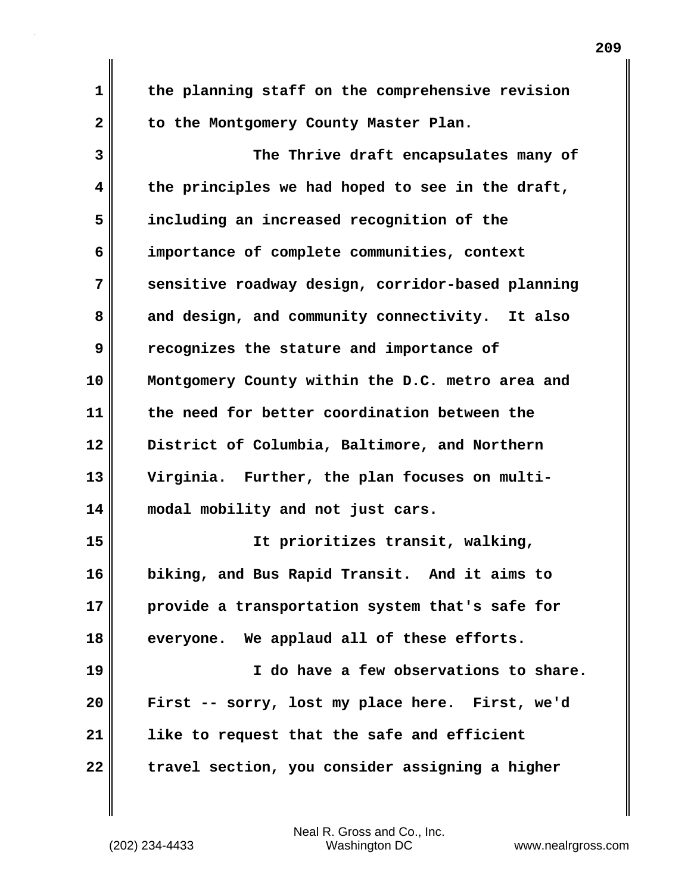**1 the planning staff on the comprehensive revision** 2 to the Montgomery County Master Plan. **3 The Thrive draft encapsulates many of 4 the principles we had hoped to see in the draft, 5 including an increased recognition of the 6 importance of complete communities, context 7 sensitive roadway design, corridor-based planning 8 and design, and community connectivity. It also 9 recognizes the stature and importance of 10 Montgomery County within the D.C. metro area and 11 the need for better coordination between the 12 District of Columbia, Baltimore, and Northern 13 Virginia. Further, the plan focuses on multi-14 modal mobility and not just cars. 15 It prioritizes transit, walking, 16 biking, and Bus Rapid Transit. And it aims to 17 provide a transportation system that's safe for 18 everyone. We applaud all of these efforts. 19 I do have a few observations to share. 20 First -- sorry, lost my place here. First, we'd 21 like to request that the safe and efficient 22 travel section, you consider assigning a higher**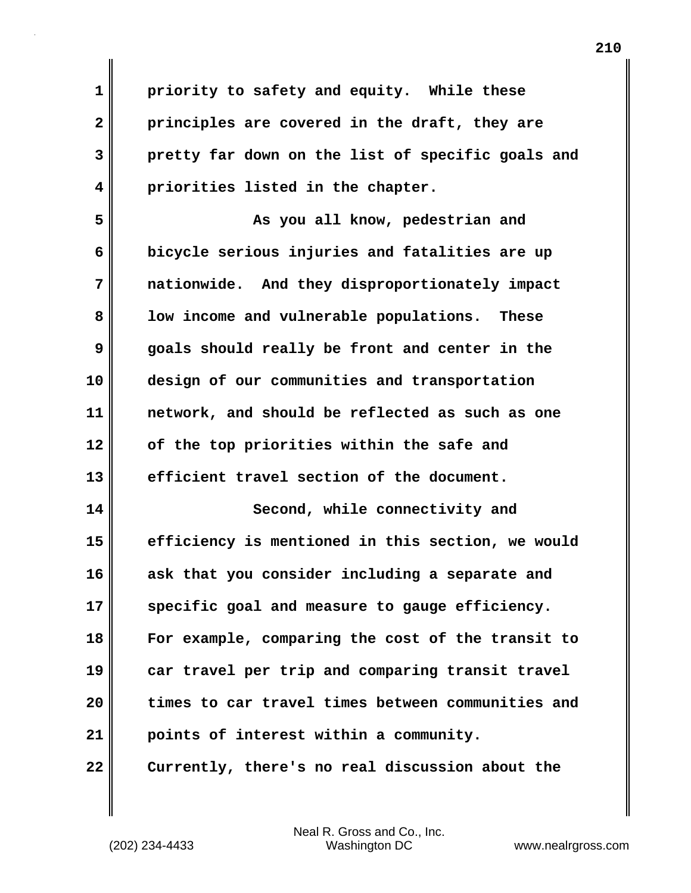**1 priority to safety and equity. While these 2 principles are covered in the draft, they are 3 pretty far down on the list of specific goals and 4 priorities listed in the chapter.**

**5 As you all know, pedestrian and 6 bicycle serious injuries and fatalities are up 7 nationwide. And they disproportionately impact 8 low income and vulnerable populations. These 9 goals should really be front and center in the 10 design of our communities and transportation 11 network, and should be reflected as such as one 12 of the top priorities within the safe and 13 efficient travel section of the document.**

**14 Second, while connectivity and 15 efficiency is mentioned in this section, we would 16 ask that you consider including a separate and 17 specific goal and measure to gauge efficiency. 18 For example, comparing the cost of the transit to 19 car travel per trip and comparing transit travel 20 times to car travel times between communities and 21 points of interest within a community. 22 Currently, there's no real discussion about the**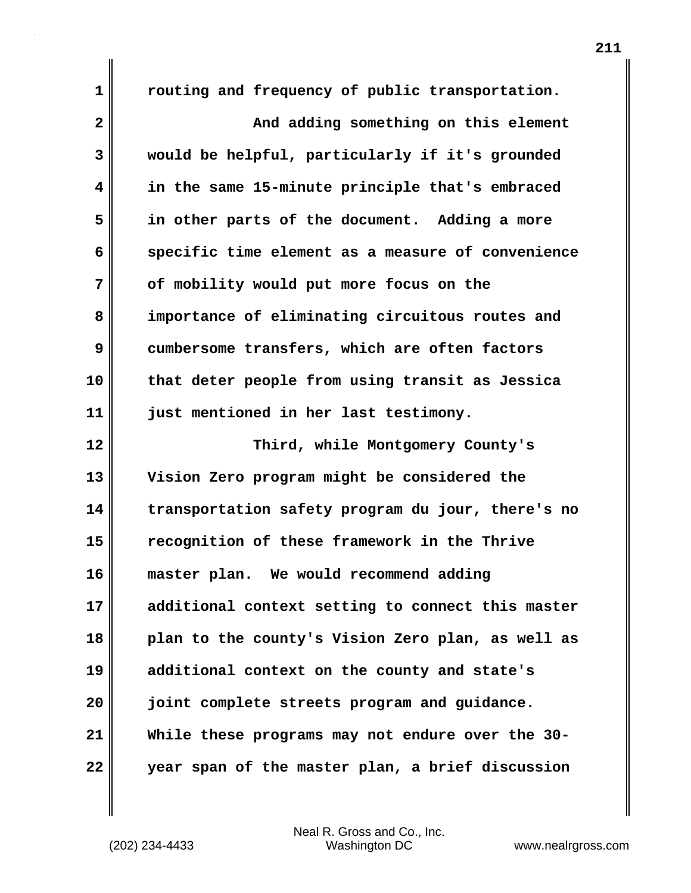**1 routing and frequency of public transportation. 2 And adding something on this element 3 would be helpful, particularly if it's grounded 4 in the same 15-minute principle that's embraced 5 in other parts of the document. Adding a more 6 specific time element as a measure of convenience 7 of mobility would put more focus on the 8 importance of eliminating circuitous routes and 9 cumbersome transfers, which are often factors 10 that deter people from using transit as Jessica 11 just mentioned in her last testimony. 12 Third, while Montgomery County's 13 Vision Zero program might be considered the 14 transportation safety program du jour, there's no 15 recognition of these framework in the Thrive 16 master plan. We would recommend adding 17 additional context setting to connect this master 18 plan to the county's Vision Zero plan, as well as 19 additional context on the county and state's 20 joint complete streets program and guidance. 21 While these programs may not endure over the 30- 22 year span of the master plan, a brief discussion**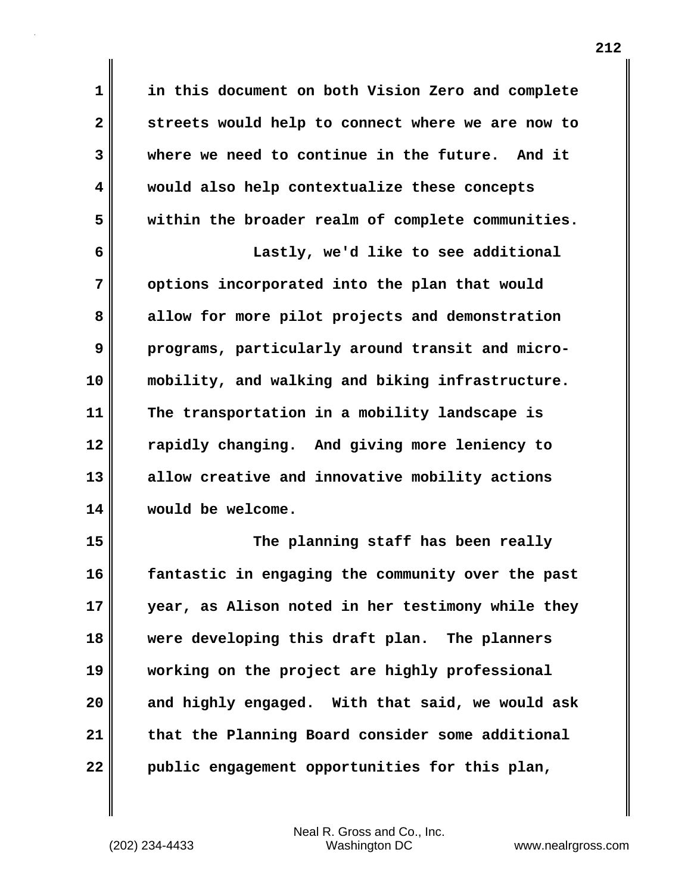**1 in this document on both Vision Zero and complete 2 streets would help to connect where we are now to 3 where we need to continue in the future. And it 4 would also help contextualize these concepts 5 within the broader realm of complete communities. 6 Lastly, we'd like to see additional 7 options incorporated into the plan that would 8 allow for more pilot projects and demonstration 9 programs, particularly around transit and micro-10 mobility, and walking and biking infrastructure. 11 The transportation in a mobility landscape is 12 rapidly changing. And giving more leniency to 13 allow creative and innovative mobility actions 14 would be welcome. 15 The planning staff has been really**

**16 fantastic in engaging the community over the past 17 year, as Alison noted in her testimony while they 18 were developing this draft plan. The planners 19 working on the project are highly professional 20 and highly engaged. With that said, we would ask 21 that the Planning Board consider some additional 22 public engagement opportunities for this plan,**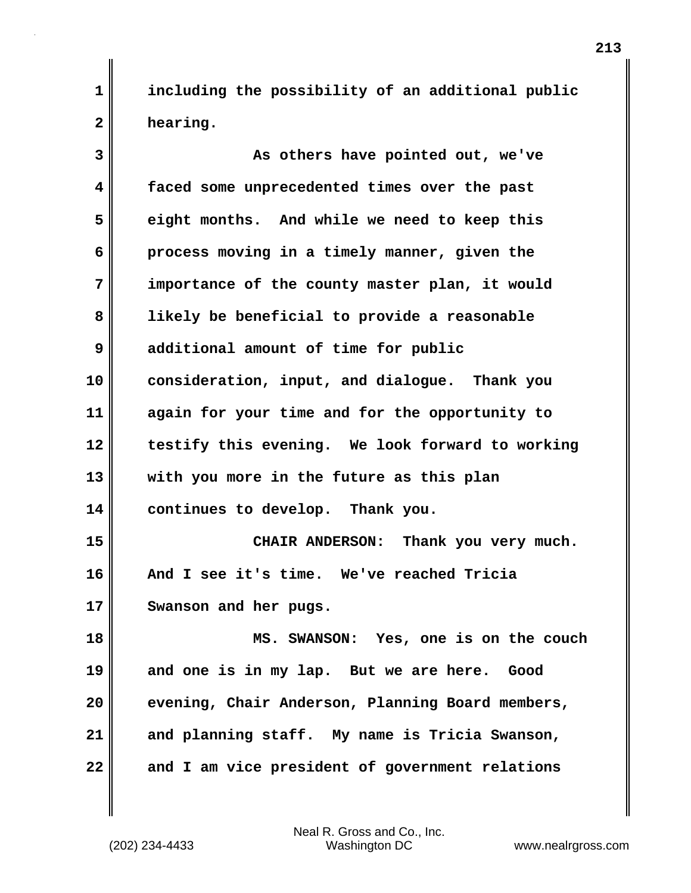**1 including the possibility of an additional public 2 hearing.**

| 3  | As others have pointed out, we've                |
|----|--------------------------------------------------|
| 4  | faced some unprecedented times over the past     |
| 5  | eight months. And while we need to keep this     |
| 6  | process moving in a timely manner, given the     |
| 7  | importance of the county master plan, it would   |
| 8  | likely be beneficial to provide a reasonable     |
| 9  | additional amount of time for public             |
| 10 | consideration, input, and dialogue. Thank you    |
| 11 | again for your time and for the opportunity to   |
| 12 | testify this evening. We look forward to working |
| 13 | with you more in the future as this plan         |
| 14 | continues to develop. Thank you.                 |
| 15 | CHAIR ANDERSON: Thank you very much.             |
| 16 | And I see it's time. We've reached Tricia        |
| 17 | Swanson and her pugs.                            |
| 18 | MS. SWANSON: Yes, one is on the couch            |
| 19 | and one is in my lap. But we are here. Good      |
| 20 | evening, Chair Anderson, Planning Board members, |
| 21 | and planning staff. My name is Tricia Swanson,   |
| 22 | and I am vice president of government relations  |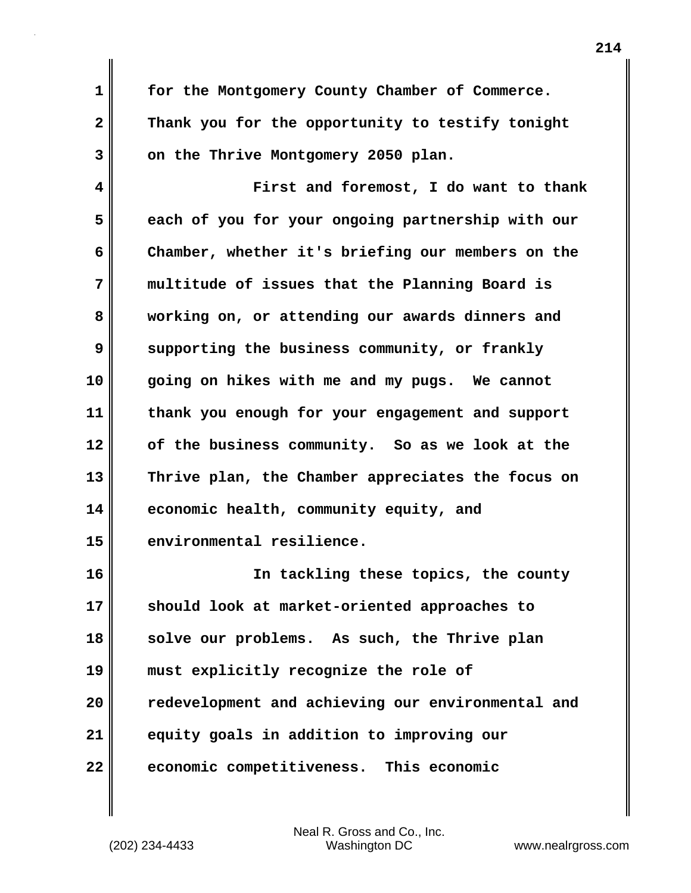**1 for the Montgomery County Chamber of Commerce. 2 Thank you for the opportunity to testify tonight** 3 on the Thrive Montgomery 2050 plan.

**4 First and foremost, I do want to thank 5 each of you for your ongoing partnership with our 6 Chamber, whether it's briefing our members on the 7 multitude of issues that the Planning Board is 8 working on, or attending our awards dinners and 9** supporting the business community, or frankly **10 going on hikes with me and my pugs. We cannot 11 thank you enough for your engagement and support 12 of the business community. So as we look at the 13 Thrive plan, the Chamber appreciates the focus on 14 economic health, community equity, and 15 environmental resilience.**

**16 In tackling these topics, the county 17 should look at market-oriented approaches to 18 solve our problems. As such, the Thrive plan 19 must explicitly recognize the role of 20 redevelopment and achieving our environmental and 21 equity goals in addition to improving our 22 economic competitiveness. This economic**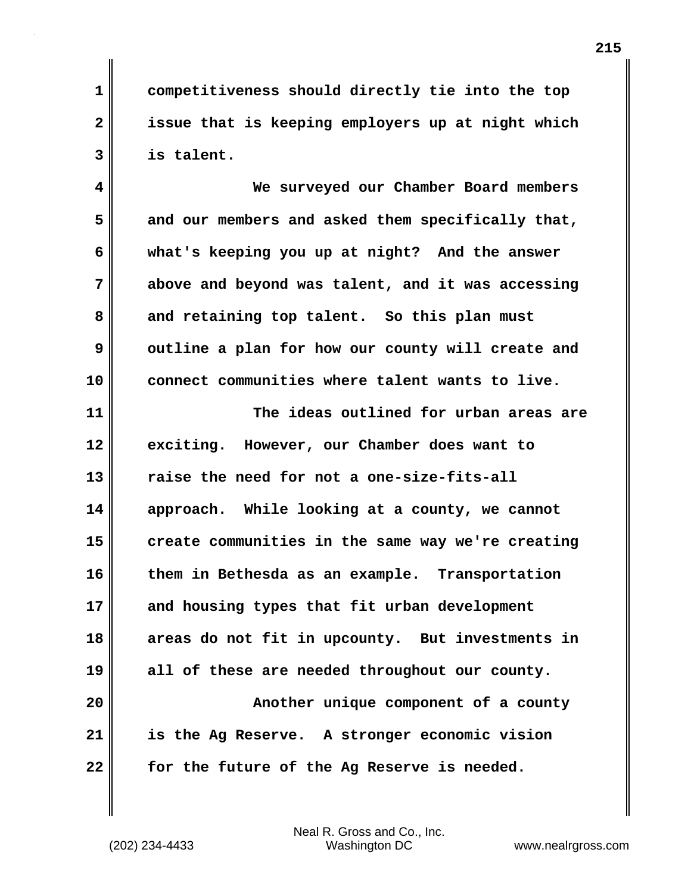**1 competitiveness should directly tie into the top 2 issue that is keeping employers up at night which 3 is talent.**

**4 We surveyed our Chamber Board members 5 and our members and asked them specifically that, 6 what's keeping you up at night? And the answer 7 above and beyond was talent, and it was accessing 8 and retaining top talent. So this plan must 9** outline a plan for how our county will create and **10 connect communities where talent wants to live.**

**11 The ideas outlined for urban areas are 12 exciting. However, our Chamber does want to 13 raise the need for not a one-size-fits-all 14 approach. While looking at a county, we cannot 15 create communities in the same way we're creating 16 them in Bethesda as an example. Transportation 17 and housing types that fit urban development 18 areas do not fit in upcounty. But investments in 19 all of these are needed throughout our county. 20 Another unique component of a county 21 is the Ag Reserve. A stronger economic vision 22 for the future of the Ag Reserve is needed.**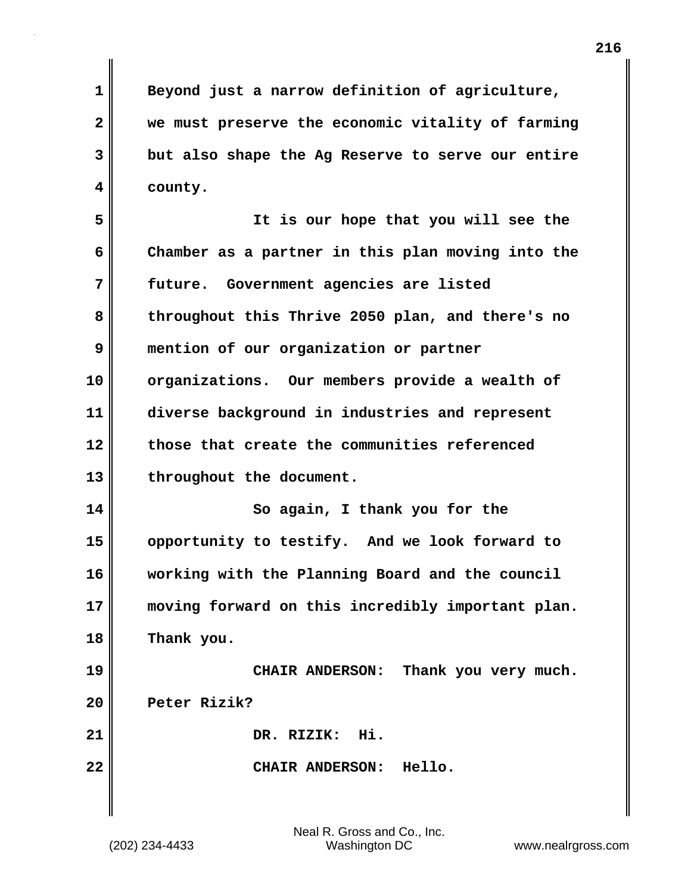**1 Beyond just a narrow definition of agriculture, 2 we must preserve the economic vitality of farming 3 but also shape the Ag Reserve to serve our entire 4 county.**

**5 It is our hope that you will see the 6 Chamber as a partner in this plan moving into the 7 future. Government agencies are listed 8 throughout this Thrive 2050 plan, and there's no 9 mention of our organization or partner 10 organizations. Our members provide a wealth of 11 diverse background in industries and represent 12 those that create the communities referenced 13 throughout the document. 14 So again, I thank you for the 15 opportunity to testify. And we look forward to 16 working with the Planning Board and the council 17 moving forward on this incredibly important plan.** 

**18 Thank you.**

**19 CHAIR ANDERSON: Thank you very much. 20 Peter Rizik? 21 DR. RIZIK: Hi. 22 CHAIR ANDERSON: Hello.**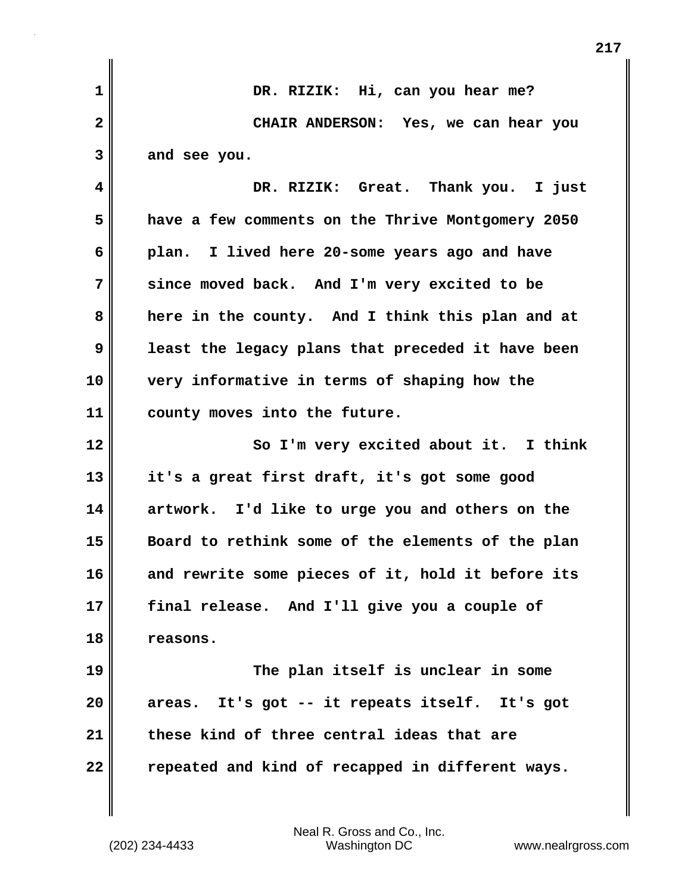| $\mathbf 1$             | DR. RIZIK: Hi, can you hear me?                   |
|-------------------------|---------------------------------------------------|
| $\overline{\mathbf{2}}$ | CHAIR ANDERSON: Yes, we can hear you              |
| 3                       | and see you.                                      |
| 4                       | DR. RIZIK: Great. Thank you. I just               |
| 5                       | have a few comments on the Thrive Montgomery 2050 |
| 6                       | plan. I lived here 20-some years ago and have     |
| 7                       | since moved back. And I'm very excited to be      |
| 8                       | here in the county. And I think this plan and at  |
| 9                       | least the legacy plans that preceded it have been |
| 10                      | very informative in terms of shaping how the      |
| 11                      | county moves into the future.                     |
|                         |                                                   |
| 12                      | So I'm very excited about it. I think             |
| 13                      | it's a great first draft, it's got some good      |
|                         | artwork. I'd like to urge you and others on the   |
| 14<br>15                | Board to rethink some of the elements of the plan |
| 16                      | and rewrite some pieces of it, hold it before its |
|                         | final release. And I'll give you a couple of      |
| 17<br>18                | reasons.                                          |
| 19                      | The plan itself is unclear in some                |
| 20                      | areas. It's got -- it repeats itself. It's got    |
| 21                      | these kind of three central ideas that are        |
| 22                      | repeated and kind of recapped in different ways.  |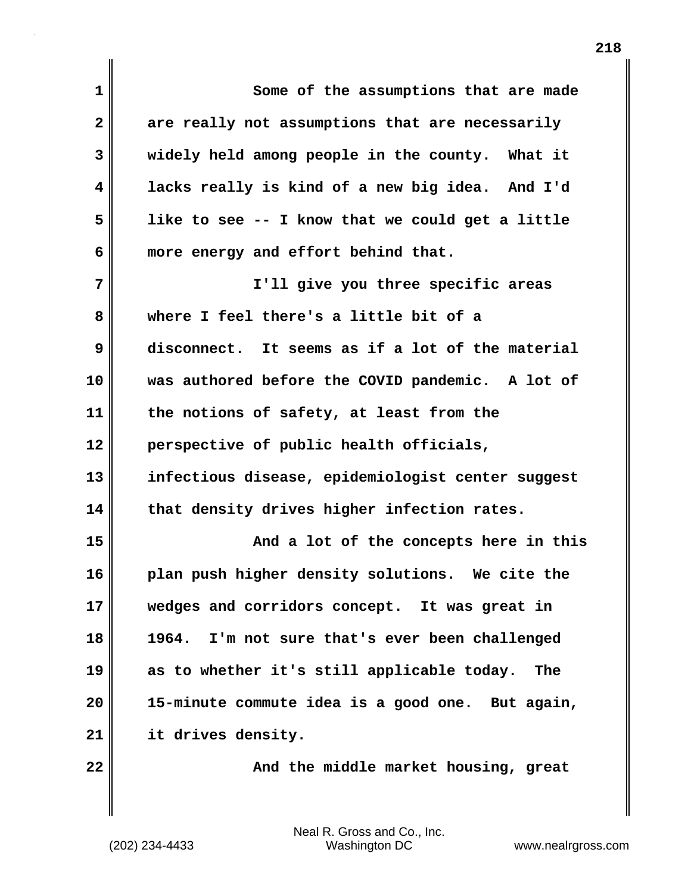| $\mathbf 1$  | Some of the assumptions that are made             |
|--------------|---------------------------------------------------|
| $\mathbf{2}$ | are really not assumptions that are necessarily   |
| 3            | widely held among people in the county. What it   |
| 4            | lacks really is kind of a new big idea. And I'd   |
| 5            | like to see -- I know that we could get a little  |
| 6            | more energy and effort behind that.               |
| 7            | I'll give you three specific areas                |
| 8            | where I feel there's a little bit of a            |
| 9            | disconnect. It seems as if a lot of the material  |
| 10           | was authored before the COVID pandemic. A lot of  |
| 11           | the notions of safety, at least from the          |
| 12           | perspective of public health officials,           |
| 13           | infectious disease, epidemiologist center suggest |
| 14           | that density drives higher infection rates.       |
| 15           | And a lot of the concepts here in this            |
| 16           | plan push higher density solutions. We cite the   |
| 17           | wedges and corridors concept. It was great in     |
| 18           | I'm not sure that's ever been challenged<br>1964. |
| 19           | as to whether it's still applicable today.<br>The |
| 20           | 15-minute commute idea is a good one. But again,  |
| 21           | it drives density.                                |
| 22           | And the middle market housing, great              |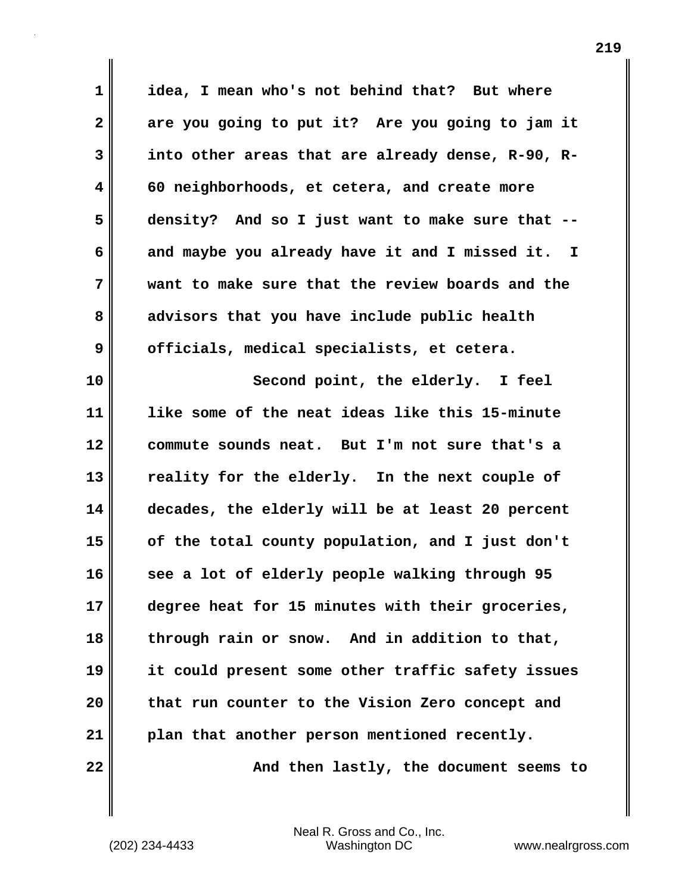**1 idea, I mean who's not behind that? But where 2 are you going to put it? Are you going to jam it 3 into other areas that are already dense, R-90, R-4 60 neighborhoods, et cetera, and create more 5 density? And so I just want to make sure that -- 6 and maybe you already have it and I missed it. I 7 want to make sure that the review boards and the 8 advisors that you have include public health 9 officials, medical specialists, et cetera. 10 Second point, the elderly. I feel 11 like some of the neat ideas like this 15-minute 12 commute sounds neat. But I'm not sure that's a 13 reality for the elderly. In the next couple of 14 decades, the elderly will be at least 20 percent 15 of the total county population, and I just don't 16 see a lot of elderly people walking through 95 17 degree heat for 15 minutes with their groceries, 18 through rain or snow. And in addition to that, 19 it could present some other traffic safety issues 20 that run counter to the Vision Zero concept and 21 plan that another person mentioned recently. 22**  $\parallel$  **22** And then lastly, the document seems to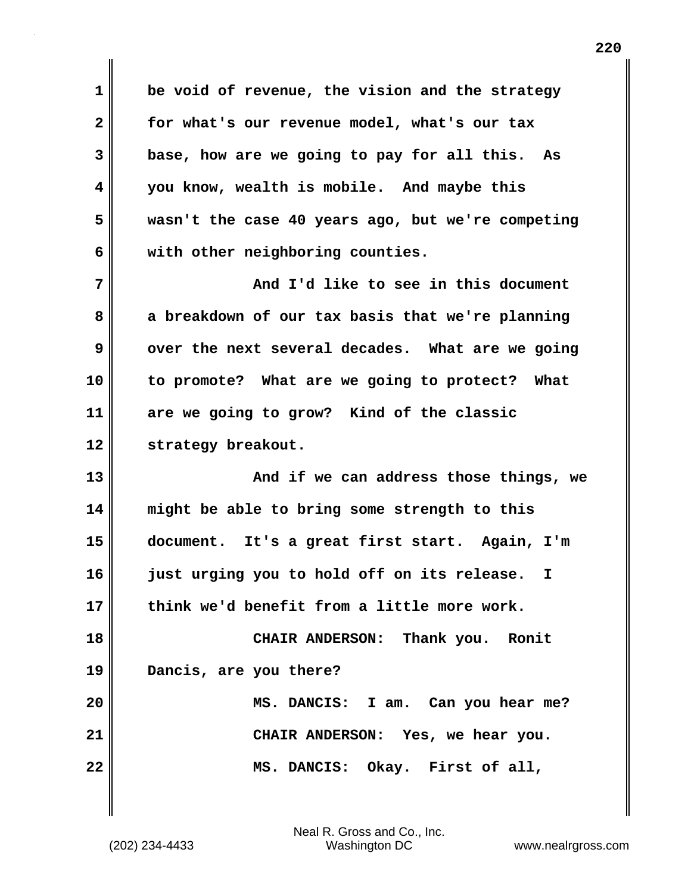**1 be void of revenue, the vision and the strategy 2 for what's our revenue model, what's our tax 3 base, how are we going to pay for all this. As 4 you know, wealth is mobile. And maybe this 5 wasn't the case 40 years ago, but we're competing 6 with other neighboring counties.**

**7 And I'd like to see in this document 8 a breakdown of our tax basis that we're planning 9** over the next several decades. What are we going **10 to promote? What are we going to protect? What 11 are we going to grow? Kind of the classic 12 strategy breakout.**

**13 And if we can address those things, we 14 might be able to bring some strength to this 15 document. It's a great first start. Again, I'm 16 just urging you to hold off on its release. I 17 think we'd benefit from a little more work. 18 CHAIR ANDERSON: Thank you. Ronit 19 Dancis, are you there? 20 MS. DANCIS: I am. Can you hear me? 21 CHAIR ANDERSON: Yes, we hear you.**

**22 MS. DANCIS: Okay. First of all,**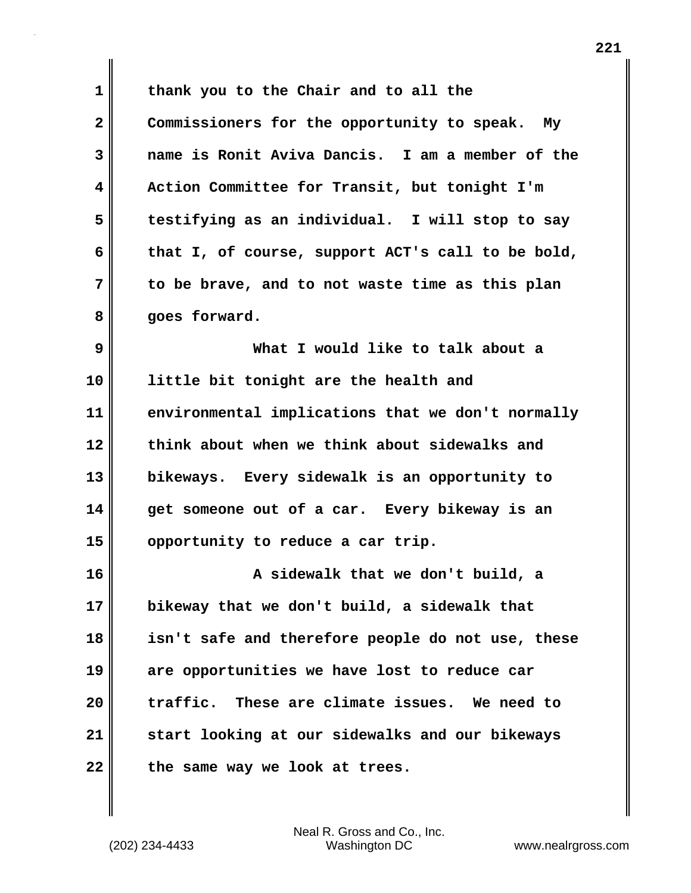**1 thank you to the Chair and to all the 2 Commissioners for the opportunity to speak. My 3 name is Ronit Aviva Dancis. I am a member of the 4 Action Committee for Transit, but tonight I'm 5 testifying as an individual. I will stop to say 6 that I, of course, support ACT's call to be bold, 7 to be brave, and to not waste time as this plan 8 goes forward. 9 What I would like to talk about a 10 little bit tonight are the health and 11 environmental implications that we don't normally 12 think about when we think about sidewalks and 13 bikeways. Every sidewalk is an opportunity to 14 get someone out of a car. Every bikeway is an 15 opportunity to reduce a car trip. 16 A sidewalk that we don't build, a 17 bikeway that we don't build, a sidewalk that 18 isn't safe and therefore people do not use, these 19 are opportunities we have lost to reduce car 20 traffic. These are climate issues. We need to 21 start looking at our sidewalks and our bikeways** 22 the same way we look at trees.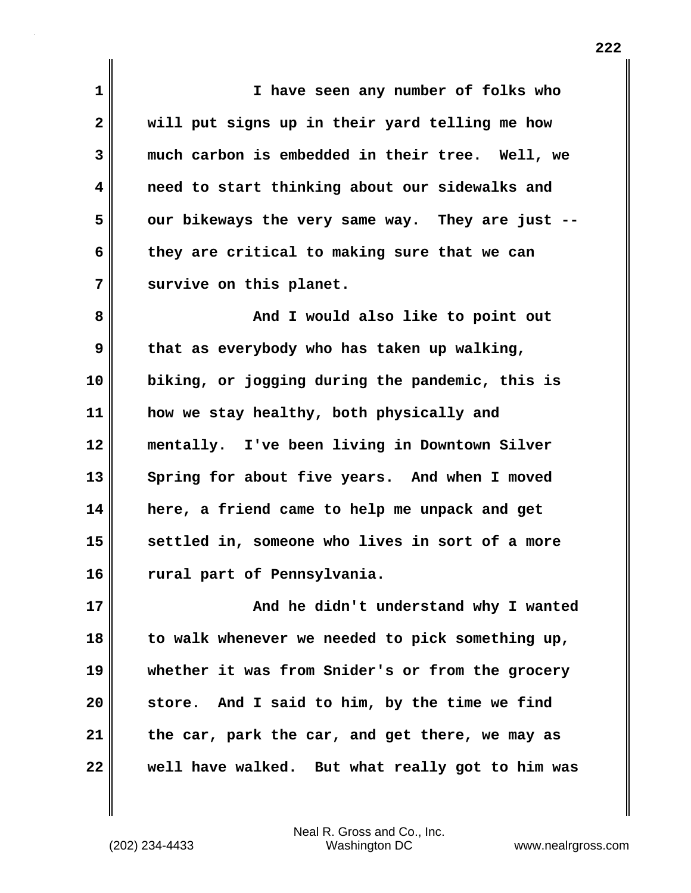**1 I have seen any number of folks who 2 will put signs up in their yard telling me how 3 much carbon is embedded in their tree. Well, we 4 need to start thinking about our sidewalks and 5 our bikeways the very same way. They are just -- 6 they are critical to making sure that we can 7 survive on this planet. 8 And I** would also like to point out **9 that as everybody who has taken up walking, 10 biking, or jogging during the pandemic, this is 11 how we stay healthy, both physically and 12 mentally. I've been living in Downtown Silver 13 Spring for about five years. And when I moved 14 here, a friend came to help me unpack and get 15 settled in, someone who lives in sort of a more 16 rural part of Pennsylvania. 17 And he didn't understand why I wanted 18 to walk whenever we needed to pick something up, 19 whether it was from Snider's or from the grocery 20 store. And I said to him, by the time we find 21 the car, park the car, and get there, we may as 22 well have walked. But what really got to him was**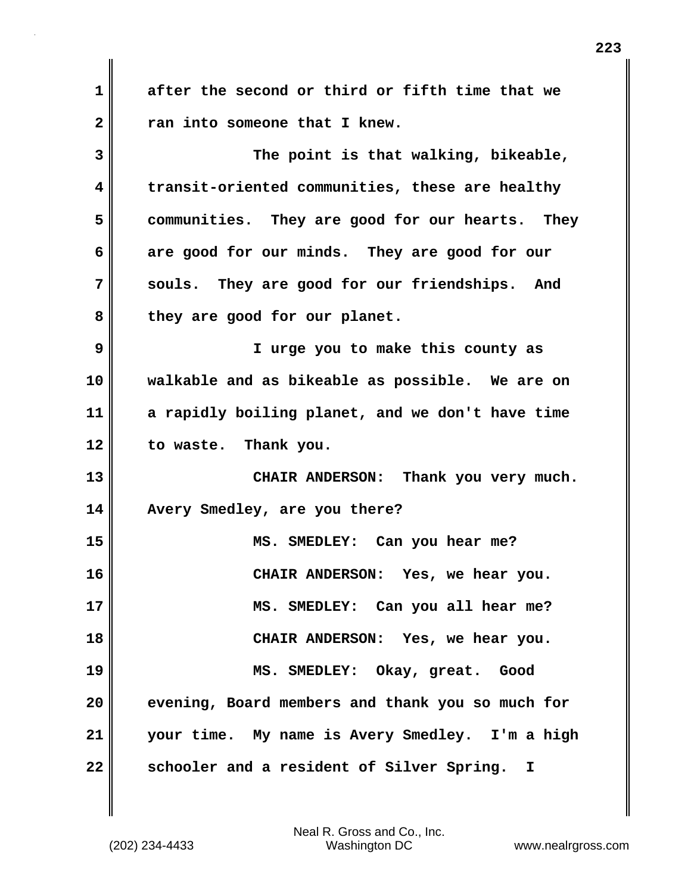**1 after the second or third or fifth time that we 2 ran into someone that I knew. 3 The point is that walking, bikeable, 4 transit-oriented communities, these are healthy 5 communities. They are good for our hearts. They 6 are good for our minds. They are good for our 7 souls. They are good for our friendships. And 8 they are good for our planet. 9 I urge you to make this county as 10 walkable and as bikeable as possible. We are on 11 a rapidly boiling planet, and we don't have time 12 to waste. Thank you. 13 CHAIR ANDERSON: Thank you very much. 14 Avery Smedley, are you there? 15 MS. SMEDLEY: Can you hear me? 16 CHAIR ANDERSON: Yes, we hear you. 17 MS. SMEDLEY: Can you all hear me? 18 CHAIR ANDERSON: Yes, we hear you. 19 MS. SMEDLEY: Okay, great. Good 20 evening, Board members and thank you so much for 21 your time. My name is Avery Smedley. I'm a high 22 schooler and a resident of Silver Spring. I**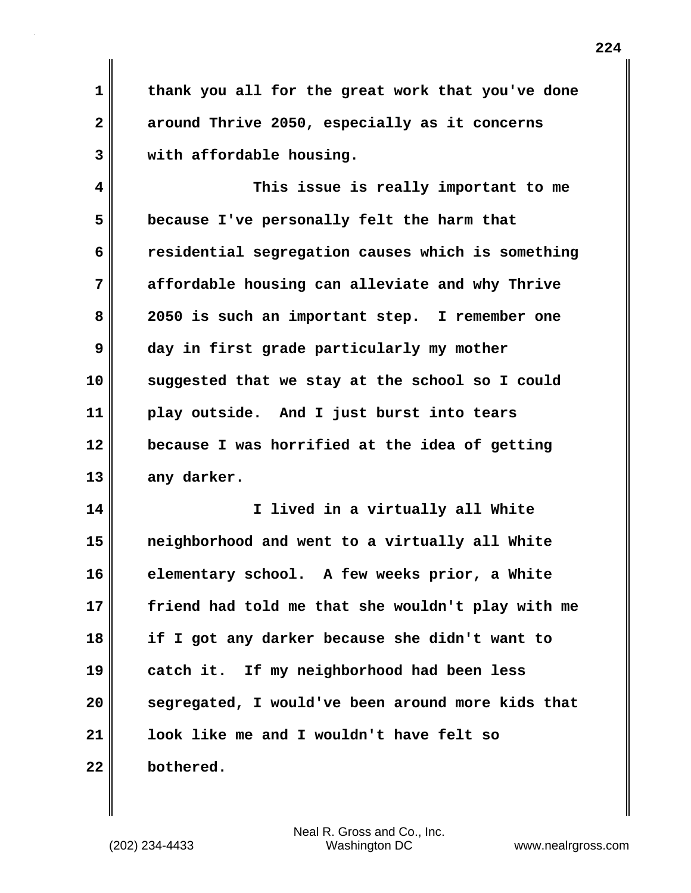**1 thank you all for the great work that you've done 2 around Thrive 2050, especially as it concerns 3 with affordable housing.**

**4 This issue is really important to me 5 because I've personally felt the harm that 6 residential segregation causes which is something 7 affordable housing can alleviate and why Thrive 8 2050 is such an important step. I remember one 9 day in first grade particularly my mother 10 suggested that we stay at the school so I could 11 play outside. And I just burst into tears 12 because I was horrified at the idea of getting 13 any darker.**

**14 I lived in a virtually all White 15 neighborhood and went to a virtually all White 16 elementary school. A few weeks prior, a White 17 friend had told me that she wouldn't play with me 18 if I got any darker because she didn't want to 19 catch it. If my neighborhood had been less 20 segregated, I would've been around more kids that 21 look like me and I wouldn't have felt so 22 bothered.**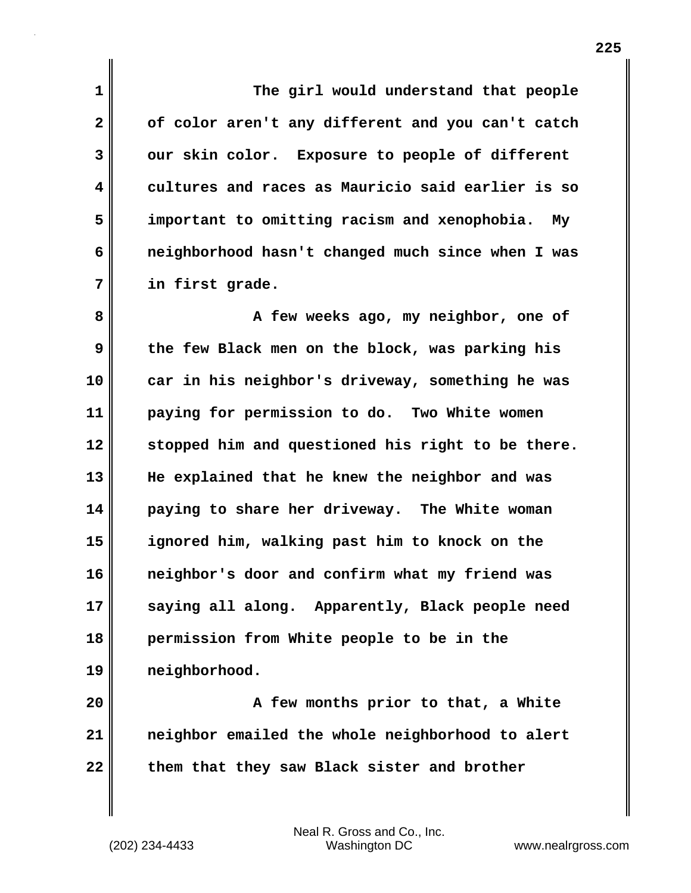**1 The girl would understand that people 2 of color aren't any different and you can't catch 3 our skin color. Exposure to people of different 4 cultures and races as Mauricio said earlier is so 5 important to omitting racism and xenophobia. My 6 neighborhood hasn't changed much since when I was 7 in first grade.**

**8 A few weeks ago, my neighbor, one of 9 the few Black men on the block, was parking his 10 car in his neighbor's driveway, something he was 11 paying for permission to do. Two White women 12 stopped him and questioned his right to be there. 13 He explained that he knew the neighbor and was 14 paying to share her driveway. The White woman 15 ignored him, walking past him to knock on the 16 neighbor's door and confirm what my friend was 17 saying all along. Apparently, Black people need 18 permission from White people to be in the 19 neighborhood.**

**20 A few months prior to that, a White 21 neighbor emailed the whole neighborhood to alert 22 them that they saw Black sister and brother**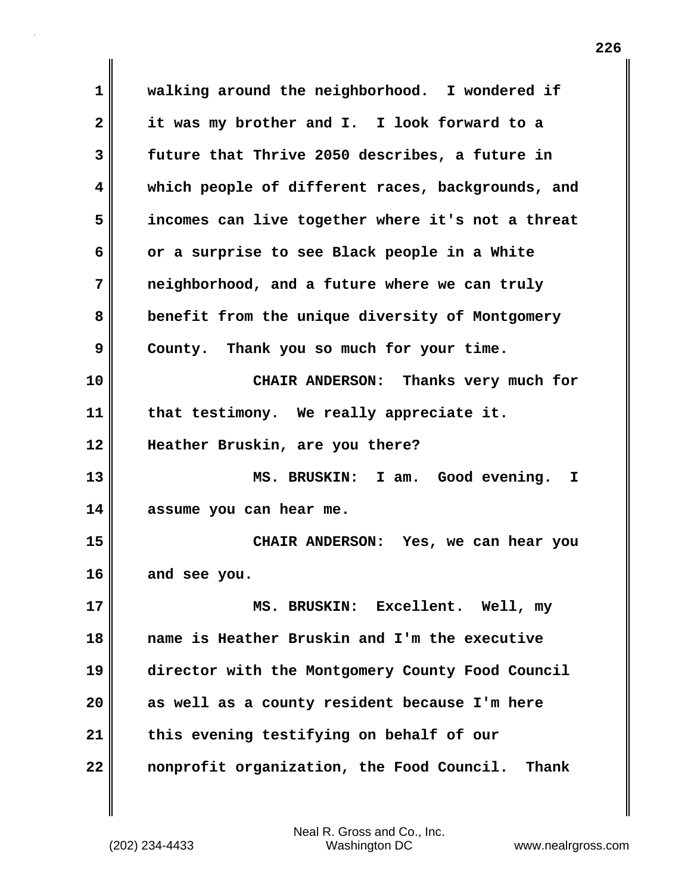**1 walking around the neighborhood. I wondered if 2 it was my brother and I. I look forward to a 3 future that Thrive 2050 describes, a future in 4 which people of different races, backgrounds, and 5 incomes can live together where it's not a threat 6 or a surprise to see Black people in a White 7 neighborhood, and a future where we can truly 8 benefit from the unique diversity of Montgomery 9 County. Thank you so much for your time. 10 CHAIR ANDERSON: Thanks very much for 11 that testimony. We really appreciate it. 12 Heather Bruskin, are you there? 13 MS. BRUSKIN: I am. Good evening. I 14 assume you can hear me. 15 CHAIR ANDERSON: Yes, we can hear you 16 and see you. 17 MS. BRUSKIN: Excellent. Well, my 18 name is Heather Bruskin and I'm the executive 19 director with the Montgomery County Food Council 20 as well as a county resident because I'm here 21 this evening testifying on behalf of our 22 nonprofit organization, the Food Council. Thank**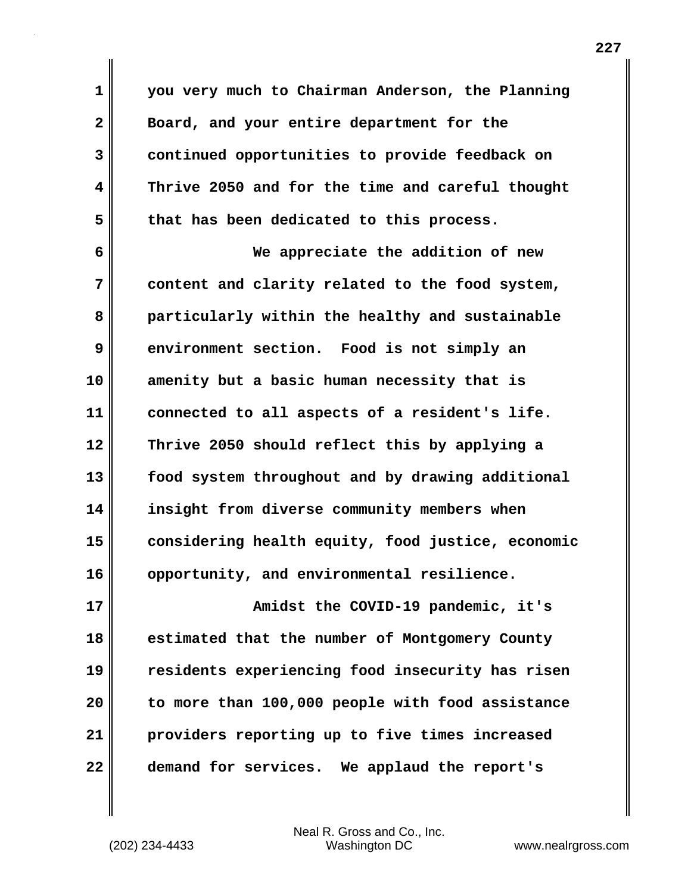**1 you very much to Chairman Anderson, the Planning 2 Board, and your entire department for the 3 continued opportunities to provide feedback on 4 Thrive 2050 and for the time and careful thought 5 that has been dedicated to this process.**

**6 We appreciate the addition of new 7 content and clarity related to the food system, 8 particularly within the healthy and sustainable 9 environment section. Food is not simply an 10 amenity but a basic human necessity that is 11 connected to all aspects of a resident's life. 12 Thrive 2050 should reflect this by applying a 13 food system throughout and by drawing additional 14 insight from diverse community members when 15 considering health equity, food justice, economic 16 opportunity, and environmental resilience.**

**17 Amidst the COVID-19 pandemic, it's 18 estimated that the number of Montgomery County 19 residents experiencing food insecurity has risen 20 to more than 100,000 people with food assistance 21 providers reporting up to five times increased 22 demand for services. We applaud the report's**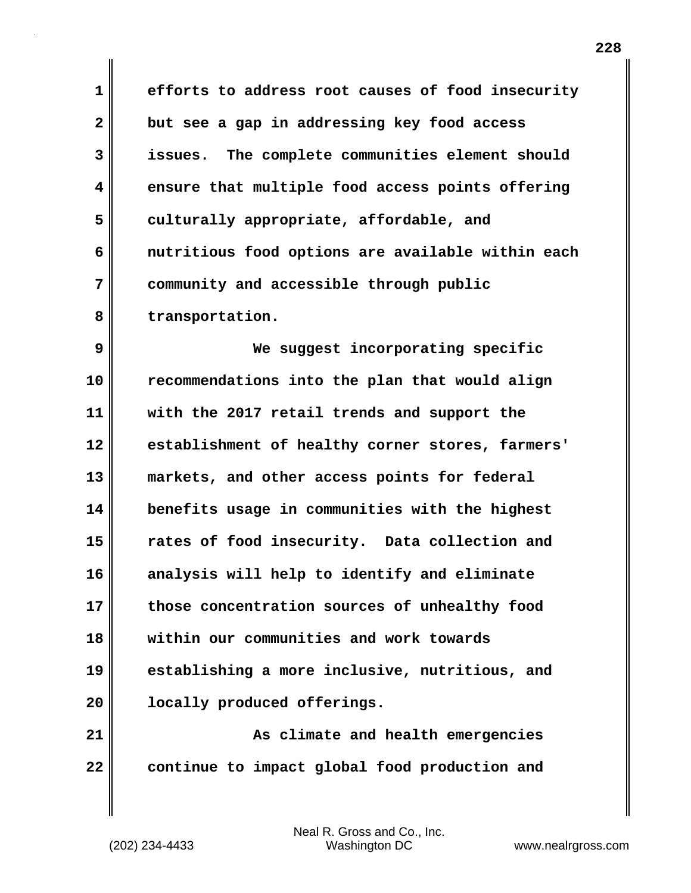**1 efforts to address root causes of food insecurity 2 but see a gap in addressing key food access 3 issues. The complete communities element should 4 ensure that multiple food access points offering 5 culturally appropriate, affordable, and 6 nutritious food options are available within each 7 community and accessible through public 8 transportation.**

**9 We suggest incorporating specific 10 recommendations into the plan that would align 11 with the 2017 retail trends and support the 12 establishment of healthy corner stores, farmers' 13 markets, and other access points for federal 14 benefits usage in communities with the highest 15 rates of food insecurity. Data collection and 16 analysis will help to identify and eliminate 17 those concentration sources of unhealthy food 18 within our communities and work towards 19 establishing a more inclusive, nutritious, and 20 locally produced offerings.**

**21 As climate and health emergencies 22 continue to impact global food production and**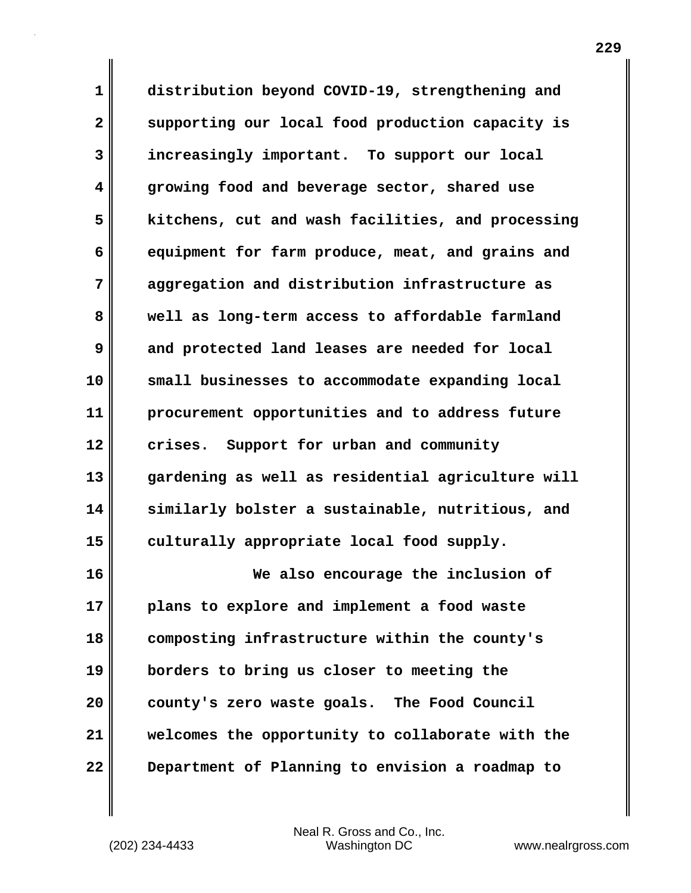**1 distribution beyond COVID-19, strengthening and 2 supporting our local food production capacity is 3 increasingly important. To support our local 4 growing food and beverage sector, shared use 5 kitchens, cut and wash facilities, and processing 6 equipment for farm produce, meat, and grains and 7 aggregation and distribution infrastructure as 8 well as long-term access to affordable farmland 9 and protected land leases are needed for local 10 small businesses to accommodate expanding local 11 procurement opportunities and to address future 12 crises. Support for urban and community 13 gardening as well as residential agriculture will 14 similarly bolster a sustainable, nutritious, and 15 culturally appropriate local food supply.**

**16 We also encourage the inclusion of 17 plans to explore and implement a food waste 18 composting infrastructure within the county's 19 borders to bring us closer to meeting the 20 county's zero waste goals. The Food Council 21 welcomes the opportunity to collaborate with the 22 Department of Planning to envision a roadmap to**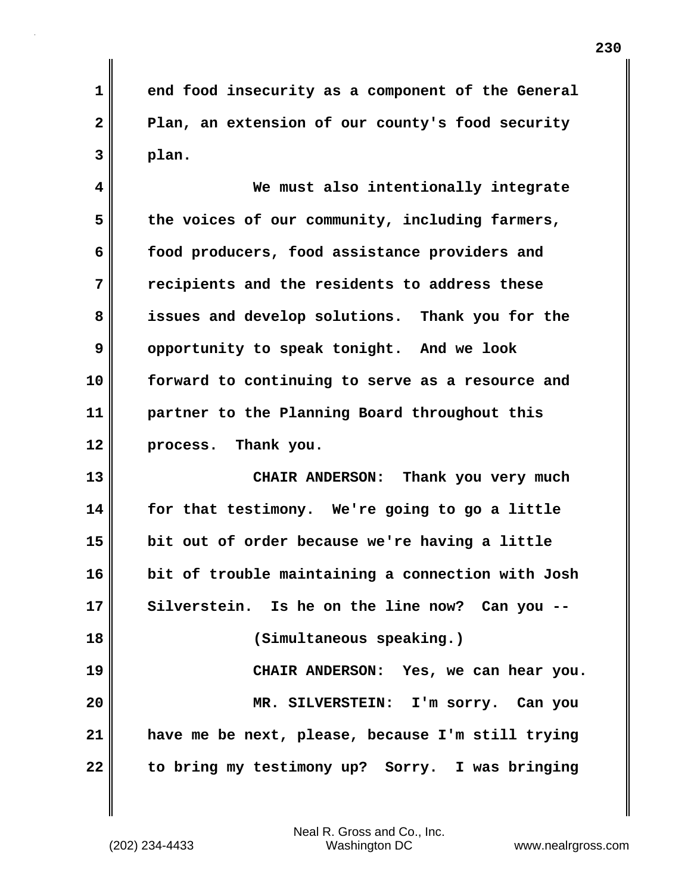**1 end food insecurity as a component of the General 2 Plan, an extension of our county's food security 3 plan.**

**4 We must also intentionally integrate** 5 the voices of our community, including farmers, **6 food producers, food assistance providers and 7 recipients and the residents to address these 8 issues and develop solutions. Thank you for the 9 opportunity to speak tonight. And we look 10 forward to continuing to serve as a resource and 11 partner to the Planning Board throughout this 12 process. Thank you.**

**13 CHAIR ANDERSON: Thank you very much 14 for that testimony. We're going to go a little 15 bit out of order because we're having a little 16 bit of trouble maintaining a connection with Josh 17 Silverstein. Is he on the line now? Can you -- 18 (Simultaneous speaking.) 19 CHAIR ANDERSON: Yes, we can hear you. 20 MR. SILVERSTEIN: I'm sorry. Can you 21 have me be next, please, because I'm still trying 22 to bring my testimony up? Sorry. I was bringing**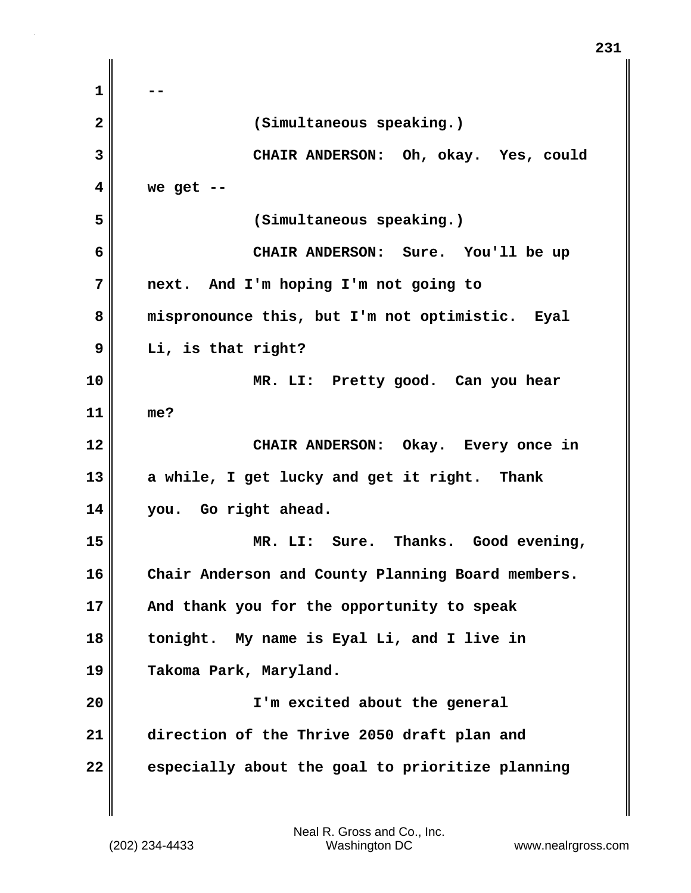**1 -- 2 (Simultaneous speaking.) 3 CHAIR ANDERSON: Oh, okay. Yes, could 4 we get -- 5 (Simultaneous speaking.) 6 CHAIR ANDERSON: Sure. You'll be up 7 next. And I'm hoping I'm not going to 8 mispronounce this, but I'm not optimistic. Eyal 9 Li, is that right? 10 MR. LI: Pretty good. Can you hear 11 me? 12 CHAIR ANDERSON: Okay. Every once in 13 a while, I get lucky and get it right. Thank 14 you. Go right ahead. 15 MR. LI: Sure. Thanks. Good evening, 16 Chair Anderson and County Planning Board members. 17 And thank you for the opportunity to speak 18 tonight. My name is Eyal Li, and I live in 19 Takoma Park, Maryland. 20 I'm excited about the general 21 direction of the Thrive 2050 draft plan and 22 especially about the goal to prioritize planning**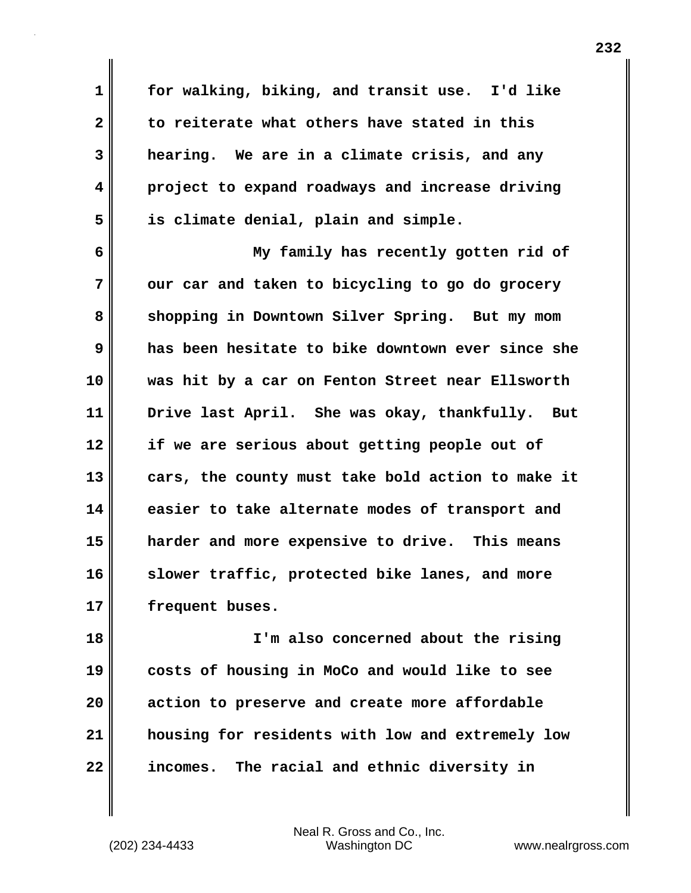**1 for walking, biking, and transit use. I'd like 2 to reiterate what others have stated in this 3 hearing. We are in a climate crisis, and any 4 project to expand roadways and increase driving 5 is climate denial, plain and simple.**

**6 My family has recently gotten rid of 7** our car and taken to bicycling to go do grocery **8 shopping in Downtown Silver Spring. But my mom 9 has been hesitate to bike downtown ever since she 10 was hit by a car on Fenton Street near Ellsworth 11 Drive last April. She was okay, thankfully. But 12 if we are serious about getting people out of 13 cars, the county must take bold action to make it 14 easier to take alternate modes of transport and 15 harder and more expensive to drive. This means 16 slower traffic, protected bike lanes, and more 17 frequent buses.**

**18 I'm also concerned about the rising 19 costs of housing in MoCo and would like to see 20 action to preserve and create more affordable 21 housing for residents with low and extremely low 22 incomes. The racial and ethnic diversity in**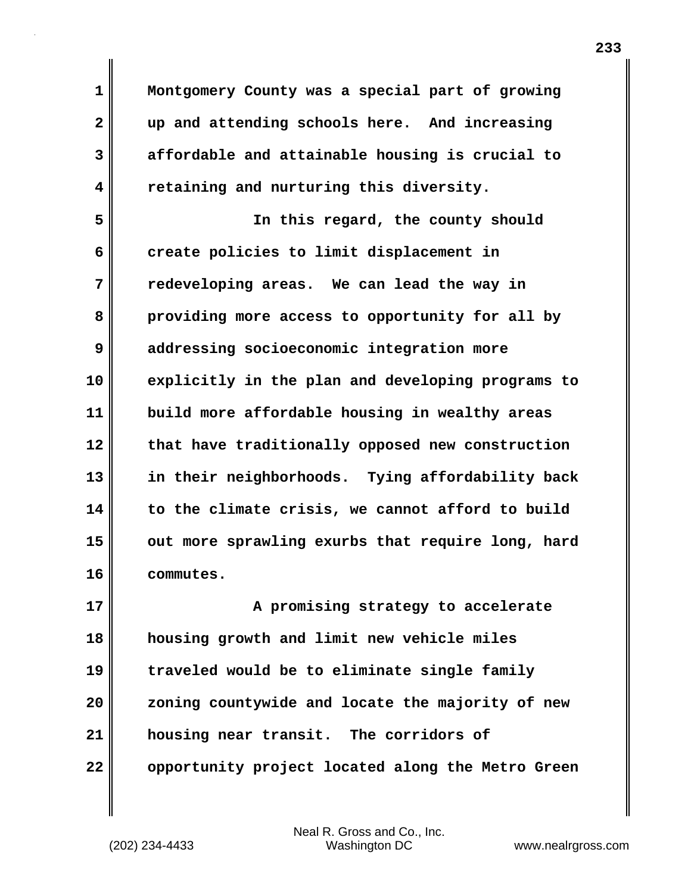**1 Montgomery County was a special part of growing 2 up and attending schools here. And increasing 3 affordable and attainable housing is crucial to 4 retaining and nurturing this diversity.**

**5 In this regard, the county should 6** create policies to limit displacement in **7 redeveloping areas. We can lead the way in 8 providing more access to opportunity for all by 9 addressing socioeconomic integration more 10 explicitly in the plan and developing programs to 11 build more affordable housing in wealthy areas 12 that have traditionally opposed new construction 13 in their neighborhoods. Tying affordability back 14 to the climate crisis, we cannot afford to build 15 out more sprawling exurbs that require long, hard 16 commutes.**

**17 A** promising strategy to accelerate **18 housing growth and limit new vehicle miles 19 traveled would be to eliminate single family 20 zoning countywide and locate the majority of new 21 housing near transit. The corridors of 22 opportunity project located along the Metro Green**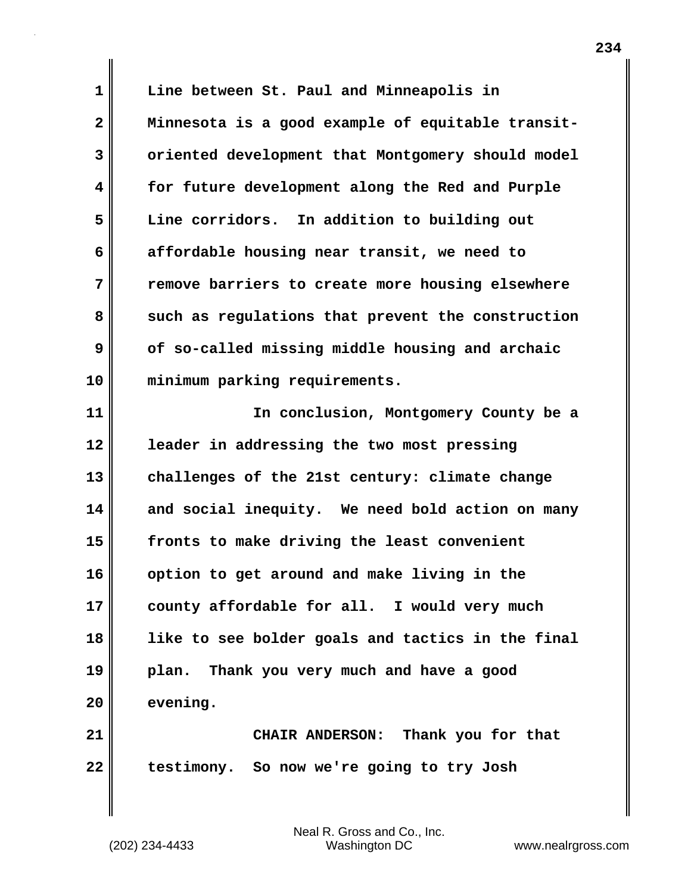**1 Line between St. Paul and Minneapolis in 2 Minnesota is a good example of equitable transit-3 oriented development that Montgomery should model 4 for future development along the Red and Purple 5 Line corridors. In addition to building out 6 affordable housing near transit, we need to 7 remove barriers to create more housing elsewhere 8** such as regulations that prevent the construction **9 of so-called missing middle housing and archaic 10 minimum parking requirements.**

**11 In conclusion, Montgomery County be a 12 leader in addressing the two most pressing 13 challenges of the 21st century: climate change 14 and social inequity. We need bold action on many 15 fronts to make driving the least convenient 16 option to get around and make living in the 17 county affordable for all. I would very much 18 like to see bolder goals and tactics in the final 19 plan. Thank you very much and have a good 20 evening.**

**21 CHAIR ANDERSON: Thank you for that 22 testimony. So now we're going to try Josh**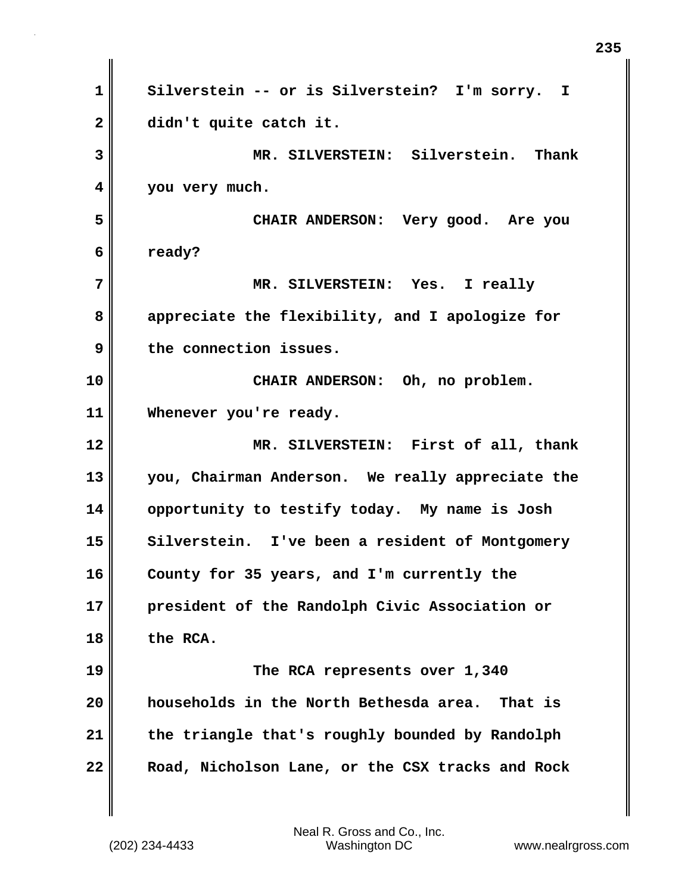| $\mathbf 1$  | Silverstein -- or is Silverstein? I'm sorry. I    |
|--------------|---------------------------------------------------|
| $\mathbf{2}$ | didn't quite catch it.                            |
| 3            | MR. SILVERSTEIN: Silverstein. Thank               |
| 4            | you very much.                                    |
| 5            | CHAIR ANDERSON: Very good. Are you                |
| 6            | ready?                                            |
| 7            | MR. SILVERSTEIN: Yes. I really                    |
| 8            | appreciate the flexibility, and I apologize for   |
| 9            | the connection issues.                            |
| 10           | CHAIR ANDERSON: Oh, no problem.                   |
| 11           | Whenever you're ready.                            |
|              |                                                   |
|              | MR. SILVERSTEIN: First of all, thank              |
| 12<br>13     | you, Chairman Anderson. We really appreciate the  |
| 14           | opportunity to testify today. My name is Josh     |
| 15           | Silverstein. I've been a resident of Montgomery   |
| 16           | County for 35 years, and I'm currently the        |
| 17           | president of the Randolph Civic Association or    |
| 18           | the RCA.                                          |
| 19           | The RCA represents over 1,340                     |
| 20           | households in the North Bethesda area.<br>That is |
| 21           | the triangle that's roughly bounded by Randolph   |

 $\mathbf{I}$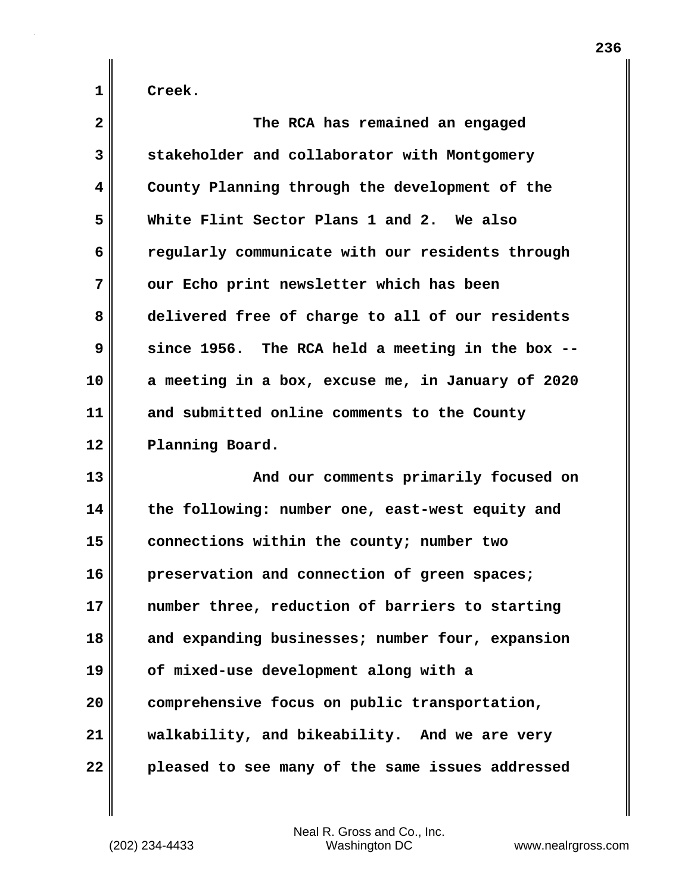| $\overline{\mathbf{2}}$ | The RCA has remained an engaged                   |
|-------------------------|---------------------------------------------------|
| 3                       | stakeholder and collaborator with Montgomery      |
| 4                       | County Planning through the development of the    |
| 5                       | White Flint Sector Plans 1 and 2. We also         |
| 6                       | regularly communicate with our residents through  |
| 7                       | our Echo print newsletter which has been          |
| 8                       | delivered free of charge to all of our residents  |
| 9                       | since 1956. The RCA held a meeting in the box --  |
| 10                      | a meeting in a box, excuse me, in January of 2020 |
| 11                      | and submitted online comments to the County       |
| 12                      | Planning Board.                                   |
| 13                      | And our comments primarily focused on             |
| 14                      | the following: number one, east-west equity and   |
| 15                      | connections within the county; number two         |
| 16                      | preservation and connection of green spaces;      |
| 17                      | number three, reduction of barriers to starting   |
| 18                      | and expanding businesses; number four, expansion  |
| 19                      | of mixed-use development along with a             |
| 20                      | comprehensive focus on public transportation,     |
| 21                      | walkability, and bikeability. And we are very     |
| 22                      | pleased to see many of the same issues addressed  |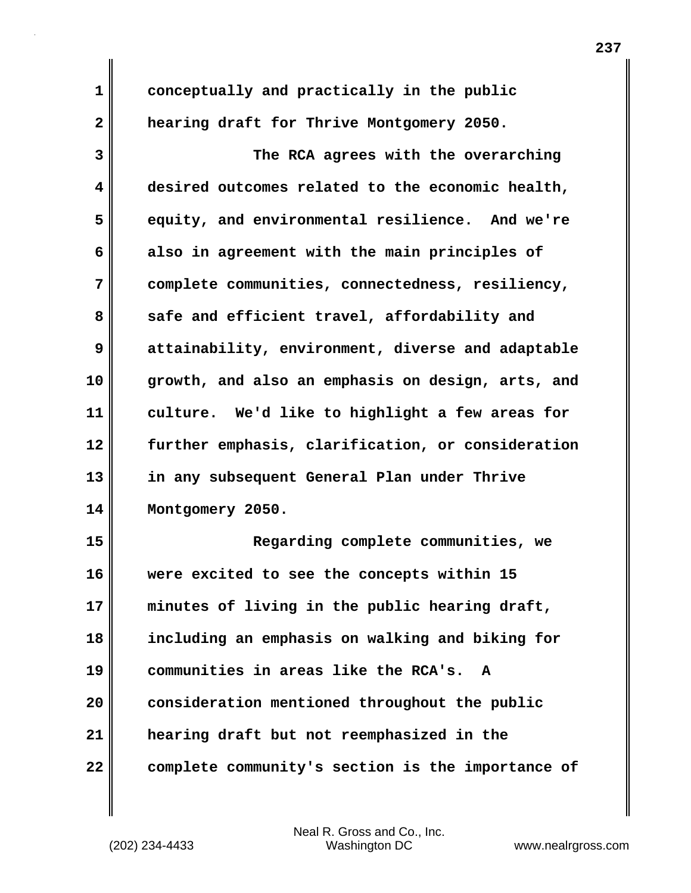| 1            | conceptually and practically in the public        |
|--------------|---------------------------------------------------|
| $\mathbf{2}$ | hearing draft for Thrive Montgomery 2050.         |
| 3            | The RCA agrees with the overarching               |
| 4            | desired outcomes related to the economic health,  |
| 5            | equity, and environmental resilience. And we're   |
| 6            | also in agreement with the main principles of     |
| 7            | complete communities, connectedness, resiliency,  |
| 8            | safe and efficient travel, affordability and      |
| 9            | attainability, environment, diverse and adaptable |
| 10           | growth, and also an emphasis on design, arts, and |
| 11           | culture. We'd like to highlight a few areas for   |
| 12           | further emphasis, clarification, or consideration |
| 13           | in any subsequent General Plan under Thrive       |
| 14           | Montgomery 2050.                                  |
| 15           | Regarding complete communities, we                |
| 16           | were excited to see the concepts within 15        |
| 17           | minutes of living in the public hearing draft,    |
| 18           | including an emphasis on walking and biking for   |
| 19           | communities in areas like the RCA's.<br>A         |
| 20           | consideration mentioned throughout the public     |
| 21           | hearing draft but not reemphasized in the         |
| 22           | complete community's section is the importance of |

 $\mathbf{I}$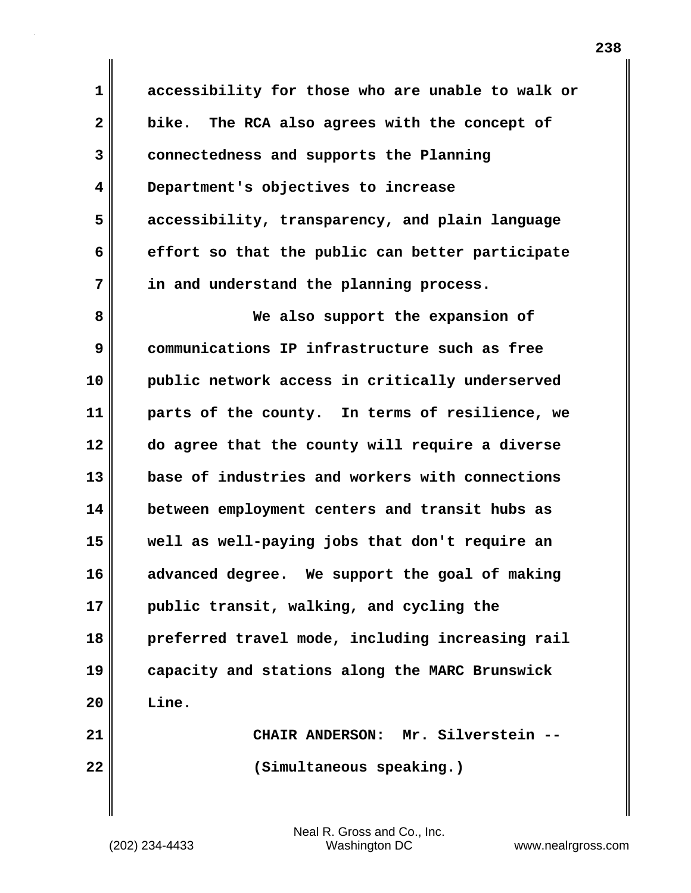**1 accessibility for those who are unable to walk or 2 bike. The RCA also agrees with the concept of 3 connectedness and supports the Planning 4 Department's objectives to increase 5 accessibility, transparency, and plain language 6 effort so that the public can better participate 7 in and understand the planning process.**

**8 We also support the expansion of 9 communications IP infrastructure such as free 10 public network access in critically underserved 11 parts of the county. In terms of resilience, we 12 do agree that the county will require a diverse 13 base of industries and workers with connections 14 between employment centers and transit hubs as 15 well as well-paying jobs that don't require an 16 advanced degree. We support the goal of making 17 public transit, walking, and cycling the 18 preferred travel mode, including increasing rail 19 capacity and stations along the MARC Brunswick 20 Line. 21 CHAIR ANDERSON: Mr. Silverstein --**

**22 (Simultaneous speaking.)**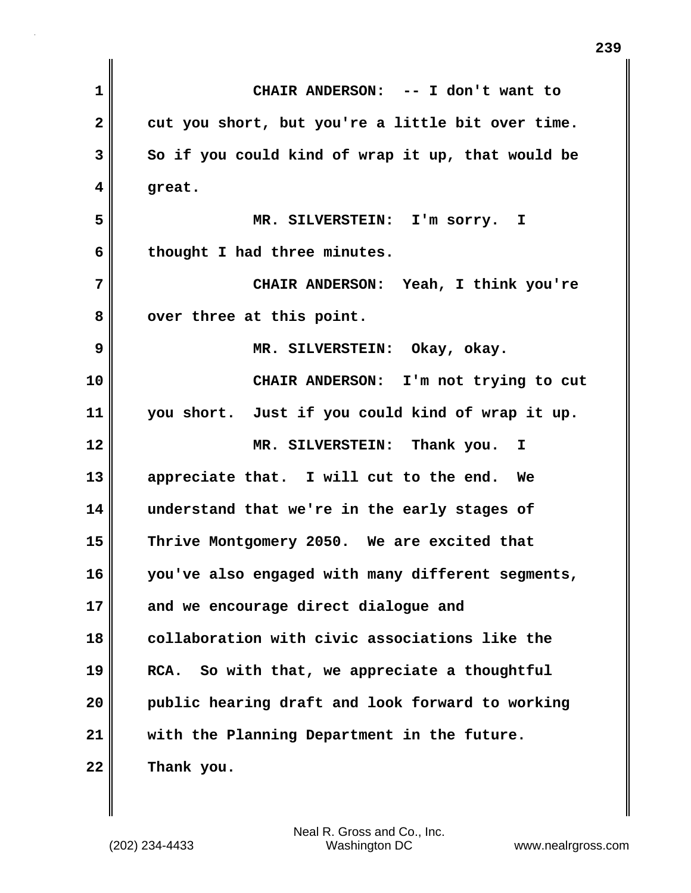| CHAIR ANDERSON: -- I don't want to                |
|---------------------------------------------------|
| cut you short, but you're a little bit over time. |
| So if you could kind of wrap it up, that would be |
| great.                                            |
| MR. SILVERSTEIN: I'm sorry. I                     |
| thought I had three minutes.                      |
| CHAIR ANDERSON: Yeah, I think you're              |
| over three at this point.                         |
| MR. SILVERSTEIN: Okay, okay.                      |
| CHAIR ANDERSON: I'm not trying to cut             |
| you short. Just if you could kind of wrap it up.  |
| MR. SILVERSTEIN: Thank you.<br>I.                 |
| appreciate that. I will cut to the end. We        |
| understand that we're in the early stages of      |
| Thrive Montgomery 2050. We are excited that       |
| you've also engaged with many different segments, |
| and we encourage direct dialogue and              |
| collaboration with civic associations like the    |
| So with that, we appreciate a thoughtful<br>RCA.  |
| public hearing draft and look forward to working  |
| with the Planning Department in the future.       |
| Thank you.                                        |
|                                                   |

**239**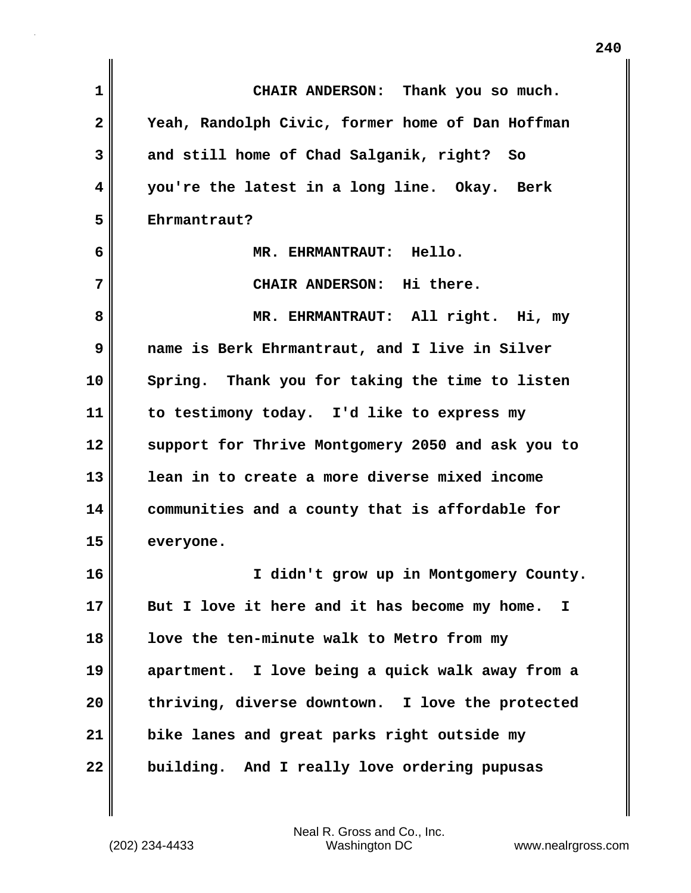| $\mathbf{1}$ | CHAIR ANDERSON: Thank you so much.                  |
|--------------|-----------------------------------------------------|
| 2            | Yeah, Randolph Civic, former home of Dan Hoffman    |
| 3            | and still home of Chad Salganik, right? So          |
| 4            | you're the latest in a long line. Okay. Berk        |
| 5            | Ehrmantraut?                                        |
| 6            | MR. EHRMANTRAUT: Hello.                             |
| 7            | CHAIR ANDERSON: Hi there.                           |
| 8            | MR. EHRMANTRAUT: All right. Hi, my                  |
| 9            | name is Berk Ehrmantraut, and I live in Silver      |
| 10           | Spring. Thank you for taking the time to listen     |
| 11           | to testimony today. I'd like to express my          |
| 12           | support for Thrive Montgomery 2050 and ask you to   |
| 13           | lean in to create a more diverse mixed income       |
| 14           | communities and a county that is affordable for     |
| 15           | everyone.                                           |
| 16           | I didn't grow up in Montgomery County.              |
| 17           | But I love it here and it has become my home.<br>I. |
| 18           | love the ten-minute walk to Metro from my           |
| 19           | apartment. I love being a quick walk away from a    |
| 20           | thriving, diverse downtown. I love the protected    |
| 21           | bike lanes and great parks right outside my         |
| 22           | building. And I really love ordering pupusas        |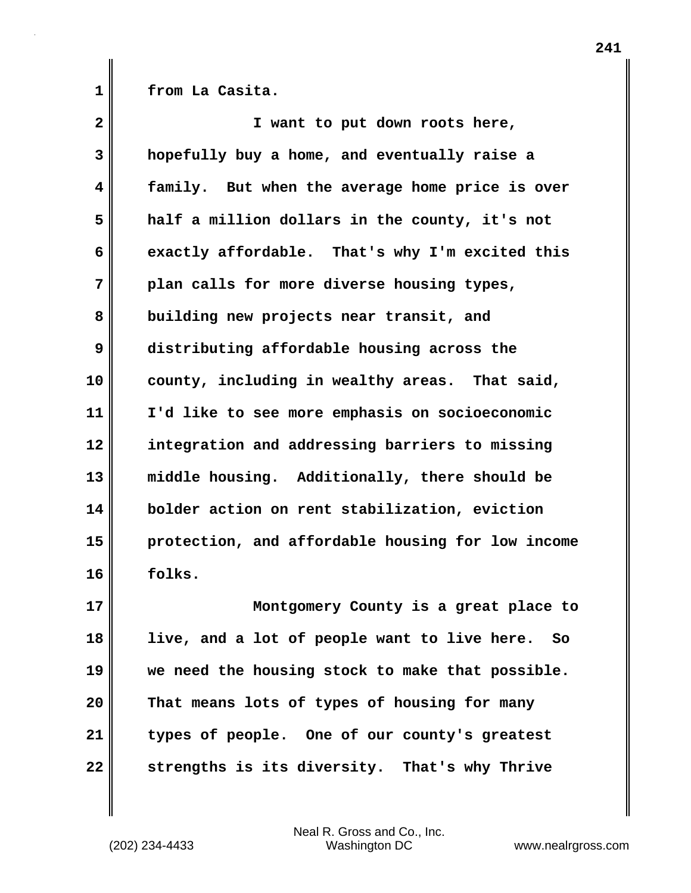**1 from La Casita.**

| $\mathbf{2}$ | I want to put down roots here,                    |
|--------------|---------------------------------------------------|
| 3            | hopefully buy a home, and eventually raise a      |
| 4            | family. But when the average home price is over   |
| 5            | half a million dollars in the county, it's not    |
| 6            | exactly affordable. That's why I'm excited this   |
| 7            | plan calls for more diverse housing types,        |
| 8            | building new projects near transit, and           |
| 9            | distributing affordable housing across the        |
| 10           | county, including in wealthy areas. That said,    |
| 11           | I'd like to see more emphasis on socioeconomic    |
| 12           | integration and addressing barriers to missing    |
| 13           | middle housing. Additionally, there should be     |
| 14           | bolder action on rent stabilization, eviction     |
| 15           | protection, and affordable housing for low income |
| 16           | folks.                                            |
| 17           | Montgomery County is a great place to             |
| 18           | live, and a lot of people want to live here. So   |
| 19           | we need the housing stock to make that possible.  |
| 20           | That means lots of types of housing for many      |
| 21           | types of people. One of our county's greatest     |
| 22           | strengths is its diversity. That's why Thrive     |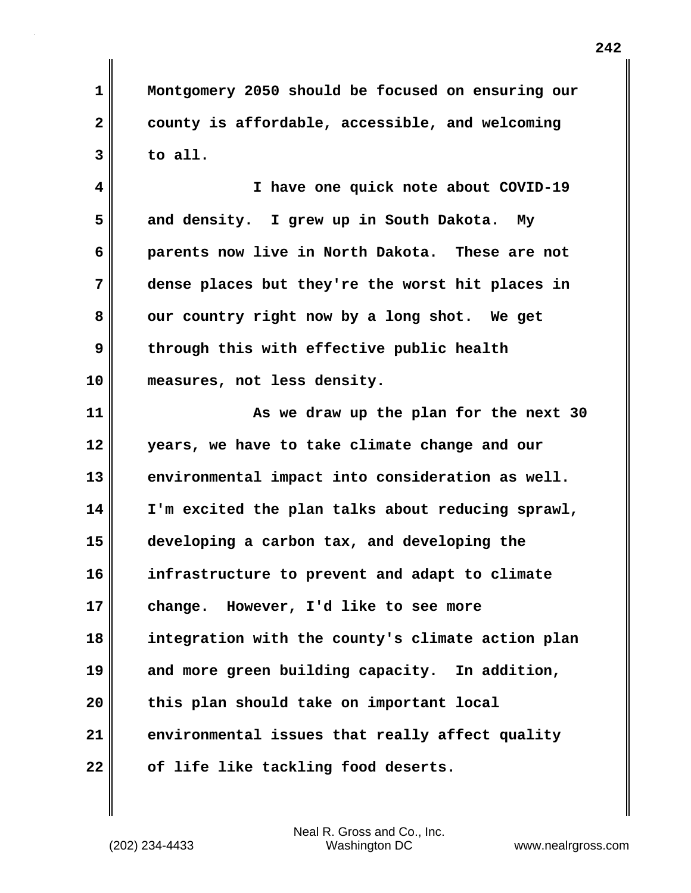**1 Montgomery 2050 should be focused on ensuring our 2 county is affordable, accessible, and welcoming 3 to all.**

**4 I have one quick note about COVID-19 5 and density. I grew up in South Dakota. My 6 parents now live in North Dakota. These are not 7 dense places but they're the worst hit places in 8 our country right now by a long shot. We get 9** through this with effective public health **10 measures, not less density.**

**11 As we draw up the plan for the next 30 12 years, we have to take climate change and our 13 environmental impact into consideration as well. 14 I'm excited the plan talks about reducing sprawl, 15 developing a carbon tax, and developing the 16 infrastructure to prevent and adapt to climate 17 change. However, I'd like to see more 18 integration with the county's climate action plan 19 and more green building capacity. In addition, 20 this plan should take on important local 21 environmental issues that really affect quality 22 of life like tackling food deserts.**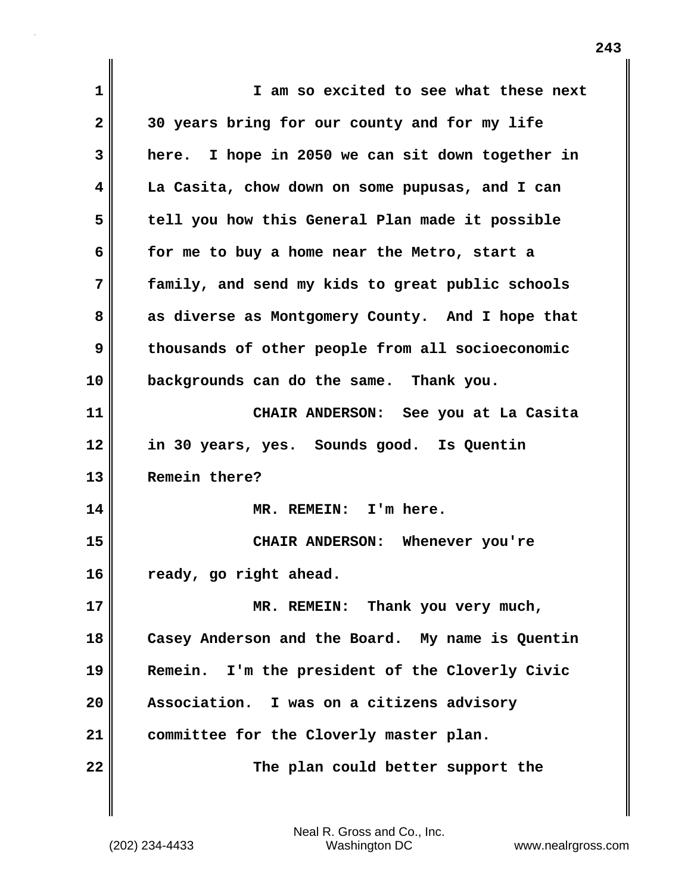| 1            | I am so excited to see what these next           |
|--------------|--------------------------------------------------|
| $\mathbf{2}$ | 30 years bring for our county and for my life    |
| 3            | here. I hope in 2050 we can sit down together in |
| 4            | La Casita, chow down on some pupusas, and I can  |
| 5            | tell you how this General Plan made it possible  |
| 6            | for me to buy a home near the Metro, start a     |
| 7            | family, and send my kids to great public schools |
| 8            | as diverse as Montgomery County. And I hope that |
| 9            | thousands of other people from all socioeconomic |
| 10           | backgrounds can do the same. Thank you.          |
| 11           | CHAIR ANDERSON: See you at La Casita             |
| 12           | in 30 years, yes. Sounds good. Is Quentin        |
| 13           | Remein there?                                    |
| 14           | MR. REMEIN: I'm here.                            |
| 15           | CHAIR ANDERSON: Whenever you're                  |
| 16           | ready, go right ahead.                           |
| 17           | MR. REMEIN: Thank you very much,                 |
| 18           | Casey Anderson and the Board. My name is Quentin |
| 19           | Remein. I'm the president of the Cloverly Civic  |
| 20           | Association. I was on a citizens advisory        |
| 21           | committee for the Cloverly master plan.          |
| 22           | The plan could better support the                |
|              |                                                  |

 $\mathbf{I}$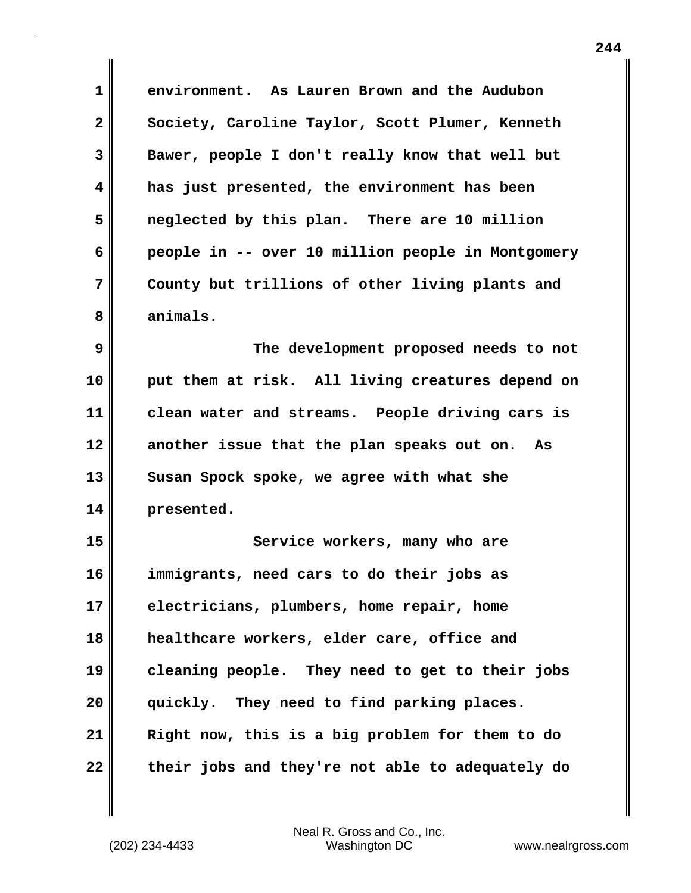**1 environment. As Lauren Brown and the Audubon** 2 Society, Caroline Taylor, Scott Plumer, Kenneth **3 Bawer, people I don't really know that well but 4 has just presented, the environment has been 5 neglected by this plan. There are 10 million 6 people in -- over 10 million people in Montgomery 7 County but trillions of other living plants and 8 animals.**

**9 The development proposed needs to not 10 put them at risk. All living creatures depend on 11 clean water and streams. People driving cars is 12 another issue that the plan speaks out on. As 13 Susan Spock spoke, we agree with what she 14 presented.**

**15 Service workers, many who are 16 immigrants, need cars to do their jobs as 17 electricians, plumbers, home repair, home 18 healthcare workers, elder care, office and 19 cleaning people. They need to get to their jobs 20 quickly. They need to find parking places. 21 Right now, this is a big problem for them to do 22 their jobs and they're not able to adequately do**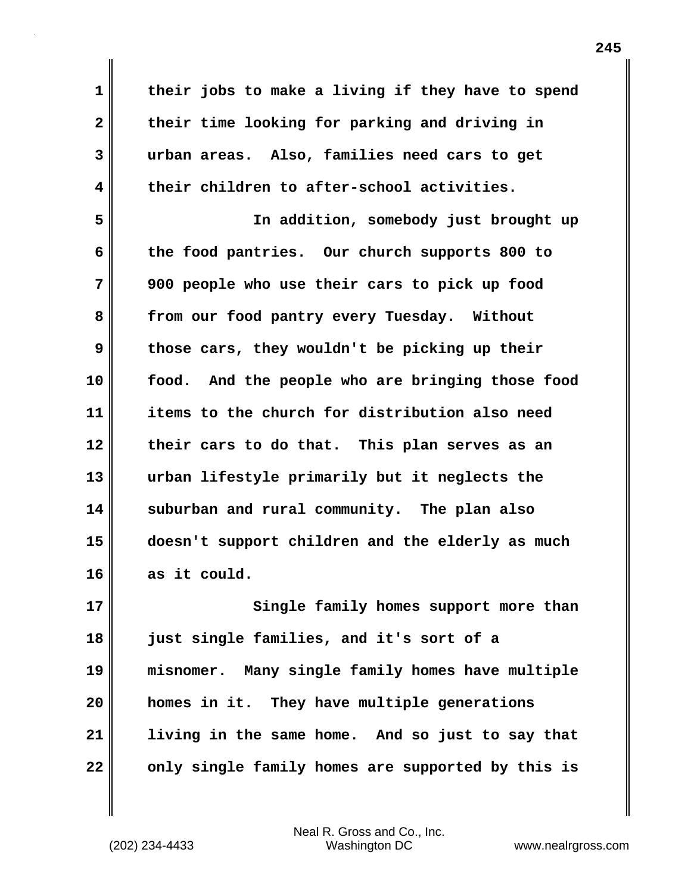**1 their jobs to make a living if they have to spend 2 their time looking for parking and driving in 3 urban areas. Also, families need cars to get 4 their children to after-school activities. 5 In addition, somebody just brought up 6 the food pantries. Our church supports 800 to 7 900 people who use their cars to pick up food 8 from our food pantry every Tuesday. Without 9 those cars, they wouldn't be picking up their 10 food. And the people who are bringing those food 11 items to the church for distribution also need 12 their cars to do that. This plan serves as an 13 urban lifestyle primarily but it neglects the 14 suburban and rural community. The plan also 15 doesn't support children and the elderly as much 16 as it could. 17** Single family homes support more than **18 just single families, and it's sort of a 19 misnomer. Many single family homes have multiple 20 homes in it. They have multiple generations 21 living in the same home. And so just to say that**

**22 only single family homes are supported by this is**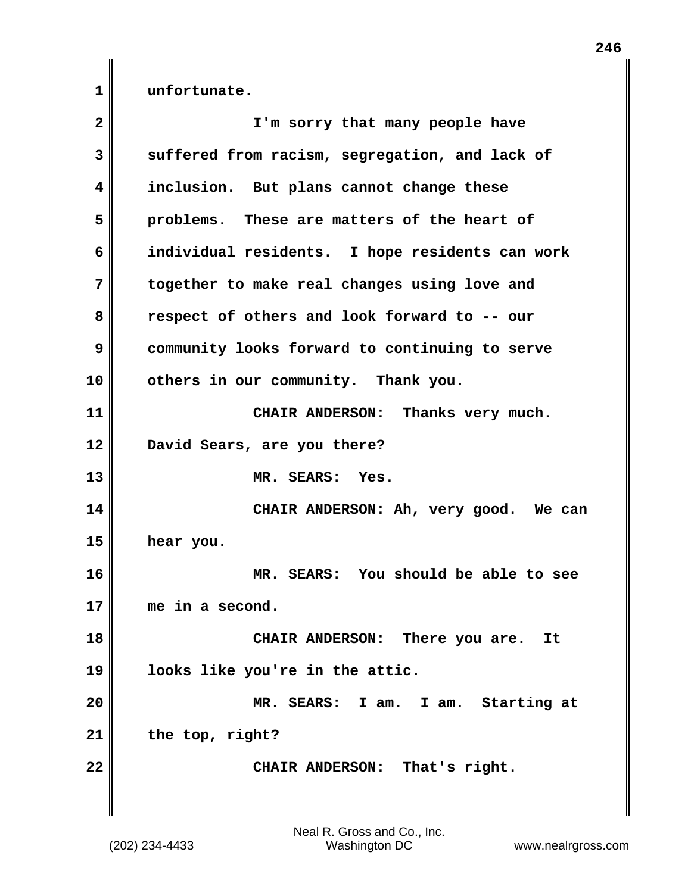**1 unfortunate.**

| $\overline{\mathbf{2}}$ | I'm sorry that many people have                 |
|-------------------------|-------------------------------------------------|
| 3                       | suffered from racism, segregation, and lack of  |
| 4                       | inclusion. But plans cannot change these        |
| 5                       | problems. These are matters of the heart of     |
| 6                       | individual residents. I hope residents can work |
| 7                       | together to make real changes using love and    |
| 8                       | respect of others and look forward to -- our    |
| 9                       | community looks forward to continuing to serve  |
| 10                      | others in our community. Thank you.             |
| 11                      | CHAIR ANDERSON: Thanks very much.               |
| 12                      | David Sears, are you there?                     |
| 13                      | MR. SEARS: Yes.                                 |
| 14                      | CHAIR ANDERSON: Ah, very good. We can           |
| 15                      | hear you.                                       |
| 16                      | MR. SEARS: You should be able to see            |
| 17                      | me in a second.                                 |
| 18                      | CHAIR ANDERSON: There you are.<br>It            |
| 19                      | looks like you're in the attic.                 |
| 20                      | MR. SEARS: I am. I am. Starting at              |
| 21                      | the top, right?                                 |
| 22                      | CHAIR ANDERSON: That's right.                   |
|                         |                                                 |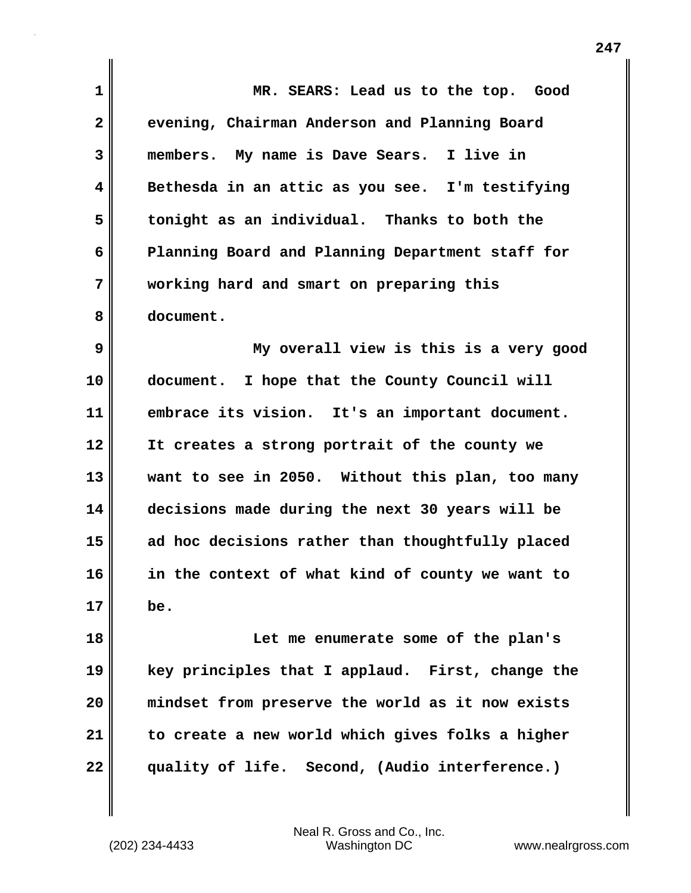| 1            | MR. SEARS: Lead us to the top. Good              |
|--------------|--------------------------------------------------|
| $\mathbf{2}$ | evening, Chairman Anderson and Planning Board    |
| 3            | members. My name is Dave Sears. I live in        |
| 4            | Bethesda in an attic as you see. I'm testifying  |
| 5            | tonight as an individual. Thanks to both the     |
| 6            | Planning Board and Planning Department staff for |
| 7            | working hard and smart on preparing this         |
| 8            | document.                                        |
| 9            | My overall view is this is a very good           |
| 10           | document. I hope that the County Council will    |
| 11           | embrace its vision. It's an important document.  |
| 12           | It creates a strong portrait of the county we    |
| 13           | want to see in 2050. Without this plan, too many |
| 14           | decisions made during the next 30 years will be  |
| 15           | ad hoc decisions rather than thoughtfully placed |
| 16           | in the context of what kind of county we want to |
| 17           | be.                                              |
| 18           | Let me enumerate some of the plan's              |
| 19           | key principles that I applaud. First, change the |
| 20           | mindset from preserve the world as it now exists |
| 21           | to create a new world which gives folks a higher |
| 22           | quality of life. Second, (Audio interference.)   |
|              |                                                  |

 $\mathbf{I}$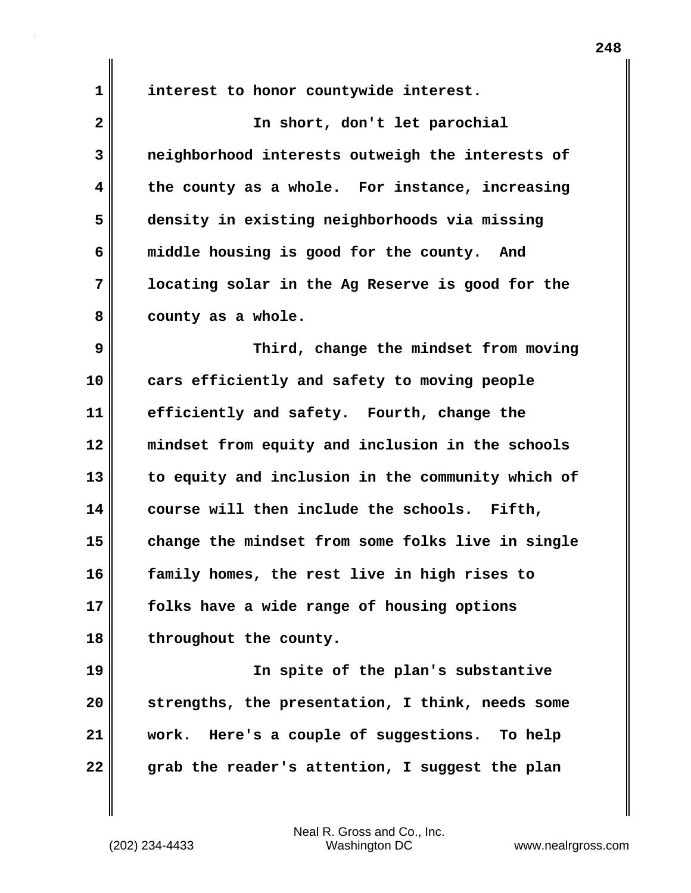**1 interest to honor countywide interest.**

| $\overline{\mathbf{2}}$ | In short, don't let parochial                     |
|-------------------------|---------------------------------------------------|
| 3                       | neighborhood interests outweigh the interests of  |
| 4                       | the county as a whole. For instance, increasing   |
| 5                       | density in existing neighborhoods via missing     |
| 6                       | middle housing is good for the county. And        |
| 7                       | locating solar in the Ag Reserve is good for the  |
| 8                       | county as a whole.                                |
| 9                       | Third, change the mindset from moving             |
| 10                      | cars efficiently and safety to moving people      |
| 11                      | efficiently and safety. Fourth, change the        |
| 12                      | mindset from equity and inclusion in the schools  |
| 13                      | to equity and inclusion in the community which of |
| 14                      | course will then include the schools. Fifth,      |
| 15                      | change the mindset from some folks live in single |
| 16                      | family homes, the rest live in high rises to      |
| 17                      | folks have a wide range of housing options        |
| 18                      | throughout the county.                            |
| 19                      | In spite of the plan's substantive                |
| 20                      | strengths, the presentation, I think, needs some  |
| 21                      | work. Here's a couple of suggestions. To help     |
| 22                      | grab the reader's attention, I suggest the plan   |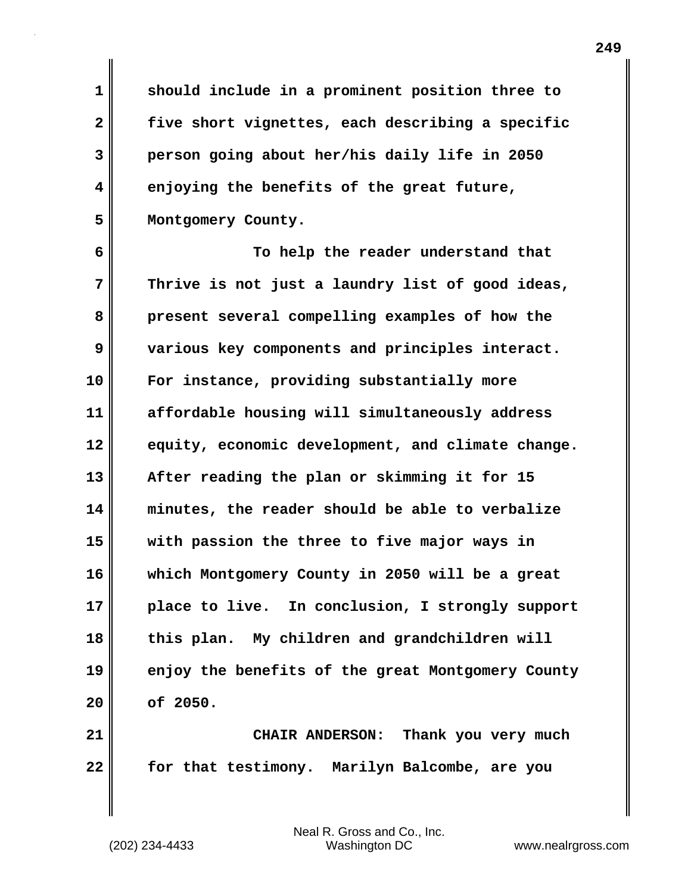**1 should include in a prominent position three to 2 five short vignettes, each describing a specific 3 person going about her/his daily life in 2050 4 enjoying the benefits of the great future, 5 Montgomery County.**

**6 To help the reader understand that 7 Thrive is not just a laundry list of good ideas, 8 present several compelling examples of how the 9 various key components and principles interact. 10 For instance, providing substantially more 11 affordable housing will simultaneously address 12 equity, economic development, and climate change. 13 After reading the plan or skimming it for 15 14 minutes, the reader should be able to verbalize 15 with passion the three to five major ways in 16 which Montgomery County in 2050 will be a great 17 place to live. In conclusion, I strongly support 18 this plan. My children and grandchildren will 19 enjoy the benefits of the great Montgomery County 20 of 2050.**

**21 CHAIR ANDERSON: Thank you very much 22 for that testimony. Marilyn Balcombe, are you**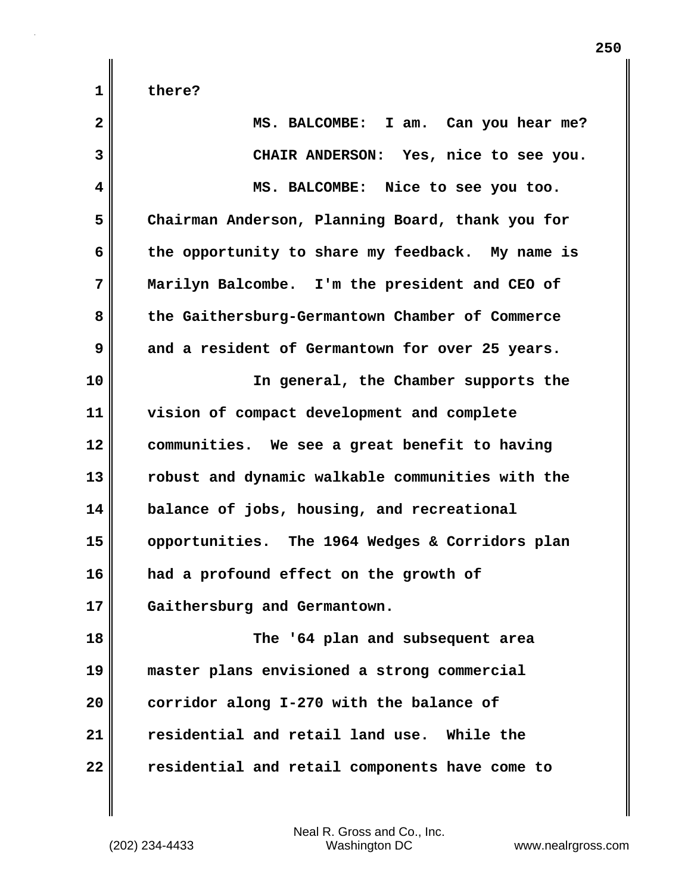| $\mathbf{2}$ | MS. BALCOMBE: I am. Can you hear me?             |
|--------------|--------------------------------------------------|
| 3            | CHAIR ANDERSON: Yes, nice to see you.            |
| 4            | MS. BALCOMBE: Nice to see you too.               |
| 5            | Chairman Anderson, Planning Board, thank you for |
| 6            | the opportunity to share my feedback. My name is |
| 7            | Marilyn Balcombe. I'm the president and CEO of   |
| 8            | the Gaithersburg-Germantown Chamber of Commerce  |
| 9            | and a resident of Germantown for over 25 years.  |
| 10           | In general, the Chamber supports the             |
| 11           | vision of compact development and complete       |
| 12           | communities. We see a great benefit to having    |
| 13           | robust and dynamic walkable communities with the |
| 14           | balance of jobs, housing, and recreational       |
| 15           | opportunities. The 1964 Wedges & Corridors plan  |
| 16           | had a profound effect on the growth of           |
| 17           | Gaithersburg and Germantown.                     |
| 18           | The '64 plan and subsequent area                 |
| 19           | master plans envisioned a strong commercial      |
| 20           | corridor along I-270 with the balance of         |
| 21           | residential and retail land use. While the       |
| 22           | residential and retail components have come to   |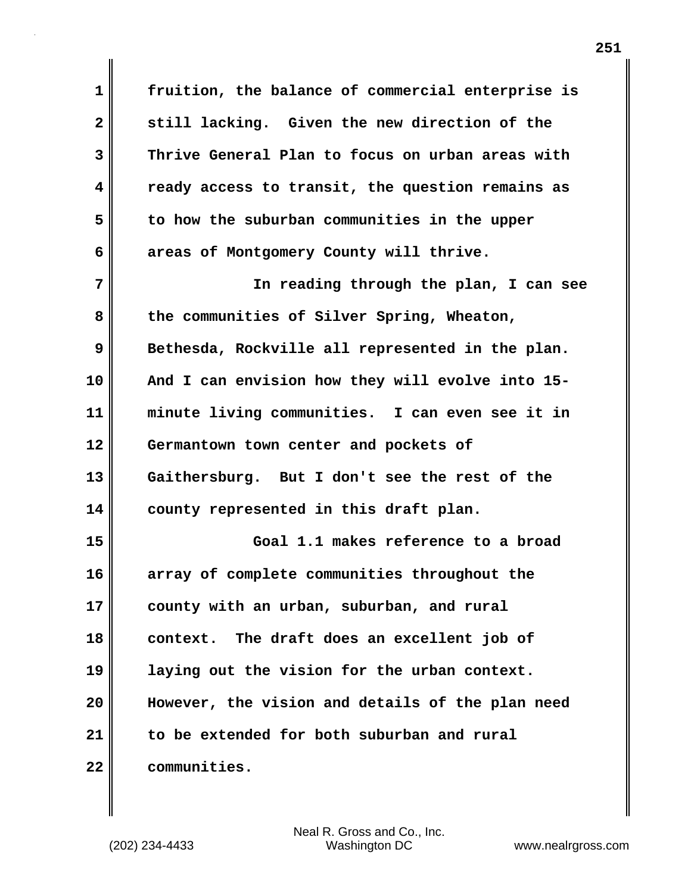**1 fruition, the balance of commercial enterprise is 2 still lacking. Given the new direction of the 3 Thrive General Plan to focus on urban areas with 4 ready access to transit, the question remains as 5 to how the suburban communities in the upper 6 areas of Montgomery County will thrive. 7 In reading through the plan, I can see** 8 the communities of Silver Spring, Wheaton, **9** Bethesda, Rockville all represented in the plan. **10 And I can envision how they will evolve into 15- 11 minute living communities. I can even see it in 12 Germantown town center and pockets of 13 Gaithersburg. But I don't see the rest of the 14 county represented in this draft plan. 15 Goal 1.1 makes reference to a broad 16 array of complete communities throughout the 17 county with an urban, suburban, and rural 18 context. The draft does an excellent job of 19 laying out the vision for the urban context. 20 However, the vision and details of the plan need 21 to be extended for both suburban and rural 22 communities.**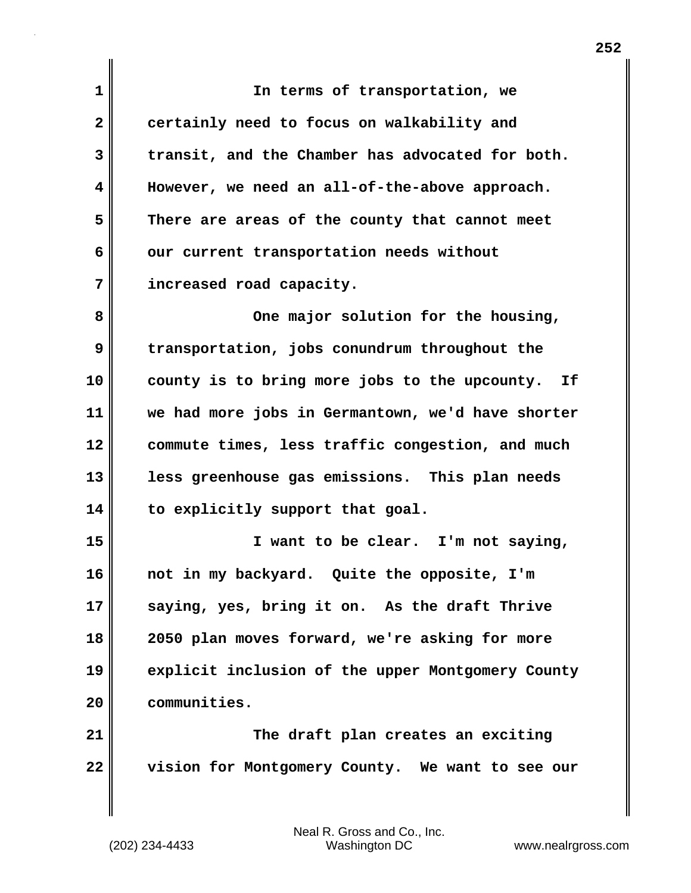**1 In terms of transportation, we 2 certainly need to focus on walkability and 3 transit, and the Chamber has advocated for both. 4 However, we need an all-of-the-above approach. 5 There are areas of the county that cannot meet 6 our current transportation needs without 7 increased road capacity.** 8 One major solution for the housing, **9 transportation, jobs conundrum throughout the 10 county is to bring more jobs to the upcounty. If 11 we had more jobs in Germantown, we'd have shorter 12 commute times, less traffic congestion, and much 13 less greenhouse gas emissions. This plan needs 14 to explicitly support that goal. 15 I want to be clear. I'm not saying, 16 not in my backyard. Quite the opposite, I'm 17 saying, yes, bring it on. As the draft Thrive 18 2050 plan moves forward, we're asking for more 19 explicit inclusion of the upper Montgomery County 20 communities. 21 The draft plan creates an exciting 22 vision for Montgomery County. We want to see our**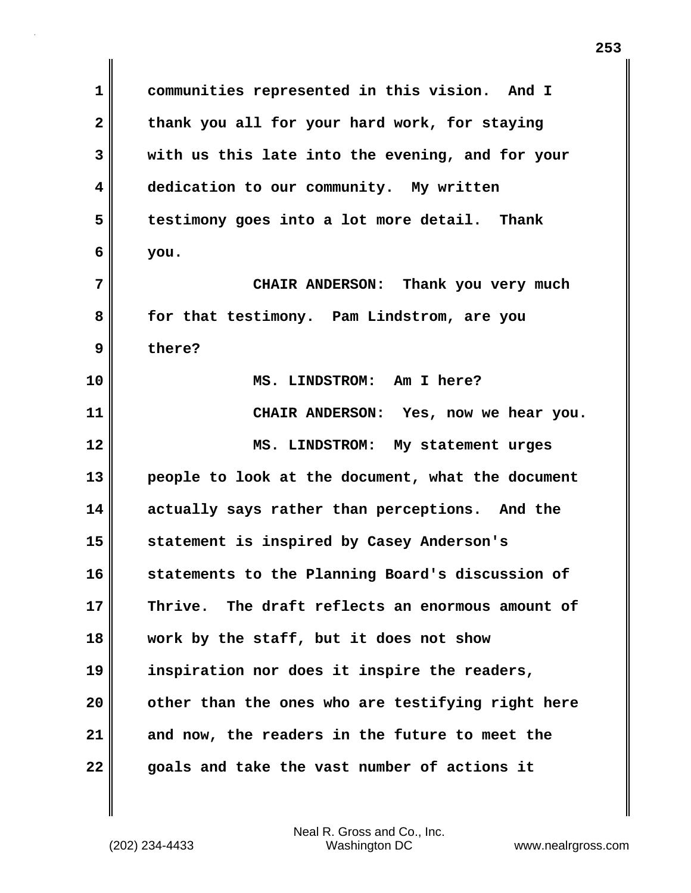**1 communities represented in this vision. And I 2 thank you all for your hard work, for staying 3 with us this late into the evening, and for your 4 dedication to our community. My written 5 testimony goes into a lot more detail. Thank 6 you. 7 CHAIR ANDERSON: Thank you very much 8 for that testimony. Pam Lindstrom, are you 9 there? 10 MS. LINDSTROM: Am I here? 11 CHAIR ANDERSON: Yes, now we hear you. 12 MS. LINDSTROM: My statement urges 13 people to look at the document, what the document 14 actually says rather than perceptions. And the 15 statement is inspired by Casey Anderson's 16 statements to the Planning Board's discussion of 17 Thrive. The draft reflects an enormous amount of 18 work by the staff, but it does not show 19 inspiration nor does it inspire the readers, 20 other than the ones who are testifying right here 21 and now, the readers in the future to meet the 22 goals and take the vast number of actions it**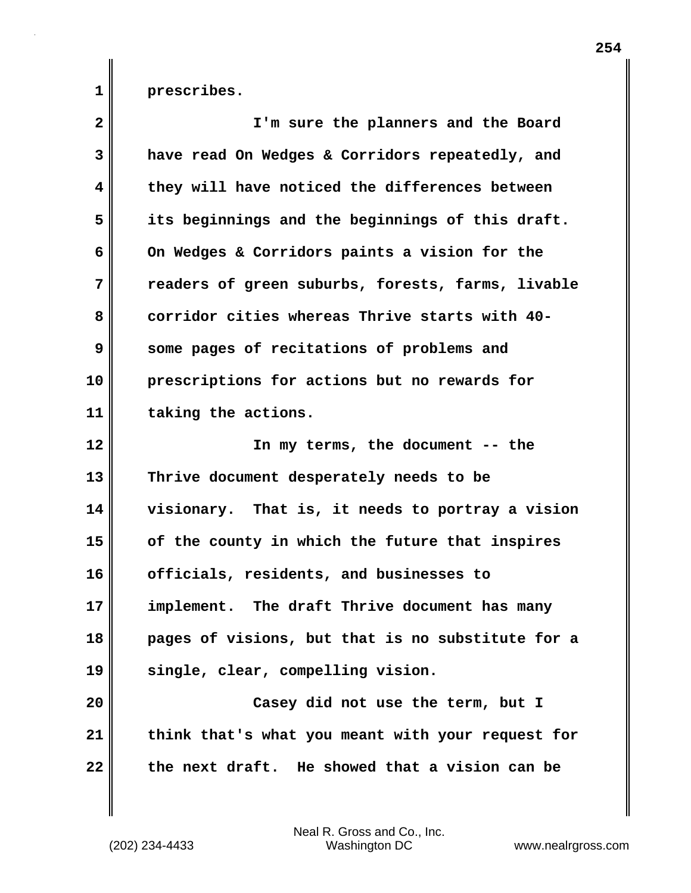**1 prescribes.**

| $\mathbf{2}$            | I'm sure the planners and the Board               |
|-------------------------|---------------------------------------------------|
| 3                       | have read On Wedges & Corridors repeatedly, and   |
| $\overline{\mathbf{4}}$ | they will have noticed the differences between    |
| 5                       | its beginnings and the beginnings of this draft.  |
| 6                       | On Wedges & Corridors paints a vision for the     |
| 7                       | readers of green suburbs, forests, farms, livable |
| 8                       | corridor cities whereas Thrive starts with 40-    |
| 9                       | some pages of recitations of problems and         |
| 10                      | prescriptions for actions but no rewards for      |
| 11                      | taking the actions.                               |
| 12                      | In my terms, the document -- the                  |
| 13                      | Thrive document desperately needs to be           |
| 14                      | visionary. That is, it needs to portray a vision  |
| 15                      | of the county in which the future that inspires   |
| 16                      | officials, residents, and businesses to           |
| 17                      | implement. The draft Thrive document has many     |
| 18                      | pages of visions, but that is no substitute for a |
| 19                      | single, clear, compelling vision.                 |
| 20                      | Casey did not use the term, but I                 |
| 21                      | think that's what you meant with your request for |
| 22                      | the next draft. He showed that a vision can be    |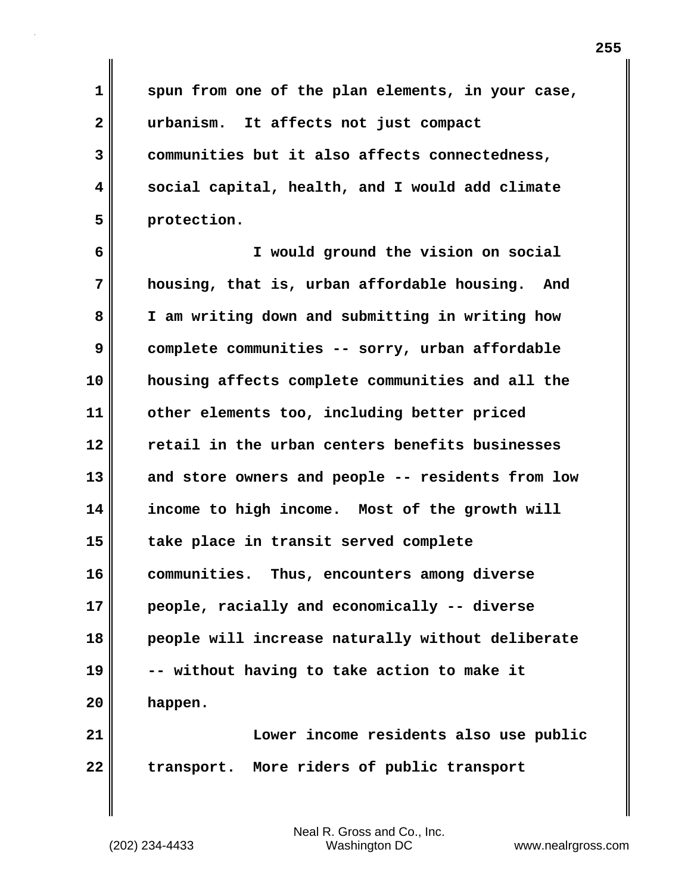**1 spun from one of the plan elements, in your case, 2 urbanism. It affects not just compact 3 communities but it also affects connectedness, 4 social capital, health, and I would add climate 5 protection.**

**6 I would ground the vision on social 7 housing, that is, urban affordable housing. And 8 I am writing down and submitting in writing how 9 complete communities -- sorry, urban affordable 10 housing affects complete communities and all the 11 other elements too, including better priced 12 retail in the urban centers benefits businesses 13 and store owners and people -- residents from low 14 income to high income. Most of the growth will 15 take place in transit served complete 16 communities. Thus, encounters among diverse 17 people, racially and economically -- diverse 18 people will increase naturally without deliberate 19 -- without having to take action to make it 20 happen.**

**21 Lower income residents also use public 22 transport. More riders of public transport**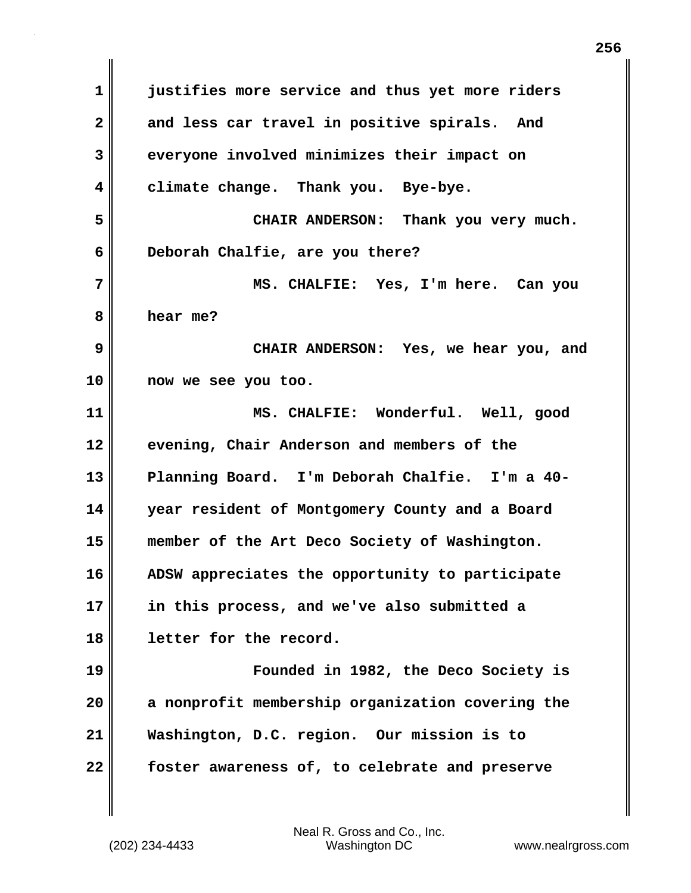**1 justifies more service and thus yet more riders 2 and less car travel in positive spirals. And 3 everyone involved minimizes their impact on 4 climate change. Thank you. Bye-bye. 5 CHAIR ANDERSON: Thank you very much. 6 Deborah Chalfie, are you there? 7 MS. CHALFIE: Yes, I'm here. Can you 8 hear me? 9 CHAIR ANDERSON: Yes, we hear you, and 10 now we see you too. 11 MS. CHALFIE: Wonderful. Well, good 12 evening, Chair Anderson and members of the 13 Planning Board. I'm Deborah Chalfie. I'm a 40- 14 year resident of Montgomery County and a Board 15 member of the Art Deco Society of Washington. 16 ADSW appreciates the opportunity to participate 17 in this process, and we've also submitted a 18 letter for the record. 19 Founded in 1982, the Deco Society is 20 a nonprofit membership organization covering the 21 Washington, D.C. region. Our mission is to 22 foster awareness of, to celebrate and preserve**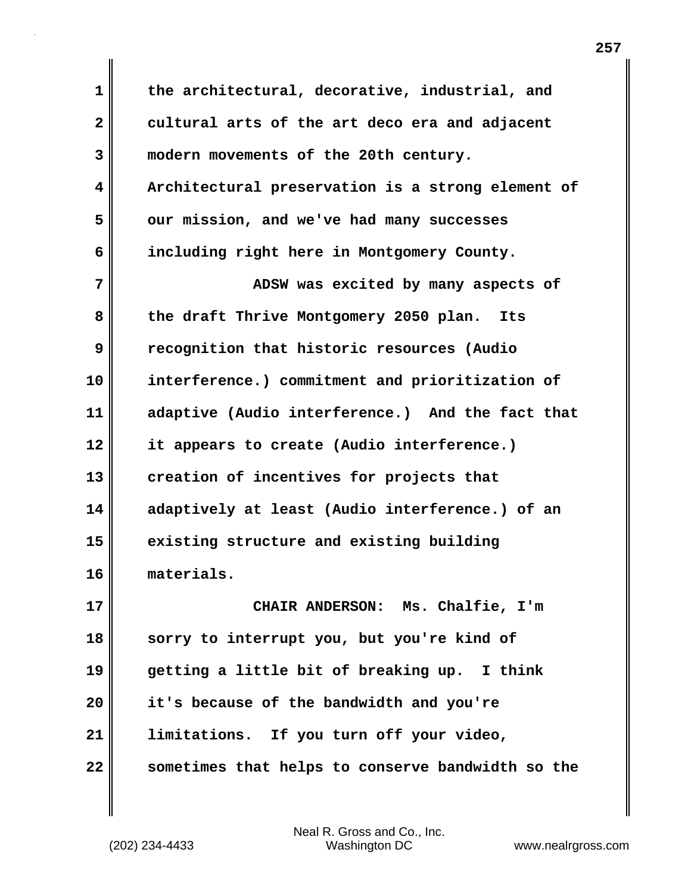**1 the architectural, decorative, industrial, and 2 cultural arts of the art deco era and adjacent 3 modern movements of the 20th century. 4 Architectural preservation is a strong element of 5 our mission, and we've had many successes 6 including right here in Montgomery County. 7 ADSW** was excited by many aspects of **8 the draft Thrive Montgomery 2050 plan. Its 9 recognition that historic resources (Audio 10 interference.) commitment and prioritization of 11 adaptive (Audio interference.) And the fact that 12 it appears to create (Audio interference.) 13 creation of incentives for projects that 14 adaptively at least (Audio interference.) of an 15 existing structure and existing building 16 materials. 17 CHAIR ANDERSON: Ms. Chalfie, I'm 18 sorry to interrupt you, but you're kind of 19 getting a little bit of breaking up. I think 20 it's because of the bandwidth and you're 21 limitations. If you turn off your video, 22 sometimes that helps to conserve bandwidth so the**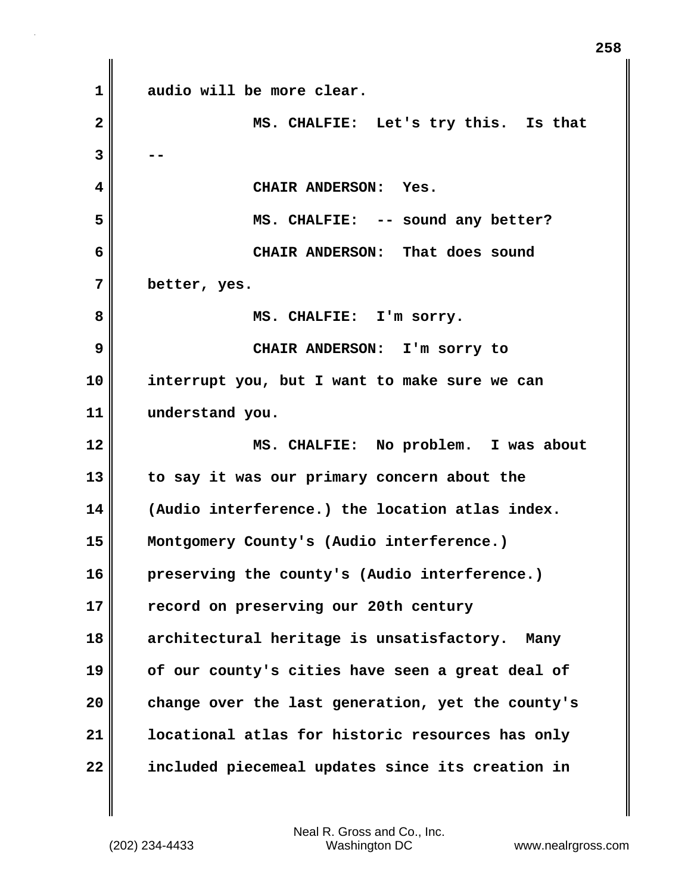**1 audio will be more clear. 2 MS. CHALFIE: Let's try this. Is that 3 -- 4 CHAIR ANDERSON: Yes. 5 MS. CHALFIE: -- sound any better? 6 CHAIR ANDERSON: That does sound 7 better, yes. 8 MS. CHALFIE: I'm sorry. 9 CHAIR ANDERSON: I'm sorry to 10 interrupt you, but I want to make sure we can 11 understand you. 12 MS. CHALFIE: No problem. I was about 13 to say it was our primary concern about the 14 (Audio interference.) the location atlas index. 15 Montgomery County's (Audio interference.) 16 preserving the county's (Audio interference.) 17 record on preserving our 20th century 18 architectural heritage is unsatisfactory. Many 19 of our county's cities have seen a great deal of 20 change over the last generation, yet the county's 21 locational atlas for historic resources has only 22 included piecemeal updates since its creation in**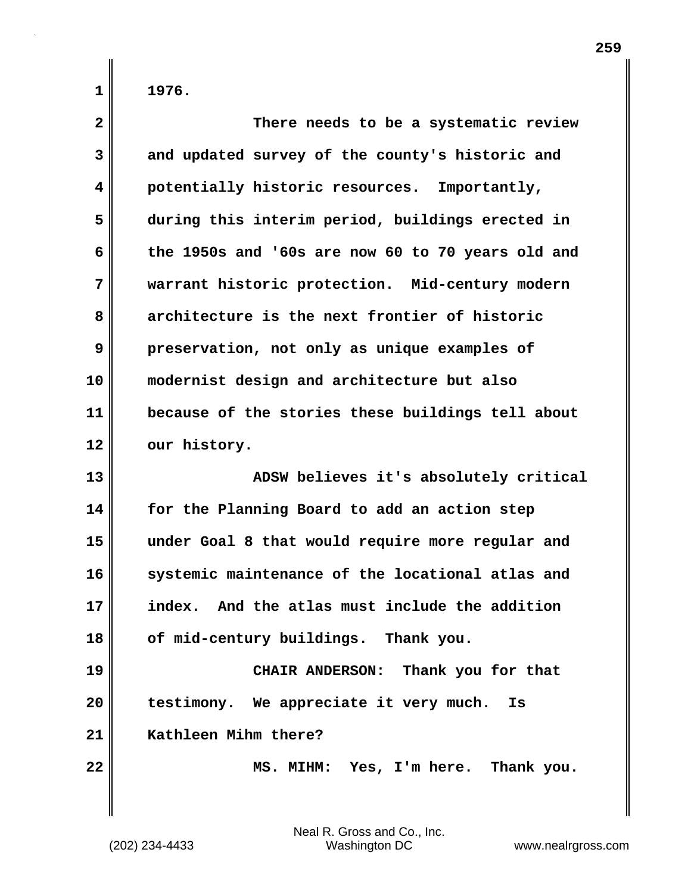| $\overline{\mathbf{2}}$ | There needs to be a systematic review             |
|-------------------------|---------------------------------------------------|
| 3                       | and updated survey of the county's historic and   |
| 4                       | potentially historic resources. Importantly,      |
| 5                       | during this interim period, buildings erected in  |
| 6                       | the 1950s and '60s are now 60 to 70 years old and |
| 7                       | warrant historic protection. Mid-century modern   |
| 8                       | architecture is the next frontier of historic     |
| 9                       | preservation, not only as unique examples of      |
| 10                      | modernist design and architecture but also        |
| 11                      | because of the stories these buildings tell about |
| 12                      | our history.                                      |
|                         |                                                   |
| 13                      | ADSW believes it's absolutely critical            |
| 14                      | for the Planning Board to add an action step      |
| 15                      | under Goal 8 that would require more regular and  |
| 16                      | systemic maintenance of the locational atlas and  |
| 17                      | And the atlas must include the addition<br>index. |
| 18                      | of mid-century buildings. Thank you.              |
| 19                      | CHAIR ANDERSON: Thank you for that                |
| 20                      | testimony. We appreciate it very much.<br>Is      |
| 21                      | Kathleen Mihm there?                              |
| 22                      | MS. MIHM: Yes, I'm here. Thank you.               |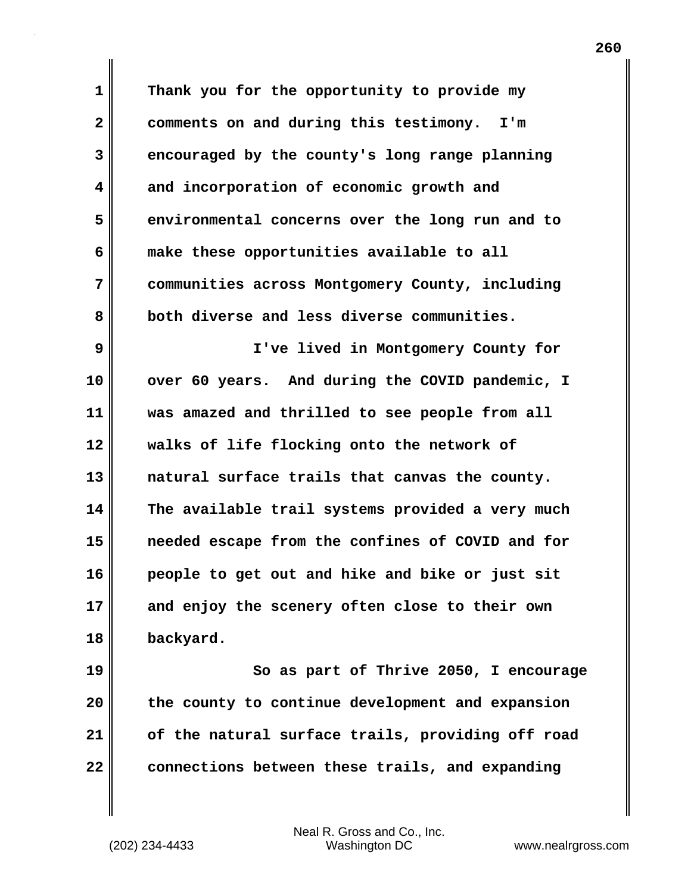**1 Thank you for the opportunity to provide my 2 comments on and during this testimony. I'm 3 encouraged by the county's long range planning 4 and incorporation of economic growth and 5 environmental concerns over the long run and to 6 make these opportunities available to all 7 communities across Montgomery County, including 8 both diverse and less diverse communities. 9 I've lived in Montgomery County for 10 over 60 years. And during the COVID pandemic, I 11 was amazed and thrilled to see people from all 12 walks of life flocking onto the network of 13 natural surface trails that canvas the county. 14 The available trail systems provided a very much 15 needed escape from the confines of COVID and for 16 people to get out and hike and bike or just sit 17 and enjoy the scenery often close to their own 18 backyard. 19 So as part of Thrive 2050, I encourage 20 the county to continue development and expansion**

(202) 234-4433 Washington DC www.nealrgross.com Neal R. Gross and Co., Inc.

**21 of the natural surface trails, providing off road**

**22 connections between these trails, and expanding**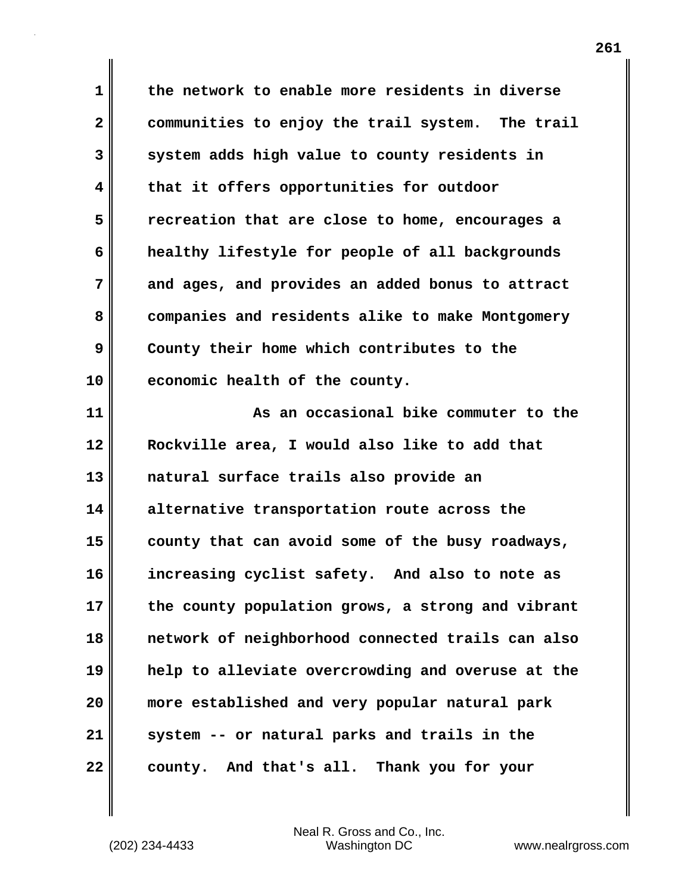**1 the network to enable more residents in diverse 2 communities to enjoy the trail system. The trail 3 system adds high value to county residents in 4 that it offers opportunities for outdoor 5 recreation that are close to home, encourages a 6 healthy lifestyle for people of all backgrounds 7 and ages, and provides an added bonus to attract 8 companies and residents alike to make Montgomery 9 County their home which contributes to the 10 economic health of the county.**

**11 As an occasional bike commuter to the 12 Rockville area, I would also like to add that 13 natural surface trails also provide an 14 alternative transportation route across the 15 county that can avoid some of the busy roadways, 16 increasing cyclist safety. And also to note as 17 the county population grows, a strong and vibrant 18 network of neighborhood connected trails can also 19 help to alleviate overcrowding and overuse at the 20 more established and very popular natural park 21 system -- or natural parks and trails in the 22 county. And that's all. Thank you for your**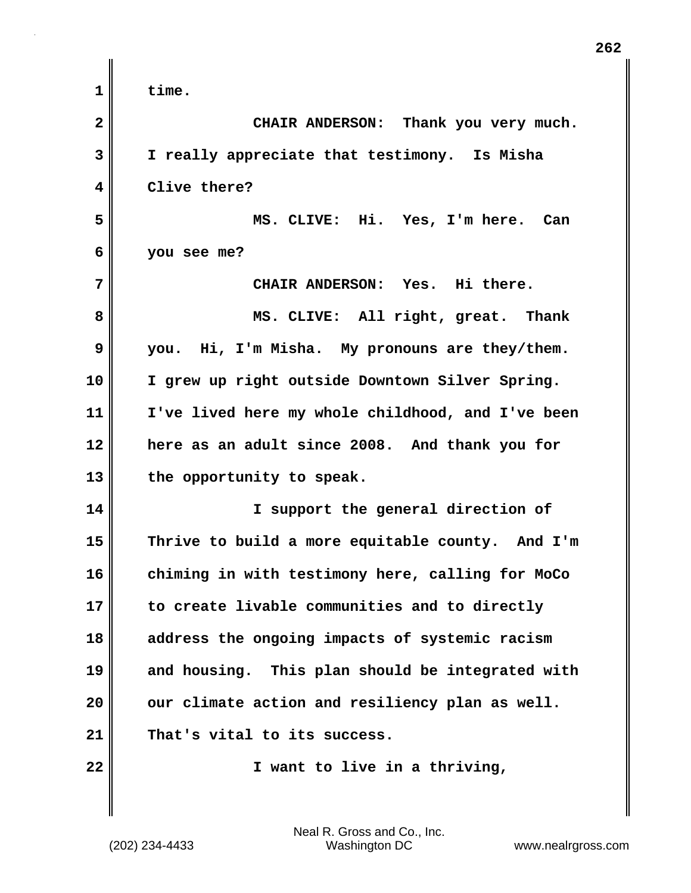| $\mathbf 1$  | time.                                             |
|--------------|---------------------------------------------------|
| $\mathbf{2}$ | CHAIR ANDERSON: Thank you very much.              |
| 3            | I really appreciate that testimony. Is Misha      |
| 4            | Clive there?                                      |
| 5            | MS. CLIVE: Hi. Yes, I'm here. Can                 |
| 6            | you see me?                                       |
| 7            | CHAIR ANDERSON: Yes. Hi there.                    |
| 8            | MS. CLIVE: All right, great. Thank                |
| 9            | you. Hi, I'm Misha. My pronouns are they/them.    |
| 10           | I grew up right outside Downtown Silver Spring.   |
| 11           | I've lived here my whole childhood, and I've been |
| 12           | here as an adult since 2008. And thank you for    |
| 13           | the opportunity to speak.                         |
| 14           | I support the general direction of                |
| 15           | Thrive to build a more equitable county. And I'm  |
| 16           | chiming in with testimony here, calling for MoCo  |
| 17           | to create livable communities and to directly     |
| 18           | address the ongoing impacts of systemic racism    |
| 19           | and housing. This plan should be integrated with  |
| 20           | our climate action and resiliency plan as well.   |
| 21           | That's vital to its success.                      |
| 22           | I want to live in a thriving,                     |
|              |                                                   |

 $\mathbf{I}$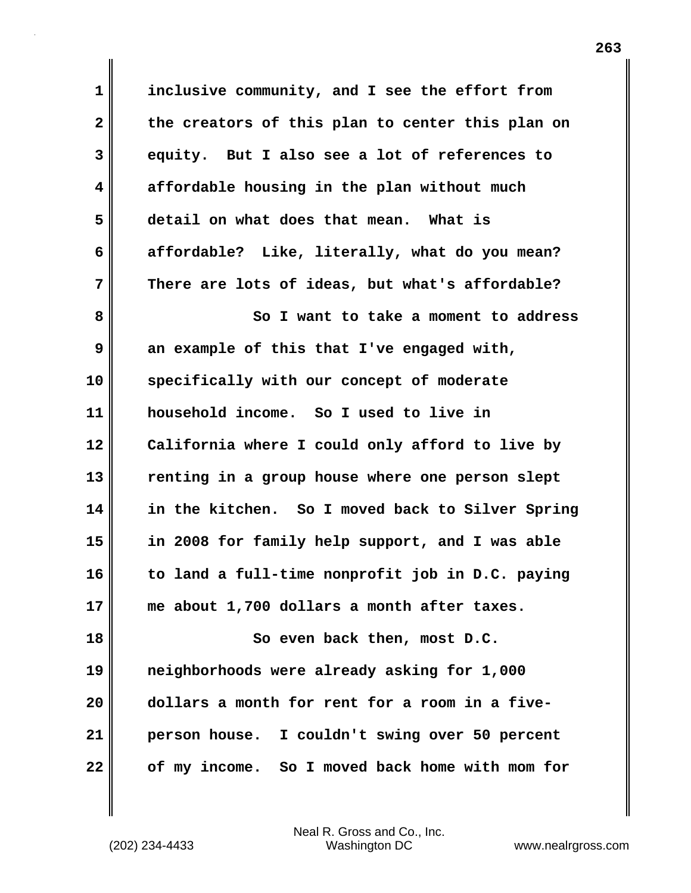**1 inclusive community, and I see the effort from 2 the creators of this plan to center this plan on 3 equity. But I also see a lot of references to 4 affordable housing in the plan without much 5 detail on what does that mean. What is 6 affordable? Like, literally, what do you mean? 7 There are lots of ideas, but what's affordable?** 8 || So I want to take a moment to address **9** an example of this that I've engaged with, **10 specifically with our concept of moderate 11 household income. So I used to live in 12 California where I could only afford to live by 13 renting in a group house where one person slept 14 in the kitchen. So I moved back to Silver Spring 15 in 2008 for family help support, and I was able 16 to land a full-time nonprofit job in D.C. paying 17 me about 1,700 dollars a month after taxes. 18 So even back then, most D.C. 19 neighborhoods were already asking for 1,000 20 dollars a month for rent for a room in a five-21 person house. I couldn't swing over 50 percent**

**22 of my income. So I moved back home with mom for**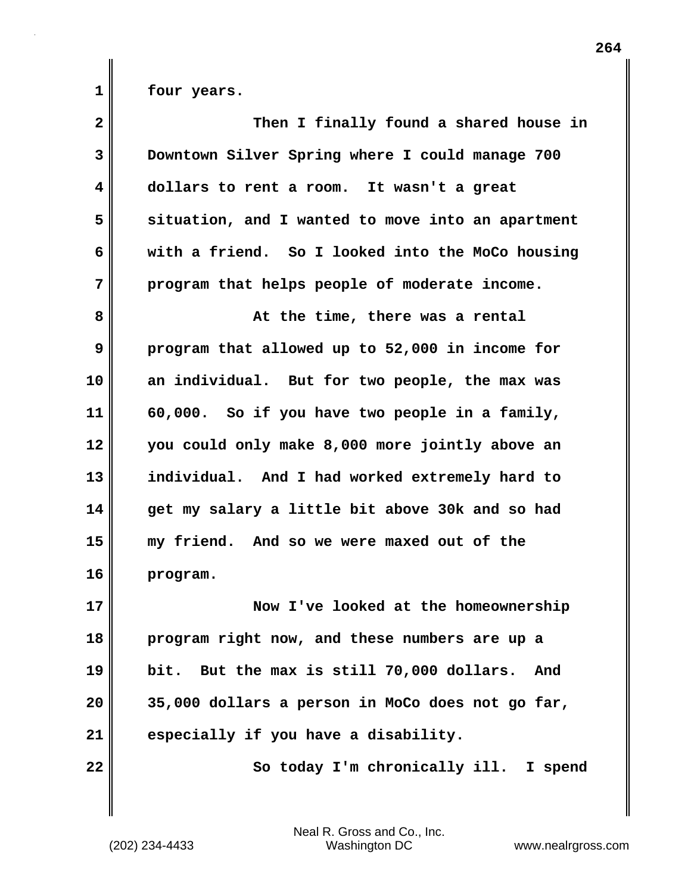**1 four years.**

| $\overline{\mathbf{2}}$ | Then I finally found a shared house in            |
|-------------------------|---------------------------------------------------|
| 3                       | Downtown Silver Spring where I could manage 700   |
| 4                       | dollars to rent a room. It wasn't a great         |
| 5                       | situation, and I wanted to move into an apartment |
| 6                       | with a friend. So I looked into the MoCo housing  |
| 7                       | program that helps people of moderate income.     |
| 8                       | At the time, there was a rental                   |
| 9                       | program that allowed up to 52,000 in income for   |
| 10                      | an individual. But for two people, the max was    |
| 11                      | 60,000. So if you have two people in a family,    |
| 12                      | you could only make 8,000 more jointly above an   |
| 13                      | individual. And I had worked extremely hard to    |
| 14                      | get my salary a little bit above 30k and so had   |
| 15                      | my friend. And so we were maxed out of the        |
| 16                      | program.                                          |
| 17                      | Now I've looked at the homeownership              |
| 18                      | program right now, and these numbers are up a     |
| 19                      | bit. But the max is still 70,000 dollars.<br>And  |
| 20                      | 35,000 dollars a person in MoCo does not go far,  |
| 21                      | especially if you have a disability.              |
| 22                      | So today I'm chronically ill. I spend             |
|                         |                                                   |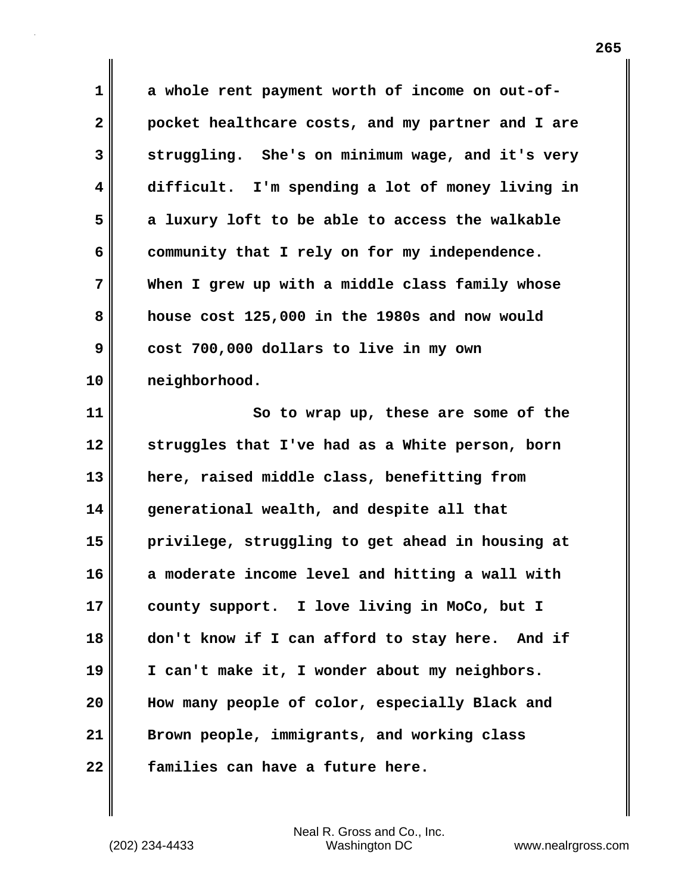**1 a whole rent payment worth of income on out-of-2 pocket healthcare costs, and my partner and I are 3 struggling. She's on minimum wage, and it's very 4 difficult. I'm spending a lot of money living in 5 a luxury loft to be able to access the walkable 6 community that I rely on for my independence. 7 When I grew up with a middle class family whose 8 house cost 125,000 in the 1980s and now would 9 cost 700,000 dollars to live in my own 10 neighborhood.**

**11** So to wrap up, these are some of the **12 struggles that I've had as a White person, born 13 here, raised middle class, benefitting from 14 generational wealth, and despite all that 15 privilege, struggling to get ahead in housing at 16 a moderate income level and hitting a wall with 17 county support. I love living in MoCo, but I 18 don't know if I can afford to stay here. And if 19 I can't make it, I wonder about my neighbors. 20 How many people of color, especially Black and 21 Brown people, immigrants, and working class 22 families can have a future here.**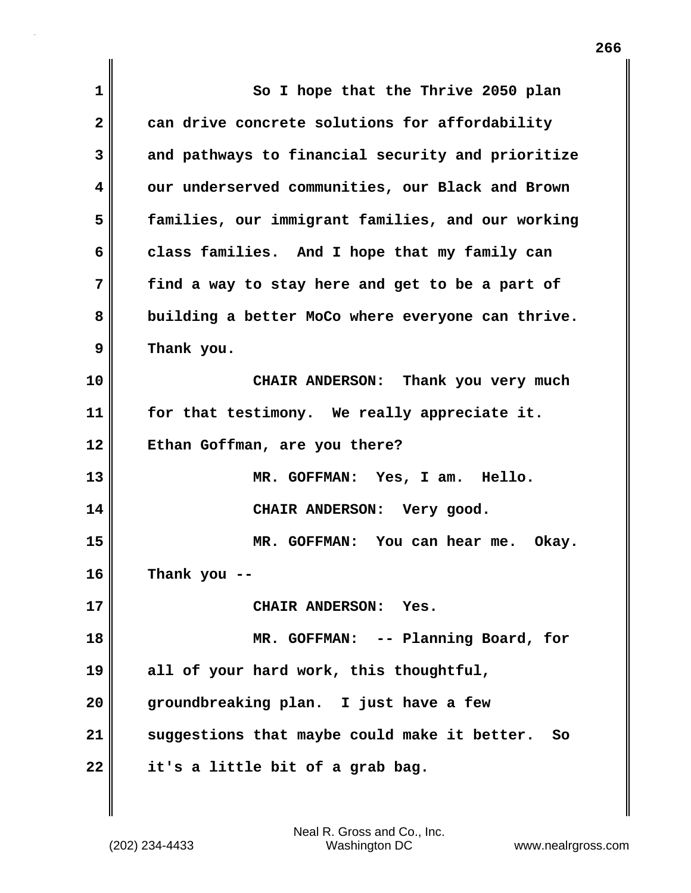| 1  | So I hope that the Thrive 2050 plan                |
|----|----------------------------------------------------|
| 2  | can drive concrete solutions for affordability     |
| 3  | and pathways to financial security and prioritize  |
| 4  | our underserved communities, our Black and Brown   |
| 5  | families, our immigrant families, and our working  |
| 6  | class families. And I hope that my family can      |
| 7  | find a way to stay here and get to be a part of    |
| 8  | building a better MoCo where everyone can thrive.  |
| 9  | Thank you.                                         |
| 10 | CHAIR ANDERSON: Thank you very much                |
| 11 | for that testimony. We really appreciate it.       |
| 12 | Ethan Goffman, are you there?                      |
| 13 | MR. GOFFMAN: Yes, I am. Hello.                     |
| 14 | CHAIR ANDERSON: Very good.                         |
| 15 | MR. GOFFMAN: You can hear me. Okay.                |
| 16 | Thank you --                                       |
| 17 | CHAIR ANDERSON: Yes.                               |
| 18 | MR. GOFFMAN: -- Planning Board, for                |
| 19 | all of your hard work, this thoughtful,            |
| 20 | groundbreaking plan. I just have a few             |
| 21 | suggestions that maybe could make it better.<br>So |
| 22 | it's a little bit of a grab bag.                   |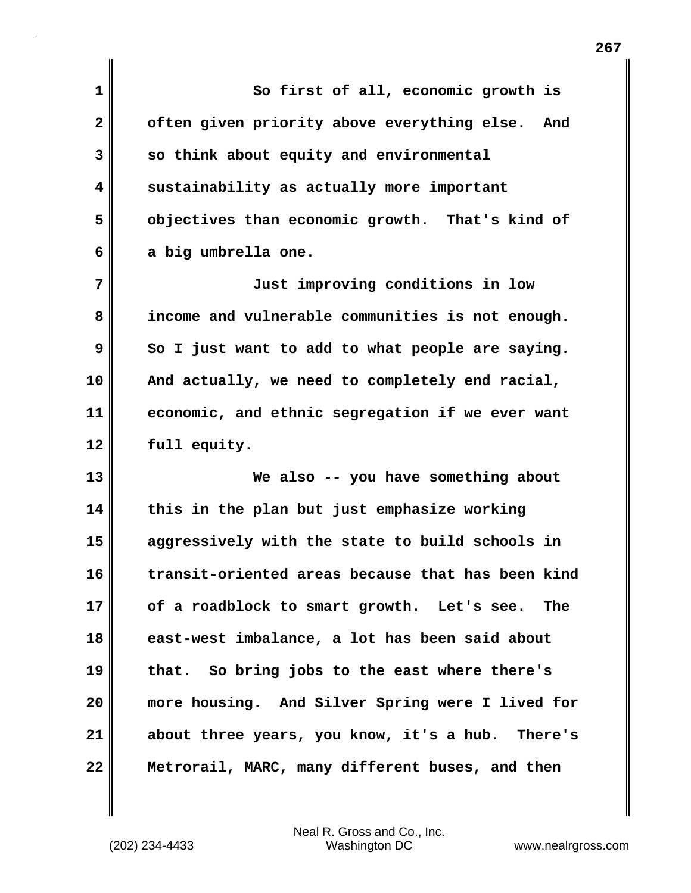**1 So first of all, economic growth is 2 often given priority above everything else. And 3 so think about equity and environmental 4 sustainability as actually more important 5 objectives than economic growth. That's kind of 6 a big umbrella one. 7 Just improving conditions in low 8 income and vulnerable communities is not enough.** 

**9** So I just want to add to what people are saying. **10 And actually, we need to completely end racial, 11 economic, and ethnic segregation if we ever want 12 full equity.**

**13 We also -- you have something about 14 this in the plan but just emphasize working 15 aggressively with the state to build schools in 16 transit-oriented areas because that has been kind 17 of a roadblock to smart growth. Let's see. The 18 east-west imbalance, a lot has been said about 19 that. So bring jobs to the east where there's 20 more housing. And Silver Spring were I lived for 21 about three years, you know, it's a hub. There's 22 Metrorail, MARC, many different buses, and then**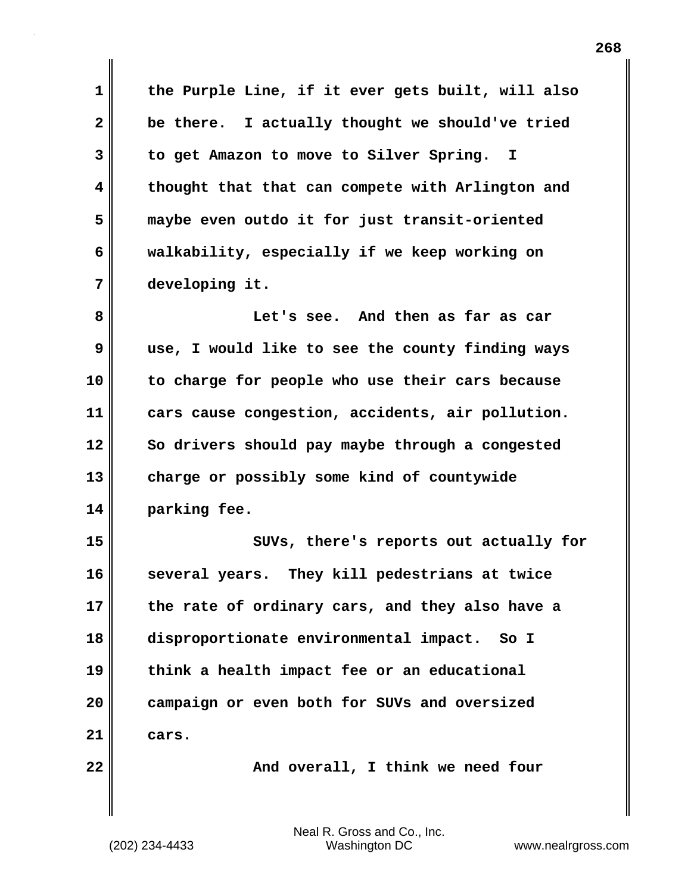**1 the Purple Line, if it ever gets built, will also 2 be there. I actually thought we should've tried 3 to get Amazon to move to Silver Spring. I 4 thought that that can compete with Arlington and 5 maybe even outdo it for just transit-oriented 6 walkability, especially if we keep working on 7 developing it. 8 Let's see. And then as far as car**

**9 use, I would like to see the county finding ways 10 to charge for people who use their cars because 11 cars cause congestion, accidents, air pollution. 12 So drivers should pay maybe through a congested 13 charge or possibly some kind of countywide 14 parking fee.**

**15 SUVs, there's reports out actually for 16 several years. They kill pedestrians at twice 17 the rate of ordinary cars, and they also have a 18 disproportionate environmental impact. So I 19 think a health impact fee or an educational 20 campaign or even both for SUVs and oversized 21 cars.**

**22 And overall, I think we need four**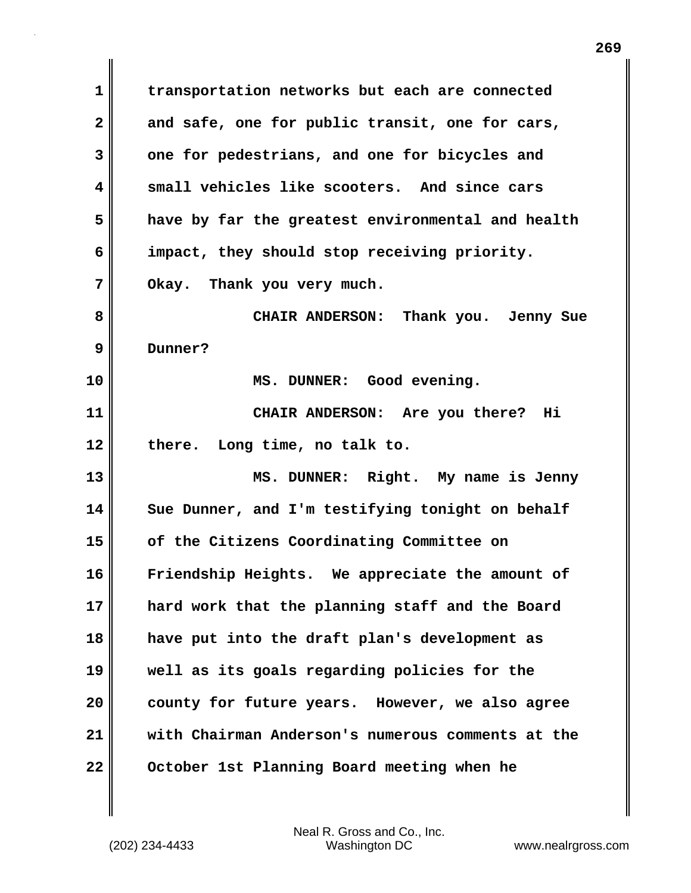**1 transportation networks but each are connected 2 and safe, one for public transit, one for cars, 3 one for pedestrians, and one for bicycles and 4 small vehicles like scooters. And since cars 5 have by far the greatest environmental and health 6 impact, they should stop receiving priority. 7 Okay. Thank you very much. 8 CHAIR ANDERSON: Thank you. Jenny Sue 9 Dunner? 10 MS. DUNNER: Good evening. 11 CHAIR ANDERSON: Are you there? Hi 12 there. Long time, no talk to. 13 MS. DUNNER: Right. My name is Jenny 14 Sue Dunner, and I'm testifying tonight on behalf 15 of the Citizens Coordinating Committee on 16 Friendship Heights. We appreciate the amount of 17 hard work that the planning staff and the Board 18 have put into the draft plan's development as 19 well as its goals regarding policies for the 20 county for future years. However, we also agree 21 with Chairman Anderson's numerous comments at the 22 October 1st Planning Board meeting when he**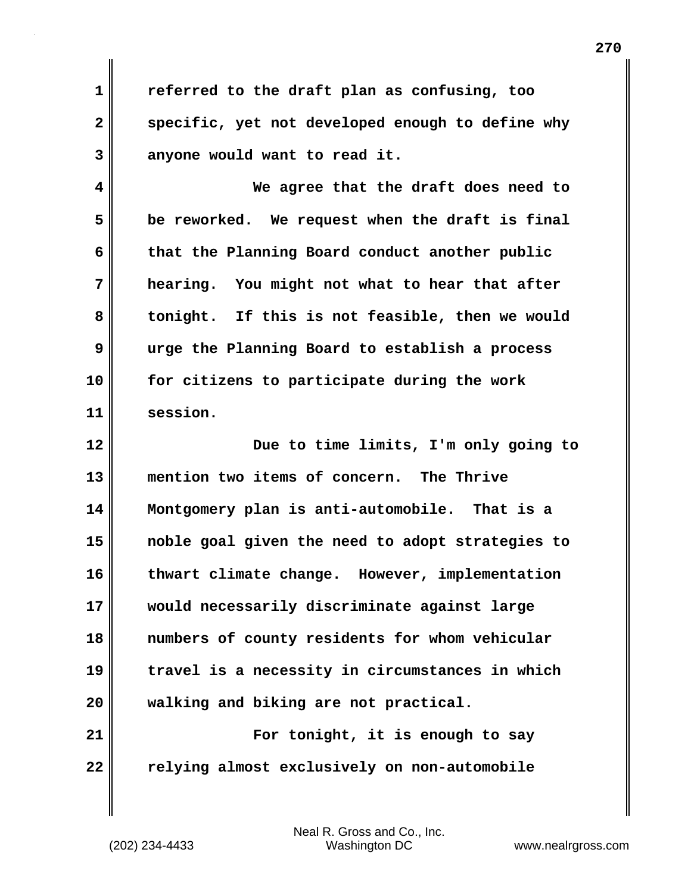**1 referred to the draft plan as confusing, too** 2 specific, yet not developed enough to define why **3 anyone would want to read it.**

**4 We agree that the draft does need to 5 be reworked. We request when the draft is final 6 that the Planning Board conduct another public 7 hearing. You might not what to hear that after 8 tonight. If this is not feasible, then we would 9 urge the Planning Board to establish a process 10 for citizens to participate during the work 11 session.**

**12 Due to time limits, I'm only going to 13 mention two items of concern. The Thrive 14 Montgomery plan is anti-automobile. That is a 15 noble goal given the need to adopt strategies to 16 thwart climate change. However, implementation 17 would necessarily discriminate against large 18 numbers of county residents for whom vehicular 19 travel is a necessity in circumstances in which 20 walking and biking are not practical. 21 For tonight, it is enough to say**

**22 relying almost exclusively on non-automobile**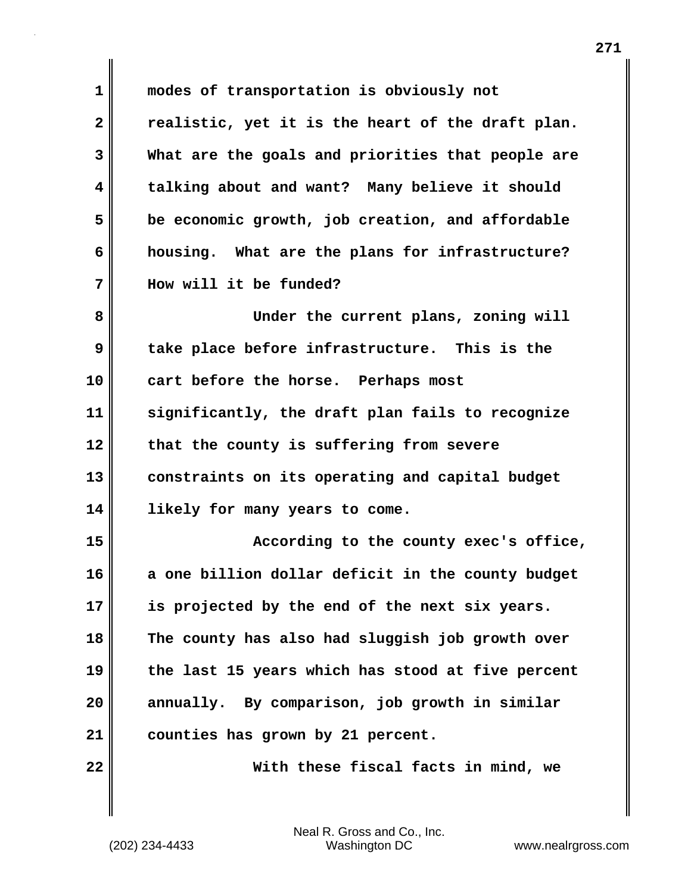**1 modes of transportation is obviously not 2 realistic, yet it is the heart of the draft plan. 3 What are the goals and priorities that people are 4 talking about and want? Many believe it should 5 be economic growth, job creation, and affordable 6 housing. What are the plans for infrastructure? 7 How will it be funded? 8 Under the current plans, zoning will 9 take place before infrastructure. This is the 10 cart before the horse. Perhaps most 11 significantly, the draft plan fails to recognize 12 that the county is suffering from severe 13 constraints on its operating and capital budget 14 likely for many years to come. 15 According to the county exec's office, 16 a one billion dollar deficit in the county budget 17 is projected by the end of the next six years. 18 The county has also had sluggish job growth over 19 the last 15 years which has stood at five percent 20 annually. By comparison, job growth in similar 21 counties has grown by 21 percent. 22 With these fiscal facts in mind, we**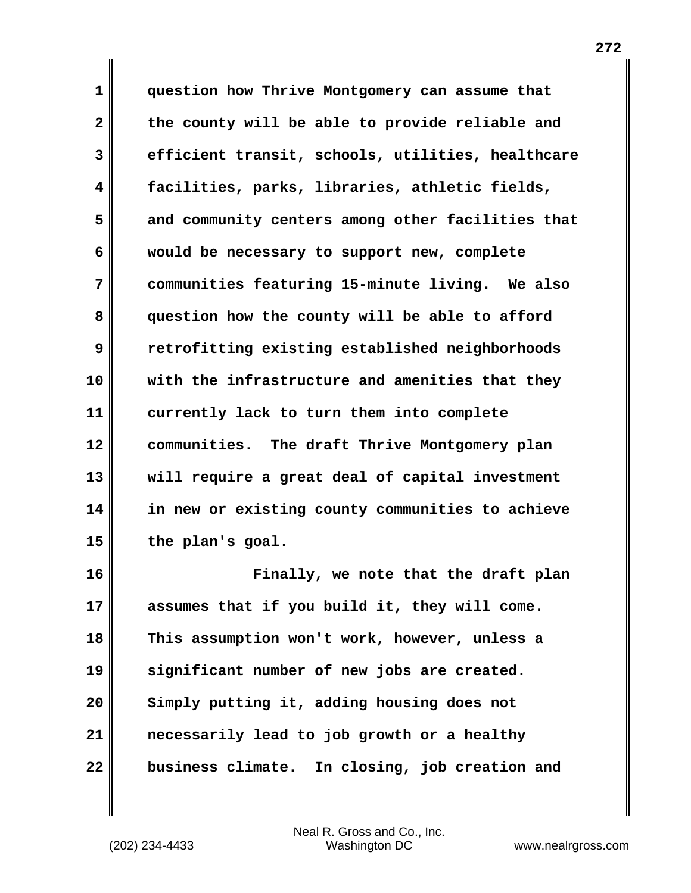**1 question how Thrive Montgomery can assume that 2 the county will be able to provide reliable and 3 efficient transit, schools, utilities, healthcare 4 facilities, parks, libraries, athletic fields, 5 and community centers among other facilities that 6 would be necessary to support new, complete 7 communities featuring 15-minute living. We also 8 question how the county will be able to afford 9 retrofitting existing established neighborhoods 10 with the infrastructure and amenities that they 11 currently lack to turn them into complete 12 communities. The draft Thrive Montgomery plan 13 will require a great deal of capital investment 14 in new or existing county communities to achieve 15 the plan's goal.**

**16 Finally, we note that the draft plan 17 assumes that if you build it, they will come. 18 This assumption won't work, however, unless a 19 significant number of new jobs are created. 20 Simply putting it, adding housing does not 21 necessarily lead to job growth or a healthy 22 business climate. In closing, job creation and**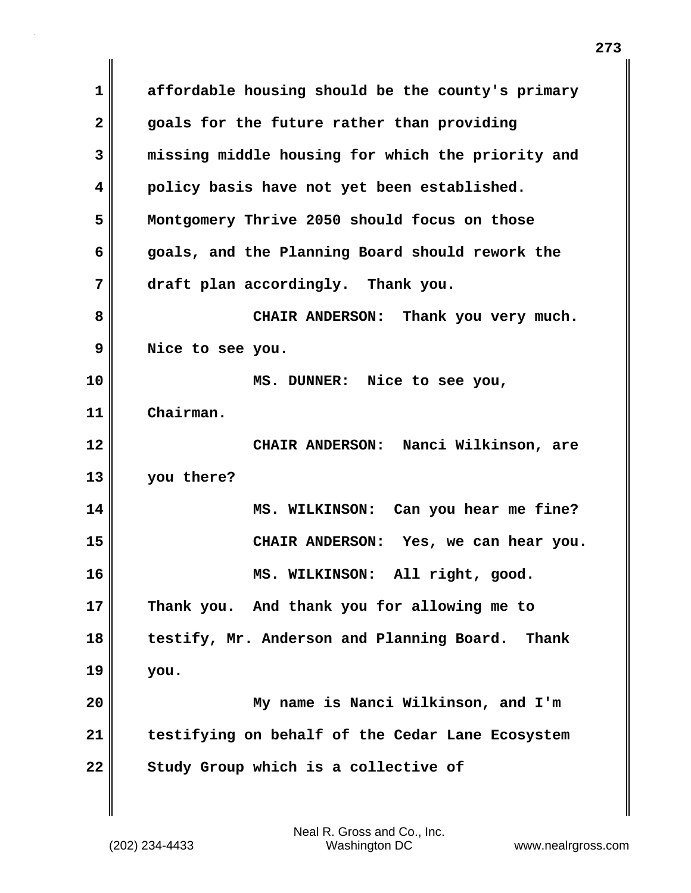**1 affordable housing should be the county's primary 2 goals for the future rather than providing 3 missing middle housing for which the priority and 4 policy basis have not yet been established. 5 Montgomery Thrive 2050 should focus on those 6 goals, and the Planning Board should rework the 7 draft plan accordingly. Thank you. 8 CHAIR ANDERSON: Thank you very much. 9 Nice to see you. 10 MS. DUNNER: Nice to see you, 11 Chairman. 12 CHAIR ANDERSON: Nanci Wilkinson, are 13 you there? 14 MS. WILKINSON: Can you hear me fine? 15 CHAIR ANDERSON: Yes, we can hear you. 16 MS. WILKINSON: All right, good. 17 Thank you. And thank you for allowing me to 18 testify, Mr. Anderson and Planning Board. Thank 19 you. 20 My name is Nanci Wilkinson, and I'm 21 testifying on behalf of the Cedar Lane Ecosystem** 22 Study Group which is a collective of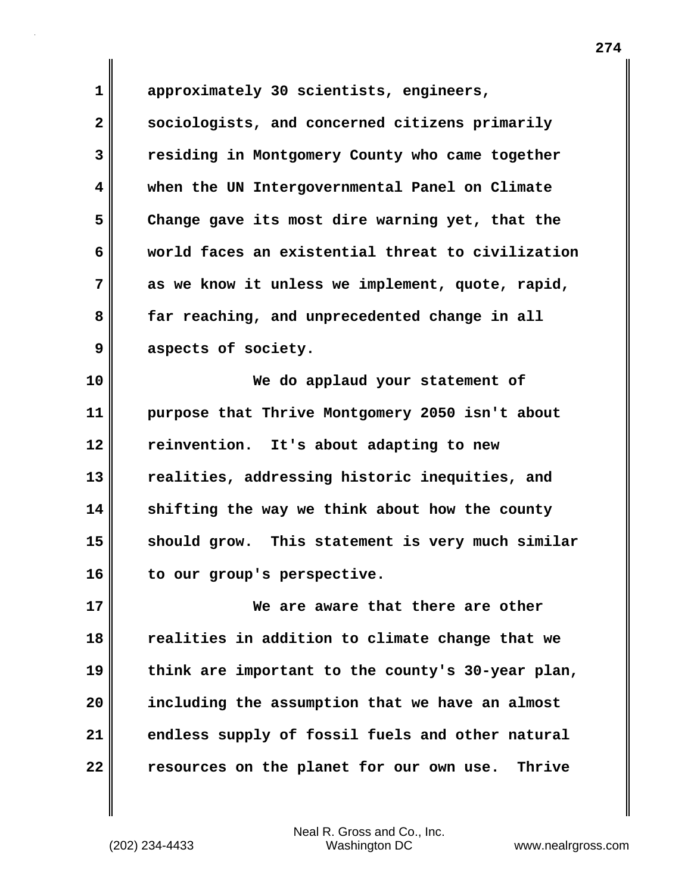**1 approximately 30 scientists, engineers, 2 sociologists, and concerned citizens primarily 3 residing in Montgomery County who came together 4 when the UN Intergovernmental Panel on Climate 5 Change gave its most dire warning yet, that the 6 world faces an existential threat to civilization 7 as we know it unless we implement, quote, rapid, 8 far reaching, and unprecedented change in all 9 aspects of society. 10 We do applaud your statement of 11 purpose that Thrive Montgomery 2050 isn't about**

**12 reinvention. It's about adapting to new 13 realities, addressing historic inequities, and 14 shifting the way we think about how the county 15 should grow. This statement is very much similar 16 to our group's perspective.**

**17 We are aware that there are other 18 realities in addition to climate change that we 19 think are important to the county's 30-year plan, 20 including the assumption that we have an almost 21 endless supply of fossil fuels and other natural 22 resources on the planet for our own use. Thrive**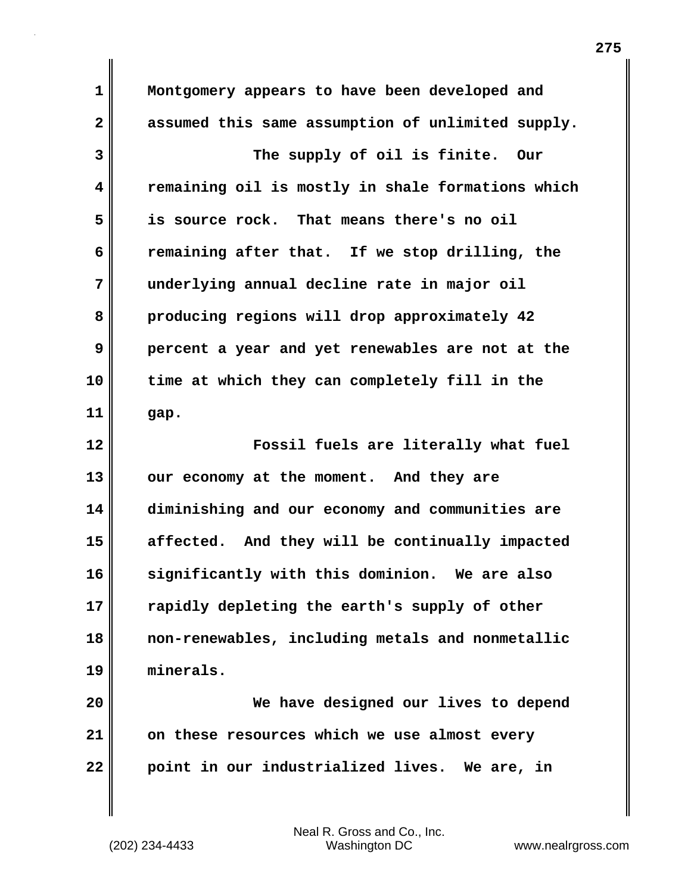**1 Montgomery appears to have been developed and 2 assumed this same assumption of unlimited supply. 3 The supply of oil is finite. Our 4 remaining oil is mostly in shale formations which 5 is source rock. That means there's no oil 6 remaining after that. If we stop drilling, the 7 underlying annual decline rate in major oil 8 producing regions will drop approximately 42 9 percent a year and yet renewables are not at the 10 time at which they can completely fill in the 11 gap. 12 Fossil fuels are literally what fuel 13 our economy at the moment. And they are 14 diminishing and our economy and communities are 15 affected. And they will be continually impacted 16 significantly with this dominion. We are also 17 rapidly depleting the earth's supply of other 18 non-renewables, including metals and nonmetallic 19 minerals. 20 We have designed our lives to depend 21 on these resources which we use almost every 22 point in our industrialized lives. We are, in**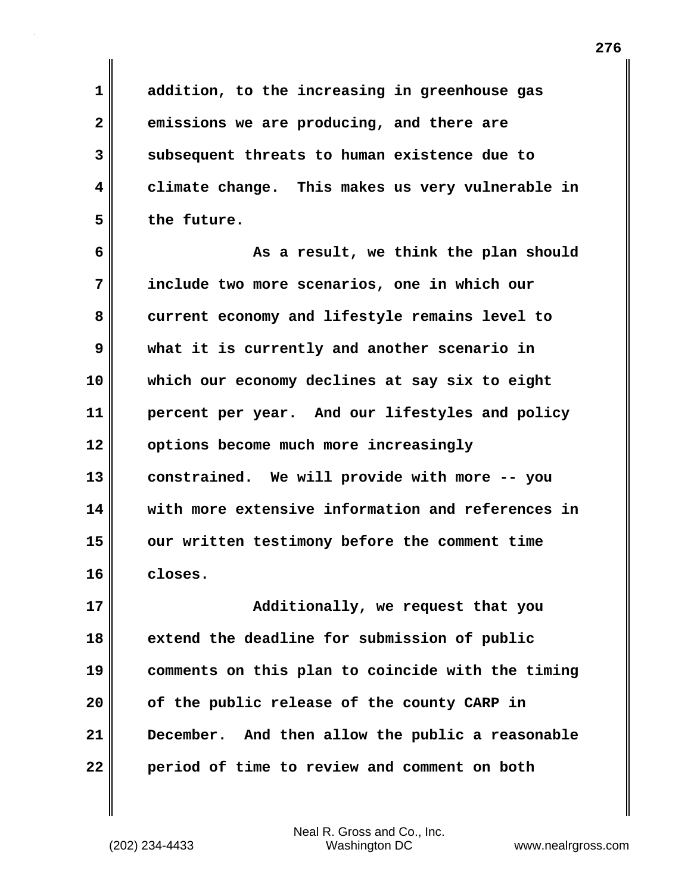**1 addition, to the increasing in greenhouse gas 2 emissions we are producing, and there are 3 subsequent threats to human existence due to 4 climate change. This makes us very vulnerable in 5 the future.**

**6 As a result, we think the plan should 7 include two more scenarios, one in which our 8 current economy and lifestyle remains level to 9 what it is currently and another scenario in 10 which our economy declines at say six to eight 11 percent per year. And our lifestyles and policy 12 options become much more increasingly 13 constrained. We will provide with more -- you 14 with more extensive information and references in 15 our written testimony before the comment time 16 closes.**

**17 Additionally, we request that you 18 extend the deadline for submission of public 19 comments on this plan to coincide with the timing 20 of the public release of the county CARP in 21 December. And then allow the public a reasonable 22 period of time to review and comment on both**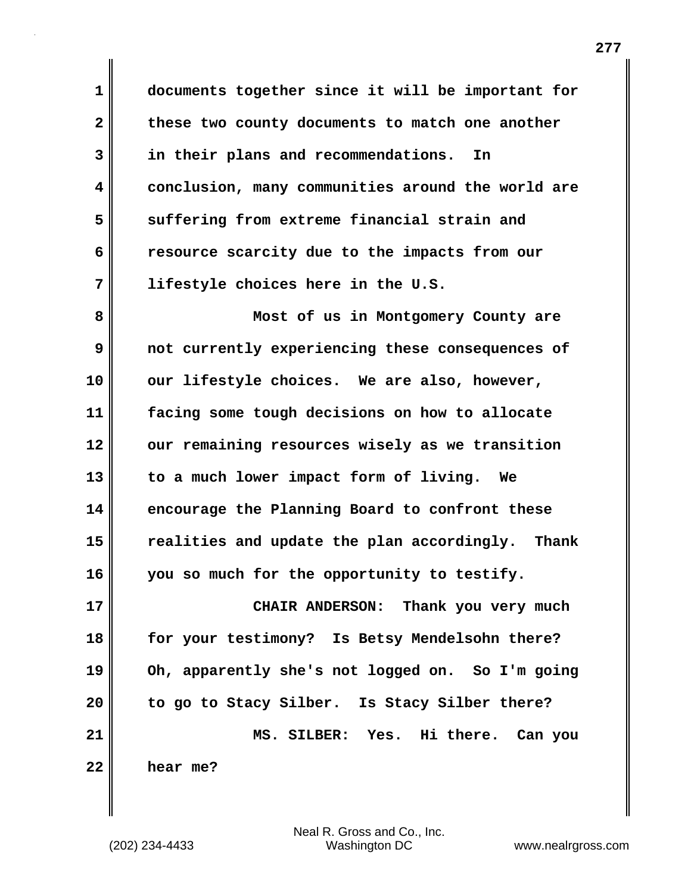**1 documents together since it will be important for** 2 these two county documents to match one another **3 in their plans and recommendations. In 4 conclusion, many communities around the world are 5 suffering from extreme financial strain and 6 resource scarcity due to the impacts from our 7 lifestyle choices here in the U.S.**

**8 Most of us in Montgomery County are 9 not currently experiencing these consequences of 10 our lifestyle choices. We are also, however, 11 facing some tough decisions on how to allocate 12 our remaining resources wisely as we transition 13 to a much lower impact form of living. We 14 encourage the Planning Board to confront these 15 realities and update the plan accordingly. Thank 16 you so much for the opportunity to testify.**

**17 CHAIR ANDERSON: Thank you very much 18 for your testimony? Is Betsy Mendelsohn there? 19 Oh, apparently she's not logged on. So I'm going 20 to go to Stacy Silber. Is Stacy Silber there? 21 MS. SILBER: Yes. Hi there. Can you 22 hear me?**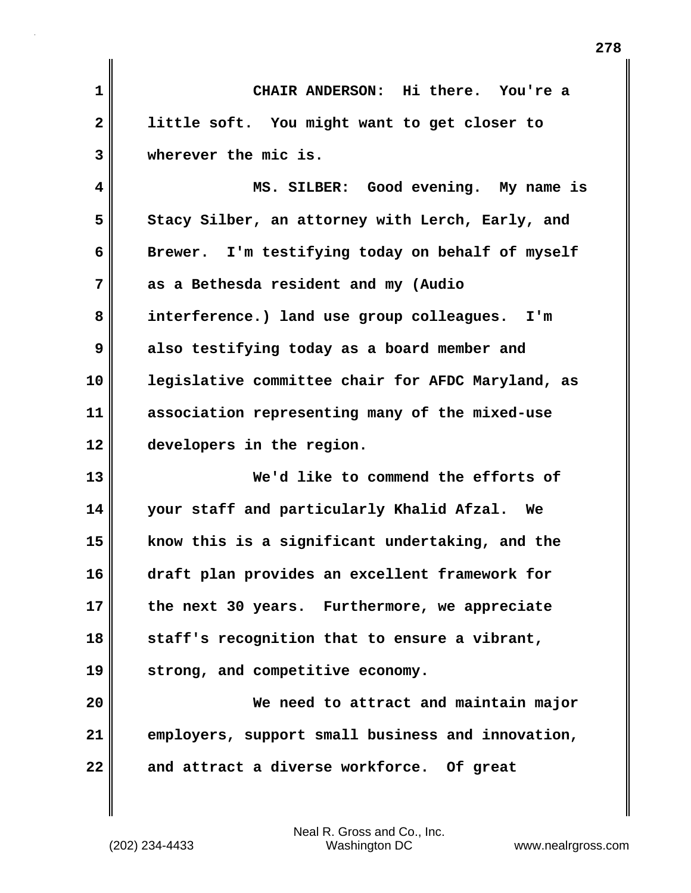**1 CHAIR ANDERSON: Hi there. You're a 2 little soft. You might want to get closer to 3 wherever the mic is.**

**4 MS. SILBER: Good evening. My name is** 5 Stacy Silber, an attorney with Lerch, Early, and **6 Brewer. I'm testifying today on behalf of myself 7 as a Bethesda resident and my (Audio 8 interference.) land use group colleagues. I'm 9 also testifying today as a board member and 10 legislative committee chair for AFDC Maryland, as 11 association representing many of the mixed-use 12 developers in the region.**

**13 We'd like to commend the efforts of 14 your staff and particularly Khalid Afzal. We 15 know this is a significant undertaking, and the 16 draft plan provides an excellent framework for 17 the next 30 years. Furthermore, we appreciate 18 staff's recognition that to ensure a vibrant, 19 strong, and competitive economy.**

**20 We need to attract and maintain major 21 employers, support small business and innovation, 22 and attract a diverse workforce. Of great**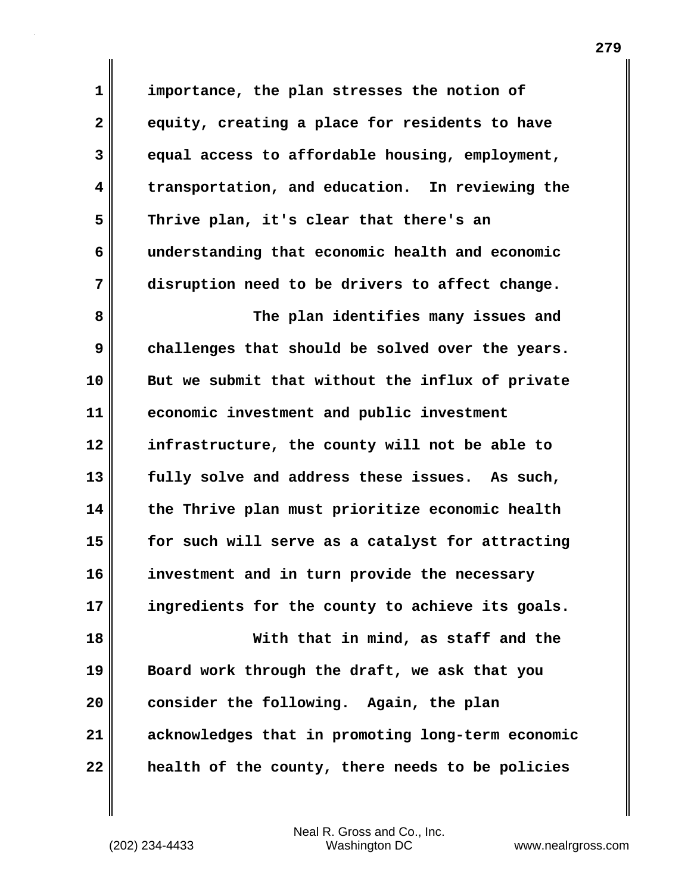**1 importance, the plan stresses the notion of 2 equity, creating a place for residents to have 3 equal access to affordable housing, employment, 4 transportation, and education. In reviewing the 5 Thrive plan, it's clear that there's an 6 understanding that economic health and economic 7 disruption need to be drivers to affect change. 8 The plan identifies many issues and 9 challenges that should be solved over the years. 10 But we submit that without the influx of private 11 economic investment and public investment 12 infrastructure, the county will not be able to 13 fully solve and address these issues. As such, 14 the Thrive plan must prioritize economic health 15 for such will serve as a catalyst for attracting 16 investment and in turn provide the necessary 17 ingredients for the county to achieve its goals. 18 With that in mind, as staff and the 19 Board work through the draft, we ask that you 20 consider the following. Again, the plan 21 acknowledges that in promoting long-term economic 22 health of the county, there needs to be policies**

Neal R. Gross and Co., Inc.

(202) 234-4433 Washington DC www.nealrgross.com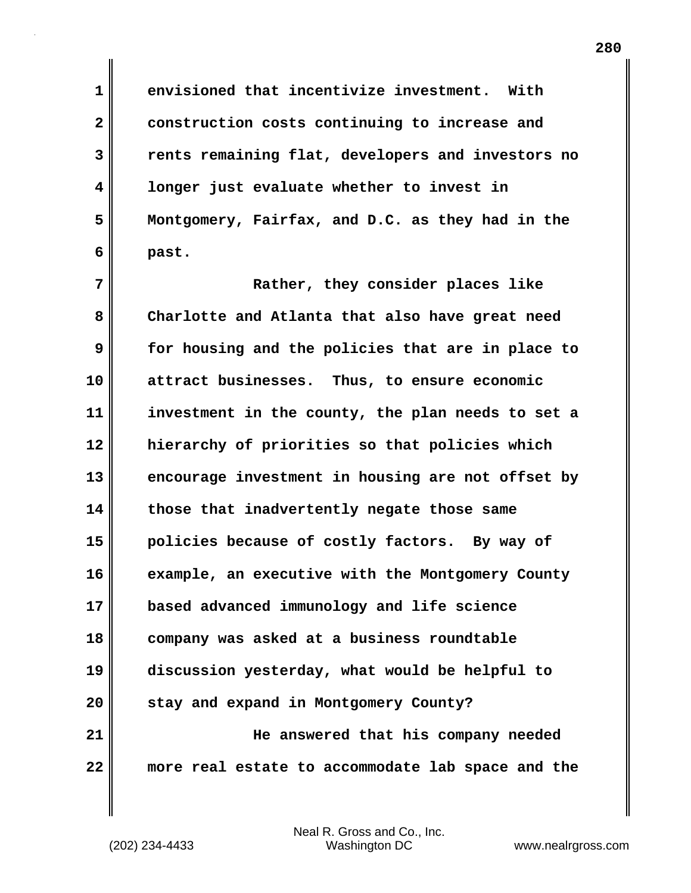**1 envisioned that incentivize investment. With 2 construction costs continuing to increase and 3 rents remaining flat, developers and investors no 4 longer just evaluate whether to invest in 5 Montgomery, Fairfax, and D.C. as they had in the 6 past.**

**7 Rather, they consider places like 8 Charlotte and Atlanta that also have great need 9 for housing and the policies that are in place to 10 attract businesses. Thus, to ensure economic 11 investment in the county, the plan needs to set a 12 hierarchy of priorities so that policies which 13 encourage investment in housing are not offset by 14 those that inadvertently negate those same 15 policies because of costly factors. By way of 16 example, an executive with the Montgomery County 17 based advanced immunology and life science 18 company was asked at a business roundtable 19 discussion yesterday, what would be helpful to 20 stay and expand in Montgomery County? 21 He answered that his company needed 22 more real estate to accommodate lab space and the**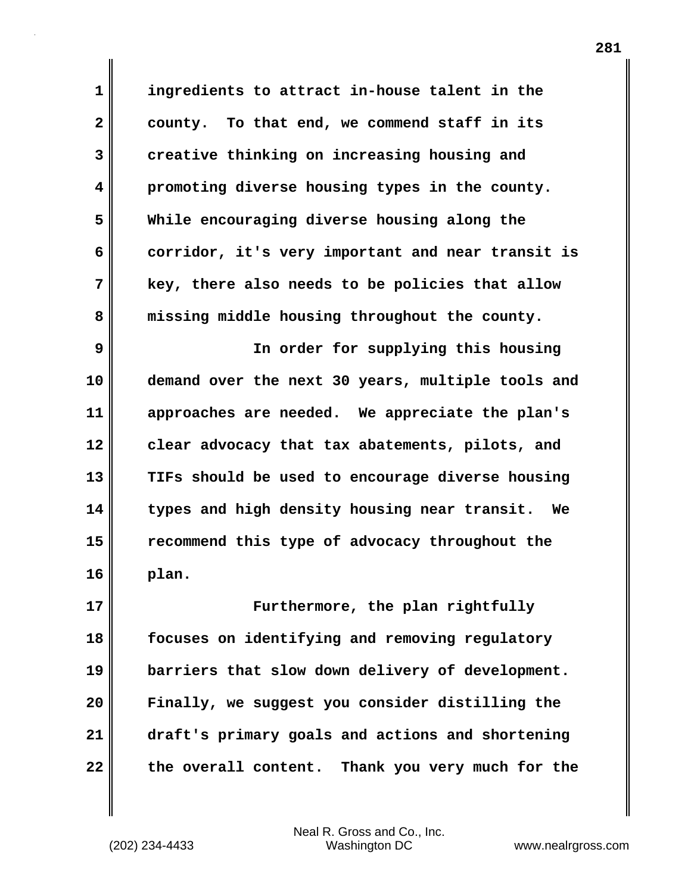**1 ingredients to attract in-house talent in the 2 county. To that end, we commend staff in its 3 creative thinking on increasing housing and 4 promoting diverse housing types in the county. 5 While encouraging diverse housing along the 6 corridor, it's very important and near transit is 7 key, there also needs to be policies that allow 8 missing middle housing throughout the county.**

**9 In order for supplying this housing 10 demand over the next 30 years, multiple tools and 11 approaches are needed. We appreciate the plan's 12 clear advocacy that tax abatements, pilots, and 13 TIFs should be used to encourage diverse housing 14 types and high density housing near transit. We 15 recommend this type of advocacy throughout the 16 plan.**

**17 Furthermore, the plan rightfully 18 focuses on identifying and removing regulatory 19 barriers that slow down delivery of development. 20 Finally, we suggest you consider distilling the 21 draft's primary goals and actions and shortening** 22 the overall content. Thank you very much for the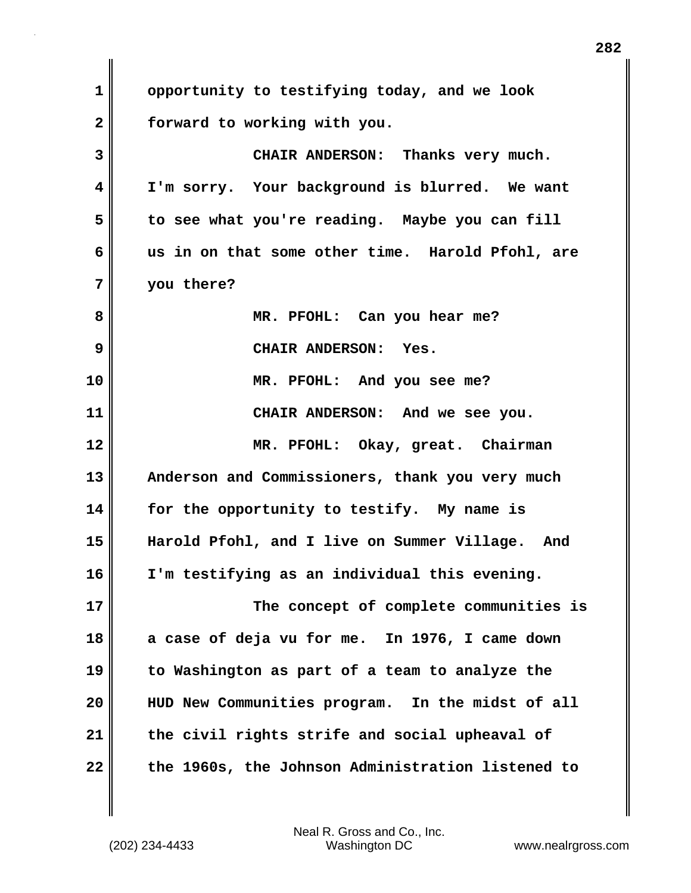**1 opportunity to testifying today, and we look 2 forward to working with you. 3 CHAIR ANDERSON: Thanks very much. 4 I'm sorry. Your background is blurred. We want 5 to see what you're reading. Maybe you can fill 6 us in on that some other time. Harold Pfohl, are 7 you there? 8 MR. PFOHL: Can you hear me? 9 CHAIR ANDERSON: Yes. 10 MR. PFOHL: And you see me? 11 CHAIR ANDERSON: And we see you. 12 MR. PFOHL: Okay, great. Chairman 13 Anderson and Commissioners, thank you very much 14 for the opportunity to testify. My name is 15 Harold Pfohl, and I live on Summer Village. And 16 I'm testifying as an individual this evening. 17 The concept of complete communities is 18 a case of deja vu for me. In 1976, I came down 19 to Washington as part of a team to analyze the 20 HUD New Communities program. In the midst of all 21 the civil rights strife and social upheaval of 22 the 1960s, the Johnson Administration listened to**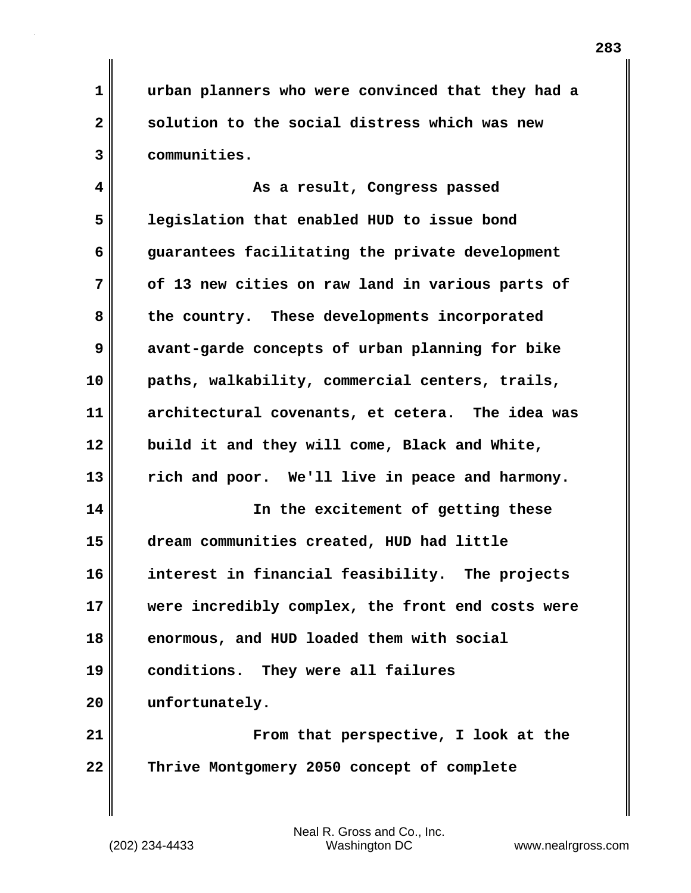**1 urban planners who were convinced that they had a 2 solution to the social distress which was new 3 communities.**

**4 As a result, Congress passed 5 legislation that enabled HUD to issue bond 6 guarantees facilitating the private development 7 of 13 new cities on raw land in various parts of 8 the country. These developments incorporated 9 avant-garde concepts of urban planning for bike 10 paths, walkability, commercial centers, trails, 11 architectural covenants, et cetera. The idea was 12 build it and they will come, Black and White, 13 rich and poor. We'll live in peace and harmony. 14 In the excitement of getting these 15 dream communities created, HUD had little 16 interest in financial feasibility. The projects 17 were incredibly complex, the front end costs were 18 enormous, and HUD loaded them with social 19 conditions. They were all failures 20 unfortunately. 21 From that perspective, I look at the**

**22 Thrive Montgomery 2050 concept of complete**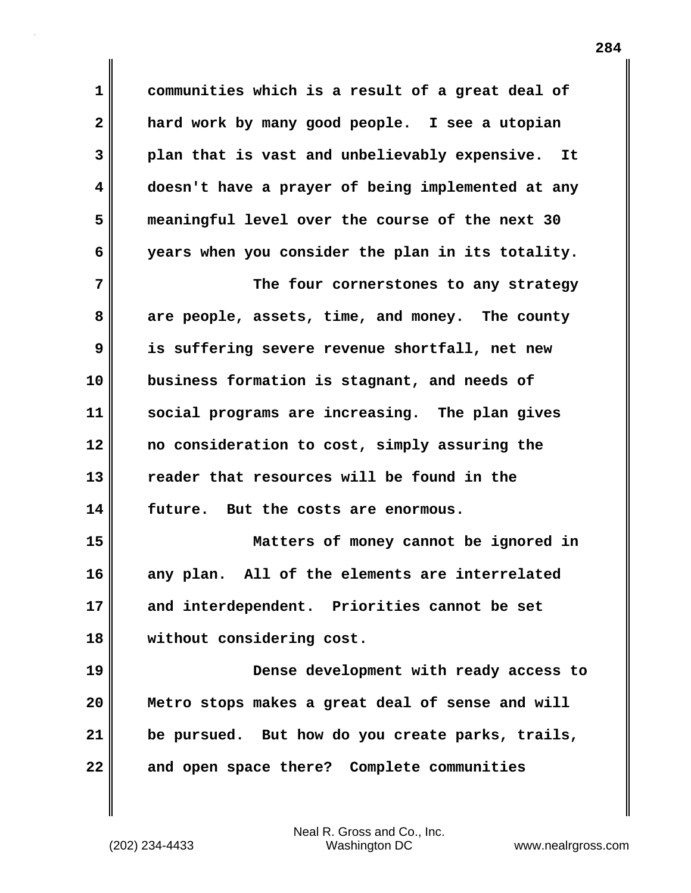**1 communities which is a result of a great deal of 2 hard work by many good people. I see a utopian 3 plan that is vast and unbelievably expensive. It 4 doesn't have a prayer of being implemented at any 5 meaningful level over the course of the next 30 6 years when you consider the plan in its totality.**

**7 The four cornerstones to any strategy 8 are people, assets, time, and money. The county 9 is suffering severe revenue shortfall, net new 10 business formation is stagnant, and needs of 11 social programs are increasing. The plan gives 12 no consideration to cost, simply assuring the 13 reader that resources will be found in the 14 future. But the costs are enormous.**

**15 Matters of money cannot be ignored in 16 any plan. All of the elements are interrelated 17 and interdependent. Priorities cannot be set 18 without considering cost.**

**19 Dense development with ready access to 20 Metro stops makes a great deal of sense and will 21 be pursued. But how do you create parks, trails, 22 and open space there? Complete communities**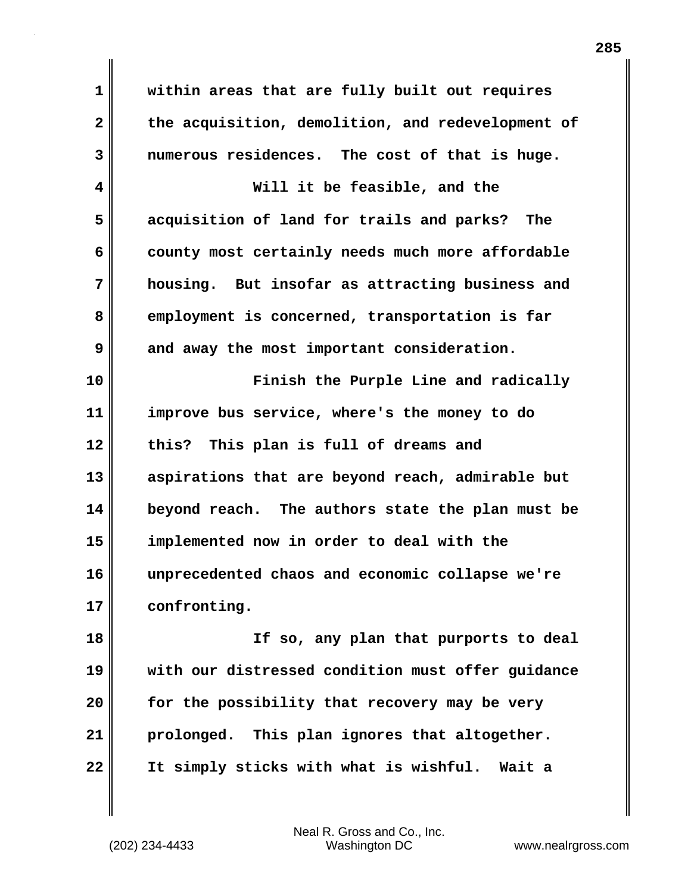**1 within areas that are fully built out requires 2 the acquisition, demolition, and redevelopment of 3 numerous residences. The cost of that is huge.**

**4 Will it be feasible, and the 5 acquisition of land for trails and parks? The 6 county most certainly needs much more affordable 7 housing. But insofar as attracting business and 8 employment is concerned, transportation is far 9** and away the most important consideration.

**10 Finish the Purple Line and radically 11 improve bus service, where's the money to do 12 this? This plan is full of dreams and 13 aspirations that are beyond reach, admirable but 14 beyond reach. The authors state the plan must be 15 implemented now in order to deal with the 16 unprecedented chaos and economic collapse we're 17 confronting.**

**18 If so, any plan that purports to deal 19 with our distressed condition must offer guidance 20 for the possibility that recovery may be very 21 prolonged. This plan ignores that altogether. 22 It simply sticks with what is wishful. Wait a**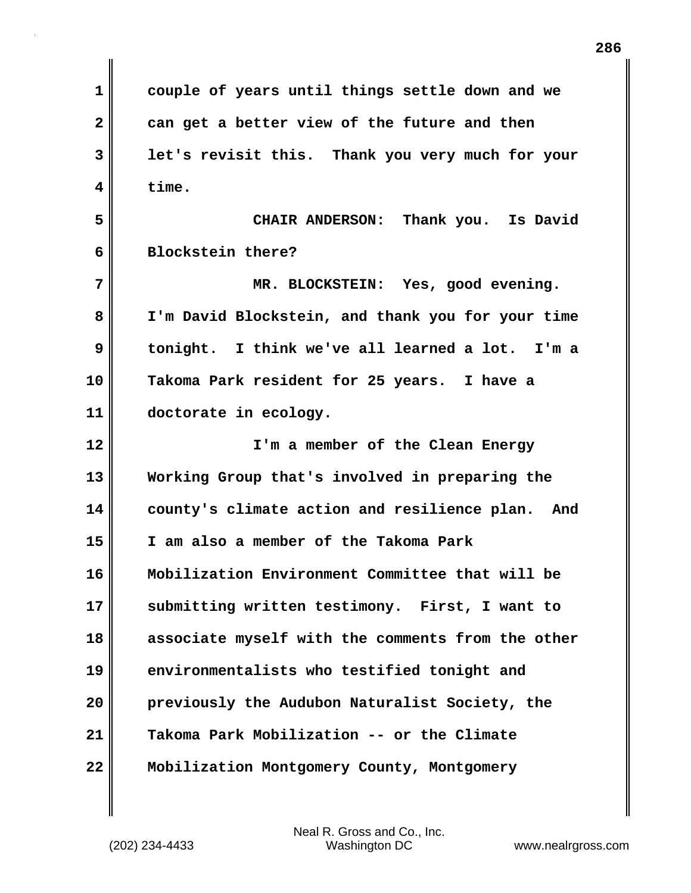**1 couple of years until things settle down and we 2 can get a better view of the future and then 3 let's revisit this. Thank you very much for your 4 time. 5 CHAIR ANDERSON: Thank you. Is David 6 Blockstein there? 7 MR. BLOCKSTEIN: Yes, good evening. 8 I'm David Blockstein, and thank you for your time 9 tonight. I think we've all learned a lot. I'm a 10 Takoma Park resident for 25 years. I have a 11 doctorate in ecology. 12 I'm a member of the Clean Energy 13 Working Group that's involved in preparing the 14 county's climate action and resilience plan. And 15 I am also a member of the Takoma Park 16 Mobilization Environment Committee that will be 17 submitting written testimony. First, I want to 18 associate myself with the comments from the other 19 environmentalists who testified tonight and 20 previously the Audubon Naturalist Society, the 21 Takoma Park Mobilization -- or the Climate 22 Mobilization Montgomery County, Montgomery**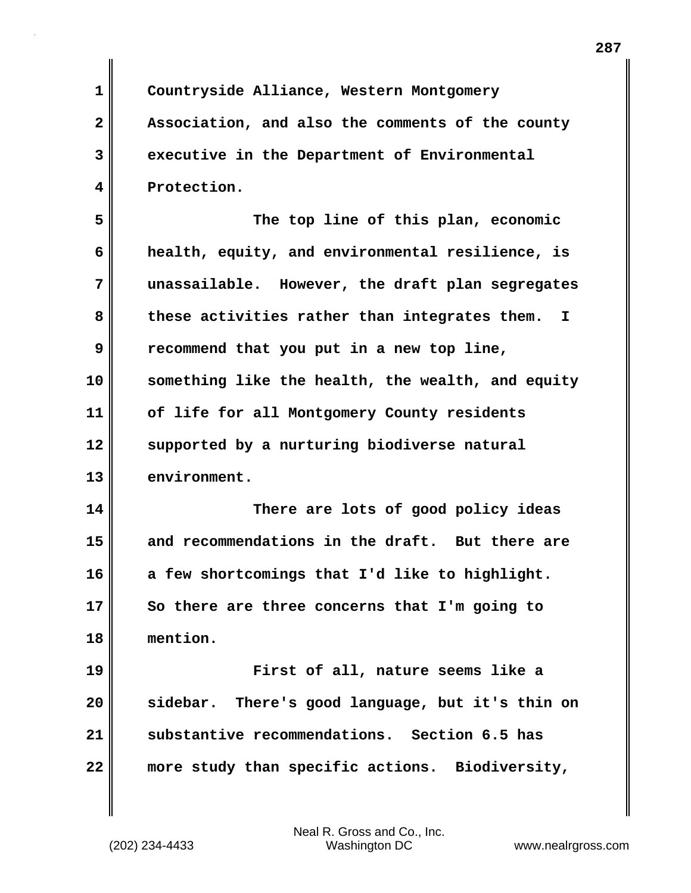**1 Countryside Alliance, Western Montgomery 2 Association, and also the comments of the county 3 executive in the Department of Environmental 4 Protection. 5 The top line of this plan, economic 6 health, equity, and environmental resilience, is 7 unassailable. However, the draft plan segregates 8 these activities rather than integrates them. I 9 recommend that you put in a new top line, 10 something like the health, the wealth, and equity 11 of life for all Montgomery County residents 12 supported by a nurturing biodiverse natural 13 environment. 14 There are lots of good policy ideas 15 and recommendations in the draft. But there are 16 a few shortcomings that I'd like to highlight. 17 So there are three concerns that I'm going to 18 mention. 19 First of all, nature seems like a 20 sidebar. There's good language, but it's thin on 21 substantive recommendations. Section 6.5 has 22 more study than specific actions. Biodiversity,**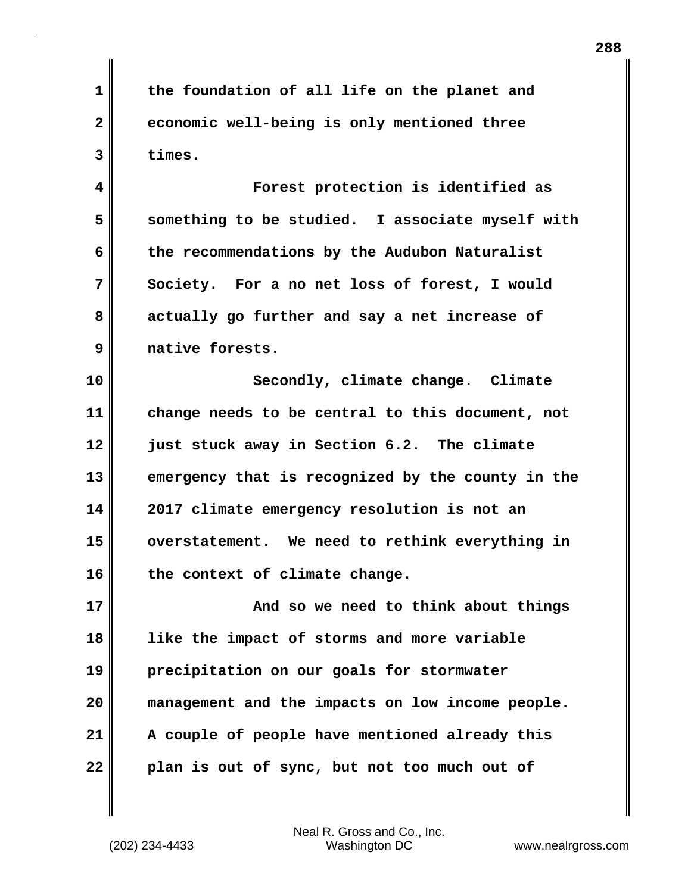**1 the foundation of all life on the planet and 2 economic well-being is only mentioned three 3 times.**

**4 Forest protection is identified as 5 something to be studied. I associate myself with 6 the recommendations by the Audubon Naturalist 7 Society. For a no net loss of forest, I would 8 actually go further and say a net increase of 9 native forests.**

**10 Secondly, climate change. Climate 11 change needs to be central to this document, not 12 just stuck away in Section 6.2. The climate 13 emergency that is recognized by the county in the 14 2017 climate emergency resolution is not an 15 overstatement. We need to rethink everything in 16 the context of climate change.**

**17 And so we need to think about things 18 like the impact of storms and more variable 19 precipitation on our goals for stormwater 20 management and the impacts on low income people. 21 A couple of people have mentioned already this 22 plan is out of sync, but not too much out of**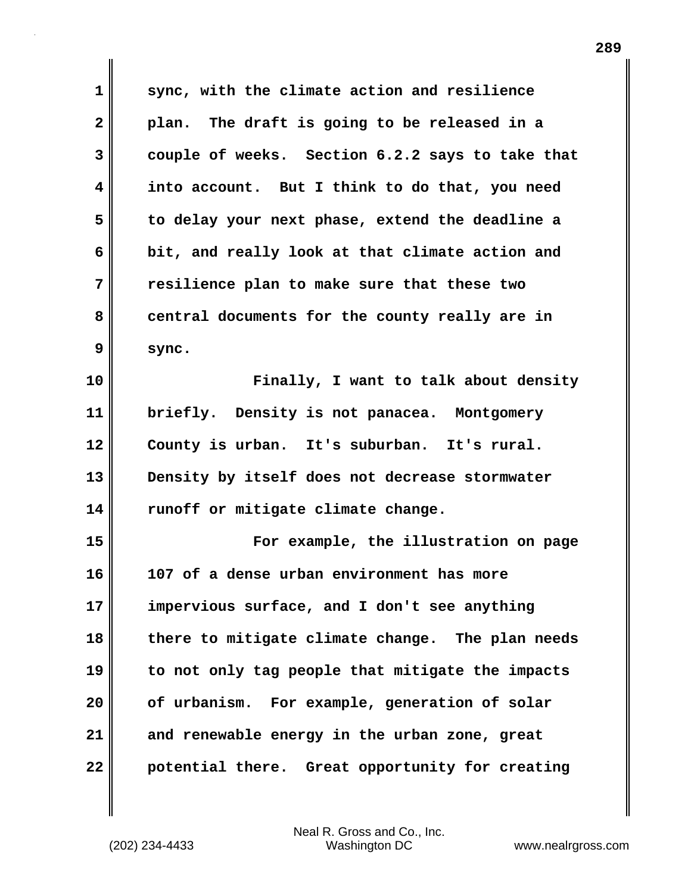**1 sync, with the climate action and resilience 2 plan. The draft is going to be released in a 3 couple of weeks. Section 6.2.2 says to take that 4 into account. But I think to do that, you need 5 to delay your next phase, extend the deadline a 6 bit, and really look at that climate action and 7 resilience plan to make sure that these two 8 central documents for the county really are in 9 sync. 10 Finally, I want to talk about density 11 briefly. Density is not panacea. Montgomery 12 County is urban. It's suburban. It's rural. 13 Density by itself does not decrease stormwater 14 runoff or mitigate climate change. 15 For example, the illustration on page 16 107 of a dense urban environment has more 17 impervious surface, and I don't see anything 18 there to mitigate climate change. The plan needs 19 to not only tag people that mitigate the impacts 20 of urbanism. For example, generation of solar 21 and renewable energy in the urban zone, great 22 potential there. Great opportunity for creating**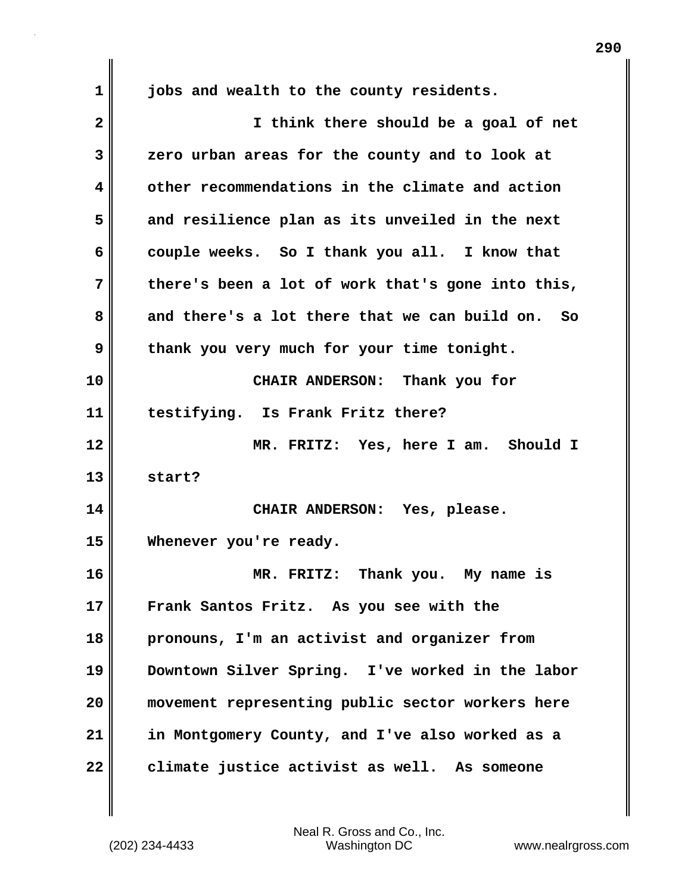**1 jobs and wealth to the county residents. 2 I think there should be a goal of net 3 zero urban areas for the county and to look at 4 other recommendations in the climate and action 5 and resilience plan as its unveiled in the next 6 couple weeks. So I thank you all. I know that 7 there's been a lot of work that's gone into this, 8 and there's a lot there that we can build on. So 9 thank you very much for your time tonight. 10 CHAIR ANDERSON: Thank you for 11 testifying. Is Frank Fritz there? 12 MR. FRITZ: Yes, here I am. Should I 13 start? 14 CHAIR ANDERSON: Yes, please. 15 Whenever you're ready. 16 MR. FRITZ: Thank you. My name is 17 Frank Santos Fritz. As you see with the 18 pronouns, I'm an activist and organizer from 19 Downtown Silver Spring. I've worked in the labor 20 movement representing public sector workers here 21 in Montgomery County, and I've also worked as a 22 climate justice activist as well. As someone**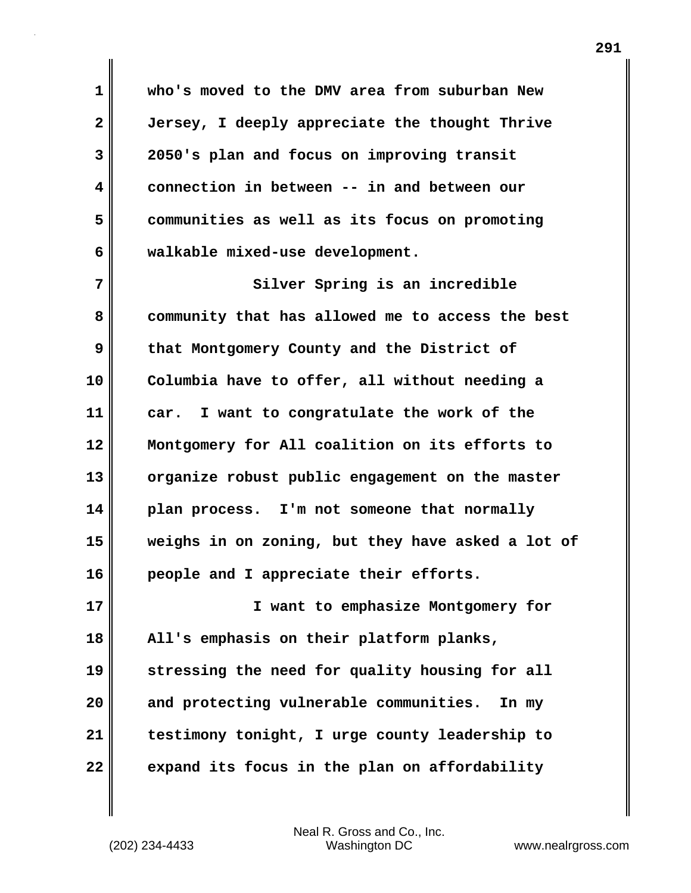**1 who's moved to the DMV area from suburban New 2 Jersey, I deeply appreciate the thought Thrive 3 2050's plan and focus on improving transit 4 connection in between -- in and between our 5 communities as well as its focus on promoting 6 walkable mixed-use development.**

**7** Silver Spring is an incredible **8 community that has allowed me to access the best 9 that Montgomery County and the District of 10 Columbia have to offer, all without needing a 11 car. I want to congratulate the work of the 12 Montgomery for All coalition on its efforts to 13 organize robust public engagement on the master 14 plan process. I'm not someone that normally 15 weighs in on zoning, but they have asked a lot of 16 people and I appreciate their efforts.**

**17 I want to emphasize Montgomery for 18 All's emphasis on their platform planks, 19 stressing the need for quality housing for all 20 and protecting vulnerable communities. In my 21 testimony tonight, I urge county leadership to 22 expand its focus in the plan on affordability**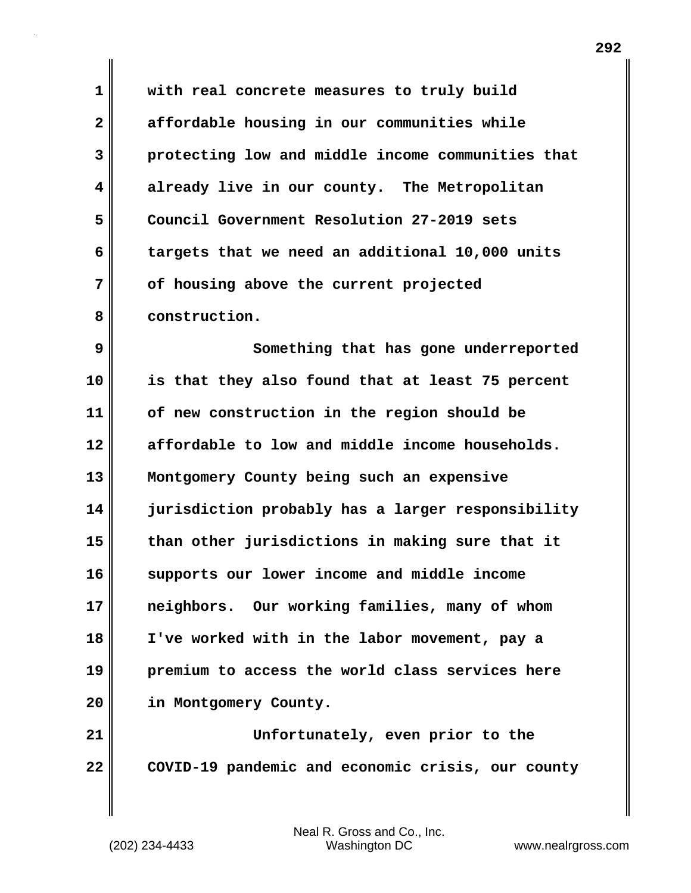**1 with real concrete measures to truly build 2 affordable housing in our communities while 3 protecting low and middle income communities that 4 already live in our county. The Metropolitan 5 Council Government Resolution 27-2019 sets 6 targets that we need an additional 10,000 units 7 of housing above the current projected 8 construction.**

**9 Something that has gone underreported 10 is that they also found that at least 75 percent 11 of new construction in the region should be 12 affordable to low and middle income households. 13 Montgomery County being such an expensive 14 jurisdiction probably has a larger responsibility 15 than other jurisdictions in making sure that it 16 supports our lower income and middle income 17 neighbors. Our working families, many of whom 18 I've worked with in the labor movement, pay a 19 premium to access the world class services here 20 in Montgomery County.**

**21 Unfortunately, even prior to the 22 COVID-19 pandemic and economic crisis, our county**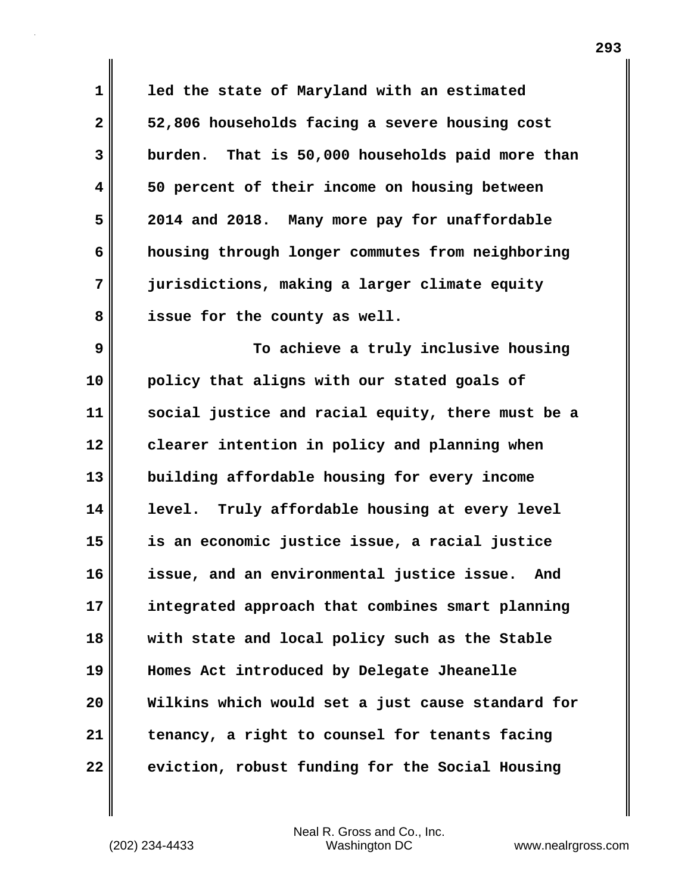**1 led the state of Maryland with an estimated 2 52,806 households facing a severe housing cost 3 burden. That is 50,000 households paid more than 4 50 percent of their income on housing between 5 2014 and 2018. Many more pay for unaffordable 6 housing through longer commutes from neighboring 7 jurisdictions, making a larger climate equity 8 issue for the county as well.**

**9 To achieve a truly inclusive housing 10 policy that aligns with our stated goals of 11 social justice and racial equity, there must be a 12 clearer intention in policy and planning when 13 building affordable housing for every income 14 level. Truly affordable housing at every level 15 is an economic justice issue, a racial justice 16 issue, and an environmental justice issue. And 17 integrated approach that combines smart planning 18 with state and local policy such as the Stable 19 Homes Act introduced by Delegate Jheanelle 20 Wilkins which would set a just cause standard for 21 tenancy, a right to counsel for tenants facing 22 eviction, robust funding for the Social Housing**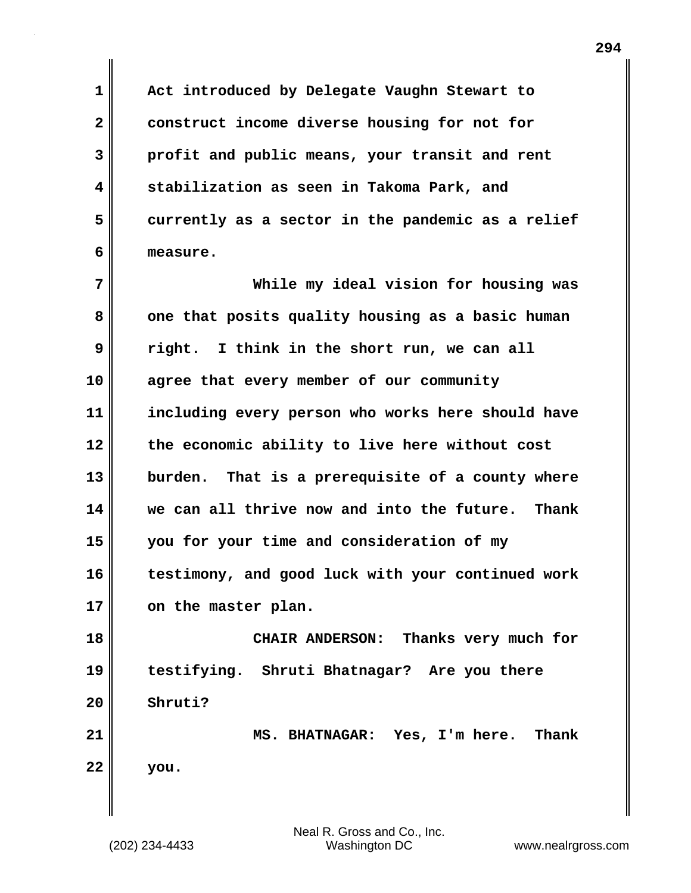**1 Act introduced by Delegate Vaughn Stewart to 2 construct income diverse housing for not for 3 profit and public means, your transit and rent 4 stabilization as seen in Takoma Park, and 5 currently as a sector in the pandemic as a relief 6 measure.**

**7 While my ideal vision for housing was** 8 one that posits quality housing as a basic human **9 right. I think in the short run, we can all 10 agree that every member of our community 11 including every person who works here should have 12 the economic ability to live here without cost 13 burden. That is a prerequisite of a county where 14 we can all thrive now and into the future. Thank 15 you for your time and consideration of my 16 testimony, and good luck with your continued work 17 on the master plan.**

**18 CHAIR ANDERSON: Thanks very much for 19 testifying. Shruti Bhatnagar? Are you there 20 Shruti?**

**21 MS. BHATNAGAR: Yes, I'm here. Thank 22 you.**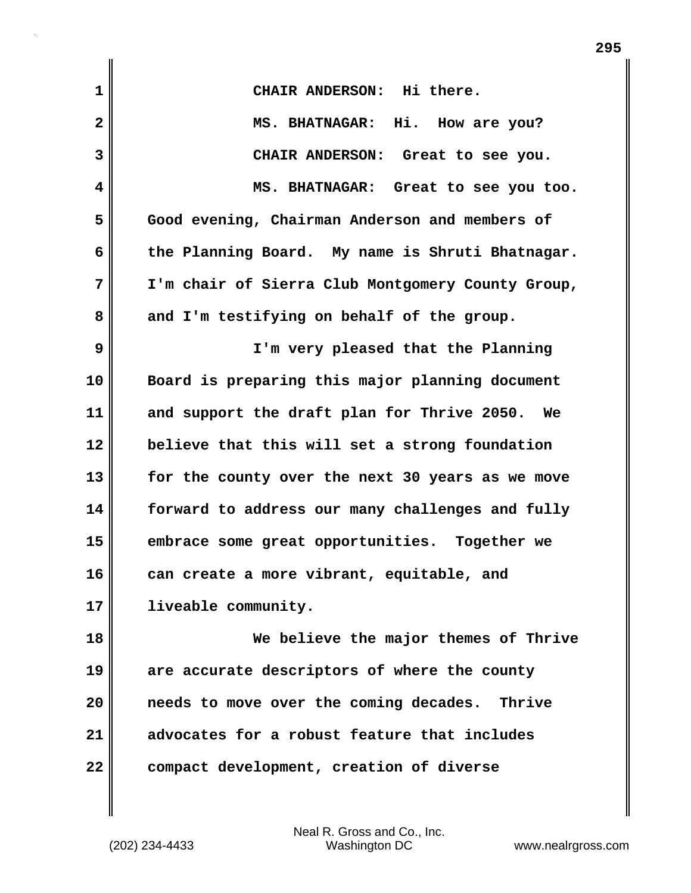| $\mathbf 1$    | CHAIR ANDERSON: Hi there.                         |  |  |  |  |  |
|----------------|---------------------------------------------------|--|--|--|--|--|
| $\overline{2}$ | MS. BHATNAGAR: Hi. How are you?                   |  |  |  |  |  |
| 3              | CHAIR ANDERSON: Great to see you.                 |  |  |  |  |  |
| 4              | MS. BHATNAGAR: Great to see you too.              |  |  |  |  |  |
| 5              | Good evening, Chairman Anderson and members of    |  |  |  |  |  |
| 6              | the Planning Board. My name is Shruti Bhatnagar.  |  |  |  |  |  |
| 7              | I'm chair of Sierra Club Montgomery County Group, |  |  |  |  |  |
| 8              | and I'm testifying on behalf of the group.        |  |  |  |  |  |
| 9              | I'm very pleased that the Planning                |  |  |  |  |  |
| 10             | Board is preparing this major planning document   |  |  |  |  |  |
| 11             | and support the draft plan for Thrive 2050. We    |  |  |  |  |  |
| 12             | believe that this will set a strong foundation    |  |  |  |  |  |
| 13             | for the county over the next 30 years as we move  |  |  |  |  |  |
| 14             | forward to address our many challenges and fully  |  |  |  |  |  |
| 15             | embrace some great opportunities. Together we     |  |  |  |  |  |
| 16             | can create a more vibrant, equitable, and         |  |  |  |  |  |
| 17             | liveable community.                               |  |  |  |  |  |
| 18             | We believe the major themes of Thrive             |  |  |  |  |  |
| 19             | are accurate descriptors of where the county      |  |  |  |  |  |
| 20             | needs to move over the coming decades. Thrive     |  |  |  |  |  |
| 21             | advocates for a robust feature that includes      |  |  |  |  |  |
| 22             | compact development, creation of diverse          |  |  |  |  |  |
|                |                                                   |  |  |  |  |  |

**295**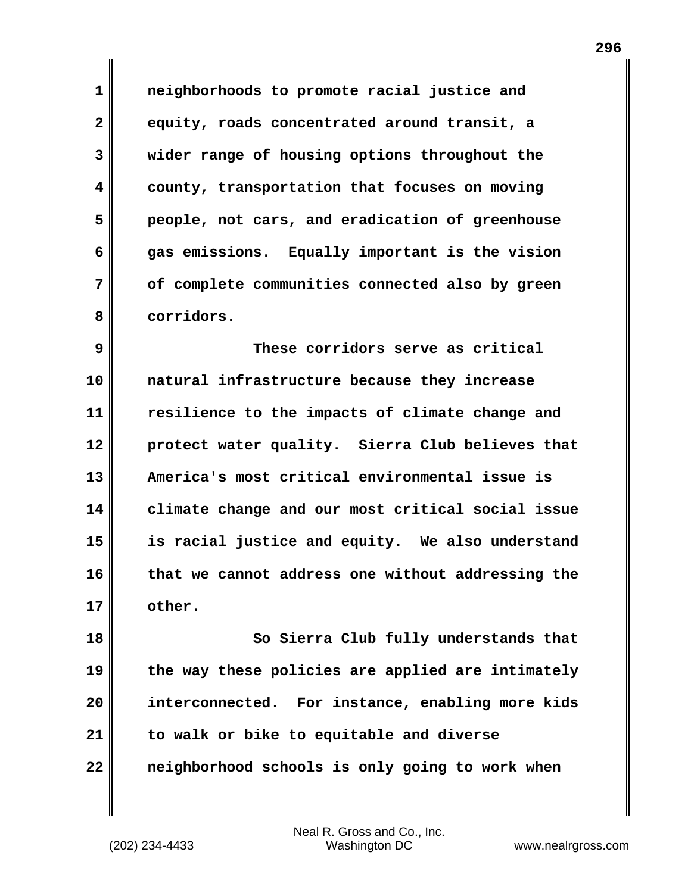**1 neighborhoods to promote racial justice and 2 equity, roads concentrated around transit, a 3 wider range of housing options throughout the 4 county, transportation that focuses on moving 5 people, not cars, and eradication of greenhouse 6 gas emissions. Equally important is the vision 7 of complete communities connected also by green 8 corridors.**

**9 These corridors serve as critical 10 natural infrastructure because they increase 11 resilience to the impacts of climate change and 12 protect water quality. Sierra Club believes that 13 America's most critical environmental issue is 14 climate change and our most critical social issue 15 is racial justice and equity. We also understand 16 that we cannot address one without addressing the 17 other.**

**18 So Sierra Club fully understands that 19 the way these policies are applied are intimately 20 interconnected. For instance, enabling more kids 21 to walk or bike to equitable and diverse 22 neighborhood schools is only going to work when**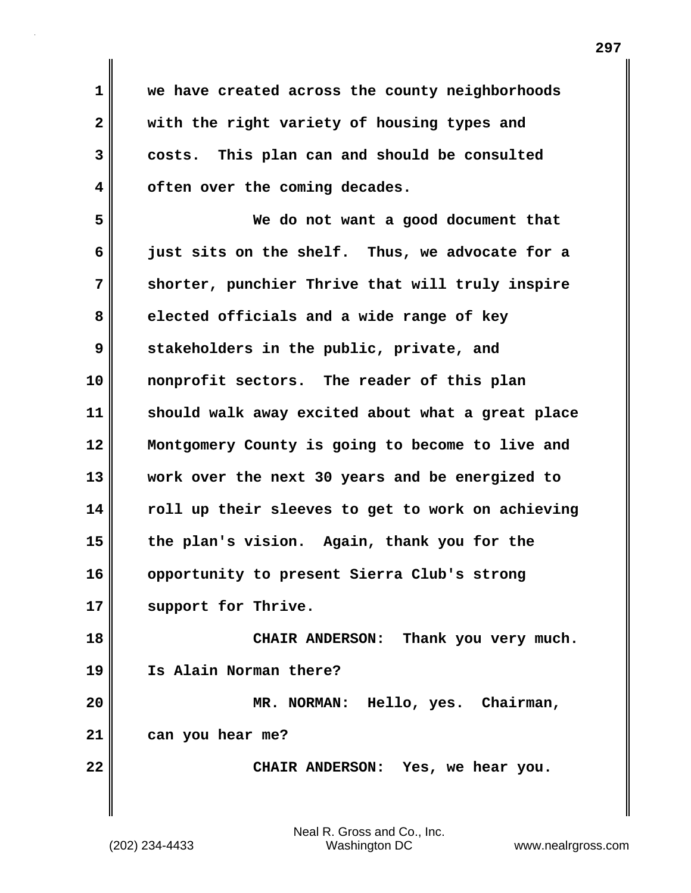**1 we have created across the county neighborhoods 2 with the right variety of housing types and 3 costs. This plan can and should be consulted 4 often over the coming decades.**

**5 We do not want a good document that 6 just sits on the shelf. Thus, we advocate for a 7 shorter, punchier Thrive that will truly inspire 8 elected officials and a wide range of key 9 stakeholders in the public, private, and 10 nonprofit sectors. The reader of this plan 11 should walk away excited about what a great place 12 Montgomery County is going to become to live and 13 work over the next 30 years and be energized to 14 roll up their sleeves to get to work on achieving 15 the plan's vision. Again, thank you for the 16 opportunity to present Sierra Club's strong 17 support for Thrive.**

**18 CHAIR ANDERSON: Thank you very much. 19 Is Alain Norman there? 20 MR. NORMAN: Hello, yes. Chairman,**

**21 can you hear me?**

**22 CHAIR ANDERSON: Yes, we hear you.**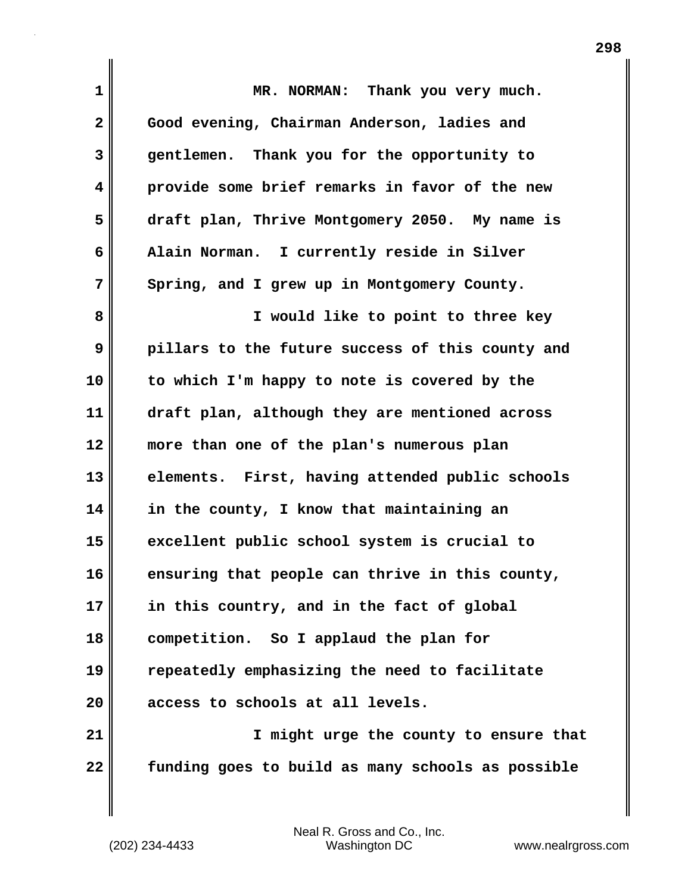| 1            | MR. NORMAN: Thank you very much.                  |  |  |  |  |  |  |
|--------------|---------------------------------------------------|--|--|--|--|--|--|
| $\mathbf{2}$ | Good evening, Chairman Anderson, ladies and       |  |  |  |  |  |  |
| 3            | gentlemen. Thank you for the opportunity to       |  |  |  |  |  |  |
| 4            | provide some brief remarks in favor of the new    |  |  |  |  |  |  |
| 5            | draft plan, Thrive Montgomery 2050. My name is    |  |  |  |  |  |  |
| 6            | Alain Norman. I currently reside in Silver        |  |  |  |  |  |  |
| 7            | Spring, and I grew up in Montgomery County.       |  |  |  |  |  |  |
| 8            | I would like to point to three key                |  |  |  |  |  |  |
| 9            | pillars to the future success of this county and  |  |  |  |  |  |  |
| 10           | to which I'm happy to note is covered by the      |  |  |  |  |  |  |
| 11           | draft plan, although they are mentioned across    |  |  |  |  |  |  |
| 12           | more than one of the plan's numerous plan         |  |  |  |  |  |  |
| 13           | elements. First, having attended public schools   |  |  |  |  |  |  |
| 14           | in the county, I know that maintaining an         |  |  |  |  |  |  |
| 15           | excellent public school system is crucial to      |  |  |  |  |  |  |
| 16           | ensuring that people can thrive in this county,   |  |  |  |  |  |  |
| 17           | in this country, and in the fact of global        |  |  |  |  |  |  |
| 18           | competition. So I applaud the plan for            |  |  |  |  |  |  |
| 19           | repeatedly emphasizing the need to facilitate     |  |  |  |  |  |  |
| 20           | access to schools at all levels.                  |  |  |  |  |  |  |
| 21           | I might urge the county to ensure that            |  |  |  |  |  |  |
| 22           | funding goes to build as many schools as possible |  |  |  |  |  |  |

 $\mathbf{I}$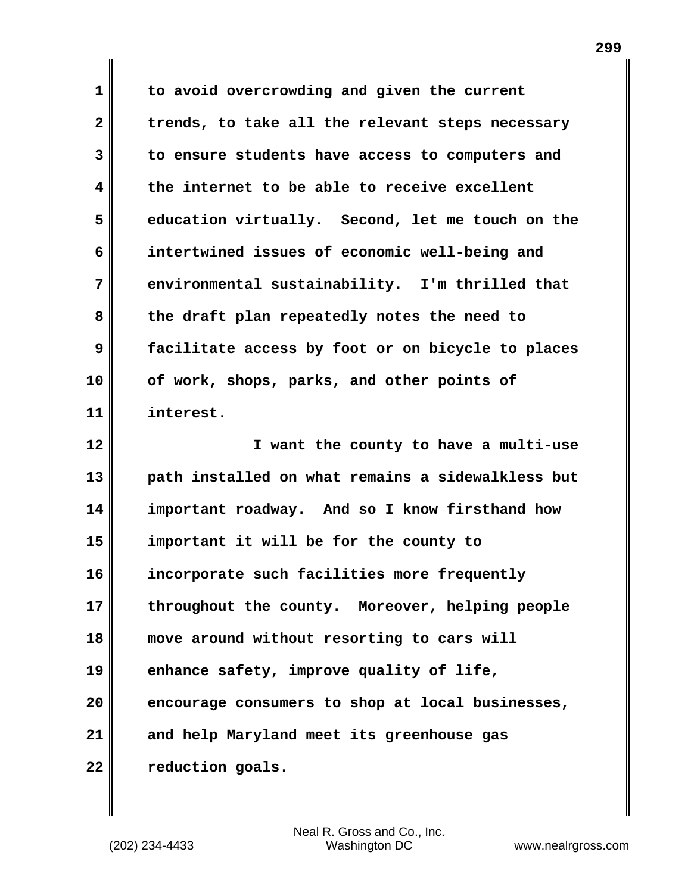**1 to avoid overcrowding and given the current 2 trends, to take all the relevant steps necessary 3 to ensure students have access to computers and 4 the internet to be able to receive excellent 5 education virtually. Second, let me touch on the 6 intertwined issues of economic well-being and 7 environmental sustainability. I'm thrilled that 8 the draft plan repeatedly notes the need to 9 facilitate access by foot or on bicycle to places 10 of work, shops, parks, and other points of 11 interest. 12 I want the county to have a multi-use 13 path installed on what remains a sidewalkless but 14 important roadway. And so I know firsthand how 15 important it will be for the county to 16 incorporate such facilities more frequently**

**17 throughout the county. Moreover, helping people 18 move around without resorting to cars will 19 enhance safety, improve quality of life, 20 encourage consumers to shop at local businesses, 21 and help Maryland meet its greenhouse gas**

**22 reduction goals.**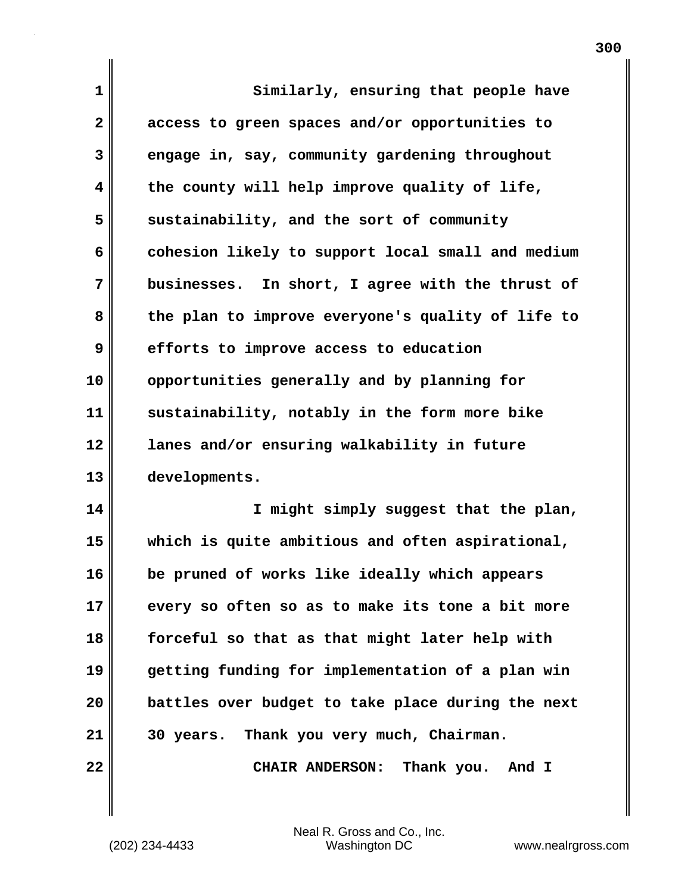| 1            | Similarly, ensuring that people have              |  |  |  |  |  |
|--------------|---------------------------------------------------|--|--|--|--|--|
| $\mathbf{2}$ | access to green spaces and/or opportunities to    |  |  |  |  |  |
| 3            | engage in, say, community gardening throughout    |  |  |  |  |  |
| 4            | the county will help improve quality of life,     |  |  |  |  |  |
| 5            | sustainability, and the sort of community         |  |  |  |  |  |
| 6            | cohesion likely to support local small and medium |  |  |  |  |  |
| 7            | businesses. In short, I agree with the thrust of  |  |  |  |  |  |
| 8            | the plan to improve everyone's quality of life to |  |  |  |  |  |
| 9            | efforts to improve access to education            |  |  |  |  |  |
| 10           | opportunities generally and by planning for       |  |  |  |  |  |
| 11           | sustainability, notably in the form more bike     |  |  |  |  |  |
| 12           | lanes and/or ensuring walkability in future       |  |  |  |  |  |
| 13           | developments.                                     |  |  |  |  |  |
| 14           | I might simply suggest that the plan,             |  |  |  |  |  |
| 15           | which is quite ambitious and often aspirational,  |  |  |  |  |  |
| 16           | be pruned of works like ideally which appears     |  |  |  |  |  |
| 17           | every so often so as to make its tone a bit more  |  |  |  |  |  |
| 18           | forceful so that as that might later help with    |  |  |  |  |  |
| 19           | getting funding for implementation of a plan win  |  |  |  |  |  |
| 20           | battles over budget to take place during the next |  |  |  |  |  |
| 21           | 30 years. Thank you very much, Chairman.          |  |  |  |  |  |
| 22           | CHAIR ANDERSON: Thank you. And I                  |  |  |  |  |  |

(202) 234-4433 Washington DC www.nealrgross.com Neal R. Gross and Co., Inc.

 $\mathbf{I}$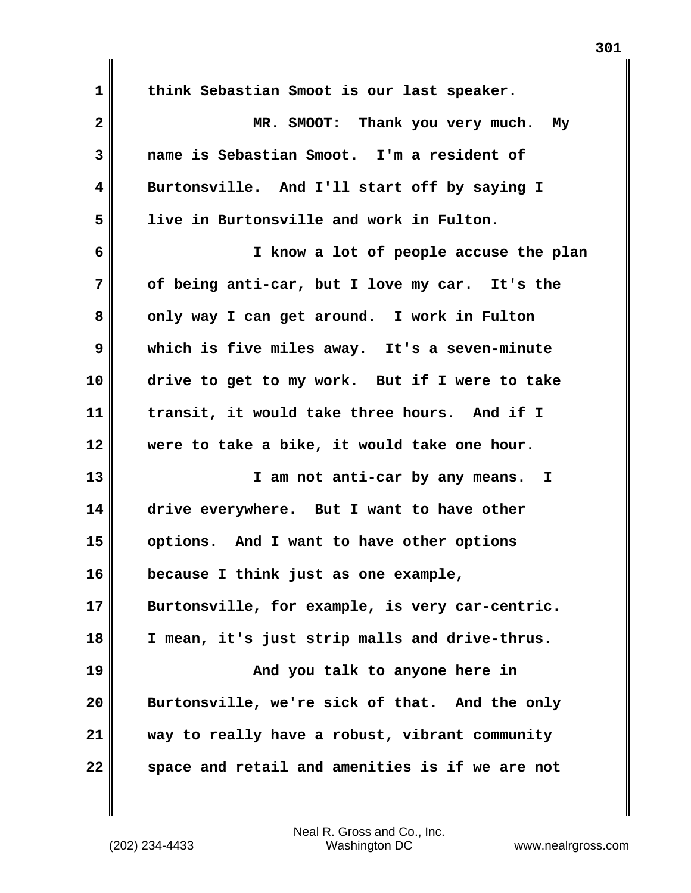| 1            | think Sebastian Smoot is our last speaker.      |  |  |  |  |  |
|--------------|-------------------------------------------------|--|--|--|--|--|
| $\mathbf{2}$ | MR. SMOOT: Thank you very much. My              |  |  |  |  |  |
| 3            | name is Sebastian Smoot. I'm a resident of      |  |  |  |  |  |
| 4            | Burtonsville. And I'll start off by saying I    |  |  |  |  |  |
| 5            | live in Burtonsville and work in Fulton.        |  |  |  |  |  |
| 6            | I know a lot of people accuse the plan          |  |  |  |  |  |
| 7            | of being anti-car, but I love my car. It's the  |  |  |  |  |  |
| 8            | only way I can get around. I work in Fulton     |  |  |  |  |  |
| 9            | which is five miles away. It's a seven-minute   |  |  |  |  |  |
| 10           | drive to get to my work. But if I were to take  |  |  |  |  |  |
| 11           | transit, it would take three hours. And if I    |  |  |  |  |  |
| 12           | were to take a bike, it would take one hour.    |  |  |  |  |  |
| 13           | I am not anti-car by any means. I               |  |  |  |  |  |
| 14           | drive everywhere. But I want to have other      |  |  |  |  |  |
| 15           | options. And I want to have other options       |  |  |  |  |  |
| 16           | because I think just as one example,            |  |  |  |  |  |
| 17           | Burtonsville, for example, is very car-centric. |  |  |  |  |  |
| 18           | I mean, it's just strip malls and drive-thrus.  |  |  |  |  |  |
| 19           | And you talk to anyone here in                  |  |  |  |  |  |
| 20           | Burtonsville, we're sick of that. And the only  |  |  |  |  |  |
| 21           | way to really have a robust, vibrant community  |  |  |  |  |  |
| 22           | space and retail and amenities is if we are not |  |  |  |  |  |

 $\mathbf{I}$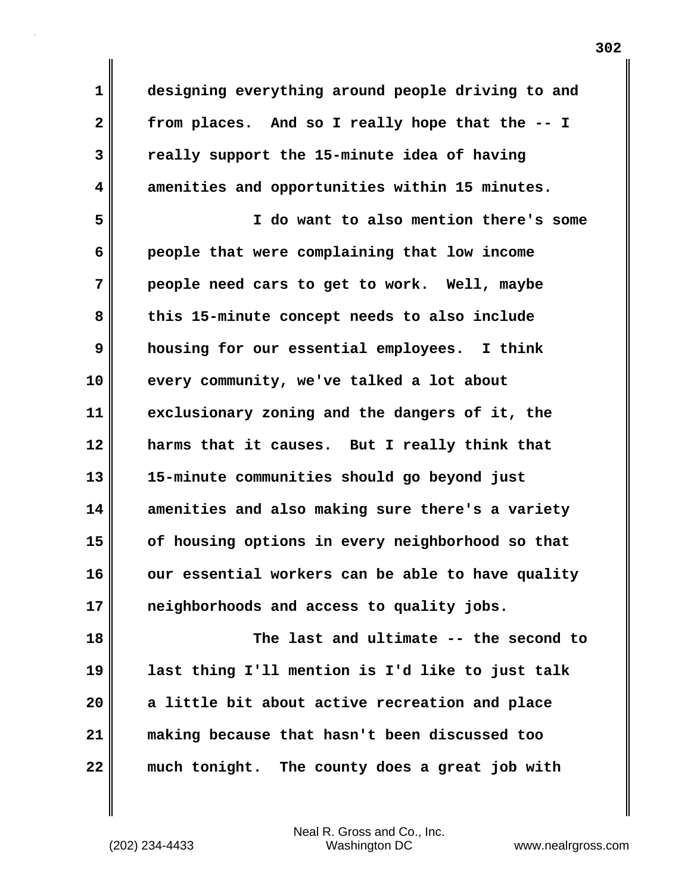**1 designing everything around people driving to and 2 from places. And so I really hope that the -- I 3 really support the 15-minute idea of having 4 amenities and opportunities within 15 minutes.**

**5 I do want to also mention there's some 6 people that were complaining that low income 7 people need cars to get to work. Well, maybe 8 this 15-minute concept needs to also include 9 housing for our essential employees. I think 10 every community, we've talked a lot about 11 exclusionary zoning and the dangers of it, the 12 harms that it causes. But I really think that 13 15-minute communities should go beyond just 14 amenities and also making sure there's a variety 15 of housing options in every neighborhood so that** 16 our essential workers can be able to have quality **17 neighborhoods and access to quality jobs.**

**18 The last and ultimate -- the second to 19 last thing I'll mention is I'd like to just talk 20 a little bit about active recreation and place 21 making because that hasn't been discussed too 22 much tonight. The county does a great job with**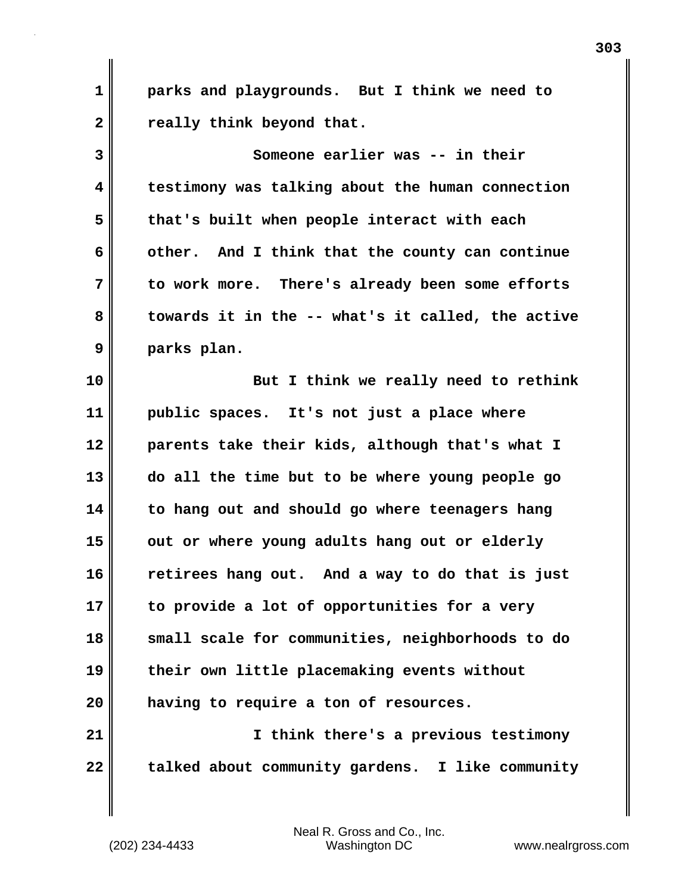**1 parks and playgrounds. But I think we need to 2 really think beyond that.**

**3 Someone earlier was -- in their 4 testimony was talking about the human connection 5 that's built when people interact with each 6 other. And I think that the county can continue 7 to work more. There's already been some efforts 8 towards it in the -- what's it called, the active 9 parks plan.**

**10 But I think we really need to rethink 11 public spaces. It's not just a place where 12 parents take their kids, although that's what I 13 do all the time but to be where young people go 14 to hang out and should go where teenagers hang 15 out or where young adults hang out or elderly 16 retirees hang out. And a way to do that is just 17 to provide a lot of opportunities for a very 18 small scale for communities, neighborhoods to do 19 their own little placemaking events without 20 having to require a ton of resources. 21 I think there's a previous testimony**

**22 talked about community gardens. I like community**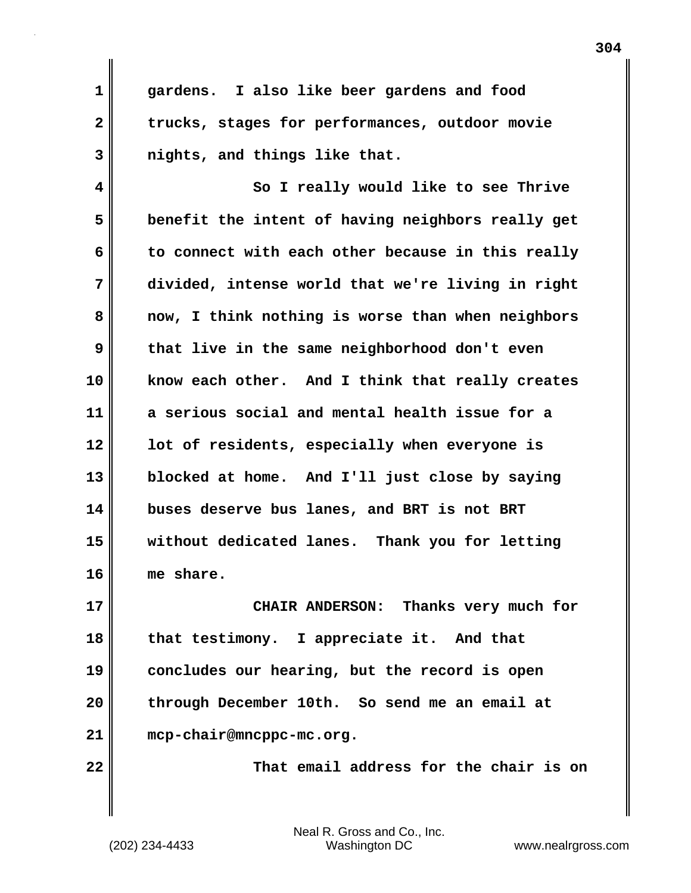**1 gardens. I also like beer gardens and food 2 trucks, stages for performances, outdoor movie 3 nights, and things like that.**

**4 So I really would like to see Thrive 5 benefit the intent of having neighbors really get 6 to connect with each other because in this really 7 divided, intense world that we're living in right 8 now, I think nothing is worse than when neighbors 9 that live in the same neighborhood don't even 10 know each other. And I think that really creates 11 a serious social and mental health issue for a 12 lot of residents, especially when everyone is 13 blocked at home. And I'll just close by saying 14 buses deserve bus lanes, and BRT is not BRT 15 without dedicated lanes. Thank you for letting 16 me share.**

**17 CHAIR ANDERSON: Thanks very much for 18 that testimony. I appreciate it. And that 19 concludes our hearing, but the record is open 20 through December 10th. So send me an email at 21 mcp-chair@mncppc-mc.org.**

**22 That email address for the chair is on**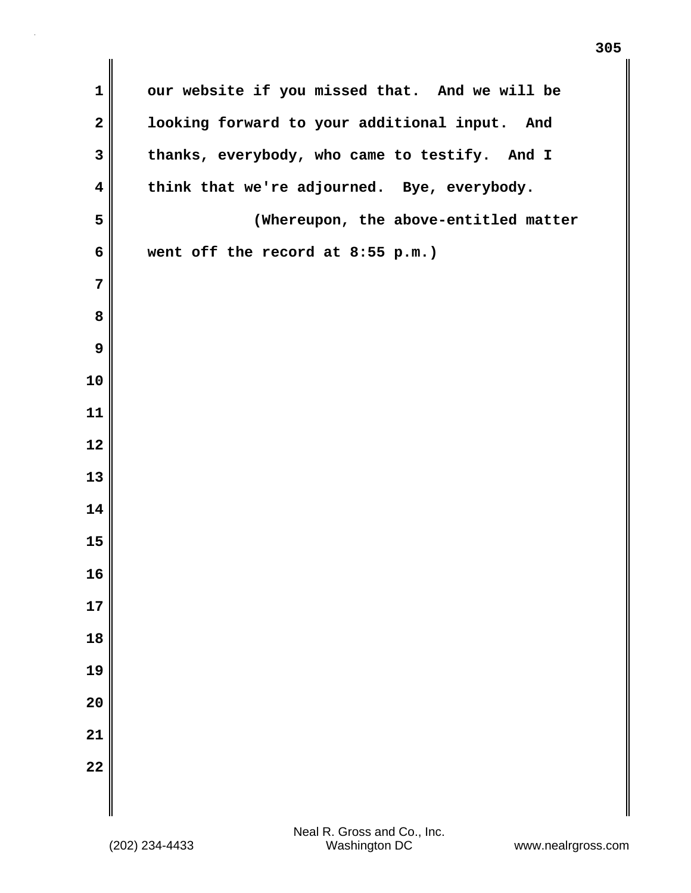| $\mathbf 1$             | our website if you missed that. And we will be |
|-------------------------|------------------------------------------------|
| $\mathbf{2}$            | looking forward to your additional input. And  |
| 3                       | thanks, everybody, who came to testify. And I  |
| $\overline{\mathbf{4}}$ | think that we're adjourned. Bye, everybody.    |
| 5                       | (Whereupon, the above-entitled matter          |
| 6                       | went off the record at 8:55 p.m.)              |
| 7                       |                                                |
| 8                       |                                                |
| 9                       |                                                |
| 10                      |                                                |
| 11                      |                                                |
| 12                      |                                                |
| 13                      |                                                |
| 14                      |                                                |
| 15                      |                                                |
| 16                      |                                                |
| 17                      |                                                |
| 18                      |                                                |
| 19                      |                                                |
| 20                      |                                                |
| 21                      |                                                |
| 22                      |                                                |
|                         |                                                |
|                         |                                                |

 $\mathbf{I}$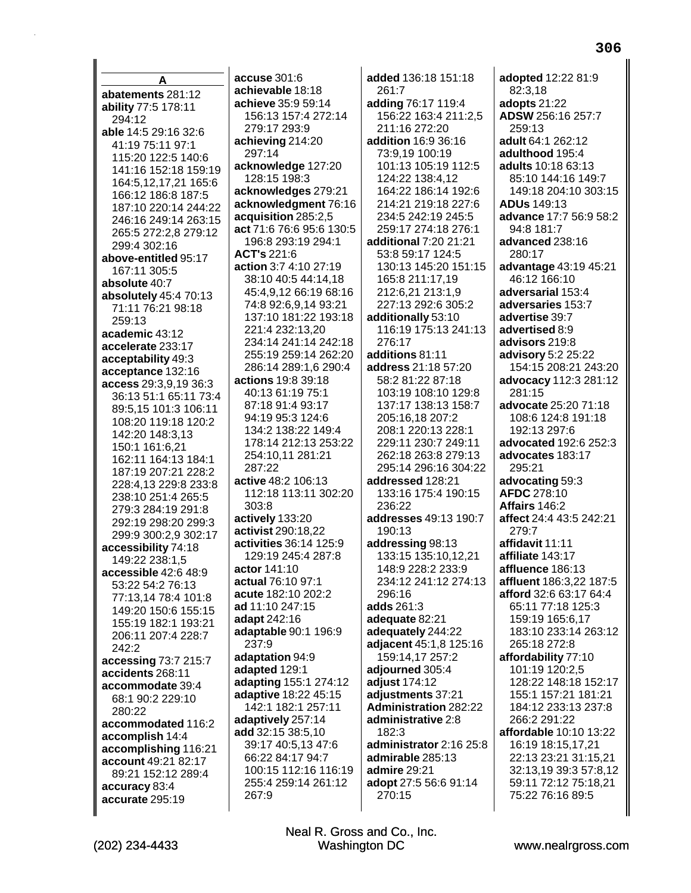A abatements 281:12 ability 77:5 178:11 294:12 able 14:5 29:16 32:6 41:19 75:11 97:1 115:20 122:5 140:6 141:16 152:18 159:19 164:5,12,17,21 165:6 166:12 186:8 187:5 187:10 220:14 244:22 246:16 249:14 263:15 265:5 272:2.8 279:12 299:4 302:16 above-entitled 95:17 167:11 305:5 absolute 40:7 absolutely 45:4 70:13 71:11 76:21 98:18 259:13 academic 43:12 accelerate 233:17 acceptability 49:3 acceptance 132:16 access 29:3,9,19 36:3 36:13 51:1 65:11 73:4 89:5,15 101:3 106:11 108:20 119:18 120:2 142:20 148:3,13 150:1 161:6.21 162:11 164:13 184:1 187:19 207:21 228:2 228:4,13 229:8 233:8 238:10 251:4 265:5 279:3 284:19 291:8 292:19 298:20 299:3 299:9 300:2,9 302:17 accessibility 74:18 149:22 238:1.5 accessible 42:6 48:9 53:22 54:2 76:13 77:13.14 78:4 101:8 149:20 150:6 155:15 155:19 182:1 193:21 206:11 207:4 228:7 242:2 accessing 73:7 215:7 accidents 268:11 accommodate 39:4 68:1 90:2 229:10 280:22 accommodated 116:2 accomplish 14:4 accomplishing 116:21 account 49:21 82:17 89:21 152:12 289:4 accuracy 83:4 accurate 295:19

 $accuse 301:6$ achievable 18:18 achieve 35:9 59:14 156:13 157:4 272:14 279:17 293:9 achieving 214:20 297:14 acknowledge 127:20 128:15 198:3 acknowledges 279:21 acknowledgment 76:16 acquisition 285:2,5 act 71:6 76:6 95:6 130:5 196:8 293:19 294:1 ACT's 221:6 action 3:7 4:10 27:19 38:10 40:5 44:14,18 45:4,9,12 66:19 68:16 74:8 92:6,9,14 93:21 137:10 181:22 193:18 221:4 232:13,20 234:14 241:14 242:18 255:19 259:14 262:20 286:14 289:1,6 290:4 actions 19:8 39:18 40:13 61:19 75:1 87:18 91:4 93:17 94:19 95:3 124:6 134:2 138:22 149:4 178:14 212:13 253:22 254:10.11 281:21  $287.22$ active 48:2 106:13 112:18 113:11 302:20 303:8 actively 133:20 activist 290:18,22 activities 36:14 125:9 129:19 245:4 287:8 actor 141:10 actual 76:10 97:1 acute 182:10 202:2 ad 11:10 247:15 adapt 242:16 adaptable 90:1 196:9 237:9 adaptation 94:9 adapted 129:1 adapting 155:1 274:12 adaptive 18:22 45:15 142:1 182:1 257:11 adaptively 257:14 add 32:15 38:5,10 39:17 40:5,13 47:6 66:22 84:17 94:7 100:15 112:16 116:19 255:4 259:14 261:12 267:9

added 136:18 151:18 261:7 adding 76:17 119:4 156:22 163:4 211:2,5 211:16 272:20 addition 16:9 36:16 73:9,19 100:19 101:13 105:19 112:5 124:22 138:4.12 164:22 186:14 192:6 214:21 219:18 227:6 234:5 242:19 245:5 259:17 274:18 276:1 additional 7:20 21:21 53:8 59:17 124:5 130:13 145:20 151:15 165:8 211:17,19 212:6,21 213:1,9 227:13 292:6 305:2 additionally 53:10 116:19 175:13 241:13 276:17 additions 81:11 address 21:18 57:20 58:2 81:22 87:18 103:19 108:10 129:8 137:17 138:13 158:7 205:16,18 207:2 208:1 220:13 228:1 229:11 230:7 249:11 262:18 263:8 279:13 295:14 296:16 304:22 addressed 128:21 133:16 175:4 190:15 236:22 addresses 49:13 190:7 190:13 addressing 98:13 133:15 135:10,12,21 148:9 228:2 233:9 234:12 241:12 274:13 296:16 adds 261:3 adequate 82:21 adequately 244:22 adjacent 45:1,8 125:16 159:14,17 257:2 adjourned 305:4 adjust 174:12 adjustments 37:21 **Administration 282:22** administrative 2:8  $182.3$ administrator 2:16 25:8 admirable 285:13 admire 29:21 adopt 27:5 56:6 91:14 270:15

adopted 12:22 81:9 82:3,18 adopts 21:22 ADSW 256:16 257:7 259:13 adult 64:1 262:12 adulthood 195:4 adults 10:18 63:13 85:10 144:16 149:7 149:18 204:10 303:15 **ADUs 149:13** advance 17:7 56:9 58:2 94:8 181:7 advanced 238:16 280:17 advantage 43:19 45:21 46:12 166:10 adversarial 153:4 adversaries 153:7 advertise 39:7 advertised 8:9 advisors 219:8 advisory 5:2 25:22 154:15 208:21 243:20 advocacy 112:3 281:12 281:15 advocate 25:20 71:18 108:6 124:8 191:18 192:13 297:6 advocated 192:6 252:3 advocates 183:17 295:21 advocating 59:3 **AFDC** 278:10 Affairs 146:2 affect 24:4 43:5 242:21 279:7 affidavit 11:11 affiliate 143:17 affluence 186:13 affluent 186:3.22 187:5 afford 32:6 63:17 64:4 65:11 77:18 125:3 159:19 165:6.17 183:10 233:14 263:12 265:18 272:8 affordability 77:10 101:19 120:2,5 128:22 148:18 152:17 155:1 157:21 181:21 184:12 233:13 237:8 266:2 291:22 affordable 10:10 13:22 16:19 18:15,17,21 22:13 23:21 31:15,21

www.nealrgross.com

32:13.19 39:3 57:8.12

59:11 72:12 75:18,21

75:22 76:16 89:5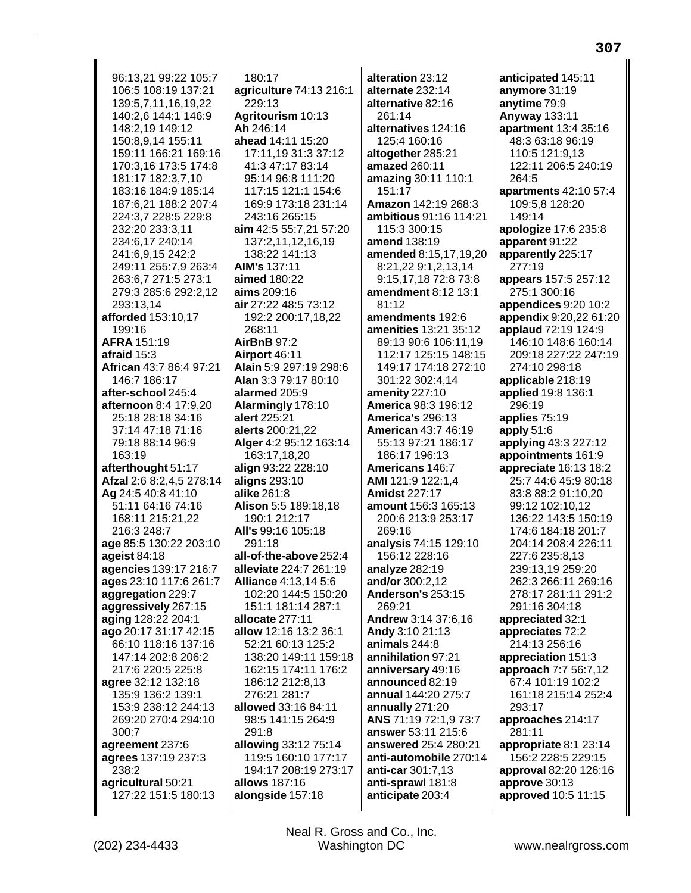96:13.21 99:22 105:7 106:5 108:19 137:21 139:5,7,11,16,19,22 140:2,6 144:1 146:9 148:2,19 149:12 150:8,9,14 155:11 159:11 166:21 169:16 170:3,16 173:5 174:8 181:17 182:3,7,10 183:16 184:9 185:14 187:6,21 188:2 207:4 224:3,7 228:5 229:8 232:20 233:3,11 234:6,17 240:14 241:6,9,15 242:2 249:11 255:7,9 263:4 263:6,7 271:5 273:1 279:3 285:6 292:2,12 293:13,14 afforded 153:10,17 199:16 AFRA 151:19 afraid  $15:3$ African 43:7 86:4 97:21 146:7 186:17 after-school 245:4 afternoon 8:4 17:9.20 25:18 28:18 34:16 37:14 47:18 71:16 79:18 88:14 96:9 163:19 afterthought 51:17 Afzal 2:6 8:2,4,5 278:14 Ag 24:5 40:8 41:10 51:11 64:16 74:16 168:11 215:21,22 216:3 248:7 age 85:5 130:22 203:10 ageist 84:18 agencies 139:17 216:7 ages 23:10 117:6 261:7 aggregation 229:7 aggressively 267:15 aging 128:22 204:1 ago 20:17 31:17 42:15 66:10 118:16 137:16 147:14 202:8 206:2 217:6 220:5 225:8 agree 32:12 132:18 135:9 136:2 139:1 153:9 238:12 244:13 269:20 270:4 294:10 300:7 agreement 237:6 agrees 137:19 237:3 238:2 agricultural 50:21 127:22 151:5 180:13

180:17 agriculture 74:13 216:1 229:13 Agritourism 10:13 Ah 246:14 ahead 14:11 15:20 17:11.19 31:3 37:12 41:3 47:17 83:14 95:14 96:8 111:20 117:15 121:1 154:6 169:9 173:18 231:14 243:16 265:15 aim 42:5 55:7,21 57:20 137:2,11,12,16,19 138:22 141:13 **AIM's 137:11** aimed 180:22 aims 209:16 air 27:22 48:5 73:12 192:2 200:17,18,22 268:11 **AirBnB 97:2** Airport 46:11 Alain 5:9 297:19 298:6 Alan 3:3 79:17 80:10 alarmed 205:9 Alarmingly 178:10 alert 225:21 alerts 200:21,22 Alger 4:2 95:12 163:14 163:17.18.20 align 93:22 228:10 aligns 293:10 **alike** 261:8 Alison 5:5 189:18.18 190:1 212:17 All's 99:16 105:18 291:18 all-of-the-above 252:4 alleviate 224:7 261:19 **Alliance 4:13.14 5:6** 102:20 144:5 150:20 151:1 181:14 287:1 allocate 277:11 allow 12:16 13:2 36:1 52:21 60:13 125:2 138:20 149:11 159:18 162:15 174:11 176:2 186:12 212:8.13 276:21 281:7 allowed 33:16 84:11 98:5 141:15 264:9 291:8 allowing 33:12 75:14 119:5 160:10 177:17 194:17 208:19 273:17 allows 187:16 alongside 157:18

alteration 23:12 alternate 232:14 alternative 82:16  $261.14$ alternatives 124:16 125:4 160:16 altogether 285:21 amazed 260:11 amazing 30:11 110:1 151:17 Amazon 142:19 268:3 ambitious 91:16 114:21 115:3 300:15 amend 138:19 amended 8:15,17,19,20 8:21,22 9:1,2,13,14 9:15,17,18 72:8 73:8 amendment 8:12 13:1  $81.12$ amendments 192:6 amenities 13:21 35:12 89:13 90:6 106:11.19 112:17 125:15 148:15 149:17 174:18 272:10 301:22 302:4,14 amenity 227:10 **America 98:3 196:12** America's 296:13 **American 43:7 46:19** 55:13 97:21 186:17 186:17 196:13 Americans 146.7 AMI 121:9 122:1,4 **Amidst 227:17** amount 156:3 165:13 200:6 213:9 253:17 269:16 analysis 74:15 129:10 156:12 228:16 analyze 282:19 and/or 300:2.12 Anderson's 253:15 269:21 Andrew 3:14 37:6,16 Andy 3:10 21:13 animals 244:8 annihilation 97:21 anniversary 49:16 announced 82:19 annual 144:20 275:7 annually 271:20 ANS 71:19 72:1,9 73:7 answer 53:11 215:6 answered 25:4 280:21 anti-automobile 270:14 anti-car 301:7,13 anti-sprawl 181:8 anticipate 203:4

anticipated 145:11 anymore 31:19 anytime 79:9 **Anyway 133:11** apartment 13:4 35:16 48:3 63:18 96:19 110:5 121:9,13 122:11 206:5 240:19 264:5 apartments 42:10 57:4 109:5,8 128:20 149:14 apologize 17:6 235:8 apparent 91:22 apparently 225:17 277:19 appears 157:5 257:12 275:1 300:16 appendices 9:20 10:2 **appendix** 9:20,22 61:20 applaud 72:19 124:9 146:10 148:6 160:14 209:18 227:22 247:19 274:10 298:18 applicable 218:19 applied 19:8 136:1 296:19 applies 75:19 apply  $51:6$ applying 43:3 227:12 appointments 161:9 appreciate 16:13 18:2 25:7 44:6 45:9 80:18 83:8 88:2 91:10.20 99:12 102:10.12 136:22 143:5 150:19 174:6 184:18 201:7 204:14 208:4 226:11 227:6 235:8,13 239:13.19 259:20 262:3 266:11 269:16 278:17 281:11 291:2 291:16 304:18 appreciated 32:1 appreciates 72:2 214:13 256:16 appreciation 151:3 approach 7:7 56:7,12 67:4 101:19 102:2 161:18 215:14 252:4 293:17 approaches 214:17 281:11 appropriate 8:1 23:14 156:2 228:5 229:15 approval 82:20 126:16 approve 30:13 approved 10:5 11:15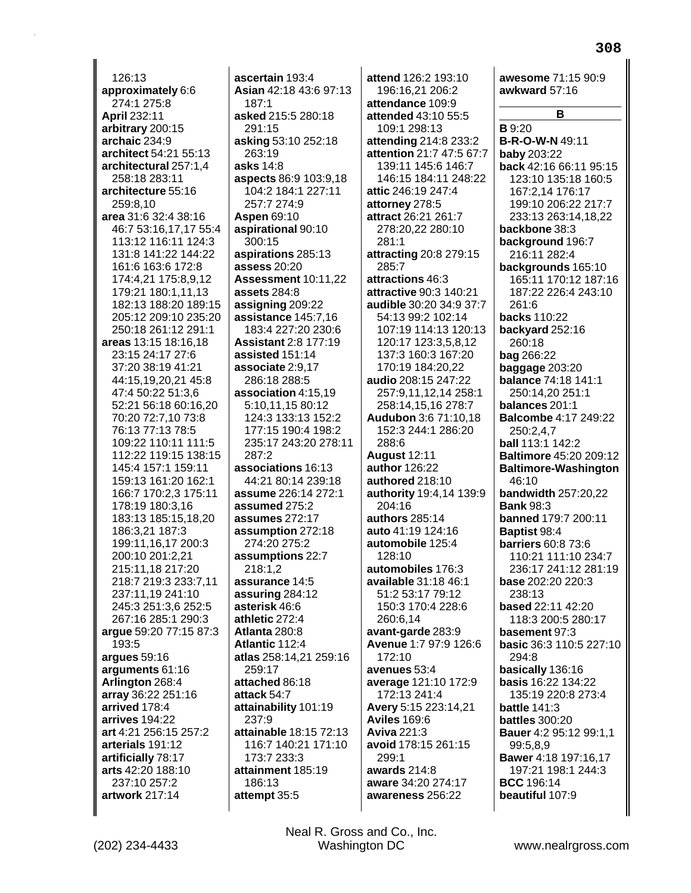$126:13$ approximately 6:6 274:1 275:8 **April 232:11** arbitrary 200:15 archaic 234:9 architect 54:21 55:13 architectural 257:1,4 258:18 283:11 architecture 55:16 259:8,10 area 31:6 32:4 38:16 46:7 53:16,17,17 55:4 113:12 116:11 124:3 131:8 141:22 144:22 161:6 163:6 172:8 174:4,21 175:8,9,12 179:21 180:1,11,13 182:13 188:20 189:15 205:12 209:10 235:20 250:18 261:12 291:1 areas 13:15 18:16,18 23:15 24:17 27:6 37:20 38:19 41:21 44:15,19,20,21 45:8 47:4 50:22 51:3.6 52:21 56:18 60:16.20 70:20 72:7,10 73:8 76:13 77:13 78:5 109:22 110:11 111:5 112:22 119:15 138:15 145:4 157:1 159:11 159:13 161:20 162:1 166:7 170:2.3 175:11 178:19 180:3.16 183:13 185:15,18,20 186:3,21 187:3 199:11,16,17 200:3 200:10 201:2,21 215:11.18 217:20 218:7 219:3 233:7,11 237:11,19 241:10 245:3 251:3,6 252:5 267:16 285:1 290:3 argue 59:20 77:15 87:3 193:5 arques 59:16 arguments 61:16 Arlington 268:4 array 36:22 251:16 arrived 178:4 arrives 194:22 art 4:21 256:15 257:2 arterials 191:12 artificially 78:17 arts 42:20 188:10 237:10 257:2 artwork 217:14

ascertain 193:4 Asian 42:18 43:6 97:13  $187.1$ asked 215:5 280:18 291:15 asking 53:10 252:18 263:19 asks 14:8 aspects 86:9 103:9.18 104:2 184:1 227:11 257:7 274:9 **Aspen 69:10** aspirational 90:10  $300:15$ aspirations 285:13 assess 20:20 Assessment 10:11,22 assets 284:8 assigning 209:22 assistance 145:7,16 183:4 227:20 230:6 **Assistant 2:8 177:19** assisted 151:14 associate 2:9,17 286:18 288:5 association 4:15.19 5:10.11.15 80:12 124:3 133:13 152:2 177:15 190:4 198:2 235:17 243:20 278:11  $287.2$ associations 16:13 44:21 80:14 239:18 assume 226:14 272:1 assumed 275:2 assumes 272:17 assumption 272:18 274:20 275:2 assumptions 22:7 218:1.2 assurance 14:5 assuring 284:12 asterisk 46:6 athletic 272:4 Atlanta 280:8 Atlantic 112:4 atlas 258:14,21 259:16 259:17 attached 86:18 attack 54:7 attainability 101:19 237:9 attainable 18:15 72:13 116:7 140:21 171:10 173:7 233:3 attainment 185:19 186:13 attempt 35:5

attend 126:2 193:10 196:16,21 206:2 attendance 109:9 attended 43:10 55:5 109:1 298:13 attending 214:8 233:2 attention 21:7 47:5 67:7 139:11 145:6 146:7 146:15 184:11 248:22 attic 246:19 247:4 attorney 278:5 attract 26:21 261:7 278:20,22 280:10  $281:1$ attracting 20:8 279:15 285:7 attractions 46:3 attractive 90:3 140:21 audible 30:20 34:9 37:7 54:13 99:2 102:14 107:19 114:13 120:13 120:17 123:3,5,8,12 137:3 160:3 167:20 170:19 184:20,22 audio 208:15 247:22 257:9.11.12.14 258:1 258:14,15,16 278:7 **Audubon 3:6 71:10,18** 152:3 244:1 286:20 288:6 **August 12:11** author 126:22 authored 218:10 authority 19:4,14 139:9 204:16 authors 285:14 auto 41:19 124:16 automobile 125:4 128:10 automobiles 176:3 available 31:18 46:1 51:2 53:17 79:12 150:3 170:4 228:6 260:6.14 avant-garde 283:9 Avenue 1:7 97:9 126:6 172:10 avenues 53:4 average 121:10 172:9 172:13 241:4 Avery 5:15 223:14,21 **Aviles 169:6 Aviva 221:3** avoid 178:15 261:15 299:1 awards 214:8 aware 34:20 274:17 awareness 256:22

awkward 57:16 В  $B.9:20$ **B-R-O-W-N 49:11 baby 203:22** back 42:16 66:11 95:15 123:10 135:18 160:5 167:2,14 176:17 199:10 206:22 217:7 233:13 263:14,18,22 backbone 38:3 background 196:7 216:11 282:4 backgrounds 165:10 165:11 170:12 187:16 187:22 226:4 243:10  $261.6$ backs 110:22 backyard 252:16 260:18 **bag** 266:22 baggage 203:20 balance 74:18 141:1 250:14.20 251:1 balances 201:1 **Balcombe 4:17 249:22** 250:2.4.7 ball 113:1 142:2 **Baltimore 45:20 209:12 Baltimore-Washington** 46:10 **bandwidth 257:20,22 Bank 98:3** banned 179:7 200:11 **Baptist 98:4 barriers 60:8 73:6** 110:21 111:10 234:7 236:17 241:12 281:19 base 202:20 220:3 238:13 based 22:11 42:20 118:3 200:5 280:17 basement 97:3 basic 36:3 110:5 227:10 294:8 basically 136:16 basis 16:22 134:22 135:19 220:8 273:4 **battle 141:3 battles** 300:20 Bauer 4:2 95:12 99:1,1 99:5,8,9 Bawer 4:18 197:16,17 197:21 198:1 244:3 **BCC** 196:14 beautiful 107:9

308

awesome 71:15 90:9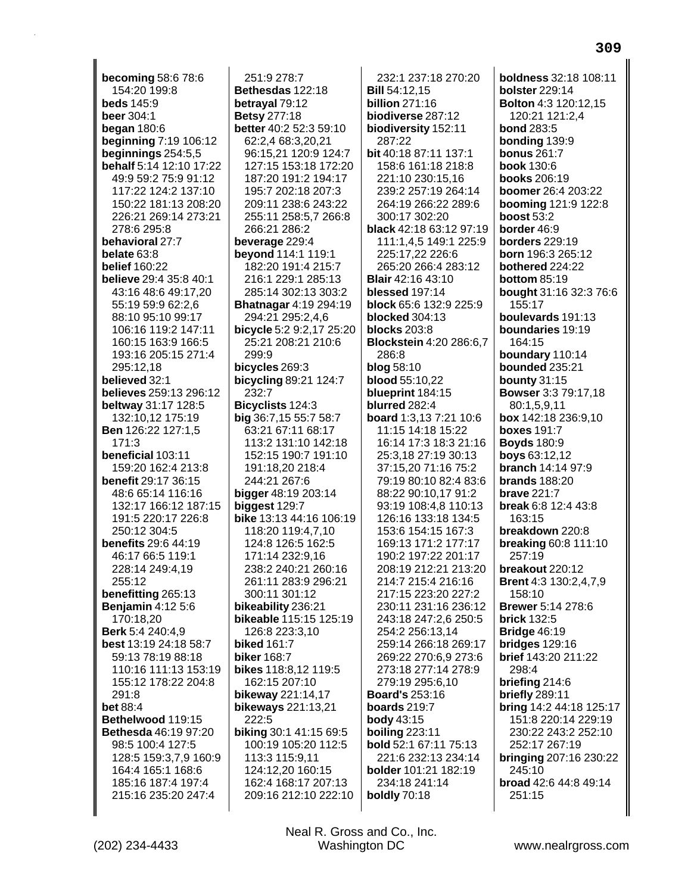**becoming 58:6 78:6** 154:20 199:8 **beds** 145:9 beer 304:1 **began 180:6** beginning 7:19 106:12 beginnings  $254:5,5$ behalf 5:14 12:10 17:22 49:9 59:2 75:9 91:12 117:22 124:2 137:10 150:22 181:13 208:20 226:21 269:14 273:21 278:6 295:8 behavioral 27:7 belate  $63.8$ **belief 160:22** believe 29:4 35:8 40:1 43:16 48:6 49:17.20 55:19 59:9 62:2,6 88:10 95:10 99:17 106:16 119:2 147:11 160:15 163:9 166:5 193:16 205:15 271:4 295:12.18 believed 32:1 believes 259:13 296:12 beltway 31:17 128:5 132:10,12 175:19 **Ben** 126:22 127:1,5  $171:3$ beneficial 103:11 159:20 162:4 213:8 benefit 29:17 36:15 48:6 65:14 116:16 132:17 166:12 187:15 191:5 220:17 226:8 250:12 304:5 **benefits** 29:6 44:19 46:17 66:5 119:1 228:14 249:4,19 255:12 benefitting 265:13 **Benjamin 4:12 5:6** 170:18.20 Berk 5:4 240:4,9 best 13:19 24:18 58:7 59:13 78:19 88:18 110:16 111:13 153:19 155:12 178:22 204:8  $291:8$ **bet 88:4** Bethelwood 119:15 **Bethesda 46:19 97:20** 98:5 100:4 127:5 128:5 159:3,7,9 160:9 164:4 165:1 168:6 185:16 187:4 197:4 215:16 235:20 247:4

251:9 278:7 Bethesdas 122:18 betrayal 79:12 **Betsy 277:18** better 40:2 52:3 59:10 62:2,4 68:3,20,21 96:15.21 120:9 124:7 127:15 153:18 172:20 187:20 191:2 194:17 195:7 202:18 207:3 209:11 238:6 243:22 255:11 258:5,7 266:8 266:21 286:2 beverage 229:4 beyond 114:1 119:1 182:20 191:4 215:7 216:1 229:1 285:13 285:14 302:13 303:2 **Bhatnagar 4:19 294:19** 294:21 295:2,4,6 bicycle 5:2 9:2,17 25:20 25:21 208:21 210:6 299:9 bicycles 269:3 bicycling  $89:21$  124:7 232:7 Bicyclists 124:3 big 36:7,15 55:7 58:7 63:21 67:11 68:17 113:2 131:10 142:18 152:15 190:7 191:10 191:18.20 218:4 244:21 267:6 **bigger**  $48:19203:14$ biggest 129:7 bike 13:13 44:16 106:19 118:20 119:4,7,10 124:8 126:5 162:5 171:14 232:9,16 238:2 240:21 260:16 261:11 283:9 296:21 300:11 301:12 bikeability 236:21 bikeable 115:15 125:19 126:8 223:3,10 **biked 161:7 biker** 168:7 bikes 118:8,12 119:5 162:15 207:10 bikeway 221:14,17 **bikeways** 221:13,21 222:5 biking 30:1 41:15 69:5 100:19 105:20 112:5 113:3 115:9,11 124:12,20 160:15 162:4 168:17 207:13 209:16 212:10 222:10

Neal R. Gross and Co., Inc.

Washington DC

232:1 237:18 270:20 **Bill 54:12.15 billion** 271:16 biodiverse 287:12 biodiversity 152:11  $287.22$ bit 40:18 87:11 137:1 158:6 161:18 218:8 221:10 230:15.16 239:2 257:19 264:14 264:19 266:22 289:6 300:17 302:20 black 42:18 63:12 97:19 111:1.4.5 149:1 225:9 225:17,22 226:6 265:20 266:4 283:12 **Blair** 42:16 43:10 blessed 197:14 block 65:6 132:9 225:9 blocked 304:13 **blocks** 203:8 **Blockstein 4:20 286:6.7** 286:8 **blog** 58:10 blood  $55:10.22$ blueprint 184:15 blurred 282:4 board 1:3,13 7:21 10:6 11:15 14:18 15:22 16:14 17:3 18:3 21:16 25:3.18 27:19 30:13 37:15.20 71:16 75:2 79:19 80:10 82:4 83:6 88:22 90:10,17 91:2 93:19 108:4.8 110:13 126:16 133:18 134:5 153:6 154:15 167:3 169:13 171:2 177:17 190:2 197:22 201:17 208:19 212:21 213:20 214:7 215:4 216:16 217:15 223:20 227:2 230:11 231:16 236:12 243:18 247:2,6 250:5 254:2 256:13,14 259:14 266:18 269:17 269:22 270:6,9 273:6 273:18 277:14 278:9 279:19 295:6.10 **Board's 253:16** boards 219:7 body 43:15 boiling  $223:11$ bold 52:1 67:11 75:13 221:6 232:13 234:14 bolder 101:21 182:19 234:18 241:14 **boldly** 70:18

**boldness** 32:18 108:11 **bolster** 229:14 **Bolton 4:3 120:12,15** 120:21 121:2.4 **bond 283:5** bonding 139:9 **bonus** 261:7 **book 130:6 books 206:19** boomer 26:4 203:22 **booming 121:9 122:8 boost 53:2** border 46:9 **borders** 229:19 born 196:3 265:12 bothered 224:22 bottom 85:19 bought 31:16 32:3 76:6 155:17 boulevards 191:13 boundaries 19:19 164:15 boundary 110:14 bounded 235:21 bounty  $31:15$ **Bowser** 3:3 79:17.18 80:1.5.9.11 box 142:18 236:9,10 **boxes** 191:7 **Boyds** 180:9 **boys** 63:12,12 **branch** 14:14 97:9 **brands** 188:20 **brave 221:7 break 6:8 12:4 43:8**  $163:15$ breakdown 220:8 **breaking 60:8 111:10** 257:19 breakout 220:12 **Brent** 4:3 130:2,4,7,9 158:10 **Brewer** 5:14 278:6 **brick 132:5 Bridge 46:19** bridges  $129:16$ brief 143:20 211:22 298:4 briefing 214:6 briefly 289:11 bring 14:2 44:18 125:17 151:8 220:14 229:19 230:22 243:2 252:10 252:17 267:19 bringing 207:16 230:22 245:10 broad 42:6 44:8 49:14 251:15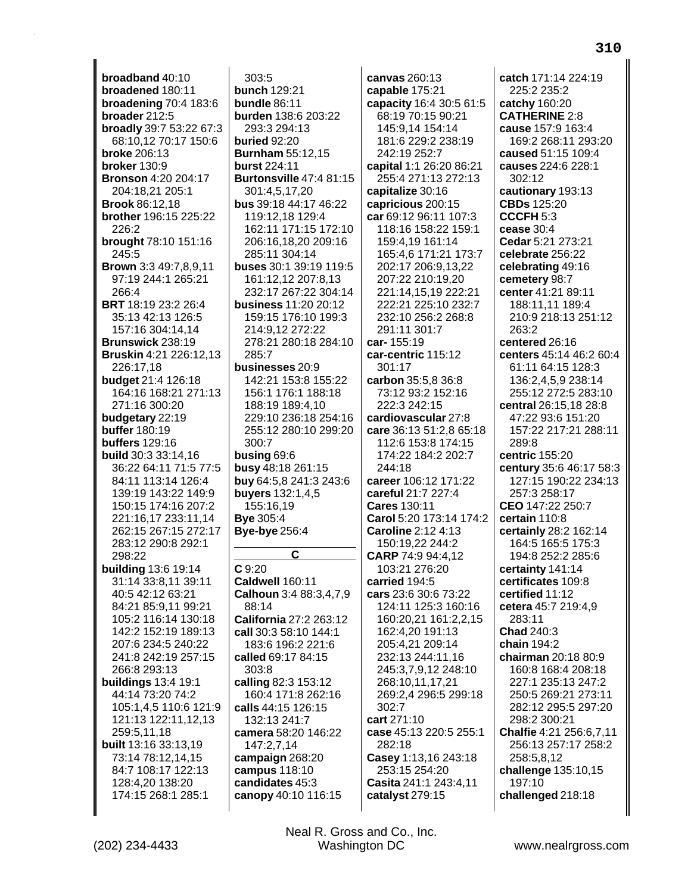**broadband** 40:10 **broadened** 180:11 **broadening** 70:4 183:6 **broader** 212:5 **broadly** 39:7 53:22 67:3 68:10,12 70:17 150:6 **broke** 206:13 **broker** 130:9 **Bronson** 4:20 204:17 204:18,21 205:1 **Brook** 86:12,18 **brother** 196:15 225:22 226:2 **brought** 78:10 151:16 245:5 **Brown** 3:3 49:7,8,9,11 97:19 244:1 265:21 266:4 **BRT** 18:19 23:2 26:4 35:13 42:13 126:5 157:16 304:14,14 **Brunswick** 238:19 **Bruskin** 4:21 226:12,13 226:17,18 **budget** 21:4 126:18 164:16 168:21 271:13 271:16 300:20 **budgetary** 22:19 **buffer** 180:19 **buffers** 129:16 **build** 30:3 33:14,16 36:22 64:11 71:5 77:5 84:11 113:14 126:4 139:19 143:22 149:9 150:15 174:16 207:2 221:16,17 233:11,14 262:15 267:15 272:17 283:12 290:8 292:1 298:22 **building** 13:6 19:14 31:14 33:8,11 39:11 40:5 42:12 63:21 84:21 85:9,11 99:21 105:2 116:14 130:18 142:2 152:19 189:13 207:6 234:5 240:22 241:8 242:19 257:15 266:8 293:13 **buildings** 13:4 19:1 44:14 73:20 74:2 105:1,4,5 110:6 121:9 121:13 122:11,12,13 259:5,11,18 **built** 13:16 33:13,19 73:14 78:12,14,15 84:7 108:17 122:13 128:4,20 138:20 174:15 268:1 285:1

303:5 **bunch** 129:21 **bundle** 86:11 **burden** 138:6 203:22 293:3 294:13 **buried** 92:20 **Burnham** 55:12,15 **burst** 224:11 **Burtonsville** 47:4 81:15 301:4,5,17,20 **bus** 39:18 44:17 46:22 119:12,18 129:4 162:11 171:15 172:10 206:16,18,20 209:16 285:11 304:14 **buses** 30:1 39:19 119:5 161:12,12 207:8,13 232:17 267:22 304:14 **business** 11:20 20:12 159:15 176:10 199:3 214:9,12 272:22 278:21 280:18 284:10 285:7 **businesses** 20:9 142:21 153:8 155:22 156:1 176:1 188:18 188:19 189:4,10 229:10 236:18 254:16 255:12 280:10 299:20 300:7 **busing** 69:6 **busy** 48:18 261:15 **buy** 64:5,8 241:3 243:6 **buyers** 132:1,4,5 155:16,19 **Bye** 305:4 **Bye-bye** 256:4 **C C** 9:20 **Caldwell** 160:11 **Calhoun** 3:4 88:3,4,7,9 88:14 **California** 27:2 263:12 **call** 30:3 58:10 144:1 183:6 196:2 221:6 **called** 69:17 84:15 303:8 **calling** 82:3 153:12 160:4 171:8 262:16 **calls** 44:15 126:15 132:13 241:7 **camera** 58:20 146:22 147:2,7,14 **campaign** 268:20 **campus** 118:10 **candidates** 45:3 **canopy** 40:10 116:15

**canvas** 260:13 **capable** 175:21 **capacity** 16:4 30:5 61:5 68:19 70:15 90:21 145:9,14 154:14 181:6 229:2 238:19 242:19 252:7 **capital** 1:1 26:20 86:21 255:4 271:13 272:13 **capitalize** 30:16 **capricious** 200:15 **car** 69:12 96:11 107:3 118:16 158:22 159:1 159:4,19 161:14 165:4,6 171:21 173:7 202:17 206:9,13,22 207:22 210:19,20 221:14,15,19 222:21 222:21 225:10 232:7 232:10 256:2 268:8 291:11 301:7 **car-** 155:19 **car-centric** 115:12 301:17 **carbon** 35:5,8 36:8 73:12 93:2 152:16 222:3 242:15 **cardiovascular** 27:8 **care** 36:13 51:2,8 65:18 112:6 153:8 174:15 174:22 184:2 202:7 244:18 **career** 106:12 171:22 **careful** 21:7 227:4 **Cares** 130:11 **Carol** 5:20 173:14 174:2 **Caroline** 2:12 4:13 150:19,22 244:2 **CARP** 74:9 94:4,12 103:21 276:20 **carried** 194:5 **cars** 23:6 30:6 73:22 124:11 125:3 160:16 160:20,21 161:2,2,15 162:4,20 191:13 205:4,21 209:14 232:13 244:11,16 245:3,7,9,12 248:10 268:10,11,17,21 269:2,4 296:5 299:18 302:7 **cart** 271:10 **case** 45:13 220:5 255:1 282:18 **Casey** 1:13,16 243:18 253:15 254:20 **Casita** 241:1 243:4,11 **catalyst** 279:15

**catch** 171:14 224:19 225:2 235:2 **catchy** 160:20 **CATHERINE** 2:8 **cause** 157:9 163:4 169:2 268:11 293:20 **caused** 51:15 109:4 **causes** 224:6 228:1 302:12 **cautionary** 193:13 **CBDs** 125:20 **CCCFH** 5:3 **cease** 30:4 **Cedar** 5:21 273:21 **celebrate** 256:22 **celebrating** 49:16 **cemetery** 98:7 **center** 41:21 89:11 188:11,11 189:4 210:9 218:13 251:12 263:2 **centered** 26:16 **centers** 45:14 46:2 60:4 61:11 64:15 128:3 136:2,4,5,9 238:14 255:12 272:5 283:10 **central** 26:15,18 28:8 47:22 93:6 151:20 157:22 217:21 288:11 289:8 **centric** 155:20 **century** 35:6 46:17 58:3 127:15 190:22 234:13 257:3 258:17 **CEO** 147:22 250:7 **certain** 110:8 **certainly** 28:2 162:14 164:5 165:5 175:3 194:8 252:2 285:6 **certainty** 141:14 **certificates** 109:8 **certified** 11:12 **cetera** 45:7 219:4,9 283:11 **Chad** 240:3 **chain** 194:2 **chairman** 20:18 80:9 160:8 168:4 208:18 227:1 235:13 247:2 250:5 269:21 273:11 282:12 295:5 297:20 298:2 300:21 **Chalfie** 4:21 256:6,7,11 256:13 257:17 258:2 258:5,8,12 **challenge** 135:10,15 197:10 **challenged** 218:18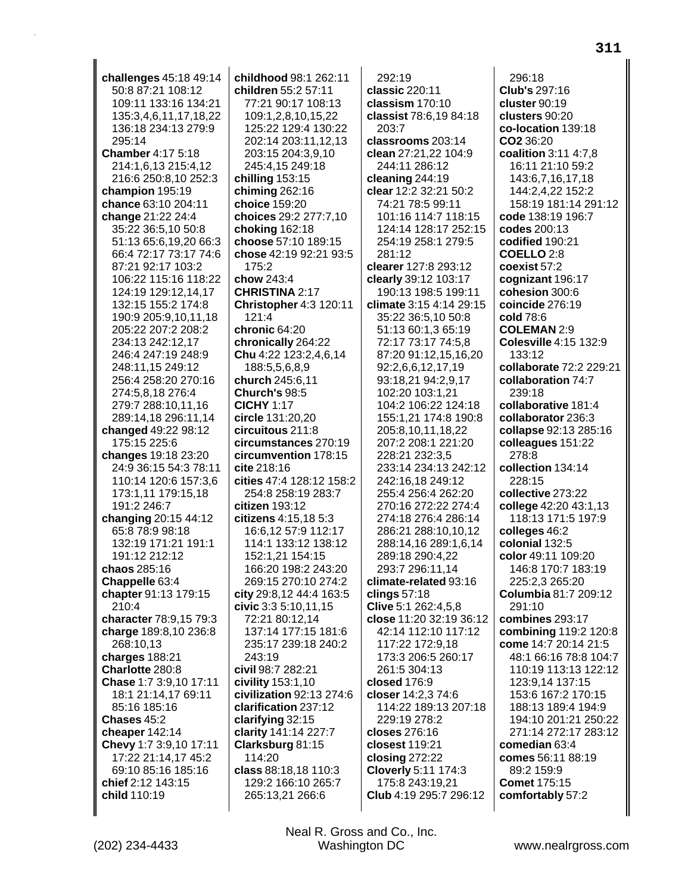challenges 45:18 49:14 50:8 87:21 108:12 109:11 133:16 134:21 135:3,4,6,11,17,18,22 136:18 234:13 279:9  $295.14$ **Chamber 4:17 5:18** 214:1,6,13 215:4,12 216:6 250:8,10 252:3 champion 195:19 chance 63:10 204:11 change 21:22 24:4 35:22 36:5,10 50:8 51:13 65:6,19,20 66:3 66:4 72:17 73:17 74:6 87:21 92:17 103:2 106:22 115:16 118:22 124:19 129:12,14,17 132:15 155:2 174:8 190:9 205:9,10,11,18 205:22 207:2 208:2 234:13 242:12,17 246:4 247:19 248:9 248:11,15 249:12 256.4 258:20 270:16 274:5.8.18 276:4 279:7 288:10.11.16 289:14,18 296:11,14 **changed** 49:22 98:12 175:15 225:6 changes 19:18 23:20 24:9 36:15 54:3 78:11 110:14 120:6 157:3,6 173:1,11 179:15,18 191:2 246:7 changing 20:15 44:12 65:8 78:9 98:18 132:19 171:21 191:1 191:12 212:12 chaos 285:16 Chappelle 63:4 chapter 91:13 179:15 210:4 character 78:9,15 79:3 charge 189:8,10 236:8 268:10,13 charges 188:21 Charlotte 280:8 Chase 1:7 3:9,10 17:11 18:1 21:14,17 69:11 85:16 185:16 Chases 45:2 cheaper 142:14 Chevy 1:7 3:9,10 17:11 17:22 21:14,17 45:2 69:10 85:16 185:16 chief 2:12 143:15 child 110:19

childhood 98:1 262:11 children 55:2 57:11 77:21 90:17 108:13 109:1,2,8,10,15,22 125:22 129:4 130:22 202:14 203:11,12,13 203:15 204:3.9.10 245:4,15 249:18 chilling  $153:15$ chiming 262:16 choice 159:20 choices 29:2 277:7,10 choking 162:18 choose 57:10 189:15 chose 42:19 92:21 93:5 175:2 chow 243:4 **CHRISTINA 2:17** Christopher 4:3 120:11 121:4 chronic 64:20 chronically 264:22 Chu 4:22 123:2,4,6,14 188:5,5,6,8,9 **church** 245:6.11 Church's 98:5 **CICHY 1:17** circle 131:20,20  $circuitous 211:8$ circumstances 270:19 circumvention 178:15 cite 218:16 cities 47:4 128:12 158:2 254:8 258:19 283:7 citizen 193:12 citizens 4:15,18 5:3 16:6,12 57:9 112:17 114:1 133:12 138:12 152:1,21 154:15 166:20 198:2 243:20 269:15 270:10 274:2 city 29:8,12 44:4 163:5 civic 3:3 5:10,11,15 72:21 80:12.14 137:14 177:15 181:6 235:17 239:18 240:2 243:19 civil 98:7 282:21 civility 153:1,10 civilization 92:13 274:6 clarification 237:12 clarifying 32:15 clarity 141:14 227:7 Clarksburg 81:15 114:20 class 88:18,18 110:3 129:2 166:10 265:7 265:13,21 266:6

292:19 classic 220:11 classism 170:10 classist 78:6,19 84:18 203:7 classrooms 203:14 clean 27:21,22 104:9 244:11 286:12 cleaning 244:19 clear 12:2 32:21 50:2 74:21 78:5 99:11 101:16 114:7 118:15 124:14 128:17 252:15 254:19 258:1 279:5  $281.12$ clearer 127:8 293:12 clearly 39:12 103:17 190:13 198:5 199:11 climate 3:15 4:14 29:15 35:22 36:5,10 50:8 51:13 60:1,3 65:19 72:17 73:17 74:5.8 87:20 91:12,15,16,20 92:2,6,6,12,17,19 93:18,21 94:2,9,17 102:20 103:1.21 104:2 106:22 124:18 155:1,21 174:8 190:8 205:8,10,11,18,22 207:2 208:1 221:20 228:21 232:3.5 233:14 234:13 242:12 242:16,18 249:12 255:4 256:4 262:20 270:16 272:22 274:4 274:18 276:4 286:14 286:21 288:10,10,12 288:14,16 289:1,6,14 289:18 290:4,22 293:7 296:11.14 climate-related 93:16 clings  $57:18$ Clive 5:1 262:4,5,8 close 11:20 32:19 36:12 42:14 112:10 117:12 117:22 172:9,18 173:3 206:5 260:17 261:5 304:13 closed 176:9 closer 14:2,3 74:6 114:22 189:13 207:18 229:19 278:2 closes 276:16 closest 119:21 closing  $272:22$ **Cloverly 5:11 174:3** 175:8 243:19,21 Club 4:19 295:7 296:12

296:18 **Club's 297:16** cluster 90:19 clusters 90:20 co-location 139:18 CO2 36:20 coalition 3:11 4:7,8 16:11 21:10 59:2 143:6,7,16,17,18 144:2,4,22 152:2 158:19 181:14 291:12 code 138:19 196:7 codes 200:13 codified 190:21 COELLO<sub>2:8</sub> coexist 57:2 cognizant 196:17 cohesion 300:6 coincide 276:19 cold 78:6 **COLEMAN 2:9** Colesville 4:15 132:9 133:12 collaborate 72:2 229:21 collaboration 74:7 239:18 collaborative 181:4 collaborator 236:3 collapse 92:13 285:16 colleagues 151:22  $278.8$ collection 134:14  $228:15$ collective 273:22 college 42:20 43:1,13 118:13 171:5 197:9 colleges 46:2 colonial 132:5 color 49:11 109:20 146:8 170:7 183:19 225:2.3 265:20 Columbia 81:7 209:12 291:10 combines 293:17 combining 119:2 120:8 come 14:7 20:14 21:5 48:1 66:16 78:8 104:7 110:19 113:13 122:12 123:9.14 137:15 153:6 167:2 170:15 188:13 189:4 194:9 194:10 201:21 250:22 271:14 272:17 283:12 comedian 63:4 comes 56:11 88:19 89:2 159:9 **Comet 175:15** comfortably 57:2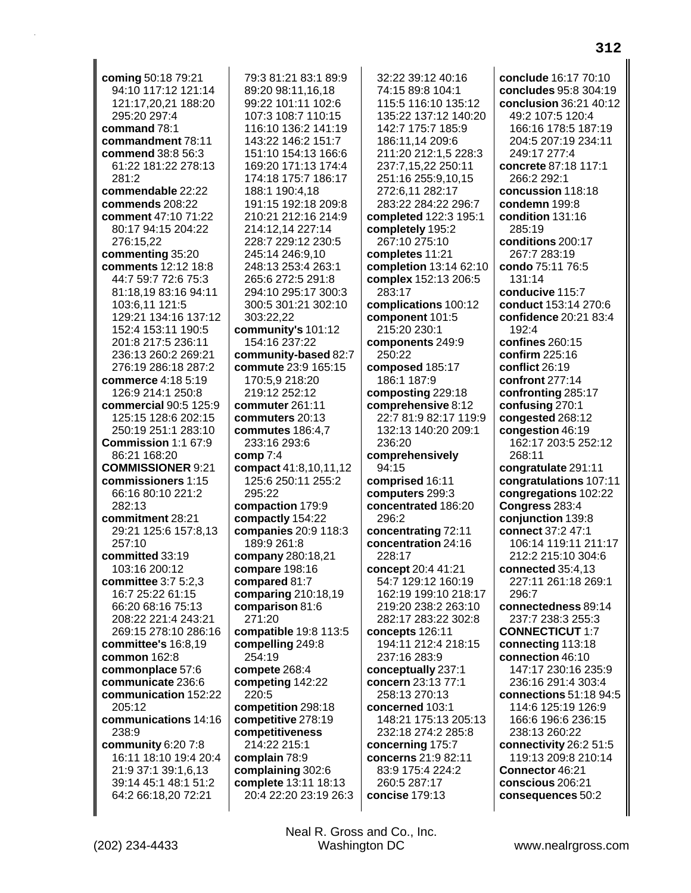| coming 50:18 79:21                           | 79:3 81:21 83:1 89:9                      | 32:22 39:12 40:16                           | conclude 16:17 70:10                 |
|----------------------------------------------|-------------------------------------------|---------------------------------------------|--------------------------------------|
| 94:10 117:12 121:14                          | 89:20 98:11,16,18                         | 74:15 89:8 104:1                            | concludes 95:8 304:19                |
| 121:17,20,21 188:20                          | 99:22 101:11 102:6                        | 115:5 116:10 135:12                         | conclusion 36:21 40:12               |
| 295:20 297:4                                 | 107:3 108:7 110:15                        | 135:22 137:12 140:20                        | 49:2 107:5 120:4                     |
| command 78:1                                 | 116:10 136:2 141:19                       | 142:7 175:7 185:9                           | 166:16 178:5 187:19                  |
| commandment 78:11                            | 143:22 146:2 151:7                        | 186:11,14 209:6                             | 204:5 207:19 234:11                  |
| commend 38:8 56:3                            | 151:10 154:13 166:6                       | 211:20 212:1,5 228:3                        | 249:17 277:4                         |
| 61:22 181:22 278:13                          | 169:20 171:13 174:4                       | 237:7,15,22 250:11                          | concrete 87:18 117:1                 |
| 281:2                                        | 174:18 175:7 186:17                       | 251:16 255:9,10,15                          | 266:2 292:1                          |
| commendable 22:22                            | 188:1 190:4,18                            | 272:6,11 282:17                             | concussion 118:18                    |
| commends 208:22                              | 191:15 192:18 209:8                       | 283:22 284:22 296:7                         | condemn 199:8                        |
| comment 47:10 71:22                          | 210:21 212:16 214:9                       | completed 122:3 195:1                       | condition 131:16                     |
| 80:17 94:15 204:22                           | 214:12,14 227:14                          | completely 195:2                            | 285:19                               |
| 276:15,22                                    | 228:7 229:12 230:5                        | 267:10 275:10                               | conditions 200:17                    |
| commenting 35:20                             | 245:14 246:9,10                           | completes 11:21                             | 267:7 283:19                         |
| comments 12:12 18:8                          | 248:13 253:4 263:1                        | completion 13:14 62:10                      | condo 75:11 76:5                     |
| 44:7 59:7 72:6 75:3                          | 265:6 272:5 291:8                         | complex 152:13 206:5                        | 131:14                               |
| 81:18,19 83:16 94:11                         | 294:10 295:17 300:3                       | 283:17                                      | conducive 115:7                      |
| 103:6,11 121:5                               | 300:5 301:21 302:10                       | complications 100:12                        | conduct 153:14 270:6                 |
| 129:21 134:16 137:12                         | 303:22,22                                 | component 101:5                             | confidence 20:21 83:4                |
| 152:4 153:11 190:5                           | community's 101:12                        | 215:20 230:1                                | 192:4                                |
| 201:8 217:5 236:11                           | 154:16 237:22                             | components 249:9                            | confines 260:15                      |
| 236:13 260:2 269:21                          | community-based 82:7                      | 250:22                                      | confirm 225:16                       |
| 276:19 286:18 287:2                          | commute 23:9 165:15                       | composed 185:17                             | conflict 26:19                       |
| commerce 4:18 5:19                           | 170:5,9 218:20                            | 186:1 187:9                                 | confront 277:14                      |
| 126:9 214:1 250:8                            | 219:12 252:12                             | composting 229:18                           | confronting 285:17                   |
| commercial 90:5 125:9<br>125:15 128:6 202:15 | commuter 261:11                           | comprehensive 8:12<br>22:7 81:9 82:17 119:9 | confusing 270:1                      |
| 250:19 251:1 283:10                          | commuters 20:13                           | 132:13 140:20 209:1                         | congested 268:12<br>congestion 46:19 |
| Commission 1:1 67:9                          | commutes 186:4,7                          | 236:20                                      | 162:17 203:5 252:12                  |
| 86:21 168:20                                 | 233:16 293:6<br>comp 7:4                  | comprehensively                             | 268:11                               |
| <b>COMMISSIONER 9:21</b>                     | compact 41:8,10,11,12                     | 94:15                                       | congratulate 291:11                  |
| commissioners 1:15                           | 125:6 250:11 255:2                        | comprised 16:11                             | congratulations 107:11               |
| 66:16 80:10 221:2                            | 295:22                                    | computers 299:3                             | congregations 102:22                 |
| 282:13                                       | compaction 179:9                          | concentrated 186:20                         | Congress 283:4                       |
| commitment 28:21                             | compactly 154:22                          | 296:2                                       | conjunction 139:8                    |
| 29:21 125:6 157:8,13                         | companies 20:9 118:3                      | concentrating 72:11                         | connect 37:2 47:1                    |
| 257:10                                       | 189:9 261:8                               | concentration 24:16                         | 106:14 119:11 211:17                 |
| committed 33:19                              | company 280:18,21                         | 228:17                                      | 212:2 215:10 304:6                   |
| 103:16 200:12                                | <b>compare</b> 198:16                     | concept 20:4 41:21                          | <b>connected</b> 35:4,13             |
| committee 3:7 5:2,3                          | compared 81:7                             | 54:7 129:12 160:19                          | 227:11 261:18 269:1                  |
| 16:7 25:22 61:15                             | comparing 210:18,19                       | 162:19 199:10 218:17                        | 296:7                                |
| 66:20 68:16 75:13                            | comparison 81:6                           | 219:20 238:2 263:10                         | connectedness 89:14                  |
| 208:22 221:4 243:21                          | 271:20                                    | 282:17 283:22 302:8                         | 237:7 238:3 255:3                    |
| 269:15 278:10 286:16                         | compatible 19:8 113:5                     | concepts 126:11                             | <b>CONNECTICUT 1:7</b>               |
| committee's 16:8,19                          | compelling 249:8                          | 194:11 212:4 218:15                         | connecting 113:18                    |
| common 162:8                                 | 254:19                                    | 237:16 283:9                                | connection 46:10                     |
| commonplace 57:6                             | compete 268:4                             | conceptually 237:1                          | 147:17 230:16 235:9                  |
| communicate 236:6                            | competing 142:22                          | concern 23:13 77:1                          | 236:16 291:4 303:4                   |
| communication 152:22                         | 220:5                                     | 258:13 270:13                               | connections 51:18 94:5               |
| 205:12                                       | competition 298:18                        | concerned 103:1                             | 114:6 125:19 126:9                   |
| communications 14:16                         | competitive 278:19                        | 148:21 175:13 205:13                        | 166:6 196:6 236:15                   |
| 238:9                                        | competitiveness                           | 232:18 274:2 285:8                          | 238:13 260:22                        |
| community 6:20 7:8                           | 214:22 215:1                              | concerning 175:7                            | connectivity 26:2 51:5               |
| 16:11 18:10 19:4 20:4                        | complain 78:9                             | concerns 21:9 82:11                         | 119:13 209:8 210:14                  |
| 21:9 37:1 39:1,6,13<br>39:14 45:1 48:1 51:2  | complaining 302:6<br>complete 13:11 18:13 | 83:9 175:4 224:2<br>260:5 287:17            | Connector 46:21<br>conscious 206:21  |
| 64:2 66:18,20 72:21                          | 20:4 22:20 23:19 26:3                     | concise 179:13                              | consequences 50:2                    |
|                                              |                                           |                                             |                                      |
|                                              |                                           |                                             |                                      |

Neal R. Gross and Co., Inc. Washington DC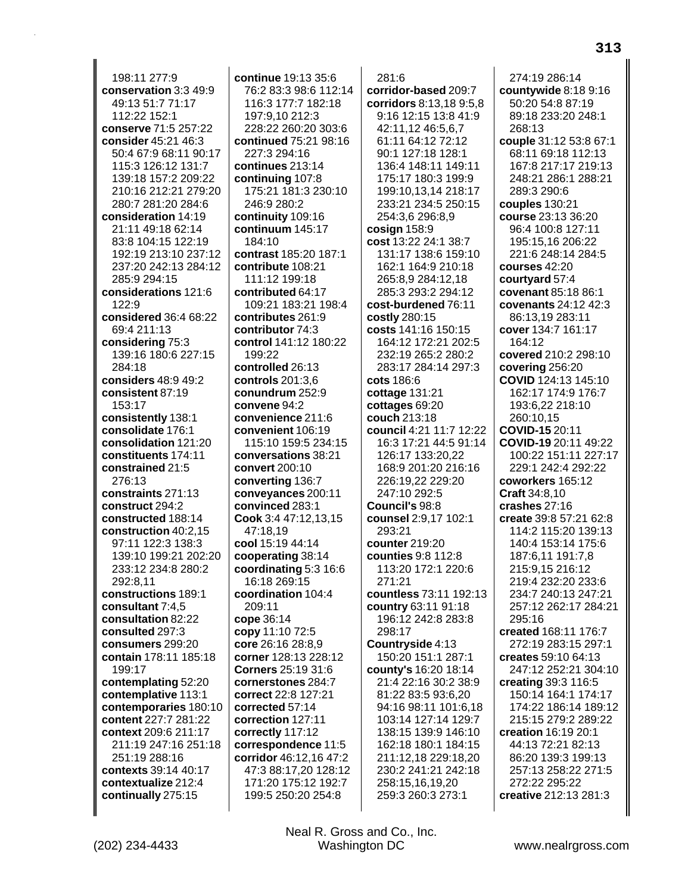198:11 277:9 conservation 3:3 49:9 49:13 51:7 71:17 112:22 152:1 conserve 71:5 257:22 consider 45:21 46:3 50:4 67:9 68:11 90:17 115:3 126:12 131:7 139:18 157:2 209:22 210:16 212:21 279:20 280:7 281:20 284:6 consideration 14:19 21:11 49:18 62:14 83:8 104:15 122:19 192:19 213:10 237:12 237:20 242:13 284:12 285:9 294:15 considerations 121:6  $122:9$ considered 36:4 68:22 69:4 211:13 considering 75:3 139:16 180:6 227:15 284:18 considers 48:9 49:2 consistent 87:19 153:17 consistently 138:1 consolidate 176:1 consolidation 121:20 constituents 174:11 constrained 21:5 276:13 constraints 271:13 construct 294:2 constructed 188:14 construction 40:2,15 97:11 122:3 138:3 139:10 199:21 202:20 233:12 234:8 280:2 292:8.11 constructions 189:1 consultant 7:4,5 consultation 82:22 consulted 297:3 consumers 299:20 contain 178:11 185:18 199:17 contemplating 52:20 contemplative 113:1 contemporaries 180:10 content 227:7 281:22 context 209:6 211:17 211:19 247:16 251:18 251:19 288:16 contexts 39:14 40:17 contextualize 212:4 continually 275:15

continue 19:13 35:6 76:2 83:3 98:6 112:14 116:3 177:7 182:18 197:9.10 212:3 228:22 260:20 303:6 continued 75:21 98:16 227:3 294:16 continues 213:14 continuing 107:8 175:21 181:3 230:10 246:9 280:2 continuity 109:16 continuum 145:17  $184.10$ contrast 185:20 187:1 contribute 108:21 111:12 199:18 contributed 64:17 109:21 183:21 198:4 contributes 261:9 contributor 74:3 control 141:12 180:22 199:22 controlled 26:13 controls  $201:3.6$ conundrum 252:9 convene 94:2 convenience 211:6 convenient 106:19 115:10 159:5 234:15 conversations 38:21 convert 200:10 converting 136:7 conveyances 200:11 convinced 283:1 Cook 3:4 47:12,13,15 47:18,19 cool 15:19 44:14 cooperating 38:14 coordinating 5:3 16:6 16:18 269:15 coordination 104:4 209:11 cope 36:14 copy 11:10 72:5 core 26:16 28:8,9 corner 128:13 228:12 Corners 25:19 31:6 cornerstones 284:7 correct 22:8 127:21 corrected 57:14 correction 127:11 correctly 117:12 correspondence 11:5 corridor 46:12,16 47:2 47:3 88:17,20 128:12 171:20 175:12 192:7 199:5 250:20 254:8

281:6 corridor-based 209:7 corridors 8:13,18 9:5,8 9:16 12:15 13:8 41:9 42:11.12 46:5.6.7 61:11 64:12 72:12 90:1 127:18 128:1 136:4 148:11 149:11 175:17 180:3 199:9 199:10,13,14 218:17 233:21 234:5 250:15 254:3,6 296:8,9 cosign  $158:9$ cost 13:22 24:1 38:7 131:17 138:6 159:10 162:1 164:9 210:18 265:8,9 284:12,18 285:3 293:2 294:12 cost-burdened 76:11 costly 280:15 costs 141:16 150:15 164:12 172:21 202:5 232:19 265:2 280:2 283:17 284:14 297:3 **cots** 186:6 cottage 131:21 cottages 69:20 couch 213:18 council 4:21 11:7 12:22 16:3 17:21 44:5 91:14 126:17 133:20.22 168:9 201:20 216:16 226:19,22 229:20 247:10 292:5 Council's 98:8 counsel 2:9,17 102:1 293:21 counter 219:20 counties 9:8 112:8 113:20 172:1 220:6 271:21 countless 73:11 192:13 country 63:11 91:18 196:12 242:8 283:8 298:17 Countryside 4:13 150:20 151:1 287:1 county's 16:20 18:14 21:4 22:16 30:2 38:9 81:22 83:5 93:6,20 94:16 98:11 101:6,18 103:14 127:14 129:7 138:15 139:9 146:10 162:18 180:1 184:15 211:12,18 229:18,20 230:2 241:21 242:18 258:15,16,19,20 259:3 260:3 273:1

274:19 286:14 countywide 8:18 9:16 50:20 54:8 87:19 89:18 233:20 248:1  $268.13$ couple 31:12 53:8 67:1 68:11 69:18 112:13 167:8 217:17 219:13 248:21 286:1 288:21 289:3 290:6 couples 130:21 course 23:13 36:20 96:4 100:8 127:11 195:15.16 206:22 221:6 248:14 284:5 courses 42:20 courtyard 57:4 covenant 85:18 86:1 covenants 24:12 42:3 86:13,19 283:11 cover 134:7 161:17 164:12 covered 210:2 298:10 covering 256:20 COVID 124:13 145:10 162:17 174:9 176:7 193:6.22 218:10 260:10.15 COVID-15 20:11 **COVID-19** 20:11 49:22 100:22 151:11 227:17  $229.1242.4292.22$ coworkers 165:12 **Craft** 34:8.10 crashes 27:16 create 39:8 57:21 62:8 114:2 115:20 139:13 140:4 153:14 175:6 187:6.11 191:7.8 215:9.15 216:12 219:4 232:20 233:6 234:7 240:13 247:21 257:12 262:17 284:21 295:16 created 168:11 176:7 272:19 283:15 297:1 creates 59:10 64:13 247:12 252:21 304:10 creating 39:3 116:5 150:14 164:1 174:17 174:22 186:14 189:12 215:15 279:2 289:22 creation 16:19 20:1 44:13 72:21 82:13 86:20 139:3 199:13 257:13 258:22 271:5 272:22 295:22 creative 212:13 281:3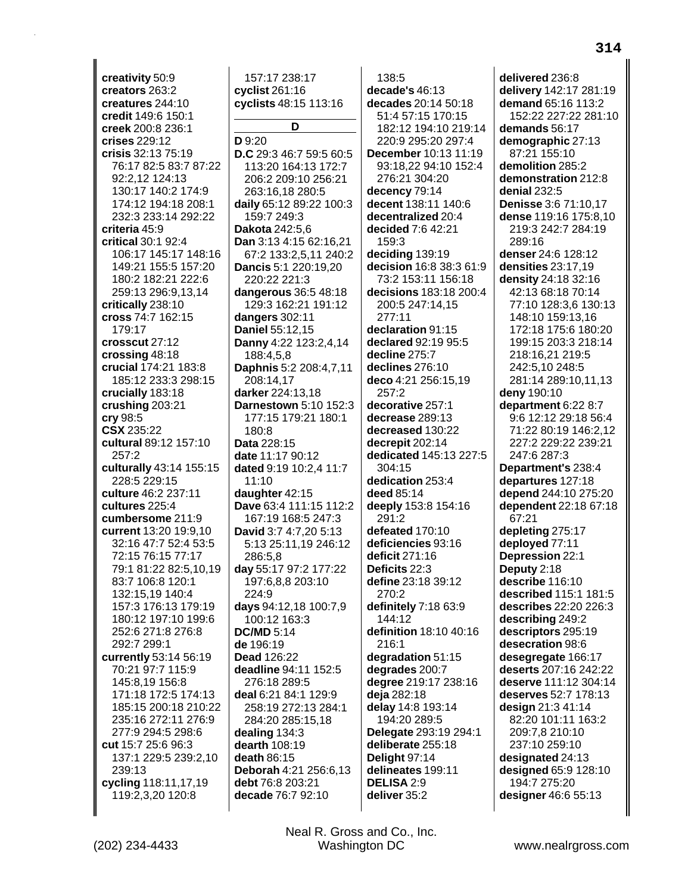creativity 50:9 creators 263:2 creatures 244:10 credit 149:6 150:1 creek 200:8 236:1 crises 229:12 crisis 32:13 75:19 76:17 82:5 83:7 87:22 92:2.12 124:13 130:17 140:2 174:9 174:12 194:18 208:1 232:3 233:14 292:22 criteria 45:9 critical 30:1 92:4 106:17 145:17 148:16 149:21 155:5 157:20 180:2 182:21 222:6 259:13 296:9,13,14 critically 238:10 cross 74:7 162:15 179:17 crosscut 27:12 crossing 48:18 crucial 174:21 183:8 185:12 233:3 298:15 crucially 183:18 crushing 203:21  $\mathbf{cry}$  98:5 **CSX 235:22** cultural 89:12 157:10  $257.2$ culturally 43:14 155:15 228:5 229:15 culture 46:2 237:11 cultures 225:4 cumbersome 211:9 current 13:20 19:9,10 32:16 47:7 52:4 53:5 72:15 76:15 77:17 79:1 81:22 82:5,10,19 83:7 106:8 120:1 132:15,19 140:4 157:3 176:13 179:19 180:12 197:10 199:6 252:6 271:8 276:8 292:7 299:1 currently 53:14 56:19 70:21 97:7 115:9 145:8.19 156:8 171:18 172:5 174:13 185:15 200:18 210:22 235:16 272:11 276:9 277:9 294:5 298:6 cut 15:7 25:6 96:3 137:1 229:5 239:2,10 239:13 cycling 118:11,17,19 119:2,3,20 120:8

157:17 238:17 cyclist  $261:16$ cyclists 48:15 113:16 D D 9:20 D.C 29:3 46:7 59:5 60:5 113:20 164:13 172:7 206:2 209:10 256:21 263:16,18 280:5 daily 65:12 89:22 100:3 159:7 249:3 Dakota 242:5.6 Dan 3:13 4:15 62:16,21 67:2 133:2,5,11 240:2 Dancis 5:1 220:19,20 220:22 221:3 dangerous 36:5 48:18 129:3 162:21 191:12 dangers  $302:11$ Daniel 55:12,15 Danny 4:22 123:2,4,14 188:4,5,8 Daphnis 5:2 208:4,7,11 208:14.17 darker 224:13.18 Darnestown 5:10 152:3 177:15 179:21 180:1 180:8 Data 228:15 date 11:17 90:12 dated 9:19 10:2,4 11:7  $11:10$ daughter 42:15 Dave 63:4 111:15 112:2 167:19 168:5 247:3 David 3:7 4:7,20 5:13 5:13 25:11,19 246:12 286:5.8 day 55:17 97:2 177:22 197:6,8,8 203:10 224:9 days 94:12,18 100:7,9 100:12 163:3 **DC/MD 5:14** de 196:19 Dead 126:22 deadline 94:11 152:5 276:18 289:5 deal 6:21 84:1 129:9 258:19 272:13 284:1 284:20 285:15,18 dealing  $134:3$ dearth 108:19 death 86:15 Deborah 4:21 256:6,13 debt 76:8 203:21 decade 76:7 92:10

 $138:5$ decade's 46:13 decades 20:14 50:18 51:4 57:15 170:15 182:12 194:10 219:14 220:9 295:20 297:4 December 10:13 11:19 93:18,22 94:10 152:4 276:21 304:20 decency 79:14 decent 138:11 140:6 decentralized 20:4 decided 7:6 42:21 159:3 deciding 139:19 decision 16:8 38:3 61:9 73:2 153:11 156:18 decisions 183:18 200:4 200:5 247:14,15 277:11 declaration 91:15 declared 92:19 95:5 decline 275:7 declines 276:10 deco 4:21 256:15,19  $257:2$ decorative 257:1 decrease 289:13 decreased 130:22 decrepit 202:14 dedicated 145:13 227:5  $304:15$ dedication 253:4 deed  $85:14$ deeply 153:8 154:16  $291:2$ defeated 170:10 deficiencies 93:16 deficit 271:16 Deficits 22:3 define 23:18 39:12 270:2 definitely 7:18 63:9 144:12 definition 18:10 40:16 216:1 degradation 51:15 degrades 200:7 degree 219:17 238:16 deja 282:18 delay 14:8 193:14 194:20 289:5 Delegate 293:19 294:1 deliberate 255:18 Delight 97:14 delineates 199:11 **DELISA 2:9** deliver 35:2

delivered 236:8 delivery 142:17 281:19 demand 65:16 113:2 152:22 227:22 281:10 demands 56:17 demographic 27:13 87:21 155:10 demolition 285:2 demonstration 212:8 denial 232:5 Denisse 3:6 71:10,17 dense 119:16 175:8,10 219:3 242:7 284:19 289:16 denser 24:6 128:12 densities 23:17,19 density 24:18 32:16 42:13 68:18 70:14 77:10 128:3,6 130:13 148:10 159:13,16 172:18 175:6 180:20 199:15 203:3 218:14 218:16.21 219:5 242:5,10 248:5 281:14 289:10,11,13 deny 190:10 department 6:22 8:7 9:6 12:12 29:18 56:4 71:22 80:19 146:2,12 227:2 229:22 239:21 247:6 287:3 Department's 238:4 departures 127:18 depend 244:10 275:20 dependent 22:18 67:18 67:21 depleting 275:17 deployed 77:11 Depression 22:1 Deputy 2:18 describe 116:10 described 115:1 181:5 describes 22:20 226:3 describing 249:2 descriptors 295:19 desecration 98:6 desegregate 166:17 deserts 207:16 242:22 deserve 111:12 304:14 deserves 52:7 178:13 design 21:3 41:14 82:20 101:11 163:2 209:7,8 210:10 237:10 259:10 designated 24:13 designed 65:9 128:10 194:7 275:20 designer 46:6 55:13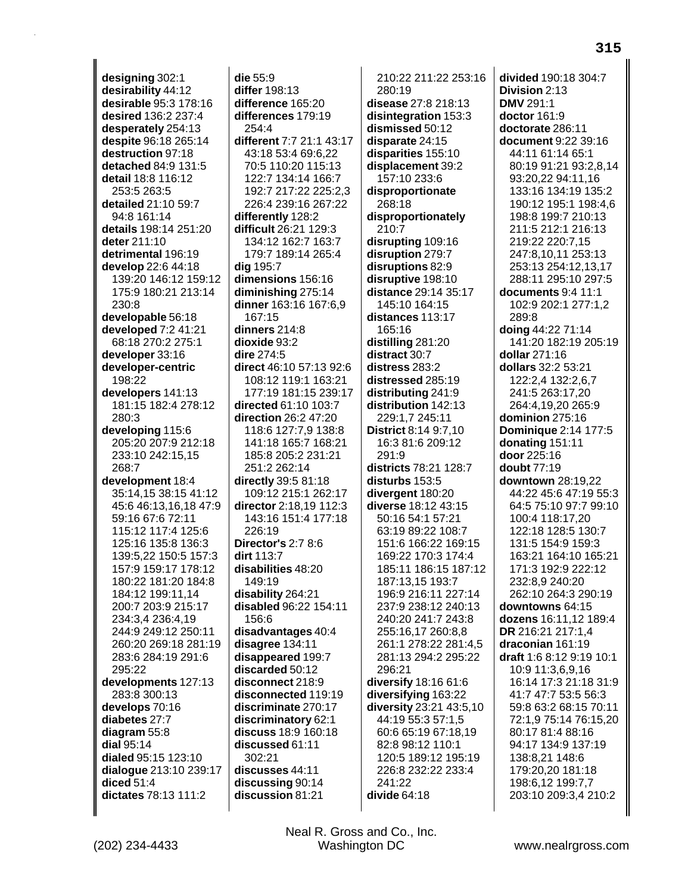designing 302:1 desirability 44:12 desirable 95:3 178:16 desired 136:2 237:4 desperately 254:13 despite 96:18 265:14 destruction 97:18 detached 84:9 131:5 detail 18:8 116:12 253:5 263:5 detailed 21:10 59:7 94:8 161:14 details 198:14 251:20 deter 211:10 detrimental 196:19 develop 22:6 44:18 139:20 146:12 159:12 175:9 180:21 213:14 230:8 developable 56:18 developed 7:2 41:21 68:18 270:2 275:1 developer 33:16 developer-centric 198:22 developers 141:13 181:15 182:4 278:12 280:3 developing 115:6 205:20 207:9 212:18 233:10 242:15.15 268:7 development 18:4 35:14,15 38:15 41:12 45:6 46:13.16.18 47:9 59:16 67:6 72:11 115:12 117:4 125:6 125:16 135:8 136:3 139:5,22 150:5 157:3 157:9 159:17 178:12 180:22 181:20 184:8 184:12 199:11,14 200:7 203:9 215:17 234:3.4 236:4.19 244:9 249:12 250:11 260:20 269:18 281:19 283:6 284:19 291:6 295:22 developments 127:13 283:8 300:13 develops 70:16 diabetes 27:7 diagram 55:8 dial 95:14 dialed 95:15 123:10 dialoque 213:10 239:17 diced  $51:4$ dictates 78:13 111:2

die 55:9 differ 198:13 difference 165:20 differences 179:19  $254.4$ different 7:7 21:1 43:17 43:18 53:4 69:6.22 70:5 110:20 115:13 122:7 134:14 166:7 192:7 217:22 225:2.3 226:4 239:16 267:22 differently 128:2 difficult 26:21 129:3 134:12 162:7 163:7 179:7 189:14 265:4 dig 195:7 dimensions 156:16 diminishing 275:14 dinner 163:16 167:6,9 167:15 dinners  $214:8$ dioxide 93:2 dire 274:5 direct 46:10 57:13 92:6 108:12 119:1 163:21 177:19 181:15 239:17 directed 61:10 103:7 direction 26:2 47:20 118:6 127:7,9 138:8 141:18 165:7 168:21 185:8 205:2 231:21 251:2 262:14 directly  $39:581:18$ 109:12 215:1 262:17 director 2:18.19 112:3 143:16 151:4 177:18 226:19 **Director's 2:7 8:6** dirt 113:7 disabilities 48:20  $149:19$ disability 264:21 disabled 96:22 154:11 156:6 disadvantages 40:4 disagree 134:11 disappeared 199:7 discarded 50:12 disconnect 218:9 disconnected 119:19 discriminate 270:17 discriminatory 62:1 discuss 18:9 160:18 discussed 61:11  $302.21$ discusses 44:11 discussing 90:14 discussion 81:21

210:22 211:22 253:16 280:19 disease 27:8 218:13 disintegration 153:3 dismissed 50:12 disparate 24:15 disparities 155:10 displacement 39:2 157:10 233:6 disproportionate 268:18 disproportionately 210:7 disrupting 109:16 disruption 279:7 disruptions 82:9 disruptive 198:10 distance 29:14 35:17 145:10 164:15 distances 113:17 165:16 distilling 281:20 distract 30:7 distress 283:2 distressed 285:19 distributing 241:9 distribution 142:13 229:1,7 245:11 **District** 8:14 9:7,10 16:3 81:6 209:12  $291.9$ districts 78:21 128:7 disturbs 153:5 divergent 180:20 diverse 18:12 43:15 50:16 54:1 57:21 63:19 89:22 108:7 151:6 166:22 169:15 169:22 170:3 174:4 185:11 186:15 187:12 187:13,15 193:7 196:9 216:11 227:14 237:9 238:12 240:13 240:20 241:7 243:8 255:16,17 260:8,8 261:1 278:22 281:4,5 281:13 294:2 295:22 296:21 diversify 18:16 61:6 diversifying 163:22 diversity 23:21 43:5,10 44:19 55:3 57:1,5 60:6 65:19 67:18.19 82:8 98:12 110:1 120:5 189:12 195:19 226:8 232:22 233:4 241:22 divide  $64:18$ 

divided 190:18 304:7 Division 2:13 **DMV 291:1** doctor 161:9 doctorate 286:11 document 9:22 39:16 44:11 61:14 65:1 80:19 91:21 93:2,8,14 93:20.22 94:11.16 133:16 134:19 135:2 190:12 195:1 198:4,6 198:8 199:7 210:13 211:5 212:1 216:13 219:22 220:7.15 247:8,10,11 253:13 253:13 254:12,13,17 288:11 295:10 297:5 documents 9:4 11:1 102:9 202:1 277:1,2 289:8 doing 44:22 71:14 141:20 182:19 205:19 dollar 271:16 dollars 32:2 53:21 122:2,4 132:2,6,7 241:5 263:17.20 264:4.19.20 265:9 dominion 275:16 **Dominique 2:14 177:5** donating 151:11 door 225:16 doubt  $77.19$ downtown 28:19,22 44:22 45:6 47:19 55:3 64:5 75:10 97:7 99:10 100:4 118:17,20 122:18 128:5 130:7 131:5 154:9 159:3 163:21 164:10 165:21 171:3 192:9 222:12 232:8,9 240:20 262:10 264:3 290:19 downtowns 64:15 dozens 16:11,12 189:4 DR 216:21 217:1,4 draconian 161:19 draft 1:6 8:12 9:19 10:1 10:9 11:3,6,9,16 16:14 17:3 21:18 31:9 41:7 47:7 53:5 56:3 59:8 63:2 68:15 70:11 72:1,9 75:14 76:15,20 80:17 81:4 88:16 94:17 134:9 137:19 138:8,21 148:6 179:20,20 181:18 198:6,12 199:7,7 203:10 209:3,4 210:2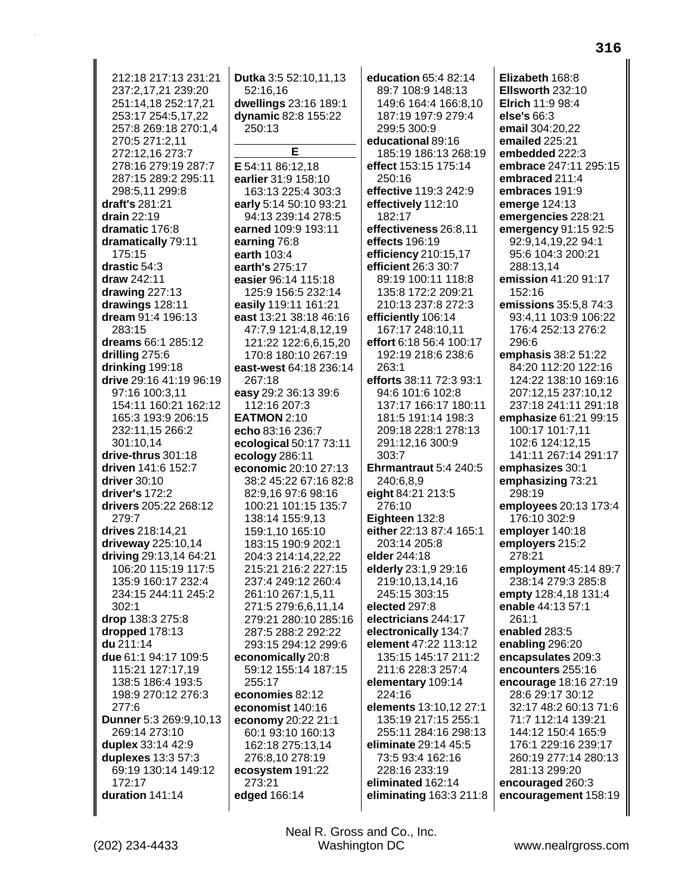212:18 217:13 231:21 237:2,17,21 239:20 251:14,18 252:17,21 253:17 254:5,17,22 257:8 269:18 270:1.4 270:5 271:2,11 272:12,16 273:7 278:16 279:19 287:7 287:15 289:2 295:11 298:5,11 299:8 draft's 281:21 drain  $22:19$ dramatic 176:8 dramatically 79:11 175:15 drastic 54:3 draw 242:11 drawing 227:13 drawings 128:11 dream 91:4 196:13 283:15 dreams 66:1 285:12 drilling 275:6 drinking 199:18 drive 29:16 41:19 96:19 97:16 100:3.11 154:11 160:21 162:12 165:3 193:9 206:15 232:11,15 266:2 301:10.14 drive-thrus 301:18 driven 141:6 152:7  $driver$  30:10 driver's 172:2 drivers 205:22 268:12 279:7 drives 218:14,21 driveway 225:10,14 driving 29:13,14 64:21 106:20 115:19 117:5 135:9 160:17 232:4 234:15 244:11 245:2  $302:1$ drop 138:3 275:8 dropped 178:13 du 211:14 due 61:1 94:17 109:5 115:21 127:17.19 138:5 186:4 193:5 198:9 270:12 276:3 277:6 Dunner 5:3 269:9,10,13 269:14 273:10 duplex 33:14 42:9 duplexes 13:3 57:3 69:19 130:14 149:12 172:17 duration 141:14

dwellings 23:16 189:1 dynamic 82:8 155:22 250:13 Е E 54:11 86:12.18 earlier 31:9 158:10 163:13 225:4 303:3 early 5:14 50:10 93:21 94:13 239:14 278:5 earned 109:9 193:11 earning 76:8 earth 103:4 earth's 275:17 easier 96:14 115:18 125:9 156:5 232:14 easily 119:11 161:21 east 13:21 38:18 46:16 47:7,9 121:4,8,12,19 121:22 122:6,6,15,20 170:8 180:10 267:19 east-west 64:18 236:14 267:18 easy 29:2 36:13 39:6 112:16 207:3 **EATMON 2:10** echo 83:16 236:7 ecological 50:17 73:11 ecology 286:11 economic 20:10 27:13 38:2 45:22 67:16 82:8 82:9.16 97:6 98:16 100:21 101:15 135:7 138:14 155:9,13 159:1,10 165:10 183:15 190:9 202:1 204:3 214:14,22,22 215:21 216:2 227:15 237:4 249:12 260:4 261:10 267:1,5,11 271:5 279:6,6,11,14 279:21 280:10 285:16 287:5 288:2 292:22 293:15 294:12 299:6 economically 20:8 59:12 155:14 187:15 255:17 economies 82:12 economist 140:16 economy 20:22 21:1 60:1 93:10 160:13 162:18 275:13,14 276:8,10 278:19 ecosystem 191:22 273:21 edged 166:14

Dutka 3:5 52:10,11,13

52:16,16

education 65:4 82:14 89:7 108:9 148:13 149:6 164:4 166:8,10 187:19 197:9 279:4 299:5 300:9 educational 89:16 185:19 186:13 268:19 effect 153:15 175:14 250:16 effective 119:3 242:9 effectively 112:10 182:17 effectiveness 26:8,11 effects 196:19 efficiency 210:15,17 efficient 26:3 30:7 89:19 100:11 118:8 135:8 172:2 209:21 210:13 237:8 272:3 efficiently 106:14 167:17 248:10,11 effort 6:18 56:4 100:17 192:19 218:6 238:6  $263:1$ efforts 38:11 72:3 93:1 94:6 101:6 102:8 137:17 166:17 180:11 181:5 191:14 198:3 209:18 228:1 278:13 291:12,16 300:9  $303.7$ Ehrmantraut 5:4 240:5 240:6,8,9 eight 84:21 213:5 276:10 Eighteen 132:8 either 22:13 87:4 165:1 203:14 205:8 elder 244:18 elderly 23:1,9 29:16 219:10,13,14,16 245:15 303:15 elected 297:8 electricians 244:17 electronically 134:7 element 47:22 113:12 135:15 145:17 211:2 211:6 228:3 257:4 elementary 109:14 224:16 elements 13:10,12 27:1 135:19 217:15 255:1 255:11 284:16 298:13 eliminate 29:14 45:5 73:5 93:4 162:16 228:16 233:19 eliminated 162:14 eliminating  $163:3211:8$ 

Elizabeth 168:8 Ellsworth 232:10 Elrich 11:9 98:4 else's 66:3 email 304:20.22 emailed 225:21 embedded 222:3 embrace 247:11 295:15 embraced 211:4 embraces 191:9 emerge 124:13 emergencies 228:21 emergency 91:15 92:5 92:9.14.19.22 94:1 95:6 104:3 200:21 288:13,14 emission 41:20 91:17 152:16 emissions 35:5,8 74:3 93:4,11 103:9 106:22 176:4 252:13 276:2 296:6 emphasis 38:2 51:22 84:20 112:20 122:16 124:22 138:10 169:16 207:12.15 237:10.12 237:18 241:11 291:18 emphasize 61:21 99:15 100:17 101:7,11 102:6 124:12.15 141:11 267:14 291:17 emphasizes 30:1 emphasizing 73:21 298:19 employees 20:13 173:4 176:10 302:9 employer 140:18 employers 215:2 278:21 employment 45:14 89:7 238:14 279:3 285:8 empty 128:4,18 131:4 enable 44:13 57:1  $261:1$ enabled 283:5 enabling 296:20 encapsulates 209:3 encounters 255:16 encourage 18:16 27:19 28:6 29:17 30:12 32:17 48:2 60:13 71:6 71:7 112:14 139:21 144:12 150:4 165:9 176:1 229:16 239:17 260:19 277:14 280:13 281:13 299:20 encouraged 260:3 encouragement 158:19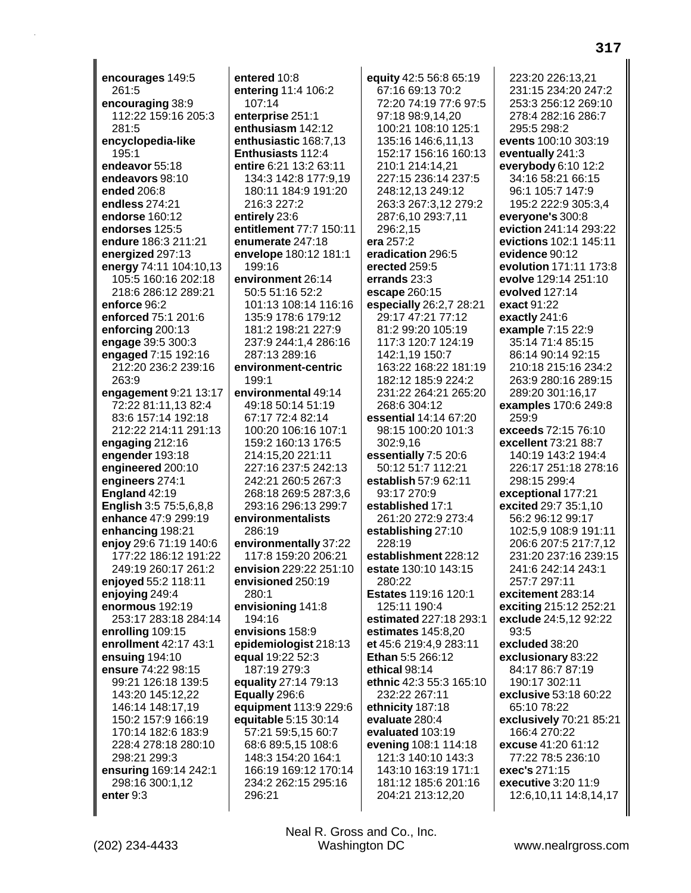encourages 149:5 261:5 encouraging 38:9 112:22 159:16 205:3 281:5 encyclopedia-like 195:1 endeavor 55:18 endeavors 98:10 ended 206:8 endless 274:21 endorse 160:12 endorses 125:5 endure 186:3 211:21 energized 297:13 energy 74:11 104:10,13 105:5 160:16 202:18 218:6 286:12 289:21 enforce 96:2 enforced 75:1 201:6 enforcing 200:13 engage 39:5 300:3 engaged 7:15 192:16 212:20 236:2 239:16 263:9 engagement 9:21 13:17 72:22 81:11.13 82:4 83:6 157:14 192:18 212:22 214:11 291:13 engaging  $212:16$ engender 193:18 engineered 200:10 engineers 274:1 England  $42:19$ English 3:5 75:5,6,8,8 enhance 47:9 299:19 enhancing 198:21 enjoy 29:6 71:19 140:6 177:22 186:12 191:22 249:19 260:17 261:2 enjoyed 55:2 118:11 enjoying 249:4 enormous 192:19 253:17 283:18 284:14 enrolling 109:15 enrollment 42:17 43:1 ensuing 194:10 ensure 74:22 98:15 99:21 126:18 139:5 143:20 145:12,22 146:14 148:17,19 150:2 157:9 166:19 170:14 182:6 183:9 228:4 278:18 280:10 298:21 299:3 ensuring 169:14 242:1 298:16 300:1,12 enter 9:3

entered 10:8 entering 11:4 106:2 107:14 enterprise 251:1 enthusiasm 142:12 enthusiastic 168:7,13 Enthusiasts 112:4 entire 6:21 13:2 63:11 134:3 142:8 177:9.19 180:11 184:9 191:20 216:3 227:2 entirely 23:6 entitlement 77:7 150:11 enumerate 247:18 envelope 180:12 181:1 199:16 environment 26:14 50:5 51:16 52:2 101:13 108:14 116:16 135:9 178:6 179:12 181:2 198:21 227:9 237:9 244:1,4 286:16 287:13 289:16 environment-centric 199:1 environmental 49:14 49:18 50:14 51:19 67:17 72:4 82:14 100:20 106:16 107:1 159:2 160:13 176:5 214:15.20 221:11 227:16 237:5 242:13 242:21 260:5 267:3 268:18 269:5 287:3,6 293:16 296:13 299:7 environmentalists 286:19 environmentally 37:22 117:8 159:20 206:21 envision 229:22 251:10 envisioned 250:19 280:1 envisioning 141:8 194:16 envisions 158:9 epidemiologist 218:13 equal 19:22 52:3 187:19 279:3 equality 27:14 79:13 Equally 296:6 equipment 113:9 229:6 equitable 5:15 30:14 57:21 59:5,15 60:7 68:6 89:5,15 108:6 148:3 154:20 164:1 166:19 169:12 170:14 234:2 262:15 295:16 296:21

equity 42:5 56:8 65:19 67:16 69:13 70:2 72:20 74:19 77:6 97:5 97:18 98:9,14,20 100:21 108:10 125:1 135:16 146:6,11,13 152:17 156:16 160:13 210:1 214:14,21 227:15 236:14 237:5 248:12,13 249:12 263:3 267:3,12 279:2 287:6,10 293:7,11 296:2,15 era 257:2 eradication 296:5 erected 259:5 errands 23:3 escape 260:15 especially 26:2,7 28:21 29:17 47:21 77:12 81:2 99:20 105:19 117:3 120:7 124:19 142:1,19 150:7 163:22 168:22 181:19 182:12 185:9 224:2 231:22 264:21 265:20 268:6 304:12 essential 14:14 67:20 98:15 100:20 101:3 302:9.16 essentially 7:5 20:6 50:12 51:7 112:21 establish 57:9 62:11 93:17 270:9 established 17:1 261:20 272:9 273:4 establishing 27:10 228:19 establishment 228:12 estate 130:10 143:15 280:22 Estates 119:16 120:1 125:11 190:4 estimated 227:18 293:1 estimates 145:8,20 et 45:6 219:4,9 283:11 Ethan 5:5 266:12 ethical 98:14 ethnic 42:3 55:3 165:10 232:22 267:11 ethnicity 187:18 evaluate 280:4 evaluated 103:19 evening 108:1 114:18 121:3 140:10 143:3 143:10 163:19 171:1 181:12 185:6 201:16 204:21 213:12,20

223:20 226:13.21 231:15 234:20 247:2 253:3 256:12 269:10 278:4 282:16 286:7 295:5 298:2 events 100:10 303:19 eventually 241:3 everybody 6:10 12:2 34:16 58:21 66:15 96:1 105:7 147:9 195:2 222:9 305:3,4 everyone's 300:8 eviction 241:14 293:22 evictions 102:1 145:11 evidence 90:12 evolution 171:11 173:8 evolve 129:14 251:10 evolved 127:14 exact 91:22 exactly 241:6 example 7:15 22:9 35:14 71:4 85:15 86:14 90:14 92:15 210:18 215:16 234:2 263:9 280:16 289:15 289:20 301:16.17 examples 170:6 249:8 259:9 exceeds 72:15 76:10 excellent 73:21 88:7 140:19 143:2 194:4 226:17 251:18 278:16 298:15 299:4 exceptional 177:21 excited 29:7 35:1.10 56:2 96:12 99:17 102:5,9 108:9 191:11 206:6 207:5 217:7,12 231:20 237:16 239:15 241:6 242:14 243:1 257:7 297:11 excitement 283:14 exciting 215:12 252:21 exclude 24:5,12 92:22 93:5 excluded 38:20 exclusionary 83:22 84:17 86:7 87:19 190:17 302:11 exclusive 53:18 60:22 65:10 78:22 exclusively 70:21 85:21 166:4 270:22 excuse 41:20 61:12 77:22 78:5 236:10 exec's 271:15 executive 3:20 11:9 12:6,10,11 14:8,14,17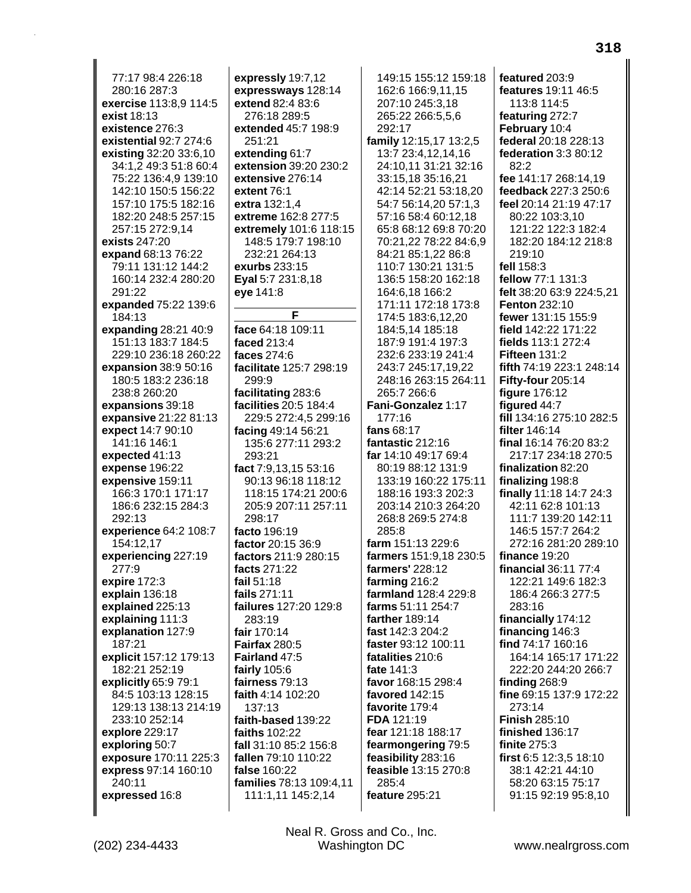77:17 98:4 226:18 280:16 287:3 exercise 113:8,9 114:5 exist 18:13 existence 276:3 existential 92:7 274:6 existing 32:20 33:6,10 34:1,2 49:3 51:8 60:4 75:22 136:4,9 139:10 142:10 150:5 156:22 157:10 175:5 182:16 182:20 248:5 257:15 257:15 272:9.14 exists 247:20 expand 68:13 76:22 79:11 131:12 144:2 160:14 232:4 280:20 291:22 expanded 75:22 139:6 184:13 expanding 28:21 40:9 151:13 183:7 184:5 229:10 236:18 260:22 expansion 38:9 50:16 180:5 183:2 236:18 238:8 260:20 expansions 39:18 expansive 21:22 81:13 **expect** 14:7 90:10 141:16 146:1 expected 41:13 expense 196:22 expensive 159:11 166:3 170:1 171:17 186:6 232:15 284:3  $292:13$ experience 64:2 108:7 154:12,17 experiencing 227:19 277:9 expire 172:3 explain 136:18 explained 225:13 explaining 111:3 explanation 127:9 187:21 explicit 157:12 179:13 182:21 252:19 explicitly 65:9 79:1 84:5 103:13 128:15 129:13 138:13 214:19 233:10 252:14 explore 229:17 exploring 50:7 exposure 170:11 225:3 express 97:14 160:10 240:11 expressed 16:8

expressly 19:7,12 expressways 128:14 extend 82:4 83:6 276:18 289:5 extended 45:7 198:9 251:21 extending 61:7 extension 39:20 230:2 extensive 276:14 extent 76:1 extra 132:1,4 extreme 162:8 277:5 extremely 101:6 118:15 148:5 179:7 198:10 232:21 264:13 exurbs 233:15 Eyal 5:7 231:8,18 eye 141:8 F face 64:18 109:11 faced 213:4 faces 274:6 facilitate 125:7 298:19 299:9 facilitating 283:6 facilities 20:5 184:4 229:5 272:4,5 299:16 facing 49:14 56:21 135:6 277:11 293:2 293:21 fact 7:9,13,15 53:16 90:13 96:18 118:12 118:15 174:21 200:6 205:9 207:11 257:11 298:17 facto 196:19 factor 20:15 36:9 factors 211:9 280:15 facts 271:22 fail  $51.18$ fails 271:11 failures 127:20 129:8 283:19 fair 170:14

**Fairfax 280:5** 

Fairland 47:5

fairness 79:13

faith 4:14 102:20

faith-based 139:22

fall 31:10 85:2 156:8

fallen 79:10 110:22

families 78:13 109:4.11

111:1,11 145:2,14

fairly 105:6

137:13

faiths 102:22

false 160:22

149:15 155:12 159:18 162:6 166:9,11,15 207:10 245:3,18 265:22 266:5,5,6 292:17 family 12:15,17 13:2,5 13:7 23:4,12,14,16 24:10,11 31:21 32:16 33:15,18 35:16,21 42:14 52:21 53:18,20 54:7 56:14,20 57:1,3 57:16 58:4 60:12,18 65:8 68:12 69:8 70:20 70:21,22 78:22 84:6,9 84:21 85:1,22 86:8 110:7 130:21 131:5 136:5 158:20 162:18 164:6,18 166:2 171:11 172:18 173:8 174:5 183:6,12,20 184:5,14 185:18 187:9 191:4 197:3 232:6 233:19 241:4 243:7 245:17,19,22 248:16 263:15 264:11 265:7 266:6 Fani-Gonzalez 1:17 177:16 fans  $68:17$ fantastic 212:16 far 14:10 49:17 69:4 80.19 88.12 131.9 133:19 160:22 175:11 188:16 193:3 202:3 203:14 210:3 264:20 268:8 269:5 274:8 285:8 farm 151:13 229:6 farmers 151:9,18 230:5 farmers' 228:12 farming 216:2 farmland 128:4 229:8 farms 51:11 254:7 farther 189:14 fast 142:3 204:2 faster 93:12 100:11 fatalities 210:6 fate 141:3 favor 168:15 298:4 favored 142:15 favorite 179:4 FDA 121:19 fear 121:18 188:17 fearmongering 79:5 feasibility 283:16 feasible 13:15 270:8 285:4 feature 295:21

featured 203:9 features 19:11 46:5 113:8 114:5 featuring 272:7 February 10:4 federal 20:18 228:13 federation 3:3 80:12  $82.2$ fee 141:17 268:14.19 feedback 227:3 250:6 feel 20:14 21:19 47:17 80:22 103:3,10 121:22 122:3 182:4 182:20 184:12 218:8  $219:10$ fell 158:3 fellow 77:1 131:3 felt 38:20 63:9 224:5.21 **Fenton 232:10** fewer 131:15 155:9 field 142:22 171:22 fields 113:1 272:4 **Fifteen 131:2** fifth 74:19 223:1 248:14 Fifty-four 205:14 figure 176:12 figured 44:7 fill 134:16 275:10 282:5 filter 146:14 final 16:14 76:20 83:2 217:17 234:18 270:5 finalization 82:20 finalizing 198:8 finally 11:18 14:7 24:3 42:11 62:8 101:13 111:7 139:20 142:11 146:5 157:7 264:2 272:16 281:20 289:10 finance  $19:20$ financial 36:11 77:4 122:21 149:6 182:3 186:4 266:3 277:5 283:16 financially 174:12 financing 146:3 find 74:17 160:16 164:14 165:17 171:22 222:20 244:20 266:7 finding 268:9 fine 69:15 137:9 172:22 273:14 **Finish 285:10** finished 136:17 finite 275:3 first 6:5 12:3,5 18:10 38:1 42:21 44:10 58:20 63:15 75:17 91:15 92:19 95:8,10

318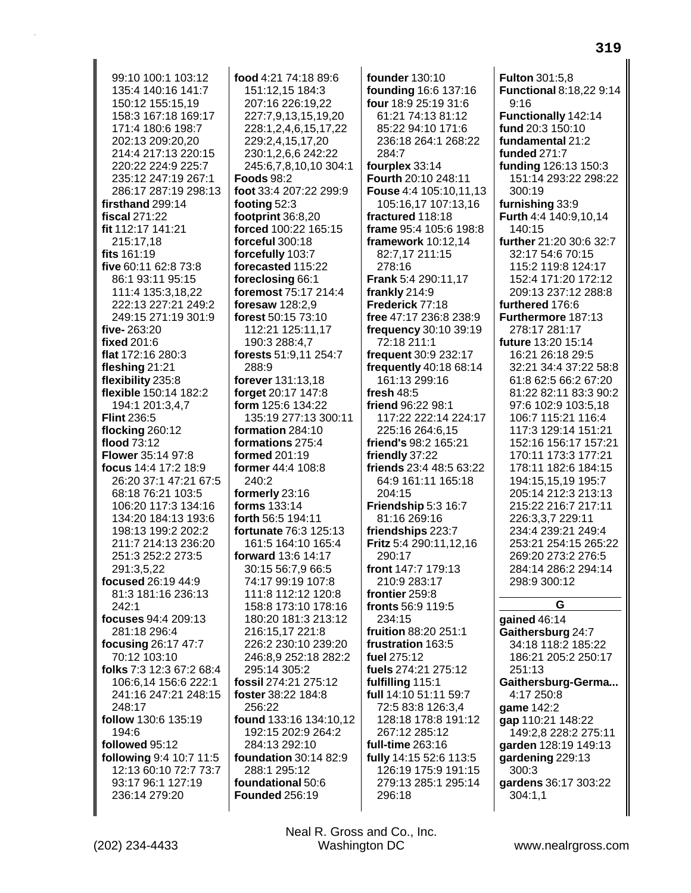99:10 100:1 103:12 135:4 140:16 141:7 150:12 155:15,19 158:3 167:18 169:17 171:4 180:6 198:7 202:13 209:20.20 214:4 217:13 220:15 220:22 224:9 225:7 235:12 247:19 267:1 286:17 287:19 298:13 firsthand 299:14 fiscal  $271:22$ fit 112:17 141:21 215:17.18 fits 161:19 five 60:11 62:8 73:8 86:1 93:11 95:15 111:4 135:3,18,22 222:13 227:21 249:2 249:15 271:19 301:9 five-263:20 fixed 201:6 flat 172:16 280:3 fleshing  $21:21$ flexibility 235:8 flexible 150:14 182:2 194:1 201:3.4.7 **Flint 236:5** flocking 260:12 flood  $73:12$ **Flower** 35:14 97:8 focus 14:4 17:2 18:9 26:20 37:1 47:21 67:5 68:18 76:21 103:5 106:20 117:3 134:16 134:20 184:13 193:6 198:13 199:2 202:2 211:7 214:13 236:20 251:3 252:2 273:5 291:3.5.22 focused 26:19 44:9 81:3 181:16 236:13 242:1 focuses 94:4 209:13 281:18 296:4 focusing 26:17 47:7 70:12 103:10 folks 7:3 12:3 67:2 68:4 106:6.14 156:6 222:1 241:16 247:21 248:15 248:17 follow 130:6 135:19 194:6 followed 95:12 following 9:4 10:7 11:5 12:13 60:10 72:7 73:7 93:17 96:1 127:19 236:14 279:20

food 4:21 74:18 89:6 151:12,15 184:3 207:16 226:19,22 227:7,9,13,15,19,20 228:1,2,4,6,15,17,22 229:2,4,15,17,20 230:1,2,6,6 242:22 245:6,7,8,10,10 304:1 **Foods 98:2** foot 33:4 207:22 299:9 footing  $52:3$ footprint  $36:8,20$ forced 100:22 165:15 forceful 300:18 forcefully 103:7 forecasted 115:22 foreclosing 66:1 foremost 75:17 214:4 foresaw 128:2,9 forest 50:15 73:10 112:21 125:11,17 190:3 288:4,7 forests 51:9,11 254:7 288:9 forever 131:13,18 forget 20:17 147:8 form 125:6 134:22 135:19 277:13 300:11 **formation** 284:10 formations 275:4 formed 201:19 former 44:4 108:8  $240:2$ formerly 23:16 forms 133:14 forth 56:5 194:11 fortunate 76:3 125:13 161:5 164:10 165:4 forward 13:6 14:17 30:15 56:7.9 66:5 74:17 99:19 107:8 111:8 112:12 120:8 158:8 173:10 178:16 180:20 181:3 213:12 216:15,17 221:8 226:2 230:10 239:20 246:8,9 252:18 282:2 295:14 305:2 fossil 274:21 275:12 foster 38:22 184:8 256:22 found 133:16 134:10,12 192:15 202:9 264:2 284:13 292:10 foundation 30:14 82:9 288:1 295:12 foundational 50:6 **Founded 256:19** 

founder 130:10 founding 16:6 137:16 four 18:9 25:19 31:6 61:21 74:13 81:12 85:22 94:10 171:6 236:18 264:1 268:22 284:7 fourplex 33:14 Fourth 20:10 248:11 Fouse 4:4 105:10,11,13 105:16,17 107:13,16 fractured 118:18 frame 95:4 105:6 198:8 framework 10:12,14 82:7,17 211:15 278:16 Frank 5:4 290:11,17 frankly 214:9 Frederick 77:18 free 47:17 236:8 238:9 frequency 30:10 39:19 72:18 211:1 frequent 30:9 232:17 frequently 40:18 68:14 161:13 299:16 fresh  $48:5$ friend 96:22 98:1 117:22 222:14 224:17 225:16 264:6,15 friend's 98:2 165:21 friendly 37:22 friends 23:4 48:5 63:22 64:9 161:11 165:18 204:15 Friendship 5:3 16:7 81:16 269:16 friendships 223:7 Fritz 5:4 290:11,12,16 290:17 front 147:7 179:13 210:9 283:17 frontier 259:8 fronts 56:9 119:5 234:15 fruition 88:20 251:1 frustration 163:5 fuel 275:12 fuels 274:21 275:12 fulfilling 115:1 full 14:10 51:11 59:7 72:5 83:8 126:3,4 128:18 178:8 191:12 267:12 285:12 full-time 263:16 fully 14:15 52:6 113:5 126:19 175:9 191:15 279:13 285:1 295:14 296:18

**Fulton 301:5.8 Functional 8:18,22 9:14**  $9:16$ **Functionally 142:14** fund 20:3 150:10 fundamental 21:2 **funded 271:7** funding 126:13 150:3 151:14 293:22 298:22  $300:19$ furnishing 33:9 **Furth 4:4 140:9,10,14** 140:15 further 21:20 30:6 32:7 32:17 54:6 70:15 115:2 119:8 124:17 152:4 171:20 172:12 209:13 237:12 288:8 furthered 176:6 Furthermore 187:13 278:17 281:17 future 13:20 15:14 16:21 26:18 29:5 32:21 34:4 37:22 58:8 61:8 62:5 66:2 67:20 81:22 82:11 83:3 90:2 97:6 102:9 103:5.18 106:7 115:21 116:4 117:3 129:14 151:21 152:16 156:17 157:21 170:11 173:3 177:21 178:11 182:6 184:15 194:15,15,19 195:7 205:14 212:3 213:13 215:22 216:7 217:11 226:3,3,7 229:11 234:4 239:21 249:4 253:21 254:15 265:22 269:20 273:2 276:5 284:14 286:2 294:14 298:9 300:12 G

gained 46:14 Gaithersburg 24:7 34:18 118:2 185:22 186:21 205:2 250:17 251:13 Gaithersburg-Germa... 4:17 250:8 qame 142:2 gap 110:21 148:22 149:2,8 228:2 275:11 garden 128:19 149:13 gardening 229:13 300:3 gardens 36:17 303:22  $304:1.1$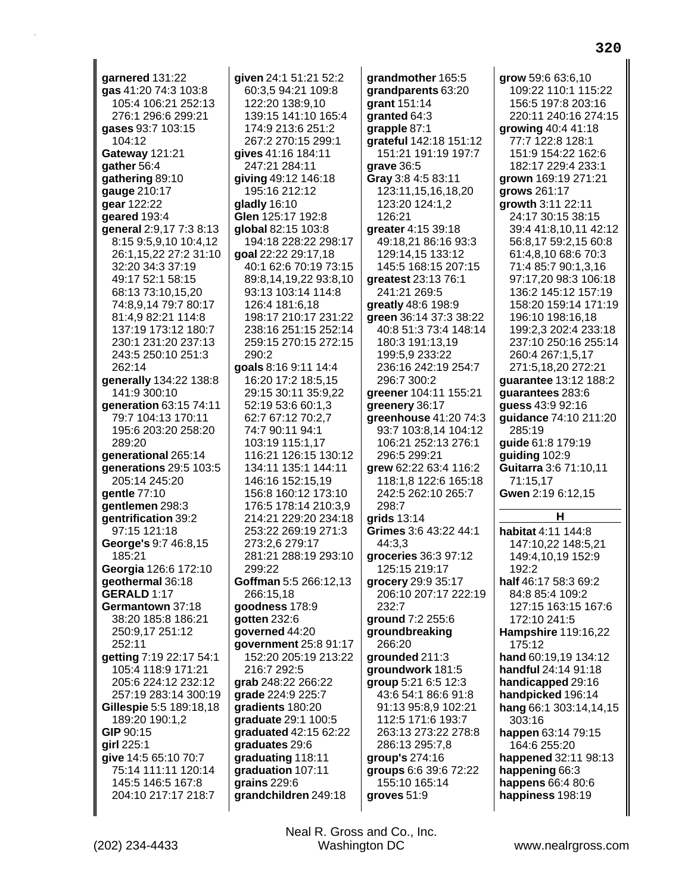garnered 131:22 gas 41:20 74:3 103:8 105:4 106:21 252:13 276:1 296:6 299:21 qases 93:7 103:15 104:12 Gateway 121:21 gather 56:4 gathering 89:10 gauge 210:17 gear 122:22 geared 193:4 general 2:9,17 7:3 8:13 8:15 9:5.9.10 10:4.12 26:1,15,22 27:2 31:10 32:20 34:3 37:19 49:17 52:1 58:15 68:13 73:10,15,20 74:8,9,14 79:7 80:17 81:4,9 82:21 114:8 137:19 173:12 180:7 230:1 231:20 237:13 243:5 250:10 251:3 262:14 generally 134:22 138:8 141:9 300:10 generation 63:15 74:11 79:7 104:13 170:11 195:6 203:20 258:20 289:20 denerational 265:14 **generations 29:5 103:5** 205:14 245:20 gentle 77:10 gentlemen 298:3 gentrification 39:2 97:15 121:18 George's 9:7 46:8,15 185:21 Georgia 126:6 172:10 geothermal 36:18 **GERALD 1:17** Germantown 37:18 38:20 185:8 186:21 250:9,17 251:12 252:11 getting 7:19 22:17 54:1 105:4 118:9 171:21 205:6 224:12 232:12 257:19 283:14 300:19 Gillespie 5:5 189:18,18 189:20 190:1,2 GIP 90:15 girl 225:1 give 14:5 65:10 70:7 75:14 111:11 120:14 145:5 146:5 167:8 204:10 217:17 218:7

given 24:1 51:21 52:2 60:3,5 94:21 109:8 122:20 138:9,10 139:15 141:10 165:4 174:9 213:6 251:2 267:2 270:15 299:1 gives 41:16 184:11 247:21 284:11 giving 49:12 146:18 195:16 212:12 gladly 16:10 Glen 125:17 192:8 global 82:15 103:8 194:18 228:22 298:17 goal 22:22 29:17,18 40:1 62:6 70:19 73:15 89:8,14,19,22 93:8,10 93:13 103:14 114:8 126:4 181:6,18 198:17 210:17 231:22 238:16 251:15 252:14 259:15 270:15 272:15 290:2 goals 8:16 9:11 14:4 16:20 17:2 18:5.15 29:15 30:11 35:9.22 52:19 53:6 60:1.3 62:7 67:12 70:2,7 74:7 90:11 94:1 103:19 115:1.17 116:21 126:15 130:12 134:11 135:1 144:11 146:16 152:15,19 156:8 160:12 173:10 176:5 178:14 210:3.9 214:21 229:20 234:18 253:22 269:19 271:3 273:2,6 279:17 281:21 288:19 293:10  $299.22$ Goffman 5:5 266:12,13 266:15,18 goodness 178:9 gotten 232:6 governed 44:20 government 25:8 91:17 152:20 205:19 213:22 216:7 292:5 grab 248:22 266:22 grade 224:9 225:7 gradients 180:20 graduate 29:1 100:5 graduated 42:15 62:22 graduates 29:6 graduating 118:11 graduation 107:11 grains  $229:6$ grandchildren 249:18

grandmother 165:5 grandparents 63:20 grant 151:14 granted 64:3 grapple 87:1 grateful 142:18 151:12 151:21 191:19 197:7 grave 36:5 Gray 3:8 4:5 83:11 123:11, 15, 16, 18, 20 123:20 124:1,2 126:21 greater 4:15 39:18 49:18.21 86:16 93:3 129:14,15 133:12 145:5 168:15 207:15 greatest 23:13 76:1 241:21 269:5 greatly 48:6 198:9 green 36:14 37:3 38:22 40:8 51:3 73:4 148:14 180:3 191:13,19 199:5,9 233:22 236:16 242:19 254:7 296:7 300:2 areener 104:11 155:21 greenery 36:17 greenhouse  $41:2074:3$ 93:7 103:8,14 104:12 106:21 252:13 276:1 296:5 299:21 arew 62:22 63:4 116:2 118:1,8 122:6 165:18 242:5 262:10 265:7 298:7 grids 13:14 Grimes 3:6 43:22 44:1 44:3,3 groceries 36:3 97:12 125:15 219:17 grocery 29:9 35:17 206:10 207:17 222:19 232:7 ground 7:2 255:6 groundbreaking 266:20 grounded 211:3 groundwork 181:5 group 5:21 6:5 12:3 43:6 54:1 86:6 91:8 91:13 95:8,9 102:21 112:5 171:6 193:7 263:13 273:22 278:8 286:13 295:7,8 group's 274:16 groups 6:6 39:6 72:22 155:10 165:14 groves 51:9

grow 59:6 63:6,10 109:22 110:1 115:22 156:5 197:8 203:16 220:11 240:16 274:15 growing 40:4 41:18 77:7 122:8 128:1 151:9 154:22 162:6 182:17 229:4 233:1 grown 169:19 271:21 grows 261:17 growth 3:11 22:11 24:17 30:15 38:15 39:4 41:8,10,11 42:12 56:8,17 59:2,15 60:8 61:4,8,10 68:6 70:3 71:4 85:7 90:1,3,16 97:17,20 98:3 106:18 136:2 145:12 157:19 158:20 159:14 171:19 196:10 198:16,18 199:2,3 202:4 233:18 237:10 250:16 255:14 260:4 267:1,5,17 271:5,18,20 272:21 guarantee 13:12 188:2 quarantees 283:6 quess 43:9 92:16 guidance 74:10 211:20 285:19 quide 61:8 179:19 quiding 102:9 Guitarra 3:6 71:10,11 71:15.17 Gwen 2:19 6:12,15 н habitat 4:11 144:8

147:10,22 148:5,21 149:4,10,19 152:9  $192.2$ half 46:17 58:3 69:2 84:8 85:4 109:2 127:15 163:15 167:6 172:10 241:5 **Hampshire 119:16,22** 175:12 hand 60:19,19 134:12 handful 24:14 91:18 handicapped 29:16 handpicked 196:14 hang 66:1 303:14,14,15 303:16 happen 63:14 79:15 164:6 255:20 happened 32:11 98:13 happening 66:3 happens 66:4 80:6 happiness 198:19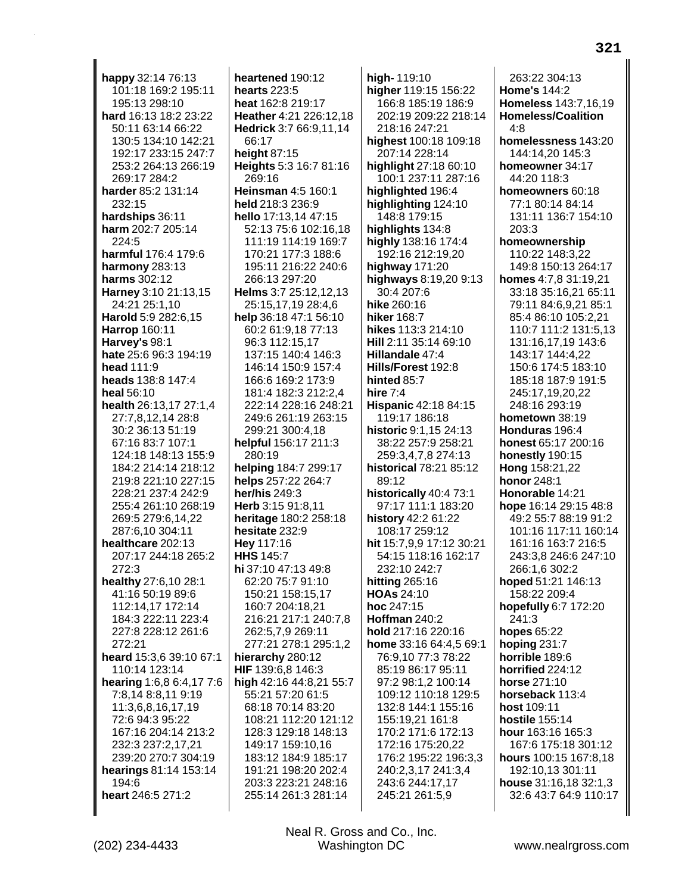happy 32:14 76:13 101:18 169:2 195:11 195:13 298:10 hard 16:13 18:2 23:22 50:11 63:14 66:22 130:5 134:10 142:21 192:17 233:15 247:7 253:2 264:13 266:19 269:17 284:2 harder 85:2 131:14 232:15 hardships 36:11 harm 202:7 205:14 224:5 harmful 176:4 179:6 harmony 283:13 harms 302:12 Harney 3:10 21:13,15 24:21 25:1,10 **Harold** 5:9 282:6,15 **Harrop 160:11** Harvey's 98:1 hate 25:6 96:3 194:19 head 111:9 heads 138:8 147:4 heal 56:10 health 26:13,17 27:1,4 27:7,8,12,14 28:8 30:2 36:13 51:19 67:16 83:7 107:1 124:18 148:13 155:9 184:2 214:14 218:12 219:8 221:10 227:15 228:21 237:4 242:9 255:4 261:10 268:19 269:5 279:6,14,22 287:6,10 304:11 healthcare 202:13 207:17 244:18 265:2 272:3 healthy 27:6,10 28:1 41:16 50:19 89:6 112:14,17 172:14 184:3 222:11 223:4 227:8 228:12 261:6 272:21 heard 15:3,6 39:10 67:1 110:14 123:14 hearing 1:6,8 6:4,17 7:6 7:8,14 8:8,11 9:19 11:3,6,8,16,17,19 72:6 94:3 95:22 167:16 204:14 213:2 232:3 237:2,17,21 239:20 270:7 304:19 hearings 81:14 153:14 194:6 heart 246:5 271:2

heartened 190:12 hearts 223:5 heat 162:8 219:17 Heather 4:21 226:12,18 Hedrick 3:7 66:9,11,14 66:17 height 87:15 Heights 5:3 16:7 81:16 269:16 Heinsman 4:5 160:1 held 218:3 236:9 hello 17:13,14 47:15 52:13 75:6 102:16,18 111:19 114:19 169:7 170:21 177:3 188:6 195:11 216:22 240:6 266:13 297:20 Helms 3:7 25:12,12,13 25:15,17,19 28:4,6 help 36:18 47:1 56:10 60:2 61:9,18 77:13 96:3 112:15,17 137:15 140:4 146:3 146:14 150:9 157:4 166:6 169:2 173:9 181:4 182:3 212:2.4 222:14 228:16 248:21 249:6 261:19 263:15 299:21 300:4,18 helpful 156:17 211:3 280:19 helping 184:7 299:17 helps 257:22 264:7 her/his  $249:3$ Herb 3:15 91:8.11 heritage 180:2 258:18 hesitate 232:9 Hey 117:16 **HHS 145:7** hi 37:10 47:13 49:8 62:20 75:7 91:10 150:21 158:15,17 160:7 204:18,21 216:21 217:1 240:7,8 262:5,7,9 269:11 277:21 278:1 295:1,2 hierarchy 280:12 HIF 139:6,8 146:3 high 42:16 44:8,21 55:7 55:21 57:20 61:5 68:18 70:14 83:20 108:21 112:20 121:12 128:3 129:18 148:13 149:17 159:10,16 183:12 184:9 185:17 191:21 198:20 202:4 203:3 223:21 248:16 255:14 261:3 281:14

high-119:10 higher 119:15 156:22 166:8 185:19 186:9 202:19 209:22 218:14 218:16 247:21 highest 100:18 109:18 207:14 228:14 highlight 27:18 60:10 100:1 237:11 287:16 highlighted 196:4 highlighting 124:10 148:8 179:15 highlights 134:8 highly 138:16 174:4 192:16 212:19,20 highway 171:20 highways 8:19,20 9:13 30:4 207:6 hike 260:16 hiker 168:7 hikes 113:3 214:10 Hill 2:11 35:14 69:10 Hillandale 47:4 Hills/Forest 192:8 hinted 85:7 hire  $7:4$ Hispanic 42:18 84:15 119:17 186:18 historic  $9:1.1524:13$ 38:22 257:9 258:21 259:3.4.7.8 274:13 historical 78:21 85:12 89:12 historically 40:4 73:1 97:17 111:1 183:20 history 42:2 61:22 108:17 259:12 hit 15:7,9,9 17:12 30:21 54:15 118:16 162:17 232:10 242:7 hitting  $265:16$ **HOAs 24:10** hoc 247:15 Hoffman 240:2 hold 217:16 220:16 home 33:16 64:4,5 69:1 76:9,10 77:3 78:22 85:19 86:17 95:11 97:2 98:1.2 100:14 109:12 110:18 129:5 132:8 144:1 155:16 155:19,21 161:8 170:2 171:6 172:13 172:16 175:20,22 176:2 195:22 196:3,3 240:2.3.17 241:3.4 243:6 244:17,17 245:21 261:5,9

263:22 304:13 **Home's 144:2 Homeless 143:7,16,19 Homeless/Coalition**  $4.8$ homelessness 143:20 144:14,20 145:3 homeowner 34:17 44:20 118:3 homeowners 60:18 77:1 80:14 84:14 131:11 136:7 154:10 203:3 homeownership 110:22 148:3,22 149:8 150:13 264:17 homes 4:7,8 31:19,21 33:18 35:16,21 65:11 79:11 84:6,9,21 85:1 85:4 86:10 105:2,21 110:7 111:2 131:5,13 131:16,17,19 143:6 143:17 144:4,22 150:6 174:5 183:10 185:18 187:9 191:5 245:17.19.20.22 248:16 293:19 hometown 38:19 Honduras 196:4 honest 65:17 200:16 honestly 190:15 Hong 158:21,22 **honor 248:1** Honorable 14:21 hope 16:14 29:15 48:8 49:2 55:7 88:19 91:2 101:16 117:11 160:14 161:16 163:7 216:5 243:3.8 246:6 247:10 266:1,6 302:2 hoped 51:21 146:13 158:22 209:4 hopefully 6:7 172:20 241:3 hopes 65:22 hoping 231:7 horrible 189:6 horrified 224:12 horse 271:10 horseback 113:4 host 109:11 hostile 155:14 hour 163:16 165:3 167:6 175:18 301:12 hours 100:15 167:8,18 192:10.13 301:11 house 31:16,18 32:1,3 32:6 43:7 64:9 110:17

Neal R. Gross and Co., Inc. Washington DC

www.nealrgross.com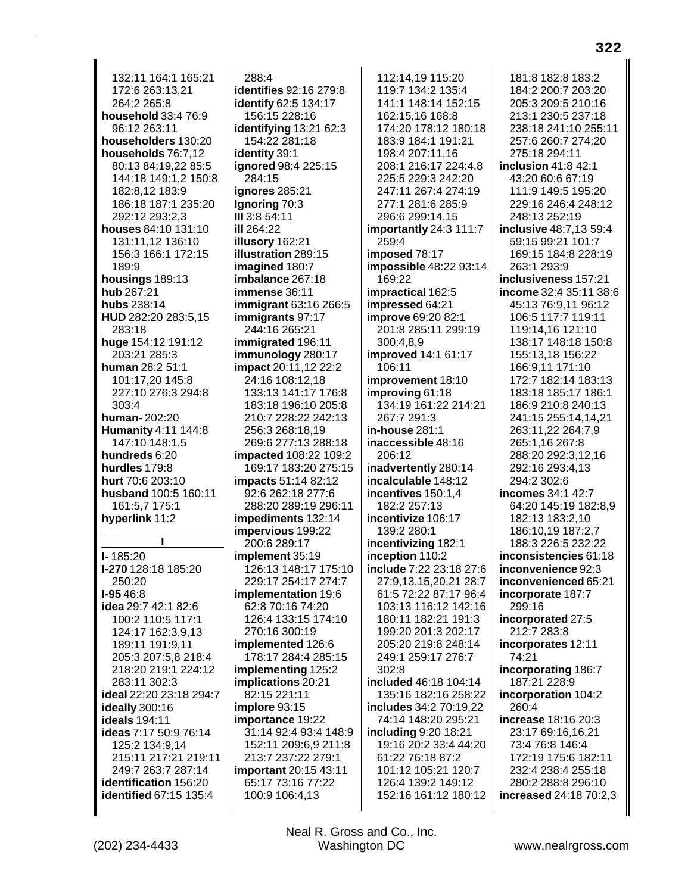132:11 164:1 165:21 172:6 263:13,21 264:2 265:8 household 33:4 76:9 96:12 263:11 householders 130:20 households 76:7,12 80:13 84:19,22 85:5 144:18 149:1,2 150:8 182:8.12 183:9 186:18 187:1 235:20 292:12 293:2,3 houses 84:10 131:10 131:11.12 136:10 156:3 166:1 172:15 189:9 housings 189:13 hub 267:21 hubs 238:14 HUD 282:20 283:5,15 283:18 huge 154:12 191:12 203:21 285:3 human 28:2 51:1 101:17,20 145:8 227:10 276:3 294:8 303:4 human-202:20 **Humanity** 4:11 144:8 147:10 148:1,5 hundreds 6:20 hurdles 179:8 hurt 70:6 203:10 husband 100:5 160:11 161:5,7 175:1 hyperlink 11:2  $I - 185:20$ I-270 128:18 185:20  $250:20$ I-95 46:8 idea 29:7 42:1 82:6 100:2 110:5 117:1 124:17 162:3,9,13 189:11 191:9,11 205:3 207:5,8 218:4 218:20 219:1 224:12 283:11 302:3 ideal 22:20 23:18 294:7 ideally 300:16 ideals 194:11 ideas 7:17 50:9 76:14 125:2 134:9,14 215:11 217:21 219:11 249:7 263:7 287:14 identification 156:20 identified 67:15 135:4

288:4 identifies 92:16 279:8 identify 62:5 134:17 156:15 228:16 identifying 13:21 62:3 154:22 281:18 identity 39:1 ignored 98:4 225:15 284:15 **ignores** 285:21 Ignoring 70:3 III 3:8 54:11 ill 264:22 illusory 162:21 illustration 289:15 imagined 180:7 imbalance 267:18 immense 36:11 immigrant 63:16 266:5 immigrants 97:17 244:16 265:21 immigrated 196:11 immunology 280:17 **impact** 20:11,12 22:2 24:16 108:12.18 133:13 141:17 176:8 183:18 196:10 205:8 210:7 228:22 242:13 256:3 268:18,19 269:6 277:13 288:18 impacted 108:22 109:2 169:17 183:20 275:15 impacts 51:14 82:12 92:6 262:18 277:6 288:20 289:19 296:11 impediments 132:14 impervious 199:22 200:6 289:17 implement 35:19 126:13 148:17 175:10 229:17 254:17 274:7 implementation 19:6 62:8 70:16 74:20 126:4 133:15 174:10 270:16 300:19 implemented 126:6 178:17 284:4 285:15 implementing 125:2 implications 20:21 82:15 221:11 implore 93:15 importance 19:22 31:14 92:4 93:4 148:9 152:11 209:6,9 211:8 213:7 237:22 279:1 important 20:15 43:11 65:17 73:16 77:22 100:9 106:4.13

112:14.19 115:20 119:7 134:2 135:4 141:1 148:14 152:15 162:15,16 168:8 174:20 178:12 180:18 183:9 184:1 191:21 198:4 207:11,16 208:1 216:17 224:4,8 225:5 229:3 242:20 247:11 267:4 274:19 277:1 281:6 285:9 296:6 299:14,15 importantly 24:3 111:7 259:4 imposed 78:17 impossible 48:22 93:14 169:22 impractical 162:5 impressed 64:21 **improve** 69:20 82:1 201:8 285:11 299:19 300:4,8,9 improved 14:1 61:17 106:11 improvement 18:10 improving 61:18 134:19 161:22 214:21 267:7 291:3 in-house 281:1 inaccessible 48:16 206:12 inadvertently 280:14 incalculable 148:12 incentives 150:1.4 182:2 257:13 incentivize 106:17 139:2 280:1 incentivizing 182:1 inception 110:2 include 7:22 23:18 27:6 27:9,13,15,20,21 28:7 61:5 72:22 87:17 96:4 103:13 116:12 142:16 180:11 182:21 191:3 199:20 201:3 202:17 205:20 219:8 248:14 249:1 259:17 276:7  $302:8$ included 46:18 104:14 135:16 182:16 258:22 includes 34:2 70:19,22 74:14 148:20 295:21 including 9:20 18:21 19:16 20:2 33:4 44:20 61:22 76:18 87:2 101:12 105:21 120:7 126:4 139:2 149:12 152:16 161:12 180:12

181:8 182:8 183:2 184:2 200:7 203:20 205:3 209:5 210:16 213:1 230:5 237:18 238:18 241:10 255:11 257:6 260:7 274:20 275:18 294:11 inclusion  $41:8$   $42:1$ 43:20 60:6 67:19 111:9 149:5 195:20 229:16 246:4 248:12 248:13 252:19 inclusive 48:7,13 59:4 59:15 99:21 101:7 169:15 184:8 228:19 263:1 293:9 inclusiveness 157:21 income 32:4 35:11 38:6 45:13 76:9,11 96:12 106:5 117:7 119:11 119:14,16 121:10 138:17 148:18 150:8 155:13,18 156:22 166:9,11 171:10 172:7 182:14 183:13 183:18 185:17 186:1 186:9 210:8 240:13 241:15 255:14,14,21 263:11,22 264:7,9 265:1.16 267:8 288:20 292:3.12.16 292:16 293:4.13 294:2 302:6 incomes 34:1 42:7 64:20 145:19 182:8.9 182:13 183:2,10 186:10,19 187:2,7 188:3 226:5 232:22 inconsistencies 61:18 inconvenience 92:3 inconvenienced 65:21 incorporate 187:7 299:16 incorporated 27:5 212:7 283:8 incorporates 12:11 74:21 incorporating 186:7 187:21 228:9 incorporation 104:2 260:4 increase 18:16 20:3 23:17 69:16,16,21 73:4 76:8 146:4 172:19 175:6 182:11 232:4 238:4 255:18 280:2 288:8 296:10 increased 24:18 70:2,3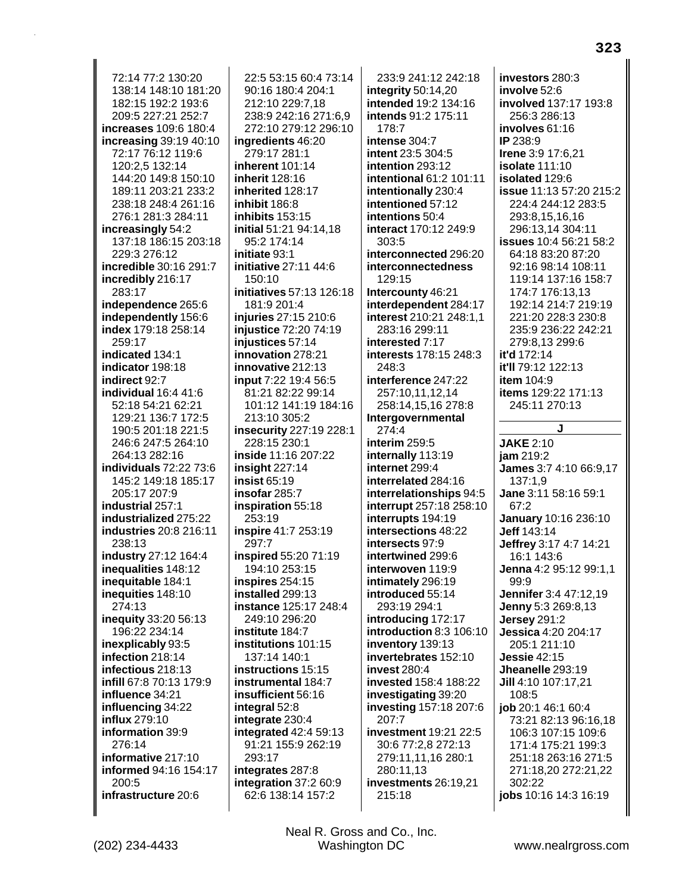72:14 77:2 130:20 138:14 148:10 181:20 182:15 192:2 193:6 209:5 227:21 252:7 increases 109:6 180:4 increasing 39:19 40:10 72:17 76:12 119:6 120:2,5 132:14 144:20 149:8 150:10 189:11 203:21 233:2 238:18 248:4 261:16 276:1 281:3 284:11 increasingly 54:2 137:18 186:15 203:18 229:3 276:12 incredible 30:16 291:7 incredibly 216:17 283:17 independence 265:6 independently 156:6 index 179:18 258:14 259:17 indicated 134:1 indicator 198:18 indirect 92:7 individual 16:4 41:6 52:18 54:21 62:21 129:21 136:7 172:5 190:5 201:18 221:5 246:6 247:5 264:10 264:13 282:16 **individuals** 72:22 73:6 145:2 149:18 185:17 205:17 207:9 industrial 257:1 industrialized 275:22 industries 20:8 216:11 238:13 industry 27:12 164:4 inequalities 148:12 inequitable 184:1 inequities 148:10 274:13 inequity 33:20 56:13 196:22 234:14 inexplicably 93:5 infection 218:14 infectious 218:13 infill 67:8 70:13 179:9 influence 34:21 influencing 34:22 influx 279:10 information 39:9  $276.14$ informative 217:10 informed 94:16 154:17 200:5 infrastructure 20:6

22:5 53:15 60:4 73:14 90:16 180:4 204:1 212:10 229:7,18 238:9 242:16 271:6,9 272:10 279:12 296:10 ingredients 46:20 279:17 281:1 inherent 101:14 inherit 128:16 inherited 128:17 inhibit 186:8 inhibits 153:15 initial 51:21 94:14,18 95:2 174:14 initiate 93:1 initiative 27:11 44:6 150:10 initiatives 57:13 126:18 181:9 201:4 injuries 27:15 210:6 injustice 72:20 74:19 injustices 57:14 innovation 278:21 innovative 212:13 input 7:22 19:4 56:5 81:21 82:22 99:14 101:12 141:19 184:16 213:10 305:2 **insecurity** 227:19 228:1 228:15 230:1 inside 11:16 207:22 insight  $227:14$ insist 65:19 insofar 285:7 inspiration 55:18 253:19 inspire 41:7 253:19 297:7 inspired 55:20 71:19 194:10 253:15 inspires 254:15 installed 299:13 instance 125:17 248:4 249:10 296:20 institute 184:7 institutions 101:15 137:14 140:1 instructions 15:15 instrumental 184:7 insufficient 56:16 integral 52:8 integrate 230:4 integrated 42:4 59:13 91:21 155:9 262:19 293:17 integrates 287:8 integration 37:2 60:9 62:6 138:14 157:2

233:9 241:12 242:18 integrity  $50:14,20$ intended 19:2 134:16 intends 91:2 175:11  $178.7$ intense  $304.7$ intent 23:5 304:5 intention 293:12 intentional 61:2 101:11 intentionally 230:4 intentioned 57:12 intentions 50:4 interact 170:12 249:9 303:5 interconnected 296:20 interconnectedness 129:15 Intercounty 46:21 interdependent 284:17 interest 210:21 248:1,1 283:16 299:11 interested 7:17 interests 178:15 248:3  $248.3$ interference 247:22 257:10.11.12.14 258:14,15,16 278:8 Intergovernmental 274:4 interim 259:5 internally 113:19 internet 299:4 interrelated 284:16 interrelationships 94:5 **interrupt** 257:18 258:10 interrupts 194:19 intersections 48:22 intersects 97:9 intertwined 299:6 interwoven 119:9 intimately 296:19 introduced 55:14 293:19 294:1 introducing 172:17 introduction 8:3 106:10 inventory 139:13 invertebrates 152:10 **invest 280:4 invested 158:4 188:22** investigating 39:20 investing 157:18 207:6 207:7 investment 19:21 22:5 30:6 77:2,8 272:13 279:11,11,16 280:1 280:11.13 investments 26:19,21 215:18

investors 280:3 involve 52:6 involved 137:17 193:8 256:3 286:13 involves 61:16  $IP 238.9$ Irene 3:9 17:6,21 **isolate 111:10** isolated 129:6 issue 11:13 57:20 215:2 224:4 244:12 283:5 293:8,15,16,16 296:13,14 304:11 **issues** 10:4 56:21 58:2 64:18 83:20 87:20 92:16 98:14 108:11 119:14 137:16 158:7 174:7 176:13.13 192:14 214:7 219:19 221:20 228:3 230:8 235:9 236:22 242:21 279:8,13 299:6 it'd 172:14 it'll 79:12 122:13 **item 104:9 items** 129:22 171:13 245:11 270:13

**JAKE 2:10**  $iam 219:2$ James 3:7 4:10 66:9,17  $137:1.9$ Jane 3:11 58:16 59:1 67:2 January 10:16 236:10 Jeff 143:14 Jeffrey 3:17 4:7 14:21 16:1 143:6 Jenna 4:2 95:12 99:1,1  $QQ \cdot Q$ Jennifer 3:4 47:12,19 Jenny 5:3 269:8,13 **Jersey 291:2** Jessica 4:20 204:17 205:1 211:10 **Jessie** 42:15 Jheanelle 293:19 Jill 4:10 107:17,21 108:5 job 20:1 46:1 60:4 73:21 82:13 96:16,18 106:3 107:15 109:6 171:4 175:21 199:3 251:18 263:16 271:5 271:18,20 272:21,22 302:22 jobs 10:16 14:3 16:19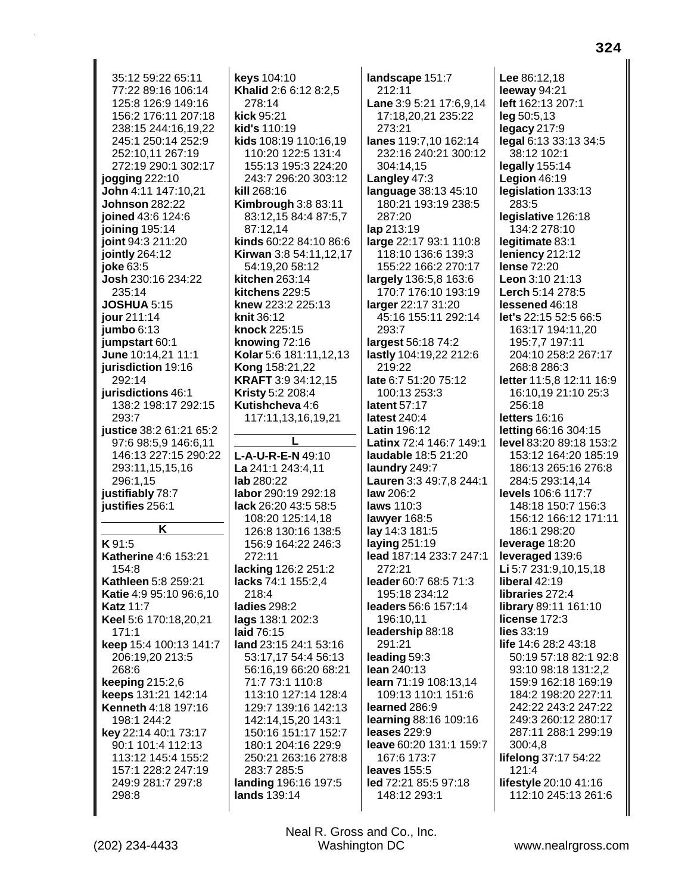35:12 59:22 65:11 77:22 89:16 106:14 125:8 126:9 149:16 156:2 176:11 207:18 238:15 244:16.19.22 245:1 250:14 252:9 252:10,11 267:19 272:19 290:1 302:17 jogging 222:10 John 4:11 147:10,21 **Johnson** 282:22 joined 43:6 124:6 joining 195:14 joint 94:3 211:20 jointly 264:12 joke 63:5 Josh 230:16 234:22 235:14 **JOSHUA 5:15** jour 211:14 jumbo  $6:13$ jumpstart 60:1 June 10:14,21 11:1 jurisdiction 19:16 292:14 iurisdictions 46:1 138:2 198:17 292:15 293:7 **justice** 38:2 61:21 65:2 97:6 98:5.9 146:6.11 146:13 227:15 290:22 293:11,15,15,16 296:1,15 justifiably 78:7 iustifies 256:1 Κ K 91:5 Katherine 4:6 153:21 154:8 Kathleen 5:8 259:21 Katie 4:9 95:10 96:6,10 **Katz 11:7** Keel 5:6 170:18,20,21  $171:1$ keep 15:4 100:13 141:7 206:19,20 213:5 268:6 **keeping 215:2,6** keeps 131:21 142:14 Kenneth 4:18 197:16 198:1 244:2 key 22:14 40:1 73:17 90:1 101:4 112:13 113:12 145:4 155:2 157:1 228:2 247:19 249:9 281:7 297:8 298:8

(202) 234-4433

keys 104:10 Khalid 2:6 6:12 8:2,5 278:14 kick 95:21 kid's 110:19 kids 108:19 110:16,19 110:20 122:5 131:4 155:13 195:3 224:20 243:7 296:20 303:12 kill 268:16 **Kimbrough 3:8 83:11** 83:12,15 84:4 87:5,7 87:12.14 kinds 60:22 84:10 86:6 Kirwan 3:8 54:11,12,17 54:19,20 58:12 kitchen 263:14 kitchens 229:5 knew 223:2 225:13 **knit 36:12** knock 225:15 knowing 72:16 Kolar 5:6 181:11,12,13 **Kong 158:21,22 KRAFT** 3:9 34:12,15 **Kristy 5:2 208:4** Kutishcheva 4:6 117:11,13,16,19,21 T.  $L-A-U-R-E-N 49:10$ La 241:1 243:4,11 lab 280:22 labor 290:19 292:18 lack 26:20 43:5 58:5 108:20 125:14,18 126:8 130:16 138:5 156:9 164:22 246:3 272:11 lacking 126:2 251:2 lacks 74:1 155:2,4  $218.4$ 

ladies 298:2 lags 138:1 202:3 laid 76:15 land 23:15 24:1 53:16 53:17,17 54:4 56:13 56:16,19 66:20 68:21 71:7 73:1 110:8 113:10 127:14 128:4 129:7 139:16 142:13 142:14,15,20 143:1 150:16 151:17 152:7 180:1 204:16 229:9 250:21 263:16 278:8 283:7 285:5 landing 196:16 197:5 lands 139:14

> Neal R. Gross and Co., Inc. Washington DC

212:11 Lane 3:9 5:21 17:6,9,14 17:18,20,21 235:22 273:21 lanes 119:7,10 162:14 232:16 240:21 300:12 304:14,15 Langley 47:3 language 38:13 45:10 180:21 193:19 238:5 287:20 lap 213:19 large 22:17 93:1 110:8 118:10 136:6 139:3 155:22 166:2 270:17 largely 136:5,8 163:6 170:7 176:10 193:19 larger 22:17 31:20 45:16 155:11 292:14 293:7 largest 56:18 74:2 lastly 104:19,22 212:6 219:22 late 6:7 51:20 75:12 100:13 253:3 latent 57:17 latest 240:4 **Latin** 196:12 Latinx 72:4 146:7 149:1 laudable 18:5 21:20 laundry 249:7 Lauren 3:3 49:7,8 244:1 **law** 206:2 laws 110:3 lawyer 168:5 lay 14:3 181:5 laying  $251:19$ lead 187:14 233:7 247:1  $272.21$ leader 60:7 68:5 71:3 195:18 234:12 leaders 56:6 157:14 196:10.11 leadership 88:18 291:21 leading 59:3 lean 240:13 learn 71:19 108:13.14 109:13 110:1 151:6 learned 286:9 learning 88:16 109:16 **leases** 229:9 leave 60:20 131:1 159:7 167:6 173:7 **leaves** 155:5 led 72:21 85:5 97:18 148:12 293:1

landscape 151:7

Lee 86:12.18 leeway 94:21 left 162:13 207:1 leg 50:5,13 legacy 217:9 legal 6:13 33:13 34:5 38:12 102:1 legally 155:14 Legion  $46:19$ legislation 133:13 283:5 legislative 126:18 134:2 278:10 legitimate 83:1 leniency 212:12 lense 72:20 Leon 3:10 21:13 Lerch 5:14 278:5 lessened 46:18 let's 22:15 52:5 66:5 163:17 194:11,20 195:7,7 197:11 204:10 258:2 267:17 268:8 286:3 letter 11:5.8 12:11 16:9 16:10.19 21:10 25:3 256:18 letters 16:16 letting 66:16 304:15 level 83:20 89:18 153:2 153:12 164:20 185:19 186:13 265:16 276:8 284:5 293:14,14 levels 106:6 117:7 148:18 150:7 156:3 156:12 166:12 171:11 186:1 298:20 leverage 18:20 leveraged 139:6 Li 5:7 231:9,10,15,18 liberal 42:19 libraries 272:4 library 89:11 161:10 license 172:3 lies 33:19 life 14:6 28:2 43:18 50:19 57:18 82:1 92:8 93:10 98:18 131:2,2 159:9 162:18 169:19 184:2 198:20 227:11 242:22 243:2 247:22 249:3 260:12 280:17 287:11 288:1 299:19 300:4,8 lifelong 37:17 54:22 121:4 lifestyle 20:10 41:16 112:10 245:13 261:6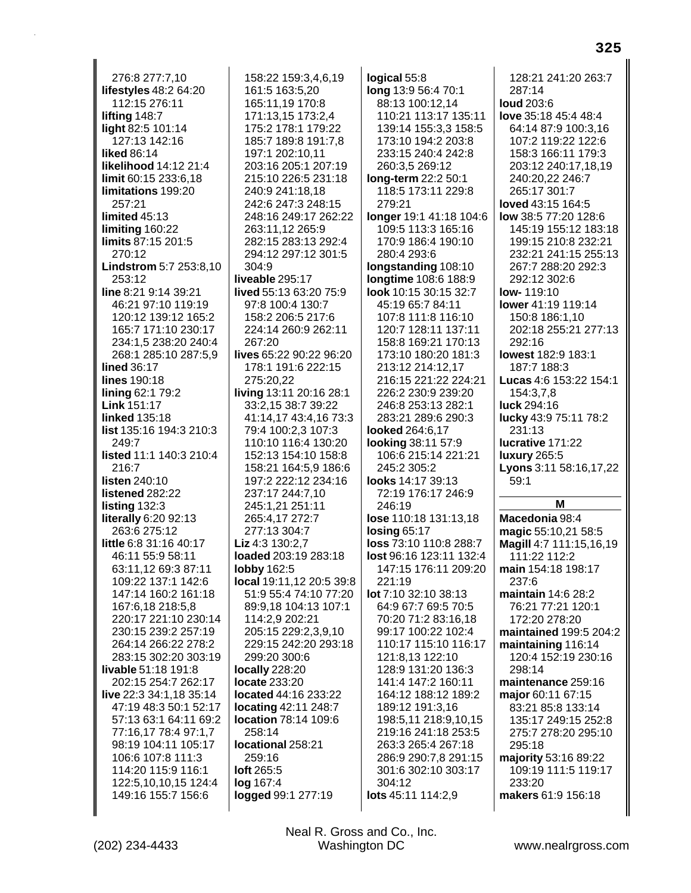| 276:8 277:7,10                              | 158:22 159:3,4,6,19                      | logical 55:8                                | 128:21 241:20 263:7                                                     |
|---------------------------------------------|------------------------------------------|---------------------------------------------|-------------------------------------------------------------------------|
| lifestyles 48:2 64:20                       | 161:5 163:5,20                           | long 13:9 56:4 70:1                         | 287:14                                                                  |
| 112:15 276:11                               | 165:11,19 170:8                          | 88:13 100:12,14                             | <b>loud</b> 203:6                                                       |
| lifting 148:7                               | 171:13,15 173:2,4                        | 110:21 113:17 135:11                        | love 35:18 45:4 48:4                                                    |
| light 82:5 101:14                           | 175:2 178:1 179:22                       | 139:14 155:3,3 158:5                        | 64:14 87:9 100:3,16                                                     |
| 127:13 142:16                               | 185:7 189:8 191:7,8                      | 173:10 194:2 203:8                          | 107:2 119:22 122:6                                                      |
| <b>liked 86:14</b>                          | 197:1 202:10,11                          | 233:15 240:4 242:8                          | 158:3 166:11 179:3                                                      |
| <b>likelihood 14:12 21:4</b>                | 203:16 205:1 207:19                      | 260:3,5 269:12                              | 203:12 240:17,18,19                                                     |
| limit 60:15 233:6,18                        | 215:10 226:5 231:18                      | long-term 22:2 50:1                         | 240:20,22 246:7                                                         |
| limitations 199:20                          | 240:9 241:18,18                          | 118:5 173:11 229:8                          | 265:17 301:7                                                            |
| 257:21                                      | 242:6 247:3 248:15                       | 279:21                                      | loved 43:15 164:5                                                       |
| limited $45:13$                             | 248:16 249:17 262:22                     | longer 19:1 41:18 104:6                     | low 38:5 77:20 128:6                                                    |
| limiting 160:22                             | 263:11,12 265:9                          | 109:5 113:3 165:16                          | 145:19 155:12 183:18                                                    |
| limits 87:15 201:5                          | 282:15 283:13 292:4                      | 170:9 186:4 190:10                          | 199:15 210:8 232:21                                                     |
| 270:12                                      | 294:12 297:12 301:5                      | 280:4 293:6                                 | 232:21 241:15 255:13                                                    |
| Lindstrom 5:7 253:8,10                      | 304:9                                    | longstanding 108:10                         | 267:7 288:20 292:3                                                      |
| 253:12                                      | liveable 295:17                          | longtime 108:6 188:9                        | 292:12 302:6                                                            |
| line 8:21 9:14 39:21                        | lived 55:13 63:20 75:9                   | look 10:15 30:15 32:7                       | <b>low-119:10</b>                                                       |
| 46:21 97:10 119:19                          | 97:8 100:4 130:7                         | 45:19 65:7 84:11                            | lower 41:19 119:14                                                      |
| 120:12 139:12 165:2<br>165:7 171:10 230:17  | 158:2 206:5 217:6<br>224:14 260:9 262:11 | 107:8 111:8 116:10<br>120:7 128:11 137:11   | 150:8 186:1,10<br>202:18 255:21 277:13                                  |
| 234:1,5 238:20 240:4                        | 267:20                                   | 158:8 169:21 170:13                         | 292:16                                                                  |
| 268:1 285:10 287:5,9                        | lives 65:22 90:22 96:20                  | 173:10 180:20 181:3                         | <b>lowest</b> 182:9 183:1                                               |
| <b>lined 36:17</b>                          | 178:1 191:6 222:15                       | 213:12 214:12,17                            | 187:7 188:3                                                             |
| <b>lines 190:18</b>                         | 275:20,22                                | 216:15 221:22 224:21                        | Lucas 4:6 153:22 154:1                                                  |
| lining 62:1 79:2                            | living 13:11 20:16 28:1                  | 226:2 230:9 239:20                          | 154:3,7,8                                                               |
| <b>Link 151:17</b>                          | 33:2,15 38:7 39:22                       | 246:8 253:13 282:1                          | <b>luck</b> 294:16                                                      |
| <b>linked</b> 135:18                        | 41:14,17 43:4,16 73:3                    | 283:21 289:6 290:3                          | lucky 43:9 75:11 78:2                                                   |
| <b>list</b> 135:16 194:3 210:3              | 79:4 100:2,3 107:3                       | looked 264:6,17                             | 231:13                                                                  |
| 249:7                                       | 110:10 116:4 130:20                      | looking 38:11 57:9                          | lucrative 171:22                                                        |
| listed 11:1 140:3 210:4                     | 152:13 154:10 158:8                      | 106:6 215:14 221:21                         | <b>luxury</b> 265:5                                                     |
| 216:7                                       | 158:21 164:5,9 186:6                     | 245:2 305:2                                 | Lyons 3:11 58:16,17,22                                                  |
| <b>listen</b> 240:10                        | 197:2 222:12 234:16                      | looks 14:17 39:13                           | 59:1                                                                    |
| listened 282:22                             | 237:17 244:7,10                          | 72:19 176:17 246:9                          |                                                                         |
| listing 132:3                               | 245:1,21 251:11                          | 246:19                                      | м                                                                       |
| literally 6:20 92:13                        | 265:4,17 272:7                           | lose 110:18 131:13,18                       | Macedonia 98:4                                                          |
| 263:6 275:12                                | 277:13 304:7                             | losing 65:17                                | magic 55:10,21 58:5                                                     |
| little 6:8 31:16 40:17                      | Liz 4:3 130:2,7                          |                                             |                                                                         |
|                                             |                                          | loss 73:10 110:8 288:7                      |                                                                         |
| 46:11 55:9 58:11                            | loaded 203:19 283:18                     | lost 96:16 123:11 132:4                     | 111:22 112:2                                                            |
| 63:11,12 69:3 87:11                         | lobby 162:5                              | 147:15 176:11 209:20                        | main 154:18 198:17                                                      |
| 109:22 137:1 142:6                          | local 19:11,12 20:5 39:8                 | 221:19                                      | 237:6                                                                   |
| 147:14 160:2 161:18                         | 51:9 55:4 74:10 77:20                    | lot 7:10 32:10 38:13                        | maintain 14:6 28:2                                                      |
| 167:6,18 218:5,8                            | 89:9,18 104:13 107:1                     | 64:9 67:7 69:5 70:5                         | 76:21 77:21 120:1                                                       |
| 220:17 221:10 230:14                        | 114:2,9 202:21                           | 70:20 71:2 83:16,18                         | 172:20 278:20                                                           |
| 230:15 239:2 257:19                         | 205:15 229:2,3,9,10                      | 99:17 100:22 102:4                          |                                                                         |
| 264:14 266:22 278:2                         | 229:15 242:20 293:18                     | 110:17 115:10 116:17                        | maintaining 116:14                                                      |
| 283:15 302:20 303:19                        | 299:20 300:6                             | 121:8,13 122:10                             | 120:4 152:19 230:16                                                     |
| <b>livable</b> 51:18 191:8                  | locally 228:20                           | 128:9 131:20 136:3                          | 298:14                                                                  |
| 202:15 254:7 262:17                         | <b>locate</b> 233:20                     | 141:4 147:2 160:11                          | maintenance 259:16                                                      |
| live 22:3 34:1,18 35:14                     | located 44:16 233:22                     | 164:12 188:12 189:2                         | major 60:11 67:15                                                       |
| 47:19 48:3 50:1 52:17                       | <b>locating 42:11 248:7</b>              | 189:12 191:3,16                             | 83:21 85:8 133:14                                                       |
| 57:13 63:1 64:11 69:2                       | location 78:14 109:6<br>258:14           | 198:5,11 218:9,10,15                        | 135:17 249:15 252:8                                                     |
| 77:16,17 78:4 97:1,7<br>98:19 104:11 105:17 | locational 258:21                        | 219:16 241:18 253:5<br>263:3 265:4 267:18   | 275:7 278:20 295:10<br>295:18                                           |
| 106:6 107:8 111:3                           | 259:16                                   |                                             |                                                                         |
| 114:20 115:9 116:1                          | <b>loft</b> 265:5                        | 286:9 290:7,8 291:15<br>301:6 302:10 303:17 | majority 53:16 89:22<br>109:19 111:5 119:17                             |
| 122:5, 10, 10, 15 124: 4                    | log 167:4                                | 304:12                                      | 233:20                                                                  |
| 149:16 155:7 156:6                          | logged 99:1 277:19                       | lots 45:11 114:2,9                          | Magill 4:7 111:15,16,19<br>maintained 199:5 204:2<br>makers 61:9 156:18 |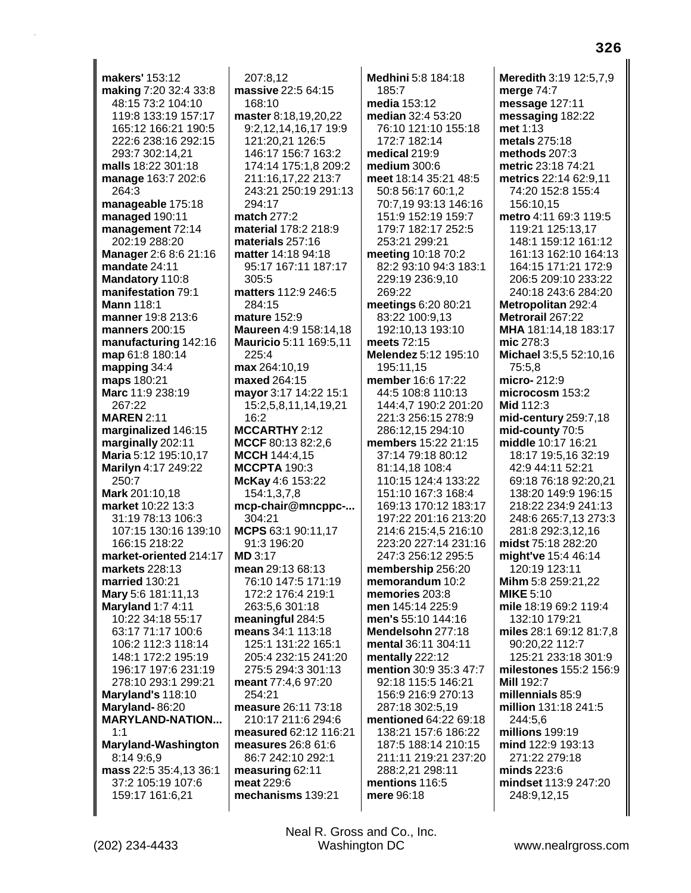**makers'** 153:12 **making** 7:20 32:4 33:8 48:15 73:2 104:10 119:8 133:19 157:17 165:12 166:21 190:5 222:6 238:16 292:15 293:7 302:14,21 **malls** 18:22 301:18 **manage** 163:7 202:6 264:3 **manageable** 175:18 **managed** 190:11 **management** 72:14 202:19 288:20 **Manager** 2:6 8:6 21:16 **mandate** 24:11 **Mandatory** 110:8 **manifestation** 79:1 **Mann** 118:1 **manner** 19:8 213:6 **manners** 200:15 **manufacturing** 142:16 **map** 61:8 180:14 **mapping** 34:4 **maps** 180:21 **Marc** 11:9 238:19 267:22 **MAREN** 2:11 **marginalized** 146:15 **marginally** 202:11 **Maria** 5:12 195:10,17 **Marilyn** 4:17 249:22 250:7 **Mark** 201:10,18 **market** 10:22 13:3 31:19 78:13 106:3 107:15 130:16 139:10 166:15 218:22 **market-oriented** 214:17 **markets** 228:13 **married** 130:21 **Mary** 5:6 181:11,13 **Maryland** 1:7 4:11 10:22 34:18 55:17 63:17 71:17 100:6 106:2 112:3 118:14 148:1 172:2 195:19 196:17 197:6 231:19 278:10 293:1 299:21 **Maryland's** 118:10 **Maryland-** 86:20 **MARYLAND-NATION...** 1:1 **Maryland-Washington** 8:14 9:6,9 **mass** 22:5 35:4,13 36:1 37:2 105:19 107:6 159:17 161:6,21

207:8,12 **massive** 22:5 64:15 168:10 **master** 8:18,19,20,22 9:2,12,14,16,17 19:9 121:20,21 126:5 146:17 156:7 163:2 174:14 175:1,8 209:2 211:16,17,22 213:7 243:21 250:19 291:13 294:17 **match** 277:2 **material** 178:2 218:9 **materials** 257:16 **matter** 14:18 94:18 95:17 167:11 187:17 305:5 **matters** 112:9 246:5 284:15 **mature** 152:9 **Maureen** 4:9 158:14,18 **Mauricio** 5:11 169:5,11 225:4 **max** 264:10,19 **maxed** 264:15 **mayor** 3:17 14:22 15:1 15:2,5,8,11,14,19,21 16:2 **MCCARTHY** 2:12 **MCCF** 80:13 82:2,6 **MCCH** 144:4,15 **MCCPTA** 190:3 **McKay** 4:6 153:22 154:1,3,7,8 **mcp-chair@mncppc-...** 304:21 **MCPS** 63:1 90:11,17 91:3 196:20 **MD** 3:17 **mean** 29:13 68:13 76:10 147:5 171:19 172:2 176:4 219:1 263:5,6 301:18 **meaningful** 284:5 **means** 34:1 113:18 125:1 131:22 165:1 205:4 232:15 241:20 275:5 294:3 301:13 **meant** 77:4,6 97:20 254:21 **measure** 26:11 73:18 210:17 211:6 294:6 **measured** 62:12 116:21 **measures** 26:8 61:6 86:7 242:10 292:1 **measuring** 62:11 **meat** 229:6 **mechanisms** 139:21

**Medhini** 5:8 184:18 185:7 **media** 153:12 **median** 32:4 53:20 76:10 121:10 155:18 172:7 182:14 **medical** 219:9 **medium** 300:6 **meet** 18:14 35:21 48:5 50:8 56:17 60:1,2 70:7,19 93:13 146:16 151:9 152:19 159:7 179:7 182:17 252:5 253:21 299:21 **meeting** 10:18 70:2 82:2 93:10 94:3 183:1 229:19 236:9,10 269:22 **meetings** 6:20 80:21 83:22 100:9,13 192:10,13 193:10 **meets** 72:15 **Melendez** 5:12 195:10 195:11,15 **member** 16:6 17:22 44:5 108:8 110:13 144:4,7 190:2 201:20 221:3 256:15 278:9 286:12,15 294:10 **members** 15:22 21:15 37:14 79:18 80:12 81:14,18 108:4 110:15 124:4 133:22 151:10 167:3 168:4 169:13 170:12 183:17 197:22 201:16 213:20 214:6 215:4,5 216:10 223:20 227:14 231:16 247:3 256:12 295:5 **membership** 256:20 **memorandum** 10:2 **memories** 203:8 **men** 145:14 225:9 **men's** 55:10 144:16 **Mendelsohn** 277:18 **mental** 36:11 304:11 **mentally** 222:12 **mention** 30:9 35:3 47:7 92:18 115:5 146:21 156:9 216:9 270:13 287:18 302:5,19 **mentioned** 64:22 69:18 138:21 157:6 186:22 187:5 188:14 210:15 211:11 219:21 237:20 288:2,21 298:11 **mentions** 116:5 **mere** 96:18

**Meredith** 3:19 12:5,7,9 **merge** 74:7 **message** 127:11 **messaging** 182:22 **met** 1:13 **metals** 275:18 **methods** 207:3 **metric** 23:18 74:21 **metrics** 22:14 62:9,11 74:20 152:8 155:4 156:10,15 **metro** 4:11 69:3 119:5 119:21 125:13,17 148:1 159:12 161:12 161:13 162:10 164:13 164:15 171:21 172:9 206:5 209:10 233:22 240:18 243:6 284:20 **Metropolitan** 292:4 **Metrorail** 267:22 **MHA** 181:14,18 183:17 **mic** 278:3 **Michael** 3:5,5 52:10,16 75:5,8 **micro-** 212:9 **microcosm** 153:2 **Mid** 112:3 **mid-century** 259:7,18 **mid-county** 70:5 **middle** 10:17 16:21 18:17 19:5,16 32:19 42:9 44:11 52:21 69:18 76:18 92:20,21 138:20 149:9 196:15 218:22 234:9 241:13 248:6 265:7,13 273:3 281:8 292:3,12,16 **midst** 75:18 282:20 **might've** 15:4 46:14 120:19 123:11 **Mihm** 5:8 259:21,22 **MIKE** 5:10 **mile** 18:19 69:2 119:4 132:10 179:21 **miles** 28:1 69:12 81:7,8 90:20,22 112:7 125:21 233:18 301:9 **milestones** 155:2 156:9 **Mill** 192:7 **millennials** 85:9 **million** 131:18 241:5 244:5,6 **millions** 199:19 **mind** 122:9 193:13 271:22 279:18 **minds** 223:6 **mindset** 113:9 247:20 248:9,12,15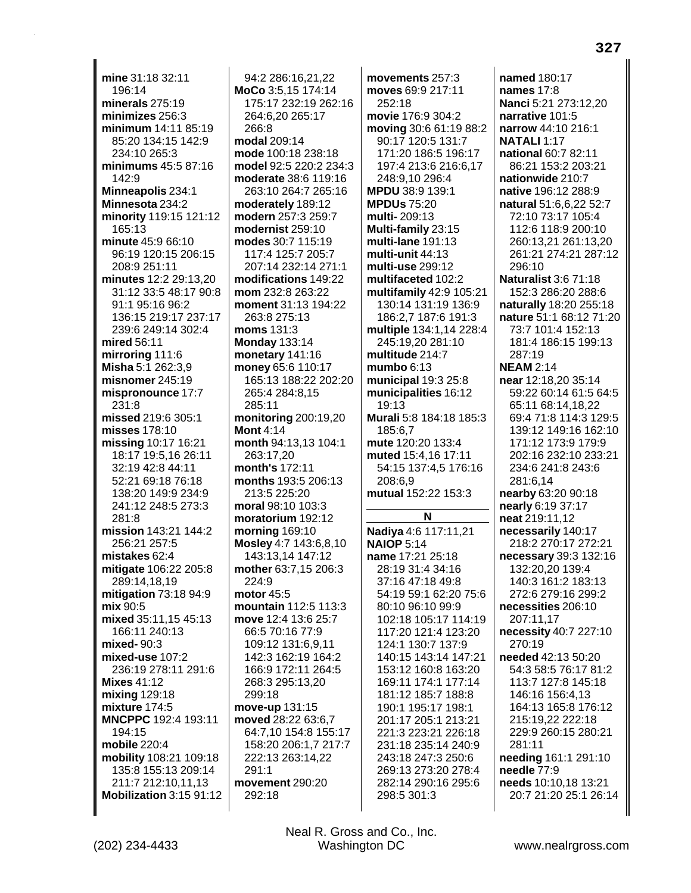mine 31:18 32:11 196:14 minerals  $275:19$ minimizes 256:3 minimum 14:11 85:19 85:20 134:15 142:9 234:10 265:3 minimums 45:5 87:16 142:9 Minneapolis 234:1 Minnesota 234:2 minority 119:15 121:12 165:13 minute 45:9 66:10 96:19 120:15 206:15 208:9 251:11 minutes 12:2 29:13,20 31:12 33:5 48:17 90:8 91:1 95:16 96:2 136:15 219:17 237:17 239:6 249:14 302:4 mired 56:11 mirroring 111:6 Misha 5:1 262:3,9 misnomer  $245:19$ mispronounce 17:7 231:8 missed 219:6 305:1 misses 178:10 missing 10:17 16:21 18:17 19:5.16 26:11 32:19 42:8 44:11 52:21 69:18 76:18 138:20 149:9 234:9 241:12 248:5 273:3 281:8 mission 143:21 144:2 256:21 257:5 mistakes 62:4 mitigate 106:22 205:8 289:14,18,19 mitigation 73:18 94:9 mix 90:5 mixed 35:11.15 45:13 166:11 240:13 mixed- 90:3 mixed-use 107:2 236:19 278:11 291:6 **Mixes 41:12** mixing 129:18 mixture 174:5 MNCPPC 192:4 193:11 194:15 mobile 220:4 mobility 108:21 109:18 135:8 155:13 209:14 211:7 212:10.11.13 Mobilization 3:15 91:12

94:2 286:16.21.22 MoCo 3:5,15 174:14 175:17 232:19 262:16 264:6,20 265:17 266:8 modal 209:14 mode 100:18 238:18 model 92:5 220:2 234:3 moderate 38:6 119:16 263:10 264:7 265:16 moderately 189:12 modern 257:3 259:7 modernist 259:10 modes 30:7 115:19 117:4 125:7 205:7 207:14 232:14 271:1 modifications 149:22 mom 232:8 263:22 moment 31:13 194:22 263:8 275:13 moms 131:3 **Monday 133:14** monetary 141:16 money 65:6 110:17 165:13 188:22 202:20 265:4 284:8.15 285:11 monitoring 200:19,20 Mont  $4:14$ month 94:13,13 104:1 263:17.20 month's 172:11 months 193:5 206:13 213:5 225:20 moral 98:10 103:3 moratorium 192:12 **morning 169:10** Mosley 4:7 143:6,8,10 143:13,14 147:12 mother 63:7,15 206:3  $224:9$ motor 45:5 mountain 112:5 113:3 move 12:4 13:6 25:7 66:5 70:16 77:9 109:12 131:6,9,11 142:3 162:19 164:2 166:9 172:11 264:5 268:3 295:13.20 299:18 move-up 131:15 moved 28:22 63:6,7 64:7.10 154:8 155:17 158:20 206:1,7 217:7 222:13 263:14,22  $291.1$ movement 290:20 292:18

movements 257:3 moves 69:9 217:11 252:18 movie 176:9 304:2 moving 30:6 61:19 88:2 90:17 120:5 131:7 171:20 186:5 196:17 197:4 213:6 216:6,17 248:9.10 296:4 MPDU 38:9 139:1 **MPDUs 75:20** multi-209:13 Multi-family 23:15 multi-lane 191:13 multi-unit 44:13 multi-use 299:12 multifaceted 102:2 multifamily 42:9 105:21 130:14 131:19 136:9 186:2,7 187:6 191:3 multiple 134:1,14 228:4 245:19,20 281:10 multitude 214:7 mumbo  $6:13$ municipal 19:3 25:8 municipalities 16:12 19:13 Murali 5:8 184:18 185:3 185:6,7 mute 120:20 133:4 muted 15:4.16 17:11 54:15 137:4,5 176:16 208:6.9 mutual 152:22 153:3 N Nadiya 4:6 117:11,21 **NAIOP 5:14** name 17:21 25:18 28:19 31:4 34:16 37:16 47:18 49:8 54:19 59:1 62:20 75:6 80:10 96:10 99:9 102:18 105:17 114:19 117:20 121:4 123:20 124:1 130:7 137:9 140:15 143:14 147:21 153:12 160:8 163:20 169:11 174:1 177:14 181:12 185:7 188:8 190:1 195:17 198:1 201:17 205:1 213:21 221:3 223:21 226:18 231:18 235:14 240:9 243:18 247:3 250:6 269:13 273:20 278:4 282:14 290:16 295:6 298:5 301:3

named 180:17 names 17:8 Nanci 5:21 273:12,20 narrative 101:5 narrow 44:10 216:1 **NATALI 1:17** national 60:7 82:11 86:21 153:2 203:21 nationwide 210:7 native 196:12 288:9 natural 51:6,6,22 52:7 72:10 73:17 105:4 112:6 118:9 200:10 260:13,21 261:13,20 261:21 274:21 287:12 296:10 **Naturalist 3:6 71:18** 152:3 286:20 288:6 naturally 18:20 255:18 **nature** 51:1 68:12 71:20 73:7 101:4 152:13 181:4 186:15 199:13 287:19 **NEAM 2:14** near 12:18,20 35:14 59:22 60:14 61:5 64:5 65:11 68:14.18.22 69:4 71:8 114:3 129:5 139:12 149:16 162:10 171:12 173:9 179:9 202:16 232:10 233:21 234:6 241:8 243:6 281:6,14 nearby 63:20 90:18 nearly 6:19 37:17 neat 219:11,12 necessarily 140:17 218:2 270:17 272:21 necessary 39:3 132:16 132:20.20 139:4 140:3 161:2 183:13 272:6 279:16 299:2 necessities 206:10 207:11.17 necessity 40:7 227:10 270:19 needed 42:13 50:20 54:3 58:5 76:17 81:2 113:7 127:8 145:18 146:16 156:4,13 164:13 165:8 176:12 215:19,22 222:18 229:9 260:15 280:21 281:11 needing 161:1 291:10 needle 77:9 needs 10:10,18 13:21 20:7 21:20 25:1 26:14

Neal R. Gross and Co., Inc.

**Washington DC**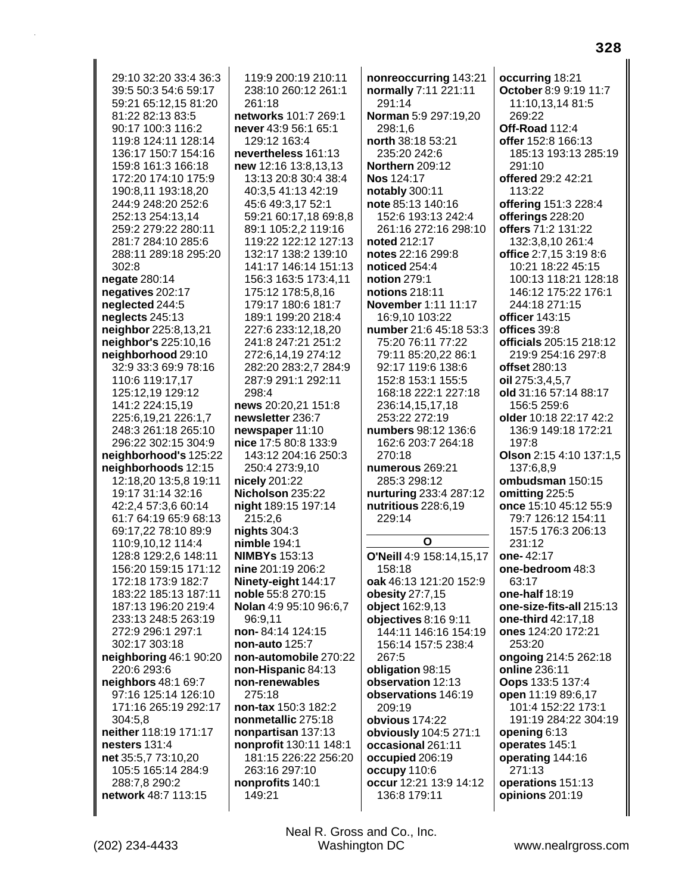29:10 32:20 33:4 36:3 39:5 50:3 54:6 59:17 59:21 65:12,15 81:20 81:22 82:13 83:5 90:17 100:3 116:2 119:8 124:11 128:14 136:17 150:7 154:16 159:8 161:3 166:18 172:20 174:10 175:9 190:8,11 193:18,20 244:9 248:20 252:6 252:13 254:13,14 259:2 279:22 280:11 281:7 284:10 285:6 288:11 289:18 295:20 302:8 negate 280:14 negatives 202:17 neglected 244:5 neglects 245:13 neighbor 225:8,13,21 neighbor's 225:10,16 neighborhood 29:10 32:9 33:3 69:9 78:16 110:6 119:17.17 125:12.19 129:12 141:2 224:15.19 225:6,19,21 226:1,7 248:3 261:18 265:10 296:22 302:15 304:9 neighborhood's 125:22 neighborhoods 12:15 12:18,20 13:5,8 19:11 19:17 31:14 32:16 42:2,4 57:3,6 60:14 61:7 64:19 65:9 68:13 69:17,22 78:10 89:9 110:9,10,12 114:4 128:8 129:2,6 148:11 156:20 159:15 171:12 172:18 173:9 182:7 183:22 185:13 187:11 187:13 196:20 219:4 233:13 248:5 263:19 272:9 296:1 297:1 302:17 303:18 neighboring 46:1 90:20 220:6 293:6 neighbors 48:1 69:7 97:16 125:14 126:10 171:16 265:19 292:17 304:5.8 neither 118:19 171:17 nesters 131:4 net 35:5,7 73:10,20 105:5 165:14 284:9 288:7,8 290:2 network 48:7 113:15

119:9 200:19 210:11 238:10 260:12 261:1 261:18 networks 101:7 269:1 never 43:9 56:1 65:1 129:12 163:4 nevertheless 161:13 new 12:16 13:8,13,13 13:13 20:8 30:4 38:4 40:3,5 41:13 42:19 45:6 49:3,17 52:1 59:21 60:17,18 69:8,8 89:1 105:2,2 119:16 119:22 122:12 127:13 132:17 138:2 139:10 141:17 146:14 151:13 156:3 163:5 173:4,11 175:12 178:5,8,16 179:17 180:6 181:7 189:1 199:20 218:4 227:6 233:12,18,20 241:8 247:21 251:2 272:6.14.19 274:12 282:20 283:2,7 284:9 287:9 291:1 292:11 298:4 news 20:20.21 151:8 newsletter 236:7 newspaper 11:10 nice 17:5 80:8 133:9 143:12 204:16 250:3 250:4 273:9.10 nicely 201:22 Nicholson 235:22 night 189:15 197:14 215:2.6 nights  $304:3$ **nimble 194:1 NIMBYs 153:13** nine 201:19 206:2 Ninety-eight 144:17 noble 55:8 270:15 Nolan 4:9 95:10 96:6,7 96:9.11 non-84:14 124:15 non-auto 125:7 non-automobile 270:22 non-Hispanic 84:13 non-renewables 275:18 non-tax 150:3 182:2 nonmetallic 275:18 nonpartisan 137:13 nonprofit 130:11 148:1 181:15 226:22 256:20 263:16 297:10 nonprofits 140:1 149:21

nonreoccurring 143:21 normally 7:11 221:11 291:14 Norman 5:9 297:19,20 298:1.6 north 38:18 53:21 235:20 242:6 **Northern 209:12** Nos 124:17 notably 300:11 note 85:13 140:16 152:6 193:13 242:4 261:16 272:16 298:10 noted 212:17 notes 22:16 299:8 noticed 254:4 **notion 279:1** notions 218:11 November 1:11 11:17 16:9,10 103:22 number 21:6 45:18 53:3 75:20 76:11 77:22 79:11 85:20.22 86:1 92:17 119:6 138:6 152:8 153:1 155:5 168:18 222:1 227:18 236:14,15,17,18 253:22 272:19 numbers 98:12 136:6 162:6 203:7 264:18  $270.18$ numerous 269:21 285:3 298:12 nurturing 233:4 287:12 nutritious 228:6,19  $229:14$ O O'Neill 4:9 158:14,15,17 158:18 oak 46:13 121:20 152:9 obesity 27:7,15 object 162:9,13 objectives 8:16 9:11 144:11 146:16 154:19 156:14 157:5 238:4 267:5 obligation 98:15 observation 12:13 observations 146:19 209:19 obvious 174:22 obviously 104:5 271:1 occasional 261:11 occupied 206:19 occupy 110:6 occur 12:21 13:9 14:12 136:8 179:11

occurring 18:21 October 8:9 9:19 11:7 11:10,13,14 81:5 269:22 Off-Road 112:4 offer 152:8 166:13 185:13 193:13 285:19 291:10 offered 29:2 42:21 113:22 offering 151:3 228:4 offerings 228:20 offers 71:2 131:22 132:3.8.10 261:4 office 2:7,15 3:19 8:6 10:21 18:22 45:15 100:13 118:21 128:18 146:12 175:22 176:1 244:18 271:15 officer 143:15 offices 39:8 officials 205:15 218:12 219:9 254:16 297:8 offset 280:13 oil 275:3.4.5.7 old 31:16 57:14 88:17 156:5 259:6 older 10:18 22:17 42:2 136:9 149:18 172:21  $197:8$ Olson 2:15 4:10 137:1.5 137:6.8.9 ombudsman 150:15 omitting 225:5 once 15:10 45:12 55:9 79:7 126:12 154:11 157:5 176:3 206:13 231:12 one-42:17 one-bedroom 48:3  $63:17$ one-half 18:19 one-size-fits-all 215:13 one-third 42:17.18 ones 124:20 172:21 253:20 ongoing 214:5 262:18 online 236:11 Oops 133:5 137:4 open 11:19 89:6,17 101:4 152:22 173:1 191:19 284:22 304:19 opening 6:13 operates 145:1 operating 144:16 271:13 operations 151:13 opinions 201:19

328

Neal R. Gross and Co., Inc. Washington DC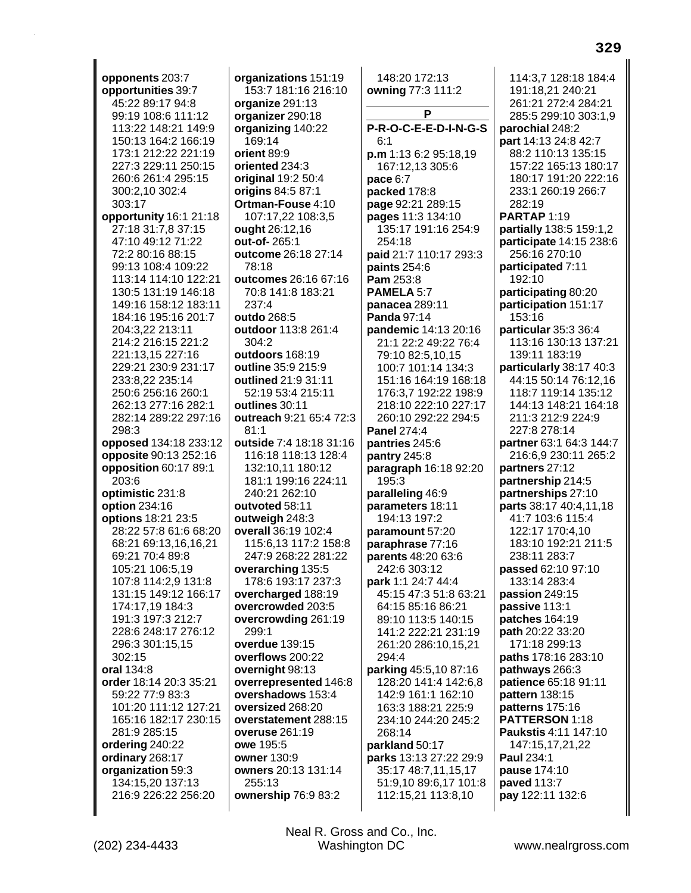**opponents** 203:7 **opportunities** 39:7 45:22 89:17 94:8 99:19 108:6 111:12 113:22 148:21 149:9 150:13 164:2 166:19 173:1 212:22 221:19 227:3 229:11 250:15 260:6 261:4 295:15 300:2,10 302:4 303:17 **opportunity** 16:1 21:18 27:18 31:7,8 37:15 47:10 49:12 71:22 72:2 80:16 88:15 99:13 108:4 109:22 113:14 114:10 122:21 130:5 131:19 146:18 149:16 158:12 183:11 184:16 195:16 201:7 204:3,22 213:11 214:2 216:15 221:2 221:13,15 227:16 229:21 230:9 231:17 233:8,22 235:14 250:6 256:16 260:1 262:13 277:16 282:1 282:14 289:22 297:16 298:3 **opposed** 134:18 233:12 **opposite** 90:13 252:16 **opposition** 60:17 89:1 203:6 **optimistic** 231:8 **option** 234:16 **options** 18:21 23:5 28:22 57:8 61:6 68:20 68:21 69:13,16,16,21 69:21 70:4 89:8 105:21 106:5,19 107:8 114:2,9 131:8 131:15 149:12 166:17 174:17,19 184:3 191:3 197:3 212:7 228:6 248:17 276:12 296:3 301:15,15 302:15 **oral** 134:8 **order** 18:14 20:3 35:21 59:22 77:9 83:3 101:20 111:12 127:21 165:16 182:17 230:15 281:9 285:15 **ordering** 240:22 **ordinary** 268:17 **organization** 59:3 134:15,20 137:13 216:9 226:22 256:20

**organizations** 151:19 153:7 181:16 216:10 **organize** 291:13 **organizer** 290:18 **organizing** 140:22 169:14 **orient** 89:9 **oriented** 234:3 **original** 19:2 50:4 **origins** 84:5 87:1 **Ortman-Fouse** 4:10 107:17,22 108:3,5 **ought** 26:12,16 **out-of-** 265:1 **outcome** 26:18 27:14 78:18 **outcomes** 26:16 67:16 70:8 141:8 183:21 237:4 **outdo** 268:5 **outdoor** 113:8 261:4 304:2 **outdoors** 168:19 **outline** 35:9 215:9 **outlined** 21:9 31:11 52:19 53:4 215:11 **outlines** 30:11 **outreach** 9:21 65:4 72:3 81:1 **outside** 7:4 18:18 31:16 116:18 118:13 128:4 132:10,11 180:12 181:1 199:16 224:11 240:21 262:10 **outvoted** 58:11 **outweigh** 248:3 **overall** 36:19 102:4 115:6,13 117:2 158:8 247:9 268:22 281:22 **overarching** 135:5 178:6 193:17 237:3 **overcharged** 188:19 **overcrowded** 203:5 **overcrowding** 261:19 299:1 **overdue** 139:15 **overflows** 200:22 **overnight** 98:13 **overrepresented** 146:8 **overshadows** 153:4 **oversized** 268:20 **overstatement** 288:15 **overuse** 261:19 **owe** 195:5 **owner** 130:9 **owners** 20:13 131:14 255:13 **ownership** 76:9 83:2

148:20 172:13 **owning** 77:3 111:2 **P P-R-O-C-E-E-D-I-N-G-S** 6:1 **p.m** 1:13 6:2 95:18,19 167:12,13 305:6 **pace** 6:7 **packed** 178:8 **page** 92:21 289:15 **pages** 11:3 134:10 135:17 191:16 254:9 254:18 **paid** 21:7 110:17 293:3 **paints** 254:6 **Pam** 253:8 **PAMELA** 5:7 **panacea** 289:11 **Panda** 97:14 **pandemic** 14:13 20:16 21:1 22:2 49:22 76:4 79:10 82:5,10,15 100:7 101:14 134:3 151:16 164:19 168:18 176:3,7 192:22 198:9 218:10 222:10 227:17 260:10 292:22 294:5 **Panel** 274:4 **pantries** 245:6 **pantry** 245:8 **paragraph** 16:18 92:20 195:3 **paralleling** 46:9 **parameters** 18:11 194:13 197:2 **paramount** 57:20 **paraphrase** 77:16 **parents** 48:20 63:6 242:6 303:12 **park** 1:1 24:7 44:4 45:15 47:3 51:8 63:21 64:15 85:16 86:21 89:10 113:5 140:15 141:2 222:21 231:19 261:20 286:10,15,21 294:4 **parking** 45:5,10 87:16 128:20 141:4 142:6,8 142:9 161:1 162:10 163:3 188:21 225:9 234:10 244:20 245:2 268:14 **parkland** 50:17 **parks** 13:13 27:22 29:9 35:17 48:7,11,15,17 51:9,10 89:6,17 101:8 112:15,21 113:8,10

114:3,7 128:18 184:4 191:18,21 240:21 261:21 272:4 284:21 285:5 299:10 303:1,9 **parochial** 248:2 **part** 14:13 24:8 42:7 88:2 110:13 135:15 157:22 165:13 180:17 180:17 191:20 222:16 233:1 260:19 266:7 282:19 **PARTAP** 1:19 **partially** 138:5 159:1,2 **participate** 14:15 238:6 256:16 270:10 **participated** 7:11 192:10 **participating** 80:20 **participation** 151:17 153:16 **particular** 35:3 36:4 113:16 130:13 137:21 139:11 183:19 **particularly** 38:17 40:3 44:15 50:14 76:12,16 118:7 119:14 135:12 144:13 148:21 164:18 211:3 212:9 224:9 227:8 278:14 **partner** 63:1 64:3 144:7 216:6,9 230:11 265:2 **partners** 27:12 **partnership** 214:5 **partnerships** 27:10 **parts** 38:17 40:4,11,18 41:7 103:6 115:4 122:17 170:4,10 183:10 192:21 211:5 238:11 283:7 **passed** 62:10 97:10 133:14 283:4 **passion** 249:15 **passive** 113:1 **patches** 164:19 **path** 20:22 33:20 171:18 299:13 **paths** 178:16 283:10 **pathways** 266:3 **patience** 65:18 91:11 **pattern** 138:15 **patterns** 175:16 **PATTERSON** 1:18 **Paukstis** 4:11 147:10 147:15,17,21,22 **Paul** 234:1 **pause** 174:10 **paved** 113:7 **pay** 122:11 132:6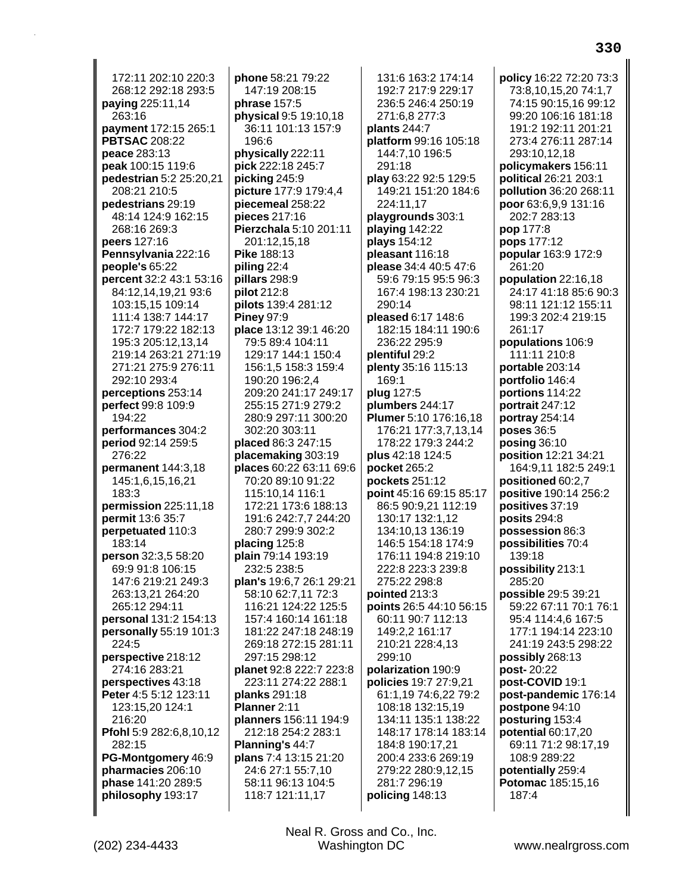172:11 202:10 220:3 268:12 292:18 293:5 **paying** 225:11,14 263:16 **payment** 172:15 265:1 **PBTSAC** 208:22 **peace** 283:13 **peak** 100:15 119:6 **pedestrian** 5:2 25:20,21 208:21 210:5 **pedestrians** 29:19 48:14 124:9 162:15 268:16 269:3 **peers** 127:16 **Pennsylvania** 222:16 **people's** 65:22 **percent** 32:2 43:1 53:16 84:12,14,19,21 93:6 103:15,15 109:14 111:4 138:7 144:17 172:7 179:22 182:13 195:3 205:12,13,14 219:14 263:21 271:19 271:21 275:9 276:11 292:10 293:4 **perceptions** 253:14 **perfect** 99:8 109:9 194:22 **performances** 304:2 **period** 92:14 259:5 276:22 **permanent** 144:3,18 145:1,6,15,16,21 183:3 **permission** 225:11,18 **permit** 13:6 35:7 **perpetuated** 110:3 183:14 **person** 32:3,5 58:20 69:9 91:8 106:15 147:6 219:21 249:3 263:13,21 264:20 265:12 294:11 **personal** 131:2 154:13 **personally** 55:19 101:3 224:5 **perspective** 218:12 274:16 283:21 **perspectives** 43:18 **Peter** 4:5 5:12 123:11 123:15,20 124:1 216:20 **Pfohl** 5:9 282:6,8,10,12 282:15 **PG-Montgomery** 46:9 **pharmacies** 206:10 **phase** 141:20 289:5 **philosophy** 193:17

**phone** 58:21 79:22 147:19 208:15 **phrase** 157:5 **physical** 9:5 19:10,18 36:11 101:13 157:9 196:6 **physically** 222:11 **pick** 222:18 245:7 **picking** 245:9 **picture** 177:9 179:4,4 **piecemeal** 258:22 **pieces** 217:16 **Pierzchala** 5:10 201:11 201:12,15,18 **Pike** 188:13 **piling** 22:4 **pillars** 298:9 **pilot** 212:8 **pilots** 139:4 281:12 **Piney** 97:9 **place** 13:12 39:1 46:20 79:5 89:4 104:11 129:17 144:1 150:4 156:1,5 158:3 159:4 190:20 196:2,4 209:20 241:17 249:17 255:15 271:9 279:2 280:9 297:11 300:20 302:20 303:11 **placed** 86:3 247:15 **placemaking** 303:19 **places** 60:22 63:11 69:6 70:20 89:10 91:22 115:10,14 116:1 172:21 173:6 188:13 191:6 242:7,7 244:20 280:7 299:9 302:2 **placing** 125:8 **plain** 79:14 193:19 232:5 238:5 **plan's** 19:6,7 26:1 29:21 58:10 62:7,11 72:3 116:21 124:22 125:5 157:4 160:14 161:18 181:22 247:18 248:19 269:18 272:15 281:11 297:15 298:12 **planet** 92:8 222:7 223:8 223:11 274:22 288:1 **planks** 291:18 **Planner** 2:11 **planners** 156:11 194:9 212:18 254:2 283:1 **Planning's** 44:7 **plans** 7:4 13:15 21:20 24:6 27:1 55:7,10 58:11 96:13 104:5 118:7 121:11,17

131:6 163:2 174:14 192:7 217:9 229:17 236:5 246:4 250:19 271:6,8 277:3 **plants** 244:7 **platform** 99:16 105:18 144:7,10 196:5 291:18 **play** 63:22 92:5 129:5 149:21 151:20 184:6 224:11,17 **playgrounds** 303:1 **playing** 142:22 **plays** 154:12 **pleasant** 116:18 **please** 34:4 40:5 47:6 59:6 79:15 95:5 96:3 167:4 198:13 230:21 290:14 **pleased** 6:17 148:6 182:15 184:11 190:6 236:22 295:9 **plentiful** 29:2 **plenty** 35:16 115:13 169:1 **plug** 127:5 **plumbers** 244:17 **Plumer** 5:10 176:16,18 176:21 177:3,7,13,14 178:22 179:3 244:2 **plus** 42:18 124:5 **pocket** 265:2 **pockets** 251:12 **point** 45:16 69:15 85:17 86:5 90:9,21 112:19 130:17 132:1,12 134:10,13 136:19 146:5 154:18 174:9 176:11 194:8 219:10 222:8 223:3 239:8 275:22 298:8 **pointed** 213:3 **points** 26:5 44:10 56:15 60:11 90:7 112:13 149:2,2 161:17 210:21 228:4,13 299:10 **polarization** 190:9 **policies** 19:7 27:9,21 61:1,19 74:6,22 79:2 108:18 132:15,19 134:11 135:1 138:22 148:17 178:14 183:14 184:8 190:17,21 200:4 233:6 269:19 279:22 280:9,12,15 281:7 296:19 **policing** 148:13

**policy** 16:22 72:20 73:3 73:8,10,15,20 74:1,7 74:15 90:15,16 99:12 99:20 106:16 181:18 191:2 192:11 201:21 273:4 276:11 287:14 293:10,12,18 **policymakers** 156:11 **political** 26:21 203:1 **pollution** 36:20 268:11 **poor** 63:6,9,9 131:16 202:7 283:13 **pop** 177:8 **pops** 177:12 **popular** 163:9 172:9 261:20 **population** 22:16,18 24:17 41:18 85:6 90:3 98:11 121:12 155:11 199:3 202:4 219:15 261:17 **populations** 106:9 111:11 210:8 **portable** 203:14 **portfolio** 146:4 **portions** 114:22 **portrait** 247:12 **portray** 254:14 **poses** 36:5 **posing** 36:10 **position** 12:21 34:21 164:9,11 182:5 249:1 **positioned** 60:2,7 **positive** 190:14 256:2 **positives** 37:19 **posits** 294:8 **possession** 86:3 **possibilities** 70:4 139:18 **possibility** 213:1 285:20 **possible** 29:5 39:21 59:22 67:11 70:1 76:1 95:4 114:4,6 167:5 177:1 194:14 223:10 241:19 243:5 298:22 **possibly** 268:13 **post-** 20:22 **post-COVID** 19:1 **post-pandemic** 176:14 **postpone** 94:10 **posturing** 153:4 **potential** 60:17,20 69:11 71:2 98:17,19 108:9 289:22 **potentially** 259:4 **Potomac** 185:15,16 187:4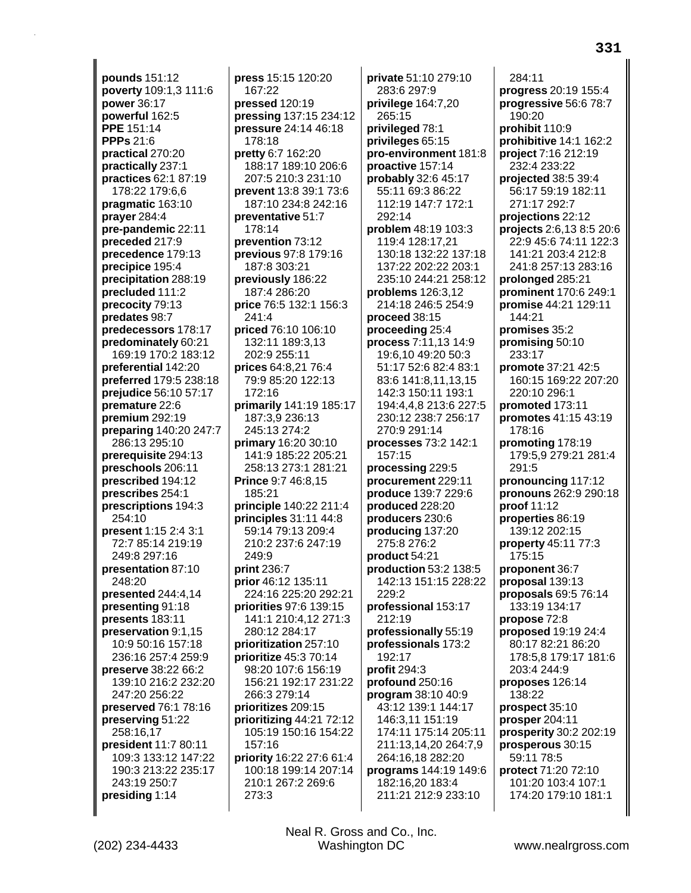**pounds** 151:12 **poverty** 109:1,3 111:6 **power** 36:17 **powerful** 162:5 **PPE** 151:14 **PPPs** 21:6 **practical** 270:20 **practically** 237:1 **practices** 62:1 87:19 178:22 179:6,6 **pragmatic** 163:10 **prayer** 284:4 **pre-pandemic** 22:11 **preceded** 217:9 **precedence** 179:13 **precipice** 195:4 **precipitation** 288:19 **precluded** 111:2 **precocity** 79:13 **predates** 98:7 **predecessors** 178:17 **predominately** 60:21 169:19 170:2 183:12 **preferential** 142:20 **preferred** 179:5 238:18 **prejudice** 56:10 57:17 **premature** 22:6 **premium** 292:19 **preparing** 140:20 247:7 286:13 295:10 **prerequisite** 294:13 **preschools** 206:11 **prescribed** 194:12 **prescribes** 254:1 **prescriptions** 194:3 254:10 **present** 1:15 2:4 3:1 72:7 85:14 219:19 249:8 297:16 **presentation** 87:10 248:20 **presented** 244:4,14 **presenting** 91:18 **presents** 183:11 **preservation** 9:1,15 10:9 50:16 157:18 236:16 257:4 259:9 **preserve** 38:22 66:2 139:10 216:2 232:20 247:20 256:22 **preserved** 76:1 78:16 **preserving** 51:22 258:16,17 **president** 11:7 80:11 109:3 133:12 147:22 190:3 213:22 235:17 243:19 250:7 **presiding** 1:14

**press** 15:15 120:20 167:22 **pressed** 120:19 **pressing** 137:15 234:12 **pressure** 24:14 46:18 178:18 **pretty** 6:7 162:20 188:17 189:10 206:6 207:5 210:3 231:10 **prevent** 13:8 39:1 73:6 187:10 234:8 242:16 **preventative** 51:7 178:14 **prevention** 73:12 **previous** 97:8 179:16 187:8 303:21 **previously** 186:22 187:4 286:20 **price** 76:5 132:1 156:3 241:4 **priced** 76:10 106:10 132:11 189:3,13 202:9 255:11 **prices** 64:8,21 76:4 79:9 85:20 122:13 172:16 **primarily** 141:19 185:17 187:3,9 236:13 245:13 274:2 **primary** 16:20 30:10 141:9 185:22 205:21 258:13 273:1 281:21 **Prince** 9:7 46:8,15 185:21 **principle** 140:22 211:4 **principles** 31:11 44:8 59:14 79:13 209:4 210:2 237:6 247:19 249:9 **print** 236:7 **prior** 46:12 135:11 224:16 225:20 292:21 **priorities** 97:6 139:15 141:1 210:4,12 271:3 280:12 284:17 **prioritization** 257:10 **prioritize** 45:3 70:14 98:20 107:6 156:19 156:21 192:17 231:22 266:3 279:14 **prioritizes** 209:15 **prioritizing** 44:21 72:12 105:19 150:16 154:22 157:16 **priority** 16:22 27:6 61:4 100:18 199:14 207:14 210:1 267:2 269:6 273:3

**private** 51:10 279:10 283:6 297:9 **privilege** 164:7,20 265:15 **privileged** 78:1 **privileges** 65:15 **pro-environment** 181:8 **proactive** 157:14 **probably** 32:6 45:17 55:11 69:3 86:22 112:19 147:7 172:1 292:14 **problem** 48:19 103:3 119:4 128:17,21 130:18 132:22 137:18 137:22 202:22 203:1 235:10 244:21 258:12 **problems** 126:3,12 214:18 246:5 254:9 **proceed** 38:15 **proceeding** 25:4 **process** 7:11,13 14:9 19:6,10 49:20 50:3 51:17 52:6 82:4 83:1 83:6 141:8,11,13,15 142:3 150:11 193:1 194:4,4,8 213:6 227:5 230:12 238:7 256:17 270:9 291:14 **processes** 73:2 142:1 157:15 **processing** 229:5 **procurement** 229:11 **produce** 139:7 229:6 **produced** 228:20 **producers** 230:6 **producing** 137:20 275:8 276:2 **product** 54:21 **production** 53:2 138:5 142:13 151:15 228:22 229:2 **professional** 153:17 212:19 **professionally** 55:19 **professionals** 173:2 192:17 **profit** 294:3 **profound** 250:16 **program** 38:10 40:9 43:12 139:1 144:17 146:3,11 151:19 174:11 175:14 205:11 211:13,14,20 264:7,9 264:16,18 282:20 **programs** 144:19 149:6 182:16,20 183:4 211:21 212:9 233:10

284:11 **progress** 20:19 155:4 **progressive** 56:6 78:7 190:20 **prohibit** 110:9 **prohibitive** 14:1 162:2 **project** 7:16 212:19 232:4 233:22 **projected** 38:5 39:4 56:17 59:19 182:11 271:17 292:7 **projections** 22:12 **projects** 2:6,13 8:5 20:6 22:9 45:6 74:11 122:3 141:21 203:4 212:8 241:8 257:13 283:16 **prolonged** 285:21 **prominent** 170:6 249:1 **promise** 44:21 129:11 144:21 **promises** 35:2 **promising** 50:10 233:17 **promote** 37:21 42:5 160:15 169:22 207:20 220:10 296:1 **promoted** 173:11 **promotes** 41:15 43:19 178:16 **promoting** 178:19 179:5,9 279:21 281:4 291:5 **pronouncing** 117:12 **pronouns** 262:9 290:18 **proof** 11:12 **properties** 86:19 139:12 202:15 **property** 45:11 77:3 175:15 **proponent** 36:7 **proposal** 139:13 **proposals** 69:5 76:14 133:19 134:17 **propose** 72:8 **proposed** 19:19 24:4 80:17 82:21 86:20 178:5,8 179:17 181:6 203:4 244:9 **proposes** 126:14 138:22 **prospect** 35:10 **prosper** 204:11 **prosperity** 30:2 202:19 **prosperous** 30:15 59:11 78:5 **protect** 71:20 72:10 101:20 103:4 107:1 174:20 179:10 181:1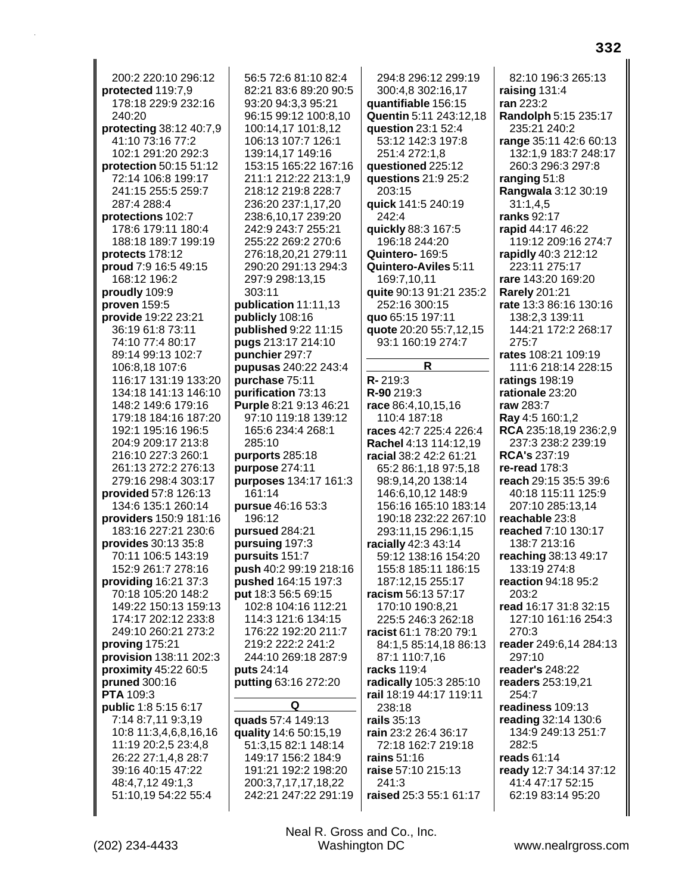200:2 220:10 296:12 protected 119:7,9 178:18 229:9 232:16 240:20 protecting 38:12 40:7,9 41:10 73:16 77:2 102:1 291:20 292:3 protection 50:15 51:12 72:14 106:8 199:17 241:15 255:5 259:7 287:4 288:4 protections 102:7 178:6 179:11 180:4 188:18 189:7 199:19 protects 178:12 proud 7:9 16:5 49:15 168:12 196:2 proudly 109:9 proven 159:5 provide 19:22 23:21 36:19 61:8 73:11 74:10 77:4 80:17 89:14 99:13 102:7 106:8,18 107:6 116:17 131:19 133:20 134:18 141:13 146:10 148:2 149:6 179:16 179:18 184:16 187:20 192:1 195:16 196:5 204:9 209:17 213:8 216:10 227:3 260:1 261:13 272:2 276:13 279:16 298:4 303:17 **provided** 57:8 126:13 134:6 135:1 260:14 providers 150:9 181:16 183:16 227:21 230:6 provides 30:13 35:8 70:11 106:5 143:19 152:9 261:7 278:16 providing 16:21 37:3 70:18 105:20 148:2 149:22 150:13 159:13 174:17 202:12 233:8 249:10 260:21 273:2 proving 175:21 provision 138:11 202:3 proximity 45:22 60:5 **pruned** 300:16 PTA 109:3 public 1:8 5:15 6:17 7:14 8:7,11 9:3,19 10:8 11:3,4,6,8,16,16 11:19 20:2,5 23:4,8 26:22 27:1,4,8 28:7 39:16 40:15 47:22 48:4,7,12 49:1,3 51:10,19 54:22 55:4

56:5 72:6 81:10 82:4 82:21 83:6 89:20 90:5 93:20 94:3,3 95:21 96:15 99:12 100:8,10 100:14,17 101:8.12 106:13 107:7 126:1 139:14,17 149:16 153:15 165:22 167:16 211:1 212:22 213:1.9 218:12 219:8 228:7 236:20 237:1,17,20 238:6,10,17 239:20 242:9 243:7 255:21 255:22 269:2 270:6 276:18,20,21 279:11 290:20 291:13 294:3 297:9 298:13,15 303:11 publication 11:11,13 publicly 108:16 published 9:22 11:15 pugs 213:17 214:10 punchier 297:7 pupusas 240:22 243:4 purchase 75:11 purification 73:13 Purple 8:21 9:13 46:21 97:10 119:18 139:12 165:6 234:4 268:1 285:10 purports 285:18 purpose 274:11 purposes 134:17 161:3 161:14 pursue 46:16 53:3 196:12 pursued 284:21 pursuing 197:3 pursuits 151:7 push 40:2 99:19 218:16 pushed 164:15 197:3 put 18:3 56:5 69:15 102:8 104:16 112:21 114:3 121:6 134:15 176:22 192:20 211:7 219:2 222:2 241:2 244:10 269:18 287:9 puts 24:14 putting 63:16 272:20 Q quads 57:4 149:13

quality 14:6 50:15,19 51:3,15 82:1 148:14 149:17 156:2 184:9 191:21 192:2 198:20 200:3.7.17.17.18.22 242:21 247:22 291:19

294:8 296:12 299:19 300:4,8 302:16,17 quantifiable 156:15 Quentin 5:11 243:12,18 question 23:1 52:4 53:12 142:3 197:8 251:4 272:1,8 questioned 225:12 questions 21:9 25:2  $203.15$ quick 141:5 240:19 242:4 quickly 88:3 167:5 196:18 244:20 Quintero-169:5 Quintero-Aviles 5:11 169:7,10,11 quite 90:13 91:21 235:2 252:16 300:15 quo 65:15 197:11 quote 20:20 55:7,12,15 93:1 160:19 274:7 R  $R - 219:3$ R-90 219:3 race 86:4.10.15.16 110:4 187:18 races 42:7 225:4 226:4 Rachel 4:13 114:12.19 racial 38:2 42:2 61:21 65:2 86:1,18 97:5,18 98:9,14,20 138:14 146:6,10,12 148:9 156:16 165:10 183:14 190:18 232:22 267:10 293:11,15 296:1,15 racially 42:3 43:14 59:12 138:16 154:20 155:8 185:11 186:15 187:12,15 255:17 racism 56:13 57:17 170:10 190:8,21 225:5 246:3 262:18 racist 61:1 78:20 79:1 84:1,5 85:14,18 86:13 87:1 110:7,16 racks 119:4 radically 105:3 285:10 rail 18:19 44:17 119:11  $238.18$ rails 35:13 rain 23:2 26:4 36:17 72:18 162:7 219:18 rains  $51:16$ raise 57:10 215:13 241:3 raised 25:3 55:1 61:17

82:10 196:3 265:13 raising 131:4 ran 223:2 **Randolph 5:15 235:17** 235:21 240:2 range 35:11 42:6 60:13 132:1,9 183:7 248:17 260:3 296:3 297:8 ranging  $51:8$ Rangwala 3:12 30:19  $31:1,4,5$ ranks 92:17 rapid 44:17 46:22 119:12 209:16 274:7 rapidly 40:3 212:12 223:11 275:17 rare 143:20 169:20 **Rarely 201:21** rate 13:3 86:16 130:16 138:2,3 139:11 144:21 172:2 268:17 275:7 rates 108:21 109:19 111:6 218:14 228:15 ratings  $198:19$ rationale 23:20 raw 283:7 Ray 4:5 160:1,2 **RCA** 235:18,19 236:2,9 237:3 238:2 239:19 **RCA's 237:19** re-read  $178.3$ reach 29:15 35:5 39:6 40:18 115:11 125:9 207:10 285:13.14 reachable 23:8 reached 7:10 130:17 138:7 213:16 reaching 38:13 49:17 133:19 274:8 reaction 94:18 95:2  $203:2$ read 16:17 31:8 32:15 127:10 161:16 254:3  $270:3$ reader 249:6,14 284:13 297:10 reader's 248:22 readers 253:19.21  $254:7$ readiness 109:13 reading 32:14 130:6 134:9 249:13 251:7 282:5 reads 61:14 ready 12:7 34:14 37:12 41:4 47:17 52:15 62:19 83:14 95:20

Neal R. Gross and Co., Inc. Washington DC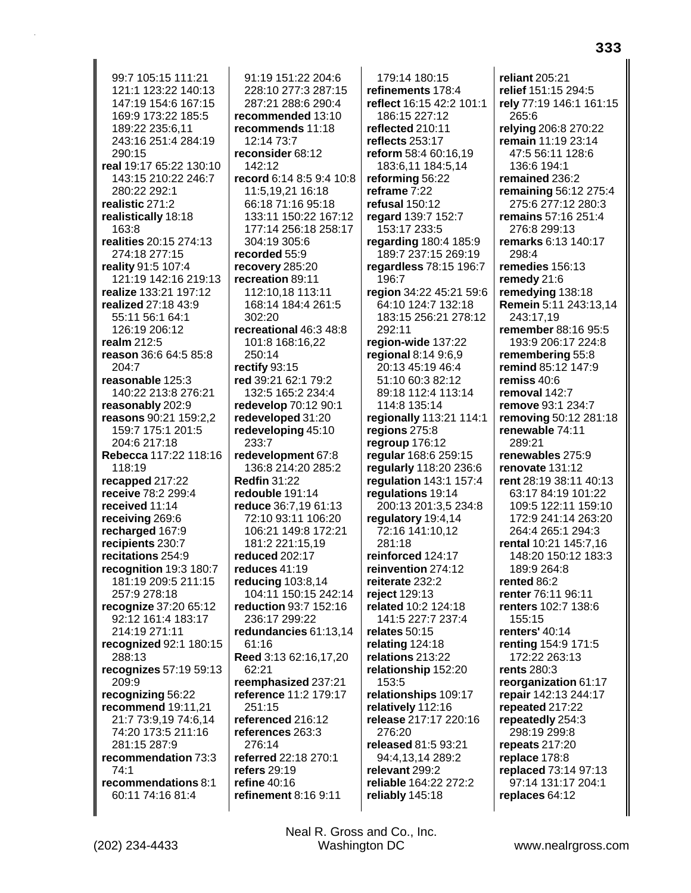99:7 105:15 111:21 121:1 123:22 140:13 147:19 154:6 167:15 169:9 173:22 185:5 189:22 235:6,11 243:16 251:4 284:19 290:15 **real** 19:17 65:22 130:10 143:15 210:22 246:7 280:22 292:1 **realistic** 271:2 **realistically** 18:18 163:8 **realities** 20:15 274:13 274:18 277:15 **reality** 91:5 107:4 121:19 142:16 219:13 **realize** 133:21 197:12 **realized** 27:18 43:9 55:11 56:1 64:1 126:19 206:12 **realm** 212:5 **reason** 36:6 64:5 85:8 204:7 **reasonable** 125:3 140:22 213:8 276:21 **reasonably** 202:9 **reasons** 90:21 159:2,2 159:7 175:1 201:5 204:6 217:18 **Rebecca** 117:22 118:16 118:19 **recapped** 217:22 **receive** 78:2 299:4 **received** 11:14 **receiving** 269:6 **recharged** 167:9 **recipients** 230:7 **recitations** 254:9 **recognition** 19:3 180:7 181:19 209:5 211:15 257:9 278:18 **recognize** 37:20 65:12 92:12 161:4 183:17 214:19 271:11 **recognized** 92:1 180:15 288:13 **recognizes** 57:19 59:13 209:9 **recognizing** 56:22 **recommend** 19:11,21 21:7 73:9,19 74:6,14 74:20 173:5 211:16 281:15 287:9 **recommendation** 73:3 74:1 **recommendations** 8:1 60:11 74:16 81:4

91:19 151:22 204:6 228:10 277:3 287:15 287:21 288:6 290:4 **recommended** 13:10 **recommends** 11:18 12:14 73:7 **reconsider** 68:12 142:12 **record** 6:14 8:5 9:4 10:8 11:5,19,21 16:18 66:18 71:16 95:18 133:11 150:22 167:12 177:14 256:18 258:17 304:19 305:6 **recorded** 55:9 **recovery** 285:20 **recreation** 89:11 112:10,18 113:11 168:14 184:4 261:5 302:20 **recreational** 46:3 48:8 101:8 168:16,22 250:14 **rectify** 93:15 **red** 39:21 62:1 79:2 132:5 165:2 234:4 **redevelop** 70:12 90:1 **redeveloped** 31:20 **redeveloping** 45:10 233:7 **redevelopment** 67:8 136:8 214:20 285:2 **Redfin** 31:22 **redouble** 191:14 **reduce** 36:7,19 61:13 72:10 93:11 106:20 106:21 149:8 172:21 181:2 221:15,19 **reduced** 202:17 **reduces** 41:19 **reducing** 103:8,14 104:11 150:15 242:14 **reduction** 93:7 152:16 236:17 299:22 **redundancies** 61:13,14 61:16 **Reed** 3:13 62:16,17,20 62:21 **reemphasized** 237:21 **reference** 11:2 179:17 251:15 **referenced** 216:12 **references** 263:3 276:14 **referred** 22:18 270:1 **refers** 29:19 **refine** 40:16 **refinement** 8:16 9:11

179:14 180:15 **refinements** 178:4 **reflect** 16:15 42:2 101:1 186:15 227:12 **reflected** 210:11 **reflects** 253:17 **reform** 58:4 60:16,19 183:6,11 184:5,14 **reforming** 56:22 **reframe** 7:22 **refusal** 150:12 **regard** 139:7 152:7 153:17 233:5 **regarding** 180:4 185:9 189:7 237:15 269:19 **regardless** 78:15 196:7 196:7 **region** 34:22 45:21 59:6 64:10 124:7 132:18 183:15 256:21 278:12 292:11 **region-wide** 137:22 **regional** 8:14 9:6,9 20:13 45:19 46:4 51:10 60:3 82:12 89:18 112:4 113:14 114:8 135:14 **regionally** 113:21 114:1 **regions** 275:8 **regroup** 176:12 **regular** 168:6 259:15 **regularly** 118:20 236:6 **regulation** 143:1 157:4 **regulations** 19:14 200:13 201:3,5 234:8 **regulatory** 19:4,14 72:16 141:10,12 281:18 **reinforced** 124:17 **reinvention** 274:12 **reiterate** 232:2 **reject** 129:13 **related** 10:2 124:18 141:5 227:7 237:4 **relates** 50:15 **relating** 124:18 **relations** 213:22 **relationship** 152:20 153:5 **relationships** 109:17 **relatively** 112:16 **release** 217:17 220:16 276:20 **released** 81:5 93:21 94:4,13,14 289:2 **relevant** 299:2 **reliable** 164:22 272:2 **reliably** 145:18

**reliant** 205:21 **relief** 151:15 294:5 **rely** 77:19 146:1 161:15 265:6 **relying** 206:8 270:22 **remain** 11:19 23:14 47:5 56:11 128:6 136:6 194:1 **remained** 236:2 **remaining** 56:12 275:4 275:6 277:12 280:3 **remains** 57:16 251:4 276:8 299:13 **remarks** 6:13 140:17 298:4 **remedies** 156:13 **remedy** 21:6 **remedying** 138:18 **Remein** 5:11 243:13,14 243:17,19 **remember** 88:16 95:5 193:9 206:17 224:8 **remembering** 55:8 **remind** 85:12 147:9 **remiss** 40:6 **removal** 142:7 **remove** 93:1 234:7 **removing** 50:12 281:18 **renewable** 74:11 289:21 **renewables** 275:9 **renovate** 131:12 **rent** 28:19 38:11 40:13 63:17 84:19 101:22 109:5 122:11 159:10 172:9 241:14 263:20 264:4 265:1 294:3 **rental** 10:21 145:7,16 148:20 150:12 183:3 189:9 264:8 **rented** 86:2 **renter** 76:11 96:11 **renters** 102:7 138:6 155:15 **renters'** 40:14 **renting** 154:9 171:5 172:22 263:13 **rents** 280:3 **reorganization** 61:17 **repair** 142:13 244:17 **repeated** 217:22 **repeatedly** 254:3 298:19 299:8 **repeats** 217:20 **replace** 178:8 **replaced** 73:14 97:13 97:14 131:17 204:1 **replaces** 64:12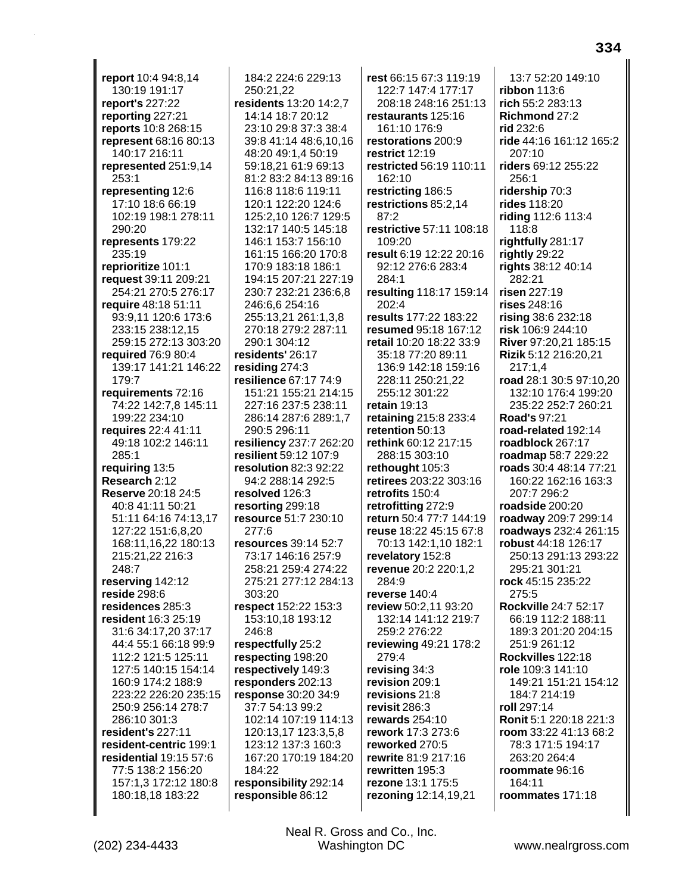**report** 10:4 94:8,14 130:19 191:17 **report's** 227:22 **reporting** 227:21 **reports** 10:8 268:15 **represent** 68:16 80:13 140:17 216:11 **represented** 251:9,14 253:1 **representing** 12:6 17:10 18:6 66:19 102:19 198:1 278:11 290:20 **represents** 179:22 235:19 **reprioritize** 101:1 **request** 39:11 209:21 254:21 270:5 276:17 **require** 48:18 51:11 93:9,11 120:6 173:6 233:15 238:12,15 259:15 272:13 303:20 **required** 76:9 80:4 139:17 141:21 146:22 179:7 **requirements** 72:16 74:22 142:7,8 145:11 199:22 234:10 **requires** 22:4 41:11 49:18 102:2 146:11 285:1 **requiring** 13:5 **Research** 2:12 **Reserve** 20:18 24:5 40:8 41:11 50:21 51:11 64:16 74:13,17 127:22 151:6,8,20 168:11,16,22 180:13 215:21,22 216:3 248:7 **reserving** 142:12 **reside** 298:6 **residences** 285:3 **resident** 16:3 25:19 31:6 34:17,20 37:17 44:4 55:1 66:18 99:9 112:2 121:5 125:11 127:5 140:15 154:14 160:9 174:2 188:9 223:22 226:20 235:15 250:9 256:14 278:7 286:10 301:3 **resident's** 227:11 **resident-centric** 199:1 **residential** 19:15 57:6 77:5 138:2 156:20 157:1,3 172:12 180:8 180:18,18 183:22

184:2 224:6 229:13 250:21,22 **residents** 13:20 14:2,7 14:14 18:7 20:12 23:10 29:8 37:3 38:4 39:8 41:14 48:6,10,16 48:20 49:1,4 50:19 59:18,21 61:9 69:13 81:2 83:2 84:13 89:16 116:8 118:6 119:11 120:1 122:20 124:6 125:2,10 126:7 129:5 132:17 140:5 145:18 146:1 153:7 156:10 161:15 166:20 170:8 170:9 183:18 186:1 194:15 207:21 227:19 230:7 232:21 236:6,8 246:6,6 254:16 255:13,21 261:1,3,8 270:18 279:2 287:11 290:1 304:12 **residents'** 26:17 **residing** 274:3 **resilience** 67:17 74:9 151:21 155:21 214:15 227:16 237:5 238:11 286:14 287:6 289:1,7 290:5 296:11 **resiliency** 237:7 262:20 **resilient** 59:12 107:9 **resolution** 82:3 92:22 94:2 288:14 292:5 **resolved** 126:3 **resorting** 299:18 **resource** 51:7 230:10 277:6 **resources** 39:14 52:7 73:17 146:16 257:9 258:21 259:4 274:22 275:21 277:12 284:13 303:20 **respect** 152:22 153:3 153:10,18 193:12 246:8 **respectfully** 25:2 **respecting** 198:20 **respectively** 149:3 **responders** 202:13 **response** 30:20 34:9 37:7 54:13 99:2 102:14 107:19 114:13 120:13,17 123:3,5,8 123:12 137:3 160:3 167:20 170:19 184:20 184:22 **responsibility** 292:14 **responsible** 86:12

**rest** 66:15 67:3 119:19 122:7 147:4 177:17 208:18 248:16 251:13 **restaurants** 125:16 161:10 176:9 **restorations** 200:9 **restrict** 12:19 **restricted** 56:19 110:11 162:10 **restricting** 186:5 **restrictions** 85:2,14 87:2 **restrictive** 57:11 108:18 109:20 **result** 6:19 12:22 20:16 92:12 276:6 283:4 284:1 **resulting** 118:17 159:14 202:4 **results** 177:22 183:22 **resumed** 95:18 167:12 **retail** 10:20 18:22 33:9 35:18 77:20 89:11 136:9 142:18 159:16 228:11 250:21,22 255:12 301:22 **retain** 19:13 **retaining** 215:8 233:4 **retention** 50:13 **rethink** 60:12 217:15 288:15 303:10 **rethought** 105:3 **retirees** 203:22 303:16 **retrofits** 150:4 **retrofitting** 272:9 **return** 50:4 77:7 144:19 **reuse** 18:22 45:15 67:8 70:13 142:1,10 182:1 **revelatory** 152:8 **revenue** 20:2 220:1,2 284:9 **reverse** 140:4 **review** 50:2,11 93:20 132:14 141:12 219:7 259:2 276:22 **reviewing** 49:21 178:2 279:4 **revising** 34:3 **revision** 209:1 **revisions** 21:8 **revisit** 286:3 **rewards** 254:10 **rework** 17:3 273:6 **reworked** 270:5 **rewrite** 81:9 217:16 **rewritten** 195:3 **rezone** 13:1 175:5 **rezoning** 12:14,19,21

13:7 52:20 149:10 **ribbon** 113:6 **rich** 55:2 283:13 **Richmond** 27:2 **rid** 232:6 **ride** 44:16 161:12 165:2 207:10 **riders** 69:12 255:22 256:1 **ridership** 70:3 **rides** 118:20 **riding** 112:6 113:4 118:8 **rightfully** 281:17 **rightly** 29:22 **rights** 38:12 40:14 282:21 **risen** 227:19 **rises** 248:16 **rising** 38:6 232:18 **risk** 106:9 244:10 **River** 97:20,21 185:15 **Rizik** 5:12 216:20,21 217:1,4 **road** 28:1 30:5 97:10,20 132:10 176:4 199:20 235:22 252:7 260:21 **Road's** 97:21 **road-related** 192:14 **roadblock** 267:17 **roadmap** 58:7 229:22 **roads** 30:4 48:14 77:21 160:22 162:16 163:3 207:7 296:2 **roadside** 200:20 **roadway** 209:7 299:14 **roadways** 232:4 261:15 **robust** 44:18 126:17 250:13 291:13 293:22 295:21 301:21 **rock** 45:15 235:22 275:5 **Rockville** 24:7 52:17 66:19 112:2 188:11 189:3 201:20 204:15 251:9 261:12 **Rockvilles** 122:18 **role** 109:3 141:10 149:21 151:21 154:12 184:7 214:19 **roll** 297:14 **Ronit** 5:1 220:18 221:3 **room** 33:22 41:13 68:2 78:3 171:5 194:17 263:20 264:4 **roommate** 96:16 164:11 **roommates** 171:18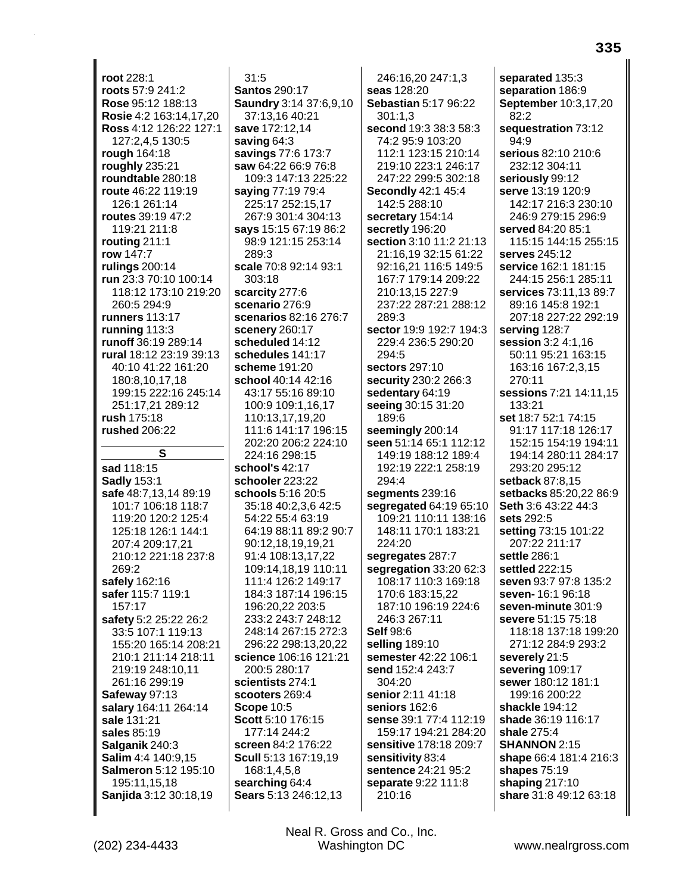**root** 228:1 **roots** 57:9 241:2 **Rose** 95:12 188:13 **Rosie** 4:2 163:14,17,20 **Ross** 4:12 126:22 127:1 127:2,4,5 130:5 **rough** 164:18 **roughly** 235:21 **roundtable** 280:18 **route** 46:22 119:19 126:1 261:14 **routes** 39:19 47:2 119:21 211:8 **routing** 211:1 **row** 147:7 **rulings** 200:14 **run** 23:3 70:10 100:14 118:12 173:10 219:20 260:5 294:9 **runners** 113:17 **running** 113:3 **runoff** 36:19 289:14 **rural** 18:12 23:19 39:13 40:10 41:22 161:20 180:8,10,17,18 199:15 222:16 245:14 251:17,21 289:12 **rush** 175:18 **rushed** 206:22 **S sad** 118:15 **Sadly** 153:1 **safe** 48:7,13,14 89:19 101:7 106:18 118:7 119:20 120:2 125:4 125:18 126:1 144:1 207:4 209:17,21 210:12 221:18 237:8 269:2 **safely** 162:16 **safer** 115:7 119:1 157:17 **safety** 5:2 25:22 26:2 33:5 107:1 119:13 155:20 165:14 208:21 210:1 211:14 218:11 219:19 248:10,11 261:16 299:19 **Safeway** 97:13 **salary** 164:11 264:14 **sale** 131:21 **sales** 85:19 **Salganik** 240:3 **Salim** 4:4 140:9,15 **Salmeron** 5:12 195:10 195:11,15,18 **Sanjida** 3:12 30:18,19

31:5 **Santos** 290:17 **Saundry** 3:14 37:6,9,10 37:13,16 40:21 **save** 172:12,14 **saving** 64:3 **savings** 77:6 173:7 **saw** 64:22 66:9 76:8 109:3 147:13 225:22 **saying** 77:19 79:4 225:17 252:15,17 267:9 301:4 304:13 **says** 15:15 67:19 86:2 98:9 121:15 253:14 289:3 **scale** 70:8 92:14 93:1 303:18 **scarcity** 277:6 **scenario** 276:9 **scenarios** 82:16 276:7 **scenery** 260:17 **scheduled** 14:12 **schedules** 141:17 **scheme** 191:20 **school** 40:14 42:16 43:17 55:16 89:10 100:9 109:1,16,17 110:13,17,19,20 111:6 141:17 196:15 202:20 206:2 224:10 224:16 298:15 **school's** 42:17 **schooler** 223:22 **schools** 5:16 20:5 35:18 40:2,3,6 42:5 54:22 55:4 63:19 64:19 88:11 89:2 90:7 90:12,18,19,19,21 91:4 108:13,17,22 109:14,18,19 110:11 111:4 126:2 149:17 184:3 187:14 196:15 196:20,22 203:5 233:2 243:7 248:12 248:14 267:15 272:3 296:22 298:13,20,22 **science** 106:16 121:21 200:5 280:17 **scientists** 274:1 **scooters** 269:4 **Scope** 10:5 **Scott** 5:10 176:15 177:14 244:2 **screen** 84:2 176:22 **Scull** 5:13 167:19,19 168:1,4,5,8 **searching** 64:4 **Sears** 5:13 246:12,13

246:16,20 247:1,3 **seas** 128:20 **Sebastian** 5:17 96:22 301:1,3 **second** 19:3 38:3 58:3 74:2 95:9 103:20 112:1 123:15 210:14 219:10 223:1 246:17 247:22 299:5 302:18 **Secondly** 42:1 45:4 142:5 288:10 **secretary** 154:14 **secretly** 196:20 **section** 3:10 11:2 21:13 21:16,19 32:15 61:22 92:16,21 116:5 149:5 167:7 179:14 209:22 210:13,15 227:9 237:22 287:21 288:12 289:3 **sector** 19:9 192:7 194:3 229:4 236:5 290:20 294:5 **sectors** 297:10 **security** 230:2 266:3 **sedentary** 64:19 **seeing** 30:15 31:20 189:6 **seemingly** 200:14 **seen** 51:14 65:1 112:12 149:19 188:12 189:4 192:19 222:1 258:19 294:4 **segments** 239:16 **segregated** 64:19 65:10 109:21 110:11 138:16 148:11 170:1 183:21 224:20 **segregates** 287:7 **segregation** 33:20 62:3 108:17 110:3 169:18 170:6 183:15,22 187:10 196:19 224:6 246:3 267:11 **Self** 98:6 **selling** 189:10 **semester** 42:22 106:1 **send** 152:4 243:7 304:20 **senior** 2:11 41:18 **seniors** 162:6 **sense** 39:1 77:4 112:19 159:17 194:21 284:20 **sensitive** 178:18 209:7 **sensitivity** 83:4 **sentence** 24:21 95:2 **separate** 9:22 111:8 210:16

**separated** 135:3 **separation** 186:9 **September** 10:3,17,20 82:2 **sequestration** 73:12 94:9 **serious** 82:10 210:6 232:12 304:11 **seriously** 99:12 **serve** 13:19 120:9 142:17 216:3 230:10 246:9 279:15 296:9 **served** 84:20 85:1 115:15 144:15 255:15 **serves** 245:12 **service** 162:1 181:15 244:15 256:1 285:11 **services** 73:11,13 89:7 89:16 145:8 192:1 207:18 227:22 292:19 **serving** 128:7 **session** 3:2 4:1,16 50:11 95:21 163:15 163:16 167:2,3,15 270:11 **sessions** 7:21 14:11,15 133:21 **set** 18:7 52:1 74:15 91:17 117:18 126:17 152:15 154:19 194:11 194:14 280:11 284:17 293:20 295:12 **setback** 87:8,15 **setbacks** 85:20,22 86:9 **Seth** 3:6 43:22 44:3 **sets** 292:5 **setting** 73:15 101:22 207:22 211:17 **settle** 286:1 **settled** 222:15 **seven** 93:7 97:8 135:2 **seven-** 16:1 96:18 **seven-minute** 301:9 **severe** 51:15 75:18 118:18 137:18 199:20 271:12 284:9 293:2 **severely** 21:5 **severing** 109:17 **sewer** 180:12 181:1 199:16 200:22 **shackle** 194:12 **shade** 36:19 116:17 **shale** 275:4 **SHANNON** 2:15 **shape** 66:4 181:4 216:3 **shapes** 75:19 **shaping** 217:10 **share** 31:8 49:12 63:18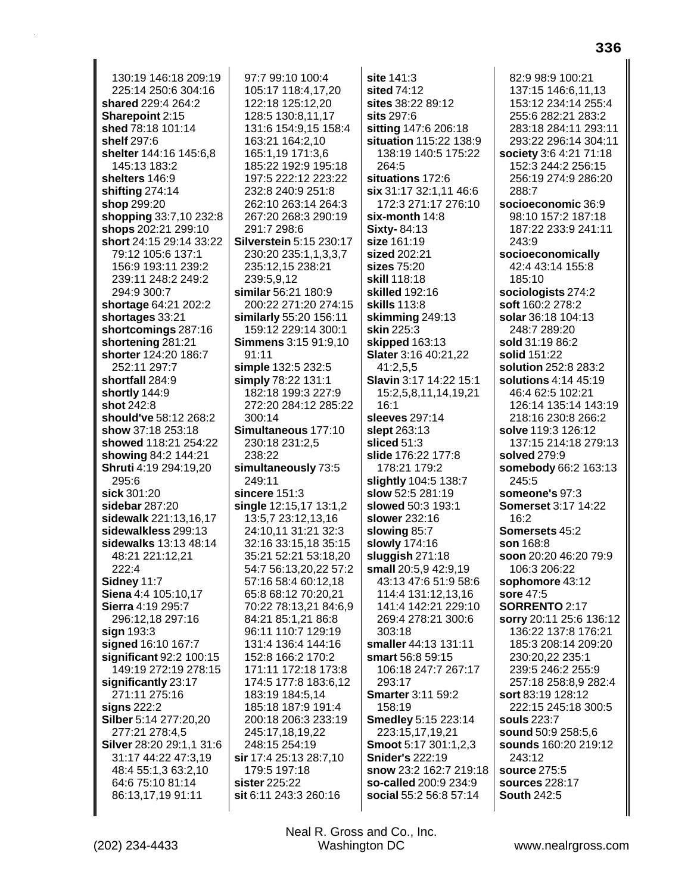130:19 146:18 209:19 225:14 250:6 304:16 **shared** 229:4 264:2 **Sharepoint** 2:15 **shed** 78:18 101:14 **shelf** 297:6 **shelter** 144:16 145:6,8 145:13 183:2 **shelters** 146:9 **shifting** 274:14 **shop** 299:20 **shopping** 33:7,10 232:8 **shops** 202:21 299:10 **short** 24:15 29:14 33:22 79:12 105:6 137:1 156:9 193:11 239:2 239:11 248:2 249:2 294:9 300:7 **shortage** 64:21 202:2 **shortages** 33:21 **shortcomings** 287:16 **shortening** 281:21 **shorter** 124:20 186:7 252:11 297:7 **shortfall** 284:9 **shortly** 144:9 **shot** 242:8 **should've** 58:12 268:2 **show** 37:18 253:18 **showed** 118:21 254:22 **showing** 84:2 144:21 **Shruti** 4:19 294:19,20 295:6 **sick** 301:20 **sidebar** 287:20 **sidewalk** 221:13,16,17 **sidewalkless** 299:13 **sidewalks** 13:13 48:14 48:21 221:12,21 222:4 **Sidney** 11:7 **Siena** 4:4 105:10,17 **Sierra** 4:19 295:7 296:12,18 297:16 **sign** 193:3 **signed** 16:10 167:7 **significant** 92:2 100:15 149:19 272:19 278:15 **significantly** 23:17 271:11 275:16 **signs** 222:2 **Silber** 5:14 277:20,20 277:21 278:4,5 **Silver** 28:20 29:1,1 31:6 31:17 44:22 47:3,19 48:4 55:1,3 63:2,10 64:6 75:10 81:14 86:13,17,19 91:11

97:7 99:10 100:4 105:17 118:4,17,20 122:18 125:12,20 128:5 130:8,11,17 131:6 154:9,15 158:4 163:21 164:2,10 165:1,19 171:3,6 185:22 192:9 195:18 197:5 222:12 223:22 232:8 240:9 251:8 262:10 263:14 264:3 267:20 268:3 290:19 291:7 298:6 **Silverstein** 5:15 230:17 230:20 235:1,1,3,3,7 235:12,15 238:21 239:5,9,12 **similar** 56:21 180:9 200:22 271:20 274:15 **similarly** 55:20 156:11 159:12 229:14 300:1 **Simmens** 3:15 91:9,10 91:11 **simple** 132:5 232:5 **simply** 78:22 131:1 182:18 199:3 227:9 272:20 284:12 285:22 300:14 **Simultaneous** 177:10 230:18 231:2,5 238:22 **simultaneously** 73:5 249:11 **sincere** 151:3 **single** 12:15,17 13:1,2 13:5,7 23:12,13,16 24:10,11 31:21 32:3 32:16 33:15,18 35:15 35:21 52:21 53:18,20 54:7 56:13,20,22 57:2 57:16 58:4 60:12,18 65:8 68:12 70:20,21 70:22 78:13,21 84:6,9 84:21 85:1,21 86:8 96:11 110:7 129:19 131:4 136:4 144:16 152:8 166:2 170:2 171:11 172:18 173:8 174:5 177:8 183:6,12 183:19 184:5,14 185:18 187:9 191:4 200:18 206:3 233:19 245:17,18,19,22 248:15 254:19 **sir** 17:4 25:13 28:7,10 179:5 197:18 **sister** 225:22 **sit** 6:11 243:3 260:16

**site** 141:3 **sited** 74:12 **sites** 38:22 89:12 **sits** 297:6 **sitting** 147:6 206:18 **situation** 115:22 138:9 138:19 140:5 175:22 264:5 **situations** 172:6 **six** 31:17 32:1,11 46:6 172:3 271:17 276:10 **six-month** 14:8 **Sixty-** 84:13 **size** 161:19 **sized** 202:21 **sizes** 75:20 **skill** 118:18 **skilled** 192:16 **skills** 113:8 **skimming** 249:13 **skin** 225:3 **skipped** 163:13 **Slater** 3:16 40:21,22 41:2,5,5 **Slavin** 3:17 14:22 15:1 15:2,5,8,11,14,19,21 16:1 **sleeves** 297:14 **slept** 263:13 **sliced** 51:3 **slide** 176:22 177:8 178:21 179:2 **slightly** 104:5 138:7 **slow** 52:5 281:19 **slowed** 50:3 193:1 **slower** 232:16 **slowing** 85:7 **slowly** 174:16 **sluggish** 271:18 **small** 20:5,9 42:9,19 43:13 47:6 51:9 58:6 114:4 131:12,13,16 141:4 142:21 229:10 269:4 278:21 300:6 303:18 **smaller** 44:13 131:11 **smart** 56:8 59:15 106:18 247:7 267:17 293:17 **Smarter** 3:11 59:2 158:19 **Smedley** 5:15 223:14 223:15,17,19,21 **Smoot** 5:17 301:1,2,3 **Snider's** 222:19 **snow** 23:2 162:7 219:18 **so-called** 200:9 234:9 **social** 55:2 56:8 57:14

82:9 98:9 100:21 137:15 146:6,11,13 153:12 234:14 255:4 255:6 282:21 283:2 283:18 284:11 293:11 293:22 296:14 304:11 **society** 3:6 4:21 71:18 152:3 244:2 256:15 256:19 274:9 286:20 288:7 **socioeconomic** 36:9 98:10 157:2 187:18 187:22 233:9 241:11 243:9 **socioeconomically** 42:4 43:14 155:8 185:10 **sociologists** 274:2 **soft** 160:2 278:2 **solar** 36:18 104:13 248:7 289:20 **sold** 31:19 86:2 **solid** 151:22 **solution** 252:8 283:2 **solutions** 4:14 45:19 46:4 62:5 102:21 126:14 135:14 143:19 218:16 230:8 266:2 **solve** 119:3 126:12 137:15 214:18 279:13 **solved** 279:9 **somebody** 66:2 163:13 245:5 **someone's** 97:3 **Somerset** 3:17 14:22 16:2 **Somersets** 45:2 **son** 168:8 **soon** 20:20 46:20 79:9 106:3 206:22 **sophomore** 43:12 **sore** 47:5 **SORRENTO** 2:17 **sorry** 20:11 25:6 136:12 136:22 137:8 176:21 185:3 208:14 209:20 230:20,22 235:1 239:5 246:2 255:9 257:18 258:8,9 282:4 **sort** 83:19 128:12 222:15 245:18 300:5 **souls** 223:7 **sound** 50:9 258:5,6 **sounds** 160:20 219:12 243:12 **source** 275:5 **sources** 228:17 **South** 242:5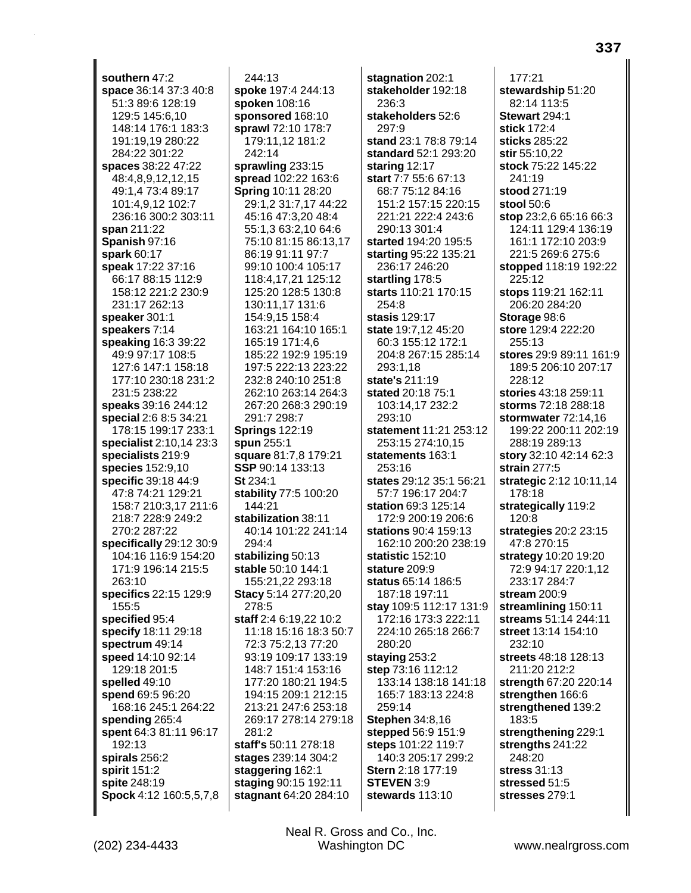**southern** 47:2 **space** 36:14 37:3 40:8 51:3 89:6 128:19 129:5 145:6,10 148:14 176:1 183:3 191:19,19 280:22 284:22 301:22 **spaces** 38:22 47:22 48:4,8,9,12,12,15 49:1,4 73:4 89:17 101:4,9,12 102:7 236:16 300:2 303:11 **span** 211:22 **Spanish** 97:16 **spark** 60:17 **speak** 17:22 37:16 66:17 88:15 112:9 158:12 221:2 230:9 231:17 262:13 **speaker** 301:1 **speakers** 7:14 **speaking** 16:3 39:22 49:9 97:17 108:5 127:6 147:1 158:18 177:10 230:18 231:2 231:5 238:22 **speaks** 39:16 244:12 **special** 2:6 8:5 34:21 178:15 199:17 233:1 **specialist** 2:10,14 23:3 **specialists** 219:9 **species** 152:9,10 **specific** 39:18 44:9 47:8 74:21 129:21 158:7 210:3,17 211:6 218:7 228:9 249:2 270:2 287:22 **specifically** 29:12 30:9 104:16 116:9 154:20 171:9 196:14 215:5 263:10 **specifics** 22:15 129:9 155:5 **specified** 95:4 **specify** 18:11 29:18 **spectrum** 49:14 **speed** 14:10 92:14 129:18 201:5 **spelled** 49:10 **spend** 69:5 96:20 168:16 245:1 264:22 **spending** 265:4 **spent** 64:3 81:11 96:17 192:13 **spirals** 256:2 **spirit** 151:2 **spite** 248:19 **Spock** 4:12 160:5,5,7,8

244:13 **spoke** 197:4 244:13 **spoken** 108:16 **sponsored** 168:10 **sprawl** 72:10 178:7 179:11,12 181:2 242:14 **sprawling** 233:15 **spread** 102:22 163:6 **Spring** 10:11 28:20 29:1,2 31:7,17 44:22 45:16 47:3,20 48:4 55:1,3 63:2,10 64:6 75:10 81:15 86:13,17 86:19 91:11 97:7 99:10 100:4 105:17 118:4,17,21 125:12 125:20 128:5 130:8 130:11,17 131:6 154:9,15 158:4 163:21 164:10 165:1 165:19 171:4,6 185:22 192:9 195:19 197:5 222:13 223:22 232:8 240:10 251:8 262:10 263:14 264:3 267:20 268:3 290:19 291:7 298:7 **Springs** 122:19 **spun** 255:1 **square** 81:7,8 179:21 **SSP** 90:14 133:13 **St** 234:1 **stability** 77:5 100:20 144:21 **stabilization** 38:11 40:14 101:22 241:14 294:4 **stabilizing** 50:13 **stable** 50:10 144:1 155:21,22 293:18 **Stacy** 5:14 277:20,20 278:5 **staff** 2:4 6:19,22 10:2 11:18 15:16 18:3 50:7 72:3 75:2,13 77:20 93:19 109:17 133:19 148:7 151:4 153:16 177:20 180:21 194:5 194:15 209:1 212:15 213:21 247:6 253:18 269:17 278:14 279:18 281:2 **staff's** 50:11 278:18 **stages** 239:14 304:2 **staggering** 162:1 **staging** 90:15 192:11 **stagnant** 64:20 284:10

**stagnation** 202:1 **stakeholder** 192:18 236:3 **stakeholders** 52:6 297:9 **stand** 23:1 78:8 79:14 **standard** 52:1 293:20 **staring** 12:17 **start** 7:7 55:6 67:13 68:7 75:12 84:16 151:2 157:15 220:15 221:21 222:4 243:6 290:13 301:4 **started** 194:20 195:5 **starting** 95:22 135:21 236:17 246:20 **startling** 178:5 **starts** 110:21 170:15 254:8 **stasis** 129:17 **state** 19:7,12 45:20 60:3 155:12 172:1 204:8 267:15 285:14 293:1,18 **state's** 211:19 **stated** 20:18 75:1 103:14,17 232:2 293:10 **statement** 11:21 253:12 253:15 274:10,15 **statements** 163:1 253:16 **states** 29:12 35:1 56:21 57:7 196:17 204:7 **station** 69:3 125:14 172:9 200:19 206:6 **stations** 90:4 159:13 162:10 200:20 238:19 **statistic** 152:10 **stature** 209:9 **status** 65:14 186:5 187:18 197:11 **stay** 109:5 112:17 131:9 172:16 173:3 222:11 224:10 265:18 266:7 280:20 **staying** 253:2 **step** 73:16 112:12 133:14 138:18 141:18 165:7 183:13 224:8 259:14 **Stephen** 34:8,16 **stepped** 56:9 151:9 **steps** 101:22 119:7 140:3 205:17 299:2 **Stern** 2:18 177:19 **STEVEN** 3:9 **stewards** 113:10

177:21 **stewardship** 51:20 82:14 113:5 **Stewart** 294:1 **stick** 172:4 **sticks** 285:22 **stir** 55:10,22 **stock** 75:22 145:22 241:19 **stood** 271:19 **stool** 50:6 **stop** 23:2,6 65:16 66:3 124:11 129:4 136:19 161:1 172:10 203:9 221:5 269:6 275:6 **stopped** 118:19 192:22 225:12 **stops** 119:21 162:11 206:20 284:20 **Storage** 98:6 **store** 129:4 222:20 255:13 **stores** 29:9 89:11 161:9 189:5 206:10 207:17 228:12 **stories** 43:18 259:11 **storms** 72:18 288:18 **stormwater** 72:14,16 199:22 200:11 202:19 288:19 289:13 **story** 32:10 42:14 62:3 **strain** 277:5 **strategic** 2:12 10:11,14 178:18 **strategically** 119:2 120:8 **strategies** 20:2 23:15 47:8 270:15 **strategy** 10:20 19:20 72:9 94:17 220:1,12 233:17 284:7 **stream** 200:9 **streamlining** 150:11 **streams** 51:14 244:11 **street** 13:14 154:10 232:10 **streets** 48:18 128:13 211:20 212:2 **strength** 67:20 220:14 **strengthen** 166:6 **strengthened** 139:2 183:5 **strengthening** 229:1 **strengths** 241:22 248:20 **stress** 31:13 **stressed** 51:5 **stresses** 279:1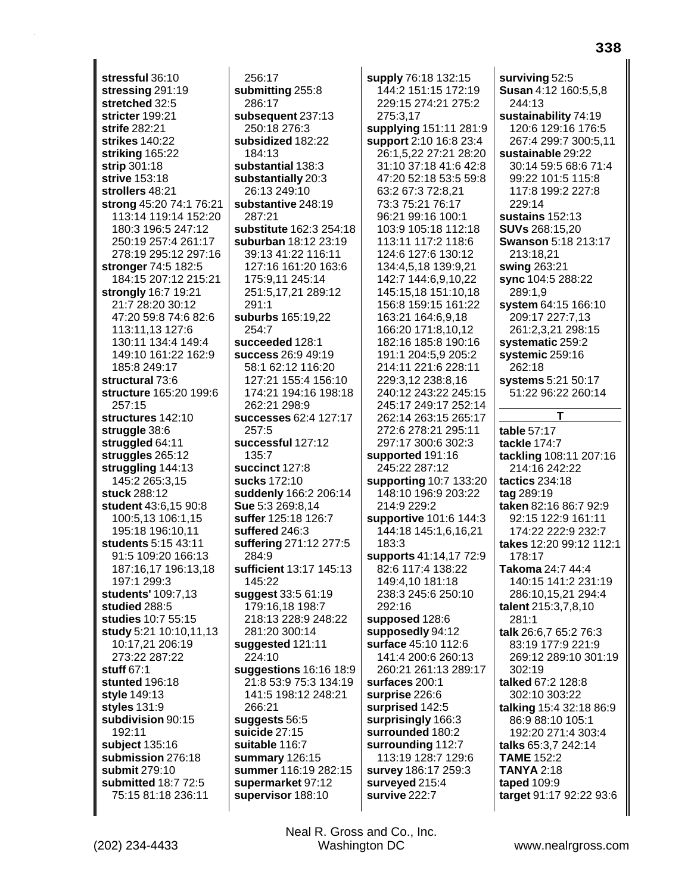**stressful** 36:10 **stressing** 291:19 **stretched** 32:5 **stricter** 199:21 **strife** 282:21 **strikes** 140:22 **striking** 165:22 **strip** 301:18 **strive** 153:18 **strollers** 48:21 **strong** 45:20 74:1 76:21 113:14 119:14 152:20 180:3 196:5 247:12 250:19 257:4 261:17 278:19 295:12 297:16 **stronger** 74:5 182:5 184:15 207:12 215:21 **strongly** 16:7 19:21 21:7 28:20 30:12 47:20 59:8 74:6 82:6 113:11,13 127:6 130:11 134:4 149:4 149:10 161:22 162:9 185:8 249:17 **structural** 73:6 **structure** 165:20 199:6 257:15 **structures** 142:10 **struggle** 38:6 **struggled** 64:11 **struggles** 265:12 **struggling** 144:13 145:2 265:3,15 **stuck** 288:12 **student** 43:6,15 90:8 100:5,13 106:1,15 195:18 196:10,11 **students** 5:15 43:11 91:5 109:20 166:13 187:16,17 196:13,18 197:1 299:3 **students'** 109:7,13 **studied** 288:5 **studies** 10:7 55:15 **study** 5:21 10:10,11,13 10:17,21 206:19 273:22 287:22 **stuff** 67:1 **stunted** 196:18 **style** 149:13 **styles** 131:9 **subdivision** 90:15 192:11 **subject** 135:16 **submission** 276:18 **submit** 279:10 **submitted** 18:7 72:5 75:15 81:18 236:11

256:17 **submitting** 255:8 286:17 **subsequent** 237:13 250:18 276:3 **subsidized** 182:22 184:13 **substantial** 138:3 **substantially** 20:3 26:13 249:10 **substantive** 248:19 287:21 **substitute** 162:3 254:18 **suburban** 18:12 23:19 39:13 41:22 116:11 127:16 161:20 163:6 175:9,11 245:14 251:5,17,21 289:12 291:1 **suburbs** 165:19,22 254:7 **succeeded** 128:1 **success** 26:9 49:19 58:1 62:12 116:20 127:21 155:4 156:10 174:21 194:16 198:18 262:21 298:9 **successes** 62:4 127:17 257:5 **successful** 127:12 135:7 **succinct** 127:8 **sucks** 172:10 **suddenly** 166:2 206:14 **Sue** 5:3 269:8,14 **suffer** 125:18 126:7 **suffered** 246:3 **suffering** 271:12 277:5 284:9 **sufficient** 13:17 145:13 145:22 **suggest** 33:5 61:19 179:16,18 198:7 218:13 228:9 248:22 281:20 300:14 **suggested** 121:11 224:10 **suggestions** 16:16 18:9 21:8 53:9 75:3 134:19 141:5 198:12 248:21 266:21 **suggests** 56:5 **suicide** 27:15 **suitable** 116:7 **summary** 126:15 **summer** 116:19 282:15 **supermarket** 97:12 **supervisor** 188:10

**supply** 76:18 132:15 144:2 151:15 172:19 229:15 274:21 275:2 275:3,17 **supplying** 151:11 281:9 **support** 2:10 16:8 23:4 26:1,5,22 27:21 28:20 31:10 37:18 41:6 42:8 47:20 52:18 53:5 59:8 63:2 67:3 72:8,21 73:3 75:21 76:17 96:21 99:16 100:1 103:9 105:18 112:18 113:11 117:2 118:6 124:6 127:6 130:12 134:4,5,18 139:9,21 142:7 144:6,9,10,22 145:15,18 151:10,18 156:8 159:15 161:22 163:21 164:6,9,18 166:20 171:8,10,12 182:16 185:8 190:16 191:1 204:5,9 205:2 214:11 221:6 228:11 229:3,12 238:8,16 240:12 243:22 245:15 245:17 249:17 252:14 262:14 263:15 265:17 272:6 278:21 295:11 297:17 300:6 302:3 **supported** 191:16 245:22 287:12 **supporting** 10:7 133:20 148:10 196:9 203:22 214:9 229:2 **supportive** 101:6 144:3 144:18 145:1,6,16,21 183:3 **supports** 41:14,17 72:9 82:6 117:4 138:22 149:4,10 181:18 238:3 245:6 250:10 292:16 **supposed** 128:6 **supposedly** 94:12 **surface** 45:10 112:6 141:4 200:6 260:13 260:21 261:13 289:17 **surfaces** 200:1 **surprise** 226:6 **surprised** 142:5 **surprisingly** 166:3 **surrounded** 180:2 **surrounding** 112:7 113:19 128:7 129:6 **survey** 186:17 259:3 **surveyed** 215:4 **survive** 222:7

**surviving** 52:5 **Susan** 4:12 160:5,5,8 244:13 **sustainability** 74:19 120:6 129:16 176:5 267:4 299:7 300:5,11 **sustainable** 29:22 30:14 59:5 68:6 71:4 99:22 101:5 115:8 117:8 199:2 227:8 229:14 **sustains** 152:13 **SUVs** 268:15,20 **Swanson** 5:18 213:17 213:18,21 **swing** 263:21 **sync** 104:5 288:22 289:1,9 **system** 64:15 166:10 209:17 227:7,13 261:2,3,21 298:15 **systematic** 259:2 **systemic** 259:16 262:18 **systems** 5:21 50:17 51:22 96:22 260:14 **T table** 57:17 **tackle** 174:7 **tackling** 108:11 207:16 214:16 242:22 **tactics** 234:18 **tag** 289:19 **taken** 82:16 86:7 92:9 92:15 122:9 161:11 174:22 222:9 232:7 **takes** 12:20 99:12 112:1 178:17 **Takoma** 24:7 44:4 140:15 141:2 231:19 286:10,15,21 294:4 **talent** 215:3,7,8,10 281:1 **talk** 26:6,7 65:2 76:3 83:19 177:9 221:9 269:12 289:10 301:19 302:19 **talked** 67:2 128:8 302:10 303:22 **talking** 15:4 32:18 86:9 86:9 88:10 105:1 192:20 271:4 303:4 **talks** 65:3,7 242:14 **TAME** 152:2 **TANYA** 2:18 **taped** 109:9 **target** 91:17 92:22 93:6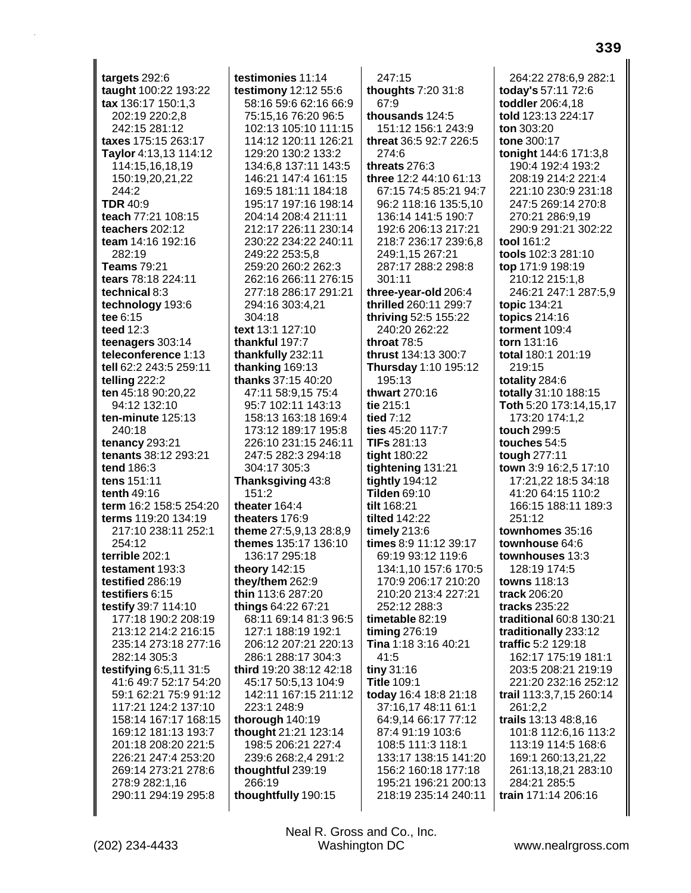**targets** 292:6 **taught** 100:22 193:22 **tax** 136:17 150:1,3 202:19 220:2,8 242:15 281:12 **taxes** 175:15 263:17 **Taylor** 4:13,13 114:12 114:15,16,18,19 150:19,20,21,22 244:2 **TDR** 40:9 **teach** 77:21 108:15 **teachers** 202:12 **team** 14:16 192:16 282:19 **Teams** 79:21 **tears** 78:18 224:11 **technical** 8:3 **technology** 193:6 **tee** 6:15 **teed** 12:3 **teenagers** 303:14 **teleconference** 1:13 **tell** 62:2 243:5 259:11 **telling** 222:2 **ten** 45:18 90:20,22 94:12 132:10 **ten-minute** 125:13 240:18 **tenancy** 293:21 **tenants** 38:12 293:21 **tend** 186:3 **tens** 151:11 **tenth** 49:16 **term** 16:2 158:5 254:20 **terms** 119:20 134:19 217:10 238:11 252:1 254:12 **terrible** 202:1 **testament** 193:3 **testified** 286:19 **testifiers** 6:15 **testify** 39:7 114:10 177:18 190:2 208:19 213:12 214:2 216:15 235:14 273:18 277:16 282:14 305:3 **testifying** 6:5,11 31:5 41:6 49:7 52:17 54:20 59:1 62:21 75:9 91:12 117:21 124:2 137:10 158:14 167:17 168:15 169:12 181:13 193:7 201:18 208:20 221:5 226:21 247:4 253:20 269:14 273:21 278:6 278:9 282:1,16 290:11 294:19 295:8

**testimonies** 11:14 **testimony** 12:12 55:6 58:16 59:6 62:16 66:9 75:15,16 76:20 96:5 102:13 105:10 111:15 114:12 120:11 126:21 129:20 130:2 133:2 134:6,8 137:11 143:5 146:21 147:4 161:15 169:5 181:11 184:18 195:17 197:16 198:14 204:14 208:4 211:11 212:17 226:11 230:14 230:22 234:22 240:11 249:22 253:5,8 259:20 260:2 262:3 262:16 266:11 276:15 277:18 286:17 291:21 294:16 303:4,21 304:18 **text** 13:1 127:10 **thankful** 197:7 **thankfully** 232:11 **thanking** 169:13 **thanks** 37:15 40:20 47:11 58:9,15 75:4 95:7 102:11 143:13 158:13 163:18 169:4 173:12 189:17 195:8 226:10 231:15 246:11 247:5 282:3 294:18 304:17 305:3 **Thanksgiving** 43:8 151:2 **theater** 164:4 **theaters** 176:9 **theme** 27:5,9,13 28:8,9 **themes** 135:17 136:10 136:17 295:18 **theory** 142:15 **they/them** 262:9 **thin** 113:6 287:20 **things** 64:22 67:21 68:11 69:14 81:3 96:5 127:1 188:19 192:1 206:12 207:21 220:13 286:1 288:17 304:3 **third** 19:20 38:12 42:18 45:17 50:5,13 104:9 142:11 167:15 211:12 223:1 248:9 **thorough** 140:19 **thought** 21:21 123:14 198:5 206:21 227:4 239:6 268:2,4 291:2 **thoughtful** 239:19 266:19 **thoughtfully** 190:15

247:15 **thoughts** 7:20 31:8 67:9 **thousands** 124:5 151:12 156:1 243:9 **threat** 36:5 92:7 226:5 274:6 **threats** 276:3 **three** 12:2 44:10 61:13 67:15 74:5 85:21 94:7 96:2 118:16 135:5,10 136:14 141:5 190:7 192:6 206:13 217:21 218:7 236:17 239:6,8 249:1,15 267:21 287:17 288:2 298:8 301:11 **three-year-old** 206:4 **thrilled** 260:11 299:7 **thriving** 52:5 155:22 240:20 262:22 **throat** 78:5 **thrust** 134:13 300:7 **Thursday** 1:10 195:12 195:13 **thwart** 270:16 **tie** 215:1 **tied** 7:12 **ties** 45:20 117:7 **TIFs** 281:13 **tight** 180:22 **tightening** 131:21 **tightly** 194:12 **Tilden** 69:10 **tilt** 168:21 **tilted** 142:22 **timely** 213:6 **times** 8:9 11:12 39:17 69:19 93:12 119:6 134:1,10 157:6 170:5 170:9 206:17 210:20 210:20 213:4 227:21 252:12 288:3 **timetable** 82:19 **timing** 276:19 **Tina** 1:18 3:16 40:21 41:5 **tiny** 31:16 **Title** 109:1 **today** 16:4 18:8 21:18 37:16,17 48:11 61:1 64:9,14 66:17 77:12 87:4 91:19 103:6 108:5 111:3 118:1 133:17 138:15 141:20 156:2 160:18 177:18 195:21 196:21 200:13 218:19 235:14 240:11

264:22 278:6,9 282:1 **today's** 57:11 72:6 **toddler** 206:4,18 **told** 123:13 224:17 **ton** 303:20 **tone** 300:17 **tonight** 144:6 171:3,8 190:4 192:4 193:2 208:19 214:2 221:4 221:10 230:9 231:18 247:5 269:14 270:8 270:21 286:9,19 290:9 291:21 302:22 **tool** 161:2 **tools** 102:3 281:10 **top** 171:9 198:19 210:12 215:1,8 246:21 247:1 287:5,9 **topic** 134:21 **topics** 214:16 **torment** 109:4 **torn** 131:16 **total** 180:1 201:19 219:15 **totality** 284:6 **totally** 31:10 188:15 **Toth** 5:20 173:14,15,17 173:20 174:1,2 **touch** 299:5 **touches** 54:5 **tough** 277:11 **town** 3:9 16:2,5 17:10 17:21,22 18:5 34:18 41:20 64:15 110:2 166:15 188:11 189:3 251:12 **townhomes** 35:16 **townhouse** 64:6 **townhouses** 13:3 128:19 174:5 **towns** 118:13 **track** 206:20 **tracks** 235:22 **traditional** 60:8 130:21 **traditionally** 233:12 **traffic** 5:2 129:18 162:17 175:19 181:1 203:5 208:21 219:19 221:20 232:16 252:12 **trail** 113:3,7,15 260:14 261:2,2 **trails** 13:13 48:8,16 101:8 112:6,16 113:2 113:19 114:5 168:6 169:1 260:13,21,22 261:13,18,21 283:10 284:21 285:5 **train** 171:14 206:16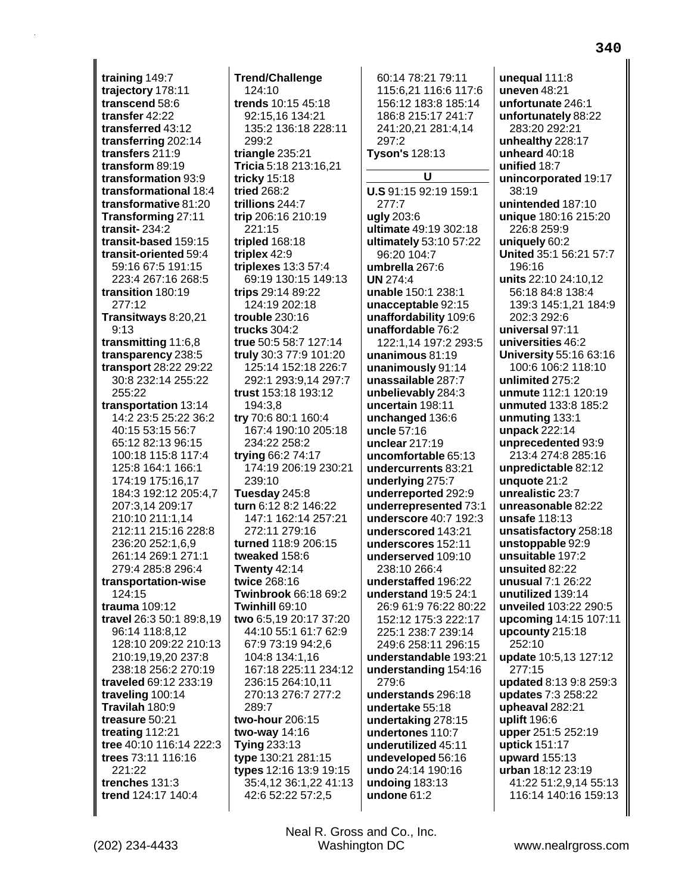**training** 149:7 **trajectory** 178:11 **transcend** 58:6 **transfer** 42:22 **transferred** 43:12 **transferring** 202:14 **transfers** 211:9 **transform** 89:19 **transformation** 93:9 **transformational** 18:4 **transformative** 81:20 **Transforming** 27:11 **transit-** 234:2 **transit-based** 159:15 **transit-oriented** 59:4 59:16 67:5 191:15 223:4 267:16 268:5 **transition** 180:19 277:12 **Transitways** 8:20,21 9:13 **transmitting** 11:6,8 **transparency** 238:5 **transport** 28:22 29:22 30:8 232:14 255:22 255:22 **transportation** 13:14 14:2 23:5 25:22 36:2 40:15 53:15 56:7 65:12 82:13 96:15 100:18 115:8 117:4 125:8 164:1 166:1 174:19 175:16,17 184:3 192:12 205:4,7 207:3,14 209:17 210:10 211:1,14 212:11 215:16 228:8 236:20 252:1,6,9 261:14 269:1 271:1 279:4 285:8 296:4 **transportation-wise** 124:15 **trauma** 109:12 **travel** 26:3 50:1 89:8,19 96:14 118:8,12 128:10 209:22 210:13 210:19,19,20 237:8 238:18 256:2 270:19 **traveled** 69:12 233:19 **traveling** 100:14 **Travilah** 180:9 **treasure** 50:21 **treating** 112:21 **tree** 40:10 116:14 222:3 **trees** 73:11 116:16 221:22 **trenches** 131:3 **trend** 124:17 140:4

**Trend/Challenge** 124:10 **trends** 10:15 45:18 92:15,16 134:21 135:2 136:18 228:11 299:2 **triangle** 235:21 **Tricia** 5:18 213:16,21 **tricky** 15:18 **tried** 268:2 **trillions** 244:7 **trip** 206:16 210:19 221:15 **tripled** 168:18 **triplex** 42:9 **triplexes** 13:3 57:4 69:19 130:15 149:13 **trips** 29:14 89:22 124:19 202:18 **trouble** 230:16 **trucks** 304:2 **true** 50:5 58:7 127:14 **truly** 30:3 77:9 101:20 125:14 152:18 226:7 292:1 293:9,14 297:7 **trust** 153:18 193:12 194:3,8 **try** 70:6 80:1 160:4 167:4 190:10 205:18 234:22 258:2 **trying** 66:2 74:17 174:19 206:19 230:21 239:10 **Tuesday** 245:8 **turn** 6:12 8:2 146:22 147:1 162:14 257:21 272:11 279:16 **turned** 118:9 206:15 **tweaked** 158:6 **Twenty** 42:14 **twice** 268:16 **Twinbrook** 66:18 69:2 **Twinhill** 69:10 **two** 6:5,19 20:17 37:20 44:10 55:1 61:7 62:9 67:9 73:19 94:2,6 104:8 134:1,16 167:18 225:11 234:12 236:15 264:10,11 270:13 276:7 277:2 289:7 **two-hour** 206:15 **two-way** 14:16 **Tying** 233:13 **type** 130:21 281:15 **types** 12:16 13:9 19:15 35:4,12 36:1,22 41:13 42:6 52:22 57:2,5

60:14 78:21 79:11 115:6,21 116:6 117:6 156:12 183:8 185:14 186:8 215:17 241:7 241:20,21 281:4,14 297:2 **Tyson's** 128:13 **U U.S** 91:15 92:19 159:1 277:7 **ugly** 203:6 **ultimate** 49:19 302:18 **ultimately** 53:10 57:22 96:20 104:7 **umbrella** 267:6 **UN** 274:4 **unable** 150:1 238:1 **unacceptable** 92:15 **unaffordability** 109:6 **unaffordable** 76:2 122:1,14 197:2 293:5 **unanimous** 81:19 **unanimously** 91:14 **unassailable** 287:7 **unbelievably** 284:3 **uncertain** 198:11 **unchanged** 136:6 **uncle** 57:16 **unclear** 217:19 **uncomfortable** 65:13 **undercurrents** 83:21 **underlying** 275:7 **underreported** 292:9 **underrepresented** 73:1 **underscore** 40:7 192:3 **underscored** 143:21 **underscores** 152:11 **underserved** 109:10 238:10 266:4 **understaffed** 196:22 **understand** 19:5 24:1 26:9 61:9 76:22 80:22 152:12 175:3 222:17 225:1 238:7 239:14 249:6 258:11 296:15 **understandable** 193:21 **understanding** 154:16 279:6 **understands** 296:18 **undertake** 55:18 **undertaking** 278:15 **undertones** 110:7 **underutilized** 45:11 **undeveloped** 56:16 **undo** 24:14 190:16 **undoing** 183:13 **undone** 61:2

**unequal** 111:8 **uneven** 48:21 **unfortunate** 246:1 **unfortunately** 88:22 283:20 292:21 **unhealthy** 228:17 **unheard** 40:18 **unified** 18:7 **unincorporated** 19:17 38:19 **unintended** 187:10 **unique** 180:16 215:20 226:8 259:9 **uniquely** 60:2 **United** 35:1 56:21 57:7 196:16 **units** 22:10 24:10,12 56:18 84:8 138:4 139:3 145:1,21 184:9 202:3 292:6 **universal** 97:11 **universities** 46:2 **University** 55:16 63:16 100:6 106:2 118:10 **unlimited** 275:2 **unmute** 112:1 120:19 **unmuted** 133:8 185:2 **unmuting** 133:1 **unpack** 222:14 **unprecedented** 93:9 213:4 274:8 285:16 **unpredictable** 82:12 **unquote** 21:2 **unrealistic** 23:7 **unreasonable** 82:22 **unsafe** 118:13 **unsatisfactory** 258:18 **unstoppable** 92:9 **unsuitable** 197:2 **unsuited** 82:22 **unusual** 7:1 26:22 **unutilized** 139:14 **unveiled** 103:22 290:5 **upcoming** 14:15 107:11 **upcounty** 215:18 252:10 **update** 10:5,13 127:12 277:15 **updated** 8:13 9:8 259:3 **updates** 7:3 258:22 **upheaval** 282:21 **uplift** 196:6 **upper** 251:5 252:19 **uptick** 151:17 **upward** 155:13 **urban** 18:12 23:19 41:22 51:2,9,14 55:13 116:14 140:16 159:13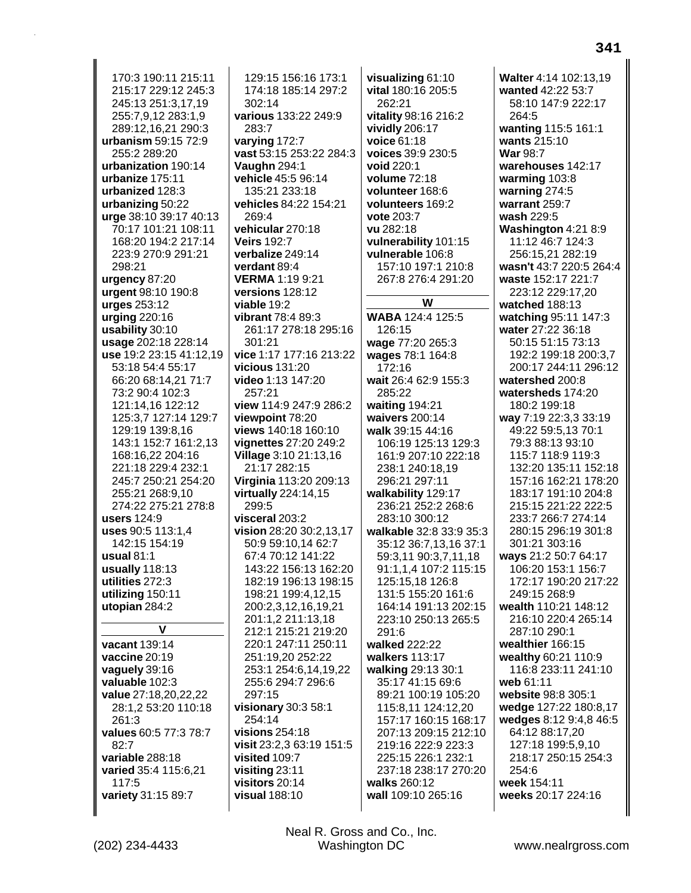170:3 190:11 215:11 215:17 229:12 245:3 245:13 251:3,17,19 255:7,9,12 283:1,9 289:12,16,21 290:3 urbanism 59:15 72:9 255:2 289:20 urbanization 190:14 urbanize 175:11 urbanized 128:3 urbanizing 50:22 urge 38:10 39:17 40:13 70:17 101:21 108:11 168:20 194:2 217:14 223:9 270:9 291:21 298:21 urgency 87:20 urgent 98:10 190:8 urges 253:12 urging  $220:16$ usability 30:10 usage 202:18 228:14 use 19:2 23:15 41:12,19 53:18 54:4 55:17 66:20 68:14.21 71:7 73:2 90:4 102:3 121:14,16 122:12 125:3,7 127:14 129:7 129:19 139:8,16 143:1 152:7 161:2.13 168:16.22 204:16 221:18 229:4 232:1 245:7 250:21 254:20 255:21 268:9.10 274:22 275:21 278:8 users 124:9 uses 90:5 113:1,4 142:15 154:19 usual  $81:1$ usually 118:13 utilities 272:3 utilizing 150:11 utopian 284:2 V vacant 139:14 vaccine 20:19 vaguely 39:16 valuable 102:3 value 27:18,20,22,22 28:1,2 53:20 110:18 261:3 values 60:5 77:3 78:7  $82:7$ variable 288:18 varied 35:4 115:6,21 117:5 variety 31:15 89:7

129:15 156:16 173:1 174:18 185:14 297:2 302:14 various 133:22 249:9 283:7 varying 172:7 vast 53:15 253:22 284:3 Vaughn 294:1 vehicle 45:5 96:14 135:21 233:18 vehicles 84:22 154:21 269:4 vehicular 270:18 **Veirs 192:7** verbalize 249:14 verdant 89:4 **VERMA 1:19 9:21** versions 128:12 viable 19:2 vibrant 78:4 89:3 261:17 278:18 295:16  $301.21$ vice 1:17 177:16 213:22 vicious  $131:20$ video 1:13 147:20 257:21 view 114:9 247:9 286:2 viewpoint 78:20 views 140:18 160:10 vignettes 27:20 249:2 **Village 3:10 21:13,16** 21:17 282:15 **Virginia** 113:20 209:13 **virtually** 224:14,15 299:5 visceral 203:2 vision 28:20 30:2,13,17 50:9 59:10,14 62:7 67:4 70:12 141:22 143:22 156:13 162:20 182:19 196:13 198:15 198:21 199:4,12,15 200:2,3,12,16,19,21 201:1,2 211:13,18 212:1 215:21 219:20 220:1 247:11 250:11 251:19,20 252:22 253:1 254:6,14,19,22 255:6 294:7 296:6 297:15 visionary 30:3 58:1 254:14 visions  $254:18$ visit 23:2,3 63:19 151:5 visited 109:7 visiting 23:11 visitors  $20:14$ visual 188:10

visualizing 61:10 vital 180:16 205:5 262:21 vitality 98:16 216:2 vividly 206:17 voice 61:18 voices 39:9 230:5 void 220:1 volume 72:18 volunteer 168:6 volunteers 169:2 vote 203:7 vu 282:18 vulnerability 101:15 vulnerable 106:8 157:10 197:1 210:8 267:8 276:4 291:20 W WABA 124:4 125:5 126:15 wage 77:20 265:3 wages 78:1 164:8 172:16 wait 26:4 62:9 155:3 285:22 waiting 194:21 waivers 200:14 walk 39:15 44:16 106:19 125:13 129:3 161:9 207:10 222:18 238:1 240:18,19 296:21 297:11 walkability 129:17 236:21 252:2 268:6 283:10 300:12 walkable 32:8 33:9 35:3 35:12 36:7,13,16 37:1 59:3,11 90:3,7,11,18 91:1,1,4 107:2 115:15 125:15,18 126:8 131:5 155:20 161:6 164:14 191:13 202:15 223:10 250:13 265:5  $291:6$ walked 222:22 walkers 113:17 walking 29:13 30:1 35:17 41:15 69:6 89:21 100:19 105:20 115:8,11 124:12,20 157:17 160:15 168:17 207:13 209:15 212:10 219:16 222:9 223:3 225:15 226:1 232:1 237:18 238:17 270:20 walks 260:12 wall 109:10 265:16

Walter 4:14 102:13.19 wanted 42:22 53:7 58:10 147:9 222:17 264:5 wanting 115:5 161:1 wants 215:10 War 98:7 warehouses 142:17 warming  $103:8$ warning 274:5 warrant 259:7 wash 229:5 Washington 4:21 8:9 11:12 46:7 124:3 256:15,21 282:19 wasn't 43:7 220:5 264:4 waste 152:17 221:7 223:12 229:17,20 watched 188:13 watching 95:11 147:3 water 27:22 36:18 50:15 51:15 73:13 192:2 199:18 200:3,7 200:17 244:11 296:12 watershed 200:8 watersheds 174:20 180:2 199:18 way 7:19 22:3,3 33:19 49:22 59:5,13 70:1 79:3 88:13 93:10 115:7 118:9 119:3 132.20 135.11 152.18 157:16 162:21 178:20 183:17 191:10 204:8 215:15 221:22 222:5 233:7 266:7 274:14 280:15 296:19 301:8 301:21 303:16 ways 21:2 50:7 64:17 106:20 153:1 156:7 172:17 190:20 217:22 249:15 268:9 wealth 110:21 148:12 216:10 220:4 265:14 287:10 290:1 wealthier 166:15 wealthy 60:21 110:9 116:8 233:11 241:10 web 61:11 website 98:8 305:1 wedge 127:22 180:8,17 wedges 8:12 9:4,8 46:5 64:12 88:17,20 127:18 199:5,9,10 218:17 250:15 254:3  $254.6$ week 154:11 weeks 20:17 224:16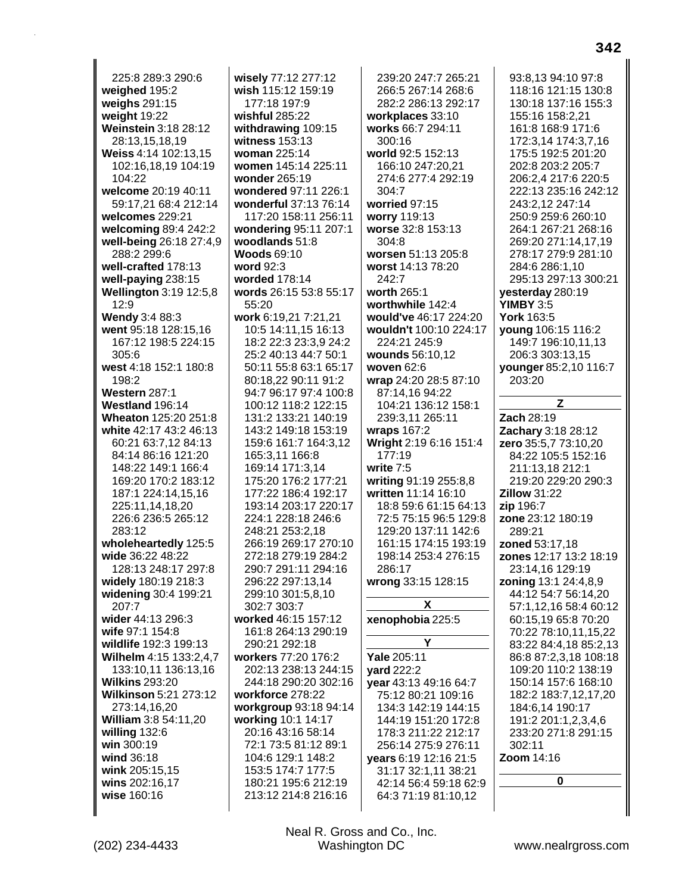225:8 289:3 290:6 **weighed** 195:2 **weighs** 291:15 **weight** 19:22 **Weinstein** 3:18 28:12 28:13,15,18,19 **Weiss** 4:14 102:13,15 102:16,18,19 104:19 104:22 **welcome** 20:19 40:11 59:17,21 68:4 212:14 **welcomes** 229:21 **welcoming** 89:4 242:2 **well-being** 26:18 27:4,9 288:2 299:6 **well-crafted** 178:13 **well-paying** 238:15 **Wellington** 3:19 12:5,8 12:9 **Wendy** 3:4 88:3 **went** 95:18 128:15,16 167:12 198:5 224:15 305:6 **west** 4:18 152:1 180:8 198:2 **Western** 287:1 **Westland** 196:14 **Wheaton** 125:20 251:8 **white** 42:17 43:2 46:13 60:21 63:7,12 84:13 84:14 86:16 121:20 148:22 149:1 166:4 169:20 170:2 183:12 187:1 224:14,15,16 225:11,14,18,20 226:6 236:5 265:12 283:12 **wholeheartedly** 125:5 **wide** 36:22 48:22 128:13 248:17 297:8 **widely** 180:19 218:3 **widening** 30:4 199:21 207:7 **wider** 44:13 296:3 **wife** 97:1 154:8 **wildlife** 192:3 199:13 **Wilhelm** 4:15 133:2,4,7 133:10,11 136:13,16 **Wilkins** 293:20 **Wilkinson** 5:21 273:12 273:14,16,20 **William** 3:8 54:11,20 **willing** 132:6 **win** 300:19 **wind** 36:18 **wink** 205:15,15 **wins** 202:16,17 **wise** 160:16

**wisely** 77:12 277:12 **wish** 115:12 159:19 177:18 197:9 **wishful** 285:22 **withdrawing** 109:15 **witness** 153:13 **woman** 225:14 **women** 145:14 225:11 **wonder** 265:19 **wondered** 97:11 226:1 **wonderful** 37:13 76:14 117:20 158:11 256:11 **wondering** 95:11 207:1 **woodlands** 51:8 **Woods** 69:10 **word** 92:3 **worded** 178:14 **words** 26:15 53:8 55:17 55:20 **work** 6:19,21 7:21,21 10:5 14:11,15 16:13 18:2 22:3 23:3,9 24:2 25:2 40:13 44:7 50:1 50:11 55:8 63:1 65:17 80:18,22 90:11 91:2 94:7 96:17 97:4 100:8 100:12 118:2 122:15 131:2 133:21 140:19 143:2 149:18 153:19 159:6 161:7 164:3,12 165:3,11 166:8 169:14 171:3,14 175:20 176:2 177:21 177:22 186:4 192:17 193:14 203:17 220:17 224:1 228:18 246:6 248:21 253:2,18 266:19 269:17 270:10 272:18 279:19 284:2 290:7 291:11 294:16 296:22 297:13,14 299:10 301:5,8,10 302:7 303:7 **worked** 46:15 157:12 161:8 264:13 290:19 290:21 292:18 **workers** 77:20 176:2 202:13 238:13 244:15 244:18 290:20 302:16 **workforce** 278:22 **workgroup** 93:18 94:14 **working** 10:1 14:17 20:16 43:16 58:14 72:1 73:5 81:12 89:1 104:6 129:1 148:2 153:5 174:7 177:5 180:21 195:6 212:19 213:12 214:8 216:16

239:20 247:7 265:21 266:5 267:14 268:6 282:2 286:13 292:17 **workplaces** 33:10 **works** 66:7 294:11 300:16 **world** 92:5 152:13 166:10 247:20,21 274:6 277:4 292:19 304:7 **worried** 97:15 **worry** 119:13 **worse** 32:8 153:13 304:8 **worsen** 51:13 205:8 **worst** 14:13 78:20 242:7 **worth** 265:1 **worthwhile** 142:4 **would've** 46:17 224:20 **wouldn't** 100:10 224:17 224:21 245:9 **wounds** 56:10,12 **woven** 62:6 **wrap** 24:20 28:5 87:10 87:14,16 94:22 104:21 136:12 158:1 239:3,11 265:11 **wraps** 167:2 **Wright** 2:19 6:16 151:4 177:19 **write** 7:5 **writing** 91:19 255:8,8 **written** 11:14 16:10 18:8 59:6 61:15 64:13 72:5 75:15 96:5 129:8 129:20 137:11 142:6 161:15 174:15 193:19 198:14 253:4 276:15 286:17 **wrong** 33:15 128:15 **X xenophobia** 225:5 **Y Yale** 205:11 **yard** 222:2 **year** 43:13 49:16 64:7 75:12 80:21 109:16 134:3 142:19 144:15 144:19 151:20 172:8 178:3 211:22 212:17 256:14 275:9 276:11 **years** 6:19 12:16 21:5 31:17 32:1,11 38:21 42:14 56:4 59:18 62:9 64:3 71:19 81:10,12

118:16 121:15 130:8 130:18 137:16 155:3 155:16 158:2,21 161:8 168:9 171:6 172:3,14 174:3,7,16 175:5 192:5 201:20 202:8 203:2 205:7 206:2,4 217:6 220:5 222:13 235:16 242:12 243:2,12 247:14 250:9 259:6 260:10 264:1 267:21 268:16 269:20 271:14,17,19 278:17 279:9 281:10 284:6 286:1,10 295:13 297:13 300:21 **yesterday** 280:19 **YIMBY** 3:5 **York** 163:5 **young** 106:15 116:2 149:7 196:10,11,13 206:3 303:13,15 **younger** 85:2,10 116:7 203:20 **Z Zach** 28:19 **Zachary** 3:18 28:12 **zero** 35:5,7 73:10,20 84:22 105:5 152:16 211:13,18 212:1 219:20 229:20 290:3 **Zillow** 31:22 **zip** 196:7 **zone** 23:12 180:19

93:8,13 94:10 97:8

289:21 **zoned** 53:17,18 **zones** 12:17 13:2 18:19 23:14,16 129:19 **zoning** 13:1 24:4,8,9 44:12 54:7 56:14,20 57:1,12,16 58:4 60:12 60:15,19 65:8 70:20 70:22 78:10,11,15,22 83:22 84:4,18 85:2,13 86:8 87:2,3,18 108:18 109:20 110:2 138:19 150:14 157:6 168:10 182:2 183:7,12,17,20 184:6,14 190:17 191:2 201:1,2,3,4,6 233:20 271:8 291:15 302:11 **Zoom** 14:16

**0**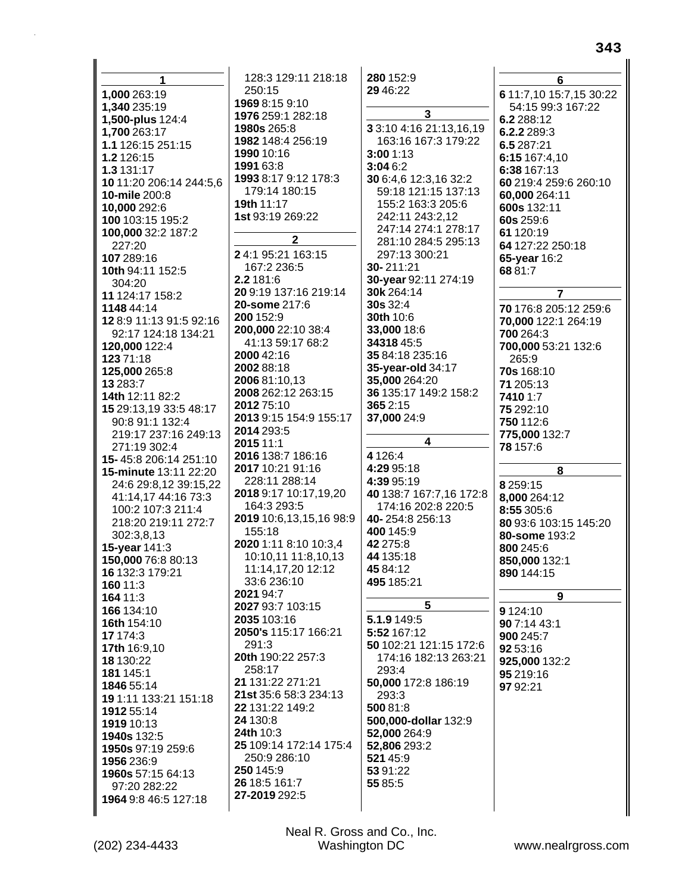| 1                       | 128:3 129:11 218:18                 | 280 152:9                                      | 6                       |
|-------------------------|-------------------------------------|------------------------------------------------|-------------------------|
| 1,000 263:19            | 250:15                              | 29 46:22                                       | 6 11:7,10 15:7,15 30:22 |
| 1,340 235:19            | 1969 8:15 9:10                      |                                                | 54:15 99:3 167:22       |
| 1,500-plus 124:4        | 1976 259:1 282:18                   | 3                                              | 6.2 288:12              |
| 1,700 263:17            | <b>1980s</b> 265:8                  | 3 3:10 4:16 21:13,16,19                        | 6.2.2 289:3             |
| 1.1 126:15 251:15       | 1982 148:4 256:19                   | 163:16 167:3 179:22                            | 6.5 287:21              |
| 1.2 126:15              | 1990 10:16                          | 3:001:13                                       | 6:15 167:4,10           |
| 1.3 131:17              | 1991 63:8                           | 3:046:2                                        | 6:38 167:13             |
| 10 11:20 206:14 244:5,6 | 1993 8:17 9:12 178:3                | 30 6:4,6 12:3,16 32:2                          | 60 219:4 259:6 260:10   |
| 10-mile 200:8           | 179:14 180:15                       | 59:18 121:15 137:13                            | 60,000 264:11           |
| 10,000 292:6            | <b>19th 11:17</b>                   | 155:2 163:3 205:6                              | 600s 132:11             |
| 100 103:15 195:2        | 1st 93:19 269:22                    | 242:11 243:2,12                                | 60s 259:6               |
| 100,000 32:2 187:2      |                                     | 247:14 274:1 278:17                            | 61 120:19               |
| 227:20                  | $\mathbf{2}$                        | 281:10 284:5 295:13                            | 64 127:22 250:18        |
| 107 289:16              | 24:1 95:21 163:15                   | 297:13 300:21                                  | 65-year 16:2            |
| 10th 94:11 152:5        | 167:2 236:5                         | 30-211:21                                      | 6881:7                  |
| 304:20                  | 2.2 181:6                           | 30-year 92:11 274:19                           |                         |
| 11 124:17 158:2         | 20 9:19 137:16 219:14               | 30k 264:14                                     | $\overline{7}$          |
| 1148 44:14              | 20-some 217:6                       | 30s 32:4                                       | 70 176:8 205:12 259:6   |
| 12 8:9 11:13 91:5 92:16 | 200 152:9                           | 30th 10:6                                      | 70,000 122:1 264:19     |
| 92:17 124:18 134:21     | 200,000 22:10 38:4                  | 33,000 18:6                                    | 700 264:3               |
| 120,000 122:4           | 41:13 59:17 68:2                    | 3431845:5                                      | 700,000 53:21 132:6     |
| 123 71:18               | 2000 42:16                          | 35 84:18 235:16                                | 265:9                   |
| 125,000 265:8           | 2002 88:18                          | 35-year-old 34:17                              | 70s 168:10              |
| 13 283:7                | 2006 81:10,13                       | 35,000 264:20                                  | 71 205:13               |
| 14th 12:11 82:2         | 2008 262:12 263:15                  | 36 135:17 149:2 158:2                          | 7410 1:7                |
| 15 29:13,19 33:5 48:17  | 2012 75:10                          | 365 2:15                                       | 75 292:10               |
| 90:8 91:1 132:4         | 2013 9:15 154:9 155:17              | 37,000 24:9                                    | 750 112:6               |
| 219:17 237:16 249:13    | 2014 293:5                          |                                                | 775,000 132:7           |
| 271:19 302:4            | 2015 11:1                           | $\overline{\mathbf{4}}$                        | 78 157:6                |
| 15-45:8 206:14 251:10   | 2016 138:7 186:16                   | 4 1 2 6:4                                      |                         |
| 15-minute 13:11 22:20   | 2017 10:21 91:16                    | 4:29 95:18                                     | 8                       |
| 24:6 29:8,12 39:15,22   | 228:11 288:14                       | 4:39 95:19                                     | 8 2 5 9 : 15            |
| 41:14,17 44:16 73:3     | 2018 9:17 10:17,19,20               | 40 138:7 167:7,16 172:8                        | 8,000 264:12            |
| 100:2 107:3 211:4       | 164:3 293:5                         | 174:16 202:8 220:5                             | 8:55 305:6              |
| 218:20 219:11 272:7     | 2019 10:6,13,15,16 98:9             | 40-254:8 256:13                                | 80 93:6 103:15 145:20   |
| 302:3,8,13              | 155:18                              | 400 145:9                                      | 80-some 193:2           |
| 15-year 141:3           | 2020 1:11 8:10 10:3,4               | 42 275:8                                       | 800 245:6               |
| 150,000 76:8 80:13      | 10:10,11 11:8,10,13                 | 44 135:18                                      | 850,000 132:1           |
| 16 132:3 179:21         | 11:14,17,20 12:12                   | 45 84:12                                       | 890 144:15              |
| 160 11:3                | 33:6 236:10                         | 495 185:21                                     |                         |
| 164 11:3                | 2021 94:7                           | 5                                              | 9                       |
| 166 134:10              | 2027 93:7 103:15                    |                                                | 9 1 24:10               |
| 16th 154:10             | 2035 103:16<br>2050's 115:17 166:21 | 5.1.9 149:5                                    | 90 7:14 43:1            |
| 17 174:3                | 291:3                               | 5:52 167:12                                    | 900 245:7               |
| 17th 16:9,10            | 20th 190:22 257:3                   | 50 102:21 121:15 172:6<br>174:16 182:13 263:21 | 92 53:16                |
| 18 130:22               | 258:17                              | 293:4                                          | 925,000 132:2           |
| 181 145:1               | 21 131:22 271:21                    | 50,000 172:8 186:19                            | 95 219:16               |
| 1846 55:14              | 21st 35:6 58:3 234:13               | 293:3                                          | 97 92:21                |
| 19 1:11 133:21 151:18   | 22 131:22 149:2                     | 500 81:8                                       |                         |
| 1912 55:14              | 24 130:8                            | 500,000-dollar 132:9                           |                         |
| 1919 10:13              | <b>24th 10:3</b>                    | 52,000 264:9                                   |                         |
| 1940s 132:5             | 25 109:14 172:14 175:4              | 52,806 293:2                                   |                         |
|                         |                                     |                                                |                         |
| 1950s 97:19 259:6       |                                     |                                                |                         |
| 1956 236:9              | 250:9 286:10                        | 521 45:9                                       |                         |
| 1960s 57:15 64:13       | 250 145:9                           | 53 91:22                                       |                         |
| 97:20 282:22            | 26 18:5 161:7<br>27-2019 292:5      | 55 85:5                                        |                         |
| 1964 9:8 46:5 127:18    |                                     |                                                |                         |

343